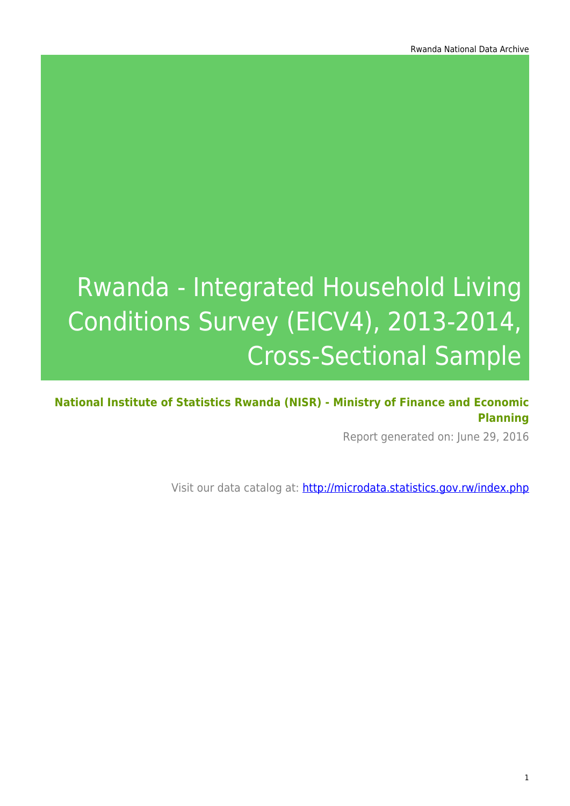# Rwanda - Integrated Household Living Conditions Survey (EICV4), 2013-2014, Cross-Sectional Sample

### **National Institute of Statistics Rwanda (NISR) - Ministry of Finance and Economic Planning**

Report generated on: June 29, 2016

Visit our data catalog at: http://microdata.statistics.gov.rw/index.php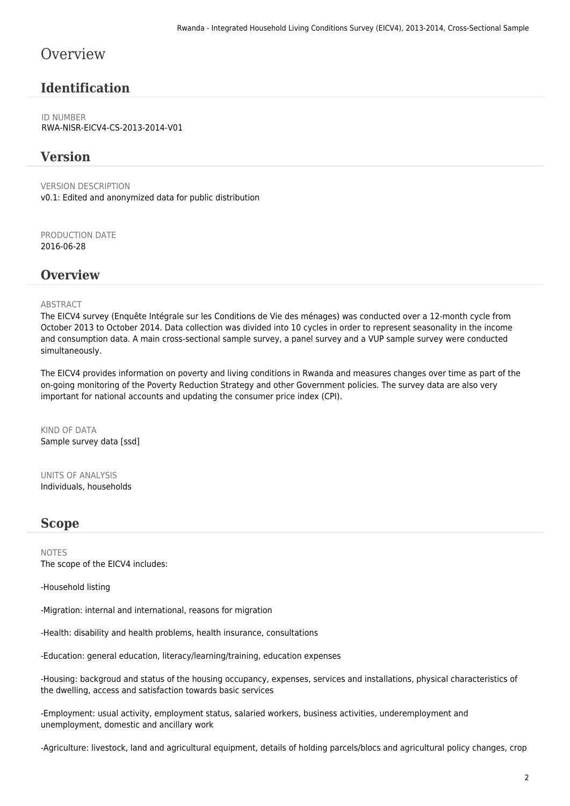## **Overview**

### **Identification**

ID NUMBER RWA-NISR-EICV4-CS-2013-2014-V01

### **Version**

VERSION DESCRIPTION v0.1: Edited and anonymized data for public distribution

PRODUCTION DATE 2016-06-28

### **Overview**

### ABSTRACT

The EICV4 survey (Enquête Intégrale sur les Conditions de Vie des ménages) was conducted over a 12-month cycle from October 2013 to October 2014. Data collection was divided into 10 cycles in order to represent seasonality in the income and consumption data. A main cross-sectional sample survey, a panel survey and a VUP sample survey were conducted simultaneously.

The EICV4 provides information on poverty and living conditions in Rwanda and measures changes over time as part of the on-going monitoring of the Poverty Reduction Strategy and other Government policies. The survey data are also very important for national accounts and updating the consumer price index (CPI).

KIND OF DATA Sample survey data [ssd]

UNITS OF ANALYSIS Individuals, households

### **Scope**

**NOTES** The scope of the EICV4 includes:

-Household listing

-Migration: internal and international, reasons for migration

-Health: disability and health problems, health insurance, consultations

-Education: general education, literacy/learning/training, education expenses

-Housing: backgroud and status of the housing occupancy, expenses, services and installations, physical characteristics of the dwelling, access and satisfaction towards basic services

-Employment: usual activity, employment status, salaried workers, business activities, underemployment and unemployment, domestic and ancillary work

-Agriculture: livestock, land and agricultural equipment, details of holding parcels/blocs and agricultural policy changes, crop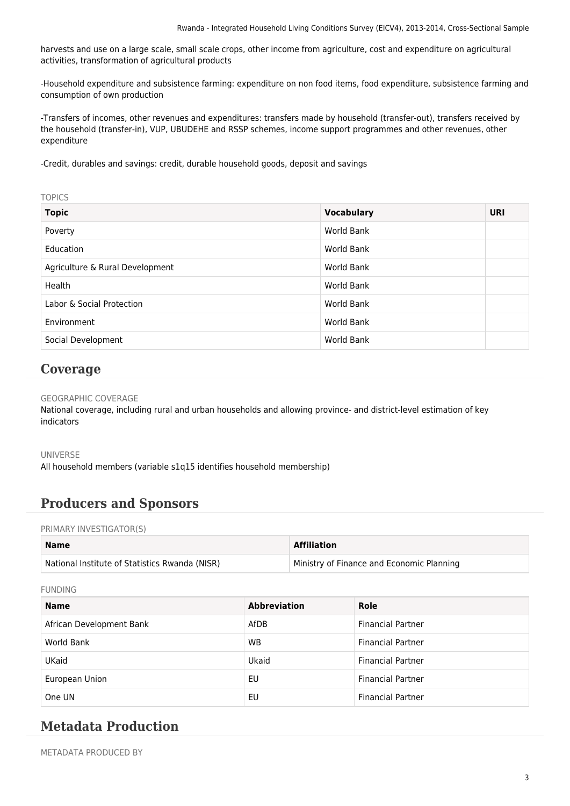harvests and use on a large scale, small scale crops, other income from agriculture, cost and expenditure on agricultural activities, transformation of agricultural products

-Household expenditure and subsistence farming: expenditure on non food items, food expenditure, subsistence farming and consumption of own production

-Transfers of incomes, other revenues and expenditures: transfers made by household (transfer-out), transfers received by the household (transfer-in), VUP, UBUDEHE and RSSP schemes, income support programmes and other revenues, other expenditure

-Credit, durables and savings: credit, durable household goods, deposit and savings

TOPICS

| <b>Topic</b>                    | <b>Vocabulary</b> | <b>URI</b> |
|---------------------------------|-------------------|------------|
| Poverty                         | World Bank        |            |
| Education                       | World Bank        |            |
| Agriculture & Rural Development | World Bank        |            |
| Health                          | World Bank        |            |
| Labor & Social Protection       | World Bank        |            |
| Environment                     | World Bank        |            |
| Social Development              | World Bank        |            |

### **Coverage**

### GEOGRAPHIC COVERAGE

National coverage, including rural and urban households and allowing province- and district-level estimation of key indicators

UNIVERSE

All household members (variable s1q15 identifies household membership)

### **Producers and Sponsors**

### PRIMARY INVESTIGATOR(S)

| <b>Name</b>                                    | <b>Affiliation</b>                        |
|------------------------------------------------|-------------------------------------------|
| National Institute of Statistics Rwanda (NISR) | Ministry of Finance and Economic Planning |

#### FUNDING

| <b>Name</b>              | <b>Abbreviation</b> | Role                     |
|--------------------------|---------------------|--------------------------|
| African Development Bank | AfDB                | <b>Financial Partner</b> |
| World Bank               | <b>WB</b>           | <b>Financial Partner</b> |
| <b>UKaid</b>             | Ukaid               | <b>Financial Partner</b> |
| European Union           | EU                  | <b>Financial Partner</b> |
| One UN                   | EU                  | <b>Financial Partner</b> |

## **Metadata Production**

METADATA PRODUCED BY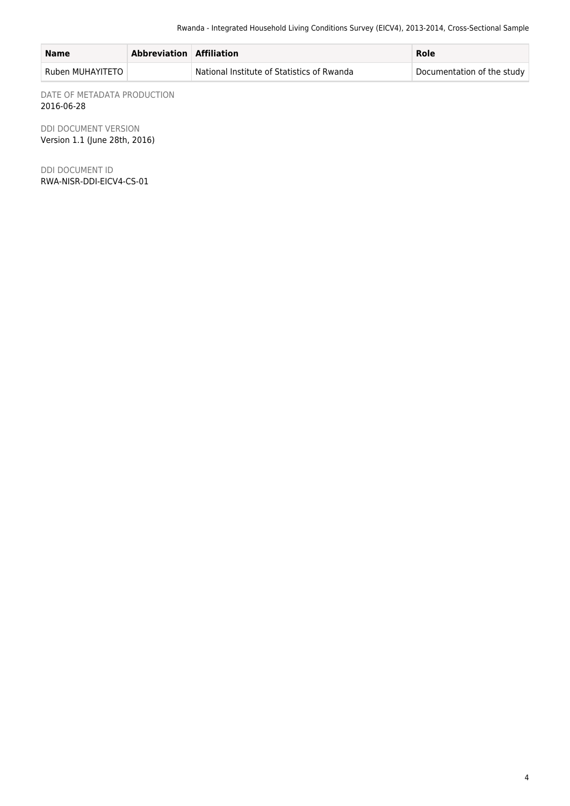| <b>Name</b>      | Abbreviation Affiliation |                                            | Role                       |
|------------------|--------------------------|--------------------------------------------|----------------------------|
| Ruben MUHAYITETO |                          | National Institute of Statistics of Rwanda | Documentation of the study |

DATE OF METADATA PRODUCTION 2016-06-28

DDI DOCUMENT VERSION Version 1.1 (June 28th, 2016)

DDI DOCUMENT ID RWA-NISR-DDI-EICV4-CS-01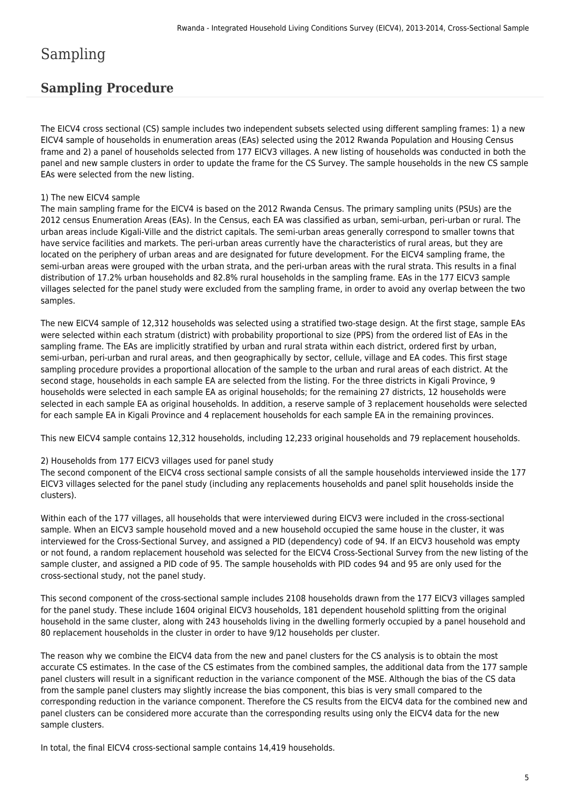## Sampling

## **Sampling Procedure**

The EICV4 cross sectional (CS) sample includes two independent subsets selected using different sampling frames: 1) a new EICV4 sample of households in enumeration areas (EAs) selected using the 2012 Rwanda Population and Housing Census frame and 2) a panel of households selected from 177 EICV3 villages. A new listing of households was conducted in both the panel and new sample clusters in order to update the frame for the CS Survey. The sample households in the new CS sample EAs were selected from the new listing.

### 1) The new EICV4 sample

The main sampling frame for the EICV4 is based on the 2012 Rwanda Census. The primary sampling units (PSUs) are the 2012 census Enumeration Areas (EAs). In the Census, each EA was classified as urban, semi-urban, peri-urban or rural. The urban areas include Kigali-Ville and the district capitals. The semi-urban areas generally correspond to smaller towns that have service facilities and markets. The peri-urban areas currently have the characteristics of rural areas, but they are located on the periphery of urban areas and are designated for future development. For the EICV4 sampling frame, the semi-urban areas were grouped with the urban strata, and the peri-urban areas with the rural strata. This results in a final distribution of 17.2% urban households and 82.8% rural households in the sampling frame. EAs in the 177 EICV3 sample villages selected for the panel study were excluded from the sampling frame, in order to avoid any overlap between the two samples.

The new EICV4 sample of 12,312 households was selected using a stratified two-stage design. At the first stage, sample EAs were selected within each stratum (district) with probability proportional to size (PPS) from the ordered list of EAs in the sampling frame. The EAs are implicitly stratified by urban and rural strata within each district, ordered first by urban, semi-urban, peri-urban and rural areas, and then geographically by sector, cellule, village and EA codes. This first stage sampling procedure provides a proportional allocation of the sample to the urban and rural areas of each district. At the second stage, households in each sample EA are selected from the listing. For the three districts in Kigali Province, 9 households were selected in each sample EA as original households; for the remaining 27 districts, 12 households were selected in each sample EA as original households. In addition, a reserve sample of 3 replacement households were selected for each sample EA in Kigali Province and 4 replacement households for each sample EA in the remaining provinces.

This new EICV4 sample contains 12,312 households, including 12,233 original households and 79 replacement households.

### 2) Households from 177 EICV3 villages used for panel study

The second component of the EICV4 cross sectional sample consists of all the sample households interviewed inside the 177 EICV3 villages selected for the panel study (including any replacements households and panel split households inside the clusters).

Within each of the 177 villages, all households that were interviewed during EICV3 were included in the cross-sectional sample. When an EICV3 sample household moved and a new household occupied the same house in the cluster, it was interviewed for the Cross-Sectional Survey, and assigned a PID (dependency) code of 94. If an EICV3 household was empty or not found, a random replacement household was selected for the EICV4 Cross-Sectional Survey from the new listing of the sample cluster, and assigned a PID code of 95. The sample households with PID codes 94 and 95 are only used for the cross-sectional study, not the panel study.

This second component of the cross-sectional sample includes 2108 households drawn from the 177 EICV3 villages sampled for the panel study. These include 1604 original EICV3 households, 181 dependent household splitting from the original household in the same cluster, along with 243 households living in the dwelling formerly occupied by a panel household and 80 replacement households in the cluster in order to have 9/12 households per cluster.

The reason why we combine the EICV4 data from the new and panel clusters for the CS analysis is to obtain the most accurate CS estimates. In the case of the CS estimates from the combined samples, the additional data from the 177 sample panel clusters will result in a significant reduction in the variance component of the MSE. Although the bias of the CS data from the sample panel clusters may slightly increase the bias component, this bias is very small compared to the corresponding reduction in the variance component. Therefore the CS results from the EICV4 data for the combined new and panel clusters can be considered more accurate than the corresponding results using only the EICV4 data for the new sample clusters.

In total, the final EICV4 cross-sectional sample contains 14,419 households.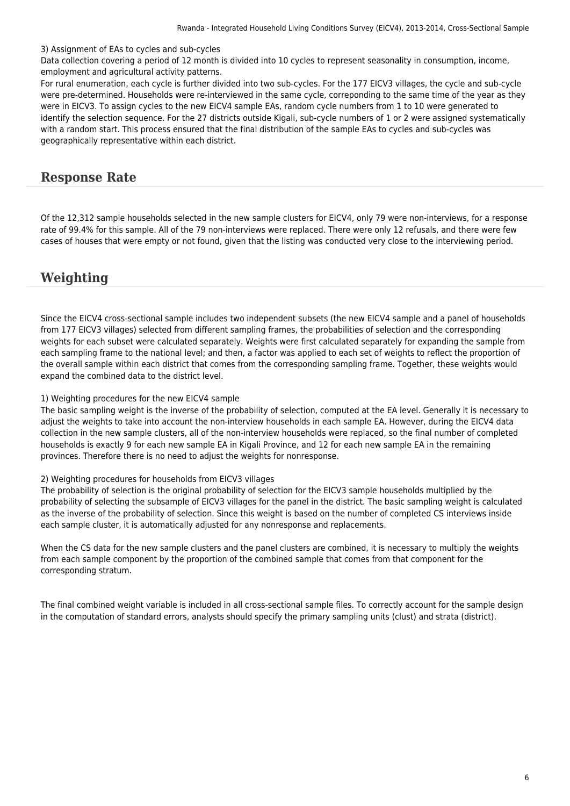3) Assignment of EAs to cycles and sub-cycles

Data collection covering a period of 12 month is divided into 10 cycles to represent seasonality in consumption, income, employment and agricultural activity patterns.

For rural enumeration, each cycle is further divided into two sub-cycles. For the 177 EICV3 villages, the cycle and sub-cycle were pre-determined. Households were re-interviewed in the same cycle, correponding to the same time of the year as they were in EICV3. To assign cycles to the new EICV4 sample EAs, random cycle numbers from 1 to 10 were generated to identify the selection sequence. For the 27 districts outside Kigali, sub-cycle numbers of 1 or 2 were assigned systematically with a random start. This process ensured that the final distribution of the sample EAs to cycles and sub-cycles was geographically representative within each district.

### **Response Rate**

Of the 12,312 sample households selected in the new sample clusters for EICV4, only 79 were non-interviews, for a response rate of 99.4% for this sample. All of the 79 non-interviews were replaced. There were only 12 refusals, and there were few cases of houses that were empty or not found, given that the listing was conducted very close to the interviewing period.

## **Weighting**

Since the EICV4 cross-sectional sample includes two independent subsets (the new EICV4 sample and a panel of households from 177 EICV3 villages) selected from different sampling frames, the probabilities of selection and the corresponding weights for each subset were calculated separately. Weights were first calculated separately for expanding the sample from each sampling frame to the national level; and then, a factor was applied to each set of weights to reflect the proportion of the overall sample within each district that comes from the corresponding sampling frame. Together, these weights would expand the combined data to the district level.

### 1) Weighting procedures for the new EICV4 sample

The basic sampling weight is the inverse of the probability of selection, computed at the EA level. Generally it is necessary to adjust the weights to take into account the non-interview households in each sample EA. However, during the EICV4 data collection in the new sample clusters, all of the non-interview households were replaced, so the final number of completed households is exactly 9 for each new sample EA in Kigali Province, and 12 for each new sample EA in the remaining provinces. Therefore there is no need to adjust the weights for nonresponse.

### 2) Weighting procedures for households from EICV3 villages

The probability of selection is the original probability of selection for the EICV3 sample households multiplied by the probability of selecting the subsample of EICV3 villages for the panel in the district. The basic sampling weight is calculated as the inverse of the probability of selection. Since this weight is based on the number of completed CS interviews inside each sample cluster, it is automatically adjusted for any nonresponse and replacements.

When the CS data for the new sample clusters and the panel clusters are combined, it is necessary to multiply the weights from each sample component by the proportion of the combined sample that comes from that component for the corresponding stratum.

The final combined weight variable is included in all cross-sectional sample files. To correctly account for the sample design in the computation of standard errors, analysts should specify the primary sampling units (clust) and strata (district).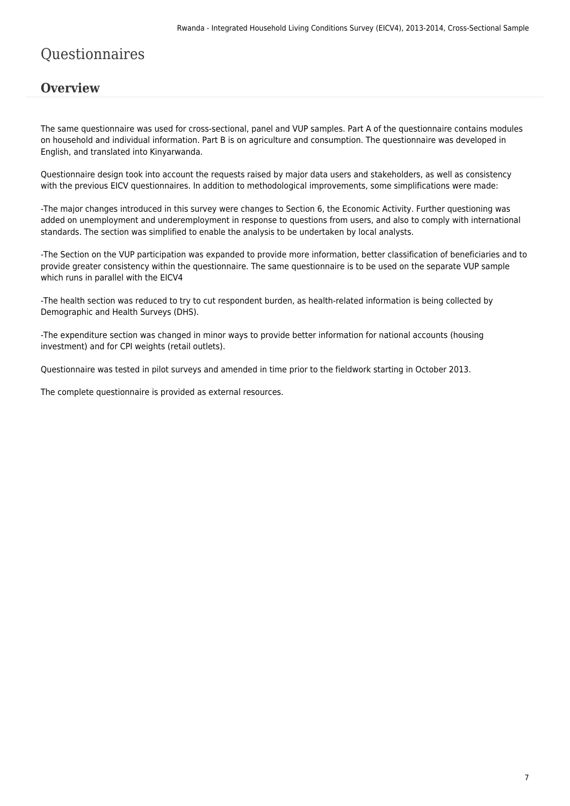## Questionnaires

### **Overview**

The same questionnaire was used for cross-sectional, panel and VUP samples. Part A of the questionnaire contains modules on household and individual information. Part B is on agriculture and consumption. The questionnaire was developed in English, and translated into Kinyarwanda.

Questionnaire design took into account the requests raised by major data users and stakeholders, as well as consistency with the previous EICV questionnaires. In addition to methodological improvements, some simplifications were made:

-The major changes introduced in this survey were changes to Section 6, the Economic Activity. Further questioning was added on unemployment and underemployment in response to questions from users, and also to comply with international standards. The section was simplified to enable the analysis to be undertaken by local analysts.

-The Section on the VUP participation was expanded to provide more information, better classification of beneficiaries and to provide greater consistency within the questionnaire. The same questionnaire is to be used on the separate VUP sample which runs in parallel with the EICV4

-The health section was reduced to try to cut respondent burden, as health-related information is being collected by Demographic and Health Surveys (DHS).

-The expenditure section was changed in minor ways to provide better information for national accounts (housing investment) and for CPI weights (retail outlets).

Questionnaire was tested in pilot surveys and amended in time prior to the fieldwork starting in October 2013.

The complete questionnaire is provided as external resources.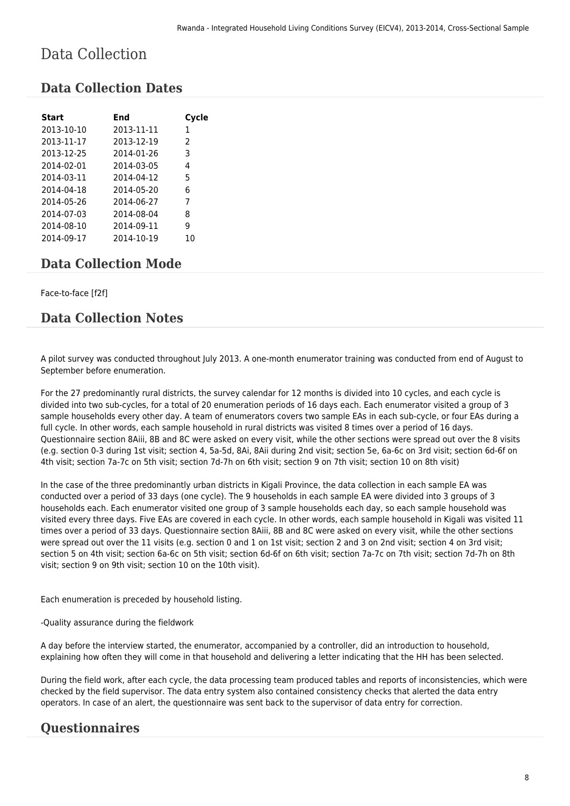## Data Collection

### **Data Collection Dates**

| Start      | End        | Cycle         |
|------------|------------|---------------|
| 2013-10-10 | 2013-11-11 | 1             |
| 2013-11-17 | 2013-12-19 | $\mathcal{P}$ |
| 2013-12-25 | 2014-01-26 | 3             |
| 2014-02-01 | 2014-03-05 | 4             |
| 2014-03-11 | 2014-04-12 | 5             |
| 2014-04-18 | 2014-05-20 | 6             |
| 2014-05-26 | 2014-06-27 | 7             |
| 2014-07-03 | 2014-08-04 | 8             |
| 2014-08-10 | 2014-09-11 | 9             |
| 2014-09-17 | 2014-10-19 | 10            |
|            |            |               |

## **Data Collection Mode**

### Face-to-face [f2f]

### **Data Collection Notes**

A pilot survey was conducted throughout July 2013. A one-month enumerator training was conducted from end of August to September before enumeration.

For the 27 predominantly rural districts, the survey calendar for 12 months is divided into 10 cycles, and each cycle is divided into two sub-cycles, for a total of 20 enumeration periods of 16 days each. Each enumerator visited a group of 3 sample households every other day. A team of enumerators covers two sample EAs in each sub-cycle, or four EAs during a full cycle. In other words, each sample household in rural districts was visited 8 times over a period of 16 days. Questionnaire section 8Aiii, 8B and 8C were asked on every visit, while the other sections were spread out over the 8 visits (e.g. section 0-3 during 1st visit; section 4, 5a-5d, 8Ai, 8Aii during 2nd visit; section 5e, 6a-6c on 3rd visit; section 6d-6f on 4th visit; section 7a-7c on 5th visit; section 7d-7h on 6th visit; section 9 on 7th visit; section 10 on 8th visit)

In the case of the three predominantly urban districts in Kigali Province, the data collection in each sample EA was conducted over a period of 33 days (one cycle). The 9 households in each sample EA were divided into 3 groups of 3 households each. Each enumerator visited one group of 3 sample households each day, so each sample household was visited every three days. Five EAs are covered in each cycle. In other words, each sample household in Kigali was visited 11 times over a period of 33 days. Questionnaire section 8Aiii, 8B and 8C were asked on every visit, while the other sections were spread out over the 11 visits (e.g. section 0 and 1 on 1st visit; section 2 and 3 on 2nd visit; section 4 on 3rd visit; section 5 on 4th visit; section 6a-6c on 5th visit; section 6d-6f on 6th visit; section 7a-7c on 7th visit; section 7d-7h on 8th visit; section 9 on 9th visit; section 10 on the 10th visit).

Each enumeration is preceded by household listing.

-Quality assurance during the fieldwork

A day before the interview started, the enumerator, accompanied by a controller, did an introduction to household, explaining how often they will come in that household and delivering a letter indicating that the HH has been selected.

During the field work, after each cycle, the data processing team produced tables and reports of inconsistencies, which were checked by the field supervisor. The data entry system also contained consistency checks that alerted the data entry operators. In case of an alert, the questionnaire was sent back to the supervisor of data entry for correction.

## **Questionnaires**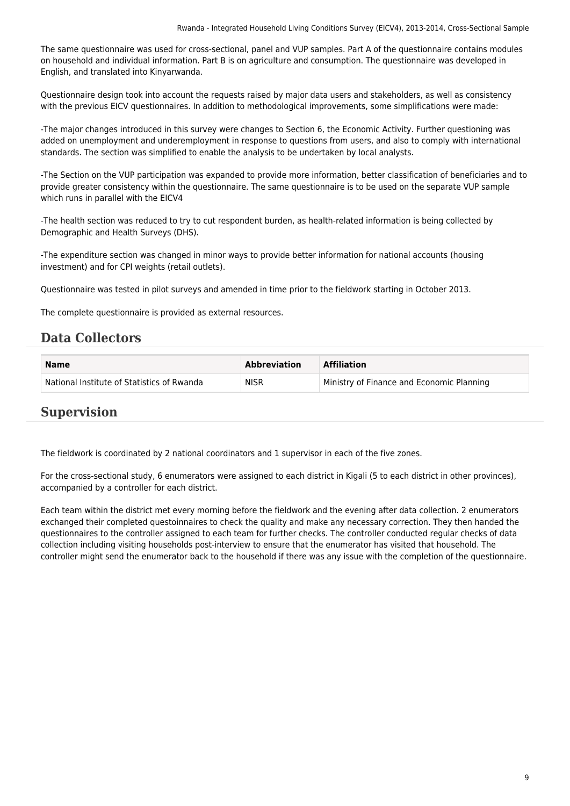The same questionnaire was used for cross-sectional, panel and VUP samples. Part A of the questionnaire contains modules on household and individual information. Part B is on agriculture and consumption. The questionnaire was developed in English, and translated into Kinyarwanda.

Questionnaire design took into account the requests raised by major data users and stakeholders, as well as consistency with the previous EICV questionnaires. In addition to methodological improvements, some simplifications were made:

-The major changes introduced in this survey were changes to Section 6, the Economic Activity. Further questioning was added on unemployment and underemployment in response to questions from users, and also to comply with international standards. The section was simplified to enable the analysis to be undertaken by local analysts.

-The Section on the VUP participation was expanded to provide more information, better classification of beneficiaries and to provide greater consistency within the questionnaire. The same questionnaire is to be used on the separate VUP sample which runs in parallel with the EICV4

-The health section was reduced to try to cut respondent burden, as health-related information is being collected by Demographic and Health Surveys (DHS).

-The expenditure section was changed in minor ways to provide better information for national accounts (housing investment) and for CPI weights (retail outlets).

Questionnaire was tested in pilot surveys and amended in time prior to the fieldwork starting in October 2013.

The complete questionnaire is provided as external resources.

### **Data Collectors**

| <b>Name</b>                                | <b>Abbreviation</b> | <b>Affiliation</b>                        |
|--------------------------------------------|---------------------|-------------------------------------------|
| National Institute of Statistics of Rwanda | <b>NISR</b>         | Ministry of Finance and Economic Planning |

### **Supervision**

The fieldwork is coordinated by 2 national coordinators and 1 supervisor in each of the five zones.

For the cross-sectional study, 6 enumerators were assigned to each district in Kigali (5 to each district in other provinces), accompanied by a controller for each district.

Each team within the district met every morning before the fieldwork and the evening after data collection. 2 enumerators exchanged their completed questoinnaires to check the quality and make any necessary correction. They then handed the questionnaires to the controller assigned to each team for further checks. The controller conducted regular checks of data collection including visiting households post-interview to ensure that the enumerator has visited that household. The controller might send the enumerator back to the household if there was any issue with the completion of the questionnaire.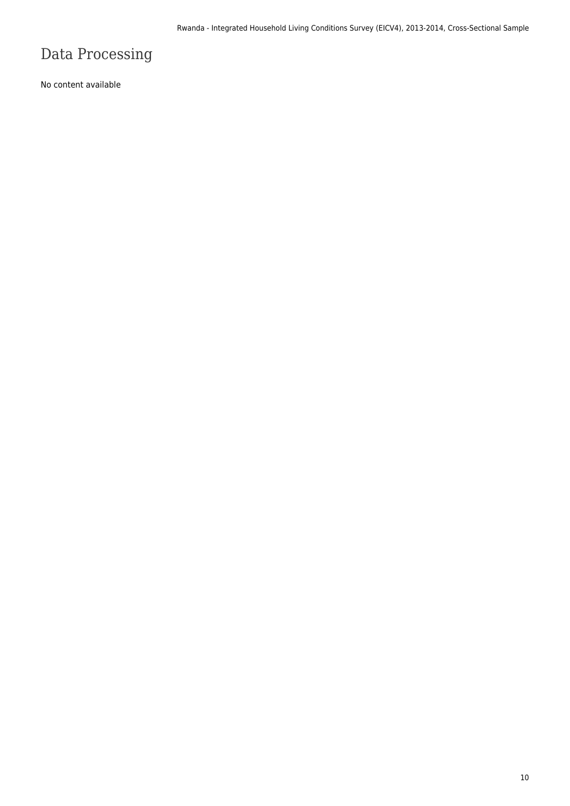## Data Processing

No content available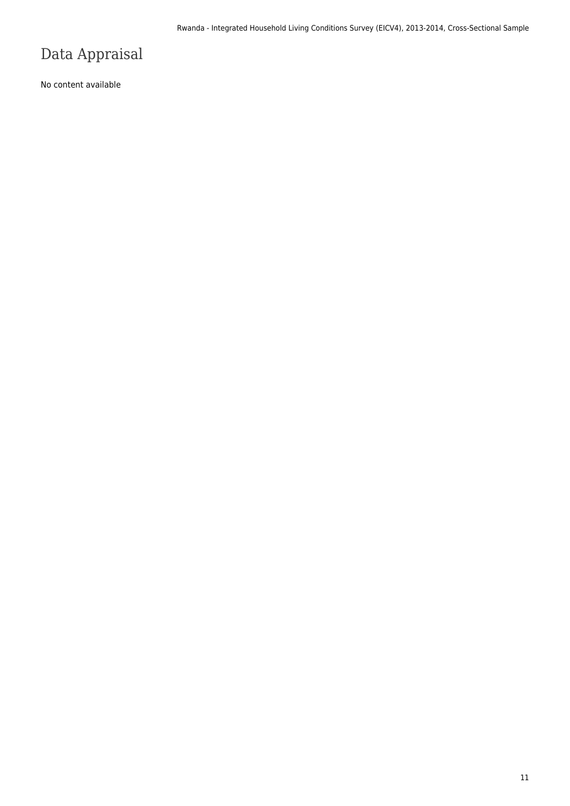## Data Appraisal

No content available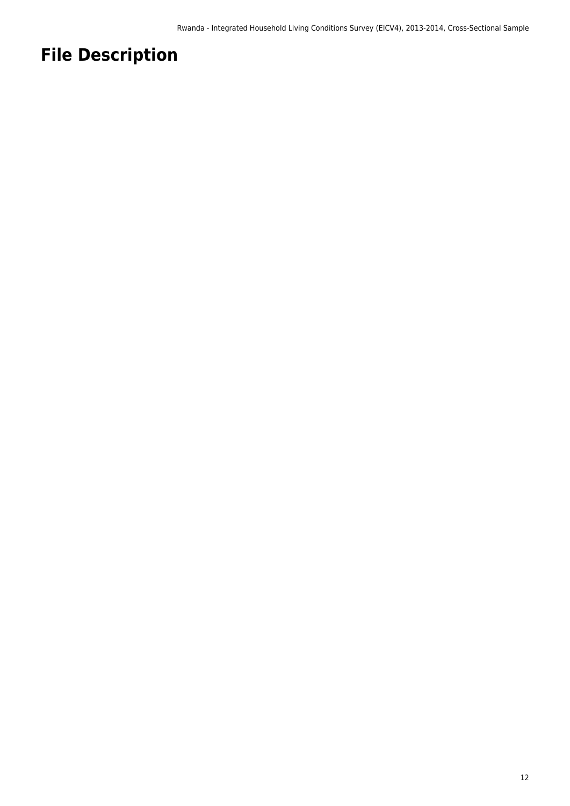## **File Description**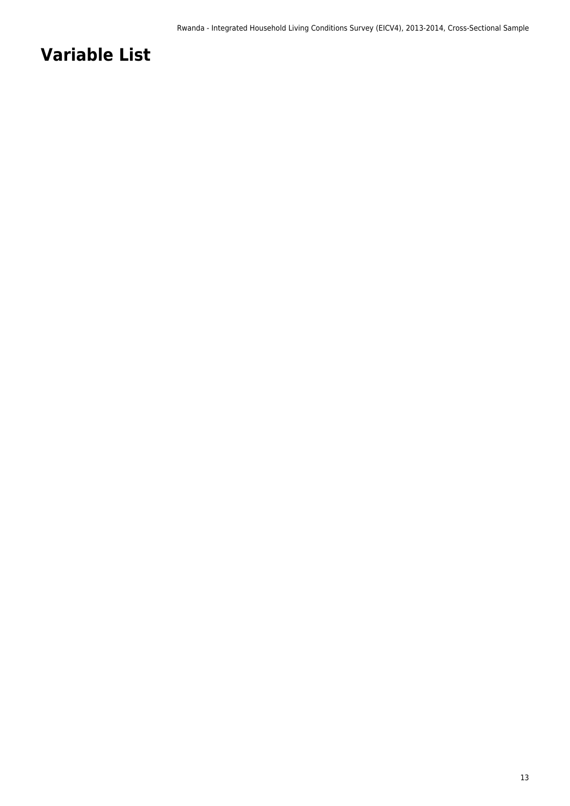## **Variable List**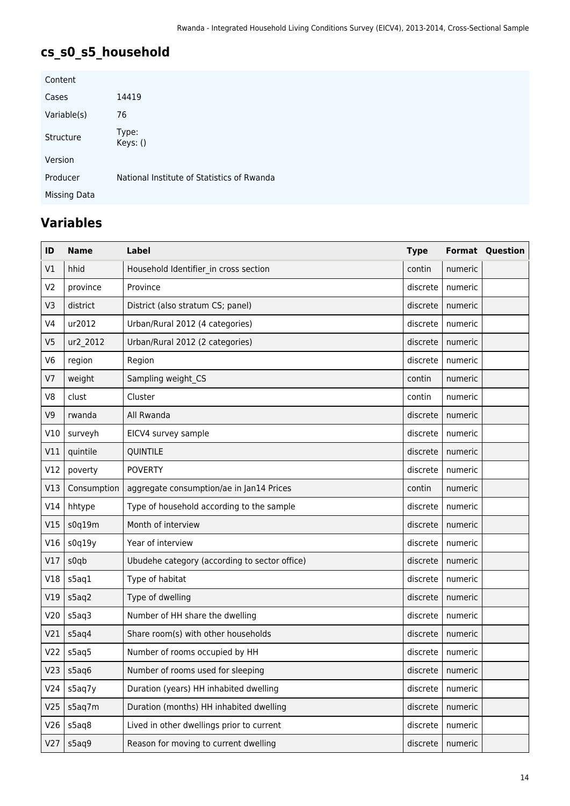## **cs\_s0\_s5\_household**

| Content      |                                            |
|--------------|--------------------------------------------|
| Cases        | 14419                                      |
| Variable(s)  | 76                                         |
| Structure    | Type:<br>Keys: ()                          |
| Version      |                                            |
| Producer     | National Institute of Statistics of Rwanda |
| Missing Data |                                            |

| ID              | <b>Name</b> | <b>Label</b>                                  | <b>Type</b> |                    | <b>Format Question</b> |
|-----------------|-------------|-----------------------------------------------|-------------|--------------------|------------------------|
| V1              | hhid        | Household Identifier_in cross section         | contin      | numeric            |                        |
| V <sub>2</sub>  | province    | Province                                      | discrete    | numeric            |                        |
| V3              | district    | District (also stratum CS; panel)             | discrete    | numeric            |                        |
| V <sub>4</sub>  | ur2012      | Urban/Rural 2012 (4 categories)               | discrete    | numeric            |                        |
| V <sub>5</sub>  | ur2 2012    | Urban/Rural 2012 (2 categories)               | discrete    | numeric            |                        |
| V6              | region      | Region                                        | discrete    | numeric            |                        |
| V7              | weight      | Sampling weight CS                            | contin      | numeric            |                        |
| V8              | clust       | Cluster                                       | contin      | numeric            |                        |
| V9              | rwanda      | All Rwanda                                    | discrete    | numeric            |                        |
| V10             | surveyh     | EICV4 survey sample                           | discrete    | numeric            |                        |
| V11             | quintile    | QUINTILE                                      | discrete    | numeric            |                        |
| V12             | poverty     | <b>POVERTY</b>                                | discrete    | numeric            |                        |
| V13             | Consumption | aggregate consumption/ae in Jan14 Prices      | contin      | numeric            |                        |
| V14             | hhtype      | Type of household according to the sample     | discrete    | numeric            |                        |
| V15             | s0q19m      | Month of interview                            | discrete    | numeric            |                        |
| V16             | s0q19y      | Year of interview                             | discrete    | numeric            |                        |
| V17             | s0qb        | Ubudehe category (according to sector office) | discrete    | numeric            |                        |
| V18             | s5aq1       | Type of habitat                               | discrete    | numeric            |                        |
| V19             | s5aq2       | Type of dwelling                              | discrete    | numeric            |                        |
| V20             | s5aq3       | Number of HH share the dwelling               | discrete    | numeric            |                        |
| V <sub>21</sub> | s5aq4       | Share room(s) with other households           | discrete    | numeric            |                        |
| V <sub>22</sub> | s5aq5       | Number of rooms occupied by HH                | discrete    | numeric            |                        |
| V <sub>23</sub> | s5aq6       | Number of rooms used for sleeping             |             | discrete   numeric |                        |
| V <sub>24</sub> | s5aq7y      | Duration (years) HH inhabited dwelling        | discrete    | numeric            |                        |
| V <sub>25</sub> | s5aq7m      | Duration (months) HH inhabited dwelling       | discrete    | numeric            |                        |
| V26             | s5aq8       | Lived in other dwellings prior to current     | discrete    | numeric            |                        |
| V <sub>27</sub> | s5aq9       | Reason for moving to current dwelling         | discrete    | numeric            |                        |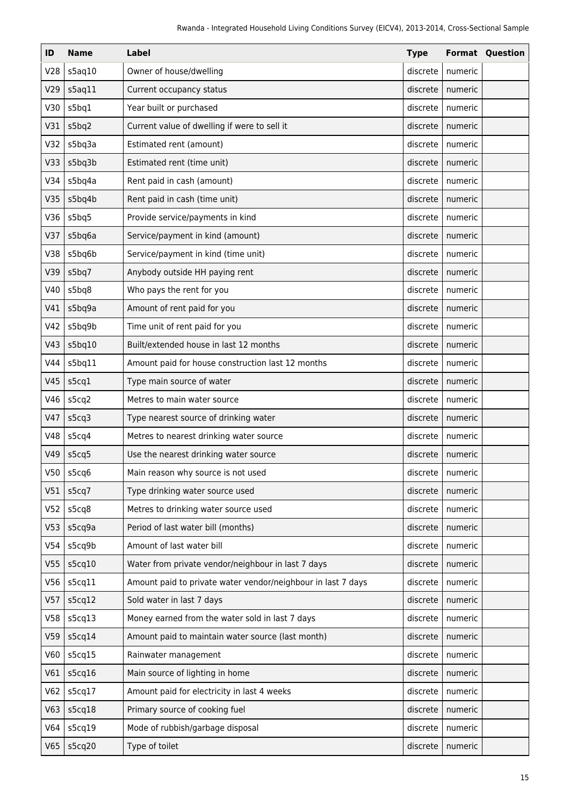| ID              | <b>Name</b> | <b>Label</b>                                                 | <b>Type</b> |                    | <b>Format Question</b> |
|-----------------|-------------|--------------------------------------------------------------|-------------|--------------------|------------------------|
| V <sub>28</sub> | s5aq10      | Owner of house/dwelling                                      | discrete    | numeric            |                        |
| V29             | s5aq11      | Current occupancy status                                     | discrete    | numeric            |                        |
| V30             | s5bq1       | Year built or purchased                                      | discrete    | numeric            |                        |
| V31             | s5bq2       | Current value of dwelling if were to sell it                 | discrete    | numeric            |                        |
| V32             | s5bq3a      | Estimated rent (amount)                                      | discrete    | numeric            |                        |
| V33             | s5bq3b      | Estimated rent (time unit)                                   | discrete    | numeric            |                        |
| V34             | s5bq4a      | Rent paid in cash (amount)                                   | discrete    | numeric            |                        |
| V35             | s5bq4b      | Rent paid in cash (time unit)                                | discrete    | numeric            |                        |
| V36             | s5bq5       | Provide service/payments in kind                             | discrete    | numeric            |                        |
| V37             | s5bq6a      | Service/payment in kind (amount)                             | discrete    | numeric            |                        |
| V38             | s5bq6b      | Service/payment in kind (time unit)                          | discrete    | numeric            |                        |
| V39             | s5bq7       | Anybody outside HH paying rent                               | discrete    | numeric            |                        |
| V40             | s5bq8       | Who pays the rent for you                                    | discrete    | numeric            |                        |
| V41             | s5bq9a      | Amount of rent paid for you                                  | discrete    | numeric            |                        |
| V42             | s5bq9b      | Time unit of rent paid for you                               | discrete    | numeric            |                        |
| V43             | s5bq10      | Built/extended house in last 12 months                       | discrete    | numeric            |                        |
| V44             | s5bq11      | Amount paid for house construction last 12 months            | discrete    | numeric            |                        |
| V45             | s5cq1       | Type main source of water                                    | discrete    | numeric            |                        |
| V46             | s5cq2       | Metres to main water source                                  | discrete    | numeric            |                        |
| V47             | s5cq3       | Type nearest source of drinking water                        | discrete    | numeric            |                        |
| V48             | s5cq4       | Metres to nearest drinking water source                      | discrete    | numeric            |                        |
| V49             | s5cq5       | Use the nearest drinking water source                        | discrete    | numeric            |                        |
| V50             | s5cq6       | Main reason why source is not used                           |             | discrete   numeric |                        |
| V <sub>51</sub> | s5cq7       | Type drinking water source used                              | discrete    | numeric            |                        |
| V <sub>52</sub> | s5cq8       | Metres to drinking water source used                         | discrete    | numeric            |                        |
| V <sub>53</sub> | s5cq9a      | Period of last water bill (months)                           | discrete    | numeric            |                        |
| V <sub>54</sub> | s5cq9b      | Amount of last water bill                                    | discrete    | numeric            |                        |
| V <sub>55</sub> | s5cq10      | Water from private vendor/neighbour in last 7 days           | discrete    | numeric            |                        |
| V56             | s5cq11      | Amount paid to private water vendor/neighbour in last 7 days | discrete    | numeric            |                        |
| V57             | s5cq12      | Sold water in last 7 days                                    | discrete    | numeric            |                        |
| V58             | s5cq13      | Money earned from the water sold in last 7 days              | discrete    | numeric            |                        |
| V59             | s5cq14      | Amount paid to maintain water source (last month)            | discrete    | numeric            |                        |
| V60             | s5cq15      | Rainwater management                                         | discrete    | numeric            |                        |
| V61             | s5cq16      | Main source of lighting in home                              | discrete    | numeric            |                        |
| V62             | s5cq17      | Amount paid for electricity in last 4 weeks                  | discrete    | numeric            |                        |
| V63             | s5cq18      | Primary source of cooking fuel                               | discrete    | numeric            |                        |
| V64             | s5cq19      | Mode of rubbish/garbage disposal                             | discrete    | numeric            |                        |
| V65             | s5cq20      | Type of toilet                                               | discrete    | numeric            |                        |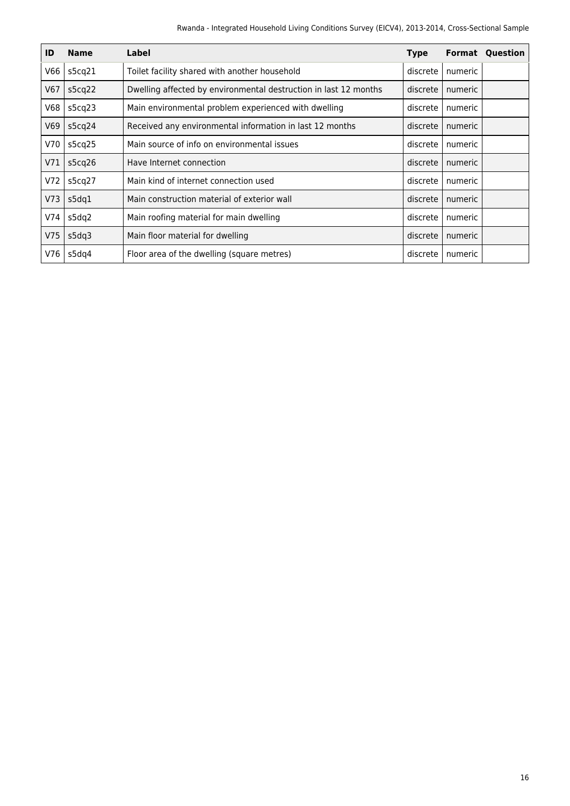| ID              | <b>Name</b> | Label                                                            | <b>Type</b> | Format  | Question |
|-----------------|-------------|------------------------------------------------------------------|-------------|---------|----------|
| V66             | s5cq21      | Toilet facility shared with another household                    | discrete    | numeric |          |
| V67             | s5cq22      | Dwelling affected by environmental destruction in last 12 months | discrete    | numeric |          |
| V68             | s5cq23      | Main environmental problem experienced with dwelling             | discrete    | numeric |          |
| V69             | s5cq24      | Received any environmental information in last 12 months         | discrete    | numeric |          |
| V70             | s5cq25      | Main source of info on environmental issues                      | discrete    | numeric |          |
| V71             | s5cq26      | Have Internet connection                                         | discrete    | numeric |          |
| V72             | s5cq27      | Main kind of internet connection used                            | discrete    | numeric |          |
| V <sub>73</sub> | s5dq1       | Main construction material of exterior wall                      | discrete    | numeric |          |
| V74             | s5dq2       | Main roofing material for main dwelling                          | discrete    | numeric |          |
| V75             | s5dq3       | Main floor material for dwelling                                 | discrete    | numeric |          |
| V76             | s5dq4       | Floor area of the dwelling (square metres)                       | discrete    | numeric |          |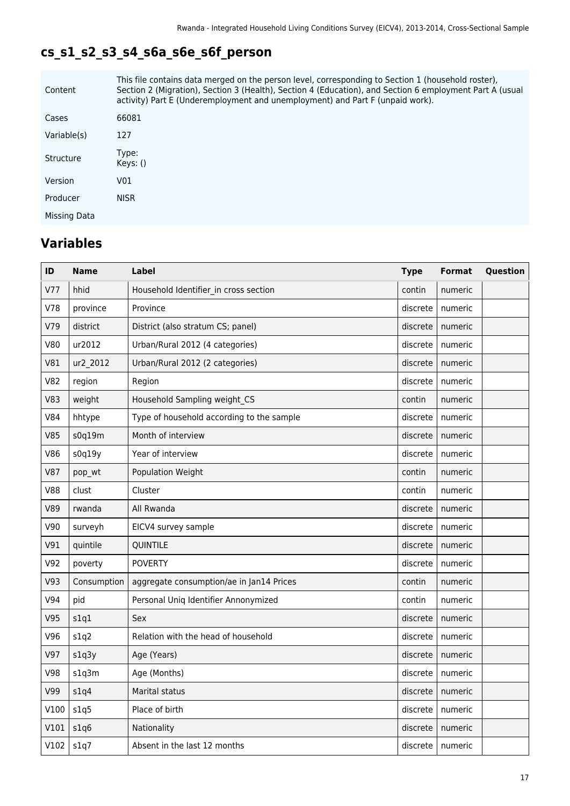## **cs\_s1\_s2\_s3\_s4\_s6a\_s6e\_s6f\_person**

| Content      | This file contains data merged on the person level, corresponding to Section 1 (household roster),<br>Section 2 (Migration), Section 3 (Health), Section 4 (Education), and Section 6 employment Part A (usual<br>activity) Part E (Underemployment and unemployment) and Part F (unpaid work). |
|--------------|-------------------------------------------------------------------------------------------------------------------------------------------------------------------------------------------------------------------------------------------------------------------------------------------------|
| Cases        | 66081                                                                                                                                                                                                                                                                                           |
| Variable(s)  | 127                                                                                                                                                                                                                                                                                             |
| Structure    | Type:<br>Keys: ()                                                                                                                                                                                                                                                                               |
| Version      | V <sub>01</sub>                                                                                                                                                                                                                                                                                 |
| Producer     | <b>NISR</b>                                                                                                                                                                                                                                                                                     |
| Missing Data |                                                                                                                                                                                                                                                                                                 |

| ID            | <b>Name</b> | Label                                     | <b>Type</b> | <b>Format</b> | Question |
|---------------|-------------|-------------------------------------------|-------------|---------------|----------|
| <b>V77</b>    | hhid        | Household Identifier_in cross section     | contin      | numeric       |          |
| V78           | province    | Province                                  | discrete    | numeric       |          |
| V79           | district    | District (also stratum CS; panel)         | discrete    | numeric       |          |
| <b>V80</b>    | ur2012      | Urban/Rural 2012 (4 categories)           | discrete    | numeric       |          |
| V81           | ur2 2012    | Urban/Rural 2012 (2 categories)           | discrete    | numeric       |          |
| <b>V82</b>    | region      | Region                                    | discrete    | numeric       |          |
| V83           | weight      | Household Sampling weight CS              | contin      | numeric       |          |
| <b>V84</b>    | hhtype      | Type of household according to the sample | discrete    | numeric       |          |
| <b>V85</b>    | s0q19m      | Month of interview                        | discrete    | numeric       |          |
| V86           | s0q19y      | Year of interview                         | discrete    | numeric       |          |
| <b>V87</b>    | pop_wt      | Population Weight                         | contin      | numeric       |          |
| <b>V88</b>    | clust       | Cluster                                   | contin      | numeric       |          |
| <b>V89</b>    | rwanda      | All Rwanda                                | discrete    | numeric       |          |
| V90           | surveyh     | EICV4 survey sample                       | discrete    | numeric       |          |
| V91           | quintile    | QUINTILE                                  | discrete    | numeric       |          |
| V92           | poverty     | <b>POVERTY</b>                            | discrete    | numeric       |          |
| V93           | Consumption | aggregate consumption/ae in Jan14 Prices  | contin      | numeric       |          |
| V94           | pid         | Personal Uniq Identifier Annonymized      | contin      | numeric       |          |
| V95           | s1q1        | Sex                                       | discrete    | numeric       |          |
| V96           | s1q2        | Relation with the head of household       | discrete    | numeric       |          |
| V97           | s1q3y       | Age (Years)                               | discrete    | numeric       |          |
| V98           | s1q3m       | Age (Months)                              | discrete    | numeric       |          |
| V99           | s1q4        | Marital status                            | discrete    | numeric       |          |
| V100          | s1q5        | Place of birth                            | discrete    | numeric       |          |
| V101          | s1q6        | Nationality                               | discrete    | numeric       |          |
| $V102$   s1q7 |             | Absent in the last 12 months              | discrete    | numeric       |          |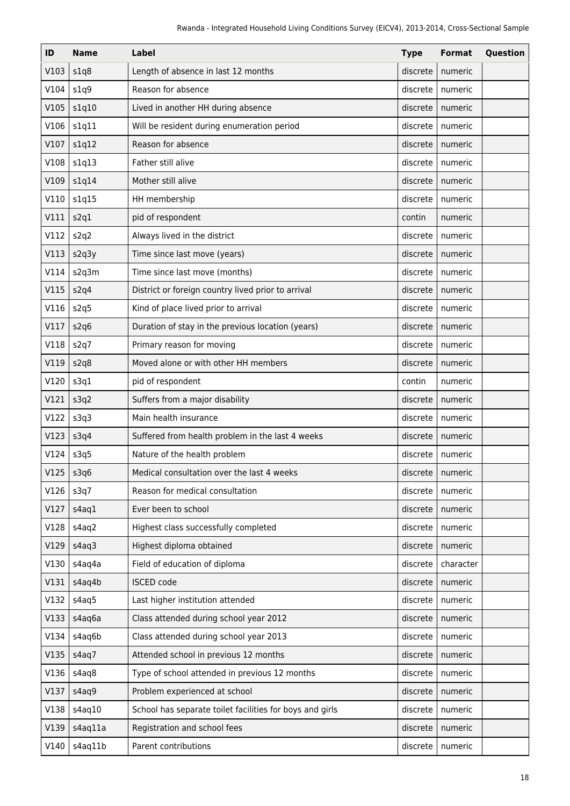| ID          | <b>Name</b> | Label                                                    | <b>Type</b> | <b>Format</b>      | Question |
|-------------|-------------|----------------------------------------------------------|-------------|--------------------|----------|
| V103        | s1q8        | Length of absence in last 12 months                      | discrete    | numeric            |          |
| V104        | s1q9        | Reason for absence                                       | discrete    | numeric            |          |
| V105        | slq10       | Lived in another HH during absence                       | discrete    | numeric            |          |
| V106        | slq11       | Will be resident during enumeration period               | discrete    | numeric            |          |
| V107        | slq12       | Reason for absence                                       | discrete    | numeric            |          |
| V108        | slq13       | Father still alive                                       | discrete    | numeric            |          |
| V109        | slq14       | Mother still alive                                       | discrete    | numeric            |          |
| V110        | slq15       | HH membership                                            | discrete    | numeric            |          |
| V111        | s2q1        | pid of respondent                                        | contin      | numeric            |          |
| V112        | s2q2        | Always lived in the district                             | discrete    | numeric            |          |
| V113        | s2q3y       | Time since last move (years)                             | discrete    | numeric            |          |
| V114        | s2q3m       | Time since last move (months)                            | discrete    | numeric            |          |
| V115        | s2q4        | District or foreign country lived prior to arrival       | discrete    | numeric            |          |
| V116        | s2q5        | Kind of place lived prior to arrival                     | discrete    | numeric            |          |
| V117        | s2q6        | Duration of stay in the previous location (years)        | discrete    | numeric            |          |
| V118        | s2q7        | Primary reason for moving                                | discrete    | numeric            |          |
| V119        | s2q8        | Moved alone or with other HH members                     | discrete    | numeric            |          |
| V120        | s3q1        | pid of respondent                                        | contin      | numeric            |          |
| V121        | s3q2        | Suffers from a major disability                          | discrete    | numeric            |          |
| V122        | s3q3        | Main health insurance                                    | discrete    | numeric            |          |
| V123        | s3q4        | Suffered from health problem in the last 4 weeks         | discrete    | numeric            |          |
| V124        | s3q5        | Nature of the health problem                             | discrete    | numeric            |          |
| $V125$ s3q6 |             | Medical consultation over the last 4 weeks               |             | discrete   numeric |          |
| V126        | s3q7        | Reason for medical consultation                          | discrete    | numeric            |          |
| V127        | s4aq1       | Ever been to school                                      | discrete    | numeric            |          |
| V128        | s4aq2       | Highest class successfully completed                     | discrete    | numeric            |          |
| V129        | s4aq3       | Highest diploma obtained                                 | discrete    | numeric            |          |
| V130        | s4aq4a      | Field of education of diploma                            | discrete    | character          |          |
| V131        | s4aq4b      | <b>ISCED</b> code                                        | discrete    | numeric            |          |
| V132        | s4aq5       | Last higher institution attended                         | discrete    | numeric            |          |
| V133        | s4aq6a      | Class attended during school year 2012                   | discrete    | numeric            |          |
| V134        | s4aq6b      | Class attended during school year 2013                   | discrete    | numeric            |          |
| V135        | s4aq7       | Attended school in previous 12 months                    | discrete    | numeric            |          |
| V136        | s4aq8       | Type of school attended in previous 12 months            | discrete    | numeric            |          |
| V137        | s4aq9       | Problem experienced at school                            | discrete    | numeric            |          |
| V138        | s4aq10      | School has separate toilet facilities for boys and girls | discrete    | numeric            |          |
| V139        | s4aq11a     | Registration and school fees                             | discrete    | numeric            |          |
| V140        | s4aq11b     | Parent contributions                                     | discrete    | numeric            |          |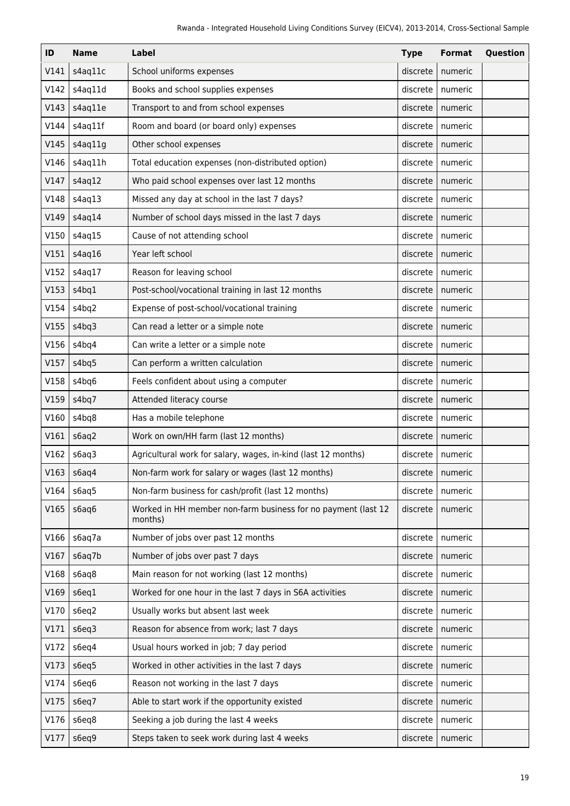| ID   | <b>Name</b> | Label                                                                    | <b>Type</b> | <b>Format</b> | Question |
|------|-------------|--------------------------------------------------------------------------|-------------|---------------|----------|
| V141 | s4aq11c     | School uniforms expenses                                                 | discrete    | numeric       |          |
| V142 | s4aq11d     | Books and school supplies expenses                                       | discrete    | numeric       |          |
| V143 | s4aq11e     | Transport to and from school expenses                                    | discrete    | numeric       |          |
| V144 | s4aq11f     | Room and board (or board only) expenses                                  | discrete    | numeric       |          |
| V145 | s4aq11g     | Other school expenses                                                    | discrete    | numeric       |          |
| V146 | s4aq11h     | Total education expenses (non-distributed option)                        | discrete    | numeric       |          |
| V147 | s4aq12      | Who paid school expenses over last 12 months                             | discrete    | numeric       |          |
| V148 | s4aq13      | Missed any day at school in the last 7 days?                             | discrete    | numeric       |          |
| V149 | s4aq14      | Number of school days missed in the last 7 days                          | discrete    | numeric       |          |
| V150 | s4aq15      | Cause of not attending school                                            | discrete    | numeric       |          |
| V151 | s4aq16      | Year left school                                                         | discrete    | numeric       |          |
| V152 | s4aq17      | Reason for leaving school                                                | discrete    | numeric       |          |
| V153 | s4bq1       | Post-school/vocational training in last 12 months                        | discrete    | numeric       |          |
| V154 | s4bq2       | Expense of post-school/vocational training                               | discrete    | numeric       |          |
| V155 | s4bq3       | Can read a letter or a simple note                                       | discrete    | numeric       |          |
| V156 | s4bq4       | Can write a letter or a simple note                                      | discrete    | numeric       |          |
| V157 | s4bq5       | Can perform a written calculation                                        | discrete    | numeric       |          |
| V158 | s4bq6       | Feels confident about using a computer                                   | discrete    | numeric       |          |
| V159 | s4bq7       | Attended literacy course                                                 | discrete    | numeric       |          |
| V160 | s4bq8       | Has a mobile telephone                                                   | discrete    | numeric       |          |
| V161 | s6aq2       | Work on own/HH farm (last 12 months)                                     | discrete    | numeric       |          |
| V162 | s6aq3       | Agricultural work for salary, wages, in-kind (last 12 months)            | discrete    | numeric       |          |
| V163 | s6aq4       | Non-farm work for salary or wages (last 12 months)                       | discrete    | numeric       |          |
| V164 | s6aq5       | Non-farm business for cash/profit (last 12 months)                       | discrete    | numeric       |          |
| V165 | s6aq6       | Worked in HH member non-farm business for no payment (last 12<br>months) | discrete    | numeric       |          |
| V166 | s6aq7a      | Number of jobs over past 12 months                                       | discrete    | numeric       |          |
| V167 | s6aq7b      | Number of jobs over past 7 days                                          | discrete    | numeric       |          |
| V168 | s6aq8       | Main reason for not working (last 12 months)                             | discrete    | numeric       |          |
| V169 | s6eq1       | Worked for one hour in the last 7 days in S6A activities                 | discrete    | numeric       |          |
| V170 | s6eq2       | Usually works but absent last week                                       | discrete    | numeric       |          |
| V171 | s6eq3       | Reason for absence from work; last 7 days                                | discrete    | numeric       |          |
| V172 | s6eq4       | Usual hours worked in job; 7 day period                                  | discrete    | numeric       |          |
| V173 | s6eq5       | Worked in other activities in the last 7 days                            | discrete    | numeric       |          |
| V174 | s6eq6       | Reason not working in the last 7 days                                    | discrete    | numeric       |          |
| V175 | s6eq7       | Able to start work if the opportunity existed                            | discrete    | numeric       |          |
| V176 | s6eq8       | Seeking a job during the last 4 weeks                                    | discrete    | numeric       |          |
| V177 | s6eq9       | Steps taken to seek work during last 4 weeks                             | discrete    | numeric       |          |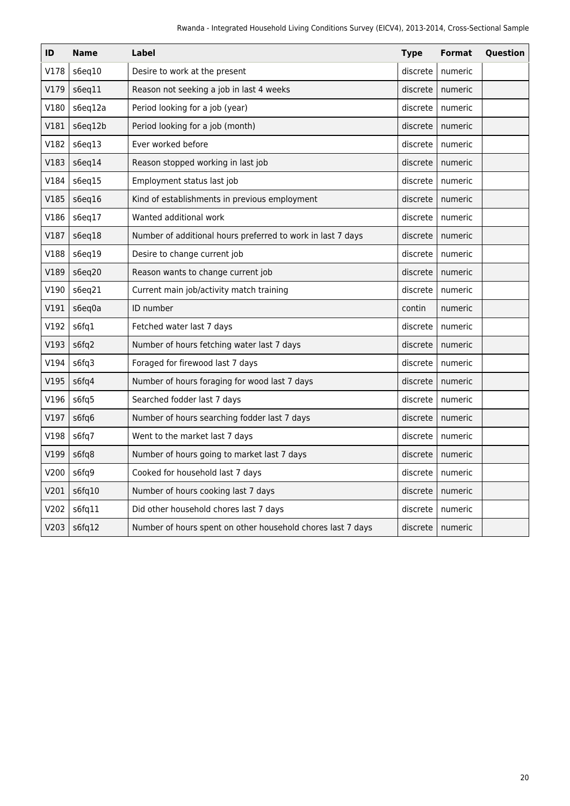| ID   | <b>Name</b> | Label                                                       | <b>Type</b> | Format  | Question |
|------|-------------|-------------------------------------------------------------|-------------|---------|----------|
| V178 | s6eq10      | Desire to work at the present                               | discrete    | numeric |          |
| V179 | s6eq11      | Reason not seeking a job in last 4 weeks                    | discrete    | numeric |          |
| V180 | s6eq12a     | Period looking for a job (year)                             | discrete    | numeric |          |
| V181 | s6eq12b     | Period looking for a job (month)                            | discrete    | numeric |          |
| V182 | s6eq13      | Ever worked before                                          | discrete    | numeric |          |
| V183 | s6eq14      | Reason stopped working in last job                          | discrete    | numeric |          |
| V184 | s6eq15      | Employment status last job                                  | discrete    | numeric |          |
| V185 | s6eq16      | Kind of establishments in previous employment               | discrete    | numeric |          |
| V186 | s6eq17      | Wanted additional work                                      | discrete    | numeric |          |
| V187 | s6eq18      | Number of additional hours preferred to work in last 7 days | discrete    | numeric |          |
| V188 | s6eq19      | Desire to change current job                                | discrete    | numeric |          |
| V189 | s6eq20      | Reason wants to change current job                          | discrete    | numeric |          |
| V190 | s6eq21      | Current main job/activity match training                    | discrete    | numeric |          |
| V191 | s6eq0a      | ID number                                                   | contin      | numeric |          |
| V192 | s6fq1       | Fetched water last 7 days                                   | discrete    | numeric |          |
| V193 | s6fq2       | Number of hours fetching water last 7 days                  | discrete    | numeric |          |
| V194 | s6fq3       | Foraged for firewood last 7 days                            | discrete    | numeric |          |
| V195 | s6fq4       | Number of hours foraging for wood last 7 days               | discrete    | numeric |          |
| V196 | s6fq5       | Searched fodder last 7 days                                 | discrete    | numeric |          |
| V197 | s6fq6       | Number of hours searching fodder last 7 days                | discrete    | numeric |          |
| V198 | s6fq7       | Went to the market last 7 days                              | discrete    | numeric |          |
| V199 | s6fq8       | Number of hours going to market last 7 days                 | discrete    | numeric |          |
| V200 | s6fq9       | Cooked for household last 7 days                            | discrete    | numeric |          |
| V201 | s6fq10      | Number of hours cooking last 7 days                         | discrete    | numeric |          |
| V202 | s6fq11      | Did other household chores last 7 days                      | discrete    | numeric |          |
| V203 | s6fq12      | Number of hours spent on other household chores last 7 days | discrete    | numeric |          |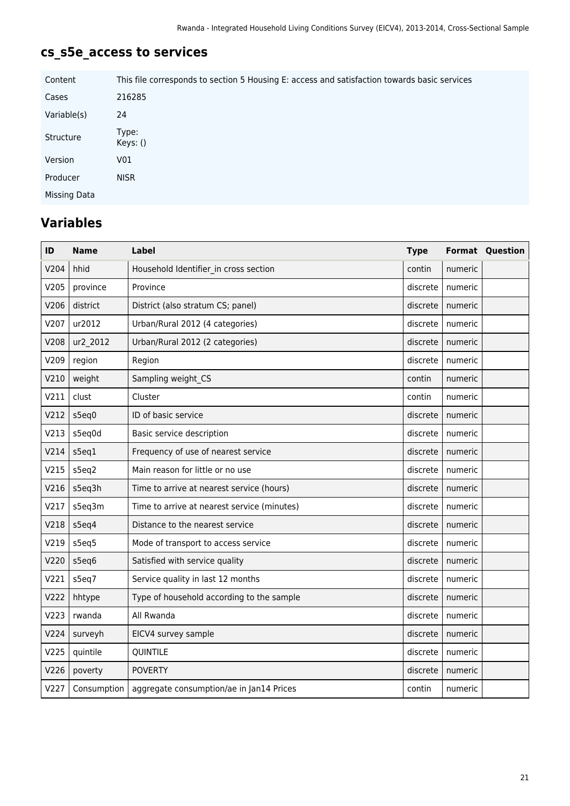## **cs\_s5e\_access to services**

| Content      | This file corresponds to section 5 Housing E: access and satisfaction towards basic services |
|--------------|----------------------------------------------------------------------------------------------|
| Cases        | 216285                                                                                       |
| Variable(s)  | 24                                                                                           |
| Structure    | Type:<br>Keys: ()                                                                            |
| Version      | V <sub>01</sub>                                                                              |
| Producer     | <b>NISR</b>                                                                                  |
| Missing Data |                                                                                              |

| ID   | <b>Name</b> | <b>Label</b>                                | <b>Type</b> |         | <b>Format Question</b> |
|------|-------------|---------------------------------------------|-------------|---------|------------------------|
| V204 | hhid        | Household Identifier in cross section       | contin      | numeric |                        |
| V205 | province    | Province                                    | discrete    | numeric |                        |
| V206 | district    | District (also stratum CS; panel)           | discrete    | numeric |                        |
| V207 | ur2012      | Urban/Rural 2012 (4 categories)             | discrete    | numeric |                        |
| V208 | ur2 2012    | Urban/Rural 2012 (2 categories)             | discrete    | numeric |                        |
| V209 | region      | Region                                      | discrete    | numeric |                        |
| V210 | weight      | Sampling weight CS                          | contin      | numeric |                        |
| V211 | clust       | Cluster                                     | contin      | numeric |                        |
| V212 | s5eq0       | ID of basic service                         | discrete    | numeric |                        |
| V213 | s5eq0d      | Basic service description                   | discrete    | numeric |                        |
| V214 | s5eq1       | Frequency of use of nearest service         | discrete    | numeric |                        |
| V215 | s5eq2       | Main reason for little or no use            | discrete    | numeric |                        |
| V216 | s5eq3h      | Time to arrive at nearest service (hours)   | discrete    | numeric |                        |
| V217 | s5eq3m      | Time to arrive at nearest service (minutes) | discrete    | numeric |                        |
| V218 | s5eq4       | Distance to the nearest service             | discrete    | numeric |                        |
| V219 | s5eq5       | Mode of transport to access service         | discrete    | numeric |                        |
| V220 | s5eq6       | Satisfied with service quality              | discrete    | numeric |                        |
| V221 | s5eq7       | Service quality in last 12 months           | discrete    | numeric |                        |
| V222 | hhtype      | Type of household according to the sample   | discrete    | numeric |                        |
| V223 | rwanda      | All Rwanda                                  | discrete    | numeric |                        |
| V224 | surveyh     | EICV4 survey sample                         | discrete    | numeric |                        |
| V225 | quintile    | QUINTILE                                    | discrete    | numeric |                        |
| V226 | poverty     | <b>POVERTY</b>                              | discrete    | numeric |                        |
| V227 | Consumption | aggregate consumption/ae in Jan14 Prices    | contin      | numeric |                        |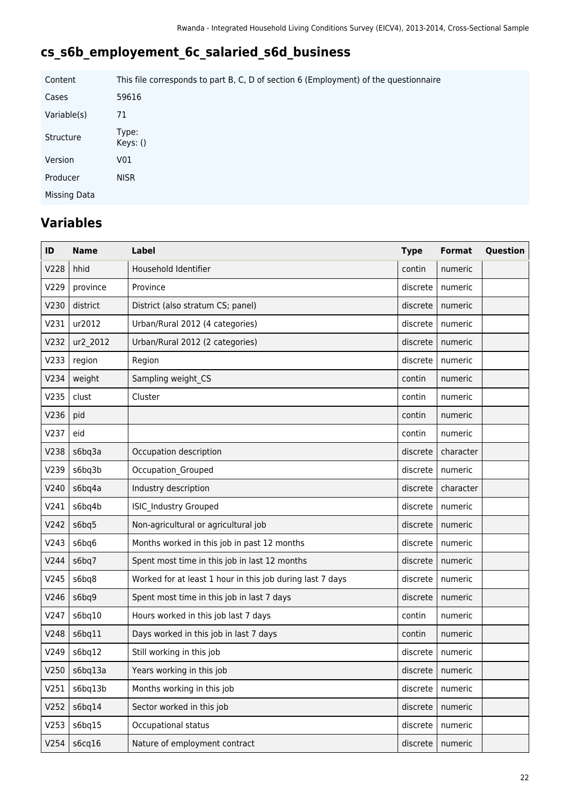## **cs\_s6b\_employement\_6c\_salaried\_s6d\_business**

| Content      | This file corresponds to part B, C, D of section 6 (Employment) of the questionnaire |
|--------------|--------------------------------------------------------------------------------------|
| Cases        | 59616                                                                                |
| Variable(s)  | 71                                                                                   |
| Structure    | Type:<br>Keys: ()                                                                    |
| Version      | V01                                                                                  |
| Producer     | <b>NISR</b>                                                                          |
| Missing Data |                                                                                      |

| ID   | <b>Name</b>    | Label                                                     | <b>Type</b> | <b>Format</b> | Question |
|------|----------------|-----------------------------------------------------------|-------------|---------------|----------|
| V228 | hhid           | Household Identifier                                      | contin      | numeric       |          |
| V229 | province       | Province                                                  | discrete    | numeric       |          |
| V230 | district       | District (also stratum CS; panel)                         | discrete    | numeric       |          |
| V231 | ur2012         | Urban/Rural 2012 (4 categories)                           | discrete    | numeric       |          |
| V232 | ur2 2012       | Urban/Rural 2012 (2 categories)                           | discrete    | numeric       |          |
| V233 | region         | Region                                                    | discrete    | numeric       |          |
| V234 | weight         | Sampling weight CS                                        | contin      | numeric       |          |
| V235 | clust          | Cluster                                                   | contin      | numeric       |          |
| V236 | pid            |                                                           | contin      | numeric       |          |
| V237 | eid            |                                                           | contin      | numeric       |          |
| V238 | s6bq3a         | Occupation description                                    | discrete    | character     |          |
| V239 | s6bq3b         | Occupation_Grouped                                        | discrete    | numeric       |          |
| V240 | s6bq4a         | Industry description                                      | discrete    | character     |          |
| V241 | s6bq4b         | <b>ISIC Industry Grouped</b>                              | discrete    | numeric       |          |
| V242 | s6bq5          | Non-agricultural or agricultural job                      | discrete    | numeric       |          |
| V243 | s6bq6          | Months worked in this job in past 12 months               | discrete    | numeric       |          |
| V244 | s6bq7          | Spent most time in this job in last 12 months             | discrete    | numeric       |          |
| V245 | s6bq8          | Worked for at least 1 hour in this job during last 7 days | discrete    | numeric       |          |
| V246 | s6bq9          | Spent most time in this job in last 7 days                | discrete    | numeric       |          |
| V247 | s6bq10         | Hours worked in this job last 7 days                      | contin      | numeric       |          |
| V248 | s6bq11         | Days worked in this job in last 7 days                    | contin      | numeric       |          |
| V249 | s6bq12         | Still working in this job                                 | discrete    | numeric       |          |
|      | V250   s6bq13a | Years working in this job                                 | discrete    | numeric       |          |
| V251 | s6bq13b        | Months working in this job                                | discrete    | numeric       |          |
| V252 | s6bq14         | Sector worked in this job                                 | discrete    | numeric       |          |
| V253 | s6bq15         | Occupational status                                       | discrete    | numeric       |          |
| V254 | s6cq16         | Nature of employment contract                             | discrete    | numeric       |          |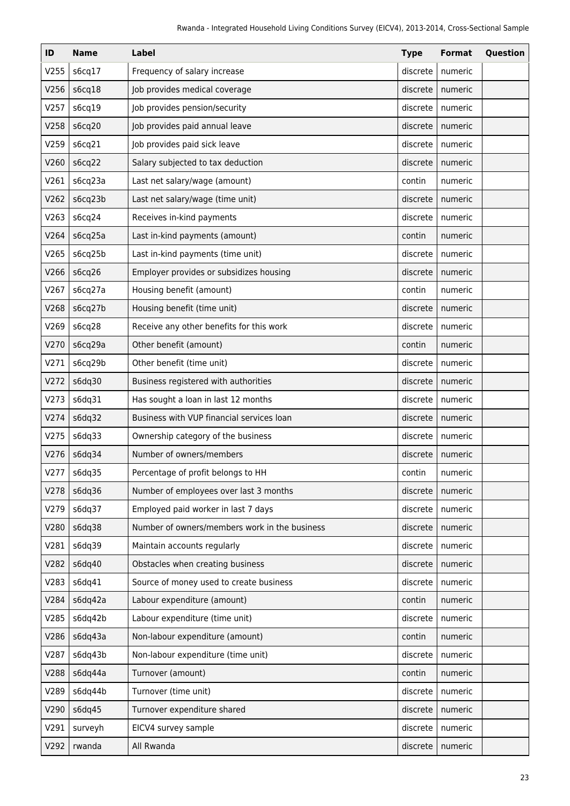| ID   | <b>Name</b> | <b>Label</b>                                  | <b>Type</b> | <b>Format</b> | Question |
|------|-------------|-----------------------------------------------|-------------|---------------|----------|
| V255 | s6cq17      | Frequency of salary increase                  | discrete    | numeric       |          |
| V256 | s6cq18      | Job provides medical coverage                 | discrete    | numeric       |          |
| V257 | s6cq19      | Job provides pension/security                 | discrete    | numeric       |          |
| V258 | s6cq20      | Job provides paid annual leave                | discrete    | numeric       |          |
| V259 | s6cq21      | Job provides paid sick leave                  | discrete    | numeric       |          |
| V260 | s6cq22      | Salary subjected to tax deduction             | discrete    | numeric       |          |
| V261 | s6cq23a     | Last net salary/wage (amount)                 | contin      | numeric       |          |
| V262 | s6cq23b     | Last net salary/wage (time unit)              | discrete    | numeric       |          |
| V263 | s6cq24      | Receives in-kind payments                     | discrete    | numeric       |          |
| V264 | s6cq25a     | Last in-kind payments (amount)                | contin      | numeric       |          |
| V265 | s6cq25b     | Last in-kind payments (time unit)             | discrete    | numeric       |          |
| V266 | s6cq26      | Employer provides or subsidizes housing       | discrete    | numeric       |          |
| V267 | s6cq27a     | Housing benefit (amount)                      | contin      | numeric       |          |
| V268 | s6cq27b     | Housing benefit (time unit)                   | discrete    | numeric       |          |
| V269 | s6cq28      | Receive any other benefits for this work      | discrete    | numeric       |          |
| V270 | s6cq29a     | Other benefit (amount)                        | contin      | numeric       |          |
| V271 | s6cq29b     | Other benefit (time unit)                     | discrete    | numeric       |          |
| V272 | s6dq30      | Business registered with authorities          | discrete    | numeric       |          |
| V273 | s6dq31      | Has sought a loan in last 12 months           | discrete    | numeric       |          |
| V274 | s6dq32      | Business with VUP financial services loan     | discrete    | numeric       |          |
| V275 | s6dq33      | Ownership category of the business            | discrete    | numeric       |          |
| V276 | s6dq34      | Number of owners/members                      | discrete    | numeric       |          |
| V277 | s6dq35      | Percentage of profit belongs to HH            | contin      | numeric       |          |
| V278 | s6dq36      | Number of employees over last 3 months        | discrete    | numeric       |          |
| V279 | s6dq37      | Employed paid worker in last 7 days           | discrete    | numeric       |          |
| V280 | s6dq38      | Number of owners/members work in the business | discrete    | numeric       |          |
| V281 | s6dq39      | Maintain accounts regularly                   | discrete    | numeric       |          |
| V282 | s6dq40      | Obstacles when creating business              | discrete    | numeric       |          |
| V283 | s6dq41      | Source of money used to create business       | discrete    | numeric       |          |
| V284 | s6dq42a     | Labour expenditure (amount)                   | contin      | numeric       |          |
| V285 | s6dq42b     | Labour expenditure (time unit)                | discrete    | numeric       |          |
| V286 | s6dq43a     | Non-labour expenditure (amount)               | contin      | numeric       |          |
| V287 | s6dq43b     | Non-labour expenditure (time unit)            | discrete    | numeric       |          |
| V288 | s6dq44a     | Turnover (amount)                             | contin      | numeric       |          |
| V289 | s6dq44b     | Turnover (time unit)                          | discrete    | numeric       |          |
| V290 | s6dq45      | Turnover expenditure shared                   | discrete    | numeric       |          |
| V291 | surveyh     | EICV4 survey sample                           | discrete    | numeric       |          |
| V292 | rwanda      | All Rwanda                                    | discrete    | numeric       |          |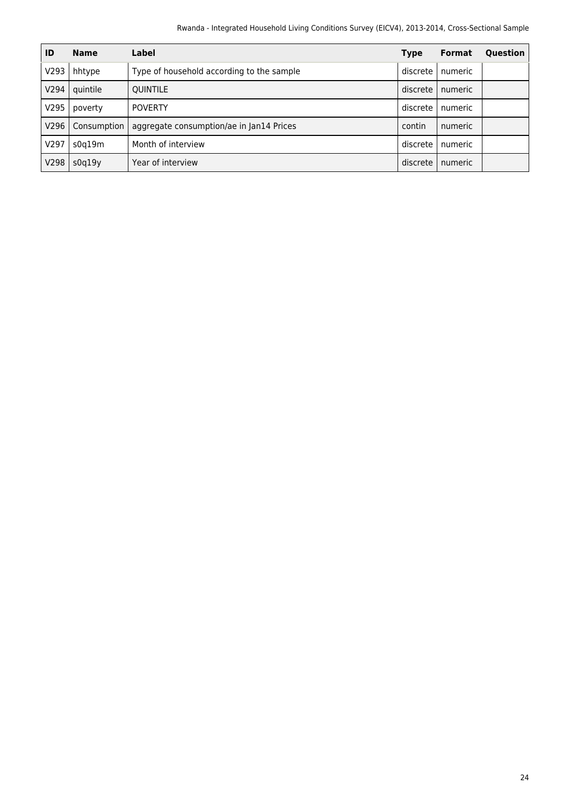Rwanda - Integrated Household Living Conditions Survey (EICV4), 2013-2014, Cross-Sectional Sample

| ID   | <b>Name</b> | Label                                     | <b>Type</b> | <b>Format</b> | Question |
|------|-------------|-------------------------------------------|-------------|---------------|----------|
| V293 | hhtype      | Type of household according to the sample | discrete    | numeric       |          |
| V294 | quintile    | <b>OUINTILE</b>                           | discrete    | numeric       |          |
| V295 | poverty     | <b>POVERTY</b>                            | discrete    | numeric       |          |
| V296 | Consumption | aggregate consumption/ae in Jan14 Prices  | contin      | numeric       |          |
| V297 | s0q19m      | Month of interview                        | discrete    | numeric       |          |
| V298 | s0q19y      | Year of interview                         | discrete    | numeric       |          |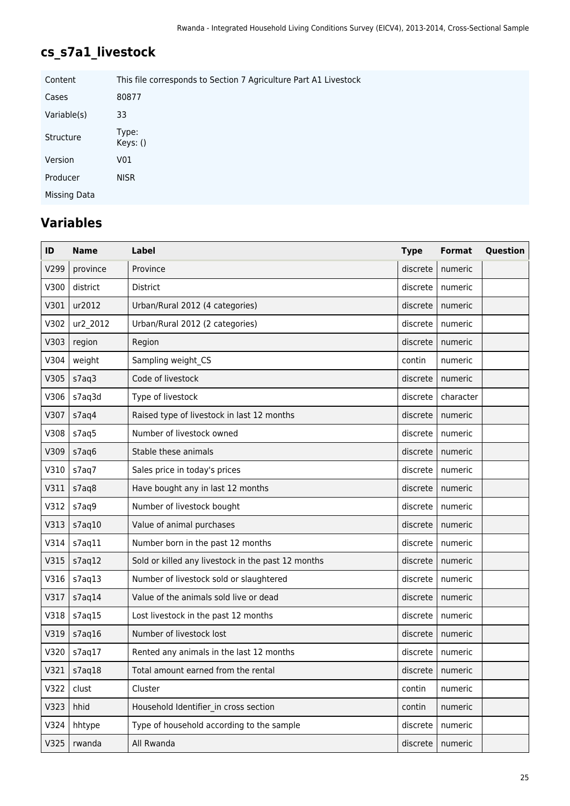## **cs\_s7a1\_livestock**

| Content             | This file corresponds to Section 7 Agriculture Part A1 Livestock |
|---------------------|------------------------------------------------------------------|
| Cases               | 80877                                                            |
| Variable(s)         | 33                                                               |
| Structure           | Type:<br>Keys: ()                                                |
| Version             | V <sub>01</sub>                                                  |
| Producer            | <b>NISR</b>                                                      |
| <b>Missing Data</b> |                                                                  |

| ID   | <b>Name</b> | Label                                              | <b>Type</b> | Format             | Question |
|------|-------------|----------------------------------------------------|-------------|--------------------|----------|
| V299 | province    | Province                                           | discrete    | numeric            |          |
| V300 | district    | District                                           | discrete    | numeric            |          |
| V301 | ur2012      | Urban/Rural 2012 (4 categories)                    | discrete    | numeric            |          |
| V302 | ur2 2012    | Urban/Rural 2012 (2 categories)                    | discrete    | numeric            |          |
| V303 | region      | Region                                             | discrete    | numeric            |          |
| V304 | weight      | Sampling weight CS                                 | contin      | numeric            |          |
| V305 | s7aq3       | Code of livestock                                  | discrete    | numeric            |          |
| V306 | s7aq3d      | Type of livestock                                  | discrete    | character          |          |
| V307 | s7aq4       | Raised type of livestock in last 12 months         | discrete    | numeric            |          |
| V308 | s7aq5       | Number of livestock owned                          | discrete    | numeric            |          |
| V309 | s7aq6       | Stable these animals                               | discrete    | numeric            |          |
| V310 | s7aq7       | Sales price in today's prices                      | discrete    | numeric            |          |
| V311 | s7aq8       | Have bought any in last 12 months                  | discrete    | numeric            |          |
| V312 | s7aq9       | Number of livestock bought                         | discrete    | numeric            |          |
| V313 | s7aq10      | Value of animal purchases                          | discrete    | numeric            |          |
| V314 | s7aq11      | Number born in the past 12 months                  | discrete    | numeric            |          |
| V315 | s7aq12      | Sold or killed any livestock in the past 12 months | discrete    | numeric            |          |
| V316 | s7aq13      | Number of livestock sold or slaughtered            | discrete    | numeric            |          |
| V317 | s7aq14      | Value of the animals sold live or dead             | discrete    | numeric            |          |
| V318 | s7aq15      | Lost livestock in the past 12 months               | discrete    | numeric            |          |
| V319 | s7aq16      | Number of livestock lost                           | discrete    | numeric            |          |
| V320 | s7aq17      | Rented any animals in the last 12 months           | discrete    | numeric            |          |
| V321 | s7aq18      | Total amount earned from the rental                |             | discrete   numeric |          |
| V322 | clust       | Cluster                                            | contin      | numeric            |          |
| V323 | hhid        | Household Identifier in cross section              | contin      | numeric            |          |
| V324 | hhtype      | Type of household according to the sample          | discrete    | numeric            |          |
| V325 | rwanda      | All Rwanda                                         | discrete    | numeric            |          |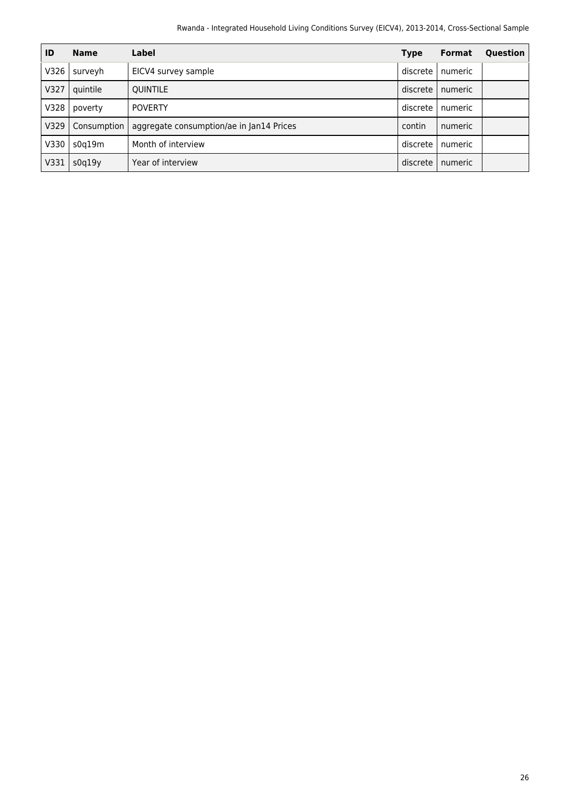Rwanda - Integrated Household Living Conditions Survey (EICV4), 2013-2014, Cross-Sectional Sample

| ID   | <b>Name</b> | Label                                    | <b>Type</b> | <b>Format</b> | Question |
|------|-------------|------------------------------------------|-------------|---------------|----------|
| V326 | surveyh     | EICV4 survey sample                      | discrete    | numeric       |          |
| V327 | quintile    | <b>OUINTILE</b>                          | discrete    | numeric       |          |
| V328 | poverty     | <b>POVERTY</b>                           | discrete    | numeric       |          |
| V329 | Consumption | aggregate consumption/ae in Jan14 Prices | contin      | numeric       |          |
| V330 | s0q19m      | Month of interview                       | discrete    | numeric       |          |
| V331 | s0q19y      | Year of interview                        | discrete    | numeric       |          |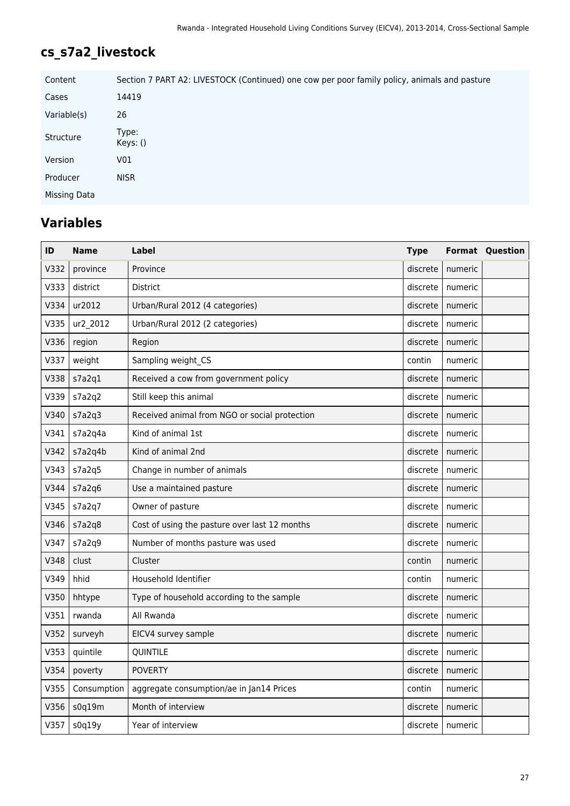## **cs\_s7a2\_livestock**

| Content      | Section 7 PART A2: LIVESTOCK (Continued) one cow per poor family policy, animals and pasture |
|--------------|----------------------------------------------------------------------------------------------|
| Cases        | 14419                                                                                        |
| Variable(s)  | 26                                                                                           |
| Structure    | Type:<br>Keys: ()                                                                            |
| Version      | V <sub>01</sub>                                                                              |
| Producer     | <b>NISR</b>                                                                                  |
| Missing Data |                                                                                              |

| ID   | <b>Name</b> | Label                                         | <b>Type</b> |                    | <b>Format Question</b> |
|------|-------------|-----------------------------------------------|-------------|--------------------|------------------------|
| V332 | province    | Province                                      | discrete    | numeric            |                        |
| V333 | district    | <b>District</b>                               | discrete    | numeric            |                        |
| V334 | ur2012      | Urban/Rural 2012 (4 categories)               | discrete    | numeric            |                        |
| V335 | ur2 2012    | Urban/Rural 2012 (2 categories)               | discrete    | numeric            |                        |
| V336 | region      | Region                                        | discrete    | numeric            |                        |
| V337 | weight      | Sampling weight CS                            | contin      | numeric            |                        |
| V338 | s7a2q1      | Received a cow from government policy         | discrete    | numeric            |                        |
| V339 | s7a2q2      | Still keep this animal                        | discrete    | numeric            |                        |
| V340 | s7a2q3      | Received animal from NGO or social protection | discrete    | numeric            |                        |
| V341 | s7a2q4a     | Kind of animal 1st                            | discrete    | numeric            |                        |
| V342 | s7a2q4b     | Kind of animal 2nd                            | discrete    | numeric            |                        |
| V343 | s7a2q5      | Change in number of animals                   | discrete    | numeric            |                        |
| V344 | s7a2q6      | Use a maintained pasture                      | discrete    | numeric            |                        |
| V345 | s7a2q7      | Owner of pasture                              | discrete    | numeric            |                        |
| V346 | s7a2q8      | Cost of using the pasture over last 12 months | discrete    | numeric            |                        |
| V347 | s7a2q9      | Number of months pasture was used             | discrete    | numeric            |                        |
| V348 | clust       | Cluster                                       | contin      | numeric            |                        |
| V349 | hhid        | Household Identifier                          | contin      | numeric            |                        |
| V350 | hhtype      | Type of household according to the sample     | discrete    | numeric            |                        |
| V351 | rwanda      | All Rwanda                                    | discrete    | numeric            |                        |
| V352 | surveyh     | EICV4 survey sample                           | discrete    | numeric            |                        |
| V353 | quintile    | QUINTILE                                      | discrete    | numeric            |                        |
| V354 | poverty     | <b>POVERTY</b>                                | discrete    | numeric            |                        |
| V355 | Consumption | aggregate consumption/ae in Jan14 Prices      | contin      | numeric            |                        |
| V356 | s0q19m      | Month of interview                            | discrete    | numeric            |                        |
| V357 | s0q19y      | Year of interview                             |             | discrete   numeric |                        |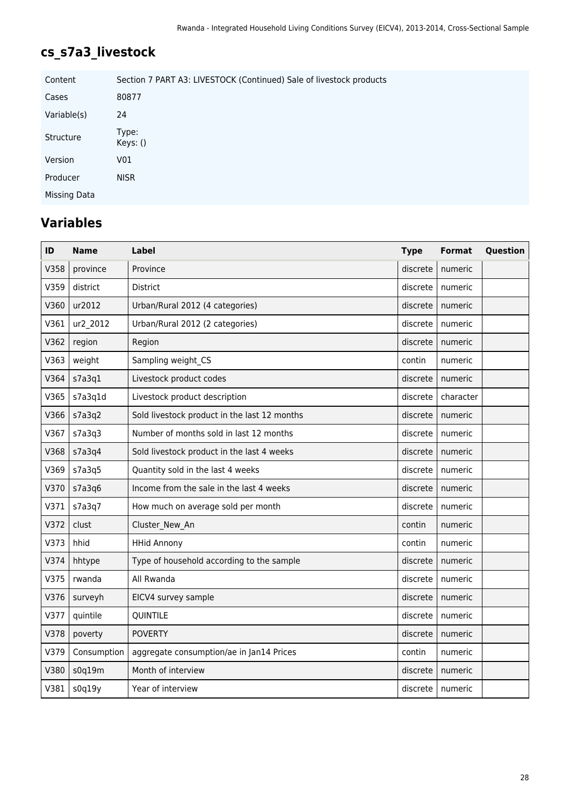## **cs\_s7a3\_livestock**

| Content             | Section 7 PART A3: LIVESTOCK (Continued) Sale of livestock products |
|---------------------|---------------------------------------------------------------------|
| Cases               | 80877                                                               |
| Variable(s)         | 24                                                                  |
| Structure           | Type:<br>Keys: ()                                                   |
| Version             | V <sub>01</sub>                                                     |
| Producer            | <b>NISR</b>                                                         |
| <b>Missing Data</b> |                                                                     |

| ID   | <b>Name</b> | Label                                        | <b>Type</b> | <b>Format</b> | Question |
|------|-------------|----------------------------------------------|-------------|---------------|----------|
| V358 | province    | Province                                     | discrete    | numeric       |          |
| V359 | district    | <b>District</b>                              | discrete    | numeric       |          |
| V360 | ur2012      | Urban/Rural 2012 (4 categories)              | discrete    | numeric       |          |
| V361 | ur2 2012    | Urban/Rural 2012 (2 categories)              | discrete    | numeric       |          |
| V362 | region      | Region                                       | discrete    | numeric       |          |
| V363 | weight      | Sampling weight CS                           | contin      | numeric       |          |
| V364 | s7a3q1      | Livestock product codes                      | discrete    | numeric       |          |
| V365 | s7a3q1d     | Livestock product description                | discrete    | character     |          |
| V366 | s7a3q2      | Sold livestock product in the last 12 months | discrete    | numeric       |          |
| V367 | s7a3q3      | Number of months sold in last 12 months      | discrete    | numeric       |          |
| V368 | s7a3q4      | Sold livestock product in the last 4 weeks   | discrete    | numeric       |          |
| V369 | s7a3q5      | Quantity sold in the last 4 weeks            | discrete    | numeric       |          |
| V370 | s7a3q6      | Income from the sale in the last 4 weeks     | discrete    | numeric       |          |
| V371 | s7a3q7      | How much on average sold per month           | discrete    | numeric       |          |
| V372 | clust       | Cluster New An                               | contin      | numeric       |          |
| V373 | hhid        | <b>HHid Annony</b>                           | contin      | numeric       |          |
| V374 | hhtype      | Type of household according to the sample    | discrete    | numeric       |          |
| V375 | rwanda      | All Rwanda                                   | discrete    | numeric       |          |
| V376 | surveyh     | EICV4 survey sample                          | discrete    | numeric       |          |
| V377 | quintile    | QUINTILE                                     | discrete    | numeric       |          |
| V378 | poverty     | <b>POVERTY</b>                               | discrete    | numeric       |          |
| V379 | Consumption | aggregate consumption/ae in Jan14 Prices     | contin      | numeric       |          |
| V380 | s0q19m      | Month of interview                           | discrete    | numeric       |          |
| V381 | s0q19y      | Year of interview                            | discrete    | numeric       |          |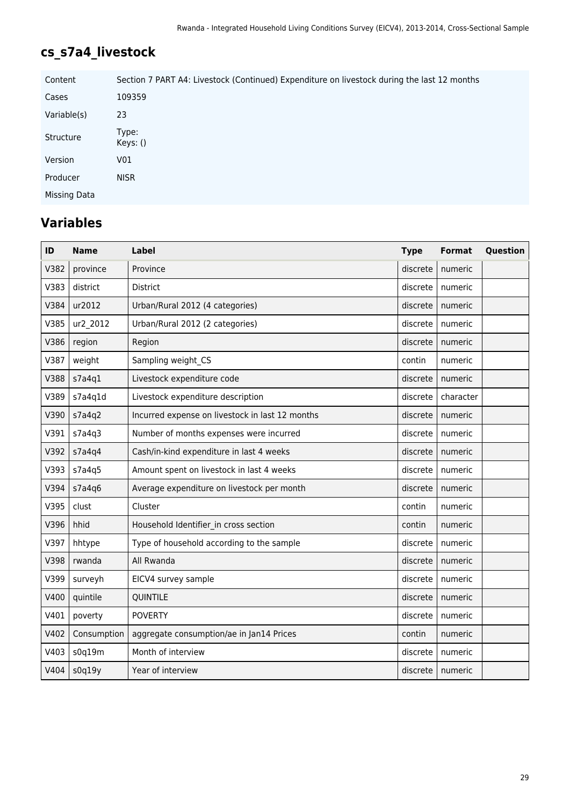## **cs\_s7a4\_livestock**

| Content      | Section 7 PART A4: Livestock (Continued) Expenditure on livestock during the last 12 months |
|--------------|---------------------------------------------------------------------------------------------|
| Cases        | 109359                                                                                      |
| Variable(s)  | 23                                                                                          |
| Structure    | Type:<br>Keys: ()                                                                           |
| Version      | V <sub>01</sub>                                                                             |
| Producer     | <b>NISR</b>                                                                                 |
| Missing Data |                                                                                             |

| ID   | <b>Name</b> | <b>Label</b>                                    | <b>Type</b> | <b>Format</b> | Question |
|------|-------------|-------------------------------------------------|-------------|---------------|----------|
| V382 | province    | Province                                        | discrete    | numeric       |          |
| V383 | district    | District                                        | discrete    | numeric       |          |
| V384 | ur2012      | Urban/Rural 2012 (4 categories)                 | discrete    | numeric       |          |
| V385 | ur2 2012    | Urban/Rural 2012 (2 categories)                 | discrete    | numeric       |          |
| V386 | region      | Region                                          | discrete    | numeric       |          |
| V387 | weight      | Sampling weight CS                              | contin      | numeric       |          |
| V388 | s7a4q1      | Livestock expenditure code                      | discrete    | numeric       |          |
| V389 | s7a4q1d     | Livestock expenditure description               | discrete    | character     |          |
| V390 | s7a4q2      | Incurred expense on livestock in last 12 months | discrete    | numeric       |          |
| V391 | s7a4q3      | Number of months expenses were incurred         | discrete    | numeric       |          |
| V392 | s7a4q4      | Cash/in-kind expenditure in last 4 weeks        | discrete    | numeric       |          |
| V393 | s7a4q5      | Amount spent on livestock in last 4 weeks       | discrete    | numeric       |          |
| V394 | s7a4q6      | Average expenditure on livestock per month      | discrete    | numeric       |          |
| V395 | clust       | Cluster                                         | contin      | numeric       |          |
| V396 | hhid        | Household Identifier in cross section           | contin      | numeric       |          |
| V397 | hhtype      | Type of household according to the sample       | discrete    | numeric       |          |
| V398 | rwanda      | All Rwanda                                      | discrete    | numeric       |          |
| V399 | surveyh     | EICV4 survey sample                             | discrete    | numeric       |          |
| V400 | quintile    | QUINTILE                                        | discrete    | numeric       |          |
| V401 | poverty     | <b>POVERTY</b>                                  | discrete    | numeric       |          |
| V402 | Consumption | aggregate consumption/ae in Jan14 Prices        | contin      | numeric       |          |
| V403 | s0q19m      | Month of interview                              | discrete    | numeric       |          |
| V404 | s0q19y      | Year of interview                               | discrete    | numeric       |          |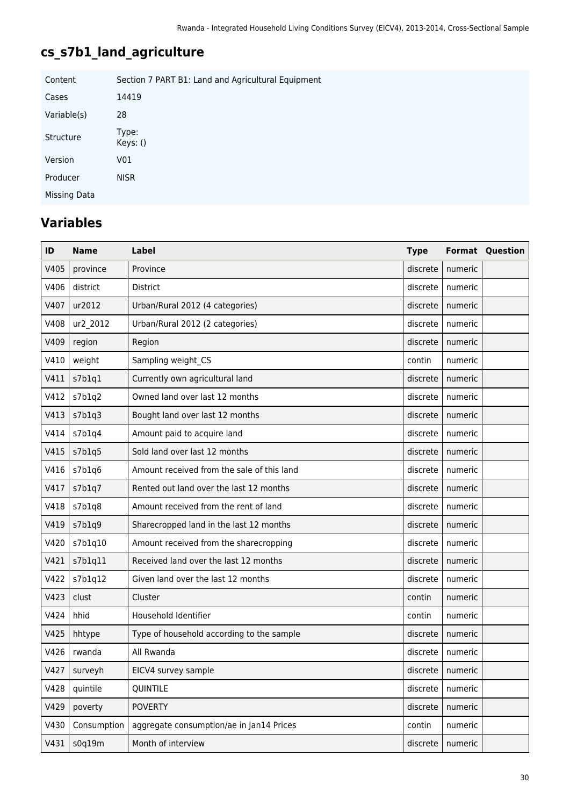## **cs\_s7b1\_land\_agriculture**

| Content             | Section 7 PART B1: Land and Agricultural Equipment |
|---------------------|----------------------------------------------------|
| Cases               | 14419                                              |
| Variable(s)         | 28                                                 |
| Structure           | Type:<br>Keys: ()                                  |
| Version             | V <sub>01</sub>                                    |
| Producer            | <b>NISR</b>                                        |
| <b>Missing Data</b> |                                                    |

| ID   | <b>Name</b>    | Label                                      | <b>Type</b> |                    | <b>Format Question</b> |
|------|----------------|--------------------------------------------|-------------|--------------------|------------------------|
| V405 | province       | Province                                   | discrete    | numeric            |                        |
| V406 | district       | <b>District</b>                            | discrete    | numeric            |                        |
| V407 | ur2012         | Urban/Rural 2012 (4 categories)            | discrete    | numeric            |                        |
| V408 | ur2 2012       | Urban/Rural 2012 (2 categories)            | discrete    | numeric            |                        |
| V409 | region         | Region                                     | discrete    | numeric            |                        |
| V410 | weight         | Sampling weight CS                         | contin      | numeric            |                        |
| V411 | s7b1q1         | Currently own agricultural land            | discrete    | numeric            |                        |
| V412 | s7b1q2         | Owned land over last 12 months             | discrete    | numeric            |                        |
| V413 | s7b1q3         | Bought land over last 12 months            | discrete    | numeric            |                        |
| V414 | s7b1q4         | Amount paid to acquire land                | discrete    | numeric            |                        |
| V415 | s7b1q5         | Sold land over last 12 months              | discrete    | numeric            |                        |
| V416 | s7b1q6         | Amount received from the sale of this land | discrete    | numeric            |                        |
| V417 | s7b1q7         | Rented out land over the last 12 months    | discrete    | numeric            |                        |
| V418 | s7b1q8         | Amount received from the rent of land      | discrete    | numeric            |                        |
| V419 | s7b1q9         | Sharecropped land in the last 12 months    | discrete    | numeric            |                        |
| V420 | s7b1q10        | Amount received from the sharecropping     | discrete    | numeric            |                        |
| V421 | s7b1q11        | Received land over the last 12 months      | discrete    | numeric            |                        |
| V422 | s7b1q12        | Given land over the last 12 months         | discrete    | numeric            |                        |
| V423 | clust          | Cluster                                    | contin      | numeric            |                        |
| V424 | hhid           | Household Identifier                       | contin      | numeric            |                        |
| V425 | hhtype         | Type of household according to the sample  | discrete    | numeric            |                        |
| V426 | rwanda         | All Rwanda                                 | discrete    | numeric            |                        |
|      | V427   surveyh | EICV4 survey sample                        |             | discrete   numeric |                        |
| V428 | quintile       | QUINTILE                                   | discrete    | numeric            |                        |
| V429 | poverty        | <b>POVERTY</b>                             | discrete    | numeric            |                        |
| V430 | Consumption    | aggregate consumption/ae in Jan14 Prices   | contin      | numeric            |                        |
| V431 | s0q19m         | Month of interview                         | discrete    | numeric            |                        |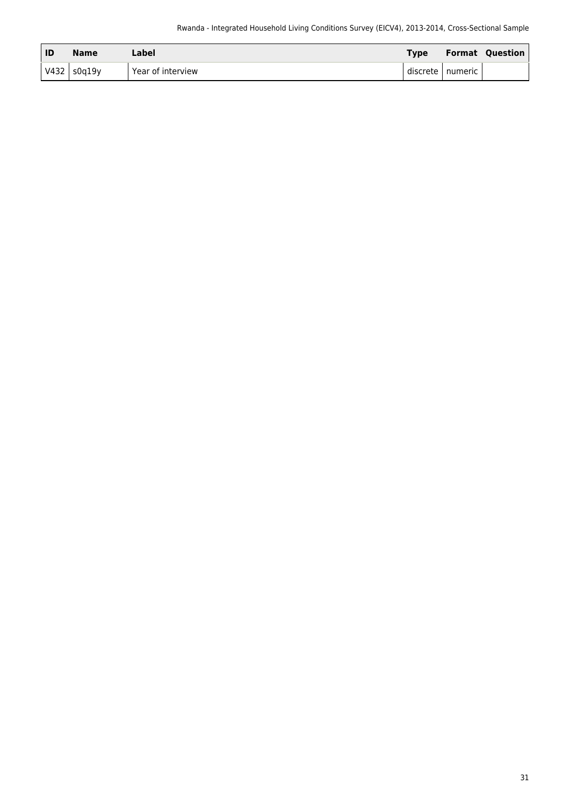| $\overline{1}$ ID | <b>Name</b>                 | Label             | <b>Type</b> |                    | <b>Format Question</b> |
|-------------------|-----------------------------|-------------------|-------------|--------------------|------------------------|
|                   | $\vert$ V432 $\vert$ s0q19y | Year of interview |             | discrete   numeric |                        |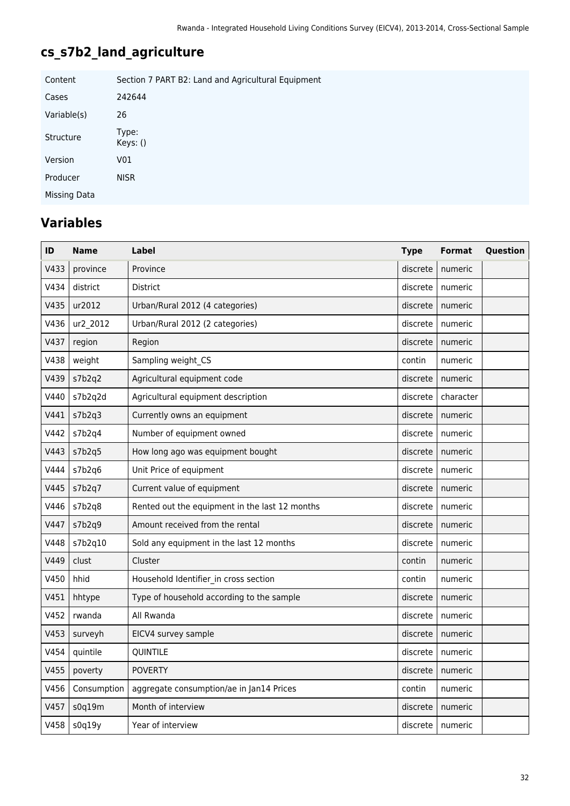## **cs\_s7b2\_land\_agriculture**

| Content             | Section 7 PART B2: Land and Agricultural Equipment |
|---------------------|----------------------------------------------------|
| Cases               | 242644                                             |
| Variable(s)         | 26                                                 |
| Structure           | Type:<br>Keys: ()                                  |
| Version             | V <sub>01</sub>                                    |
| Producer            | <b>NISR</b>                                        |
| <b>Missing Data</b> |                                                    |

| ID   | <b>Name</b> | Label                                          | <b>Type</b> | <b>Format</b> | Question |
|------|-------------|------------------------------------------------|-------------|---------------|----------|
| V433 | province    | Province                                       | discrete    | numeric       |          |
| V434 | district    | <b>District</b>                                | discrete    | numeric       |          |
| V435 | ur2012      | Urban/Rural 2012 (4 categories)                | discrete    | numeric       |          |
| V436 | ur2 2012    | Urban/Rural 2012 (2 categories)                | discrete    | numeric       |          |
| V437 | region      | Region                                         | discrete    | numeric       |          |
| V438 | weight      | Sampling weight CS                             | contin      | numeric       |          |
| V439 | s7b2q2      | Agricultural equipment code                    | discrete    | numeric       |          |
| V440 | s7b2q2d     | Agricultural equipment description             | discrete    | character     |          |
| V441 | s7b2q3      | Currently owns an equipment                    | discrete    | numeric       |          |
| V442 | s7b2q4      | Number of equipment owned                      | discrete    | numeric       |          |
| V443 | s7b2q5      | How long ago was equipment bought              | discrete    | numeric       |          |
| V444 | s7b2q6      | Unit Price of equipment                        | discrete    | numeric       |          |
| V445 | s7b2q7      | Current value of equipment                     | discrete    | numeric       |          |
| V446 | s7b2q8      | Rented out the equipment in the last 12 months | discrete    | numeric       |          |
| V447 | s7b2q9      | Amount received from the rental                | discrete    | numeric       |          |
| V448 | s7b2q10     | Sold any equipment in the last 12 months       | discrete    | numeric       |          |
| V449 | clust       | Cluster                                        | contin      | numeric       |          |
| V450 | hhid        | Household Identifier_in cross section          | contin      | numeric       |          |
| V451 | hhtype      | Type of household according to the sample      | discrete    | numeric       |          |
| V452 | rwanda      | All Rwanda                                     | discrete    | numeric       |          |
| V453 | surveyh     | EICV4 survey sample                            | discrete    | numeric       |          |
| V454 | quintile    | QUINTILE                                       | discrete    | numeric       |          |
| V455 | poverty     | <b>POVERTY</b>                                 | discrete    | numeric       |          |
| V456 | Consumption | aggregate consumption/ae in Jan14 Prices       | contin      | numeric       |          |
| V457 | s0q19m      | Month of interview                             | discrete    | numeric       |          |
| V458 | s0q19y      | Year of interview                              | discrete    | numeric       |          |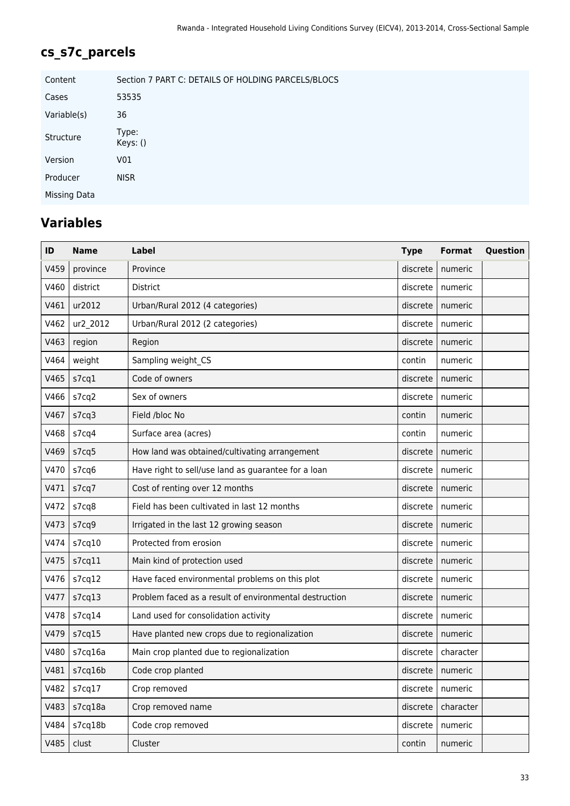## **cs\_s7c\_parcels**

| Content             | Section 7 PART C: DETAILS OF HOLDING PARCELS/BLOCS |
|---------------------|----------------------------------------------------|
| Cases               | 53535                                              |
| Variable(s)         | 36                                                 |
| Structure           | Type:<br>Keys: ()                                  |
| Version             | V <sub>01</sub>                                    |
| Producer            | <b>NISR</b>                                        |
| <b>Missing Data</b> |                                                    |

| ID   | <b>Name</b>    | Label                                                  | <b>Type</b> | <b>Format</b>      | Question |
|------|----------------|--------------------------------------------------------|-------------|--------------------|----------|
| V459 | province       | Province                                               | discrete    | numeric            |          |
| V460 | district       | District                                               | discrete    | numeric            |          |
| V461 | ur2012         | Urban/Rural 2012 (4 categories)                        | discrete    | numeric            |          |
| V462 | ur2 2012       | Urban/Rural 2012 (2 categories)                        | discrete    | numeric            |          |
| V463 | region         | Region                                                 | discrete    | numeric            |          |
| V464 | weight         | Sampling weight CS                                     | contin      | numeric            |          |
| V465 | s7cq1          | Code of owners                                         | discrete    | numeric            |          |
| V466 | s7cq2          | Sex of owners                                          | discrete    | numeric            |          |
| V467 | s7cq3          | Field /bloc No                                         | contin      | numeric            |          |
| V468 | s7cq4          | Surface area (acres)                                   | contin      | numeric            |          |
| V469 | s7cq5          | How land was obtained/cultivating arrangement          | discrete    | numeric            |          |
| V470 | s7cq6          | Have right to sell/use land as guarantee for a loan    | discrete    | numeric            |          |
| V471 | s7cq7          | Cost of renting over 12 months                         | discrete    | numeric            |          |
| V472 | s7cq8          | Field has been cultivated in last 12 months            | discrete    | numeric            |          |
| V473 | s7cq9          | Irrigated in the last 12 growing season                | discrete    | numeric            |          |
| V474 | s7cq10         | Protected from erosion                                 | discrete    | numeric            |          |
| V475 | s7cq11         | Main kind of protection used                           | discrete    | numeric            |          |
| V476 | s7cq12         | Have faced environmental problems on this plot         | discrete    | numeric            |          |
| V477 | s7cq13         | Problem faced as a result of environmental destruction | discrete    | numeric            |          |
| V478 | s7cq14         | Land used for consolidation activity                   | discrete    | numeric            |          |
| V479 | s7cq15         | Have planted new crops due to regionalization          | discrete    | numeric            |          |
| V480 | s7cq16a        | Main crop planted due to regionalization               | discrete    | character          |          |
|      | $V481$ S7cq16b | Code crop planted                                      |             | discrete   numeric |          |
| V482 | s7cq17         | Crop removed                                           | discrete    | numeric            |          |
| V483 | s7cq18a        | Crop removed name                                      | discrete    | character          |          |
| V484 | s7cq18b        | Code crop removed                                      | discrete    | numeric            |          |
| V485 | clust          | Cluster                                                | contin      | numeric            |          |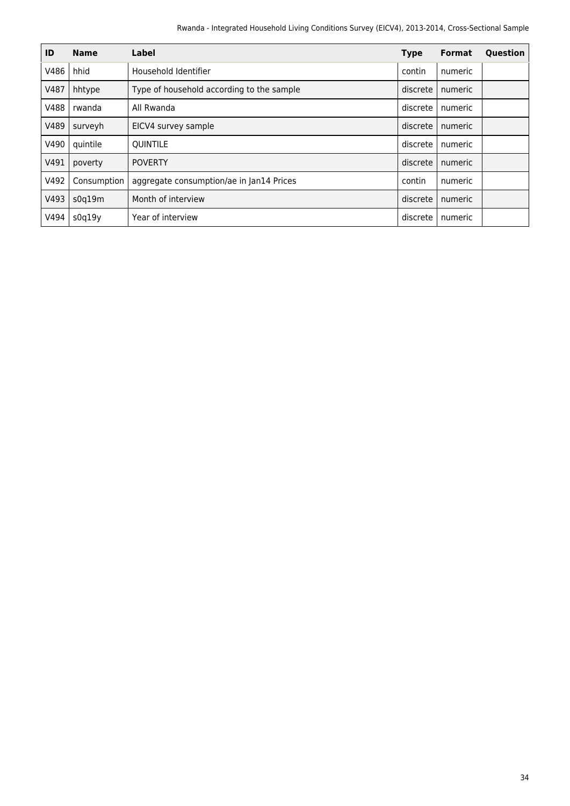| ID   | <b>Name</b> | Label                                     | <b>Type</b> | <b>Format</b> | Question |
|------|-------------|-------------------------------------------|-------------|---------------|----------|
| V486 | hhid        | Household Identifier                      | contin      | numeric       |          |
| V487 | hhtype      | Type of household according to the sample | discrete    | numeric       |          |
| V488 | rwanda      | All Rwanda                                | discrete    | numeric       |          |
| V489 | surveyh     | EICV4 survey sample                       | discrete    | numeric       |          |
| V490 | quintile    | <b>OUINTILE</b>                           | discrete    | numeric       |          |
| V491 | poverty     | <b>POVERTY</b>                            | discrete    | numeric       |          |
| V492 | Consumption | aggregate consumption/ae in Jan14 Prices  | contin      | numeric       |          |
| V493 | s0q19m      | Month of interview                        | discrete    | numeric       |          |
| V494 | s0q19y      | Year of interview                         | discrete    | numeric       |          |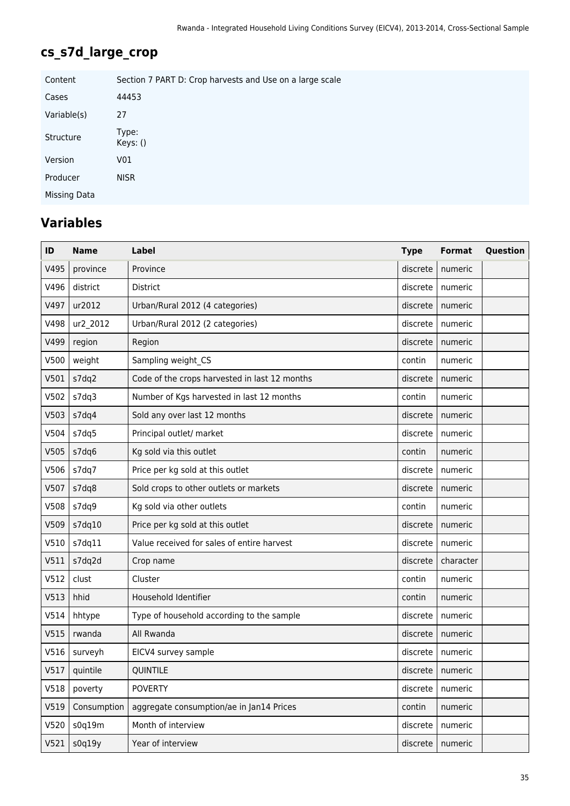## **cs\_s7d\_large\_crop**

| Content      | Section 7 PART D: Crop harvests and Use on a large scale |
|--------------|----------------------------------------------------------|
| Cases        | 44453                                                    |
| Variable(s)  | 27                                                       |
| Structure    | Type:<br>Keys: ()                                        |
| Version      | V <sub>01</sub>                                          |
| Producer     | <b>NISR</b>                                              |
| Missing Data |                                                          |

| ID   | <b>Name</b>     | Label                                         | <b>Type</b> | <b>Format</b>      | Question |
|------|-----------------|-----------------------------------------------|-------------|--------------------|----------|
| V495 | province        | Province                                      | discrete    | numeric            |          |
| V496 | district        | District                                      | discrete    | numeric            |          |
| V497 | ur2012          | Urban/Rural 2012 (4 categories)               | discrete    | numeric            |          |
| V498 | ur2 2012        | Urban/Rural 2012 (2 categories)               | discrete    | numeric            |          |
| V499 | region          | Region                                        | discrete    | numeric            |          |
| V500 | weight          | Sampling weight CS                            | contin      | numeric            |          |
| V501 | s7dq2           | Code of the crops harvested in last 12 months | discrete    | numeric            |          |
| V502 | s7dq3           | Number of Kgs harvested in last 12 months     | contin      | numeric            |          |
| V503 | s7dq4           | Sold any over last 12 months                  | discrete    | numeric            |          |
| V504 | s7dq5           | Principal outlet/ market                      | discrete    | numeric            |          |
| V505 | s7dq6           | Kg sold via this outlet                       | contin      | numeric            |          |
| V506 | s7dq7           | Price per kg sold at this outlet              | discrete    | numeric            |          |
| V507 | s7dq8           | Sold crops to other outlets or markets        | discrete    | numeric            |          |
| V508 | s7dq9           | Kg sold via other outlets                     | contin      | numeric            |          |
| V509 | s7dq10          | Price per kg sold at this outlet              | discrete    | numeric            |          |
| V510 | s7dq11          | Value received for sales of entire harvest    | discrete    | numeric            |          |
| V511 | s7dq2d          | Crop name                                     | discrete    | character          |          |
| V512 | clust           | Cluster                                       | contin      | numeric            |          |
| V513 | hhid            | Household Identifier                          | contin      | numeric            |          |
| V514 | hhtype          | Type of household according to the sample     | discrete    | numeric            |          |
| V515 | rwanda          | All Rwanda                                    | discrete    | numeric            |          |
| V516 | surveyh         | EICV4 survey sample                           | discrete    | numeric            |          |
|      | $V517$ quintile | QUINTILE                                      |             | discrete   numeric |          |
| V518 | poverty         | <b>POVERTY</b>                                | discrete    | numeric            |          |
| V519 | Consumption     | aggregate consumption/ae in Jan14 Prices      | contin      | numeric            |          |
| V520 | s0q19m          | Month of interview                            | discrete    | numeric            |          |
| V521 | s0q19y          | Year of interview                             | discrete    | numeric            |          |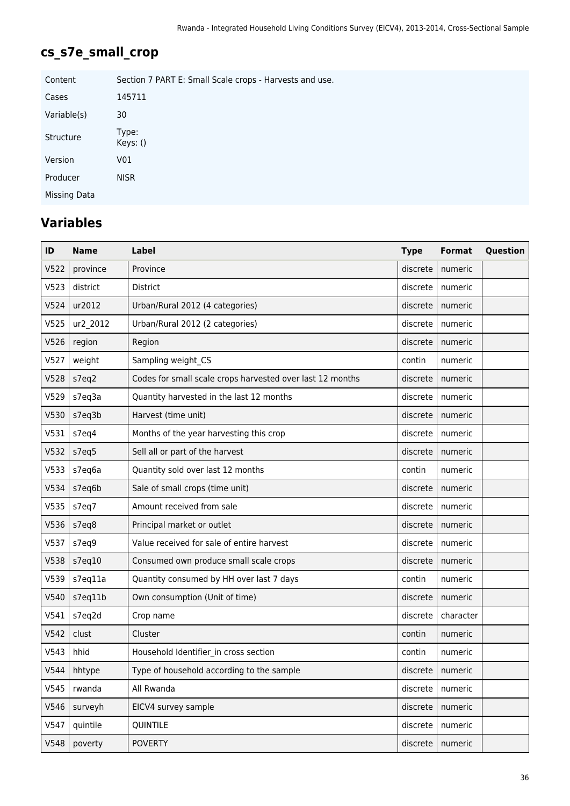## **cs\_s7e\_small\_crop**

| Content             | Section 7 PART E: Small Scale crops - Harvests and use. |
|---------------------|---------------------------------------------------------|
| Cases               | 145711                                                  |
| Variable(s)         | 30                                                      |
| Structure           | Type:<br>Keys: ()                                       |
| Version             | V <sub>01</sub>                                         |
| Producer            | <b>NISR</b>                                             |
| <b>Missing Data</b> |                                                         |

| ID   | <b>Name</b>   | <b>Label</b>                                              | <b>Type</b> | Format             | Question |
|------|---------------|-----------------------------------------------------------|-------------|--------------------|----------|
| V522 | province      | Province                                                  | discrete    | numeric            |          |
| V523 | district      | District                                                  | discrete    | numeric            |          |
| V524 | ur2012        | Urban/Rural 2012 (4 categories)                           | discrete    | numeric            |          |
| V525 | ur2 2012      | Urban/Rural 2012 (2 categories)                           | discrete    | numeric            |          |
| V526 | region        | Region                                                    | discrete    | numeric            |          |
| V527 | weight        | Sampling weight CS                                        | contin      | numeric            |          |
| V528 | s7eq2         | Codes for small scale crops harvested over last 12 months | discrete    | numeric            |          |
| V529 | s7eq3a        | Quantity harvested in the last 12 months                  | discrete    | numeric            |          |
| V530 | s7eq3b        | Harvest (time unit)                                       | discrete    | numeric            |          |
| V531 | s7eq4         | Months of the year harvesting this crop                   | discrete    | numeric            |          |
| V532 | s7eq5         | Sell all or part of the harvest                           | discrete    | numeric            |          |
| V533 | s7eq6a        | Quantity sold over last 12 months                         | contin      | numeric            |          |
| V534 | s7eq6b        | Sale of small crops (time unit)                           | discrete    | numeric            |          |
| V535 | s7eq7         | Amount received from sale                                 | discrete    | numeric            |          |
| V536 | s7eq8         | Principal market or outlet                                | discrete    | numeric            |          |
| V537 | s7eq9         | Value received for sale of entire harvest                 | discrete    | numeric            |          |
| V538 | s7eq10        | Consumed own produce small scale crops                    | discrete    | numeric            |          |
| V539 | s7eq11a       | Quantity consumed by HH over last 7 days                  | contin      | numeric            |          |
| V540 | s7eq11b       | Own consumption (Unit of time)                            | discrete    | numeric            |          |
| V541 | s7eq2d        | Crop name                                                 | discrete    | character          |          |
| V542 | clust         | Cluster                                                   | contin      | numeric            |          |
| V543 | hhid          | Household Identifier_in cross section                     | contin      | numeric            |          |
|      | $V544$ hhtype | Type of household according to the sample                 |             | discrete   numeric |          |
| V545 | rwanda        | All Rwanda                                                | discrete    | numeric            |          |
|      | V546 surveyh  | EICV4 survey sample                                       | discrete    | numeric            |          |
| V547 | quintile      | QUINTILE                                                  | discrete    | numeric            |          |
| V548 | poverty       | <b>POVERTY</b>                                            | discrete    | numeric            |          |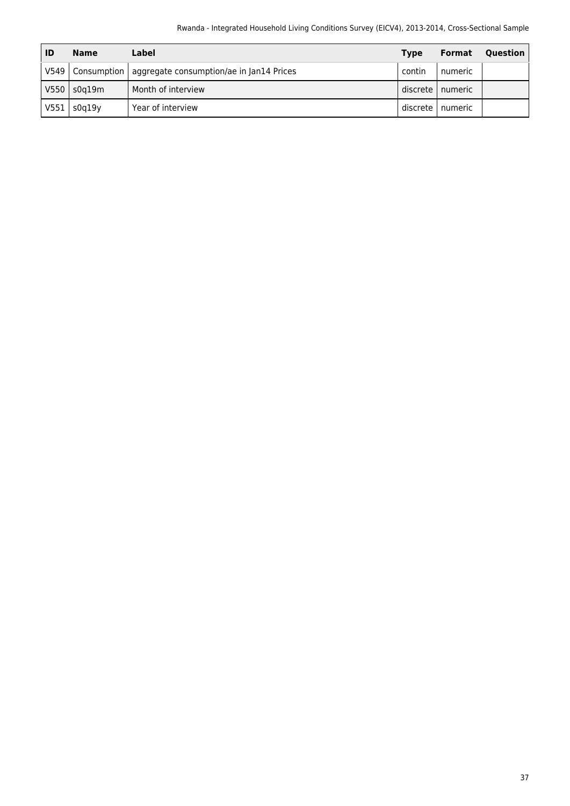Rwanda - Integrated Household Living Conditions Survey (EICV4), 2013-2014, Cross-Sectional Sample

| ID   | <b>Name</b> | Label                                                         | <b>Type</b> | <b>Format</b>      | <b>Ouestion</b> |
|------|-------------|---------------------------------------------------------------|-------------|--------------------|-----------------|
|      |             | V549   Consumption   aggregate consumption/ae in Jan14 Prices | contin      | numeric            |                 |
| V550 | s0q19m      | Month of interview                                            |             | discrete I numeric |                 |
| V551 | s0a19v      | Year of interview                                             |             | discrete I numeric |                 |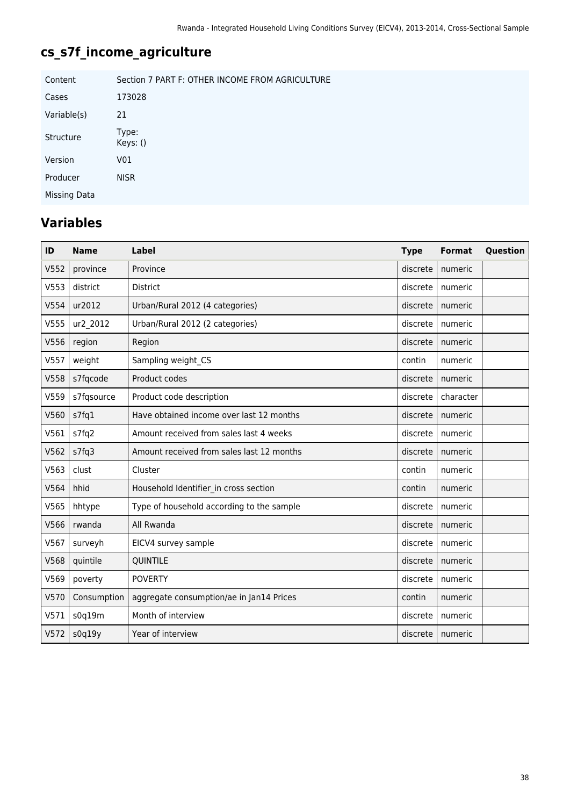# **cs\_s7f\_income\_agriculture**

| Content             | Section 7 PART F: OTHER INCOME FROM AGRICULTURE |
|---------------------|-------------------------------------------------|
| Cases               | 173028                                          |
| Variable(s)         | 21                                              |
| Structure           | Type:<br>Keys: ()                               |
| Version             | V <sub>01</sub>                                 |
| Producer            | <b>NISR</b>                                     |
| <b>Missing Data</b> |                                                 |

| ID   | <b>Name</b> | Label                                     | <b>Type</b> | <b>Format</b> | Question |
|------|-------------|-------------------------------------------|-------------|---------------|----------|
| V552 | province    | Province                                  | discrete    | numeric       |          |
| V553 | district    | District                                  | discrete    | numeric       |          |
| V554 | ur2012      | Urban/Rural 2012 (4 categories)           | discrete    | numeric       |          |
| V555 | ur2_2012    | Urban/Rural 2012 (2 categories)           | discrete    | numeric       |          |
| V556 | region      | Region                                    | discrete    | numeric       |          |
| V557 | weight      | Sampling weight CS                        | contin      | numeric       |          |
| V558 | s7fqcode    | Product codes                             | discrete    | numeric       |          |
| V559 | s7fqsource  | Product code description                  | discrete    | character     |          |
| V560 | s7fq1       | Have obtained income over last 12 months  | discrete    | numeric       |          |
| V561 | s7fq2       | Amount received from sales last 4 weeks   | discrete    | numeric       |          |
| V562 | s7fq3       | Amount received from sales last 12 months | discrete    | numeric       |          |
| V563 | clust       | Cluster                                   | contin      | numeric       |          |
| V564 | hhid        | Household Identifier in cross section     | contin      | numeric       |          |
| V565 | hhtype      | Type of household according to the sample | discrete    | numeric       |          |
| V566 | rwanda      | All Rwanda                                | discrete    | numeric       |          |
| V567 | surveyh     | EICV4 survey sample                       | discrete    | numeric       |          |
| V568 | quintile    | QUINTILE                                  | discrete    | numeric       |          |
| V569 | poverty     | <b>POVERTY</b>                            | discrete    | numeric       |          |
| V570 | Consumption | aggregate consumption/ae in Jan14 Prices  | contin      | numeric       |          |
| V571 | s0q19m      | Month of interview                        | discrete    | numeric       |          |
| V572 | s0q19y      | Year of interview                         | discrete    | numeric       |          |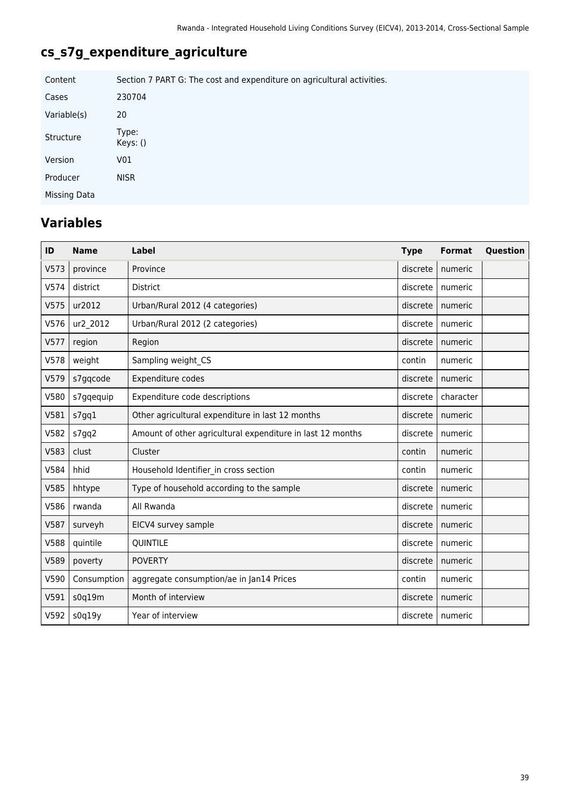## **cs\_s7g\_expenditure\_agriculture**

| Content      | Section 7 PART G: The cost and expenditure on agricultural activities. |
|--------------|------------------------------------------------------------------------|
| Cases        | 230704                                                                 |
| Variable(s)  | 20                                                                     |
| Structure    | Type:<br>Keys: ()                                                      |
| Version      | V <sub>01</sub>                                                        |
| Producer     | <b>NISR</b>                                                            |
| Missing Data |                                                                        |

| ID   | <b>Name</b> | Label                                                      | <b>Type</b> | <b>Format</b> | Question |
|------|-------------|------------------------------------------------------------|-------------|---------------|----------|
| V573 | province    | Province                                                   | discrete    | numeric       |          |
| V574 | district    | District                                                   | discrete    | numeric       |          |
| V575 | ur2012      | Urban/Rural 2012 (4 categories)                            | discrete    | numeric       |          |
| V576 | ur2 2012    | Urban/Rural 2012 (2 categories)                            | discrete    | numeric       |          |
| V577 | region      | Region                                                     | discrete    | numeric       |          |
| V578 | weight      | Sampling weight CS                                         | contin      | numeric       |          |
| V579 | s7gqcode    | Expenditure codes                                          | discrete    | numeric       |          |
| V580 | s7ggeguip   | Expenditure code descriptions                              | discrete    | character     |          |
| V581 | s7gq1       | Other agricultural expenditure in last 12 months           | discrete    | numeric       |          |
| V582 | s7gq2       | Amount of other agricultural expenditure in last 12 months | discrete    | numeric       |          |
| V583 | clust       | Cluster                                                    | contin      | numeric       |          |
| V584 | hhid        | Household Identifier in cross section                      | contin      | numeric       |          |
| V585 | hhtype      | Type of household according to the sample                  | discrete    | numeric       |          |
| V586 | rwanda      | All Rwanda                                                 | discrete    | numeric       |          |
| V587 | surveyh     | EICV4 survey sample                                        | discrete    | numeric       |          |
| V588 | quintile    | QUINTILE                                                   | discrete    | numeric       |          |
| V589 | poverty     | <b>POVERTY</b>                                             | discrete    | numeric       |          |
| V590 | Consumption | aggregate consumption/ae in Jan14 Prices                   | contin      | numeric       |          |
| V591 | s0q19m      | Month of interview                                         | discrete    | numeric       |          |
| V592 | s0q19y      | Year of interview                                          | discrete    | numeric       |          |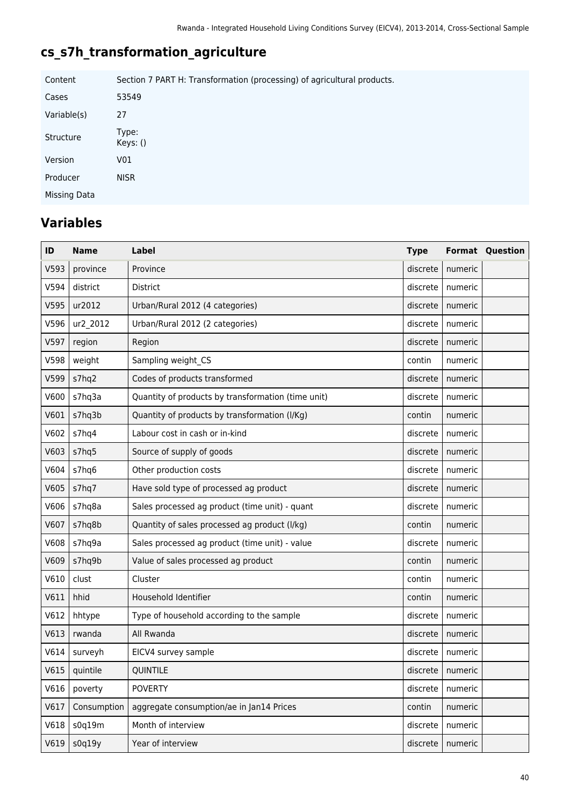## **cs\_s7h\_transformation\_agriculture**

Content Section 7 PART H: Transformation (processing) of agricultural products. Cases 53549 Variable(s) 27 Structure Type: Keys: () Version V01 Producer NISR Missing Data

| ID   | <b>Name</b>     | Label                                              | <b>Type</b> |                    | <b>Format Question</b> |
|------|-----------------|----------------------------------------------------|-------------|--------------------|------------------------|
| V593 | province        | Province                                           | discrete    | numeric            |                        |
| V594 | district        | District                                           | discrete    | numeric            |                        |
| V595 | ur2012          | Urban/Rural 2012 (4 categories)                    | discrete    | numeric            |                        |
| V596 | ur2 2012        | Urban/Rural 2012 (2 categories)                    | discrete    | numeric            |                        |
| V597 | region          | Region                                             | discrete    | numeric            |                        |
| V598 | weight          | Sampling weight CS                                 | contin      | numeric            |                        |
| V599 | s7hq2           | Codes of products transformed                      | discrete    | numeric            |                        |
| V600 | s7hq3a          | Quantity of products by transformation (time unit) | discrete    | numeric            |                        |
| V601 | s7hq3b          | Quantity of products by transformation (I/Kg)      | contin      | numeric            |                        |
| V602 | s7hq4           | Labour cost in cash or in-kind                     | discrete    | numeric            |                        |
| V603 | s7hq5           | Source of supply of goods                          | discrete    | numeric            |                        |
| V604 | s7hq6           | Other production costs                             | discrete    | numeric            |                        |
| V605 | s7hq7           | Have sold type of processed ag product             | discrete    | numeric            |                        |
| V606 | s7hq8a          | Sales processed ag product (time unit) - quant     | discrete    | numeric            |                        |
| V607 | s7hq8b          | Quantity of sales processed ag product (I/kg)      | contin      | numeric            |                        |
| V608 | s7hq9a          | Sales processed ag product (time unit) - value     | discrete    | numeric            |                        |
| V609 | s7hq9b          | Value of sales processed ag product                | contin      | numeric            |                        |
| V610 | clust           | Cluster                                            | contin      | numeric            |                        |
| V611 | hhid            | Household Identifier                               | contin      | numeric            |                        |
| V612 | hhtype          | Type of household according to the sample          | discrete    | numeric            |                        |
| V613 | rwanda          | All Rwanda                                         | discrete    | numeric            |                        |
| V614 | surveyh         | EICV4 survey sample                                | discrete    | numeric            |                        |
|      | V615   quintile | QUINTILE                                           |             | discrete   numeric |                        |
| V616 | poverty         | <b>POVERTY</b>                                     | discrete    | numeric            |                        |
| V617 | Consumption     | aggregate consumption/ae in Jan14 Prices           | contin      | numeric            |                        |
| V618 | s0q19m          | Month of interview                                 | discrete    | numeric            |                        |
| V619 | s0q19y          | Year of interview                                  | discrete    | numeric            |                        |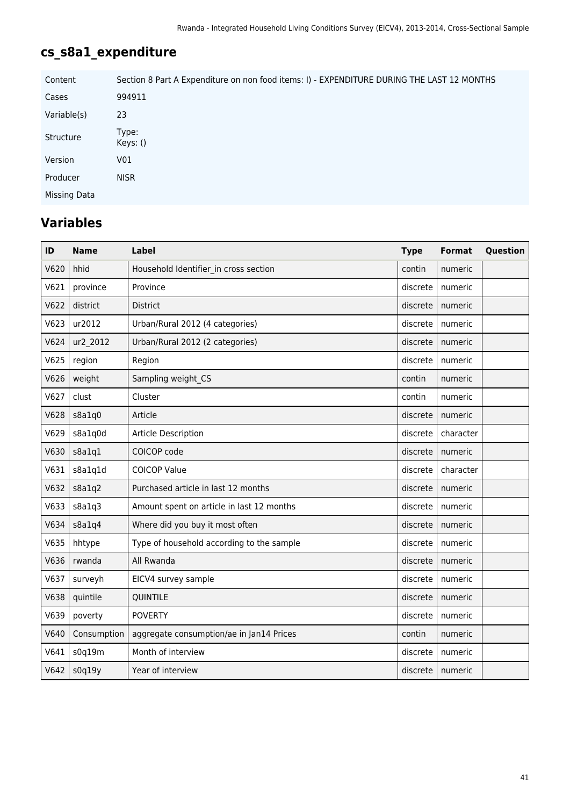## **cs\_s8a1\_expenditure**

| Content             | Section 8 Part A Expenditure on non food items: I) - EXPENDITURE DURING THE LAST 12 MONTHS |
|---------------------|--------------------------------------------------------------------------------------------|
| Cases               | 994911                                                                                     |
| Variable(s)         | 23                                                                                         |
| Structure           | Type:<br>Keys: ()                                                                          |
| Version             | V <sub>01</sub>                                                                            |
| Producer            | <b>NISR</b>                                                                                |
| <b>Missing Data</b> |                                                                                            |

| ID   | <b>Name</b> | <b>Label</b>                              | <b>Type</b> | <b>Format</b> | Question |
|------|-------------|-------------------------------------------|-------------|---------------|----------|
| V620 | hhid        | Household Identifier in cross section     | contin      | numeric       |          |
| V621 | province    | Province                                  | discrete    | numeric       |          |
| V622 | district    | <b>District</b>                           | discrete    | numeric       |          |
| V623 | ur2012      | Urban/Rural 2012 (4 categories)           | discrete    | numeric       |          |
| V624 | ur2 2012    | Urban/Rural 2012 (2 categories)           | discrete    | numeric       |          |
| V625 | region      | Region                                    | discrete    | numeric       |          |
| V626 | weight      | Sampling weight CS                        | contin      | numeric       |          |
| V627 | clust       | Cluster                                   | contin      | numeric       |          |
| V628 | s8a1q0      | Article                                   | discrete    | numeric       |          |
| V629 | s8a1q0d     | Article Description                       | discrete    | character     |          |
| V630 | s8a1q1      | COICOP code                               | discrete    | numeric       |          |
| V631 | s8a1q1d     | <b>COICOP Value</b>                       | discrete    | character     |          |
| V632 | s8a1q2      | Purchased article in last 12 months       | discrete    | numeric       |          |
| V633 | s8a1q3      | Amount spent on article in last 12 months | discrete    | numeric       |          |
| V634 | s8a1q4      | Where did you buy it most often           | discrete    | numeric       |          |
| V635 | hhtype      | Type of household according to the sample | discrete    | numeric       |          |
| V636 | rwanda      | All Rwanda                                | discrete    | numeric       |          |
| V637 | surveyh     | EICV4 survey sample                       | discrete    | numeric       |          |
| V638 | quintile    | QUINTILE                                  | discrete    | numeric       |          |
| V639 | poverty     | <b>POVERTY</b>                            | discrete    | numeric       |          |
| V640 | Consumption | aggregate consumption/ae in Jan14 Prices  | contin      | numeric       |          |
| V641 | s0q19m      | Month of interview                        | discrete    | numeric       |          |
| V642 | s0q19y      | Year of interview                         | discrete    | numeric       |          |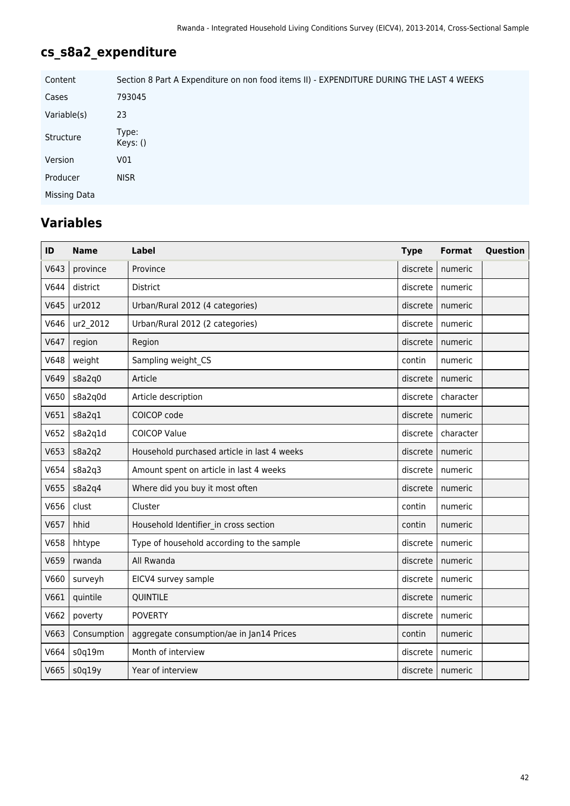## **cs\_s8a2\_expenditure**

| Content      | Section 8 Part A Expenditure on non food items II) - EXPENDITURE DURING THE LAST 4 WEEKS |
|--------------|------------------------------------------------------------------------------------------|
| Cases        | 793045                                                                                   |
| Variable(s)  | 23                                                                                       |
| Structure    | Type:<br>Keys: ()                                                                        |
| Version      | V <sub>01</sub>                                                                          |
| Producer     | <b>NISR</b>                                                                              |
| Missing Data |                                                                                          |

| ID   | <b>Name</b> | Label                                       | <b>Type</b> | <b>Format</b> | Question |
|------|-------------|---------------------------------------------|-------------|---------------|----------|
| V643 | province    | Province                                    | discrete    | numeric       |          |
| V644 | district    | District                                    | discrete    | numeric       |          |
| V645 | ur2012      | Urban/Rural 2012 (4 categories)             | discrete    | numeric       |          |
| V646 | ur2 2012    | Urban/Rural 2012 (2 categories)             | discrete    | numeric       |          |
| V647 | region      | Region                                      | discrete    | numeric       |          |
| V648 | weight      | Sampling weight CS                          | contin      | numeric       |          |
| V649 | s8a2q0      | Article                                     | discrete    | numeric       |          |
| V650 | s8a2q0d     | Article description                         | discrete    | character     |          |
| V651 | s8a2q1      | COICOP code                                 | discrete    | numeric       |          |
| V652 | s8a2q1d     | <b>COICOP Value</b>                         | discrete    | character     |          |
| V653 | s8a2q2      | Household purchased article in last 4 weeks | discrete    | numeric       |          |
| V654 | s8a2q3      | Amount spent on article in last 4 weeks     | discrete    | numeric       |          |
| V655 | s8a2q4      | Where did you buy it most often             | discrete    | numeric       |          |
| V656 | clust       | Cluster                                     | contin      | numeric       |          |
| V657 | hhid        | Household Identifier in cross section       | contin      | numeric       |          |
| V658 | hhtype      | Type of household according to the sample   | discrete    | numeric       |          |
| V659 | rwanda      | All Rwanda                                  | discrete    | numeric       |          |
| V660 | surveyh     | EICV4 survey sample                         | discrete    | numeric       |          |
| V661 | quintile    | QUINTILE                                    | discrete    | numeric       |          |
| V662 | poverty     | <b>POVERTY</b>                              | discrete    | numeric       |          |
| V663 | Consumption | aggregate consumption/ae in Jan14 Prices    | contin      | numeric       |          |
| V664 | s0q19m      | Month of interview                          | discrete    | numeric       |          |
| V665 | s0q19y      | Year of interview                           | discrete    | numeric       |          |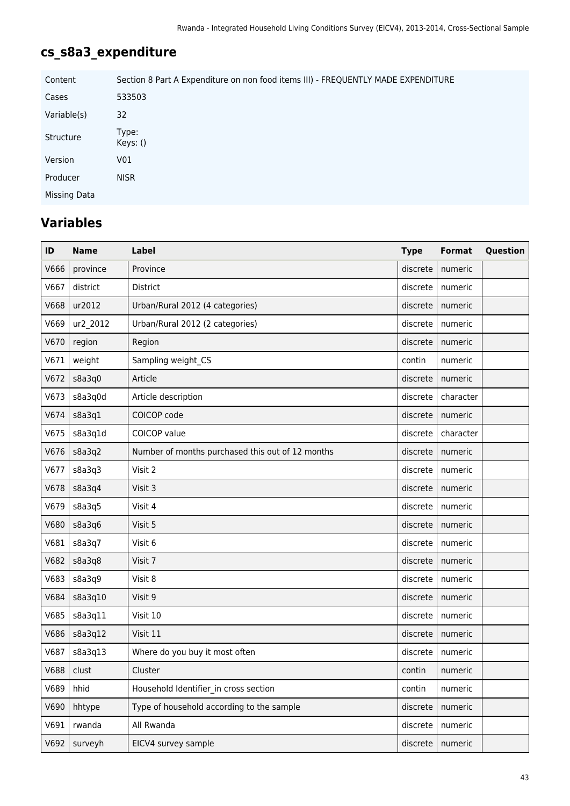## **cs\_s8a3\_expenditure**

| Content      | Section 8 Part A Expenditure on non food items III) - FREQUENTLY MADE EXPENDITURE |
|--------------|-----------------------------------------------------------------------------------|
| Cases        | 533503                                                                            |
| Variable(s)  | 32                                                                                |
| Structure    | Type:<br>Keys: ()                                                                 |
| Version      | V <sub>01</sub>                                                                   |
| Producer     | <b>NISR</b>                                                                       |
| Missing Data |                                                                                   |

| ID             | <b>Name</b> | <b>Label</b>                                     | <b>Type</b> | <b>Format</b> | Question |
|----------------|-------------|--------------------------------------------------|-------------|---------------|----------|
| V666           | province    | Province                                         | discrete    | numeric       |          |
| V667           | district    | District                                         | discrete    | numeric       |          |
| V668           | ur2012      | Urban/Rural 2012 (4 categories)                  | discrete    | numeric       |          |
| V669           | ur2 2012    | Urban/Rural 2012 (2 categories)                  | discrete    | numeric       |          |
| V670           | region      | Region                                           | discrete    | numeric       |          |
| V671           | weight      | Sampling weight CS                               | contin      | numeric       |          |
| V672           | s8a3q0      | Article                                          | discrete    | numeric       |          |
| V673           | s8a3q0d     | Article description                              | discrete    | character     |          |
| V674           | s8a3q1      | COICOP code                                      | discrete    | numeric       |          |
| V675           | s8a3q1d     | COICOP value                                     | discrete    | character     |          |
| V676           | s8a3q2      | Number of months purchased this out of 12 months | discrete    | numeric       |          |
| V677           | s8a3q3      | Visit 2                                          | discrete    | numeric       |          |
| V678           | s8a3q4      | Visit 3                                          | discrete    | numeric       |          |
| V679           | s8a3q5      | Visit 4                                          | discrete    | numeric       |          |
| V680           | s8a3q6      | Visit 5                                          | discrete    | numeric       |          |
| V681           | s8a3q7      | Visit 6                                          | discrete    | numeric       |          |
| V682           | s8a3q8      | Visit 7                                          | discrete    | numeric       |          |
| V683           | s8a3q9      | Visit 8                                          | discrete    | numeric       |          |
| V684           | s8a3q10     | Visit 9                                          | discrete    | numeric       |          |
| V685           | s8a3q11     | Visit 10                                         | discrete    | numeric       |          |
| V686           | s8a3q12     | Visit 11                                         | discrete    | numeric       |          |
| V687           | s8a3q13     | Where do you buy it most often                   | discrete    | numeric       |          |
| $V688$   clust |             | Cluster                                          | contin      | numeric       |          |
| V689           | hhid        | Household Identifier in cross section            | contin      | numeric       |          |
| V690           | hhtype      | Type of household according to the sample        | discrete    | numeric       |          |
| V691           | rwanda      | All Rwanda                                       | discrete    | numeric       |          |
| V692           | surveyh     | EICV4 survey sample                              | discrete    | numeric       |          |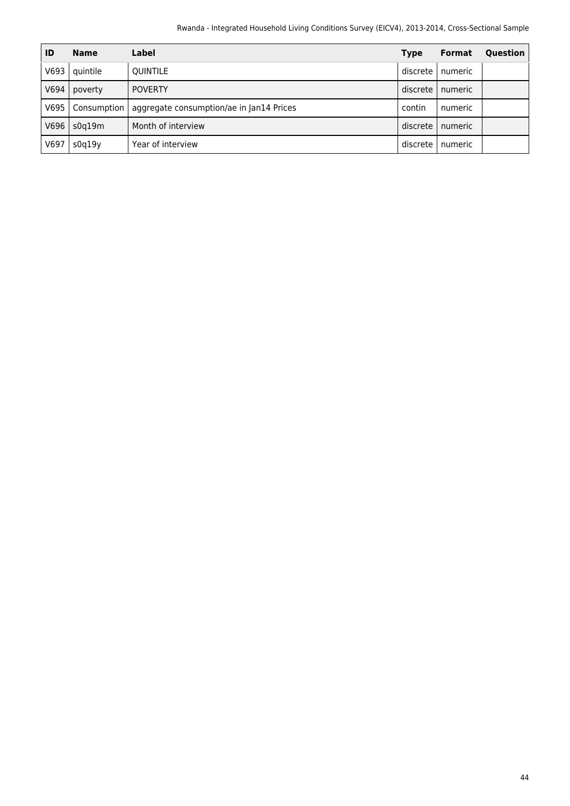Rwanda - Integrated Household Living Conditions Survey (EICV4), 2013-2014, Cross-Sectional Sample

| ID   | <b>Name</b> | Label                                    | <b>Type</b> | <b>Format</b> | Question |
|------|-------------|------------------------------------------|-------------|---------------|----------|
| V693 | quintile    | <b>OUINTILE</b>                          | discrete l  | numeric       |          |
| V694 | poverty     | <b>POVERTY</b>                           | discrete    | numeric       |          |
| V695 | Consumption | aggregate consumption/ae in Jan14 Prices | contin      | numeric       |          |
| V696 | s0q19m      | Month of interview                       | discrete    | numeric       |          |
| V697 | s0q19y      | Year of interview                        | discrete    | numeric       |          |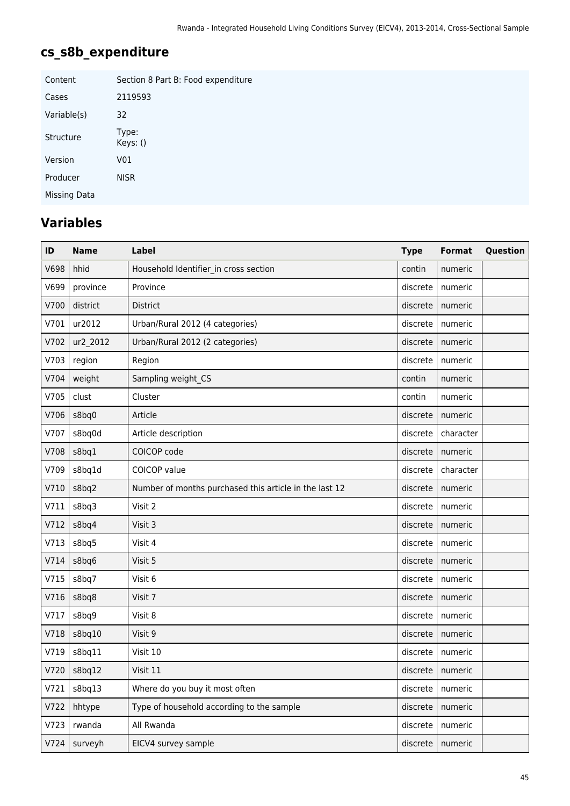## **cs\_s8b\_expenditure**

| Content             | Section 8 Part B: Food expenditure |
|---------------------|------------------------------------|
| Cases               | 2119593                            |
| Variable(s)         | 32                                 |
| Structure           | Type:<br>Keys: ()                  |
| Version             | V <sub>01</sub>                    |
| Producer            | <b>NISR</b>                        |
| <b>Missing Data</b> |                                    |

| ID   | <b>Name</b>   | Label                                                  | <b>Type</b> | <b>Format</b>      | Question |
|------|---------------|--------------------------------------------------------|-------------|--------------------|----------|
| V698 | hhid          | Household Identifier_in cross section                  | contin      | numeric            |          |
| V699 | province      | Province                                               | discrete    | numeric            |          |
| V700 | district      | <b>District</b>                                        | discrete    | numeric            |          |
| V701 | ur2012        | Urban/Rural 2012 (4 categories)                        | discrete    | numeric            |          |
| V702 | ur2_2012      | Urban/Rural 2012 (2 categories)                        | discrete    | numeric            |          |
| V703 | region        | Region                                                 | discrete    | numeric            |          |
| V704 | weight        | Sampling weight CS                                     | contin      | numeric            |          |
| V705 | clust         | Cluster                                                | contin      | numeric            |          |
| V706 | s8bq0         | Article                                                | discrete    | numeric            |          |
| V707 | s8bq0d        | Article description                                    | discrete    | character          |          |
| V708 | s8bq1         | COICOP code                                            | discrete    | numeric            |          |
| V709 | s8bq1d        | COICOP value                                           | discrete    | character          |          |
| V710 | s8bq2         | Number of months purchased this article in the last 12 | discrete    | numeric            |          |
| V711 | s8bq3         | Visit 2                                                | discrete    | numeric            |          |
| V712 | s8bq4         | Visit 3                                                | discrete    | numeric            |          |
| V713 | s8bq5         | Visit 4                                                | discrete    | numeric            |          |
| V714 | s8bq6         | Visit 5                                                | discrete    | numeric            |          |
| V715 | s8bq7         | Visit 6                                                | discrete    | numeric            |          |
| V716 | s8bq8         | Visit 7                                                | discrete    | numeric            |          |
| V717 | s8bq9         | Visit 8                                                | discrete    | numeric            |          |
| V718 | s8bq10        | Visit 9                                                | discrete    | numeric            |          |
| V719 | s8bq11        | Visit 10                                               | discrete    | numeric            |          |
|      | V720   s8bq12 | Visit 11                                               |             | discrete   numeric |          |
| V721 | s8bq13        | Where do you buy it most often                         | discrete    | numeric            |          |
| V722 | hhtype        | Type of household according to the sample              | discrete    | numeric            |          |
| V723 | rwanda        | All Rwanda                                             | discrete    | numeric            |          |
| V724 | surveyh       | EICV4 survey sample                                    | discrete    | numeric            |          |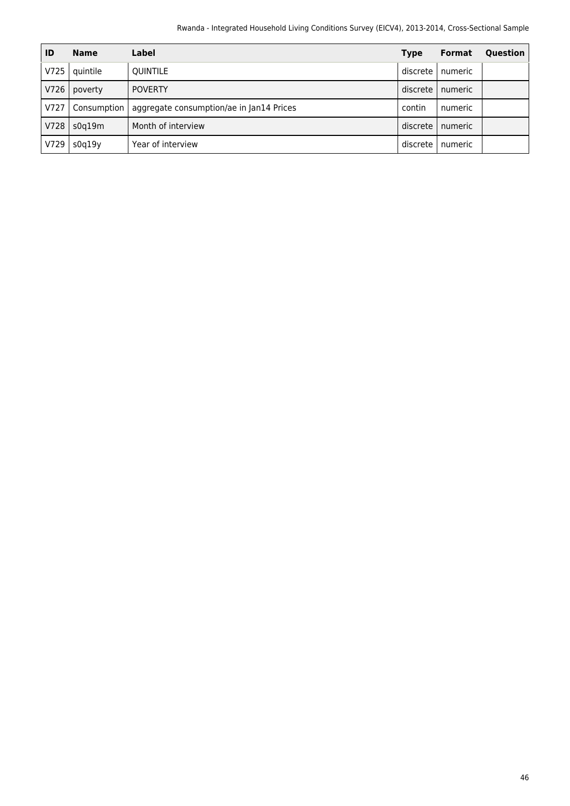Rwanda - Integrated Household Living Conditions Survey (EICV4), 2013-2014, Cross-Sectional Sample

| ID   | <b>Name</b> | Label                                    | <b>Type</b> | <b>Format</b>      | Question |
|------|-------------|------------------------------------------|-------------|--------------------|----------|
| V725 | quintile    | <b>OUINTILE</b>                          |             | discrete I numeric |          |
| V726 | poverty     | <b>POVERTY</b>                           | discrete l  | numeric            |          |
| V727 | Consumption | aggregate consumption/ae in Jan14 Prices | contin      | numeric            |          |
| V728 | s0q19m      | Month of interview                       | discrete    | numeric            |          |
| V729 | s0q19y      | Year of interview                        | discrete    | numeric            |          |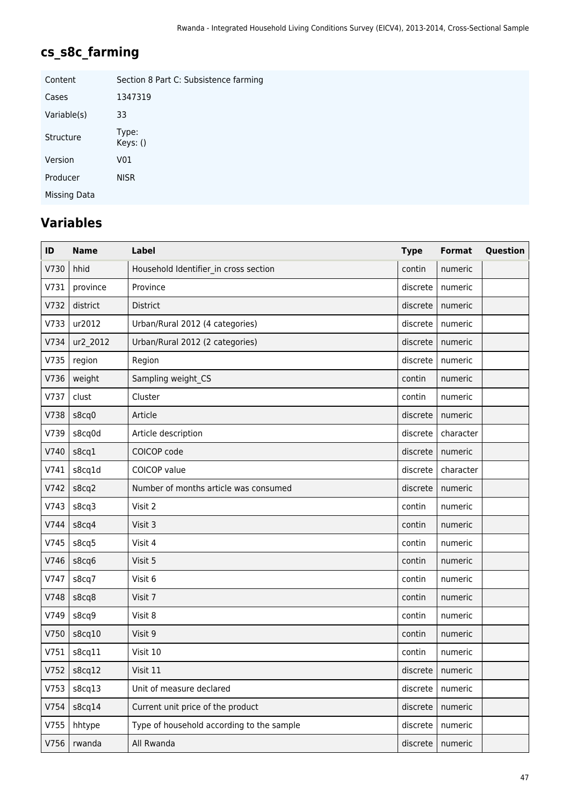# **cs\_s8c\_farming**

| Content             | Section 8 Part C: Subsistence farming |
|---------------------|---------------------------------------|
| Cases               | 1347319                               |
| Variable(s)         | 33                                    |
| Structure           | Type:<br>Keys: ()                     |
| Version             | V <sub>01</sub>                       |
| Producer            | <b>NISR</b>                           |
| <b>Missing Data</b> |                                       |

| ID   | <b>Name</b>   | <b>Label</b>                              | <b>Type</b> | <b>Format</b>      | Question |
|------|---------------|-------------------------------------------|-------------|--------------------|----------|
| V730 | hhid          | Household Identifier_in cross section     | contin      | numeric            |          |
| V731 | province      | Province                                  | discrete    | numeric            |          |
| V732 | district      | District                                  | discrete    | numeric            |          |
| V733 | ur2012        | Urban/Rural 2012 (4 categories)           | discrete    | numeric            |          |
| V734 | ur2_2012      | Urban/Rural 2012 (2 categories)           | discrete    | numeric            |          |
| V735 | region        | Region                                    | discrete    | numeric            |          |
| V736 | weight        | Sampling weight CS                        | contin      | numeric            |          |
| V737 | clust         | Cluster                                   | contin      | numeric            |          |
| V738 | s8cq0         | Article                                   | discrete    | numeric            |          |
| V739 | s8cq0d        | Article description                       | discrete    | character          |          |
| V740 | s8cq1         | COICOP code                               | discrete    | numeric            |          |
| V741 | s8cq1d        | COICOP value                              | discrete    | character          |          |
| V742 | s8cq2         | Number of months article was consumed     | discrete    | numeric            |          |
| V743 | s8cq3         | Visit 2                                   | contin      | numeric            |          |
| V744 | s8cq4         | Visit 3                                   | contin      | numeric            |          |
| V745 | s8cq5         | Visit 4                                   | contin      | numeric            |          |
| V746 | s8cq6         | Visit 5                                   | contin      | numeric            |          |
| V747 | s8cq7         | Visit 6                                   | contin      | numeric            |          |
| V748 | s8cq8         | Visit 7                                   | contin      | numeric            |          |
| V749 | s8cq9         | Visit 8                                   | contin      | numeric            |          |
| V750 | s8cq10        | Visit 9                                   | contin      | numeric            |          |
| V751 | s8cq11        | Visit 10                                  | contin      | numeric            |          |
|      | $V752$ s8cq12 | Visit 11                                  |             | discrete   numeric |          |
| V753 | s8cq13        | Unit of measure declared                  | discrete    | numeric            |          |
| V754 | s8cq14        | Current unit price of the product         | discrete    | numeric            |          |
| V755 | hhtype        | Type of household according to the sample | discrete    | numeric            |          |
| V756 | rwanda        | All Rwanda                                | discrete    | numeric            |          |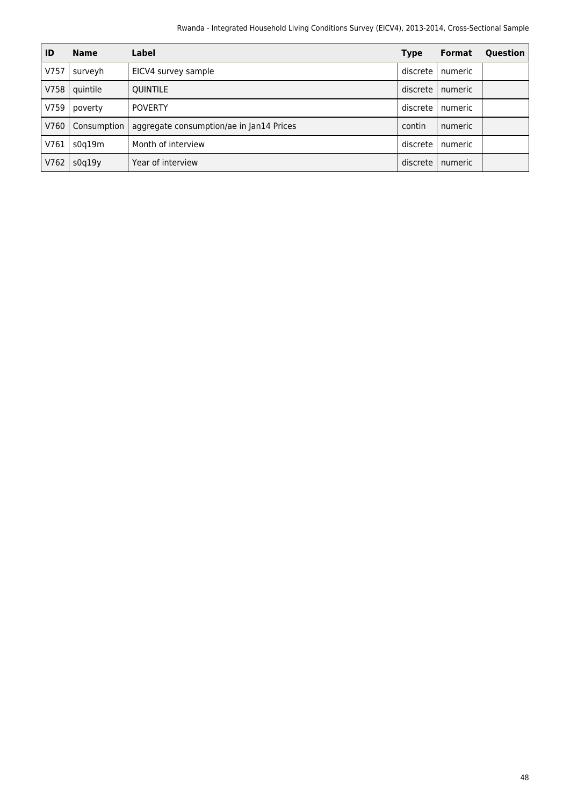Rwanda - Integrated Household Living Conditions Survey (EICV4), 2013-2014, Cross-Sectional Sample

| ID   | <b>Name</b> | Label                                    | <b>Type</b> | <b>Format</b> | Question |
|------|-------------|------------------------------------------|-------------|---------------|----------|
| V757 | surveyh     | EICV4 survey sample                      | discrete    | numeric       |          |
| V758 | quintile    | <b>OUINTILE</b>                          | discrete    | numeric       |          |
| V759 | poverty     | <b>POVERTY</b>                           | discrete    | numeric       |          |
| V760 | Consumption | aggregate consumption/ae in Jan14 Prices | contin      | numeric       |          |
| V761 | s0q19m      | Month of interview                       | discrete    | numeric       |          |
| V762 | s0q19y      | Year of interview                        | discrete    | numeric       |          |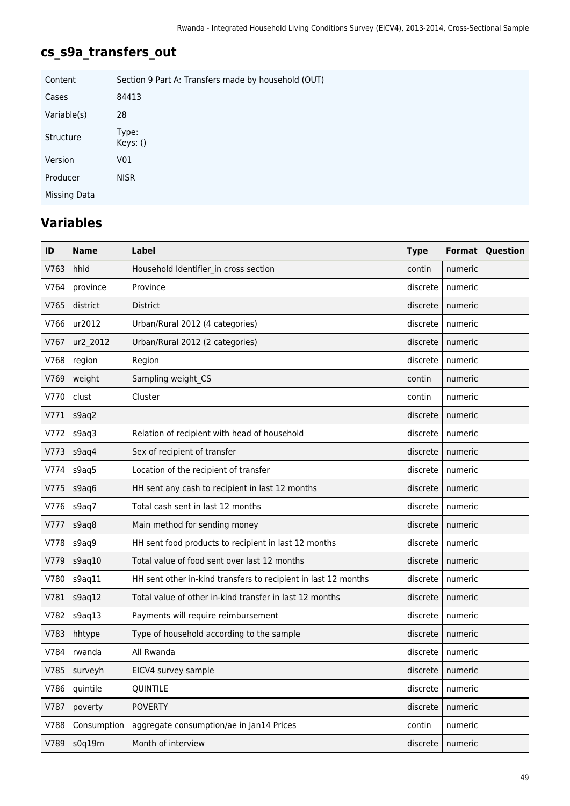## **cs\_s9a\_transfers\_out**

| Content             | Section 9 Part A: Transfers made by household (OUT) |
|---------------------|-----------------------------------------------------|
| Cases               | 84413                                               |
| Variable(s)         | 28                                                  |
| Structure           | Type:<br>Keys: ()                                   |
| Version             | V <sub>01</sub>                                     |
| Producer            | <b>NISR</b>                                         |
| <b>Missing Data</b> |                                                     |

| ID   | <b>Name</b> | Label                                                          | <b>Type</b> |                    | <b>Format Question</b> |
|------|-------------|----------------------------------------------------------------|-------------|--------------------|------------------------|
| V763 | hhid        | Household Identifier in cross section                          | contin      | numeric            |                        |
| V764 | province    | Province                                                       | discrete    | numeric            |                        |
| V765 | district    | <b>District</b>                                                | discrete    | numeric            |                        |
| V766 | ur2012      | Urban/Rural 2012 (4 categories)                                | discrete    | numeric            |                        |
| V767 | ur2_2012    | Urban/Rural 2012 (2 categories)                                | discrete    | numeric            |                        |
| V768 | region      | Region                                                         | discrete    | numeric            |                        |
| V769 | weight      | Sampling weight CS                                             | contin      | numeric            |                        |
| V770 | clust       | Cluster                                                        | contin      | numeric            |                        |
| V771 | s9aq2       |                                                                | discrete    | numeric            |                        |
| V772 | s9aq3       | Relation of recipient with head of household                   | discrete    | numeric            |                        |
| V773 | s9aq4       | Sex of recipient of transfer                                   | discrete    | numeric            |                        |
| V774 | s9aq5       | Location of the recipient of transfer                          | discrete    | numeric            |                        |
| V775 | s9aq6       | HH sent any cash to recipient in last 12 months                | discrete    | numeric            |                        |
| V776 | s9aq7       | Total cash sent in last 12 months                              | discrete    | numeric            |                        |
| V777 | s9aq8       | Main method for sending money                                  | discrete    | numeric            |                        |
| V778 | s9aq9       | HH sent food products to recipient in last 12 months           | discrete    | numeric            |                        |
| V779 | s9aq10      | Total value of food sent over last 12 months                   | discrete    | numeric            |                        |
| V780 | s9aq11      | HH sent other in-kind transfers to recipient in last 12 months | discrete    | numeric            |                        |
| V781 | s9aq12      | Total value of other in-kind transfer in last 12 months        | discrete    | numeric            |                        |
| V782 | s9aq13      | Payments will require reimbursement                            | discrete    | numeric            |                        |
| V783 | hhtype      | Type of household according to the sample                      | discrete    | numeric            |                        |
| V784 | rwanda      | All Rwanda                                                     | discrete    | numeric            |                        |
| V785 | surveyh     | EICV4 survey sample                                            |             | discrete   numeric |                        |
| V786 | quintile    | QUINTILE                                                       | discrete    | numeric            |                        |
| V787 | poverty     | <b>POVERTY</b>                                                 | discrete    | numeric            |                        |
| V788 | Consumption | aggregate consumption/ae in Jan14 Prices                       | contin      | numeric            |                        |
| V789 | s0q19m      | Month of interview                                             | discrete    | numeric            |                        |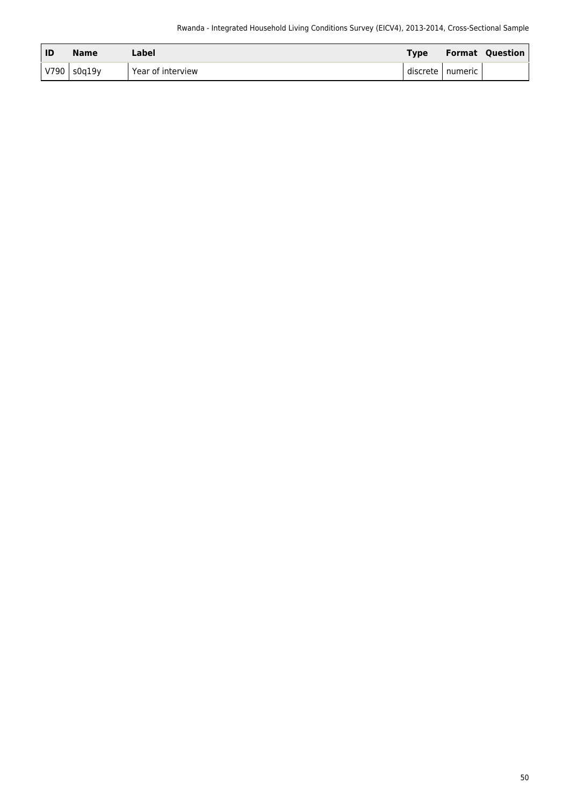| l ID | Name          | Label             | <b>Type</b> |                    | <b>Format Question</b> |
|------|---------------|-------------------|-------------|--------------------|------------------------|
|      | V790   s0q19y | Year of interview |             | discrete I numeric |                        |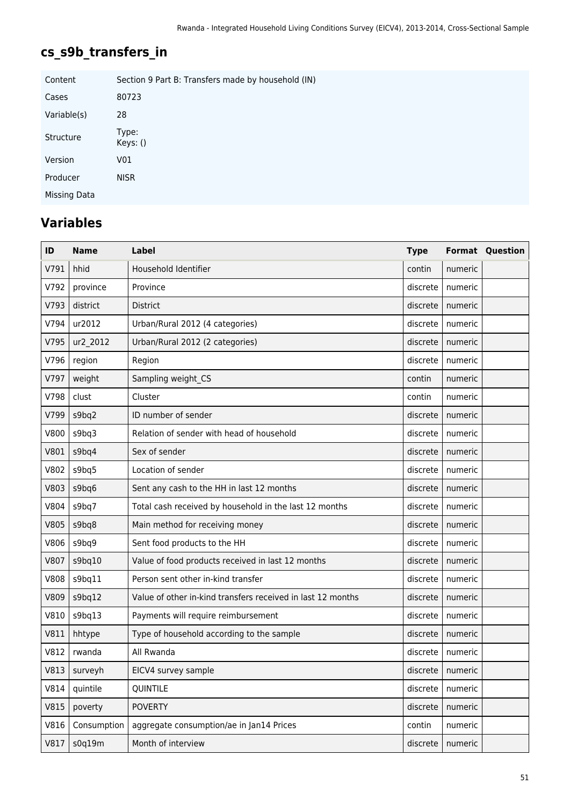# **cs\_s9b\_transfers\_in**

| Content             | Section 9 Part B: Transfers made by household (IN) |
|---------------------|----------------------------------------------------|
| Cases               | 80723                                              |
| Variable(s)         | 28                                                 |
| Structure           | Type:<br>Keys: ()                                  |
| Version             | V <sub>01</sub>                                    |
| Producer            | <b>NISR</b>                                        |
| <b>Missing Data</b> |                                                    |

| ID   | <b>Name</b> | Label                                                       | <b>Type</b> |                    | <b>Format Question</b> |
|------|-------------|-------------------------------------------------------------|-------------|--------------------|------------------------|
| V791 | hhid        | Household Identifier                                        | contin      | numeric            |                        |
| V792 | province    | Province                                                    | discrete    | numeric            |                        |
| V793 | district    | <b>District</b>                                             | discrete    | numeric            |                        |
| V794 | ur2012      | Urban/Rural 2012 (4 categories)                             | discrete    | numeric            |                        |
| V795 | ur2_2012    | Urban/Rural 2012 (2 categories)                             | discrete    | numeric            |                        |
| V796 | region      | Region                                                      | discrete    | numeric            |                        |
| V797 | weight      | Sampling weight CS                                          | contin      | numeric            |                        |
| V798 | clust       | Cluster                                                     | contin      | numeric            |                        |
| V799 | s9bq2       | ID number of sender                                         | discrete    | numeric            |                        |
| V800 | s9bq3       | Relation of sender with head of household                   | discrete    | numeric            |                        |
| V801 | s9bq4       | Sex of sender                                               | discrete    | numeric            |                        |
| V802 | s9bq5       | Location of sender                                          | discrete    | numeric            |                        |
| V803 | s9bq6       | Sent any cash to the HH in last 12 months                   | discrete    | numeric            |                        |
| V804 | s9bq7       | Total cash received by household in the last 12 months      | discrete    | numeric            |                        |
| V805 | s9bq8       | Main method for receiving money                             | discrete    | numeric            |                        |
| V806 | s9bq9       | Sent food products to the HH                                | discrete    | numeric            |                        |
| V807 | s9bq10      | Value of food products received in last 12 months           | discrete    | numeric            |                        |
| V808 | s9bq11      | Person sent other in-kind transfer                          | discrete    | numeric            |                        |
| V809 | s9bq12      | Value of other in-kind transfers received in last 12 months | discrete    | numeric            |                        |
| V810 | s9bq13      | Payments will require reimbursement                         | discrete    | numeric            |                        |
| V811 | hhtype      | Type of household according to the sample                   | discrete    | numeric            |                        |
| V812 | rwanda      | All Rwanda                                                  | discrete    | numeric            |                        |
| V813 | surveyh     | EICV4 survey sample                                         |             | discrete   numeric |                        |
| V814 | quintile    | QUINTILE                                                    | discrete    | numeric            |                        |
| V815 | poverty     | <b>POVERTY</b>                                              | discrete    | numeric            |                        |
| V816 | Consumption | aggregate consumption/ae in Jan14 Prices                    | contin      | numeric            |                        |
| V817 | s0q19m      | Month of interview                                          | discrete    | numeric            |                        |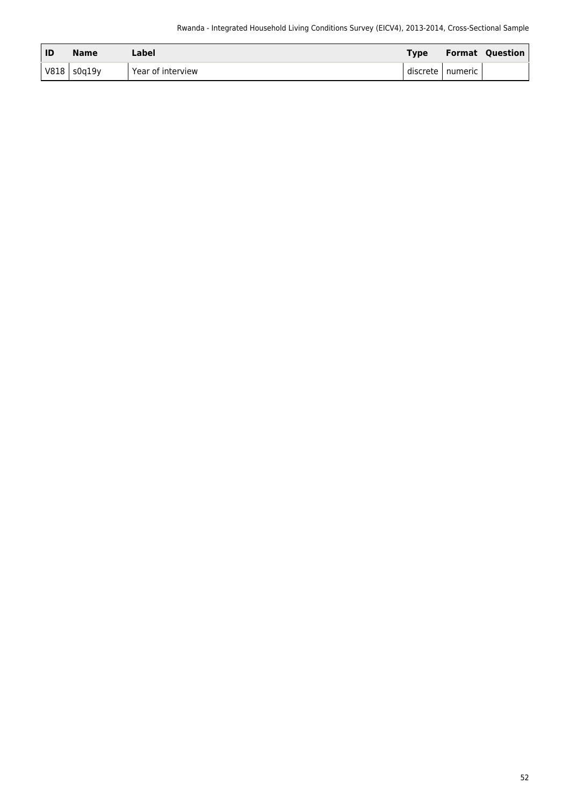| <u>I IDI</u> | <b>Name</b>   | Label             | <b>Type</b> |                    | <b>Format Question</b> |
|--------------|---------------|-------------------|-------------|--------------------|------------------------|
|              | V818   s0q19y | Year of interview |             | discrete   numeric |                        |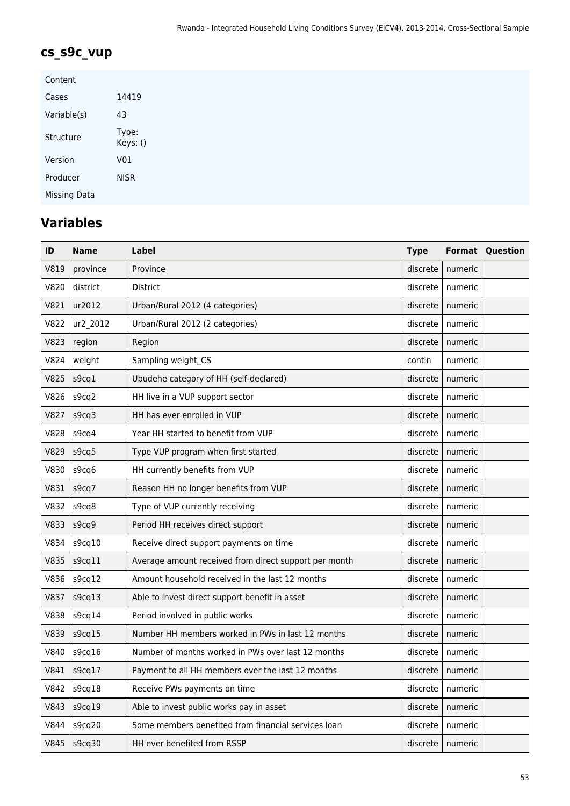### **cs\_s9c\_vup**

| Content             |                   |
|---------------------|-------------------|
| Cases               | 14419             |
| Variable(s)         | 43                |
| Structure           | Type:<br>Keys: () |
| Version             | V <sub>01</sub>   |
| Producer            | <b>NISR</b>       |
| <b>Missing Data</b> |                   |

| ID   | <b>Name</b> | Label                                                 | <b>Type</b> |                    | <b>Format Question</b> |
|------|-------------|-------------------------------------------------------|-------------|--------------------|------------------------|
| V819 | province    | Province                                              | discrete    | numeric            |                        |
| V820 | district    | <b>District</b>                                       | discrete    | numeric            |                        |
| V821 | ur2012      | Urban/Rural 2012 (4 categories)                       | discrete    | numeric            |                        |
| V822 | ur2_2012    | Urban/Rural 2012 (2 categories)                       | discrete    | numeric            |                        |
| V823 | region      | Region                                                | discrete    | numeric            |                        |
| V824 | weight      | Sampling weight CS                                    | contin      | numeric            |                        |
| V825 | s9cq1       | Ubudehe category of HH (self-declared)                | discrete    | numeric            |                        |
| V826 | s9cq2       | HH live in a VUP support sector                       | discrete    | numeric            |                        |
| V827 | s9cq3       | HH has ever enrolled in VUP                           | discrete    | numeric            |                        |
| V828 | s9cq4       | Year HH started to benefit from VUP                   | discrete    | numeric            |                        |
| V829 | s9cq5       | Type VUP program when first started                   | discrete    | numeric            |                        |
| V830 | s9cq6       | HH currently benefits from VUP                        | discrete    | numeric            |                        |
| V831 | s9cq7       | Reason HH no longer benefits from VUP                 | discrete    | numeric            |                        |
| V832 | s9cq8       | Type of VUP currently receiving                       | discrete    | numeric            |                        |
| V833 | s9cq9       | Period HH receives direct support                     | discrete    | numeric            |                        |
| V834 | s9cq10      | Receive direct support payments on time               | discrete    | numeric            |                        |
| V835 | s9cq11      | Average amount received from direct support per month | discrete    | numeric            |                        |
| V836 | s9cq12      | Amount household received in the last 12 months       | discrete    | numeric            |                        |
| V837 | s9cq13      | Able to invest direct support benefit in asset        | discrete    | numeric            |                        |
| V838 | s9cq14      | Period involved in public works                       | discrete    | numeric            |                        |
| V839 | s9cq15      | Number HH members worked in PWs in last 12 months     | discrete    | numeric            |                        |
| V840 | s9cq16      | Number of months worked in PWs over last 12 months    | discrete    | numeric            |                        |
| V841 | s9cq17      | Payment to all HH members over the last 12 months     |             | discrete   numeric |                        |
| V842 | s9cq18      | Receive PWs payments on time                          | discrete    | numeric            |                        |
| V843 | s9cq19      | Able to invest public works pay in asset              | discrete    | numeric            |                        |
| V844 | s9cq20      | Some members benefited from financial services loan   | discrete    | numeric            |                        |
| V845 | s9cq30      | HH ever benefited from RSSP                           | discrete    | numeric            |                        |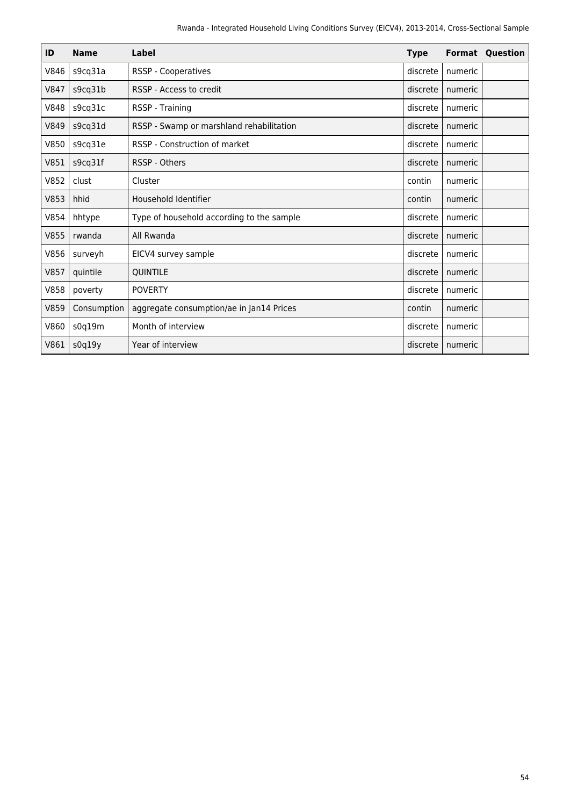| ID   | <b>Name</b> | Label                                     | <b>Type</b> | Format  | Question |
|------|-------------|-------------------------------------------|-------------|---------|----------|
| V846 | s9cq31a     | RSSP - Cooperatives                       | discrete    | numeric |          |
| V847 | s9cq31b     | RSSP - Access to credit                   | discrete    | numeric |          |
| V848 | s9cq31c     | RSSP - Training                           | discrete    | numeric |          |
| V849 | s9cq31d     | RSSP - Swamp or marshland rehabilitation  | discrete    | numeric |          |
| V850 | s9cq31e     | RSSP - Construction of market             | discrete    | numeric |          |
| V851 | s9cq31f     | RSSP - Others                             | discrete    | numeric |          |
| V852 | clust       | Cluster                                   | contin      | numeric |          |
| V853 | hhid        | Household Identifier                      | contin      | numeric |          |
| V854 | hhtype      | Type of household according to the sample | discrete    | numeric |          |
| V855 | rwanda      | All Rwanda                                | discrete    | numeric |          |
| V856 | surveyh     | EICV4 survey sample                       | discrete    | numeric |          |
| V857 | quintile    | QUINTILE                                  | discrete    | numeric |          |
| V858 | poverty     | <b>POVERTY</b>                            | discrete    | numeric |          |
| V859 | Consumption | aggregate consumption/ae in Jan14 Prices  | contin      | numeric |          |
| V860 | s0q19m      | Month of interview                        | discrete    | numeric |          |
| V861 | s0q19y      | Year of interview                         | discrete    | numeric |          |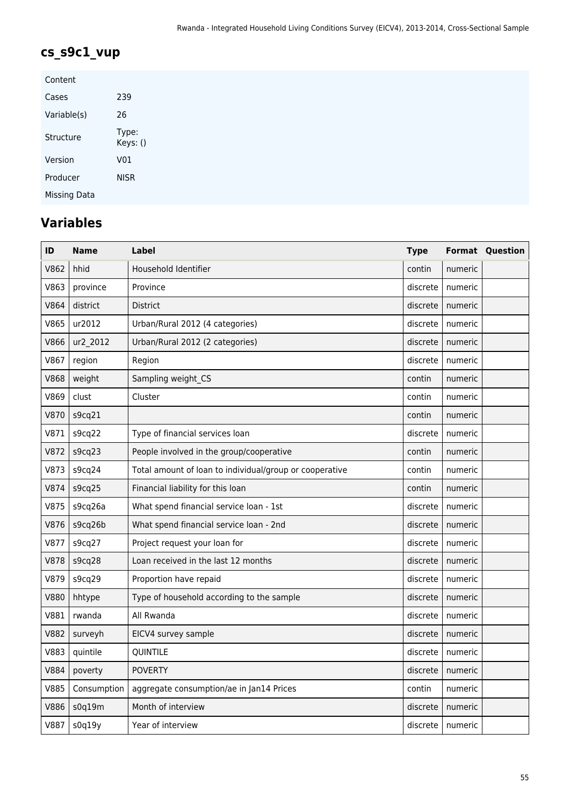## **cs\_s9c1\_vup**

| Content             |                   |
|---------------------|-------------------|
| Cases               | 239               |
| Variable(s)         | 26                |
| Structure           | Type:<br>Keys: () |
| Version             | V <sub>01</sub>   |
| Producer            | <b>NISR</b>       |
| <b>Missing Data</b> |                   |

| ID   | <b>Name</b> | Label                                                   | <b>Type</b> |         | <b>Format Question</b> |
|------|-------------|---------------------------------------------------------|-------------|---------|------------------------|
| V862 | hhid        | Household Identifier                                    | contin      | numeric |                        |
| V863 | province    | Province                                                | discrete    | numeric |                        |
| V864 | district    | <b>District</b>                                         | discrete    | numeric |                        |
| V865 | ur2012      | Urban/Rural 2012 (4 categories)                         | discrete    | numeric |                        |
| V866 | ur2_2012    | Urban/Rural 2012 (2 categories)                         | discrete    | numeric |                        |
| V867 | region      | Region                                                  | discrete    | numeric |                        |
| V868 | weight      | Sampling weight CS                                      | contin      | numeric |                        |
| V869 | clust       | Cluster                                                 | contin      | numeric |                        |
| V870 | s9cq21      |                                                         | contin      | numeric |                        |
| V871 | s9cq22      | Type of financial services loan                         | discrete    | numeric |                        |
| V872 | s9cq23      | People involved in the group/cooperative                | contin      | numeric |                        |
| V873 | s9cq24      | Total amount of loan to individual/group or cooperative | contin      | numeric |                        |
| V874 | s9cq25      | Financial liability for this loan                       | contin      | numeric |                        |
| V875 | s9cq26a     | What spend financial service loan - 1st                 | discrete    | numeric |                        |
| V876 | s9cq26b     | What spend financial service loan - 2nd                 | discrete    | numeric |                        |
| V877 | s9cq27      | Project request your loan for                           | discrete    | numeric |                        |
| V878 | s9cq28      | Loan received in the last 12 months                     | discrete    | numeric |                        |
| V879 | s9cq29      | Proportion have repaid                                  | discrete    | numeric |                        |
| V880 | hhtype      | Type of household according to the sample               | discrete    | numeric |                        |
| V881 | rwanda      | All Rwanda                                              | discrete    | numeric |                        |
| V882 | surveyh     | EICV4 survey sample                                     | discrete    | numeric |                        |
| V883 | quintile    | QUINTILE                                                | discrete    | numeric |                        |
| V884 | poverty     | <b>POVERTY</b>                                          | discrete    | numeric |                        |
| V885 | Consumption | aggregate consumption/ae in Jan14 Prices                | contin      | numeric |                        |
| V886 | s0q19m      | Month of interview                                      | discrete    | numeric |                        |
| V887 | s0q19y      | Year of interview                                       | discrete    | numeric |                        |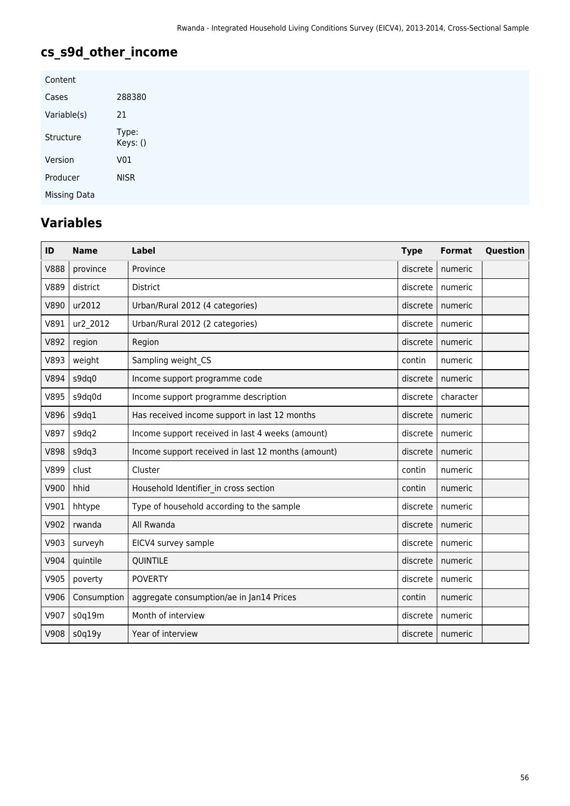# **cs\_s9d\_other\_income**

| Content             |                   |  |
|---------------------|-------------------|--|
| Cases               | 288380            |  |
| Variable(s)         | 21                |  |
| Structure           | Type:<br>Keys: () |  |
| Version             | V <sub>01</sub>   |  |
| Producer            | <b>NISR</b>       |  |
| <b>Missing Data</b> |                   |  |

| ID          | <b>Name</b> | Label                                              | <b>Type</b> | <b>Format</b> | Question |
|-------------|-------------|----------------------------------------------------|-------------|---------------|----------|
| <b>V888</b> | province    | Province                                           | discrete    | numeric       |          |
| V889        | district    | District                                           | discrete    | numeric       |          |
| V890        | ur2012      | Urban/Rural 2012 (4 categories)                    | discrete    | numeric       |          |
| V891        | ur2_2012    | Urban/Rural 2012 (2 categories)                    | discrete    | numeric       |          |
| V892        | region      | Region                                             | discrete    | numeric       |          |
| V893        | weight      | Sampling weight CS                                 | contin      | numeric       |          |
| V894        | s9dq0       | Income support programme code                      | discrete    | numeric       |          |
| V895        | s9dq0d      | Income support programme description               | discrete    | character     |          |
| V896        | s9dq1       | Has received income support in last 12 months      | discrete    | numeric       |          |
| V897        | s9dq2       | Income support received in last 4 weeks (amount)   | discrete    | numeric       |          |
| V898        | s9dq3       | Income support received in last 12 months (amount) | discrete    | numeric       |          |
| V899        | clust       | Cluster                                            | contin      | numeric       |          |
| V900        | hhid        | Household Identifier in cross section              | contin      | numeric       |          |
| V901        | hhtype      | Type of household according to the sample          | discrete    | numeric       |          |
| V902        | rwanda      | All Rwanda                                         | discrete    | numeric       |          |
| V903        | surveyh     | EICV4 survey sample                                | discrete    | numeric       |          |
| V904        | quintile    | QUINTILE                                           | discrete    | numeric       |          |
| V905        | poverty     | <b>POVERTY</b>                                     | discrete    | numeric       |          |
| V906        | Consumption | aggregate consumption/ae in Jan14 Prices           | contin      | numeric       |          |
| V907        | s0q19m      | Month of interview                                 | discrete    | numeric       |          |
| V908        | s0q19y      | Year of interview                                  | discrete    | numeric       |          |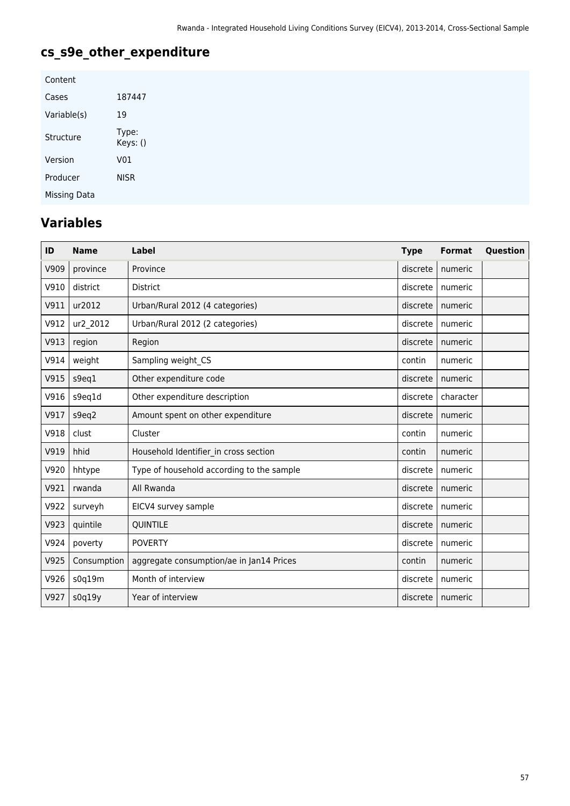# **cs\_s9e\_other\_expenditure**

| Content      |                   |
|--------------|-------------------|
| Cases        | 187447            |
| Variable(s)  | 19                |
| Structure    | Type:<br>Keys: () |
| Version      | V <sub>01</sub>   |
| Producer     | <b>NISR</b>       |
| Missing Data |                   |

| ID   | <b>Name</b> | <b>Label</b>                              | <b>Type</b> | <b>Format</b> | Question |
|------|-------------|-------------------------------------------|-------------|---------------|----------|
| V909 | province    | Province                                  | discrete    | numeric       |          |
| V910 | district    | <b>District</b>                           | discrete    | numeric       |          |
| V911 | ur2012      | Urban/Rural 2012 (4 categories)           | discrete    | numeric       |          |
| V912 | ur2_2012    | Urban/Rural 2012 (2 categories)           | discrete    | numeric       |          |
| V913 | region      | Region                                    | discrete    | numeric       |          |
| V914 | weight      | Sampling weight CS                        | contin      | numeric       |          |
| V915 | s9eq1       | Other expenditure code                    | discrete    | numeric       |          |
| V916 | s9eq1d      | Other expenditure description             | discrete    | character     |          |
| V917 | s9eq2       | Amount spent on other expenditure         | discrete    | numeric       |          |
| V918 | clust       | Cluster                                   | contin      | numeric       |          |
| V919 | hhid        | Household Identifier in cross section     | contin      | numeric       |          |
| V920 | hhtype      | Type of household according to the sample | discrete    | numeric       |          |
| V921 | rwanda      | All Rwanda                                | discrete    | numeric       |          |
| V922 | surveyh     | EICV4 survey sample                       | discrete    | numeric       |          |
| V923 | quintile    | QUINTILE                                  | discrete    | numeric       |          |
| V924 | poverty     | <b>POVERTY</b>                            | discrete    | numeric       |          |
| V925 | Consumption | aggregate consumption/ae in Jan14 Prices  | contin      | numeric       |          |
| V926 | s0q19m      | Month of interview                        | discrete    | numeric       |          |
| V927 | s0q19y      | Year of interview                         | discrete    | numeric       |          |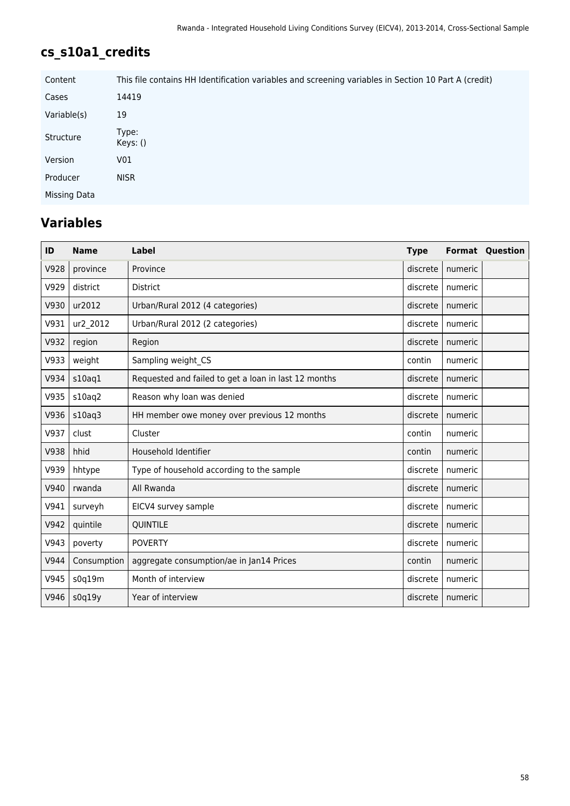## **cs\_s10a1\_credits**

| Content             | This file contains HH Identification variables and screening variables in Section 10 Part A (credit) |
|---------------------|------------------------------------------------------------------------------------------------------|
| Cases               | 14419                                                                                                |
| Variable(s)         | 19                                                                                                   |
| Structure           | Type:<br>Keys: ()                                                                                    |
| Version             | V <sub>01</sub>                                                                                      |
| Producer            | <b>NISR</b>                                                                                          |
| <b>Missing Data</b> |                                                                                                      |

| ID   | <b>Name</b> | Label                                                | <b>Type</b> |         | <b>Format Question</b> |
|------|-------------|------------------------------------------------------|-------------|---------|------------------------|
| V928 | province    | Province                                             | discrete    | numeric |                        |
| V929 | district    | <b>District</b>                                      | discrete    | numeric |                        |
| V930 | ur2012      | Urban/Rural 2012 (4 categories)                      | discrete    | numeric |                        |
| V931 | ur2 2012    | Urban/Rural 2012 (2 categories)                      | discrete    | numeric |                        |
| V932 | region      | Region                                               | discrete    | numeric |                        |
| V933 | weight      | Sampling weight CS                                   | contin      | numeric |                        |
| V934 | s10aq1      | Requested and failed to get a loan in last 12 months | discrete    | numeric |                        |
| V935 | s10aq2      | Reason why loan was denied                           | discrete    | numeric |                        |
| V936 | s10aq3      | HH member owe money over previous 12 months          | discrete    | numeric |                        |
| V937 | clust       | Cluster                                              | contin      | numeric |                        |
| V938 | hhid        | Household Identifier                                 | contin      | numeric |                        |
| V939 | hhtype      | Type of household according to the sample            | discrete    | numeric |                        |
| V940 | rwanda      | All Rwanda                                           | discrete    | numeric |                        |
| V941 | surveyh     | EICV4 survey sample                                  | discrete    | numeric |                        |
| V942 | quintile    | QUINTILE                                             | discrete    | numeric |                        |
| V943 | poverty     | <b>POVERTY</b>                                       | discrete    | numeric |                        |
| V944 | Consumption | aggregate consumption/ae in Jan14 Prices             | contin      | numeric |                        |
| V945 | s0q19m      | Month of interview                                   | discrete    | numeric |                        |
| V946 | s0q19y      | Year of interview                                    | discrete    | numeric |                        |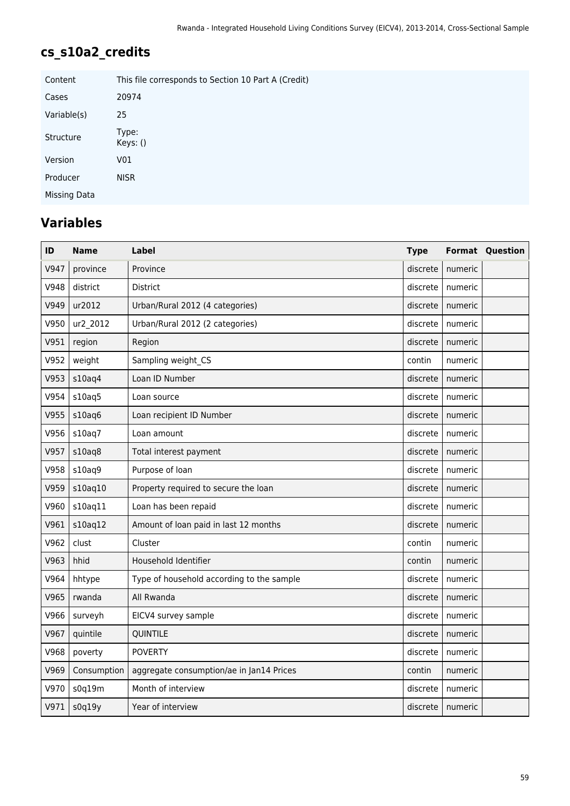# **cs\_s10a2\_credits**

| Content             | This file corresponds to Section 10 Part A (Credit) |
|---------------------|-----------------------------------------------------|
| Cases               | 20974                                               |
| Variable(s)         | 25                                                  |
| Structure           | Type:<br>Keys: ()                                   |
| Version             | V <sub>01</sub>                                     |
| Producer            | <b>NISR</b>                                         |
| <b>Missing Data</b> |                                                     |

| ID   | <b>Name</b> | Label                                     | <b>Type</b> |         | <b>Format Question</b> |
|------|-------------|-------------------------------------------|-------------|---------|------------------------|
| V947 | province    | Province                                  | discrete    | numeric |                        |
| V948 | district    | <b>District</b>                           | discrete    | numeric |                        |
| V949 | ur2012      | Urban/Rural 2012 (4 categories)           | discrete    | numeric |                        |
| V950 | ur2 2012    | Urban/Rural 2012 (2 categories)           | discrete    | numeric |                        |
| V951 | region      | Region                                    | discrete    | numeric |                        |
| V952 | weight      | Sampling weight CS                        | contin      | numeric |                        |
| V953 | s10aq4      | Loan ID Number                            | discrete    | numeric |                        |
| V954 | s10aq5      | Loan source                               | discrete    | numeric |                        |
| V955 | s10aq6      | Loan recipient ID Number                  | discrete    | numeric |                        |
| V956 | s10aq7      | Loan amount                               | discrete    | numeric |                        |
| V957 | s10aq8      | Total interest payment                    | discrete    | numeric |                        |
| V958 | s10aq9      | Purpose of loan                           | discrete    | numeric |                        |
| V959 | s10aq10     | Property required to secure the loan      | discrete    | numeric |                        |
| V960 | s10aq11     | Loan has been repaid                      | discrete    | numeric |                        |
| V961 | s10aq12     | Amount of loan paid in last 12 months     | discrete    | numeric |                        |
| V962 | clust       | Cluster                                   | contin      | numeric |                        |
| V963 | hhid        | Household Identifier                      | contin      | numeric |                        |
| V964 | hhtype      | Type of household according to the sample | discrete    | numeric |                        |
| V965 | rwanda      | All Rwanda                                | discrete    | numeric |                        |
| V966 | surveyh     | EICV4 survey sample                       | discrete    | numeric |                        |
| V967 | quintile    | QUINTILE                                  | discrete    | numeric |                        |
| V968 | poverty     | <b>POVERTY</b>                            | discrete    | numeric |                        |
| V969 | Consumption | aggregate consumption/ae in Jan14 Prices  | contin      | numeric |                        |
| V970 | s0q19m      | Month of interview                        | discrete    | numeric |                        |
| V971 | s0q19y      | Year of interview                         | discrete    | numeric |                        |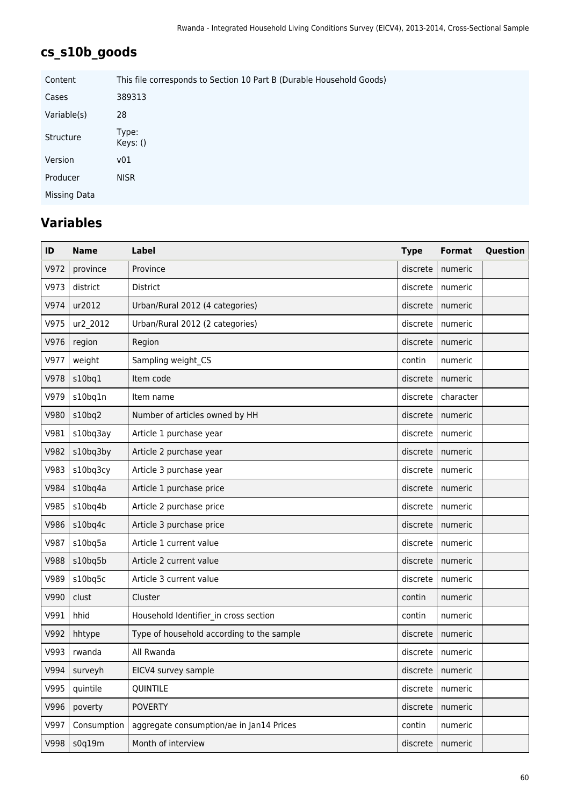## **cs\_s10b\_goods**

| Content             | This file corresponds to Section 10 Part B (Durable Household Goods) |
|---------------------|----------------------------------------------------------------------|
| Cases               | 389313                                                               |
| Variable(s)         | 28                                                                   |
| Structure           | Type:<br>Keys: ()                                                    |
| Version             | v01                                                                  |
| Producer            | <b>NISR</b>                                                          |
| <b>Missing Data</b> |                                                                      |

| ID   | <b>Name</b> | Label                                     | <b>Type</b> | <b>Format</b>      | Question |
|------|-------------|-------------------------------------------|-------------|--------------------|----------|
| V972 | province    | Province                                  | discrete    | numeric            |          |
| V973 | district    | District                                  | discrete    | numeric            |          |
| V974 | ur2012      | Urban/Rural 2012 (4 categories)           | discrete    | numeric            |          |
| V975 | ur2 2012    | Urban/Rural 2012 (2 categories)           | discrete    | numeric            |          |
| V976 | region      | Region                                    | discrete    | numeric            |          |
| V977 | weight      | Sampling weight CS                        | contin      | numeric            |          |
| V978 | s10bq1      | Item code                                 | discrete    | numeric            |          |
| V979 | s10bq1n     | Item name                                 | discrete    | character          |          |
| V980 | s10bq2      | Number of articles owned by HH            | discrete    | numeric            |          |
| V981 | s10bq3ay    | Article 1 purchase year                   | discrete    | numeric            |          |
| V982 | s10bq3by    | Article 2 purchase year                   | discrete    | numeric            |          |
| V983 | s10bq3cy    | Article 3 purchase year                   | discrete    | numeric            |          |
| V984 | s10bq4a     | Article 1 purchase price                  | discrete    | numeric            |          |
| V985 | s10bq4b     | Article 2 purchase price                  | discrete    | numeric            |          |
| V986 | s10bq4c     | Article 3 purchase price                  | discrete    | numeric            |          |
| V987 | s10bq5a     | Article 1 current value                   | discrete    | numeric            |          |
| V988 | s10bq5b     | Article 2 current value                   | discrete    | numeric            |          |
| V989 | s10bq5c     | Article 3 current value                   | discrete    | numeric            |          |
| V990 | clust       | Cluster                                   | contin      | numeric            |          |
| V991 | hhid        | Household Identifier_in cross section     | contin      | numeric            |          |
| V992 | hhtype      | Type of household according to the sample | discrete    | numeric            |          |
| V993 | rwanda      | All Rwanda                                | discrete    | numeric            |          |
| V994 | surveyh     | EICV4 survey sample                       |             | discrete   numeric |          |
| V995 | quintile    | QUINTILE                                  | discrete    | numeric            |          |
| V996 | poverty     | <b>POVERTY</b>                            | discrete    | numeric            |          |
| V997 | Consumption | aggregate consumption/ae in Jan14 Prices  | contin      | numeric            |          |
| V998 | s0q19m      | Month of interview                        | discrete    | numeric            |          |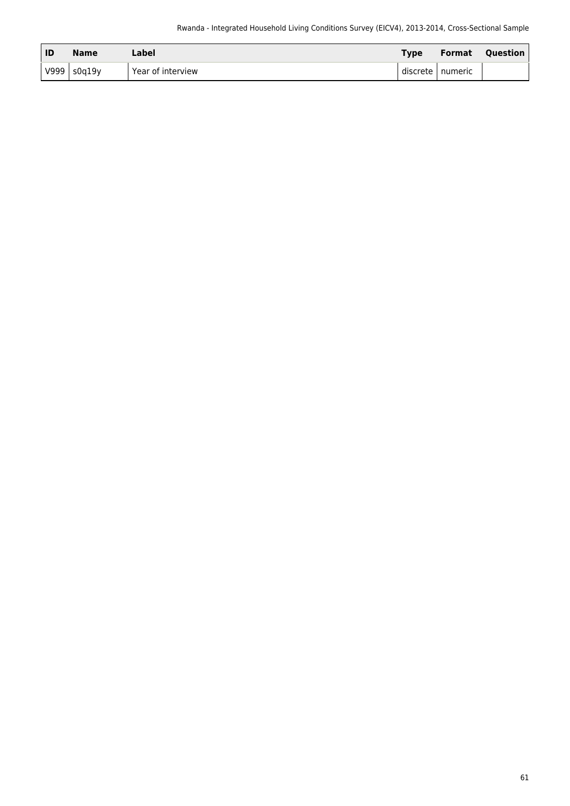| ID | <b>Name</b>            | .abel             | <b>Type</b> | Format             | <b>Ouestion</b> |
|----|------------------------|-------------------|-------------|--------------------|-----------------|
|    | $V999$ $\sqrt{50q19y}$ | Year of interview |             | discrete I numeric |                 |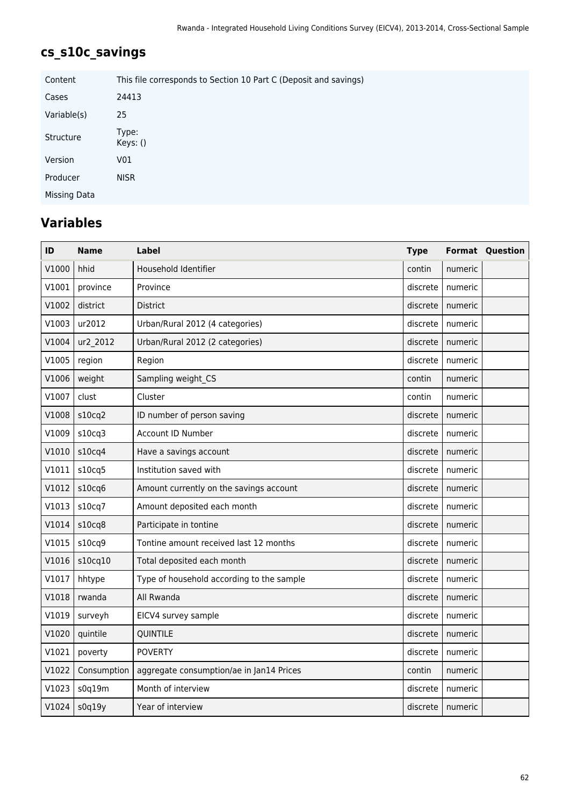# **cs\_s10c\_savings**

| Content             | This file corresponds to Section 10 Part C (Deposit and savings) |
|---------------------|------------------------------------------------------------------|
| Cases               | 24413                                                            |
| Variable(s)         | 25                                                               |
| Structure           | Type:<br>Keys: ()                                                |
| Version             | V <sub>01</sub>                                                  |
| Producer            | <b>NISR</b>                                                      |
| <b>Missing Data</b> |                                                                  |

| ID    | <b>Name</b> | Label                                     | <b>Type</b> |         | <b>Format Question</b> |
|-------|-------------|-------------------------------------------|-------------|---------|------------------------|
| V1000 | hhid        | Household Identifier                      | contin      | numeric |                        |
| V1001 | province    | Province                                  | discrete    | numeric |                        |
| V1002 | district    | <b>District</b>                           | discrete    | numeric |                        |
| V1003 | ur2012      | Urban/Rural 2012 (4 categories)           | discrete    | numeric |                        |
| V1004 | ur2 2012    | Urban/Rural 2012 (2 categories)           | discrete    | numeric |                        |
| V1005 | region      | Region                                    | discrete    | numeric |                        |
| V1006 | weight      | Sampling weight CS                        | contin      | numeric |                        |
| V1007 | clust       | Cluster                                   | contin      | numeric |                        |
| V1008 | s10cq2      | ID number of person saving                | discrete    | numeric |                        |
| V1009 | s10cq3      | Account ID Number                         | discrete    | numeric |                        |
| V1010 | s10cq4      | Have a savings account                    | discrete    | numeric |                        |
| V1011 | s10cq5      | Institution saved with                    | discrete    | numeric |                        |
| V1012 | s10cq6      | Amount currently on the savings account   | discrete    | numeric |                        |
| V1013 | s10cq7      | Amount deposited each month               | discrete    | numeric |                        |
| V1014 | s10cq8      | Participate in tontine                    | discrete    | numeric |                        |
| V1015 | s10cq9      | Tontine amount received last 12 months    | discrete    | numeric |                        |
| V1016 | s10cq10     | Total deposited each month                | discrete    | numeric |                        |
| V1017 | hhtype      | Type of household according to the sample | discrete    | numeric |                        |
| V1018 | rwanda      | All Rwanda                                | discrete    | numeric |                        |
| V1019 | surveyh     | EICV4 survey sample                       | discrete    | numeric |                        |
| V1020 | quintile    | QUINTILE                                  | discrete    | numeric |                        |
| V1021 | poverty     | <b>POVERTY</b>                            | discrete    | numeric |                        |
| V1022 | Consumption | aggregate consumption/ae in Jan14 Prices  | contin      | numeric |                        |
| V1023 | s0q19m      | Month of interview                        | discrete    | numeric |                        |
| V1024 | s0q19y      | Year of interview                         | discrete    | numeric |                        |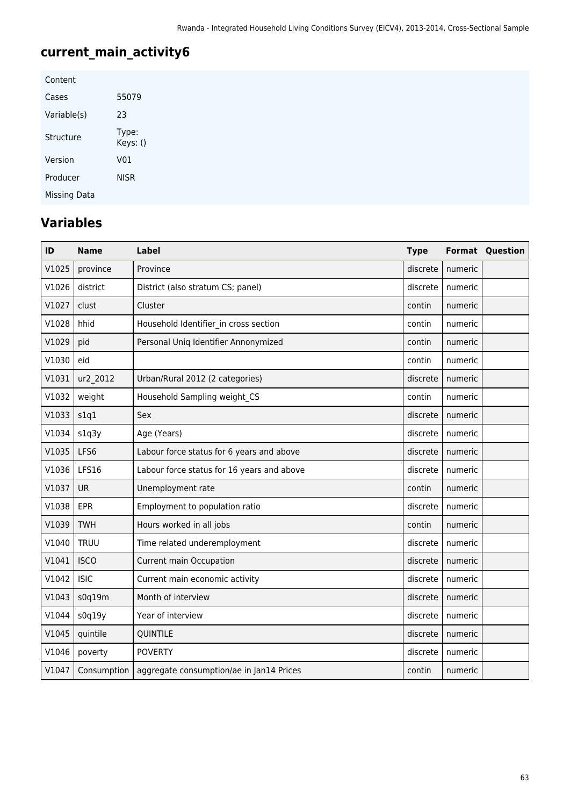# **current\_main\_activity6**

| Content             |                   |  |
|---------------------|-------------------|--|
| Cases               | 55079             |  |
| Variable(s)         | 23                |  |
| Structure           | Type:<br>Keys: () |  |
| Version             | V <sub>01</sub>   |  |
| Producer            | <b>NISR</b>       |  |
| <b>Missing Data</b> |                   |  |

| ID    | <b>Name</b>  | Label                                      | <b>Type</b> |         | <b>Format Question</b> |
|-------|--------------|--------------------------------------------|-------------|---------|------------------------|
| V1025 | province     | Province                                   | discrete    | numeric |                        |
| V1026 | district     | District (also stratum CS; panel)          | discrete    | numeric |                        |
| V1027 | clust        | Cluster                                    | contin      | numeric |                        |
| V1028 | hhid         | Household Identifier in cross section      | contin      | numeric |                        |
| V1029 | pid          | Personal Uniq Identifier Annonymized       | contin      | numeric |                        |
| V1030 | eid          |                                            | contin      | numeric |                        |
| V1031 | ur2 2012     | Urban/Rural 2012 (2 categories)            | discrete    | numeric |                        |
| V1032 | weight       | Household Sampling weight CS               | contin      | numeric |                        |
| V1033 | s1q1         | Sex                                        | discrete    | numeric |                        |
| V1034 | s1q3y        | Age (Years)                                | discrete    | numeric |                        |
| V1035 | LFS6         | Labour force status for 6 years and above  | discrete    | numeric |                        |
| V1036 | <b>LFS16</b> | Labour force status for 16 years and above | discrete    | numeric |                        |
| V1037 | <b>UR</b>    | Unemployment rate                          | contin      | numeric |                        |
| V1038 | <b>EPR</b>   | Employment to population ratio             | discrete    | numeric |                        |
| V1039 | <b>TWH</b>   | Hours worked in all jobs                   | contin      | numeric |                        |
| V1040 | <b>TRUU</b>  | Time related underemployment               | discrete    | numeric |                        |
| V1041 | <b>ISCO</b>  | Current main Occupation                    | discrete    | numeric |                        |
| V1042 | <b>ISIC</b>  | Current main economic activity             | discrete    | numeric |                        |
| V1043 | s0q19m       | Month of interview                         | discrete    | numeric |                        |
| V1044 | s0q19y       | Year of interview                          | discrete    | numeric |                        |
| V1045 | quintile     | QUINTILE                                   | discrete    | numeric |                        |
| V1046 | poverty      | <b>POVERTY</b>                             | discrete    | numeric |                        |
| V1047 | Consumption  | aggregate consumption/ae in Jan14 Prices   | contin      | numeric |                        |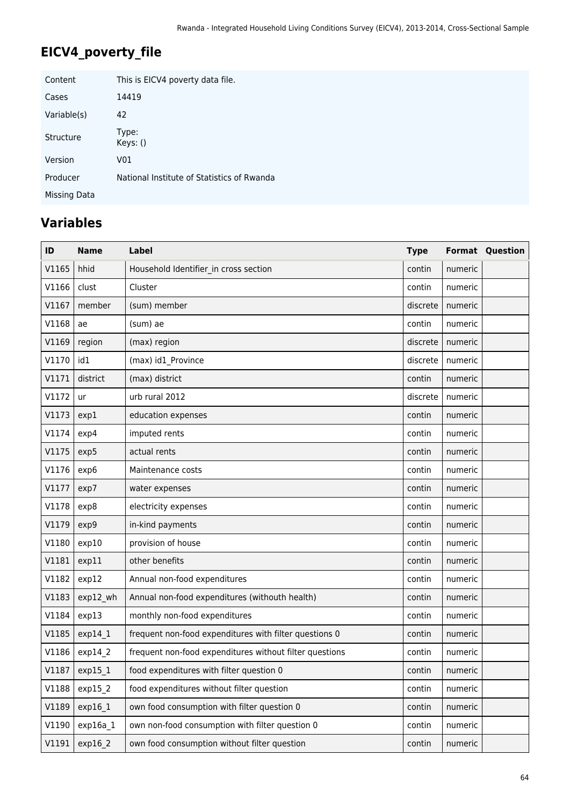## **EICV4\_poverty\_file**

| Content      | This is EICV4 poverty data file.           |
|--------------|--------------------------------------------|
| Cases        | 14419                                      |
| Variable(s)  | 42                                         |
| Structure    | Type:<br>Keys: ()                          |
| Version      | V01                                        |
| Producer     | National Institute of Statistics of Rwanda |
| Missing Data |                                            |

| ID    | <b>Name</b> | <b>Label</b>                                            | <b>Type</b> |         | <b>Format Question</b> |
|-------|-------------|---------------------------------------------------------|-------------|---------|------------------------|
| V1165 | hhid        | Household Identifier in cross section                   | contin      | numeric |                        |
| V1166 | clust       | Cluster                                                 | contin      | numeric |                        |
| V1167 | member      | (sum) member                                            | discrete    | numeric |                        |
| V1168 | ae          | (sum) ae                                                | contin      | numeric |                        |
| V1169 | region      | (max) region                                            | discrete    | numeric |                        |
| V1170 | id1         | (max) id1_Province                                      | discrete    | numeric |                        |
| V1171 | district    | (max) district                                          | contin      | numeric |                        |
| V1172 | ur          | urb rural 2012                                          | discrete    | numeric |                        |
| V1173 | exp1        | education expenses                                      | contin      | numeric |                        |
| V1174 | exp4        | imputed rents                                           | contin      | numeric |                        |
| V1175 | exp5        | actual rents                                            | contin      | numeric |                        |
| V1176 | exp6        | Maintenance costs                                       | contin      | numeric |                        |
| V1177 | exp7        | water expenses                                          | contin      | numeric |                        |
| V1178 | exp8        | electricity expenses                                    | contin      | numeric |                        |
| V1179 | exp9        | in-kind payments                                        | contin      | numeric |                        |
| V1180 | exp10       | provision of house                                      | contin      | numeric |                        |
| V1181 | exp11       | other benefits                                          | contin      | numeric |                        |
| V1182 | exp12       | Annual non-food expenditures                            | contin      | numeric |                        |
| V1183 | exp12 wh    | Annual non-food expenditures (withouth health)          | contin      | numeric |                        |
| V1184 | exp13       | monthly non-food expenditures                           | contin      | numeric |                        |
| V1185 | $exp14_1$   | frequent non-food expenditures with filter questions 0  | contin      | numeric |                        |
| V1186 | exp14 2     | frequent non-food expenditures without filter questions | contin      | numeric |                        |
| V1187 | $exp15_1$   | food expenditures with filter question 0                | contin      | numeric |                        |
| V1188 | $exp15_2$   | food expenditures without filter question               | contin      | numeric |                        |
| V1189 | exp16 1     | own food consumption with filter question 0             | contin      | numeric |                        |
| V1190 | $exp16a_1$  | own non-food consumption with filter question 0         | contin      | numeric |                        |
| V1191 | exp16 2     | own food consumption without filter question            | contin      | numeric |                        |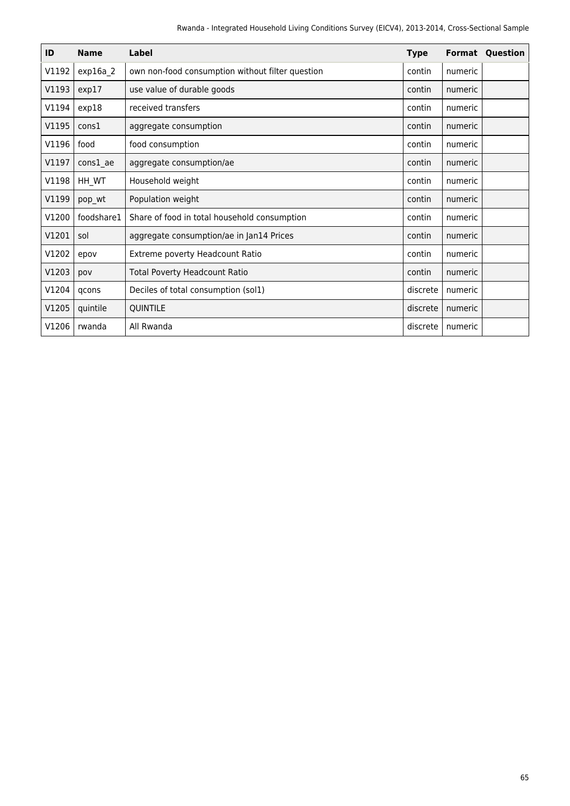| ID    | <b>Name</b> | Label                                            | <b>Type</b> | Format  | Question |
|-------|-------------|--------------------------------------------------|-------------|---------|----------|
| V1192 | $exp16a$ 2  | own non-food consumption without filter question | contin      | numeric |          |
| V1193 | exp17       | use value of durable goods                       | contin      | numeric |          |
| V1194 | exp18       | received transfers                               | contin      | numeric |          |
| V1195 | cons1       | aggregate consumption                            | contin      | numeric |          |
| V1196 | food        | food consumption                                 | contin      | numeric |          |
| V1197 | cons1 ae    | aggregate consumption/ae                         | contin      | numeric |          |
| V1198 | HH WT       | Household weight                                 | contin      | numeric |          |
| V1199 | pop_wt      | Population weight                                | contin      | numeric |          |
| V1200 | foodshare1  | Share of food in total household consumption     | contin      | numeric |          |
| V1201 | sol         | aggregate consumption/ae in Jan14 Prices         | contin      | numeric |          |
| V1202 | epov        | Extreme poverty Headcount Ratio                  | contin      | numeric |          |
| V1203 | pov         | <b>Total Poverty Headcount Ratio</b>             | contin      | numeric |          |
| V1204 | gcons       | Deciles of total consumption (sol1)              | discrete    | numeric |          |
| V1205 | quintile    | QUINTILE                                         | discrete    | numeric |          |
| V1206 | rwanda      | All Rwanda                                       | discrete    | numeric |          |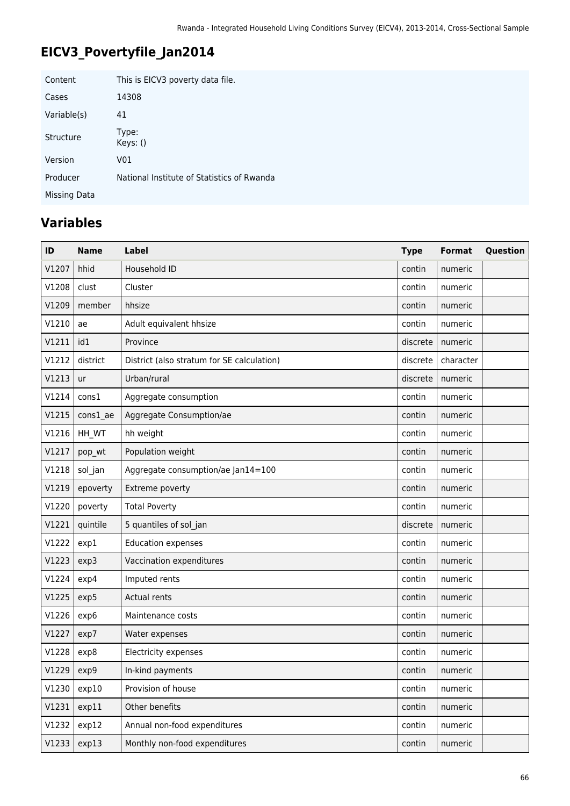## **EICV3\_Povertyfile\_Jan2014**

| Content      | This is EICV3 poverty data file.           |
|--------------|--------------------------------------------|
| Cases        | 14308                                      |
| Variable(s)  | 41                                         |
| Structure    | Type:<br>Keys: ()                          |
| Version      | V01                                        |
| Producer     | National Institute of Statistics of Rwanda |
| Missing Data |                                            |

| ID    | <b>Name</b> | Label                                      | <b>Type</b> | <b>Format</b> | Question |
|-------|-------------|--------------------------------------------|-------------|---------------|----------|
| V1207 | hhid        | Household ID                               | contin      | numeric       |          |
| V1208 | clust       | Cluster                                    | contin      | numeric       |          |
| V1209 | member      | hhsize                                     | contin      | numeric       |          |
| V1210 | ae          | Adult equivalent hhsize                    | contin      | numeric       |          |
| V1211 | id1         | Province                                   | discrete    | numeric       |          |
| V1212 | district    | District (also stratum for SE calculation) | discrete    | character     |          |
| V1213 | ur          | Urban/rural                                | discrete    | numeric       |          |
| V1214 | cons1       | Aggregate consumption                      | contin      | numeric       |          |
| V1215 | cons1 ae    | Aggregate Consumption/ae                   | contin      | numeric       |          |
| V1216 | HH WT       | hh weight                                  | contin      | numeric       |          |
| V1217 | pop_wt      | Population weight                          | contin      | numeric       |          |
| V1218 | sol jan     | Aggregate consumption/ae Jan14=100         | contin      | numeric       |          |
| V1219 | epoverty    | Extreme poverty                            | contin      | numeric       |          |
| V1220 | poverty     | <b>Total Poverty</b>                       | contin      | numeric       |          |
| V1221 | quintile    | 5 quantiles of sol jan                     | discrete    | numeric       |          |
| V1222 | exp1        | <b>Education expenses</b>                  | contin      | numeric       |          |
| V1223 | exp3        | Vaccination expenditures                   | contin      | numeric       |          |
| V1224 | exp4        | Imputed rents                              | contin      | numeric       |          |
| V1225 | exp5        | <b>Actual rents</b>                        | contin      | numeric       |          |
| V1226 | exp6        | Maintenance costs                          | contin      | numeric       |          |
| V1227 | exp7        | Water expenses                             | contin      | numeric       |          |
| V1228 | exp8        | Electricity expenses                       | contin      | numeric       |          |
| V1229 | exp9        | In-kind payments                           | contin      | numeric       |          |
| V1230 | exp10       | Provision of house                         | contin      | numeric       |          |
| V1231 | exp11       | Other benefits                             | contin      | numeric       |          |
| V1232 | exp12       | Annual non-food expenditures               | contin      | numeric       |          |
| V1233 | exp13       | Monthly non-food expenditures              | contin      | numeric       |          |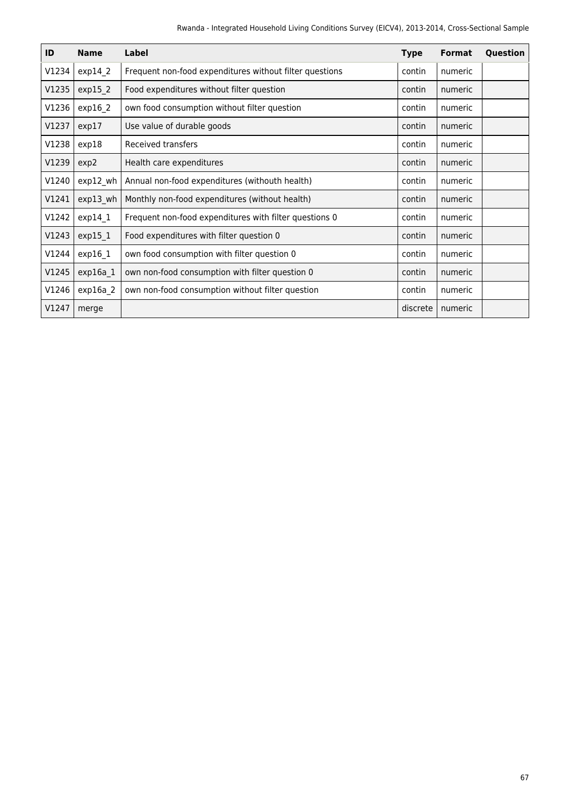| ID    | <b>Name</b> | Label                                                   | <b>Type</b> | <b>Format</b> | Question |
|-------|-------------|---------------------------------------------------------|-------------|---------------|----------|
| V1234 | $exp14$ 2   | Frequent non-food expenditures without filter questions | contin      | numeric       |          |
| V1235 | exp15 2     | Food expenditures without filter question               | contin      | numeric       |          |
| V1236 | exp16 2     | own food consumption without filter question            | contin      | numeric       |          |
| V1237 | exp17       | Use value of durable goods                              | contin      | numeric       |          |
| V1238 | exp18       | Received transfers                                      | contin      | numeric       |          |
| V1239 | exp2        | Health care expenditures                                | contin      | numeric       |          |
| V1240 | exp12_wh    | Annual non-food expenditures (withouth health)          | contin      | numeric       |          |
| V1241 | exp13 wh    | Monthly non-food expenditures (without health)          | contin      | numeric       |          |
| V1242 | exp14 1     | Frequent non-food expenditures with filter questions 0  | contin      | numeric       |          |
| V1243 | exp15 1     | Food expenditures with filter question 0                | contin      | numeric       |          |
| V1244 | exp16 1     | own food consumption with filter question 0             | contin      | numeric       |          |
| V1245 | $exp16a$ 1  | own non-food consumption with filter question 0         | contin      | numeric       |          |
| V1246 | $exp16a$ 2  | own non-food consumption without filter question        | contin      | numeric       |          |
| V1247 | merge       |                                                         | discrete    | numeric       |          |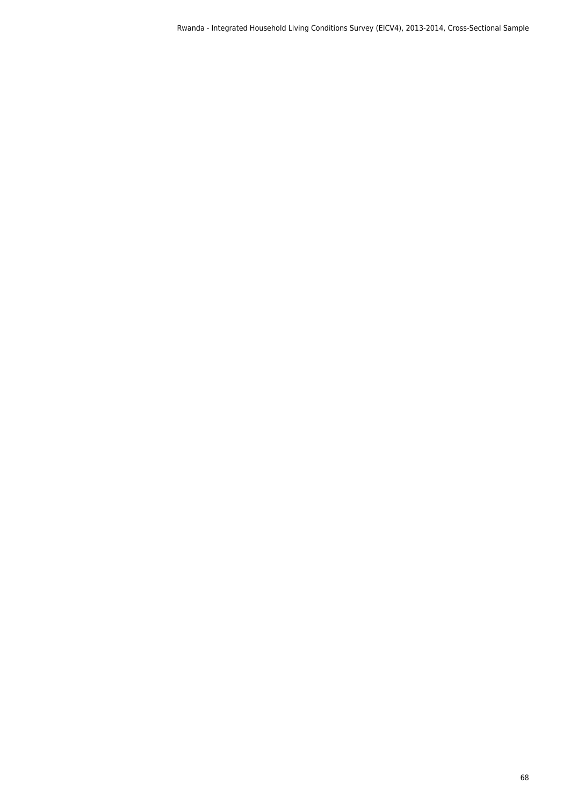Rwanda - Integrated Household Living Conditions Survey (EICV4), 2013-2014, Cross-Sectional Sample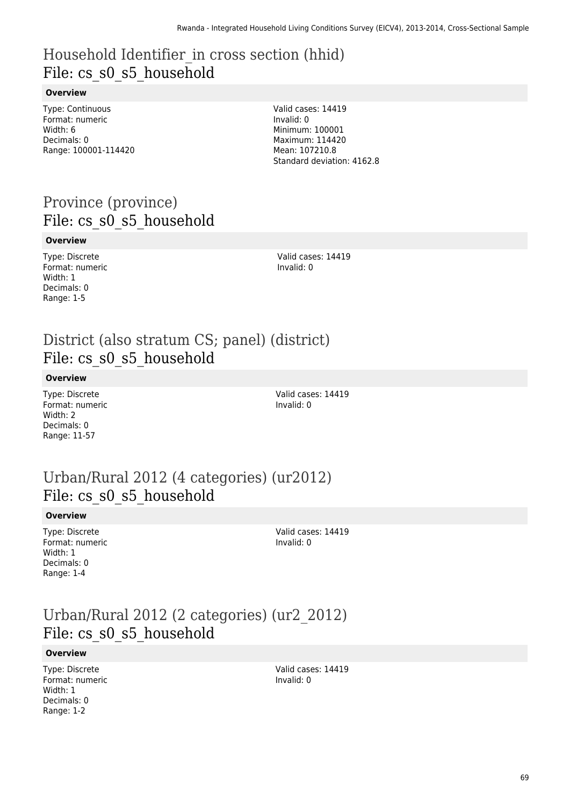# Household Identifier\_in cross section (hhid) File: cs\_s0\_s5\_household

### **Overview**

Type: Continuous Format: numeric Width: 6 Decimals: 0 Range: 100001-114420 Valid cases: 14419 Invalid: 0 Minimum: 100001 Maximum: 114420 Mean: 107210.8 Standard deviation: 4162.8

## Province (province) File: cs\_s0\_s5\_household

#### **Overview**

Type: Discrete Format: numeric Width: 1 Decimals: 0 Range: 1-5

Valid cases: 14419 Invalid: 0

### District (also stratum CS; panel) (district) File: cs\_s0\_s5\_household

### **Overview**

Type: Discrete Format: numeric Width: 2 Decimals: 0 Range: 11-57

Valid cases: 14419 Invalid: 0

### Urban/Rural 2012 (4 categories) (ur2012) File: cs\_s0\_s5\_household

#### **Overview**

Type: Discrete Format: numeric Width: 1 Decimals: 0 Range: 1-4

Valid cases: 14419 Invalid: 0

## Urban/Rural 2012 (2 categories) (ur2\_2012) File: cs\_s0\_s5\_household

#### **Overview**

Type: Discrete Format: numeric Width: 1 Decimals: 0 Range: 1-2

Valid cases: 14419 Invalid: 0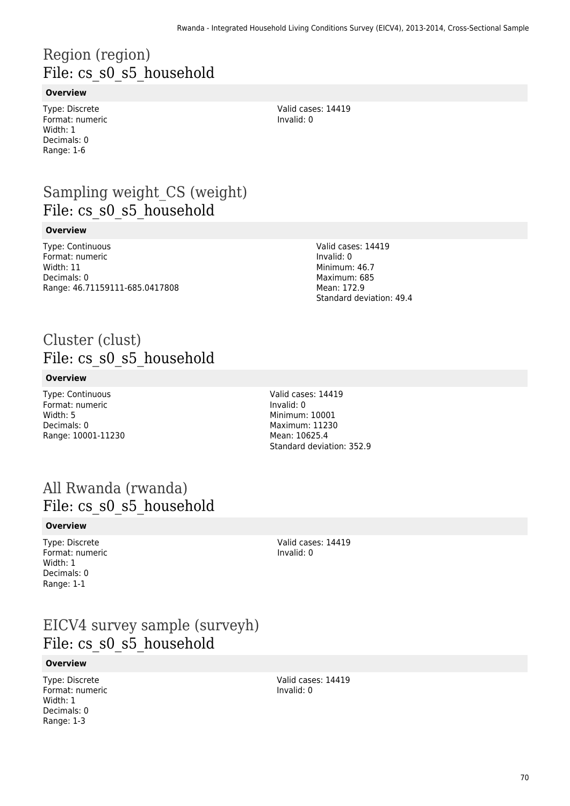## Region (region) File: cs\_s0\_s5\_household

### **Overview**

Type: Discrete Format: numeric Width: 1 Decimals: 0 Range: 1-6

Valid cases: 14419 Invalid: 0

### Sampling weight\_CS (weight) File: cs\_s0\_s5\_household

#### **Overview**

Type: Continuous Format: numeric Width: 11 Decimals: 0 Range: 46.71159111-685.0417808 Valid cases: 14419 Invalid: 0 Minimum: 46.7 Maximum: 685 Mean: 172.9 Standard deviation: 49.4

### Cluster (clust) File: cs\_s0\_s5\_household

### **Overview**

Type: Continuous Format: numeric Width: 5 Decimals: 0 Range: 10001-11230

Valid cases: 14419 Invalid: 0 Minimum: 10001 Maximum: 11230 Mean: 10625.4 Standard deviation: 352.9

### All Rwanda (rwanda) File: cs\_s0\_s5\_household

#### **Overview**

Type: Discrete Format: numeric Width: 1 Decimals: 0 Range: 1-1

Valid cases: 14419 Invalid: 0

### EICV4 survey sample (surveyh) File: cs\_s0\_s5\_household

### **Overview**

Type: Discrete Format: numeric Width: 1 Decimals: 0 Range: 1-3

Valid cases: 14419 Invalid: 0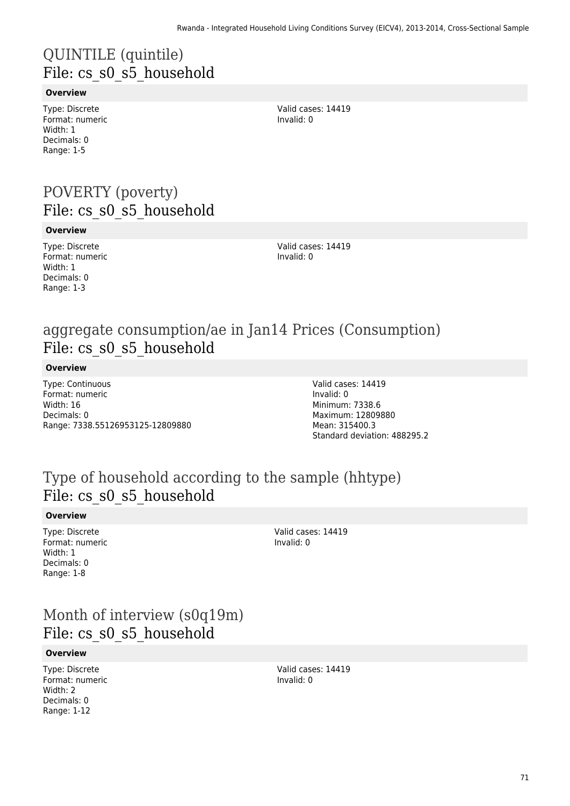## QUINTILE (quintile) File: cs\_s0\_s5\_household

### **Overview**

Type: Discrete Format: numeric Width: 1 Decimals: 0 Range: 1-5

Valid cases: 14419 Invalid: 0

## POVERTY (poverty) File: cs s0 s5 household

### **Overview**

Type: Discrete Format: numeric Width: 1 Decimals: 0 Range: 1-3

Valid cases: 14419 Invalid: 0

### aggregate consumption/ae in Jan14 Prices (Consumption) File: cs\_s0\_s5\_household

### **Overview**

Type: Continuous Format: numeric Width: 16 Decimals: 0 Range: 7338.55126953125-12809880 Valid cases: 14419 Invalid: 0 Minimum: 7338.6 Maximum: 12809880 Mean: 315400.3 Standard deviation: 488295.2

## Type of household according to the sample (hhtype) File: cs\_s0\_s5\_household

### **Overview**

Type: Discrete Format: numeric Width: 1 Decimals: 0 Range: 1-8

Valid cases: 14419 Invalid: 0

## Month of interview (s0q19m) File: cs\_s0\_s5\_household

### **Overview**

Type: Discrete Format: numeric Width: 2 Decimals: 0 Range: 1-12

Valid cases: 14419 Invalid: 0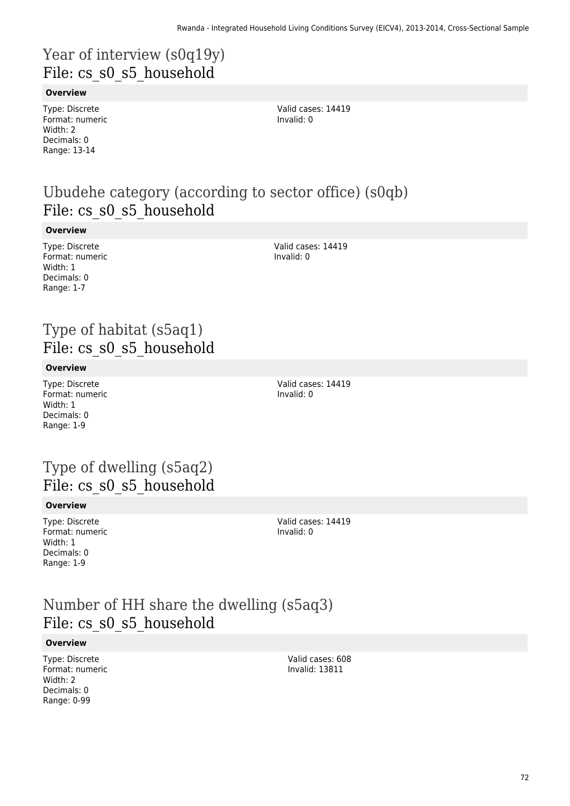## Year of interview (s0q19y) File: cs\_s0\_s5\_household

### **Overview**

Type: Discrete Format: numeric Width: 2 Decimals: 0 Range: 13-14

Valid cases: 14419 Invalid: 0

## Ubudehe category (according to sector office) (s0qb) File: cs\_s0\_s5\_household

#### **Overview**

Type: Discrete Format: numeric Width: 1 Decimals: 0 Range: 1-7

Valid cases: 14419 Invalid: 0

### Type of habitat (s5aq1) File: cs\_s0\_s5\_household

#### **Overview**

Type: Discrete Format: numeric Width: 1 Decimals: 0 Range: 1-9

Valid cases: 14419 Invalid: 0

### Type of dwelling (s5aq2) File: cs\_s0\_s5\_household

### **Overview**

Type: Discrete Format: numeric Width: 1 Decimals: 0 Range: 1-9

Valid cases: 14419 Invalid: 0

## Number of HH share the dwelling (s5aq3) File: cs\_s0\_s5\_household

#### **Overview**

Type: Discrete Format: numeric Width: 2 Decimals: 0 Range: 0-99

Valid cases: 608 Invalid: 13811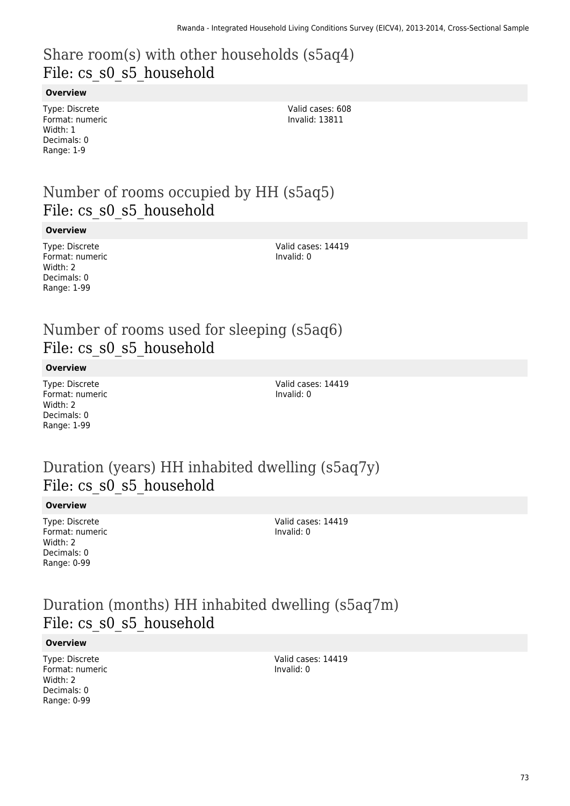# Share room(s) with other households (s5aq4) File: cs\_s0\_s5\_household

## **Overview**

Type: Discrete Format: numeric Width: 1 Decimals: 0 Range: 1-9

Valid cases: 608 Invalid: 13811

# Number of rooms occupied by HH (s5aq5) File: cs\_s0\_s5\_household

### **Overview**

Type: Discrete Format: numeric Width: 2 Decimals: 0 Range: 1-99

Valid cases: 14419 Invalid: 0

# Number of rooms used for sleeping (s5aq6) File: cs\_s0\_s5\_household

### **Overview**

Type: Discrete Format: numeric Width: 2 Decimals: 0 Range: 1-99

Valid cases: 14419 Invalid: 0

## Duration (years) HH inhabited dwelling (s5aq7y) File: cs\_s0\_s5\_household

### **Overview**

Type: Discrete Format: numeric Width: 2 Decimals: 0 Range: 0-99

Valid cases: 14419 Invalid: 0

# Duration (months) HH inhabited dwelling (s5aq7m) File: cs\_s0\_s5\_household

### **Overview**

Type: Discrete Format: numeric Width: 2 Decimals: 0 Range: 0-99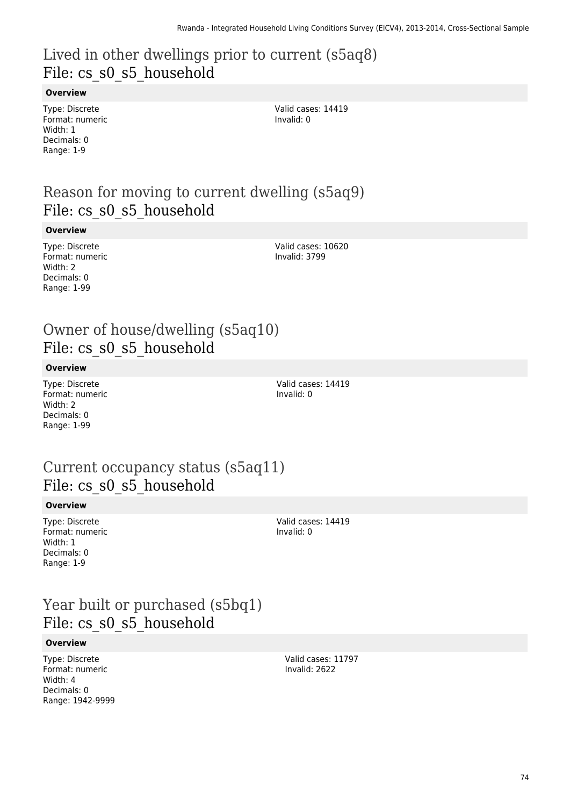# Lived in other dwellings prior to current (s5aq8) File: cs\_s0\_s5\_household

**Overview**

Type: Discrete Format: numeric Width: 1 Decimals: 0 Range: 1-9

Valid cases: 14419 Invalid: 0

# Reason for moving to current dwelling (s5aq9) File: cs\_s0\_s5\_household

## **Overview**

Type: Discrete Format: numeric Width: 2 Decimals: 0 Range: 1-99

Valid cases: 10620 Invalid: 3799

## Owner of house/dwelling (s5aq10) File: cs\_s0\_s5\_household

## **Overview**

Type: Discrete Format: numeric Width: 2 Decimals: 0 Range: 1-99

Valid cases: 14419 Invalid: 0

# Current occupancy status (s5aq11) File: cs\_s0\_s5\_household

### **Overview**

Type: Discrete Format: numeric Width: 1 Decimals: 0 Range: 1-9

Valid cases: 14419 Invalid: 0

# Year built or purchased (s5bq1) File: cs\_s0\_s5\_household

### **Overview**

Type: Discrete Format: numeric Width: 4 Decimals: 0 Range: 1942-9999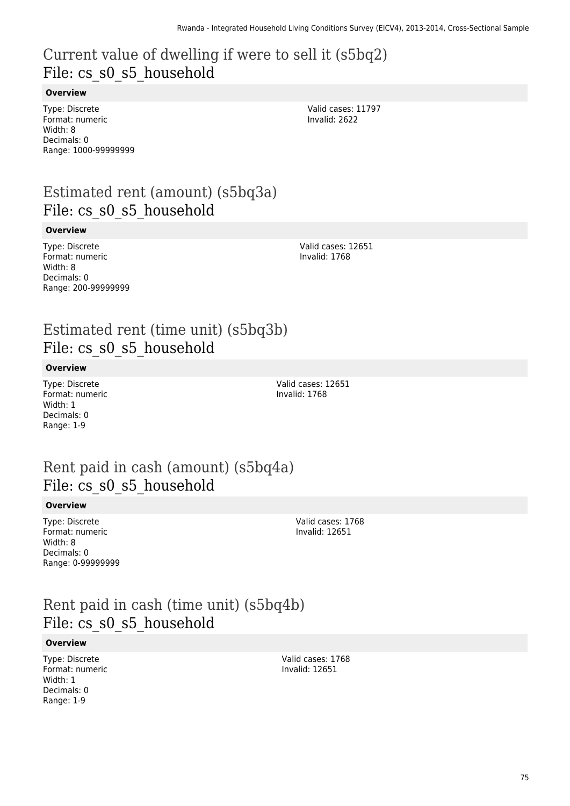# Current value of dwelling if were to sell it (s5bq2) File: cs\_s0\_s5\_household

## **Overview**

Type: Discrete Format: numeric Width: 8 Decimals: 0 Range: 1000-99999999 Valid cases: 11797 Invalid: 2622

# Estimated rent (amount) (s5bq3a) File: cs\_s0\_s5\_household

## **Overview**

Type: Discrete Format: numeric Width: 8 Decimals: 0 Range: 200-99999999

Valid cases: 12651 Invalid: 1768

# Estimated rent (time unit) (s5bq3b) File: cs\_s0\_s5\_household

### **Overview**

Type: Discrete Format: numeric Width: 1 Decimals: 0 Range: 1-9

Valid cases: 12651 Invalid: 1768

## Rent paid in cash (amount) (s5bq4a) File: cs\_s0\_s5\_household

### **Overview**

Type: Discrete Format: numeric Width: 8 Decimals: 0 Range: 0-99999999 Valid cases: 1768 Invalid: 12651

# Rent paid in cash (time unit) (s5bq4b) File: cs\_s0\_s5\_household

### **Overview**

Type: Discrete Format: numeric Width: 1 Decimals: 0 Range: 1-9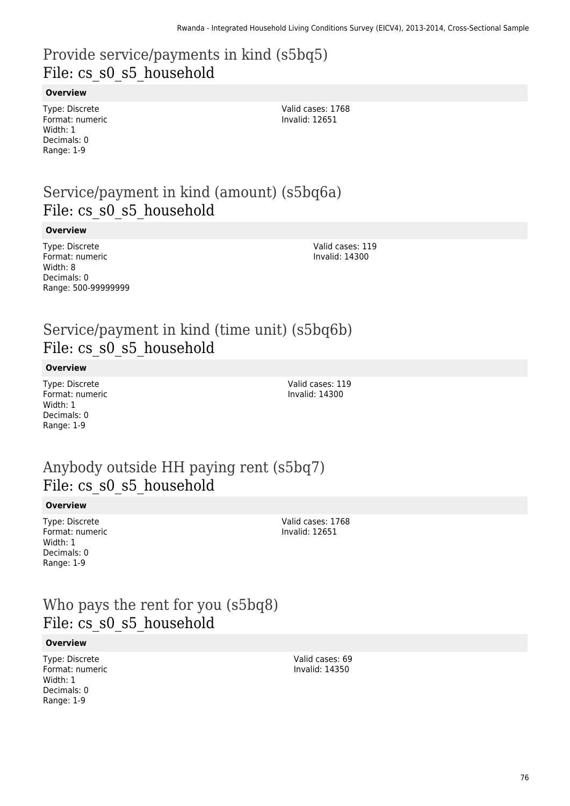# Provide service/payments in kind (s5bq5) File: cs\_s0\_s5\_household

## **Overview**

Type: Discrete Format: numeric Width: 1 Decimals: 0 Range: 1-9

Valid cases: 1768 Invalid: 12651

# Service/payment in kind (amount) (s5bq6a) File: cs\_s0\_s5\_household

### **Overview**

Type: Discrete Format: numeric Width: 8 Decimals: 0 Range: 500-99999999

Valid cases: 119 Invalid: 14300

# Service/payment in kind (time unit) (s5bq6b) File: cs\_s0\_s5\_household

## **Overview**

Type: Discrete Format: numeric Width: 1 Decimals: 0 Range: 1-9

Valid cases: 119 Invalid: 14300

## Anybody outside HH paying rent (s5bq7) File: cs\_s0\_s5\_household

## **Overview**

Type: Discrete Format: numeric Width: 1 Decimals: 0 Range: 1-9

Valid cases: 1768 Invalid: 12651

# Who pays the rent for you (s5bq8) File: cs\_s0\_s5\_household

### **Overview**

Type: Discrete Format: numeric Width: 1 Decimals: 0 Range: 1-9

Valid cases: 69 Invalid: 14350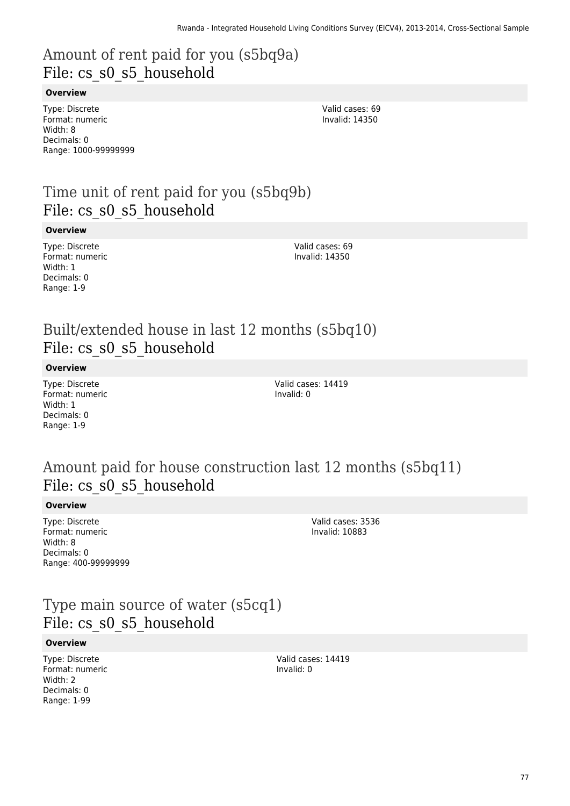# Amount of rent paid for you (s5bq9a) File: cs\_s0\_s5\_household

## **Overview**

Type: Discrete Format: numeric Width: 8 Decimals: 0 Range: 1000-99999999 Valid cases: 69 Invalid: 14350

# Time unit of rent paid for you (s5bq9b) File: cs\_s0\_s5\_household

### **Overview**

Type: Discrete Format: numeric Width: 1 Decimals: 0 Range: 1-9

Valid cases: 69 Invalid: 14350

# Built/extended house in last 12 months (s5bq10) File: cs\_s0\_s5\_household

### **Overview**

Type: Discrete Format: numeric Width: 1 Decimals: 0 Range: 1-9

Valid cases: 14419 Invalid: 0

# Amount paid for house construction last 12 months (s5bq11) File: cs\_s0\_s5\_household

## **Overview**

Type: Discrete Format: numeric Width: 8 Decimals: 0 Range: 400-99999999

Valid cases: 3536 Invalid: 10883

# Type main source of water (s5cq1) File: cs\_s0\_s5\_household

### **Overview**

Type: Discrete Format: numeric Width: 2 Decimals: 0 Range: 1-99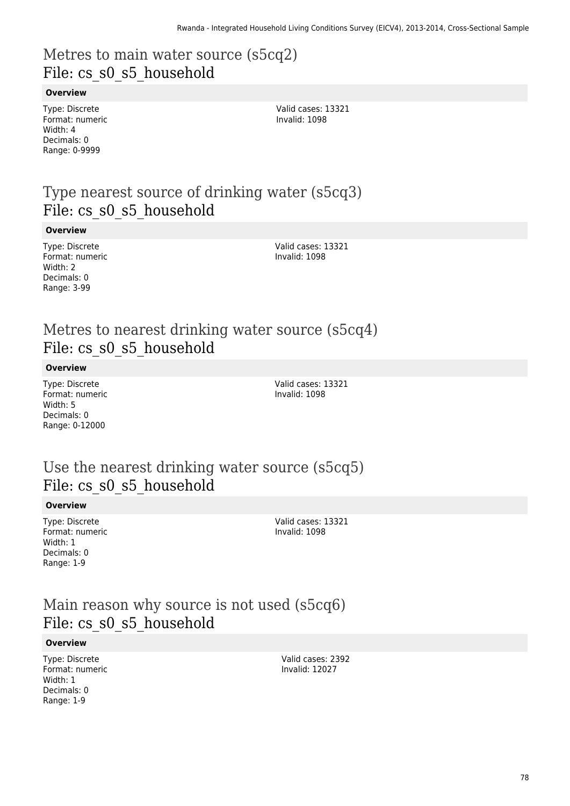# Metres to main water source (s5cq2) File: cs\_s0\_s5\_household

## **Overview**

Type: Discrete Format: numeric Width: 4 Decimals: 0 Range: 0-9999

Valid cases: 13321 Invalid: 1098

# Type nearest source of drinking water (s5cq3) File: cs\_s0\_s5\_household

## **Overview**

Type: Discrete Format: numeric Width: 2 Decimals: 0 Range: 3-99

Valid cases: 13321 Invalid: 1098

# Metres to nearest drinking water source (s5cq4) File: cs\_s0\_s5\_household

### **Overview**

Type: Discrete Format: numeric Width: 5 Decimals: 0 Range: 0-12000

Valid cases: 13321 Invalid: 1098

## Use the nearest drinking water source (s5cq5) File: cs\_s0\_s5\_household

### **Overview**

Type: Discrete Format: numeric Width: 1 Decimals: 0 Range: 1-9

Valid cases: 13321 Invalid: 1098

Main reason why source is not used (s5cq6) File: cs\_s0\_s5\_household

### **Overview**

Type: Discrete Format: numeric Width: 1 Decimals: 0 Range: 1-9

Valid cases: 2392 Invalid: 12027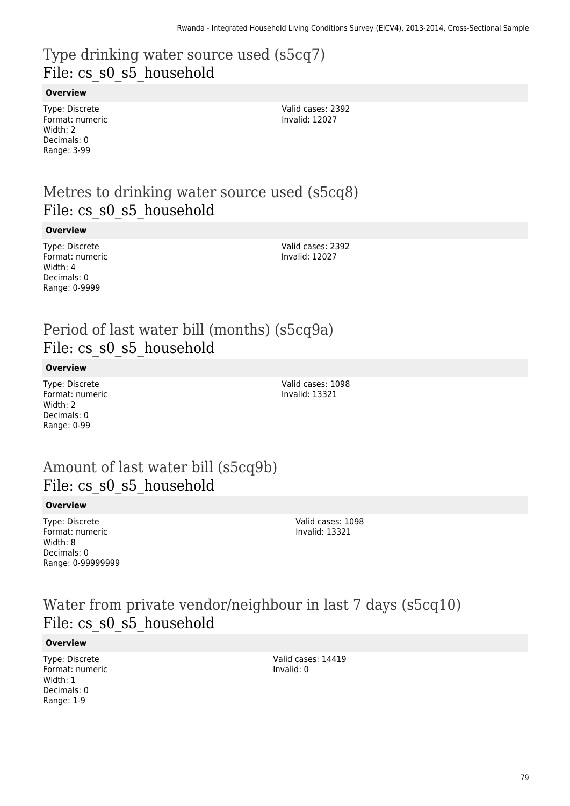# Type drinking water source used (s5cq7) File: cs\_s0\_s5\_household

## **Overview**

Type: Discrete Format: numeric Width: 2 Decimals: 0 Range: 3-99

Valid cases: 2392 Invalid: 12027

# Metres to drinking water source used (s5cq8) File: cs\_s0\_s5\_household

### **Overview**

Type: Discrete Format: numeric Width: 4 Decimals: 0 Range: 0-9999

Valid cases: 2392 Invalid: 12027

# Period of last water bill (months) (s5cq9a) File: cs\_s0\_s5\_household

## **Overview**

Type: Discrete Format: numeric Width: 2 Decimals: 0 Range: 0-99

Valid cases: 1098 Invalid: 13321

## Amount of last water bill (s5cq9b) File: cs\_s0\_s5\_household

### **Overview**

Type: Discrete Format: numeric Width: 8 Decimals: 0 Range: 0-99999999 Valid cases: 1098 Invalid: 13321

# Water from private vendor/neighbour in last 7 days (s5cq10) File: cs\_s0\_s5\_household

### **Overview**

Type: Discrete Format: numeric Width: 1 Decimals: 0 Range: 1-9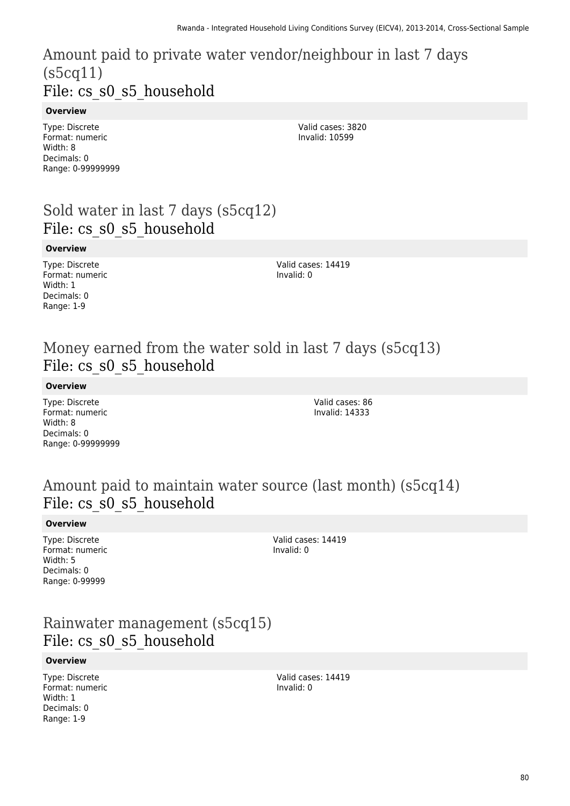## Amount paid to private water vendor/neighbour in last 7 days (s5cq11) File: cs\_s0\_s5\_household

## **Overview**

Type: Discrete Format: numeric Width: 8 Decimals: 0 Range: 0-99999999 Valid cases: 3820 Invalid: 10599

# Sold water in last 7 days (s5cq12) File: cs\_s0\_s5\_household

### **Overview**

Type: Discrete Format: numeric Width: 1 Decimals: 0 Range: 1-9

Valid cases: 14419 Invalid: 0

# Money earned from the water sold in last 7 days (s5cq13) File: cs\_s0\_s5\_household

## **Overview**

Type: Discrete Format: numeric Width: 8 Decimals: 0 Range: 0-99999999

Valid cases: 86 Invalid: 14333

## Amount paid to maintain water source (last month) (s5cq14) File: cs\_s0\_s5\_household

### **Overview**

Type: Discrete Format: numeric Width: 5 Decimals: 0 Range: 0-99999

Valid cases: 14419 Invalid: 0

## Rainwater management (s5cq15) File: cs\_s0\_s5\_household

### **Overview**

Type: Discrete Format: numeric Width: 1 Decimals: 0 Range: 1-9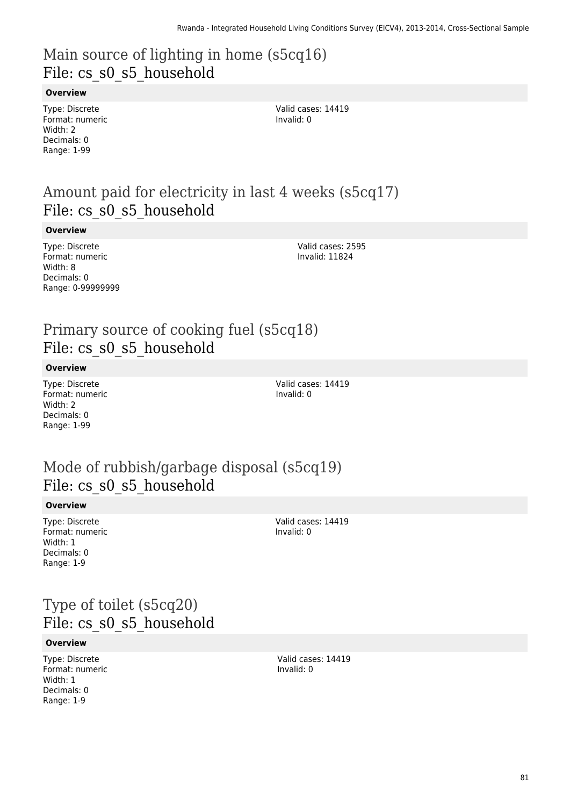# Main source of lighting in home (s5cq16) File: cs\_s0\_s5\_household

## **Overview**

Type: Discrete Format: numeric Width: 2 Decimals: 0 Range: 1-99

Valid cases: 14419 Invalid: 0

# Amount paid for electricity in last 4 weeks (s5cq17) File: cs\_s0\_s5\_household

### **Overview**

Type: Discrete Format: numeric Width: 8 Decimals: 0 Range: 0-99999999 Valid cases: 2595 Invalid: 11824

# Primary source of cooking fuel (s5cq18) File: cs\_s0\_s5\_household

## **Overview**

Type: Discrete Format: numeric Width: 2 Decimals: 0 Range: 1-99

Valid cases: 14419 Invalid: 0

## Mode of rubbish/garbage disposal (s5cq19) File: cs\_s0\_s5\_household

## **Overview**

Type: Discrete Format: numeric Width: 1 Decimals: 0 Range: 1-9

Valid cases: 14419 Invalid: 0

# Type of toilet (s5cq20) File: cs\_s0\_s5\_household

### **Overview**

Type: Discrete Format: numeric Width: 1 Decimals: 0 Range: 1-9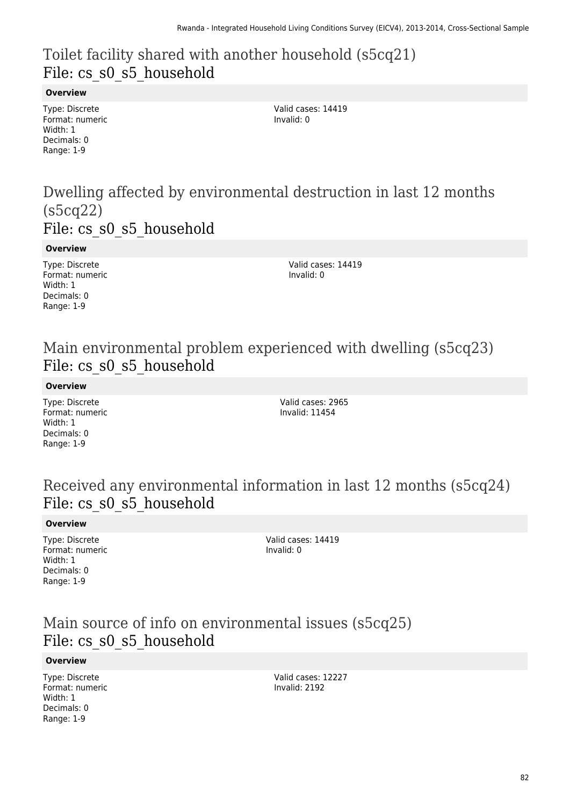# Toilet facility shared with another household (s5cq21) File: cs\_s0\_s5\_household

## **Overview**

Type: Discrete Format: numeric Width: 1 Decimals: 0 Range: 1-9

Valid cases: 14419 Invalid: 0

## Dwelling affected by environmental destruction in last 12 months (s5cq22) File: cs\_s0\_s5\_household

## **Overview**

Type: Discrete Format: numeric Width: 1 Decimals: 0 Range: 1-9

Valid cases: 14419 Invalid: 0

# Main environmental problem experienced with dwelling (s5cq23) File: cs\_s0\_s5\_household

## **Overview**

Type: Discrete Format: numeric Width: 1 Decimals: 0 Range: 1-9

Valid cases: 2965 Invalid: 11454

## Received any environmental information in last 12 months (s5cq24) File: cs\_s0\_s5\_household

## **Overview**

Type: Discrete Format: numeric Width: 1 Decimals: 0 Range: 1-9

Valid cases: 14419 Invalid: 0

# Main source of info on environmental issues (s5cq25) File: cs\_s0\_s5\_household

## **Overview**

Type: Discrete Format: numeric Width: 1 Decimals: 0 Range: 1-9

Valid cases: 12227 Invalid: 2192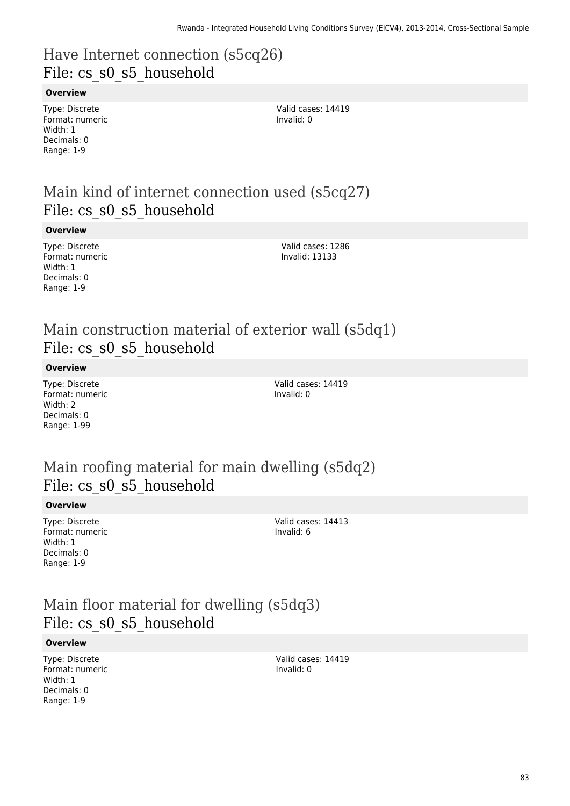# Have Internet connection (s5cq26) File: cs\_s0\_s5\_household

## **Overview**

Type: Discrete Format: numeric Width: 1 Decimals: 0 Range: 1-9

Valid cases: 14419 Invalid: 0

# Main kind of internet connection used (s5cq27) File: cs\_s0\_s5\_household

## **Overview**

Type: Discrete Format: numeric Width: 1 Decimals: 0 Range: 1-9

Valid cases: 1286 Invalid: 13133

# Main construction material of exterior wall (s5dq1) File: cs\_s0\_s5\_household

## **Overview**

Type: Discrete Format: numeric Width: 2 Decimals: 0 Range: 1-99

Valid cases: 14419 Invalid: 0

# Main roofing material for main dwelling (s5dq2) File: cs\_s0\_s5\_household

## **Overview**

Type: Discrete Format: numeric Width: 1 Decimals: 0 Range: 1-9

Valid cases: 14413 Invalid: 6

# Main floor material for dwelling (s5dq3) File: cs\_s0\_s5\_household

### **Overview**

Type: Discrete Format: numeric Width: 1 Decimals: 0 Range: 1-9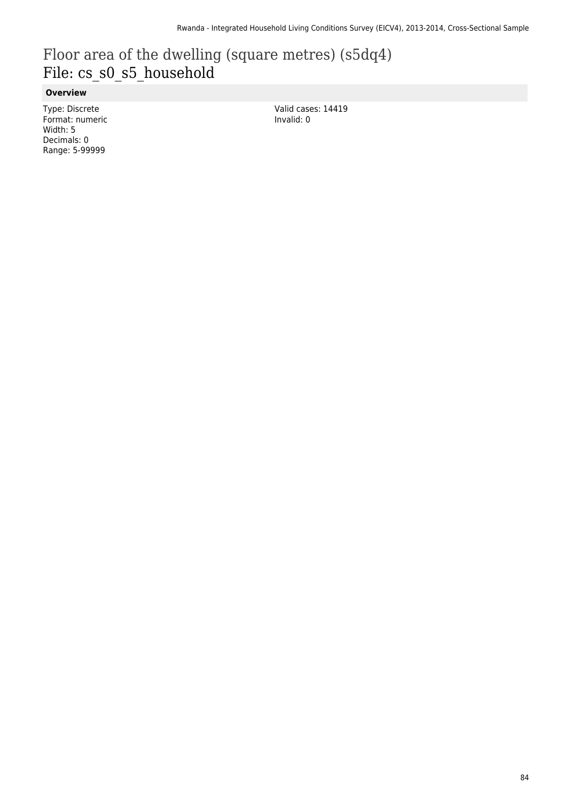# Floor area of the dwelling (square metres) (s5dq4) File: cs\_s0\_s5\_household

**Overview**

Type: Discrete Format: numeric Width: 5 Decimals: 0 Range: 5-99999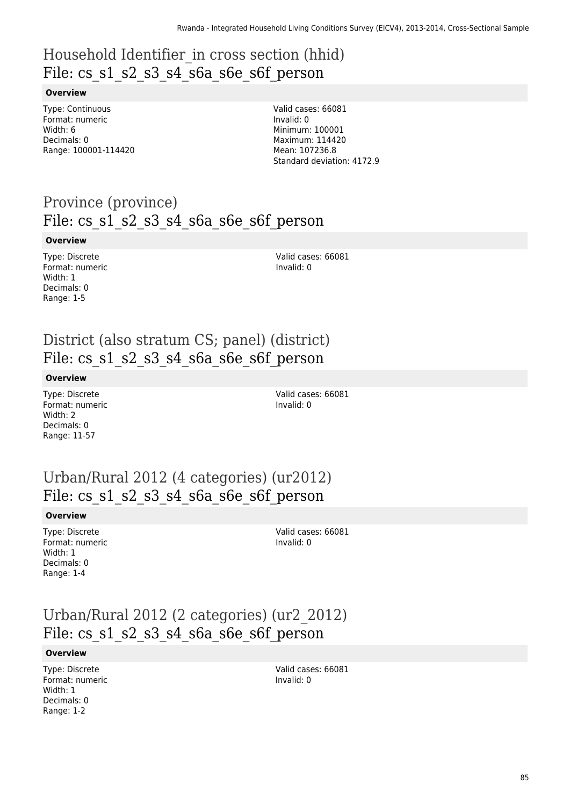# Household Identifier\_in cross section (hhid) File: cs\_s1\_s2\_s3\_s4\_s6a\_s6e\_s6f\_person

## **Overview**

Type: Continuous Format: numeric Width: 6 Decimals: 0 Range: 100001-114420 Valid cases: 66081 Invalid: 0 Minimum: 100001 Maximum: 114420 Mean: 107236.8 Standard deviation: 4172.9

# Province (province) File: cs\_s1\_s2\_s3\_s4\_s6a\_s6e\_s6f\_person

### **Overview**

Type: Discrete Format: numeric Width: 1 Decimals: 0 Range: 1-5

Valid cases: 66081 Invalid: 0

# District (also stratum CS; panel) (district) File: cs\_s1\_s2\_s3\_s4\_s6a\_s6e\_s6f\_person

## **Overview**

Type: Discrete Format: numeric Width: 2 Decimals: 0 Range: 11-57

Valid cases: 66081 Invalid: 0

## Urban/Rural 2012 (4 categories) (ur2012) File: cs\_s1\_s2\_s3\_s4\_s6a\_s6e\_s6f\_person

### **Overview**

Type: Discrete Format: numeric Width: 1 Decimals: 0 Range: 1-4

Valid cases: 66081 Invalid: 0

# Urban/Rural 2012 (2 categories) (ur2\_2012) File: cs\_s1\_s2\_s3\_s4\_s6a\_s6e\_s6f\_person

### **Overview**

Type: Discrete Format: numeric Width: 1 Decimals: 0 Range: 1-2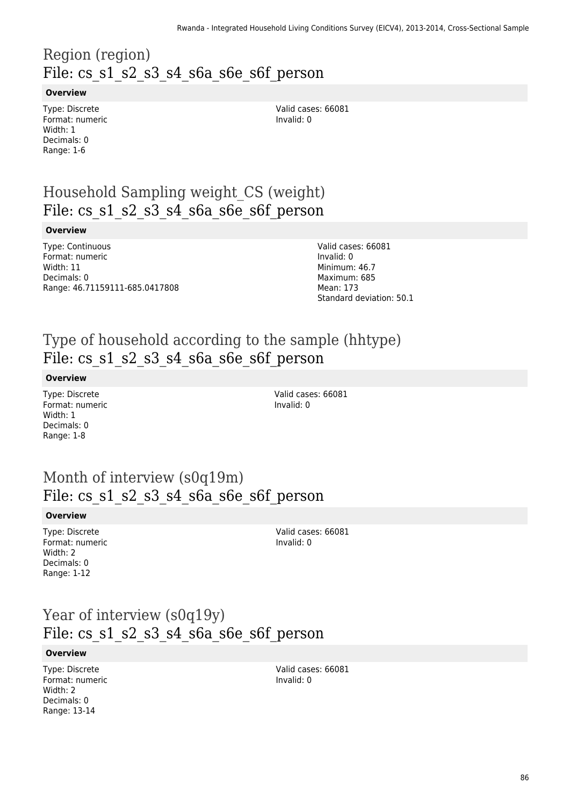# Region (region) File: cs\_s1\_s2\_s3\_s4\_s6a\_s6e\_s6f\_person

## **Overview**

Type: Discrete Format: numeric Width: 1 Decimals: 0 Range: 1-6

Valid cases: 66081 Invalid: 0

# Household Sampling weight\_CS (weight) File: cs\_s1\_s2\_s3\_s4\_s6a\_s6e\_s6f\_person

## **Overview**

Type: Continuous Format: numeric Width: 11 Decimals: 0 Range: 46.71159111-685.0417808 Valid cases: 66081 Invalid: 0 Minimum: 46.7 Maximum: 685 Mean: 173 Standard deviation: 50.1

# Type of household according to the sample (hhtype) File: cs\_s1\_s2\_s3\_s4\_s6a\_s6e\_s6f\_person

## **Overview**

Type: Discrete Format: numeric Width: 1 Decimals: 0 Range: 1-8

Valid cases: 66081 Invalid: 0

## Month of interview (s0q19m) File: cs\_s1\_s2\_s3\_s4\_s6a\_s6e\_s6f\_person

## **Overview**

Type: Discrete Format: numeric Width: 2 Decimals: 0 Range: 1-12

Valid cases: 66081 Invalid: 0

# Year of interview (s0q19y) File: cs\_s1\_s2\_s3\_s4\_s6a\_s6e\_s6f\_person

### **Overview**

Type: Discrete Format: numeric Width: 2 Decimals: 0 Range: 13-14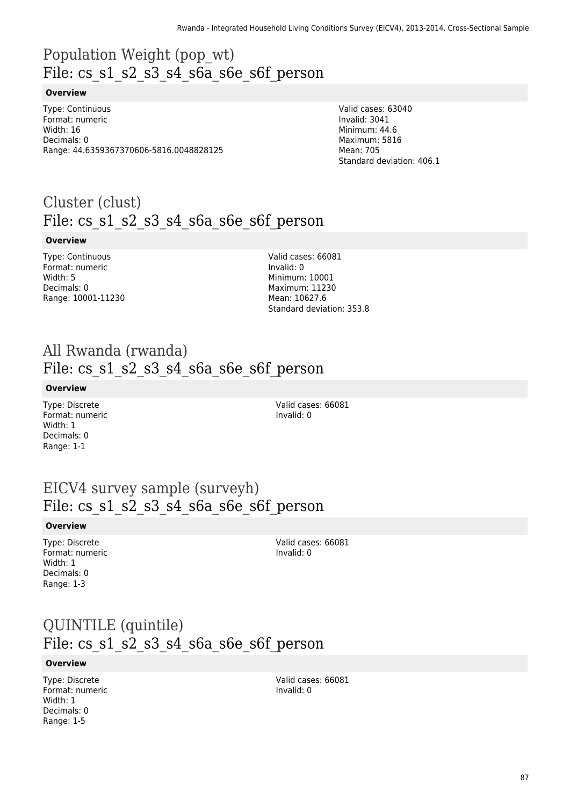# Population Weight (pop\_wt) File: cs\_s1\_s2\_s3\_s4\_s6a\_s6e\_s6f\_person

## **Overview**

Type: Continuous Format: numeric Width: 16 Decimals: 0 Range: 44.6359367370606-5816.0048828125 Valid cases: 63040 Invalid: 3041 Minimum: 44.6 Maximum: 5816 Mean: 705 Standard deviation: 406.1

# Cluster (clust) File: cs\_s1\_s2\_s3\_s4\_s6a\_s6e\_s6f\_person

## **Overview**

Type: Continuous Format: numeric Width: 5 Decimals: 0 Range: 10001-11230

Valid cases: 66081 Invalid: 0 Minimum: 10001 Maximum: 11230 Mean: 10627.6 Standard deviation: 353.8

# All Rwanda (rwanda) File: cs\_s1\_s2\_s3\_s4\_s6a\_s6e\_s6f\_person

## **Overview**

Type: Discrete Format: numeric Width: 1 Decimals: 0 Range: 1-1

Valid cases: 66081 Invalid: 0

## EICV4 survey sample (surveyh) File: cs\_s1\_s2\_s3\_s4\_s6a\_s6e\_s6f\_person

### **Overview**

Type: Discrete Format: numeric Width: 1 Decimals: 0 Range: 1-3

Valid cases: 66081 Invalid: 0

# QUINTILE (quintile) File: cs\_s1\_s2\_s3\_s4\_s6a\_s6e\_s6f\_person

## **Overview**

Type: Discrete Format: numeric Width: 1 Decimals: 0 Range: 1-5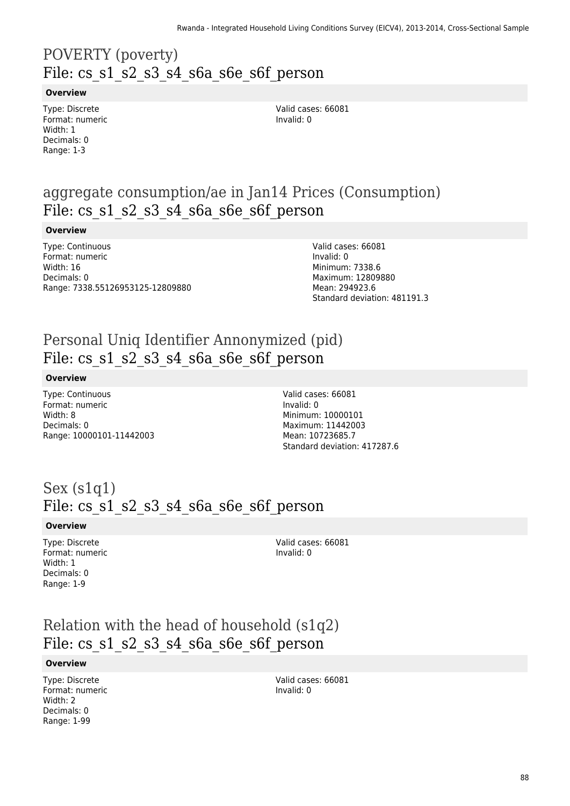# POVERTY (poverty) File: cs\_s1\_s2\_s3\_s4\_s6a\_s6e\_s6f\_person

## **Overview**

Type: Discrete Format: numeric Width: 1 Decimals: 0 Range: 1-3

Valid cases: 66081 Invalid: 0

## aggregate consumption/ae in Jan14 Prices (Consumption) File: cs\_s1\_s2\_s3\_s4\_s6a\_s6e\_s6f\_person

## **Overview**

Type: Continuous Format: numeric Width: 16 Decimals: 0 Range: 7338.55126953125-12809880 Valid cases: 66081 Invalid: 0 Minimum: 7338.6 Maximum: 12809880 Mean: 294923.6 Standard deviation: 481191.3

# Personal Uniq Identifier Annonymized (pid) File: cs\_s1\_s2\_s3\_s4\_s6a\_s6e\_s6f\_person

## **Overview**

Type: Continuous Format: numeric Width: 8 Decimals: 0 Range: 10000101-11442003 Valid cases: 66081 Invalid: 0 Minimum: 10000101 Maximum: 11442003 Mean: 10723685.7 Standard deviation: 417287.6

# Sex (s1q1) File: cs\_s1\_s2\_s3\_s4\_s6a\_s6e\_s6f\_person

### **Overview**

Type: Discrete Format: numeric Width: 1 Decimals: 0 Range: 1-9

Valid cases: 66081 Invalid: 0

## Relation with the head of household (s1q2) File: cs\_s1\_s2\_s3\_s4\_s6a\_s6e\_s6f\_person

## **Overview**

Type: Discrete Format: numeric Width: 2 Decimals: 0 Range: 1-99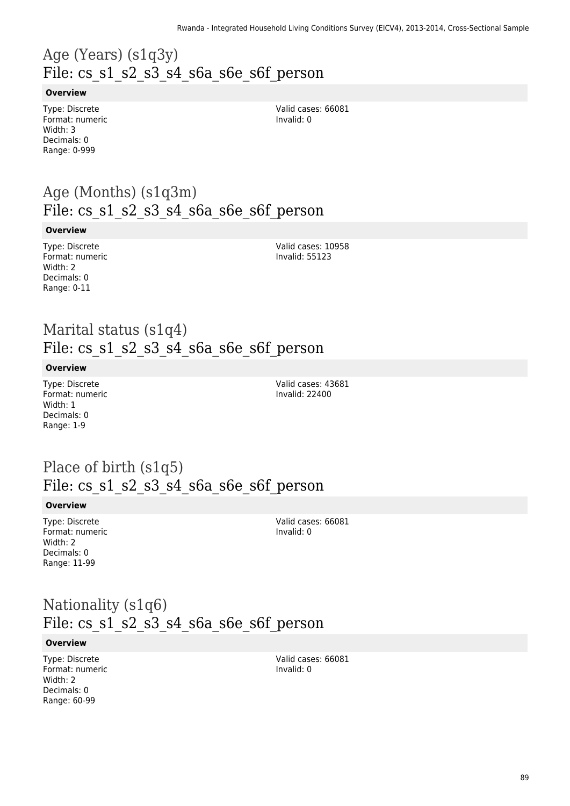# Age (Years) (s1q3y) File: cs\_s1\_s2\_s3\_s4\_s6a\_s6e\_s6f\_person

## **Overview**

Type: Discrete Format: numeric Width: 3 Decimals: 0 Range: 0-999

Valid cases: 66081 Invalid: 0

# Age (Months) (s1q3m) File: cs\_s1\_s2\_s3\_s4\_s6a\_s6e\_s6f\_person

### **Overview**

Type: Discrete Format: numeric Width: 2 Decimals: 0 Range: 0-11

Valid cases: 10958 Invalid: 55123

## Marital status (s1q4) File: cs\_s1\_s2\_s3\_s4\_s6a\_s6e\_s6f\_person

### **Overview**

Type: Discrete Format: numeric Width: 1 Decimals: 0 Range: 1-9

Valid cases: 43681 Invalid: 22400

## Place of birth (s1q5) File: cs\_s1\_s2\_s3\_s4\_s6a\_s6e\_s6f\_person

### **Overview**

Type: Discrete Format: numeric Width: 2 Decimals: 0 Range: 11-99

Valid cases: 66081 Invalid: 0

# Nationality (s1q6) File: cs\_s1\_s2\_s3\_s4\_s6a\_s6e\_s6f\_person

### **Overview**

Type: Discrete Format: numeric Width: 2 Decimals: 0 Range: 60-99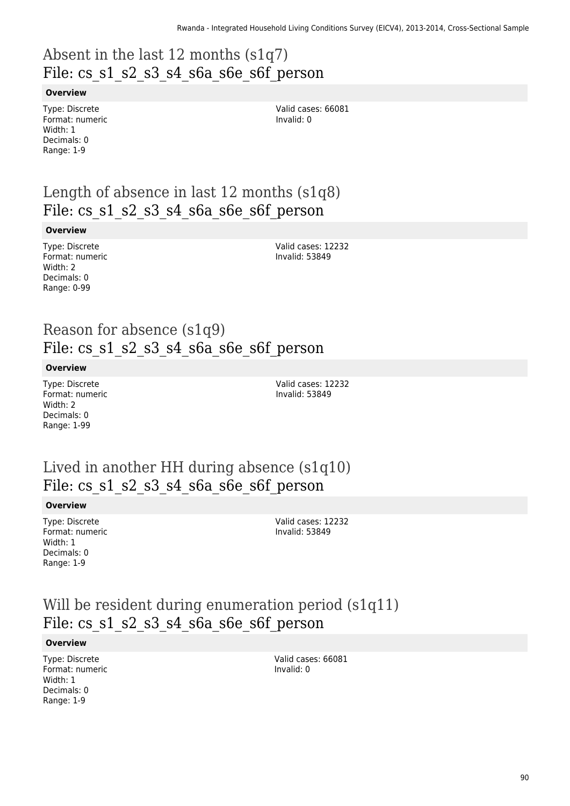# Absent in the last 12 months (s1q7) File: cs\_s1\_s2\_s3\_s4\_s6a\_s6e\_s6f\_person

## **Overview**

Type: Discrete Format: numeric Width: 1 Decimals: 0 Range: 1-9

Valid cases: 66081 Invalid: 0

# Length of absence in last 12 months (s1q8) File: cs\_s1\_s2\_s3\_s4\_s6a\_s6e\_s6f\_person

### **Overview**

Type: Discrete Format: numeric Width: 2 Decimals: 0 Range: 0-99

Valid cases: 12232 Invalid: 53849

# Reason for absence (s1q9) File: cs\_s1\_s2\_s3\_s4\_s6a\_s6e\_s6f\_person

## **Overview**

Type: Discrete Format: numeric Width: 2 Decimals: 0 Range: 1-99

Valid cases: 12232 Invalid: 53849

## Lived in another HH during absence (s1q10) File: cs\_s1\_s2\_s3\_s4\_s6a\_s6e\_s6f\_person

### **Overview**

Type: Discrete Format: numeric Width: 1 Decimals: 0 Range: 1-9

Valid cases: 12232 Invalid: 53849

# Will be resident during enumeration period (s1q11) File: cs\_s1\_s2\_s3\_s4\_s6a\_s6e\_s6f\_person

### **Overview**

Type: Discrete Format: numeric Width: 1 Decimals: 0 Range: 1-9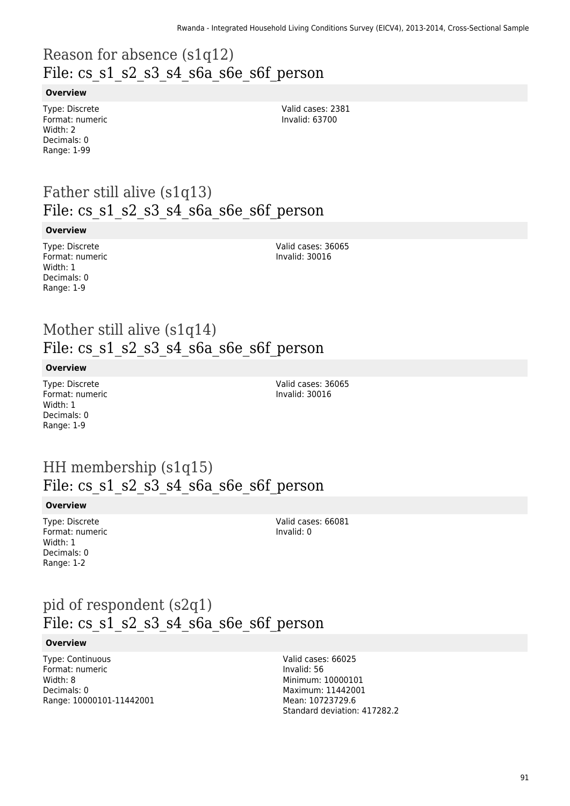# Reason for absence (s1q12) File: cs\_s1\_s2\_s3\_s4\_s6a\_s6e\_s6f\_person

## **Overview**

Type: Discrete Format: numeric Width: 2 Decimals: 0 Range: 1-99

Valid cases: 2381 Invalid: 63700

# Father still alive (s1q13) File: cs\_s1\_s2\_s3\_s4\_s6a\_s6e\_s6f\_person

### **Overview**

Type: Discrete Format: numeric Width: 1 Decimals: 0 Range: 1-9

Valid cases: 36065 Invalid: 30016

## Mother still alive (s1q14) File: cs\_s1\_s2\_s3\_s4\_s6a\_s6e\_s6f\_person

### **Overview**

Type: Discrete Format: numeric Width: 1 Decimals: 0 Range: 1-9

Valid cases: 36065 Invalid: 30016

## HH membership (s1q15) File: cs\_s1\_s2\_s3\_s4\_s6a\_s6e\_s6f\_person

### **Overview**

Type: Discrete Format: numeric Width: 1 Decimals: 0 Range: 1-2

Valid cases: 66081 Invalid: 0

# pid of respondent (s2q1) File: cs\_s1\_s2\_s3\_s4\_s6a\_s6e\_s6f\_person

### **Overview**

Type: Continuous Format: numeric Width: 8 Decimals: 0 Range: 10000101-11442001 Valid cases: 66025 Invalid: 56 Minimum: 10000101 Maximum: 11442001 Mean: 10723729.6 Standard deviation: 417282.2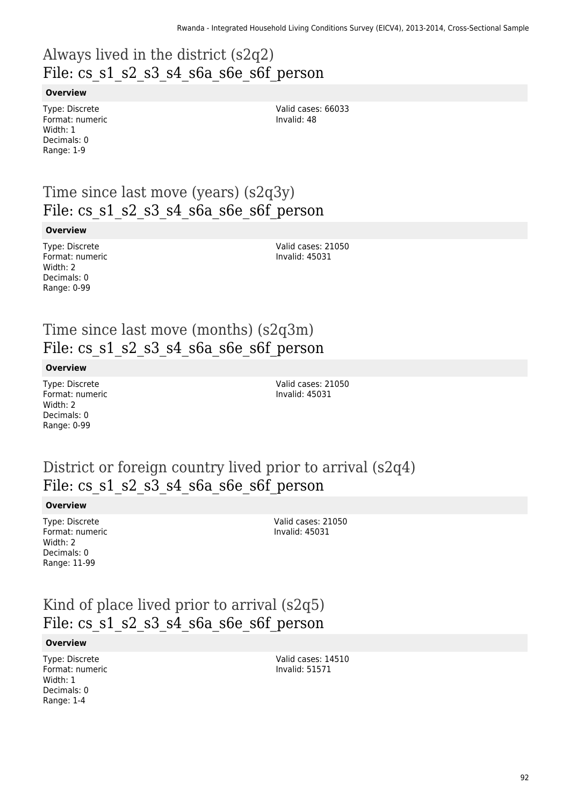# Always lived in the district (s2q2) File: cs\_s1\_s2\_s3\_s4\_s6a\_s6e\_s6f\_person

## **Overview**

Type: Discrete Format: numeric Width: 1 Decimals: 0 Range: 1-9

Valid cases: 66033 Invalid: 48

# Time since last move (years) (s2q3y) File: cs\_s1\_s2\_s3\_s4\_s6a\_s6e\_s6f\_person

### **Overview**

Type: Discrete Format: numeric Width: 2 Decimals: 0 Range: 0-99

Valid cases: 21050 Invalid: 45031

## Time since last move (months) (s2q3m) File: cs\_s1\_s2\_s3\_s4\_s6a\_s6e\_s6f\_person

### **Overview**

Type: Discrete Format: numeric Width: 2 Decimals: 0 Range: 0-99

Valid cases: 21050 Invalid: 45031

## District or foreign country lived prior to arrival (s2q4) File: cs\_s1\_s2\_s3\_s4\_s6a\_s6e\_s6f\_person

### **Overview**

Type: Discrete Format: numeric Width: 2 Decimals: 0 Range: 11-99

Valid cases: 21050 Invalid: 45031

Kind of place lived prior to arrival (s2q5) File: cs\_s1\_s2\_s3\_s4\_s6a\_s6e\_s6f\_person

### **Overview**

Type: Discrete Format: numeric Width: 1 Decimals: 0 Range: 1-4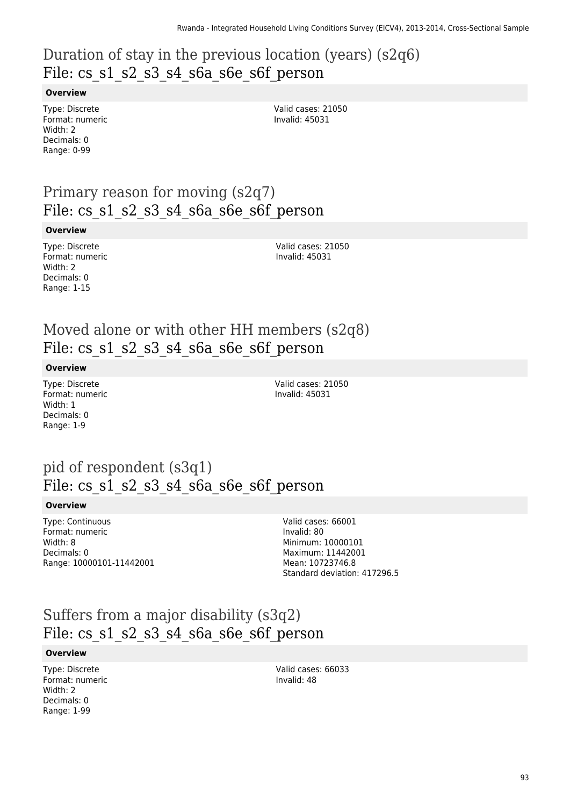# Duration of stay in the previous location (years)  $(s2q6)$ File: cs\_s1\_s2\_s3\_s4\_s6a\_s6e\_s6f\_person

## **Overview**

Type: Discrete Format: numeric Width: 2 Decimals: 0 Range: 0-99

Valid cases: 21050 Invalid: 45031

# Primary reason for moving (s2q7) File: cs\_s1\_s2\_s3\_s4\_s6a\_s6e\_s6f\_person

### **Overview**

Type: Discrete Format: numeric Width: 2 Decimals: 0 Range: 1-15

Valid cases: 21050 Invalid: 45031

# Moved alone or with other HH members (s2q8) File: cs\_s1\_s2\_s3\_s4\_s6a\_s6e\_s6f\_person

### **Overview**

Type: Discrete Format: numeric Width: 1 Decimals: 0 Range: 1-9

Valid cases: 21050 Invalid: 45031

## pid of respondent (s3q1) File: cs\_s1\_s2\_s3\_s4\_s6a\_s6e\_s6f\_person

### **Overview**

Type: Continuous Format: numeric Width: 8 Decimals: 0 Range: 10000101-11442001

Valid cases: 66001 Invalid: 80 Minimum: 10000101 Maximum: 11442001 Mean: 10723746.8 Standard deviation: 417296.5

## Suffers from a major disability (s3q2) File: cs\_s1\_s2\_s3\_s4\_s6a\_s6e\_s6f\_person

### **Overview**

Type: Discrete Format: numeric Width: 2 Decimals: 0 Range: 1-99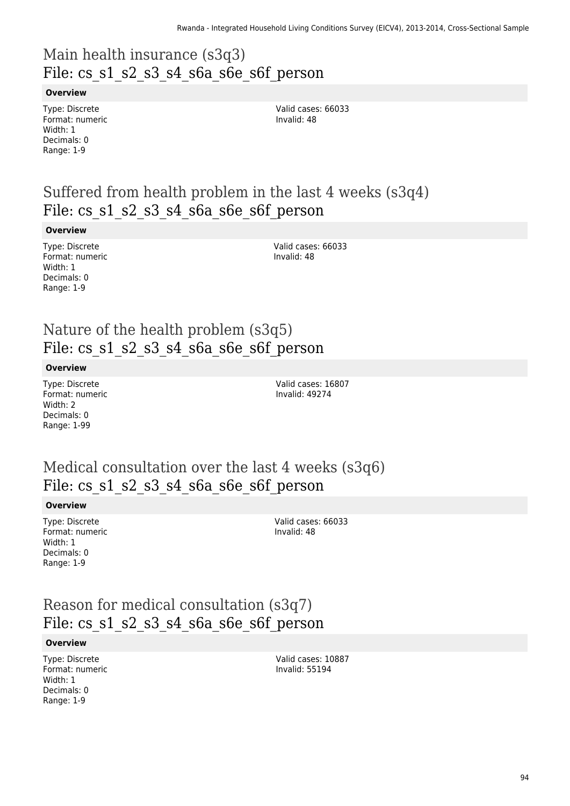# Main health insurance (s3q3) File: cs\_s1\_s2\_s3\_s4\_s6a\_s6e\_s6f\_person

## **Overview**

Type: Discrete Format: numeric Width: 1 Decimals: 0 Range: 1-9

Valid cases: 66033 Invalid: 48

# Suffered from health problem in the last 4 weeks (s3q4) File: cs\_s1\_s2\_s3\_s4\_s6a\_s6e\_s6f\_person

## **Overview**

Type: Discrete Format: numeric Width: 1 Decimals: 0 Range: 1-9

Valid cases: 66033 Invalid: 48

# Nature of the health problem (s3q5) File: cs\_s1\_s2\_s3\_s4\_s6a\_s6e\_s6f\_person

## **Overview**

Type: Discrete Format: numeric Width: 2 Decimals: 0 Range: 1-99

Valid cases: 16807 Invalid: 49274

## Medical consultation over the last 4 weeks (s3q6) File: cs\_s1\_s2\_s3\_s4\_s6a\_s6e\_s6f\_person

### **Overview**

Type: Discrete Format: numeric Width: 1 Decimals: 0 Range: 1-9

Valid cases: 66033 Invalid: 48

## Reason for medical consultation (s3q7) File: cs\_s1\_s2\_s3\_s4\_s6a\_s6e\_s6f\_person

### **Overview**

Type: Discrete Format: numeric Width: 1 Decimals: 0 Range: 1-9

Valid cases: 10887 Invalid: 55194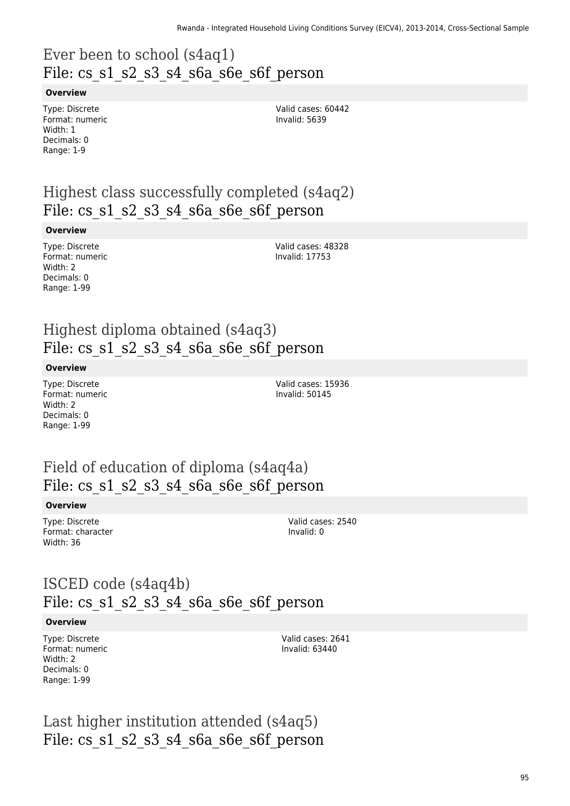# Ever been to school (s4aq1) File: cs\_s1\_s2\_s3\_s4\_s6a\_s6e\_s6f\_person

## **Overview**

Type: Discrete Format: numeric Width: 1 Decimals: 0 Range: 1-9

Valid cases: 60442 Invalid: 5639

# Highest class successfully completed (s4aq2) File: cs\_s1\_s2\_s3\_s4\_s6a\_s6e\_s6f\_person

## **Overview**

Type: Discrete Format: numeric Width: 2 Decimals: 0 Range: 1-99

Valid cases: 48328 Invalid: 17753

# Highest diploma obtained (s4aq3) File: cs\_s1\_s2\_s3\_s4\_s6a\_s6e\_s6f\_person

## **Overview**

Type: Discrete Format: numeric Width: 2 Decimals: 0 Range: 1-99

Valid cases: 15936 Invalid: 50145

## Field of education of diploma (s4aq4a) File: cs\_s1\_s2\_s3\_s4\_s6a\_s6e\_s6f\_person

### **Overview**

Type: Discrete Format: character Width: 36

Valid cases: 2540 Invalid: 0

# ISCED code (s4aq4b) File: cs\_s1\_s2\_s3\_s4\_s6a\_s6e\_s6f\_person

### **Overview**

Type: Discrete Format: numeric Width: 2 Decimals: 0 Range: 1-99

Valid cases: 2641 Invalid: 63440

Last higher institution attended (s4aq5) File: cs\_s1\_s2\_s3\_s4\_s6a\_s6e\_s6f\_person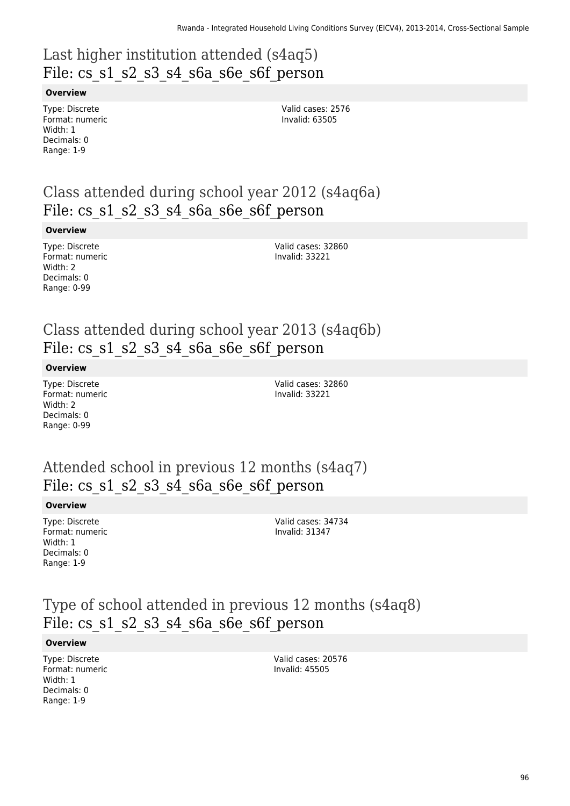# Last higher institution attended (s4aq5) File: cs\_s1\_s2\_s3\_s4\_s6a\_s6e\_s6f\_person

## **Overview**

Type: Discrete Format: numeric Width: 1 Decimals: 0 Range: 1-9

Valid cases: 2576 Invalid: 63505

# Class attended during school year 2012 (s4aq6a) File: cs\_s1\_s2\_s3\_s4\_s6a\_s6e\_s6f\_person

## **Overview**

Type: Discrete Format: numeric Width: 2 Decimals: 0 Range: 0-99

Valid cases: 32860 Invalid: 33221

# Class attended during school year 2013 (s4aq6b) File: cs\_s1\_s2\_s3\_s4\_s6a\_s6e\_s6f\_person

## **Overview**

Type: Discrete Format: numeric Width: 2 Decimals: 0 Range: 0-99

Valid cases: 32860 Invalid: 33221

# Attended school in previous 12 months (s4aq7) File: cs\_s1\_s2\_s3\_s4\_s6a\_s6e\_s6f\_person

## **Overview**

Type: Discrete Format: numeric Width: 1 Decimals: 0 Range: 1-9

Valid cases: 34734 Invalid: 31347

## Type of school attended in previous 12 months (s4aq8) File: cs\_s1\_s2\_s3\_s4\_s6a\_s6e\_s6f\_person

### **Overview**

Type: Discrete Format: numeric Width: 1 Decimals: 0 Range: 1-9

Valid cases: 20576 Invalid: 45505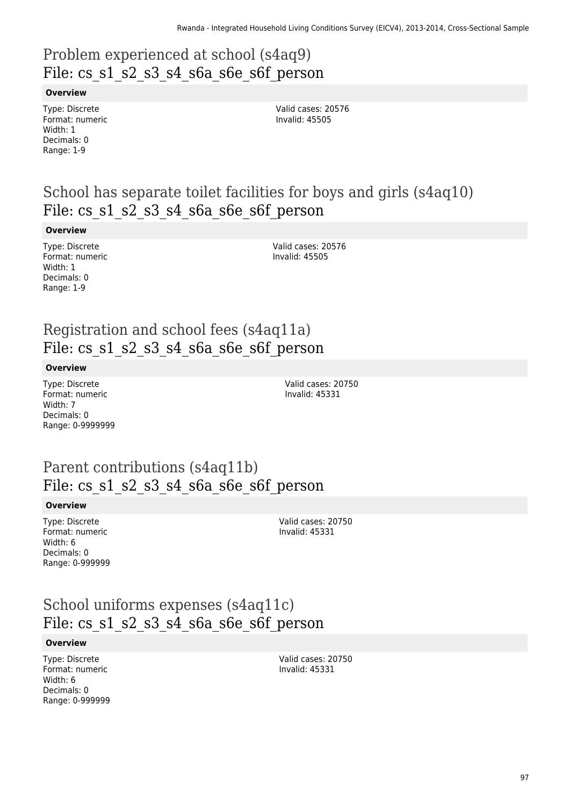# Problem experienced at school (s4aq9) File: cs\_s1\_s2\_s3\_s4\_s6a\_s6e\_s6f\_person

## **Overview**

Type: Discrete Format: numeric Width: 1 Decimals: 0 Range: 1-9

Valid cases: 20576 Invalid: 45505

# School has separate toilet facilities for boys and girls (s4aq10) File: cs\_s1\_s2\_s3\_s4\_s6a\_s6e\_s6f\_person

## **Overview**

Type: Discrete Format: numeric Width: 1 Decimals: 0 Range: 1-9

Valid cases: 20576 Invalid: 45505

# Registration and school fees (s4aq11a) File: cs\_s1\_s2\_s3\_s4\_s6a\_s6e\_s6f\_person

## **Overview**

Type: Discrete Format: numeric Width: 7 Decimals: 0 Range: 0-9999999

Valid cases: 20750 Invalid: 45331

## Parent contributions (s4aq11b) File: cs\_s1\_s2\_s3\_s4\_s6a\_s6e\_s6f\_person

### **Overview**

Type: Discrete Format: numeric Width: 6 Decimals: 0 Range: 0-999999 Valid cases: 20750 Invalid: 45331

## School uniforms expenses (s4aq11c) File: cs\_s1\_s2\_s3\_s4\_s6a\_s6e\_s6f\_person

### **Overview**

Type: Discrete Format: numeric Width: 6 Decimals: 0 Range: 0-999999 Valid cases: 20750 Invalid: 45331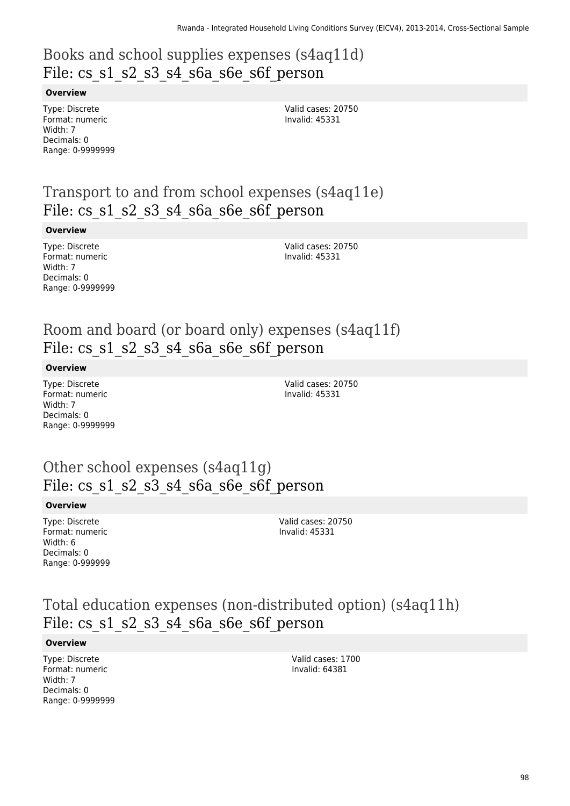# Books and school supplies expenses (s4aq11d) File: cs\_s1\_s2\_s3\_s4\_s6a\_s6e\_s6f\_person

## **Overview**

Type: Discrete Format: numeric Width: 7 Decimals: 0 Range: 0-9999999

Valid cases: 20750 Invalid: 45331

# Transport to and from school expenses (s4aq11e) File: cs\_s1\_s2\_s3\_s4\_s6a\_s6e\_s6f\_person

### **Overview**

Type: Discrete Format: numeric Width: 7 Decimals: 0 Range: 0-9999999

Valid cases: 20750 Invalid: 45331

# Room and board (or board only) expenses (s4aq11f) File: cs\_s1\_s2\_s3\_s4\_s6a\_s6e\_s6f\_person

## **Overview**

Type: Discrete Format: numeric Width: 7 Decimals: 0 Range: 0-9999999

Valid cases: 20750 Invalid: 45331

## Other school expenses (s4aq11g) File: cs\_s1\_s2\_s3\_s4\_s6a\_s6e\_s6f\_person

## **Overview**

Type: Discrete Format: numeric Width: 6 Decimals: 0 Range: 0-999999 Valid cases: 20750 Invalid: 45331

# Total education expenses (non-distributed option) (s4aq11h) File: cs\_s1\_s2\_s3\_s4\_s6a\_s6e\_s6f\_person

## **Overview**

Type: Discrete Format: numeric Width: 7 Decimals: 0 Range: 0-9999999 Valid cases: 1700 Invalid: 64381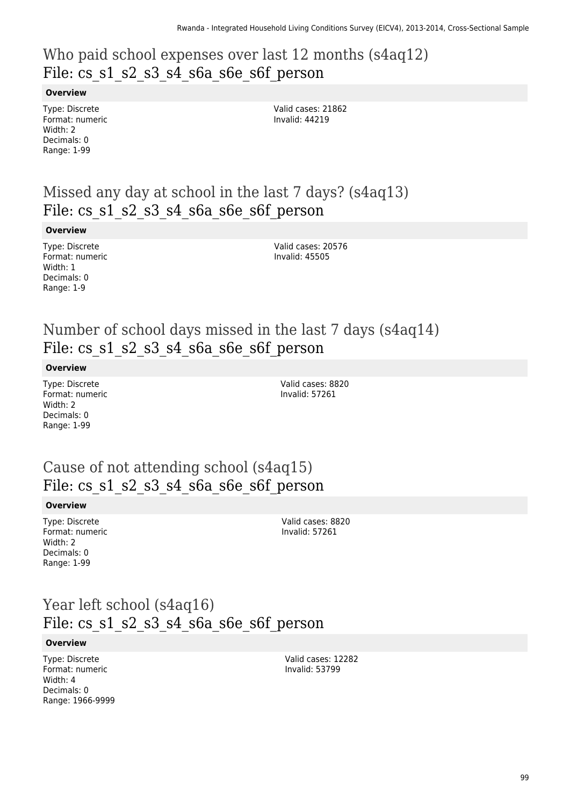# Who paid school expenses over last 12 months (s4aq12) File: cs\_s1\_s2\_s3\_s4\_s6a\_s6e\_s6f\_person

## **Overview**

Type: Discrete Format: numeric Width: 2 Decimals: 0 Range: 1-99

Valid cases: 21862 Invalid: 44219

# Missed any day at school in the last 7 days? (s4aq13) File: cs\_s1\_s2\_s3\_s4\_s6a\_s6e\_s6f\_person

### **Overview**

Type: Discrete Format: numeric Width: 1 Decimals: 0 Range: 1-9

Valid cases: 20576 Invalid: 45505

# Number of school days missed in the last 7 days (s4aq14) File: cs\_s1\_s2\_s3\_s4\_s6a\_s6e\_s6f\_person

## **Overview**

Type: Discrete Format: numeric Width: 2 Decimals: 0 Range: 1-99

Valid cases: 8820 Invalid: 57261

## Cause of not attending school (s4aq15) File: cs\_s1\_s2\_s3\_s4\_s6a\_s6e\_s6f\_person

## **Overview**

Type: Discrete Format: numeric Width: 2 Decimals: 0 Range: 1-99

Valid cases: 8820 Invalid: 57261

# Year left school (s4aq16) File: cs\_s1\_s2\_s3\_s4\_s6a\_s6e\_s6f\_person

### **Overview**

Type: Discrete Format: numeric Width: 4 Decimals: 0 Range: 1966-9999 Valid cases: 12282 Invalid: 53799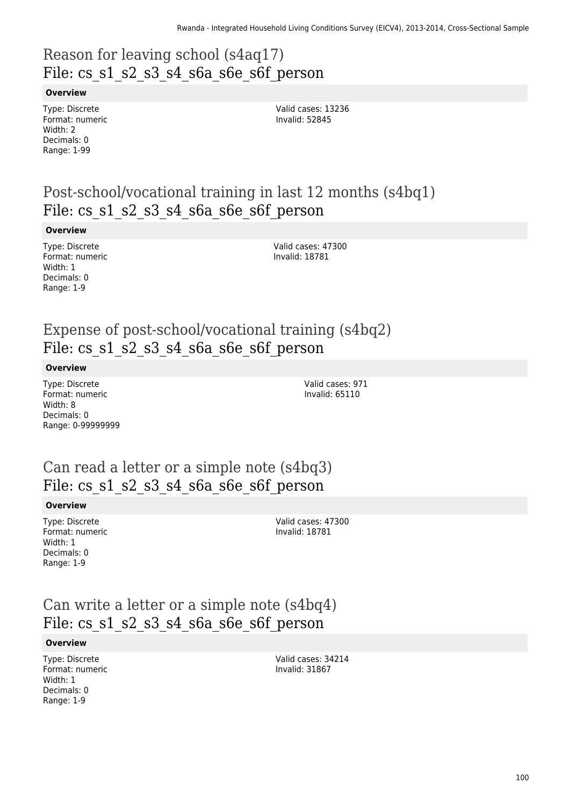# Reason for leaving school (s4aq17) File: cs\_s1\_s2\_s3\_s4\_s6a\_s6e\_s6f\_person

## **Overview**

Type: Discrete Format: numeric Width: 2 Decimals: 0 Range: 1-99

Valid cases: 13236 Invalid: 52845

# Post-school/vocational training in last 12 months (s4bq1) File: cs\_s1\_s2\_s3\_s4\_s6a\_s6e\_s6f\_person

## **Overview**

Type: Discrete Format: numeric Width: 1 Decimals: 0 Range: 1-9

Valid cases: 47300 Invalid: 18781

# Expense of post-school/vocational training (s4bq2) File: cs\_s1\_s2\_s3\_s4\_s6a\_s6e\_s6f\_person

## **Overview**

Type: Discrete Format: numeric Width: 8 Decimals: 0 Range: 0-99999999 Valid cases: 971 Invalid: 65110

## Can read a letter or a simple note (s4bq3) File: cs\_s1\_s2\_s3\_s4\_s6a\_s6e\_s6f\_person

### **Overview**

Type: Discrete Format: numeric Width: 1 Decimals: 0 Range: 1-9

Valid cases: 47300 Invalid: 18781

Can write a letter or a simple note (s4bq4) File: cs\_s1\_s2\_s3\_s4\_s6a\_s6e\_s6f\_person

### **Overview**

Type: Discrete Format: numeric Width: 1 Decimals: 0 Range: 1-9

Valid cases: 34214 Invalid: 31867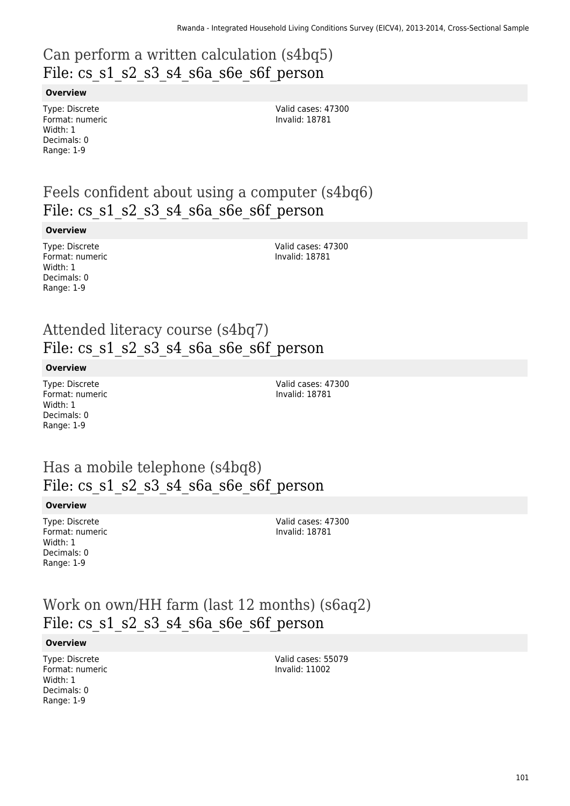# Can perform a written calculation (s4bq5) File: cs\_s1\_s2\_s3\_s4\_s6a\_s6e\_s6f\_person

## **Overview**

Type: Discrete Format: numeric Width: 1 Decimals: 0 Range: 1-9

Valid cases: 47300 Invalid: 18781

# Feels confident about using a computer (s4bq6) File: cs\_s1\_s2\_s3\_s4\_s6a\_s6e\_s6f\_person

## **Overview**

Type: Discrete Format: numeric Width: 1 Decimals: 0 Range: 1-9

Valid cases: 47300 Invalid: 18781

## Attended literacy course (s4bq7) File: cs\_s1\_s2\_s3\_s4\_s6a\_s6e\_s6f\_person

## **Overview**

Type: Discrete Format: numeric Width: 1 Decimals: 0 Range: 1-9

Valid cases: 47300 Invalid: 18781

## Has a mobile telephone (s4bq8) File: cs\_s1\_s2\_s3\_s4\_s6a\_s6e\_s6f\_person

### **Overview**

Type: Discrete Format: numeric Width: 1 Decimals: 0 Range: 1-9

Valid cases: 47300 Invalid: 18781

## Work on own/HH farm (last 12 months) (s6aq2) File: cs\_s1\_s2\_s3\_s4\_s6a\_s6e\_s6f\_person

### **Overview**

Type: Discrete Format: numeric Width: 1 Decimals: 0 Range: 1-9

Valid cases: 55079 Invalid: 11002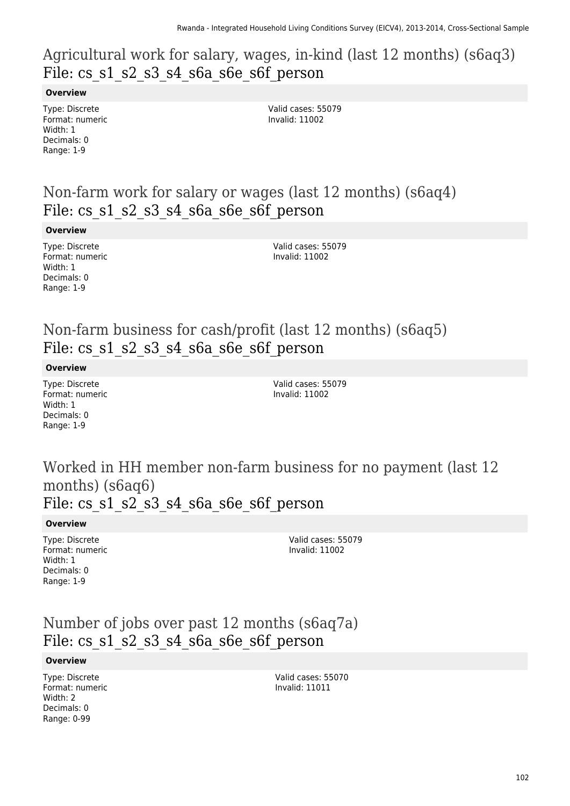# Agricultural work for salary, wages, in-kind (last 12 months) (s6aq3) File: cs\_s1\_s2\_s3\_s4\_s6a\_s6e\_s6f\_person

## **Overview**

Type: Discrete Format: numeric Width: 1 Decimals: 0 Range: 1-9

Valid cases: 55079 Invalid: 11002

# Non-farm work for salary or wages (last 12 months) (s6aq4) File: cs\_s1\_s2\_s3\_s4\_s6a\_s6e\_s6f\_person

## **Overview**

Type: Discrete Format: numeric Width: 1 Decimals: 0 Range: 1-9

Valid cases: 55079 Invalid: 11002

# Non-farm business for cash/profit (last 12 months) (s6aq5) File: cs\_s1\_s2\_s3\_s4\_s6a\_s6e\_s6f\_person

## **Overview**

Type: Discrete Format: numeric Width: 1 Decimals: 0 Range: 1-9

Valid cases: 55079 Invalid: 11002

## Worked in HH member non-farm business for no payment (last 12 months) (s6aq6) File: cs\_s1\_s2\_s3\_s4\_s6a\_s6e\_s6f\_person

### **Overview**

Type: Discrete Format: numeric Width: 1 Decimals: 0 Range: 1-9

Valid cases: 55079 Invalid: 11002

## Number of jobs over past 12 months (s6aq7a) File: cs\_s1\_s2\_s3\_s4\_s6a\_s6e\_s6f\_person

## **Overview**

Type: Discrete Format: numeric Width: 2 Decimals: 0 Range: 0-99

Valid cases: 55070 Invalid: 11011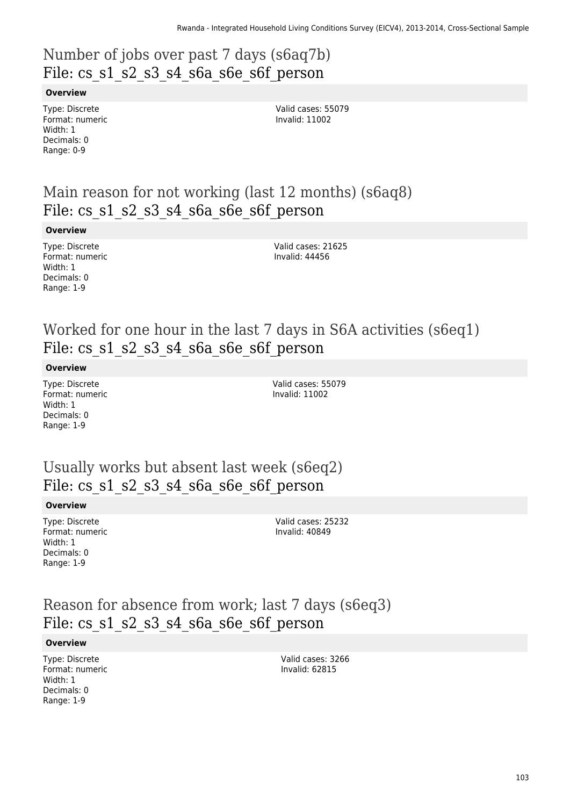# Number of jobs over past 7 days (s6aq7b) File: cs\_s1\_s2\_s3\_s4\_s6a\_s6e\_s6f\_person

## **Overview**

Type: Discrete Format: numeric Width: 1 Decimals: 0 Range: 0-9

Valid cases: 55079 Invalid: 11002

## Main reason for not working (last 12 months) (s6aq8) File: cs\_s1\_s2\_s3\_s4\_s6a\_s6e\_s6f\_person

### **Overview**

Type: Discrete Format: numeric Width: 1 Decimals: 0 Range: 1-9

Valid cases: 21625 Invalid: 44456

# Worked for one hour in the last 7 days in S6A activities (s6eq1) File: cs\_s1\_s2\_s3\_s4\_s6a\_s6e\_s6f\_person

## **Overview**

Type: Discrete Format: numeric Width: 1 Decimals: 0 Range: 1-9

Valid cases: 55079 Invalid: 11002

## Usually works but absent last week (s6eq2) File: cs\_s1\_s2\_s3\_s4\_s6a\_s6e\_s6f\_person

## **Overview**

Type: Discrete Format: numeric Width: 1 Decimals: 0 Range: 1-9

Valid cases: 25232 Invalid: 40849

## Reason for absence from work; last 7 days (s6eq3) File: cs\_s1\_s2\_s3\_s4\_s6a\_s6e\_s6f\_person

### **Overview**

Type: Discrete Format: numeric Width: 1 Decimals: 0 Range: 1-9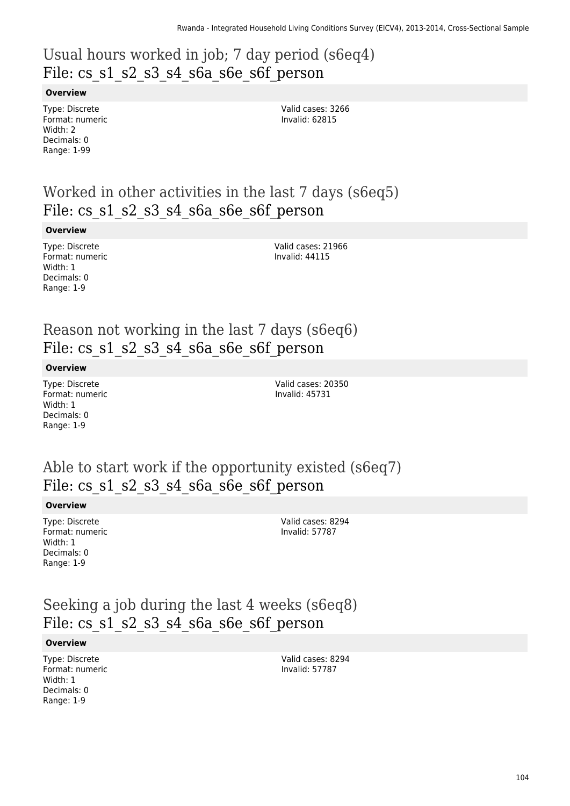# Usual hours worked in job; 7 day period (s6eq4) File: cs\_s1\_s2\_s3\_s4\_s6a\_s6e\_s6f\_person

## **Overview**

Type: Discrete Format: numeric Width: 2 Decimals: 0 Range: 1-99

Valid cases: 3266 Invalid: 62815

# Worked in other activities in the last 7 days (s6eq5) File: cs\_s1\_s2\_s3\_s4\_s6a\_s6e\_s6f\_person

## **Overview**

Type: Discrete Format: numeric Width: 1 Decimals: 0 Range: 1-9

Valid cases: 21966 Invalid: 44115

## Reason not working in the last 7 days (s6eq6) File: cs\_s1\_s2\_s3\_s4\_s6a\_s6e\_s6f\_person

## **Overview**

Type: Discrete Format: numeric Width: 1 Decimals: 0 Range: 1-9

Valid cases: 20350 Invalid: 45731

## Able to start work if the opportunity existed (s6eq7) File: cs\_s1\_s2\_s3\_s4\_s6a\_s6e\_s6f\_person

### **Overview**

Type: Discrete Format: numeric Width: 1 Decimals: 0 Range: 1-9

Valid cases: 8294 Invalid: 57787

Seeking a job during the last 4 weeks (s6eq8) File: cs\_s1\_s2\_s3\_s4\_s6a\_s6e\_s6f\_person

### **Overview**

Type: Discrete Format: numeric Width: 1 Decimals: 0 Range: 1-9

Valid cases: 8294 Invalid: 57787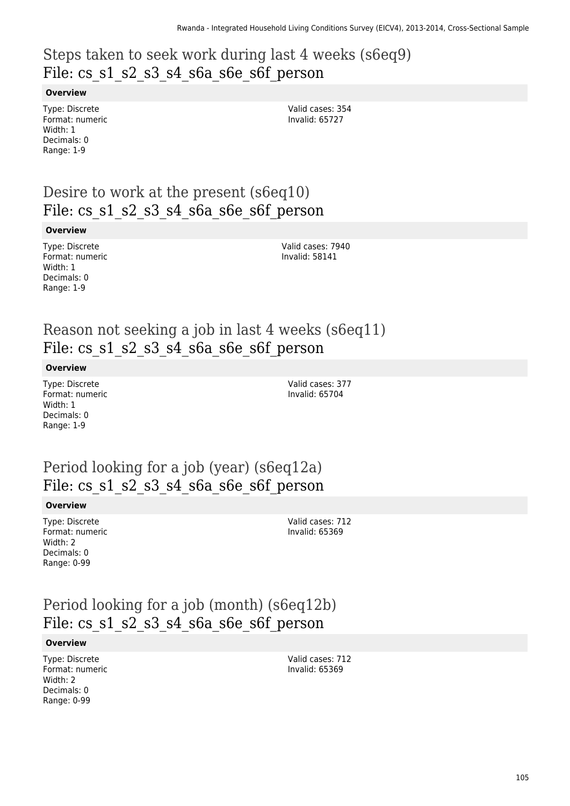# Steps taken to seek work during last 4 weeks (s6eq9) File: cs\_s1\_s2\_s3\_s4\_s6a\_s6e\_s6f\_person

## **Overview**

Type: Discrete Format: numeric Width: 1 Decimals: 0 Range: 1-9

Valid cases: 354 Invalid: 65727

## Desire to work at the present (s6eq10) File: cs\_s1\_s2\_s3\_s4\_s6a\_s6e\_s6f\_person

### **Overview**

Type: Discrete Format: numeric Width: 1 Decimals: 0 Range: 1-9

Valid cases: 7940 Invalid: 58141

## Reason not seeking a job in last 4 weeks (s6eq11) File: cs\_s1\_s2\_s3\_s4\_s6a\_s6e\_s6f\_person

## **Overview**

Type: Discrete Format: numeric Width: 1 Decimals: 0 Range: 1-9

Valid cases: 377 Invalid: 65704

## Period looking for a job (year) (s6eq12a) File: cs\_s1\_s2\_s3\_s4\_s6a\_s6e\_s6f\_person

### **Overview**

Type: Discrete Format: numeric Width: 2 Decimals: 0 Range: 0-99

Valid cases: 712 Invalid: 65369

Period looking for a job (month) (s6eq12b) File: cs\_s1\_s2\_s3\_s4\_s6a\_s6e\_s6f\_person

### **Overview**

Type: Discrete Format: numeric Width: 2 Decimals: 0 Range: 0-99

Valid cases: 712 Invalid: 65369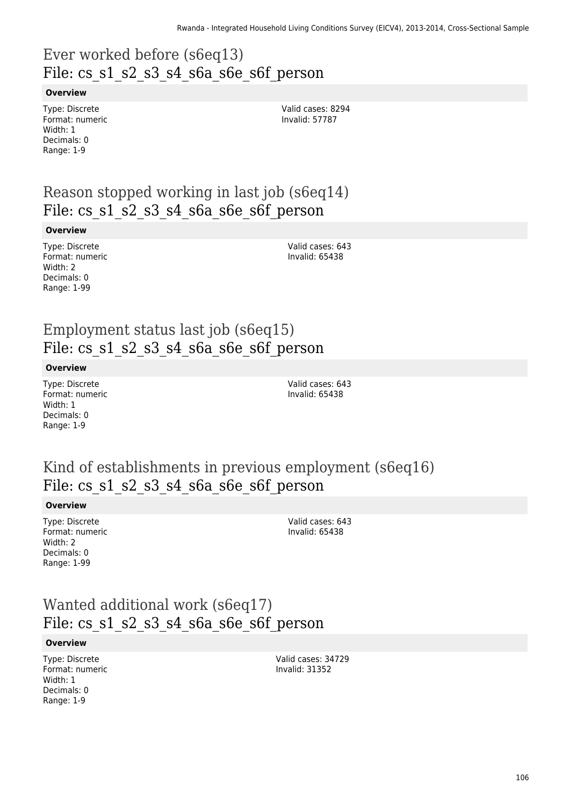# Ever worked before (s6eq13) File: cs\_s1\_s2\_s3\_s4\_s6a\_s6e\_s6f\_person

## **Overview**

Type: Discrete Format: numeric Width: 1 Decimals: 0 Range: 1-9

Valid cases: 8294 Invalid: 57787

# Reason stopped working in last job (s6eq14) File: cs\_s1\_s2\_s3\_s4\_s6a\_s6e\_s6f\_person

### **Overview**

Type: Discrete Format: numeric Width: 2 Decimals: 0 Range: 1-99

Valid cases: 643 Invalid: 65438

# Employment status last job (s6eq15) File: cs\_s1\_s2\_s3\_s4\_s6a\_s6e\_s6f\_person

## **Overview**

Type: Discrete Format: numeric Width: 1 Decimals: 0 Range: 1-9

Valid cases: 643 Invalid: 65438

# Kind of establishments in previous employment (s6eq16) File: cs\_s1\_s2\_s3\_s4\_s6a\_s6e\_s6f\_person

### **Overview**

Type: Discrete Format: numeric Width: 2 Decimals: 0 Range: 1-99

Valid cases: 643 Invalid: 65438

## Wanted additional work (s6eq17) File: cs\_s1\_s2\_s3\_s4\_s6a\_s6e\_s6f\_person

### **Overview**

Type: Discrete Format: numeric Width: 1 Decimals: 0 Range: 1-9

Valid cases: 34729 Invalid: 31352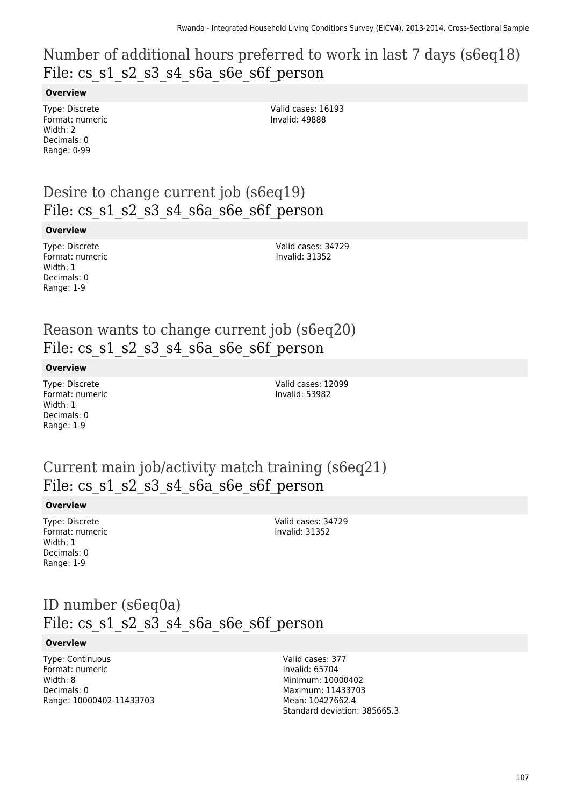# Number of additional hours preferred to work in last 7 days (s6eq18) File: cs\_s1\_s2\_s3\_s4\_s6a\_s6e\_s6f\_person

## **Overview**

Type: Discrete Format: numeric Width: 2 Decimals: 0 Range: 0-99

Valid cases: 16193 Invalid: 49888

# Desire to change current job (s6eq19) File: cs\_s1\_s2\_s3\_s4\_s6a\_s6e\_s6f\_person

## **Overview**

Type: Discrete Format: numeric Width: 1 Decimals: 0 Range: 1-9

Valid cases: 34729 Invalid: 31352

## Reason wants to change current job (s6eq20) File: cs\_s1\_s2\_s3\_s4\_s6a\_s6e\_s6f\_person

## **Overview**

Type: Discrete Format: numeric Width: 1 Decimals: 0 Range: 1-9

Valid cases: 12099 Invalid: 53982

## Current main job/activity match training (s6eq21) File: cs\_s1\_s2\_s3\_s4\_s6a\_s6e\_s6f\_person

### **Overview**

Type: Discrete Format: numeric Width: 1 Decimals: 0 Range: 1-9

Valid cases: 34729 Invalid: 31352

# ID number (s6eq0a) File: cs\_s1\_s2\_s3\_s4\_s6a\_s6e\_s6f\_person

### **Overview**

Type: Continuous Format: numeric Width: 8 Decimals: 0 Range: 10000402-11433703 Valid cases: 377 Invalid: 65704 Minimum: 10000402 Maximum: 11433703 Mean: 10427662.4 Standard deviation: 385665.3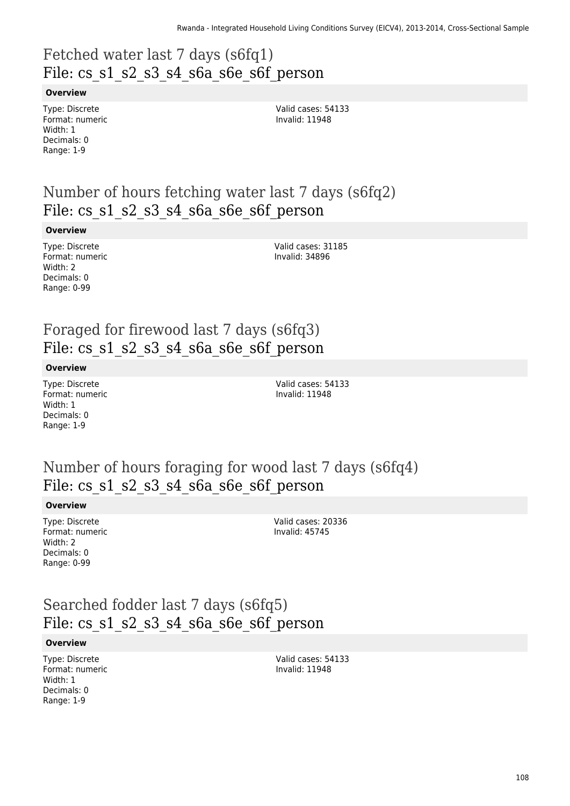# Fetched water last 7 days (s6fq1) File: cs\_s1\_s2\_s3\_s4\_s6a\_s6e\_s6f\_person

## **Overview**

Type: Discrete Format: numeric Width: 1 Decimals: 0 Range: 1-9

Valid cases: 54133 Invalid: 11948

# Number of hours fetching water last 7 days (s6fq2) File: cs\_s1\_s2\_s3\_s4\_s6a\_s6e\_s6f\_person

## **Overview**

Type: Discrete Format: numeric Width: 2 Decimals: 0 Range: 0-99

Valid cases: 31185 Invalid: 34896

# Foraged for firewood last 7 days (s6fq3) File: cs\_s1\_s2\_s3\_s4\_s6a\_s6e\_s6f\_person

## **Overview**

Type: Discrete Format: numeric Width: 1 Decimals: 0 Range: 1-9

Valid cases: 54133 Invalid: 11948

## Number of hours foraging for wood last 7 days (s6fq4) File: cs\_s1\_s2\_s3\_s4\_s6a\_s6e\_s6f\_person

## **Overview**

Type: Discrete Format: numeric Width: 2 Decimals: 0 Range: 0-99

Valid cases: 20336 Invalid: 45745

## Searched fodder last 7 days (s6fq5) File: cs\_s1\_s2\_s3\_s4\_s6a\_s6e\_s6f\_person

### **Overview**

Type: Discrete Format: numeric Width: 1 Decimals: 0 Range: 1-9

Valid cases: 54133 Invalid: 11948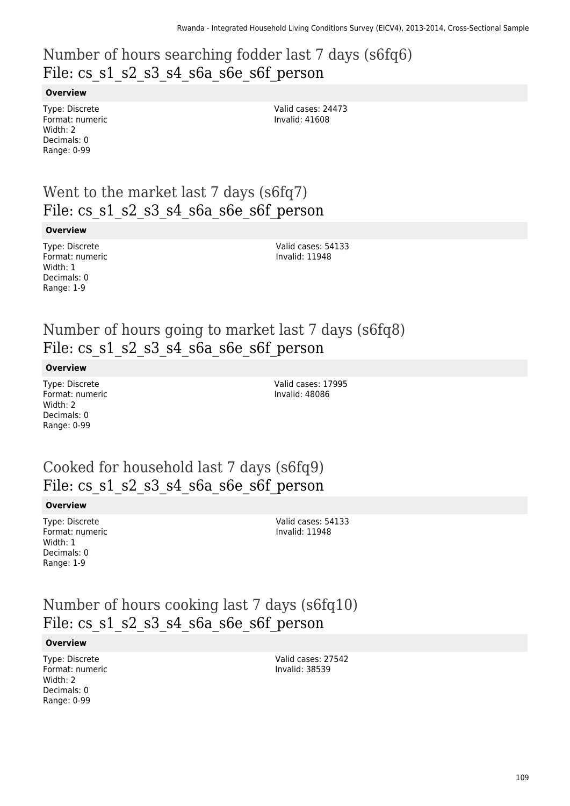# Number of hours searching fodder last 7 days (s6fq6) File: cs\_s1\_s2\_s3\_s4\_s6a\_s6e\_s6f\_person

### **Overview**

Type: Discrete Format: numeric Width: 2 Decimals: 0 Range: 0-99

Valid cases: 24473 Invalid: 41608

# Went to the market last 7 days (s6fq7) File: cs\_s1\_s2\_s3\_s4\_s6a\_s6e\_s6f\_person

#### **Overview**

Type: Discrete Format: numeric Width: 1 Decimals: 0 Range: 1-9

Valid cases: 54133 Invalid: 11948

## Number of hours going to market last 7 days (s6fq8) File: cs\_s1\_s2\_s3\_s4\_s6a\_s6e\_s6f\_person

#### **Overview**

Type: Discrete Format: numeric Width: 2 Decimals: 0 Range: 0-99

Valid cases: 17995 Invalid: 48086

### Cooked for household last 7 days (s6fq9) File: cs\_s1\_s2\_s3\_s4\_s6a\_s6e\_s6f\_person

#### **Overview**

Type: Discrete Format: numeric Width: 1 Decimals: 0 Range: 1-9

Valid cases: 54133 Invalid: 11948

Number of hours cooking last 7 days (s6fq10) File: cs\_s1\_s2\_s3\_s4\_s6a\_s6e\_s6f\_person

#### **Overview**

Type: Discrete Format: numeric Width: 2 Decimals: 0 Range: 0-99

Valid cases: 27542 Invalid: 38539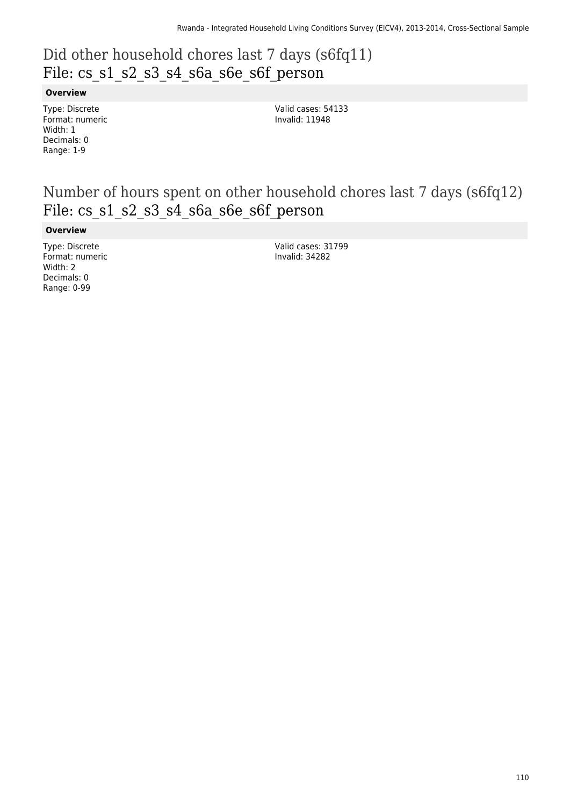# Did other household chores last 7 days (s6fq11) File: cs\_s1\_s2\_s3\_s4\_s6a\_s6e\_s6f\_person

**Overview**

Type: Discrete Format: numeric Width: 1 Decimals: 0 Range: 1-9

Valid cases: 54133 Invalid: 11948

Number of hours spent on other household chores last 7 days (s6fq12) File: cs\_s1\_s2\_s3\_s4\_s6a\_s6e\_s6f\_person

**Overview**

Type: Discrete Format: numeric Width: 2 Decimals: 0 Range: 0-99

Valid cases: 31799 Invalid: 34282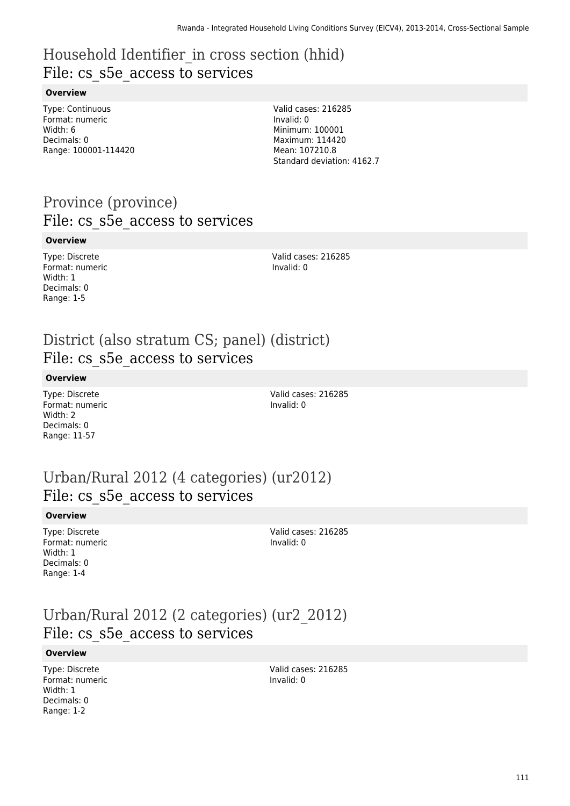# Household Identifier\_in cross section (hhid) File: cs\_s5e\_access to services

### **Overview**

Type: Continuous Format: numeric Width: 6 Decimals: 0 Range: 100001-114420

Valid cases: 216285 Invalid: 0 Minimum: 100001 Maximum: 114420 Mean: 107210.8 Standard deviation: 4162.7

## Province (province) File: cs\_s5e\_access to services

#### **Overview**

Type: Discrete Format: numeric Width: 1 Decimals: 0 Range: 1-5

Valid cases: 216285 Invalid: 0

### District (also stratum CS; panel) (district) File: cs\_s5e\_access to services

### **Overview**

Type: Discrete Format: numeric Width: 2 Decimals: 0 Range: 11-57

Valid cases: 216285 Invalid: 0

### Urban/Rural 2012 (4 categories) (ur2012) File: cs\_s5e\_access to services

#### **Overview**

Type: Discrete Format: numeric Width: 1 Decimals: 0 Range: 1-4

Valid cases: 216285 Invalid: 0

## Urban/Rural 2012 (2 categories) (ur2\_2012) File: cs s5e access to services

#### **Overview**

Type: Discrete Format: numeric Width: 1 Decimals: 0 Range: 1-2

Valid cases: 216285 Invalid: 0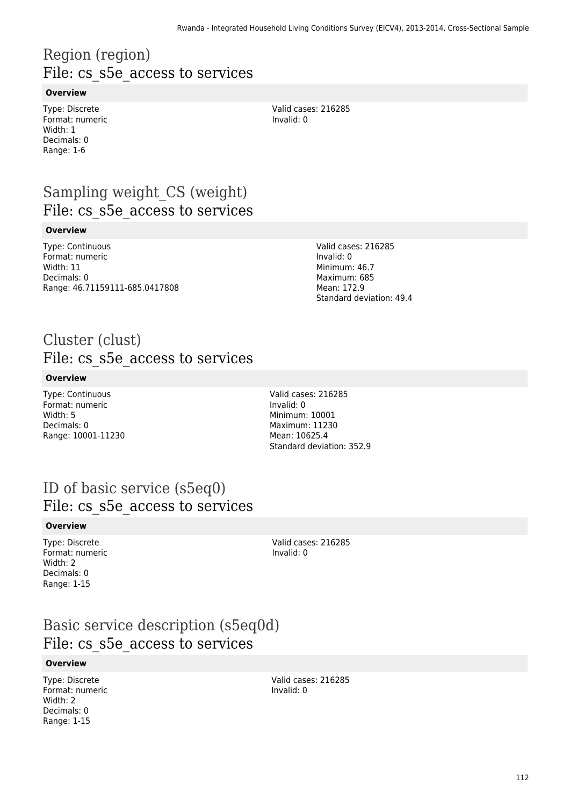# Region (region) File: cs\_s5e\_access to services

### **Overview**

Type: Discrete Format: numeric Width: 1 Decimals: 0 Range: 1-6

Valid cases: 216285 Invalid: 0

### Sampling weight\_CS (weight) File: cs\_s5e\_access to services

#### **Overview**

Type: Continuous Format: numeric Width: 11 Decimals: 0 Range: 46.71159111-685.0417808 Valid cases: 216285 Invalid: 0 Minimum: 46.7 Maximum: 685 Mean: 172.9 Standard deviation: 49.4

### Cluster (clust) File: cs\_s5e\_access to services

### **Overview**

Type: Continuous Format: numeric Width: 5 Decimals: 0 Range: 10001-11230 Valid cases: 216285 Invalid: 0 Minimum: 10001 Maximum: 11230 Mean: 10625.4 Standard deviation: 352.9

### ID of basic service (s5eq0) File: cs s5e access to services

#### **Overview**

Type: Discrete Format: numeric Width: 2 Decimals: 0 Range: 1-15

Valid cases: 216285 Invalid: 0

### Basic service description (s5eq0d) File: cs\_s5e\_access to services

### **Overview**

Type: Discrete Format: numeric Width: 2 Decimals: 0 Range: 1-15

Valid cases: 216285 Invalid: 0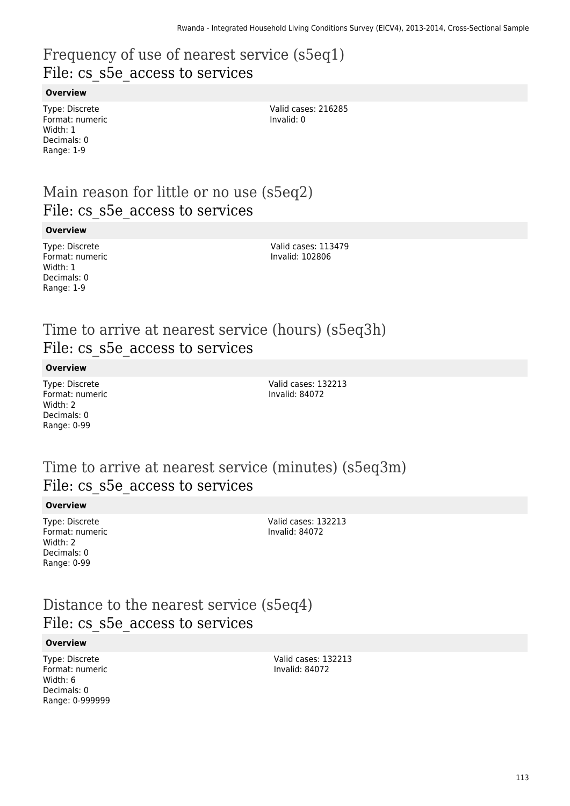# Frequency of use of nearest service (s5eq1) File: cs\_s5e\_access to services

### **Overview**

Type: Discrete Format: numeric Width: 1 Decimals: 0 Range: 1-9

Valid cases: 216285 Invalid: 0

### Main reason for little or no use (s5eq2) File: cs\_s5e\_access to services

#### **Overview**

Type: Discrete Format: numeric Width: 1 Decimals: 0 Range: 1-9

Valid cases: 113479 Invalid: 102806

### Time to arrive at nearest service (hours) (s5eq3h) File: cs\_s5e\_access to services

#### **Overview**

Type: Discrete Format: numeric Width: 2 Decimals: 0 Range: 0-99

Valid cases: 132213 Invalid: 84072

### Time to arrive at nearest service (minutes) (s5eq3m) File: cs\_s5e\_access to services

#### **Overview**

Type: Discrete Format: numeric Width: 2 Decimals: 0 Range: 0-99

Valid cases: 132213 Invalid: 84072

### Distance to the nearest service (s5eq4) File: cs\_s5e\_access to services

#### **Overview**

Type: Discrete Format: numeric Width: 6 Decimals: 0 Range: 0-999999 Valid cases: 132213 Invalid: 84072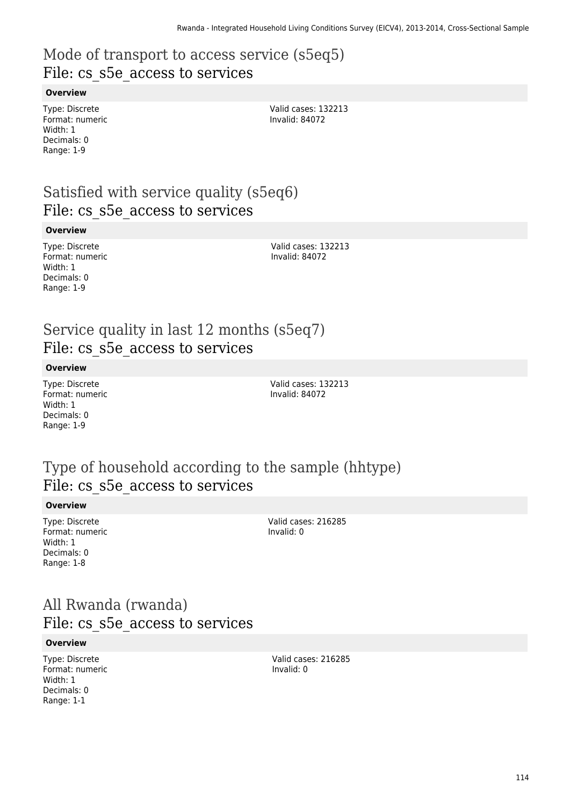# Mode of transport to access service (s5eq5) File: cs\_s5e\_access to services

### **Overview**

Type: Discrete Format: numeric Width: 1 Decimals: 0 Range: 1-9

Valid cases: 132213 Invalid: 84072

### Satisfied with service quality (s5eq6) File: cs\_s5e\_access to services

#### **Overview**

Type: Discrete Format: numeric Width: 1 Decimals: 0 Range: 1-9

Valid cases: 132213 Invalid: 84072

### Service quality in last 12 months (s5eq7) File: cs s5e access to services

#### **Overview**

Type: Discrete Format: numeric Width: 1 Decimals: 0 Range: 1-9

Valid cases: 132213 Invalid: 84072

### Type of household according to the sample (hhtype) File: cs\_s5e\_access to services

#### **Overview**

Type: Discrete Format: numeric Width: 1 Decimals: 0 Range: 1-8

Valid cases: 216285 Invalid: 0

### All Rwanda (rwanda) File: cs\_s5e\_access to services

#### **Overview**

Type: Discrete Format: numeric Width: 1 Decimals: 0 Range: 1-1

Valid cases: 216285 Invalid: 0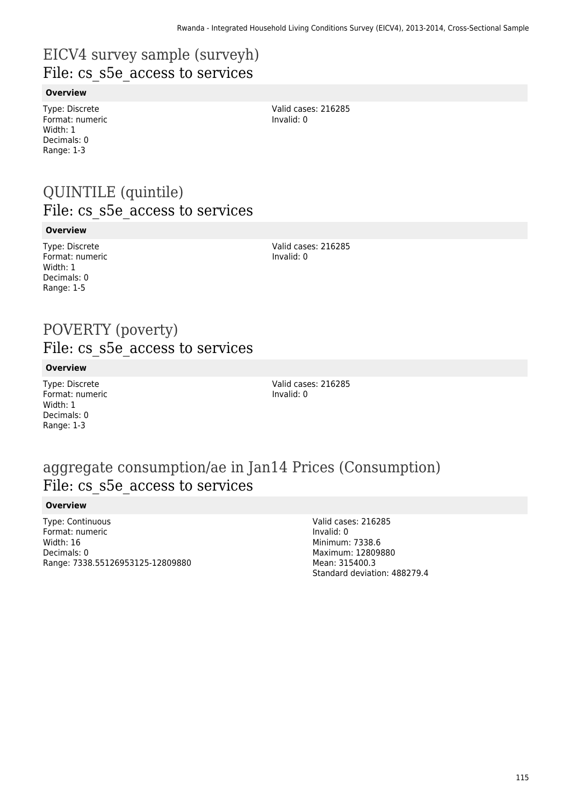# EICV4 survey sample (surveyh) File: cs\_s5e\_access to services

### **Overview**

Type: Discrete Format: numeric Width: 1 Decimals: 0 Range: 1-3

Valid cases: 216285 Invalid: 0

# QUINTILE (quintile) File: cs\_s5e\_access to services

#### **Overview**

Type: Discrete Format: numeric Width: 1 Decimals: 0 Range: 1-5

Valid cases: 216285 Invalid: 0

# POVERTY (poverty) File: cs\_s5e\_access to services

#### **Overview**

Type: Discrete Format: numeric Width: 1 Decimals: 0 Range: 1-3

Valid cases: 216285 Invalid: 0

### aggregate consumption/ae in Jan14 Prices (Consumption) File: cs\_s5e\_access to services

### **Overview**

Type: Continuous Format: numeric Width: 16 Decimals: 0 Range: 7338.55126953125-12809880 Valid cases: 216285 Invalid: 0 Minimum: 7338.6 Maximum: 12809880 Mean: 315400.3 Standard deviation: 488279.4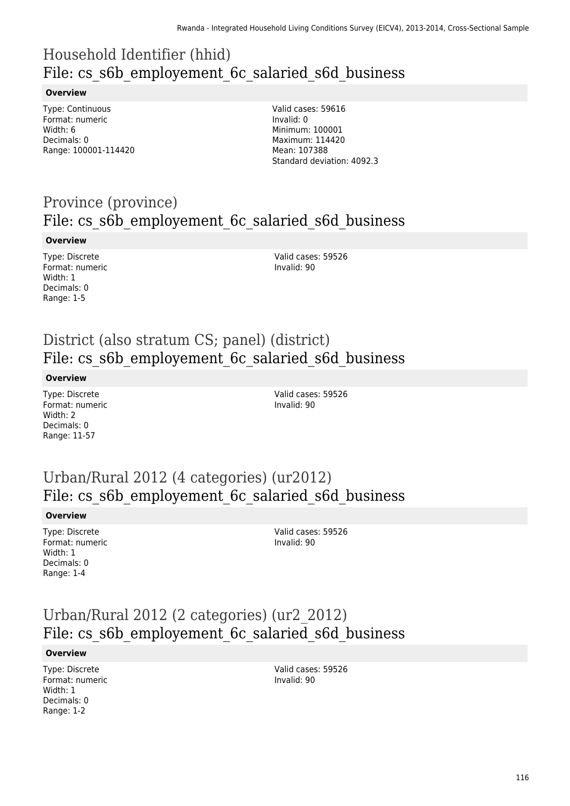# Household Identifier (hhid) File: cs\_s6b\_employement\_6c\_salaried\_s6d\_business

### **Overview**

Type: Continuous Format: numeric Width: 6 Decimals: 0 Range: 100001-114420 Valid cases: 59616 Invalid: 0 Minimum: 100001 Maximum: 114420 Mean: 107388 Standard deviation: 4092.3

# Province (province) File: cs\_s6b\_employement\_6c\_salaried\_s6d\_business

#### **Overview**

Type: Discrete Format: numeric Width: 1 Decimals: 0 Range: 1-5

Valid cases: 59526 Invalid: 90

### District (also stratum CS; panel) (district) File: cs\_s6b\_employement\_6c\_salaried\_s6d\_business

### **Overview**

Type: Discrete Format: numeric Width: 2 Decimals: 0 Range: 11-57

Valid cases: 59526 Invalid: 90

### Urban/Rural 2012 (4 categories) (ur2012) File: cs\_s6b\_employement\_6c\_salaried\_s6d\_business

### **Overview**

Type: Discrete Format: numeric Width: 1 Decimals: 0 Range: 1-4

Valid cases: 59526 Invalid: 90

# Urban/Rural 2012 (2 categories) (ur2\_2012) File: cs\_s6b\_employement\_6c\_salaried\_s6d\_business

### **Overview**

Type: Discrete Format: numeric Width: 1 Decimals: 0 Range: 1-2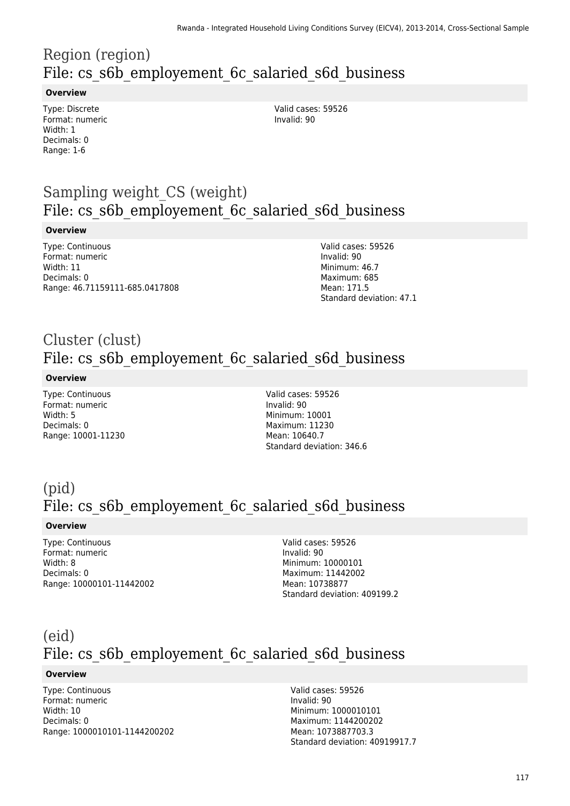# Region (region) File: cs\_s6b\_employement\_6c\_salaried\_s6d\_business

#### **Overview**

Type: Discrete Format: numeric Width: 1 Decimals: 0 Range: 1-6

Valid cases: 59526 Invalid: 90

# Sampling weight\_CS (weight) File: cs\_s6b\_employement\_6c\_salaried\_s6d\_business

#### **Overview**

Type: Continuous Format: numeric Width: 11 Decimals: 0 Range: 46.71159111-685.0417808

Valid cases: 59526 Invalid: 90 Minimum: 46.7 Maximum: 685 Mean: 171.5 Standard deviation: 47.1

# Cluster (clust) File: cs\_s6b\_employement\_6c\_salaried\_s6d\_business

### **Overview**

Type: Continuous Format: numeric Width: 5 Decimals: 0 Range: 10001-11230 Valid cases: 59526 Invalid: 90 Minimum: 10001 Maximum: 11230 Mean: 10640.7 Standard deviation: 346.6

# (pid) File: cs\_s6b\_employement\_6c\_salaried\_s6d\_business

#### **Overview**

Type: Continuous Format: numeric Width: 8 Decimals: 0 Range: 10000101-11442002

Valid cases: 59526 Invalid: 90 Minimum: 10000101 Maximum: 11442002 Mean: 10738877 Standard deviation: 409199.2

# (eid) File: cs\_s6b\_employement\_6c\_salaried\_s6d\_business

### **Overview**

Type: Continuous Format: numeric Width: 10 Decimals: 0 Range: 1000010101-1144200202 Valid cases: 59526 Invalid: 90 Minimum: 1000010101 Maximum: 1144200202 Mean: 1073887703.3 Standard deviation: 40919917.7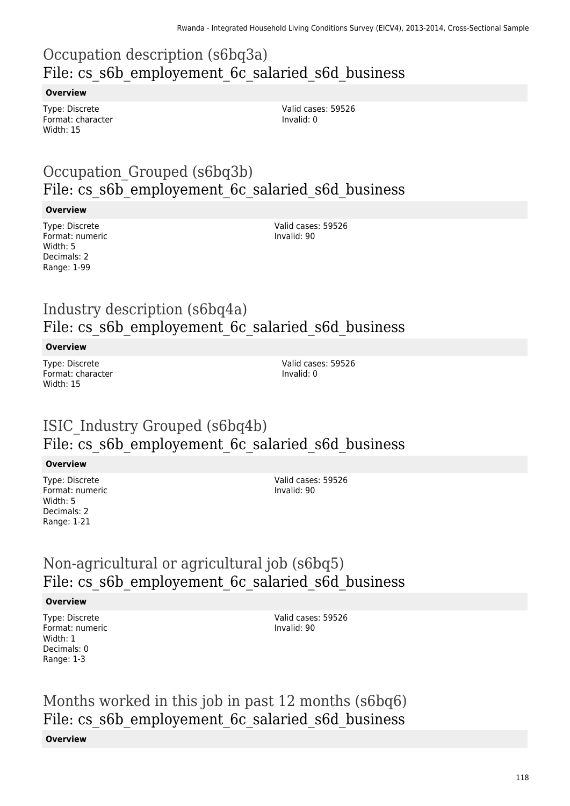# Occupation description (s6bq3a) File: cs\_s6b\_employement\_6c\_salaried\_s6d\_business

**Overview**

Type: Discrete Format: character Width: 15

Valid cases: 59526 Invalid: 0

# Occupation\_Grouped (s6bq3b) File: cs\_s6b\_employement\_6c\_salaried\_s6d\_business

### **Overview**

Type: Discrete Format: numeric Width: 5 Decimals: 2 Range: 1-99

Valid cases: 59526 Invalid: 90

### Industry description (s6bq4a) File: cs\_s6b\_employement\_6c\_salaried\_s6d\_business

### **Overview**

Type: Discrete Format: character Width: 15

Valid cases: 59526 Invalid: 0

## ISIC\_Industry Grouped (s6bq4b) File: cs\_s6b\_employement\_6c\_salaried\_s6d\_business

**Overview**

Type: Discrete Format: numeric Width: 5 Decimals: 2 Range: 1-21

Valid cases: 59526 Invalid: 90

# Non-agricultural or agricultural job (s6bq5) File: cs s6b employement 6c salaried s6d business

### **Overview**

Type: Discrete Format: numeric Width: 1 Decimals: 0 Range: 1-3

Valid cases: 59526 Invalid: 90

Months worked in this job in past 12 months (s6bq6) File: cs\_s6b\_employement\_6c\_salaried\_s6d\_business **Overview**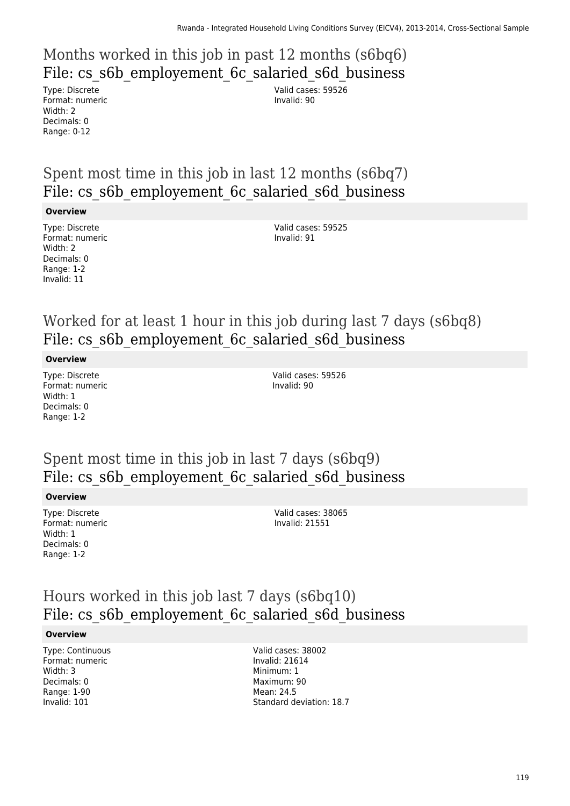# Months worked in this job in past 12 months (s6bq6) File: cs\_s6b\_employement\_6c\_salaried\_s6d\_business

Type: Discrete Format: numeric Width: 2 Decimals: 0 Range: 0-12

Valid cases: 59526 Invalid: 90

# Spent most time in this job in last 12 months (s6bq7) File: cs\_s6b\_employement\_6c\_salaried\_s6d\_business

#### **Overview**

Type: Discrete Format: numeric Width: 2 Decimals: 0 Range: 1-2 Invalid: 11

Valid cases: 59525 Invalid: 91

## Worked for at least 1 hour in this job during last 7 days (s6bq8) File: cs\_s6b\_employement\_6c\_salaried\_s6d\_business

#### **Overview**

Type: Discrete Format: numeric Width: 1 Decimals: 0 Range: 1-2

Valid cases: 59526 Invalid: 90

# Spent most time in this job in last 7 days (s6bq9) File: cs\_s6b\_employement\_6c\_salaried\_s6d\_business

### **Overview**

Type: Discrete Format: numeric Width: 1 Decimals: 0 Range: 1-2

Valid cases: 38065 Invalid: 21551

## Hours worked in this job last 7 days (s6bq10) File: cs\_s6b\_employement\_6c\_salaried\_s6d\_business

#### **Overview**

Type: Continuous Format: numeric Width: 3 Decimals: 0 Range: 1-90 Invalid: 101

Valid cases: 38002 Invalid: 21614 Minimum: 1 Maximum: 90 Mean: 24.5 Standard deviation: 18.7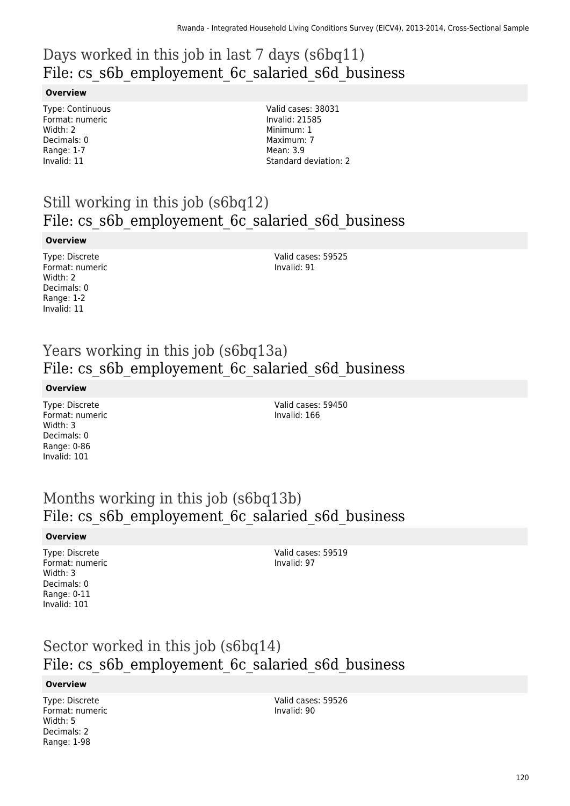# Days worked in this job in last 7 days (s6bq11) File: cs\_s6b\_employement\_6c\_salaried\_s6d\_business

### **Overview**

Type: Continuous Format: numeric Width: 2 Decimals: 0 Range: 1-7 Invalid: 11

Valid cases: 38031 Invalid: 21585 Minimum: 1 Maximum: 7 Mean: 3.9 Standard deviation: 2

## Still working in this job (s6bq12) File: cs\_s6b\_employement\_6c\_salaried\_s6d\_business

#### **Overview**

Type: Discrete Format: numeric Width: 2 Decimals: 0 Range: 1-2 Invalid: 11

Valid cases: 59525 Invalid: 91

## Years working in this job (s6bq13a) File: cs\_s6b\_employement\_6c\_salaried\_s6d\_business

### **Overview**

Type: Discrete Format: numeric Width: 3 Decimals: 0 Range: 0-86 Invalid: 101

Valid cases: 59450 Invalid: 166

# Months working in this job (s6bq13b) File: cs\_s6b\_employement\_6c\_salaried\_s6d\_business

### **Overview**

Type: Discrete Format: numeric Width: 3 Decimals: 0 Range: 0-11 Invalid: 101

Valid cases: 59519 Invalid: 97

### Sector worked in this job (s6bq14) File: cs\_s6b\_employement\_6c\_salaried\_s6d\_business

### **Overview**

Type: Discrete Format: numeric Width: 5 Decimals: 2 Range: 1-98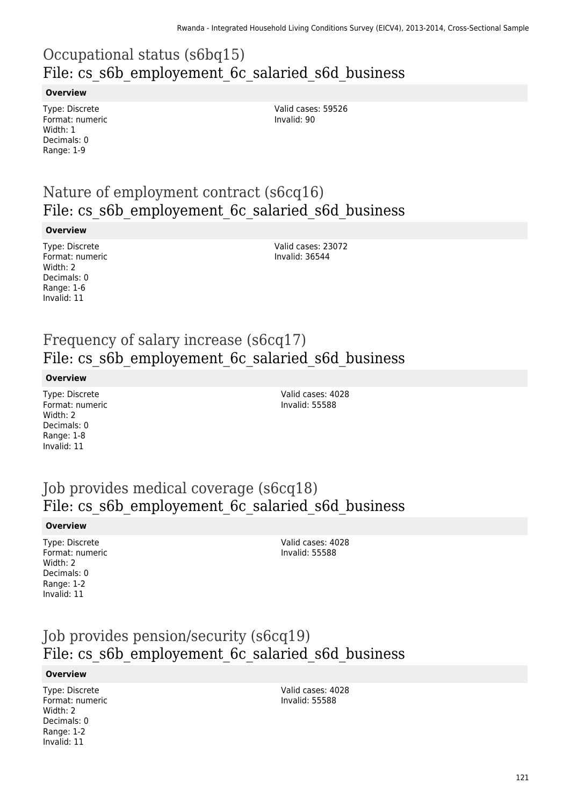# Occupational status (s6bq15) File: cs\_s6b\_employement\_6c\_salaried\_s6d\_business

#### **Overview**

Type: Discrete Format: numeric Width: 1 Decimals: 0 Range: 1-9

Valid cases: 59526 Invalid: 90

# Nature of employment contract (s6cq16) File: cs\_s6b\_employement\_6c\_salaried\_s6d\_business

#### **Overview**

Type: Discrete Format: numeric Width: 2 Decimals: 0 Range: 1-6 Invalid: 11

Valid cases: 23072 Invalid: 36544

### Frequency of salary increase (s6cq17) File: cs\_s6b\_employement\_6c\_salaried\_s6d\_business

### **Overview**

Type: Discrete Format: numeric Width: 2 Decimals: 0 Range: 1-8 Invalid: 11

Valid cases: 4028 Invalid: 55588

### Job provides medical coverage (s6cq18) File: cs\_s6b\_employement\_6c\_salaried\_s6d\_business

### **Overview**

Type: Discrete Format: numeric Width: 2 Decimals: 0 Range: 1-2 Invalid: 11

Valid cases: 4028 Invalid: 55588

## Job provides pension/security (s6cq19) File: cs\_s6b\_employement\_6c\_salaried\_s6d\_business

### **Overview**

Type: Discrete Format: numeric Width: 2 Decimals: 0 Range: 1-2 Invalid: 11

Valid cases: 4028 Invalid: 55588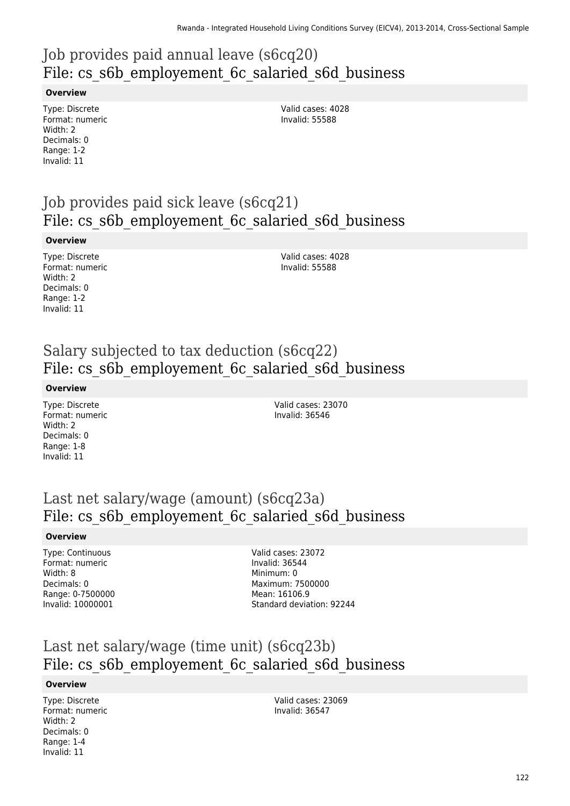# Job provides paid annual leave (s6cq20) File: cs\_s6b\_employement\_6c\_salaried\_s6d\_business

### **Overview**

Type: Discrete Format: numeric Width: 2 Decimals: 0 Range: 1-2 Invalid: 11

Valid cases: 4028 Invalid: 55588

# Job provides paid sick leave (s6cq21) File: cs\_s6b\_employement\_6c\_salaried\_s6d\_business

#### **Overview**

Type: Discrete Format: numeric Width: 2 Decimals: 0 Range: 1-2 Invalid: 11

Valid cases: 4028 Invalid: 55588

# Salary subjected to tax deduction (s6cq22) File: cs\_s6b\_employement\_6c\_salaried\_s6d\_business

### **Overview**

Type: Discrete Format: numeric Width: 2 Decimals: 0 Range: 1-8 Invalid: 11

Valid cases: 23070 Invalid: 36546

# Last net salary/wage (amount) (s6cq23a) File: cs\_s6b\_employement\_6c\_salaried\_s6d\_business

### **Overview**

Type: Continuous Format: numeric Width: 8 Decimals: 0 Range: 0-7500000 Invalid: 10000001

Valid cases: 23072 Invalid: 36544 Minimum: 0 Maximum: 7500000 Mean: 16106.9 Standard deviation: 92244

## Last net salary/wage (time unit) (s6cq23b) File: cs\_s6b\_employement\_6c\_salaried\_s6d\_business

### **Overview**

Type: Discrete Format: numeric Width: 2 Decimals: 0 Range: 1-4 Invalid: 11

Valid cases: 23069 Invalid: 36547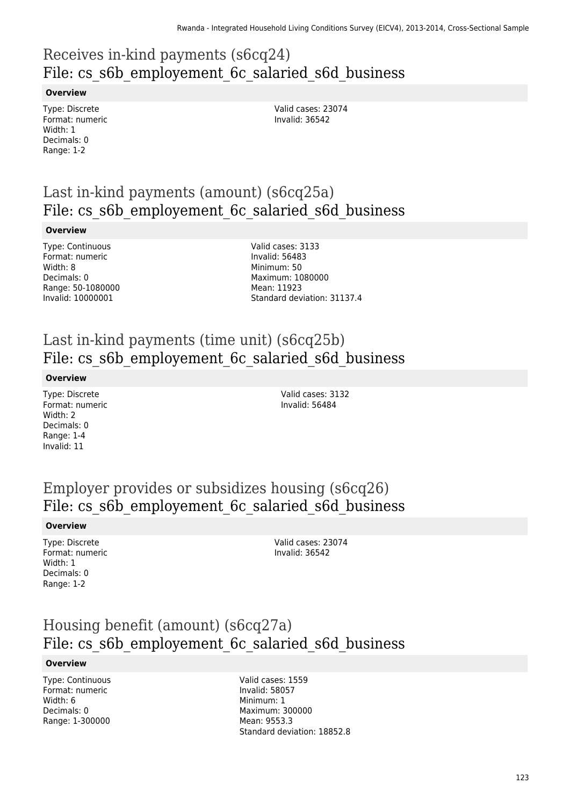# Receives in-kind payments (s6cq24) File: cs\_s6b\_employement\_6c\_salaried\_s6d\_business

### **Overview**

Type: Discrete Format: numeric Width: 1 Decimals: 0 Range: 1-2

Valid cases: 23074 Invalid: 36542

# Last in-kind payments (amount) (s6cq25a) File: cs\_s6b\_employement\_6c\_salaried\_s6d\_business

#### **Overview**

Type: Continuous Format: numeric Width: 8 Decimals: 0 Range: 50-1080000 Invalid: 10000001

Valid cases: 3133 Invalid: 56483 Minimum: 50 Maximum: 1080000 Mean: 11923 Standard deviation: 31137.4

### Last in-kind payments (time unit) (s6cq25b) File: cs\_s6b\_employement\_6c\_salaried\_s6d\_business

### **Overview**

Type: Discrete Format: numeric Width: 2 Decimals: 0 Range: 1-4 Invalid: 11

Valid cases: 3132 Invalid: 56484

### Employer provides or subsidizes housing (s6cq26) File: cs\_s6b\_employement\_6c\_salaried\_s6d\_business

### **Overview**

Type: Discrete Format: numeric Width: 1 Decimals: 0 Range: 1-2

Valid cases: 23074 Invalid: 36542

### Housing benefit (amount) (s6cq27a) File: cs\_s6b\_employement\_6c\_salaried\_s6d\_business

### **Overview**

Type: Continuous Format: numeric Width: 6 Decimals: 0 Range: 1-300000

Valid cases: 1559 Invalid: 58057 Minimum: 1 Maximum: 300000 Mean: 9553.3 Standard deviation: 18852.8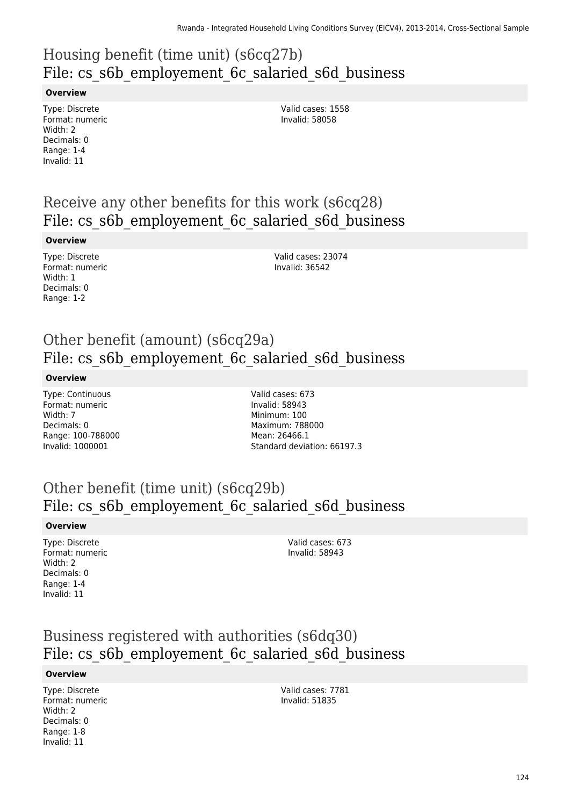# Housing benefit (time unit) (s6cq27b) File: cs\_s6b\_employement\_6c\_salaried\_s6d\_business

#### **Overview**

Type: Discrete Format: numeric Width: 2 Decimals: 0 Range: 1-4 Invalid: 11

Valid cases: 1558 Invalid: 58058

# Receive any other benefits for this work (s6cq28) File: cs\_s6b\_employement\_6c\_salaried\_s6d\_business

#### **Overview**

Type: Discrete Format: numeric Width: 1 Decimals: 0 Range: 1-2

Valid cases: 23074 Invalid: 36542

### Other benefit (amount) (s6cq29a) File: cs\_s6b\_employement\_6c\_salaried\_s6d\_business

### **Overview**

Type: Continuous Format: numeric Width: 7 Decimals: 0 Range: 100-788000 Invalid: 1000001

Valid cases: 673 Invalid: 58943 Minimum: 100 Maximum: 788000 Mean: 26466.1 Standard deviation: 66197.3

### Other benefit (time unit) (s6cq29b) File: cs\_s6b\_employement\_6c\_salaried\_s6d\_business

#### **Overview**

Type: Discrete Format: numeric Width: 2 Decimals: 0 Range: 1-4 Invalid: 11

Valid cases: 673 Invalid: 58943

### Business registered with authorities (s6dq30) File: cs\_s6b\_employement\_6c\_salaried\_s6d\_business

### **Overview**

Type: Discrete Format: numeric Width: 2 Decimals: 0 Range: 1-8 Invalid: 11

Valid cases: 7781 Invalid: 51835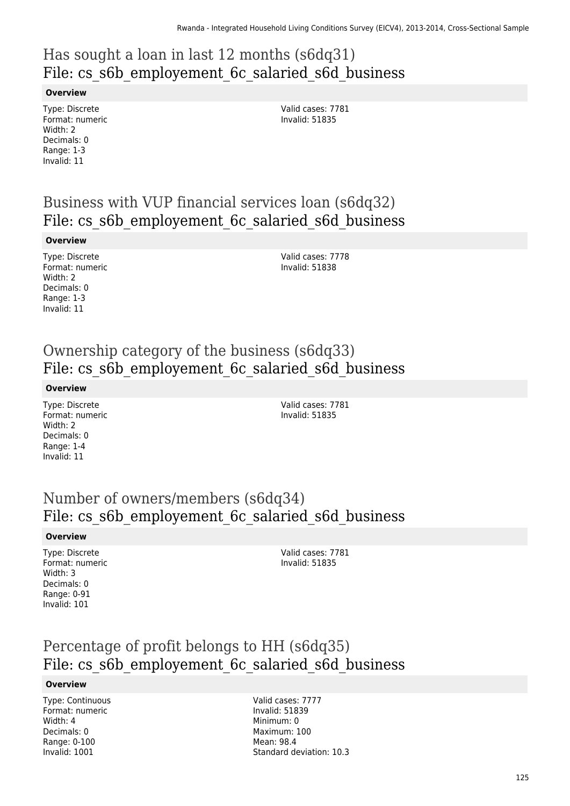# Has sought a loan in last 12 months (s6dq31) File: cs\_s6b\_employement\_6c\_salaried\_s6d\_business

### **Overview**

Type: Discrete Format: numeric Width: 2 Decimals: 0 Range: 1-3 Invalid: 11

Valid cases: 7781 Invalid: 51835

# Business with VUP financial services loan (s6dq32) File: cs\_s6b\_employement\_6c\_salaried\_s6d\_business

#### **Overview**

Type: Discrete Format: numeric Width: 2 Decimals: 0 Range: 1-3 Invalid: 11

Valid cases: 7778 Invalid: 51838

## Ownership category of the business (s6dq33) File: cs\_s6b\_employement\_6c\_salaried\_s6d\_business

#### **Overview**

Type: Discrete Format: numeric Width: 2 Decimals: 0 Range: 1-4 Invalid: 11

Valid cases: 7781 Invalid: 51835

## Number of owners/members (s6dq34) File: cs\_s6b\_employement\_6c\_salaried\_s6d\_business

### **Overview**

Type: Discrete Format: numeric Width: 3 Decimals: 0 Range: 0-91 Invalid: 101

Valid cases: 7781 Invalid: 51835

## Percentage of profit belongs to HH (s6dq35) File: cs\_s6b\_employement\_6c\_salaried\_s6d\_business

### **Overview**

Type: Continuous Format: numeric Width: 4 Decimals: 0 Range: 0-100 Invalid: 1001

Valid cases: 7777 Invalid: 51839 Minimum: 0 Maximum: 100 Mean: 98.4 Standard deviation: 10.3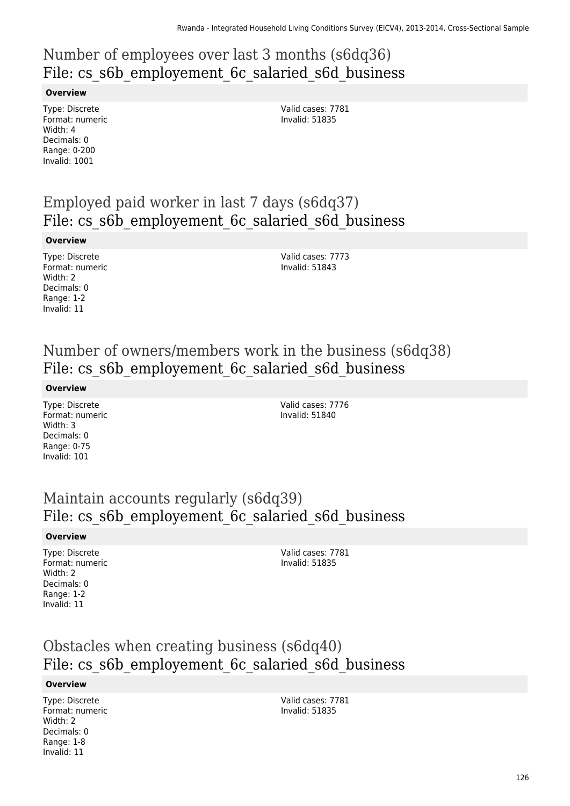# Number of employees over last 3 months (s6dq36) File: cs\_s6b\_employement\_6c\_salaried\_s6d\_business

### **Overview**

Type: Discrete Format: numeric Width: 4 Decimals: 0 Range: 0-200 Invalid: 1001

Valid cases: 7781 Invalid: 51835

# Employed paid worker in last 7 days (s6dq37) File: cs\_s6b\_employement\_6c\_salaried\_s6d\_business

### **Overview**

Type: Discrete Format: numeric Width: 2 Decimals: 0 Range: 1-2 Invalid: 11

Valid cases: 7773 Invalid: 51843

### Number of owners/members work in the business (s6dq38) File: cs\_s6b\_employement\_6c\_salaried\_s6d\_business

### **Overview**

Type: Discrete Format: numeric Width: 3 Decimals: 0 Range: 0-75 Invalid: 101

Valid cases: 7776 Invalid: 51840

# Maintain accounts regularly (s6dq39) File: cs\_s6b\_employement\_6c\_salaried\_s6d\_business

### **Overview**

Type: Discrete Format: numeric Width: 2 Decimals: 0 Range: 1-2 Invalid: 11

Valid cases: 7781 Invalid: 51835

## Obstacles when creating business (s6dq40) File: cs\_s6b\_employement\_6c\_salaried\_s6d\_business

### **Overview**

Type: Discrete Format: numeric Width: 2 Decimals: 0 Range: 1-8 Invalid: 11

Valid cases: 7781 Invalid: 51835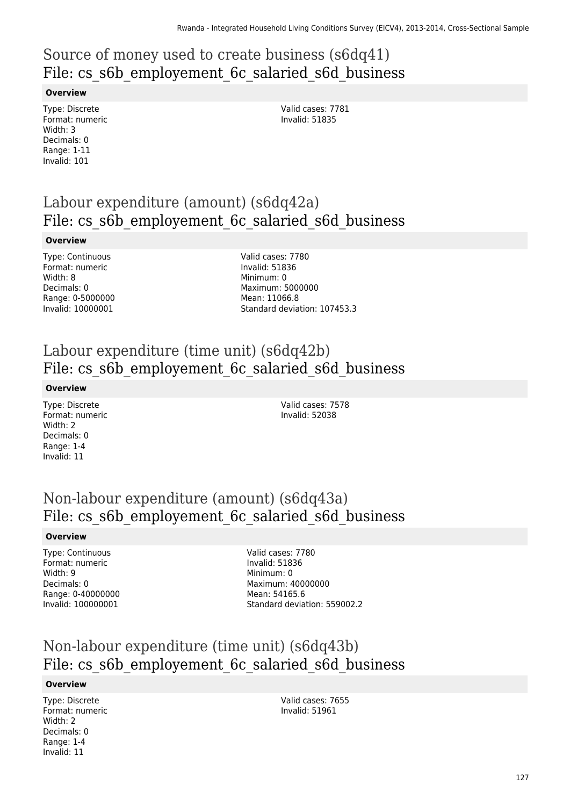# Source of money used to create business (s6dq41) File: cs\_s6b\_employement\_6c\_salaried\_s6d\_business

### **Overview**

Type: Discrete Format: numeric Width: 3 Decimals: 0 Range: 1-11 Invalid: 101

Valid cases: 7781 Invalid: 51835

# Labour expenditure (amount) (s6dq42a) File: cs\_s6b\_employement\_6c\_salaried\_s6d\_business

### **Overview**

Type: Continuous Format: numeric Width: 8 Decimals: 0 Range: 0-5000000 Invalid: 10000001

Valid cases: 7780 Invalid: 51836 Minimum: 0 Maximum: 5000000 Mean: 11066.8 Standard deviation: 107453.3

# Labour expenditure (time unit) (s6dq42b) File: cs\_s6b\_employement\_6c\_salaried\_s6d\_business

### **Overview**

Type: Discrete Format: numeric Width: 2 Decimals: 0 Range: 1-4 Invalid: 11

Valid cases: 7578 Invalid: 52038

# Non-labour expenditure (amount) (s6dq43a) File: cs\_s6b\_employement\_6c\_salaried\_s6d\_business

### **Overview**

Type: Continuous Format: numeric Width: 9 Decimals: 0 Range: 0-40000000 Invalid: 100000001

Valid cases: 7780 Invalid: 51836 Minimum: 0 Maximum: 40000000 Mean: 54165.6 Standard deviation: 559002.2

## Non-labour expenditure (time unit) (s6dq43b) File: cs\_s6b\_employement\_6c\_salaried\_s6d\_business

### **Overview**

Type: Discrete Format: numeric Width: 2 Decimals: 0 Range: 1-4 Invalid: 11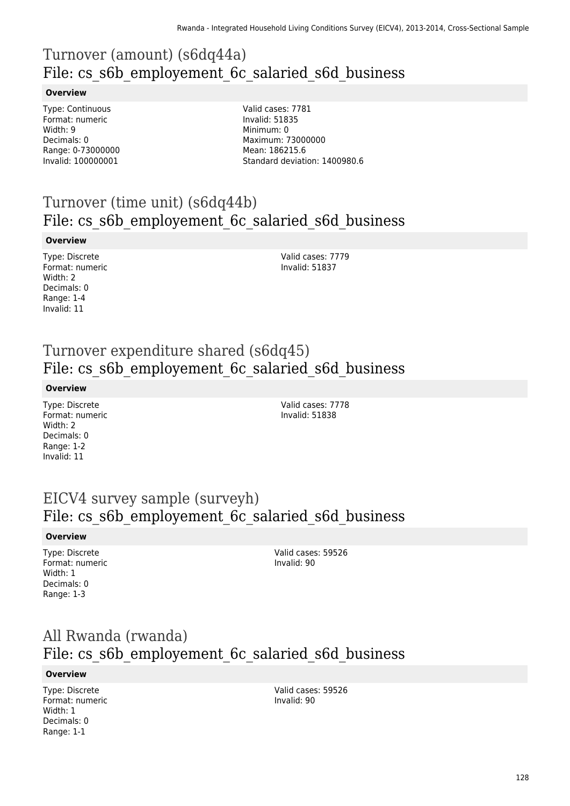# Turnover (amount) (s6dq44a) File: cs\_s6b\_employement\_6c\_salaried\_s6d\_business

#### **Overview**

Type: Continuous Format: numeric Width: 9 Decimals: 0 Range: 0-73000000 Invalid: 100000001

Valid cases: 7781 Invalid: 51835 Minimum: 0 Maximum: 73000000 Mean: 186215.6 Standard deviation: 1400980.6

# Turnover (time unit) (s6dq44b) File: cs\_s6b\_employement\_6c\_salaried\_s6d\_business

#### **Overview**

Type: Discrete Format: numeric Width: 2 Decimals: 0 Range: 1-4 Invalid: 11

Valid cases: 7779 Invalid: 51837

# Turnover expenditure shared (s6dq45) File: cs\_s6b\_employement\_6c\_salaried\_s6d\_business

### **Overview**

Type: Discrete Format: numeric Width: 2 Decimals: 0 Range: 1-2 Invalid: 11

Valid cases: 7778 Invalid: 51838

### EICV4 survey sample (surveyh) File: cs\_s6b\_employement\_6c\_salaried\_s6d\_business

### **Overview**

Type: Discrete Format: numeric Width: 1 Decimals: 0 Range: 1-3

Valid cases: 59526 Invalid: 90

## All Rwanda (rwanda) File: cs\_s6b\_employement\_6c\_salaried\_s6d\_business

### **Overview**

Type: Discrete Format: numeric Width: 1 Decimals: 0 Range: 1-1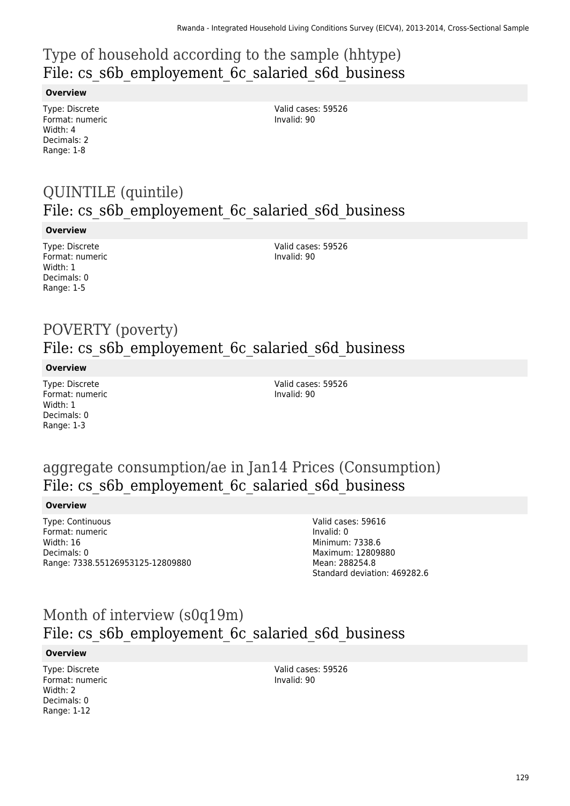# Type of household according to the sample (hhtype) File: cs\_s6b\_employement\_6c\_salaried\_s6d\_business

**Overview**

Type: Discrete Format: numeric Width: 4 Decimals: 2 Range: 1-8

Valid cases: 59526 Invalid: 90

# QUINTILE (quintile) File: cs\_s6b\_employement\_6c\_salaried\_s6d\_business

#### **Overview**

Type: Discrete Format: numeric Width: 1 Decimals: 0 Range: 1-5

Valid cases: 59526 Invalid: 90

# POVERTY (poverty) File: cs\_s6b\_employement\_6c\_salaried\_s6d\_business

#### **Overview**

Type: Discrete Format: numeric Width: 1 Decimals: 0 Range: 1-3

Valid cases: 59526 Invalid: 90

### aggregate consumption/ae in Jan14 Prices (Consumption) File: cs\_s6b\_employement\_6c\_salaried\_s6d\_business

#### **Overview**

Type: Continuous Format: numeric Width: 16 Decimals: 0 Range: 7338.55126953125-12809880 Valid cases: 59616 Invalid: 0 Minimum: 7338.6 Maximum: 12809880 Mean: 288254.8 Standard deviation: 469282.6

# Month of interview (s0q19m) File: cs\_s6b\_employement\_6c\_salaried\_s6d\_business

#### **Overview**

Type: Discrete Format: numeric Width: 2 Decimals: 0 Range: 1-12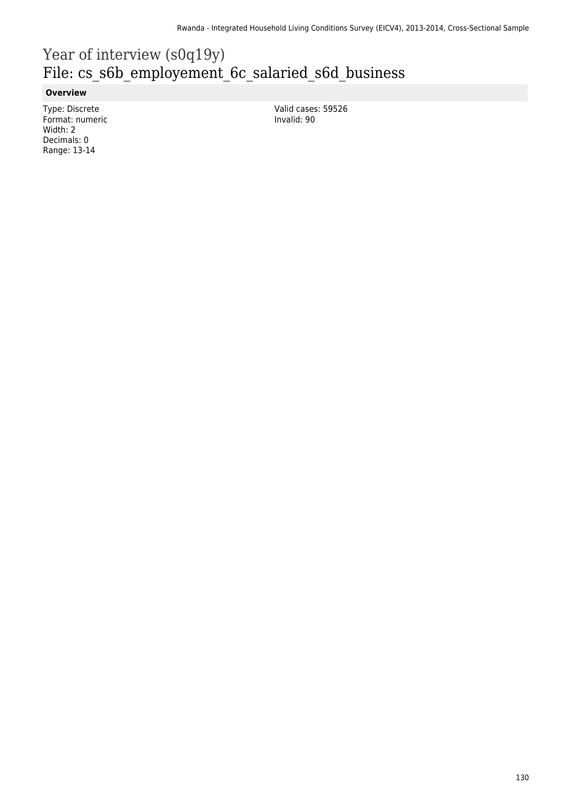# Year of interview (s0q19y) File: cs\_s6b\_employement\_6c\_salaried\_s6d\_business

### **Overview**

Type: Discrete Format: numeric Width: 2 Decimals: 0 Range: 13-14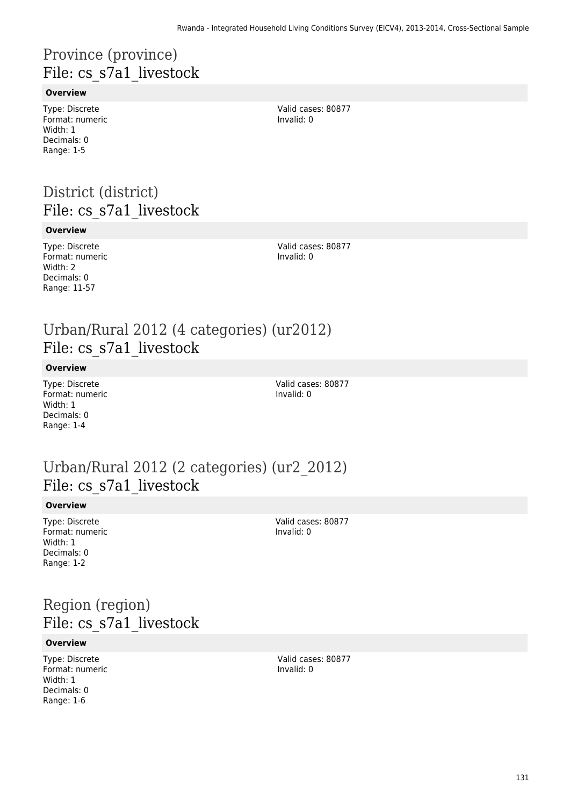# Province (province) File: cs\_s7a1\_livestock

### **Overview**

Type: Discrete Format: numeric Width: 1 Decimals: 0 Range: 1-5

Valid cases: 80877 Invalid: 0

# District (district) File: cs\_s7a1\_livestock

#### **Overview**

Type: Discrete Format: numeric Width: 2 Decimals: 0 Range: 11-57

Valid cases: 80877 Invalid: 0

## Urban/Rural 2012 (4 categories) (ur2012) File: cs\_s7a1\_livestock

#### **Overview**

Type: Discrete Format: numeric Width: 1 Decimals: 0 Range: 1-4

Valid cases: 80877 Invalid: 0

### Urban/Rural 2012 (2 categories) (ur2\_2012) File: cs\_s7a1\_livestock

### **Overview**

Type: Discrete Format: numeric Width: 1 Decimals: 0 Range: 1-2

Valid cases: 80877 Invalid: 0

## Region (region) File: cs\_s7a1\_livestock

#### **Overview**

Type: Discrete Format: numeric Width: 1 Decimals: 0 Range: 1-6

Valid cases: 80877 Invalid: 0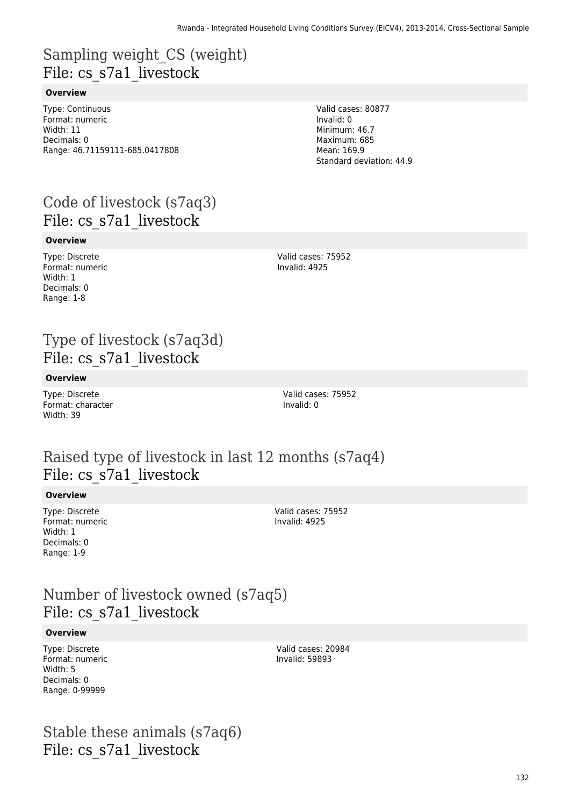# Sampling weight\_CS (weight) File: cs\_s7a1\_livestock

### **Overview**

Type: Continuous Format: numeric Width: 11 Decimals: 0 Range: 46.71159111-685.0417808 Valid cases: 80877 Invalid: 0 Minimum: 46.7 Maximum: 685 Mean: 169.9 Standard deviation: 44.9

# Code of livestock (s7aq3) File: cs\_s7a1\_livestock

### **Overview**

Type: Discrete Format: numeric Width: 1 Decimals: 0 Range: 1-8

Valid cases: 75952 Invalid: 4925

# Type of livestock (s7aq3d) File: cs\_s7a1\_livestock

### **Overview**

Type: Discrete Format: character Width: 39

Valid cases: 75952 Invalid: 0

# Raised type of livestock in last 12 months (s7aq4) File: cs\_s7a1\_livestock

### **Overview**

Type: Discrete Format: numeric Width: 1 Decimals: 0 Range: 1-9

Valid cases: 75952 Invalid: 4925

### Number of livestock owned (s7aq5) File: cs\_s7a1\_livestock

### **Overview**

Type: Discrete Format: numeric Width: 5 Decimals: 0 Range: 0-99999

Valid cases: 20984 Invalid: 59893

Stable these animals (s7aq6) File: cs\_s7a1\_livestock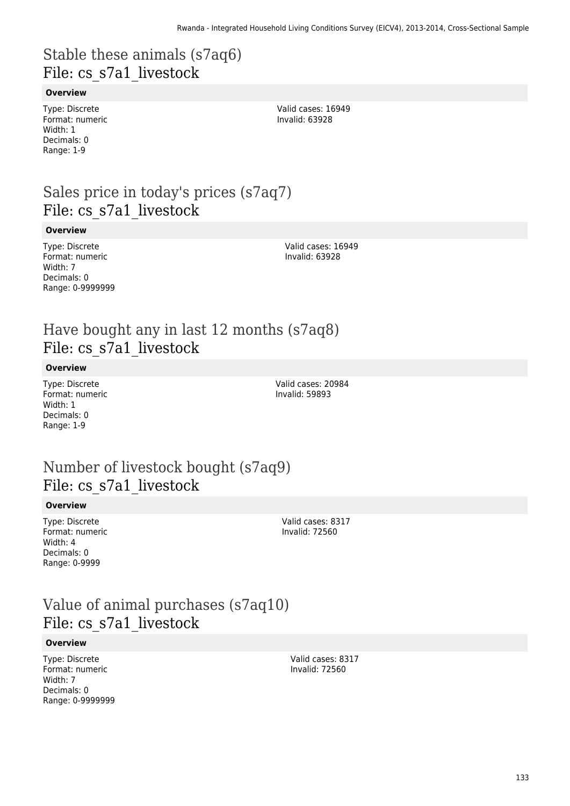# Stable these animals (s7aq6) File: cs\_s7a1\_livestock

### **Overview**

Type: Discrete Format: numeric Width: 1 Decimals: 0 Range: 1-9

Valid cases: 16949 Invalid: 63928

## Sales price in today's prices (s7aq7) File: cs\_s7a1\_livestock

#### **Overview**

Type: Discrete Format: numeric Width: 7 Decimals: 0 Range: 0-9999999

Valid cases: 16949 Invalid: 63928

## Have bought any in last 12 months (s7aq8) File: cs\_s7a1\_livestock

#### **Overview**

Type: Discrete Format: numeric Width: 1 Decimals: 0 Range: 1-9

Valid cases: 20984 Invalid: 59893

### Number of livestock bought (s7aq9) File: cs\_s7a1\_livestock

#### **Overview**

Type: Discrete Format: numeric Width: 4 Decimals: 0 Range: 0-9999

Valid cases: 8317 Invalid: 72560

## Value of animal purchases (s7aq10) File: cs\_s7a1\_livestock

#### **Overview**

Type: Discrete Format: numeric Width: 7 Decimals: 0 Range: 0-9999999

Valid cases: 8317 Invalid: 72560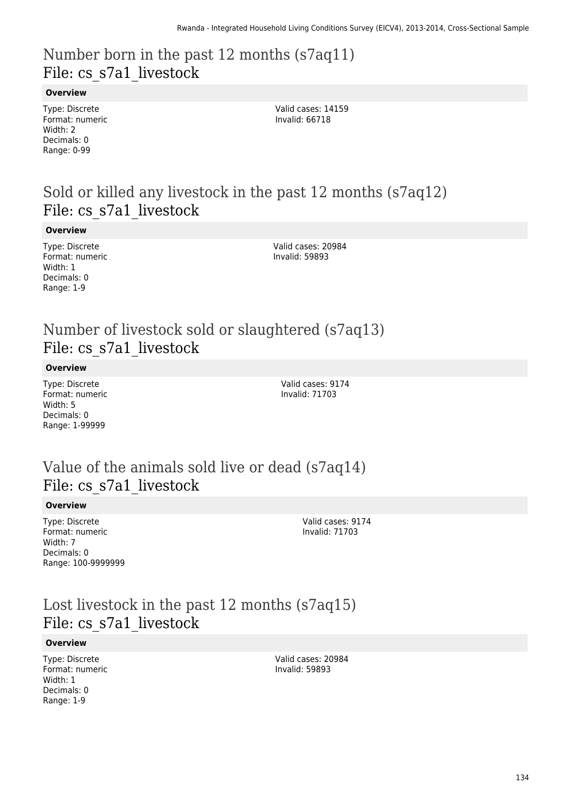# Number born in the past 12 months (s7aq11) File: cs\_s7a1\_livestock

### **Overview**

Type: Discrete Format: numeric Width: 2 Decimals: 0 Range: 0-99

Valid cases: 14159 Invalid: 66718

# Sold or killed any livestock in the past 12 months (s7aq12) File: cs\_s7a1\_livestock

#### **Overview**

Type: Discrete Format: numeric Width: 1 Decimals: 0 Range: 1-9

Valid cases: 20984 Invalid: 59893

# Number of livestock sold or slaughtered (s7aq13) File: cs\_s7a1\_livestock

#### **Overview**

Type: Discrete Format: numeric Width: 5 Decimals: 0 Range: 1-99999

Valid cases: 9174 Invalid: 71703

### Value of the animals sold live or dead (s7aq14) File: cs\_s7a1\_livestock

#### **Overview**

Type: Discrete Format: numeric Width: 7 Decimals: 0 Range: 100-9999999 Valid cases: 9174 Invalid: 71703

Lost livestock in the past 12 months (s7aq15) File: cs\_s7a1\_livestock

#### **Overview**

Type: Discrete Format: numeric Width: 1 Decimals: 0 Range: 1-9

Valid cases: 20984 Invalid: 59893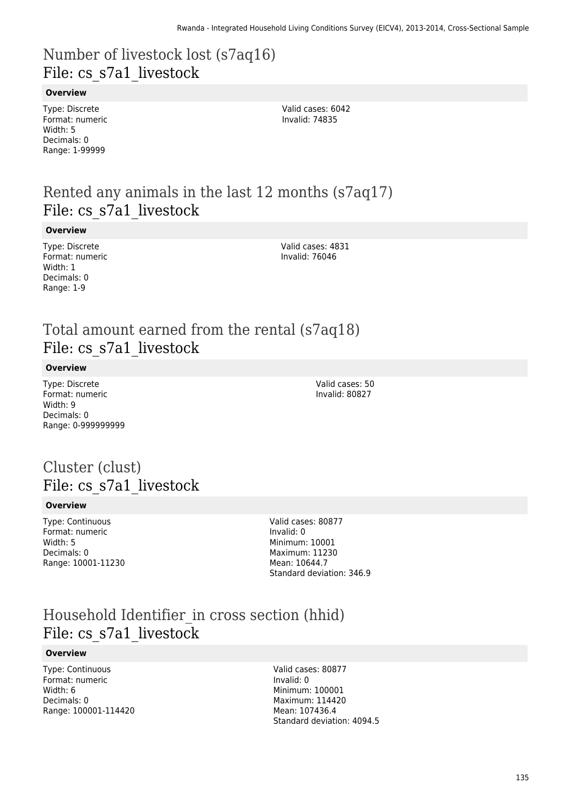# Number of livestock lost (s7aq16) File: cs\_s7a1\_livestock

### **Overview**

Type: Discrete Format: numeric Width: 5 Decimals: 0 Range: 1-99999

Valid cases: 6042 Invalid: 74835

# Rented any animals in the last 12 months (s7aq17) File: cs\_s7a1\_livestock

#### **Overview**

Type: Discrete Format: numeric Width: 1 Decimals: 0 Range: 1-9

Valid cases: 4831 Invalid: 76046

## Total amount earned from the rental (s7aq18) File: cs\_s7a1\_livestock

#### **Overview**

Type: Discrete Format: numeric Width: 9 Decimals: 0 Range: 0-999999999 Valid cases: 50 Invalid: 80827

# Cluster (clust) File: cs\_s7a1\_livestock

#### **Overview**

Type: Continuous Format: numeric Width: 5 Decimals: 0 Range: 10001-11230 Valid cases: 80877 Invalid: 0 Minimum: 10001 Maximum: 11230 Mean: 10644.7 Standard deviation: 346.9

# Household Identifier\_in cross section (hhid) File: cs\_s7a1\_livestock

#### **Overview**

Type: Continuous Format: numeric Width: 6 Decimals: 0 Range: 100001-114420 Valid cases: 80877 Invalid: 0 Minimum: 100001 Maximum: 114420 Mean: 107436.4 Standard deviation: 4094.5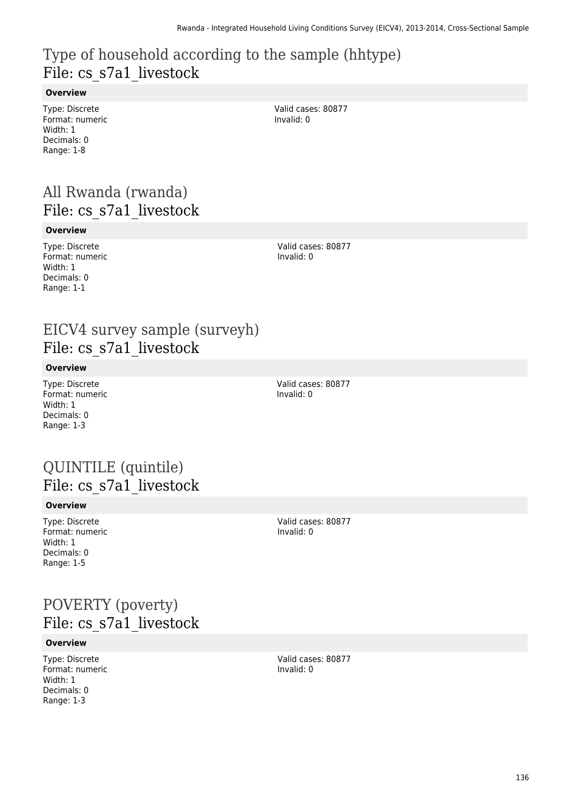# Type of household according to the sample (hhtype) File: cs\_s7a1\_livestock

### **Overview**

Type: Discrete Format: numeric Width: 1 Decimals: 0 Range: 1-8

Valid cases: 80877 Invalid: 0

# All Rwanda (rwanda) File: cs\_s7a1\_livestock

#### **Overview**

Type: Discrete Format: numeric Width: 1 Decimals: 0 Range: 1-1

Valid cases: 80877 Invalid: 0

### EICV4 survey sample (surveyh) File: cs\_s7a1\_livestock

#### **Overview**

Type: Discrete Format: numeric Width: 1 Decimals: 0 Range: 1-3

Valid cases: 80877 Invalid: 0

# QUINTILE (quintile) File: cs\_s7a1\_livestock

### **Overview**

Type: Discrete Format: numeric Width: 1 Decimals: 0 Range: 1-5

Valid cases: 80877 Invalid: 0

# POVERTY (poverty) File: cs\_s7a1\_livestock

#### **Overview**

Type: Discrete Format: numeric Width: 1 Decimals: 0 Range: 1-3

Valid cases: 80877 Invalid: 0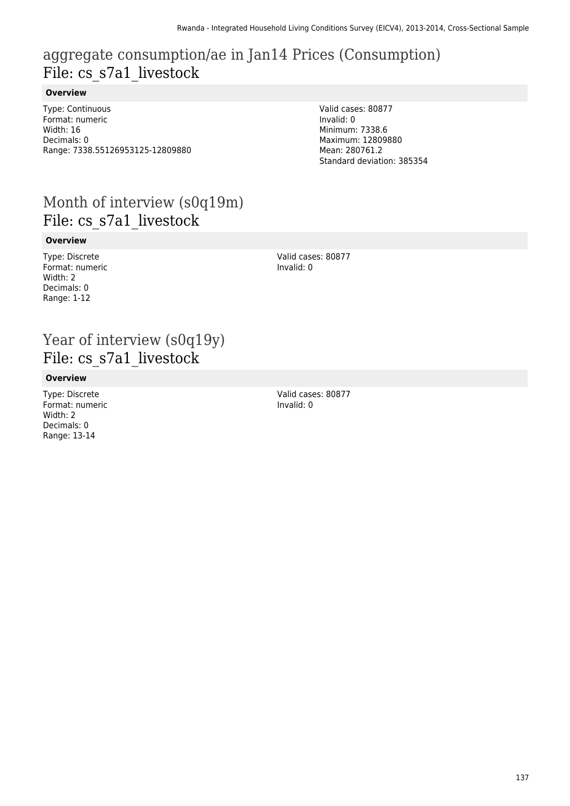# aggregate consumption/ae in Jan14 Prices (Consumption) File: cs\_s7a1\_livestock

### **Overview**

Type: Continuous Format: numeric Width: 16 Decimals: 0 Range: 7338.55126953125-12809880 Valid cases: 80877 Invalid: 0 Minimum: 7338.6 Maximum: 12809880 Mean: 280761.2 Standard deviation: 385354

# Month of interview (s0q19m) File: cs\_s7a1\_livestock

### **Overview**

Type: Discrete Format: numeric Width: 2 Decimals: 0 Range: 1-12

Valid cases: 80877 Invalid: 0

## Year of interview (s0q19y) File: cs\_s7a1\_livestock

### **Overview**

Type: Discrete Format: numeric Width: 2 Decimals: 0 Range: 13-14

Valid cases: 80877 Invalid: 0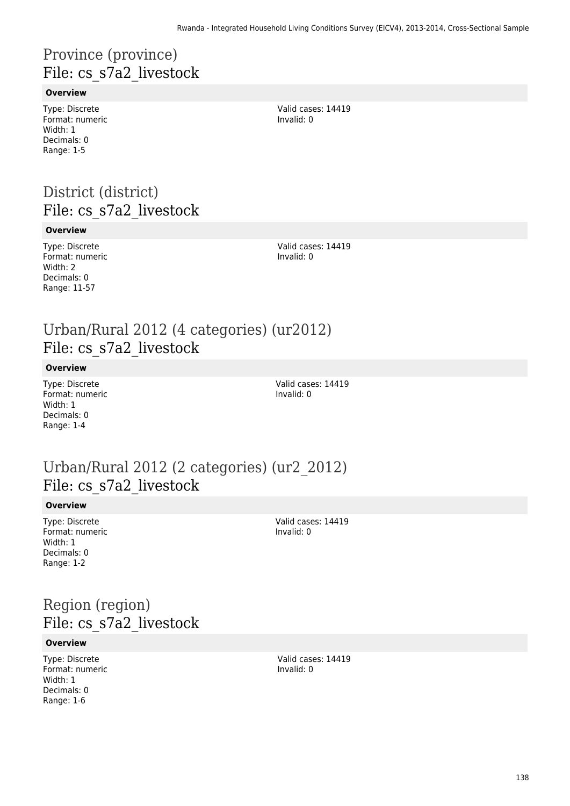# Province (province) File: cs\_s7a2\_livestock

### **Overview**

Type: Discrete Format: numeric Width: 1 Decimals: 0 Range: 1-5

Valid cases: 14419 Invalid: 0

# District (district) File: cs\_s7a2\_livestock

#### **Overview**

Type: Discrete Format: numeric Width: 2 Decimals: 0 Range: 11-57

Valid cases: 14419 Invalid: 0

## Urban/Rural 2012 (4 categories) (ur2012) File: cs\_s7a2\_livestock

#### **Overview**

Type: Discrete Format: numeric Width: 1 Decimals: 0 Range: 1-4

Valid cases: 14419 Invalid: 0

### Urban/Rural 2012 (2 categories) (ur2\_2012) File: cs\_s7a2\_livestock

### **Overview**

Type: Discrete Format: numeric Width: 1 Decimals: 0 Range: 1-2

Valid cases: 14419 Invalid: 0

## Region (region) File: cs\_s7a2\_livestock

#### **Overview**

Type: Discrete Format: numeric Width: 1 Decimals: 0 Range: 1-6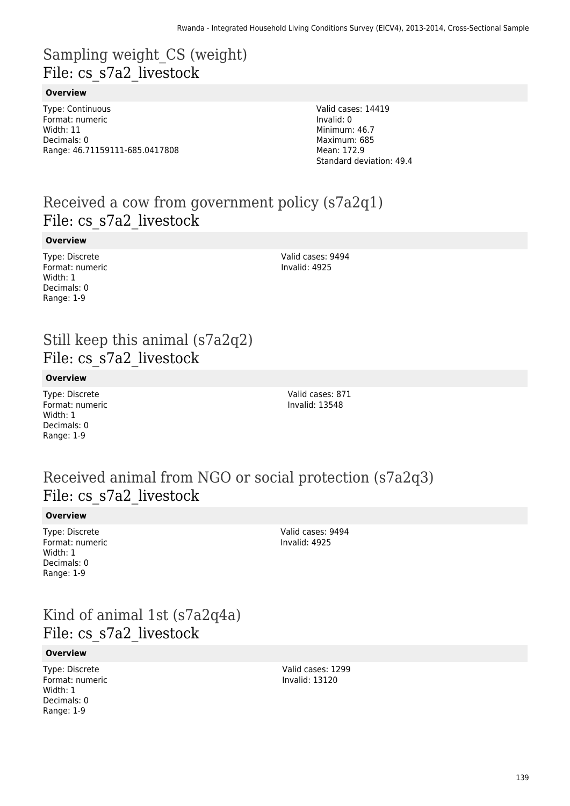# Sampling weight\_CS (weight) File: cs\_s7a2\_livestock

### **Overview**

Type: Continuous Format: numeric Width: 11 Decimals: 0 Range: 46.71159111-685.0417808 Valid cases: 14419 Invalid: 0 Minimum: 46.7 Maximum: 685 Mean: 172.9 Standard deviation: 49.4

# Received a cow from government policy (s7a2q1) File: cs\_s7a2\_livestock

### **Overview**

Type: Discrete Format: numeric Width: 1 Decimals: 0 Range: 1-9

Valid cases: 9494 Invalid: 4925

## Still keep this animal (s7a2q2) File: cs\_s7a2\_livestock

### **Overview**

Type: Discrete Format: numeric Width: 1 Decimals: 0 Range: 1-9

Valid cases: 871 Invalid: 13548

### Received animal from NGO or social protection (s7a2q3) File: cs\_s7a2\_livestock

### **Overview**

Type: Discrete Format: numeric Width: 1 Decimals: 0 Range: 1-9

Valid cases: 9494 Invalid: 4925

# Kind of animal 1st (s7a2q4a) File: cs\_s7a2\_livestock

### **Overview**

Type: Discrete Format: numeric Width: 1 Decimals: 0 Range: 1-9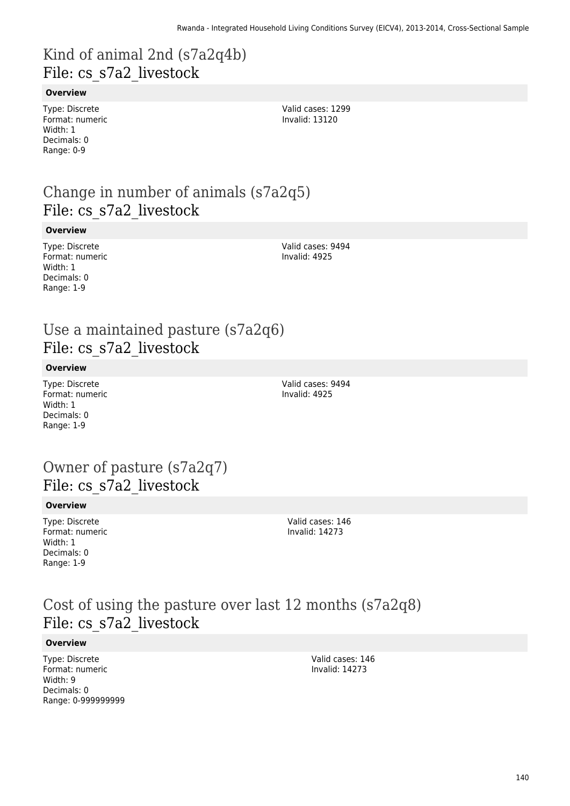# Kind of animal 2nd (s7a2q4b) File: cs\_s7a2\_livestock

### **Overview**

Type: Discrete Format: numeric Width: 1 Decimals: 0 Range: 0-9

Valid cases: 1299 Invalid: 13120

## Change in number of animals (s7a2q5) File: cs\_s7a2\_livestock

#### **Overview**

Type: Discrete Format: numeric Width: 1 Decimals: 0 Range: 1-9

Valid cases: 9494 Invalid: 4925

### Use a maintained pasture (s7a2q6) File: cs\_s7a2\_livestock

#### **Overview**

Type: Discrete Format: numeric Width: 1 Decimals: 0 Range: 1-9

Valid cases: 9494 Invalid: 4925

### Owner of pasture (s7a2q7) File: cs\_s7a2\_livestock

### **Overview**

Type: Discrete Format: numeric Width: 1 Decimals: 0 Range: 1-9

Valid cases: 146 Invalid: 14273

### Cost of using the pasture over last 12 months (s7a2q8) File: cs\_s7a2\_livestock

#### **Overview**

Type: Discrete Format: numeric Width: 9 Decimals: 0 Range: 0-999999999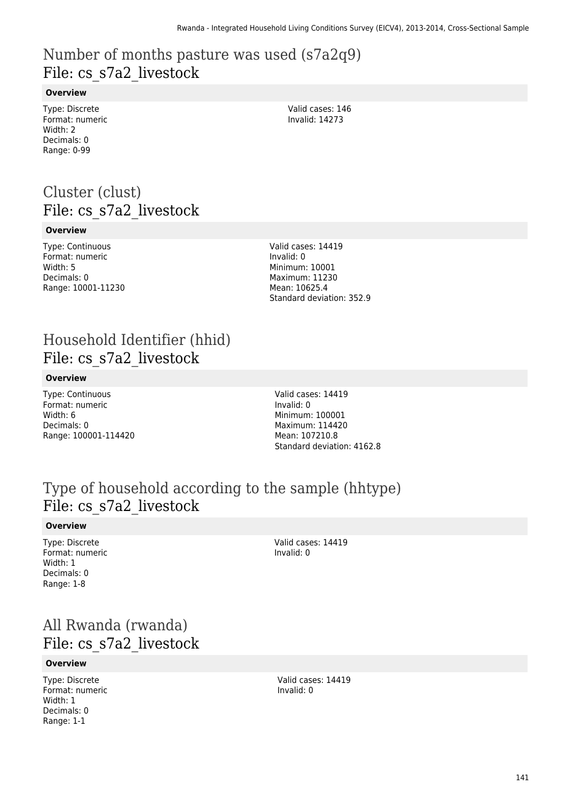# Number of months pasture was used (s7a2q9) File: cs\_s7a2\_livestock

### **Overview**

Type: Discrete Format: numeric Width: 2 Decimals: 0 Range: 0-99

Valid cases: 146 Invalid: 14273

## Cluster (clust) File: cs\_s7a2\_livestock

#### **Overview**

Type: Continuous Format: numeric Width: 5 Decimals: 0 Range: 10001-11230

Valid cases: 14419 Invalid: 0 Minimum: 10001 Maximum: 11230 Mean: 10625.4 Standard deviation: 352.9

### Household Identifier (hhid) File: cs\_s7a2\_livestock

### **Overview**

Type: Continuous Format: numeric Width: 6 Decimals: 0 Range: 100001-114420 Valid cases: 14419 Invalid: 0 Minimum: 100001 Maximum: 114420 Mean: 107210.8 Standard deviation: 4162.8

### Type of household according to the sample (hhtype) File: cs\_s7a2\_livestock

#### **Overview**

Type: Discrete Format: numeric Width: 1 Decimals: 0 Range: 1-8

Valid cases: 14419 Invalid: 0

# All Rwanda (rwanda) File: cs\_s7a2\_livestock

#### **Overview**

Type: Discrete Format: numeric Width: 1 Decimals: 0 Range: 1-1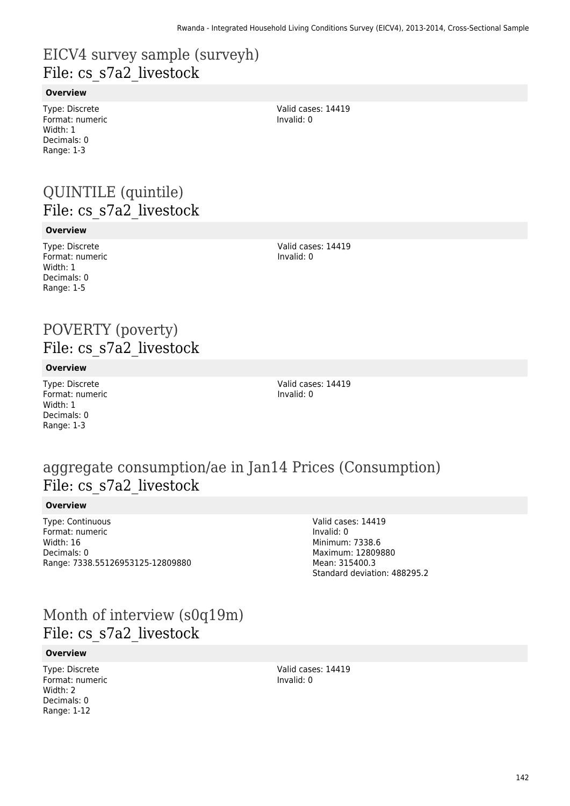# EICV4 survey sample (surveyh) File: cs\_s7a2\_livestock

### **Overview**

Type: Discrete Format: numeric Width: 1 Decimals: 0 Range: 1-3

Valid cases: 14419 Invalid: 0

# QUINTILE (quintile) File: cs\_s7a2\_livestock

#### **Overview**

Type: Discrete Format: numeric Width: 1 Decimals: 0 Range: 1-5

Valid cases: 14419 Invalid: 0

# POVERTY (poverty) File: cs\_s7a2\_livestock

#### **Overview**

Type: Discrete Format: numeric Width: 1 Decimals: 0 Range: 1-3

Valid cases: 14419 Invalid: 0

## aggregate consumption/ae in Jan14 Prices (Consumption) File: cs\_s7a2\_livestock

### **Overview**

Type: Continuous Format: numeric Width: 16 Decimals: 0 Range: 7338.55126953125-12809880 Valid cases: 14419 Invalid: 0 Minimum: 7338.6 Maximum: 12809880 Mean: 315400.3 Standard deviation: 488295.2

# Month of interview (s0q19m) File: cs\_s7a2\_livestock

#### **Overview**

Type: Discrete Format: numeric Width: 2 Decimals: 0 Range: 1-12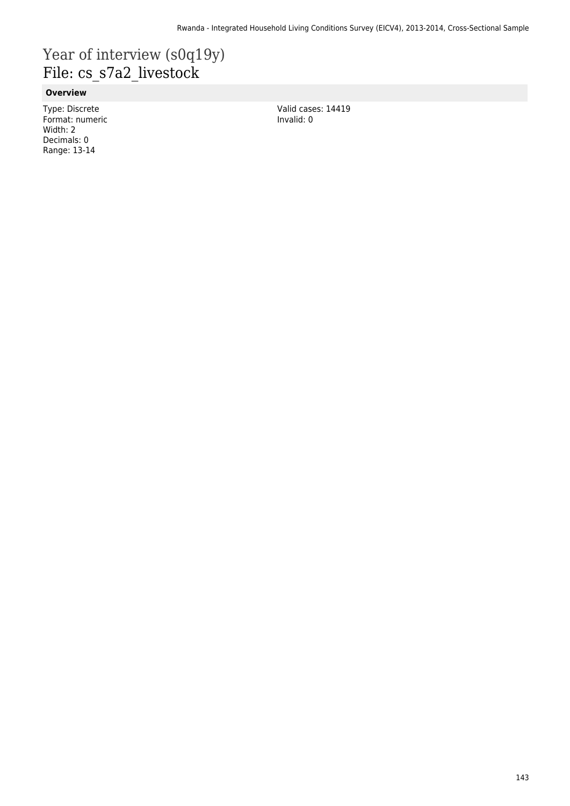# Year of interview (s0q19y) File: cs\_s7a2\_livestock

### **Overview**

Type: Discrete Format: numeric Width: 2 Decimals: 0 Range: 13-14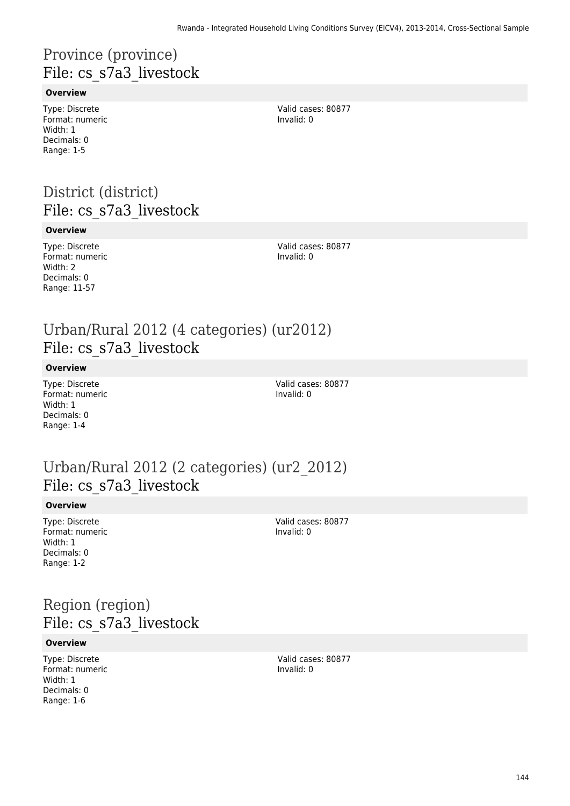# Province (province) File: cs\_s7a3\_livestock

### **Overview**

Type: Discrete Format: numeric Width: 1 Decimals: 0 Range: 1-5

Valid cases: 80877 Invalid: 0

# District (district) File: cs\_s7a3\_livestock

#### **Overview**

Type: Discrete Format: numeric Width: 2 Decimals: 0 Range: 11-57

Valid cases: 80877 Invalid: 0

## Urban/Rural 2012 (4 categories) (ur2012) File: cs\_s7a3\_livestock

#### **Overview**

Type: Discrete Format: numeric Width: 1 Decimals: 0 Range: 1-4

Valid cases: 80877 Invalid: 0

### Urban/Rural 2012 (2 categories) (ur2\_2012) File: cs\_s7a3\_livestock

### **Overview**

Type: Discrete Format: numeric Width: 1 Decimals: 0 Range: 1-2

Valid cases: 80877 Invalid: 0

## Region (region) File: cs\_s7a3\_livestock

#### **Overview**

Type: Discrete Format: numeric Width: 1 Decimals: 0 Range: 1-6

Valid cases: 80877 Invalid: 0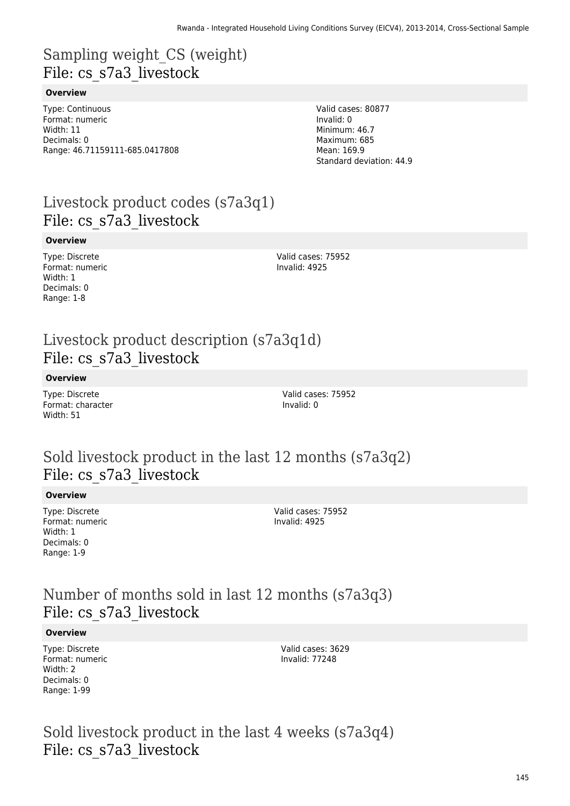# Sampling weight\_CS (weight) File: cs\_s7a3\_livestock

### **Overview**

Type: Continuous Format: numeric Width: 11 Decimals: 0 Range: 46.71159111-685.0417808

Valid cases: 80877 Invalid: 0 Minimum: 46.7 Maximum: 685 Mean: 169.9 Standard deviation: 44.9

# Livestock product codes (s7a3q1) File: cs\_s7a3\_livestock

### **Overview**

Type: Discrete Format: numeric Width: 1 Decimals: 0 Range: 1-8

Valid cases: 75952 Invalid: 4925

### Livestock product description (s7a3q1d) File: cs\_s7a3\_livestock

### **Overview**

Type: Discrete Format: character Width: 51

Valid cases: 75952 Invalid: 0

## Sold livestock product in the last 12 months (s7a3q2) File: cs\_s7a3\_livestock

### **Overview**

Type: Discrete Format: numeric Width: 1 Decimals: 0 Range: 1-9

Valid cases: 75952 Invalid: 4925

## Number of months sold in last 12 months (s7a3q3) File: cs\_s7a3\_livestock

### **Overview**

Type: Discrete Format: numeric Width: 2 Decimals: 0 Range: 1-99

Valid cases: 3629 Invalid: 77248

Sold livestock product in the last 4 weeks (s7a3q4) File: cs\_s7a3\_livestock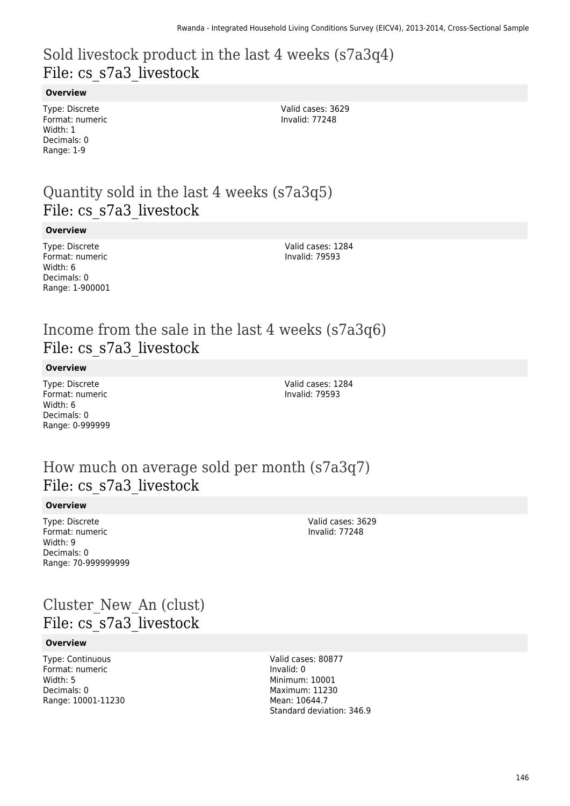# Sold livestock product in the last 4 weeks (s7a3q4) File: cs\_s7a3\_livestock

### **Overview**

Type: Discrete Format: numeric Width: 1 Decimals: 0 Range: 1-9

Valid cases: 3629 Invalid: 77248

# Quantity sold in the last 4 weeks (s7a3q5) File: cs\_s7a3\_livestock

#### **Overview**

Type: Discrete Format: numeric Width: 6 Decimals: 0 Range: 1-900001

Valid cases: 1284 Invalid: 79593

### Income from the sale in the last 4 weeks (s7a3q6) File: cs\_s7a3\_livestock

**Overview**

Type: Discrete Format: numeric Width: 6 Decimals: 0 Range: 0-999999 Valid cases: 1284 Invalid: 79593

### How much on average sold per month (s7a3q7) File: cs\_s7a3\_livestock

#### **Overview**

Type: Discrete Format: numeric Width: 9 Decimals: 0 Range: 70-999999999 Valid cases: 3629 Invalid: 77248

### Cluster\_New\_An (clust) File: cs\_s7a3\_livestock

#### **Overview**

Type: Continuous Format: numeric Width: 5 Decimals: 0 Range: 10001-11230 Valid cases: 80877 Invalid: 0 Minimum: 10001 Maximum: 11230 Mean: 10644.7 Standard deviation: 346.9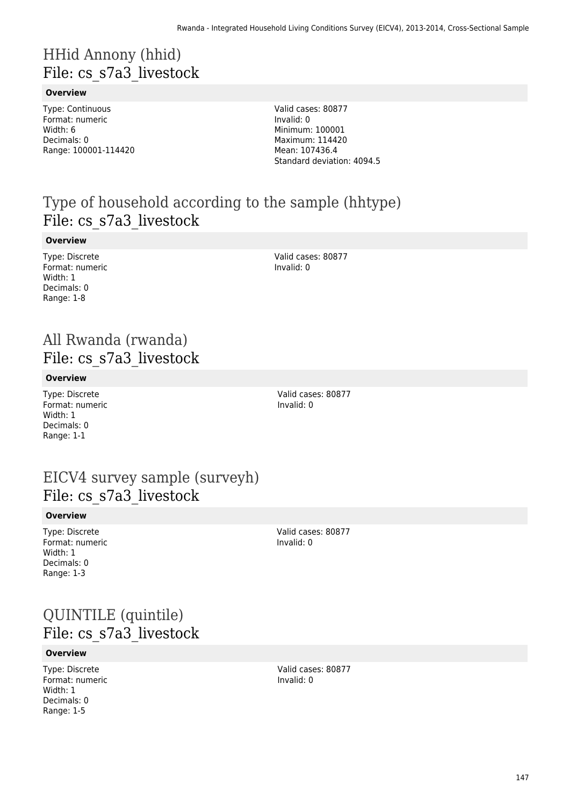# HHid Annony (hhid) File: cs\_s7a3\_livestock

### **Overview**

Type: Continuous Format: numeric Width: 6 Decimals: 0 Range: 100001-114420 Valid cases: 80877 Invalid: 0 Minimum: 100001 Maximum: 114420 Mean: 107436.4 Standard deviation: 4094.5

# Type of household according to the sample (hhtype) File: cs\_s7a3\_livestock

**Overview**

Type: Discrete Format: numeric Width: 1 Decimals: 0 Range: 1-8

Valid cases: 80877 Invalid: 0

# All Rwanda (rwanda) File: cs\_s7a3\_livestock

### **Overview**

Type: Discrete Format: numeric Width: 1 Decimals: 0 Range: 1-1

Valid cases: 80877 Invalid: 0

### EICV4 survey sample (surveyh) File: cs\_s7a3\_livestock

### **Overview**

Type: Discrete Format: numeric Width: 1 Decimals: 0 Range: 1-3

Valid cases: 80877 Invalid: 0

# QUINTILE (quintile) File: cs\_s7a3\_livestock

### **Overview**

Type: Discrete Format: numeric Width: 1 Decimals: 0 Range: 1-5

Valid cases: 80877 Invalid: 0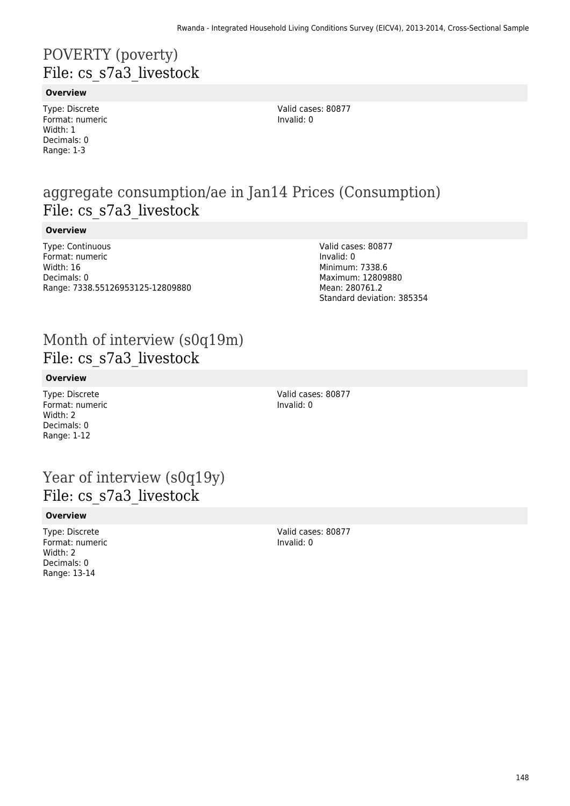# POVERTY (poverty) File: cs\_s7a3\_livestock

### **Overview**

Type: Discrete Format: numeric Width: 1 Decimals: 0 Range: 1-3

Valid cases: 80877 Invalid: 0

# aggregate consumption/ae in Jan14 Prices (Consumption) File: cs\_s7a3\_livestock

### **Overview**

Type: Continuous Format: numeric Width: 16 Decimals: 0 Range: 7338.55126953125-12809880 Valid cases: 80877 Invalid: 0 Minimum: 7338.6 Maximum: 12809880 Mean: 280761.2 Standard deviation: 385354

# Month of interview (s0q19m) File: cs\_s7a3\_livestock

### **Overview**

Type: Discrete Format: numeric Width: 2 Decimals: 0 Range: 1-12

Valid cases: 80877 Invalid: 0

### Year of interview (s0q19y) File: cs\_s7a3\_livestock

### **Overview**

Type: Discrete Format: numeric Width: 2 Decimals: 0 Range: 13-14

Valid cases: 80877 Invalid: 0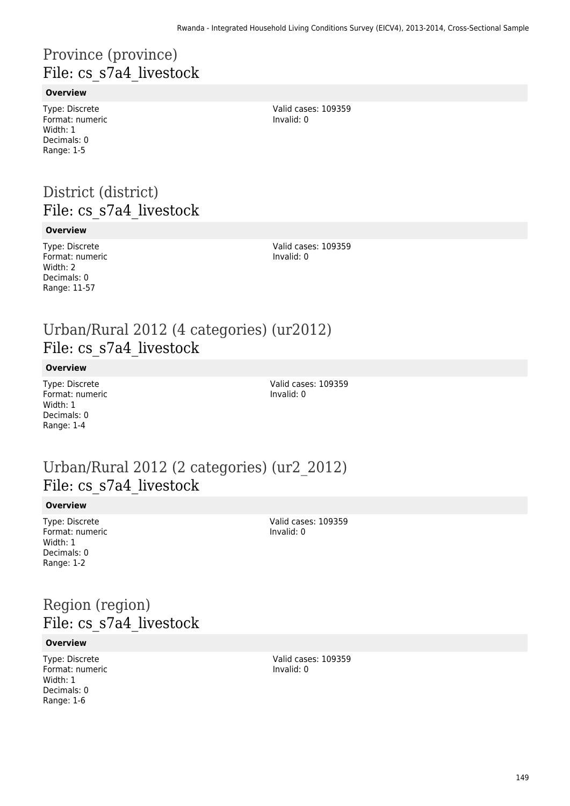# Province (province) File: cs\_s7a4\_livestock

### **Overview**

Type: Discrete Format: numeric Width: 1 Decimals: 0 Range: 1-5

Valid cases: 109359 Invalid: 0

# District (district) File: cs\_s7a4\_livestock

### **Overview**

Type: Discrete Format: numeric Width: 2 Decimals: 0 Range: 11-57

Valid cases: 109359 Invalid: 0

## Urban/Rural 2012 (4 categories) (ur2012) File: cs\_s7a4\_livestock

### **Overview**

Type: Discrete Format: numeric Width: 1 Decimals: 0 Range: 1-4

Valid cases: 109359 Invalid: 0

### Urban/Rural 2012 (2 categories) (ur2\_2012) File: cs\_s7a4\_livestock

### **Overview**

Type: Discrete Format: numeric Width: 1 Decimals: 0 Range: 1-2

Valid cases: 109359 Invalid: 0

## Region (region) File: cs\_s7a4\_livestock

### **Overview**

Type: Discrete Format: numeric Width: 1 Decimals: 0 Range: 1-6

Valid cases: 109359 Invalid: 0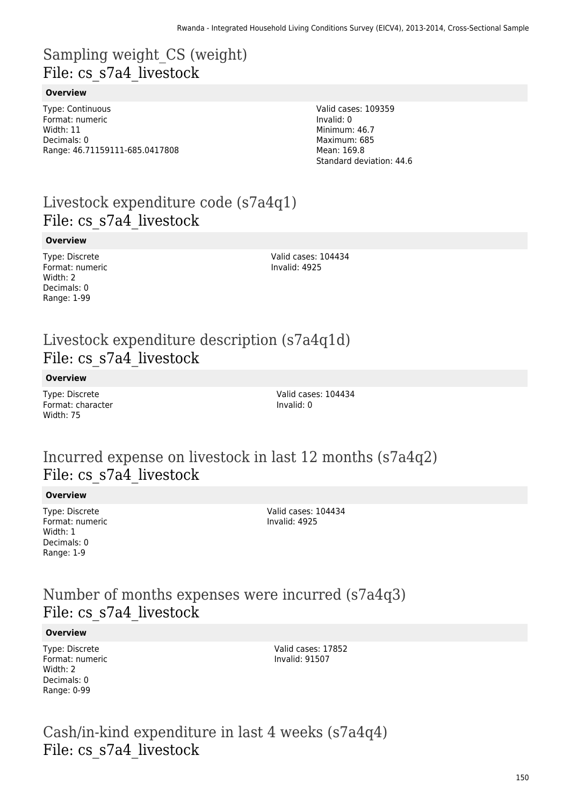# Sampling weight\_CS (weight) File: cs\_s7a4\_livestock

### **Overview**

Type: Continuous Format: numeric Width: 11 Decimals: 0 Range: 46.71159111-685.0417808

Valid cases: 109359 Invalid: 0 Minimum: 46.7 Maximum: 685 Mean: 169.8 Standard deviation: 44.6

# Livestock expenditure code (s7a4q1) File: cs\_s7a4\_livestock

### **Overview**

Type: Discrete Format: numeric Width: 2 Decimals: 0 Range: 1-99

Valid cases: 104434 Invalid: 4925

## Livestock expenditure description (s7a4q1d) File: cs\_s7a4\_livestock

### **Overview**

Type: Discrete Format: character Width: 75

Valid cases: 104434 Invalid: 0

### Incurred expense on livestock in last 12 months (s7a4q2) File: cs\_s7a4\_livestock

### **Overview**

Type: Discrete Format: numeric Width: 1 Decimals: 0 Range: 1-9

Valid cases: 104434 Invalid: 4925

### Number of months expenses were incurred (s7a4q3) File: cs\_s7a4\_livestock

### **Overview**

Type: Discrete Format: numeric Width: 2 Decimals: 0 Range: 0-99

Valid cases: 17852 Invalid: 91507

Cash/in-kind expenditure in last 4 weeks (s7a4q4) File: cs\_s7a4\_livestock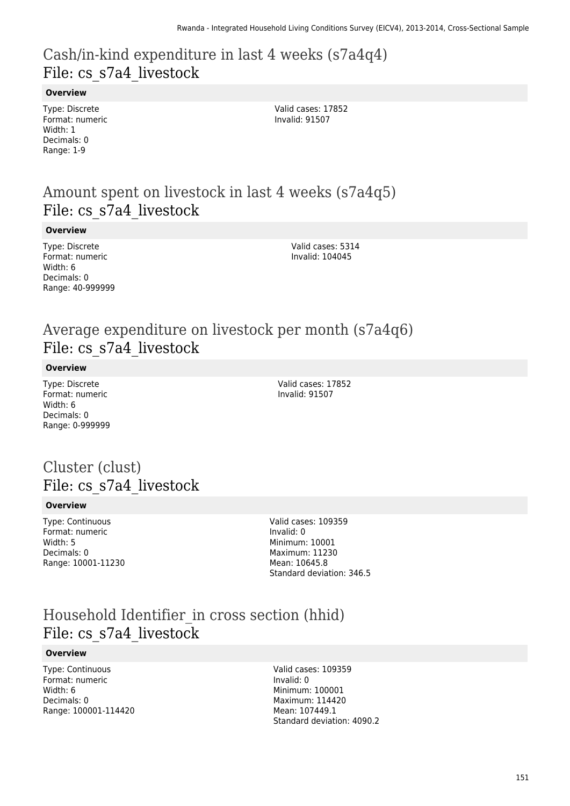# Cash/in-kind expenditure in last 4 weeks (s7a4q4) File: cs\_s7a4\_livestock

### **Overview**

Type: Discrete Format: numeric Width: 1 Decimals: 0 Range: 1-9

Valid cases: 17852 Invalid: 91507

# Amount spent on livestock in last 4 weeks (s7a4q5) File: cs\_s7a4\_livestock

#### **Overview**

Type: Discrete Format: numeric Width: 6 Decimals: 0 Range: 40-999999 Valid cases: 5314 Invalid: 104045

### Average expenditure on livestock per month (s7a4q6) File: cs\_s7a4\_livestock

#### **Overview**

Type: Discrete Format: numeric Width: 6 Decimals: 0 Range: 0-999999 Valid cases: 17852 Invalid: 91507

## Cluster (clust) File: cs\_s7a4\_livestock

#### **Overview**

Type: Continuous Format: numeric Width: 5 Decimals: 0 Range: 10001-11230

Valid cases: 109359 Invalid: 0 Minimum: 10001 Maximum: 11230 Mean: 10645.8 Standard deviation: 346.5

# Household Identifier\_in cross section (hhid) File: cs\_s7a4\_livestock

#### **Overview**

Type: Continuous Format: numeric Width: 6 Decimals: 0 Range: 100001-114420 Valid cases: 109359 Invalid: 0 Minimum: 100001 Maximum: 114420 Mean: 107449.1 Standard deviation: 4090.2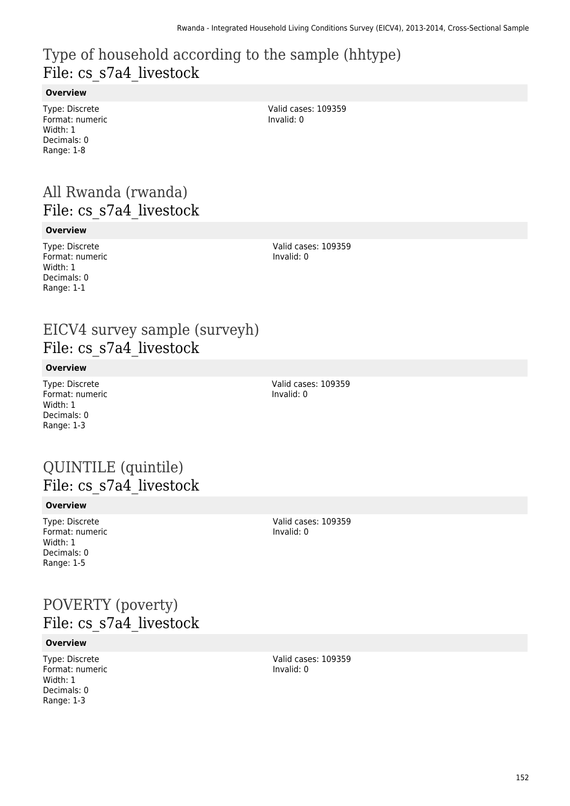# Type of household according to the sample (hhtype) File: cs\_s7a4\_livestock

### **Overview**

Type: Discrete Format: numeric Width: 1 Decimals: 0 Range: 1-8

Valid cases: 109359 Invalid: 0

# All Rwanda (rwanda) File: cs\_s7a4\_livestock

#### **Overview**

Type: Discrete Format: numeric Width: 1 Decimals: 0 Range: 1-1

Valid cases: 109359 Invalid: 0

### EICV4 survey sample (surveyh) File: cs\_s7a4\_livestock

#### **Overview**

Type: Discrete Format: numeric Width: 1 Decimals: 0 Range: 1-3

Valid cases: 109359 Invalid: 0

## QUINTILE (quintile) File: cs\_s7a4\_livestock

### **Overview**

Type: Discrete Format: numeric Width: 1 Decimals: 0 Range: 1-5

Valid cases: 109359 Invalid: 0

## POVERTY (poverty) File: cs\_s7a4\_livestock

#### **Overview**

Type: Discrete Format: numeric Width: 1 Decimals: 0 Range: 1-3

Valid cases: 109359 Invalid: 0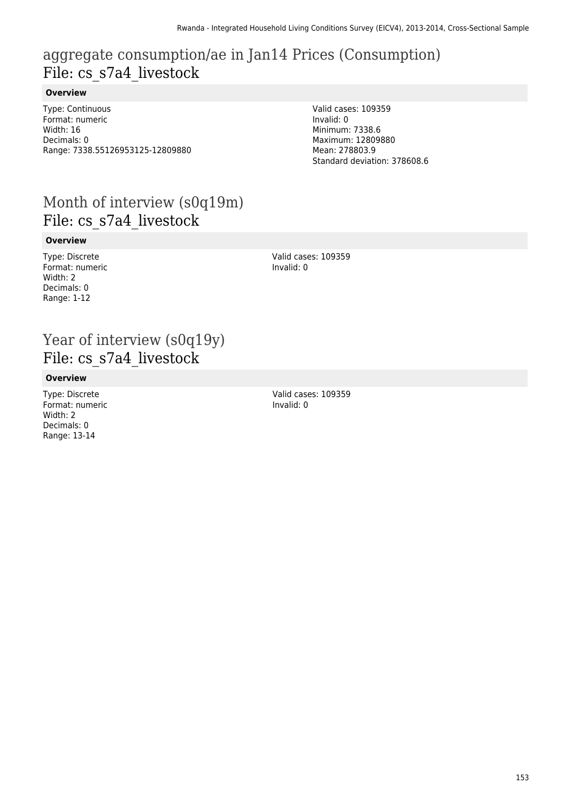# aggregate consumption/ae in Jan14 Prices (Consumption) File: cs\_s7a4\_livestock

### **Overview**

Type: Continuous Format: numeric Width: 16 Decimals: 0 Range: 7338.55126953125-12809880 Valid cases: 109359 Invalid: 0 Minimum: 7338.6 Maximum: 12809880 Mean: 278803.9 Standard deviation: 378608.6

# Month of interview (s0q19m) File: cs\_s7a4\_livestock

### **Overview**

Type: Discrete Format: numeric Width: 2 Decimals: 0 Range: 1-12

Valid cases: 109359 Invalid: 0

## Year of interview (s0q19y) File: cs\_s7a4\_livestock

### **Overview**

Type: Discrete Format: numeric Width: 2 Decimals: 0 Range: 13-14

Valid cases: 109359 Invalid: 0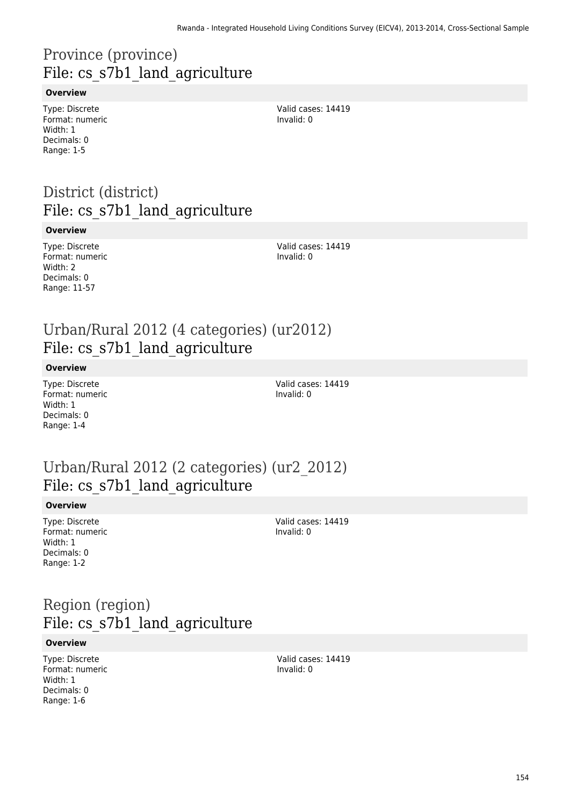# Province (province) File: cs s7b1 land agriculture

### **Overview**

Type: Discrete Format: numeric Width: 1 Decimals: 0 Range: 1-5

Valid cases: 14419 Invalid: 0

# District (district) File: cs s7b1 land agriculture

### **Overview**

Type: Discrete Format: numeric Width: 2 Decimals: 0 Range: 11-57

Valid cases: 14419 Invalid: 0

## Urban/Rural 2012 (4 categories) (ur2012) File: cs\_s7b1\_land\_agriculture

#### **Overview**

Type: Discrete Format: numeric Width: 1 Decimals: 0 Range: 1-4

Valid cases: 14419 Invalid: 0

### Urban/Rural 2012 (2 categories) (ur2\_2012) File: cs s7b1 land agriculture

### **Overview**

Type: Discrete Format: numeric Width: 1 Decimals: 0 Range: 1-2

Valid cases: 14419 Invalid: 0

## Region (region) File: cs\_s7b1\_land\_agriculture

### **Overview**

Type: Discrete Format: numeric Width: 1 Decimals: 0 Range: 1-6

Valid cases: 14419 Invalid: 0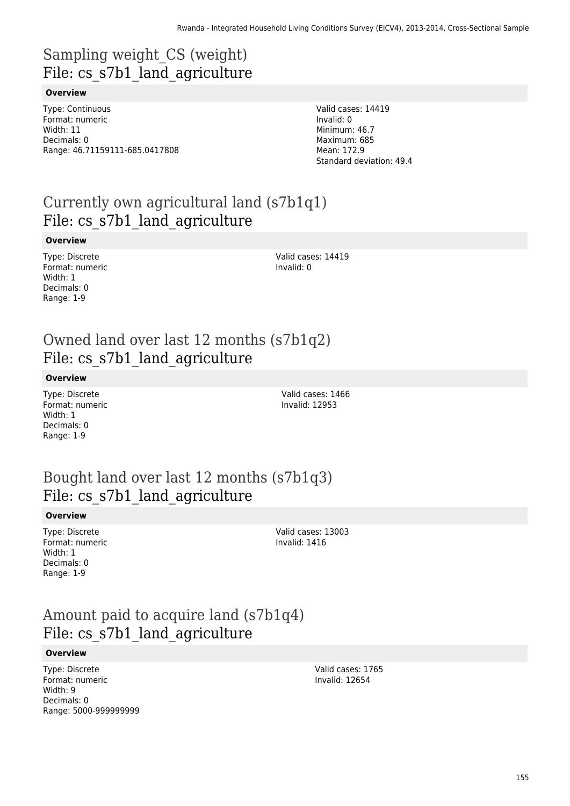## Sampling weight\_CS (weight) File: cs s7b1 land agriculture

### **Overview**

Type: Continuous Format: numeric Width: 11 Decimals: 0 Range: 46.71159111-685.0417808

Valid cases: 14419 Invalid: 0 Minimum: 46.7 Maximum: 685 Mean: 172.9 Standard deviation: 49.4

# Currently own agricultural land (s7b1q1) File: cs s7b1 land agriculture

#### **Overview**

Type: Discrete Format: numeric Width: 1 Decimals: 0 Range: 1-9

Valid cases: 14419 Invalid: 0

## Owned land over last 12 months (s7b1q2) File: cs\_s7b1\_land\_agriculture

### **Overview**

Type: Discrete Format: numeric Width: 1 Decimals: 0 Range: 1-9

Valid cases: 1466 Invalid: 12953

## Bought land over last 12 months (s7b1q3) File: cs s7b1 land agriculture

### **Overview**

Type: Discrete Format: numeric Width: 1 Decimals: 0 Range: 1-9

Valid cases: 13003 Invalid: 1416

# Amount paid to acquire land (s7b1q4) File: cs s7b1 land agriculture

### **Overview**

Type: Discrete Format: numeric Width: 9 Decimals: 0 Range: 5000-999999999 Valid cases: 1765 Invalid: 12654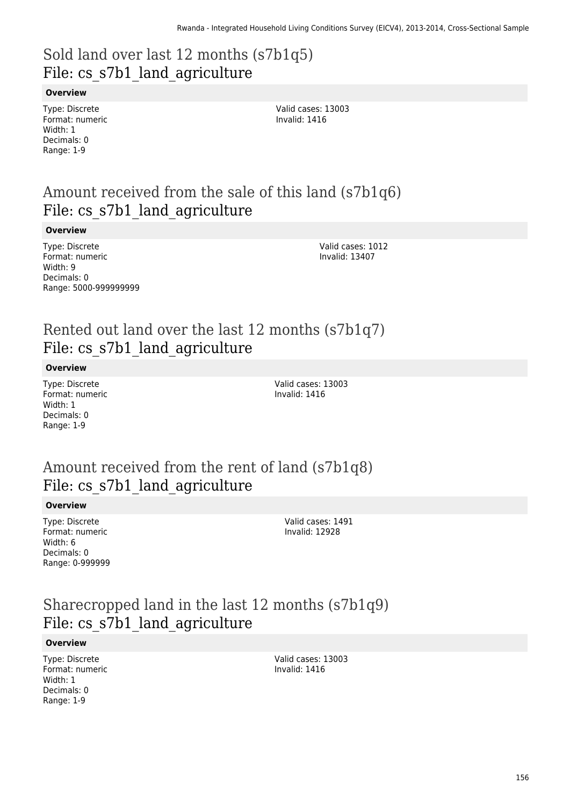# Sold land over last 12 months (s7b1q5) File: cs s7b1 land agriculture

**Overview**

Type: Discrete Format: numeric Width: 1 Decimals: 0 Range: 1-9

Valid cases: 13003 Invalid: 1416

# Amount received from the sale of this land (s7b1q6) File: cs s7b1 land agriculture

**Overview**

Type: Discrete Format: numeric Width: 9 Decimals: 0 Range: 5000-999999999 Valid cases: 1012 Invalid: 13407

# Rented out land over the last 12 months (s7b1q7) File: cs s7b1 land agriculture

**Overview**

Type: Discrete Format: numeric Width: 1 Decimals: 0 Range: 1-9

Valid cases: 13003 Invalid: 1416

## Amount received from the rent of land (s7b1q8) File: cs s7b1 land agriculture

### **Overview**

Type: Discrete Format: numeric Width: 6 Decimals: 0 Range: 0-999999 Valid cases: 1491 Invalid: 12928

# Sharecropped land in the last 12 months  $(s7b1q9)$ File: cs\_s7b1\_land\_agriculture

### **Overview**

Type: Discrete Format: numeric Width: 1 Decimals: 0 Range: 1-9

Valid cases: 13003 Invalid: 1416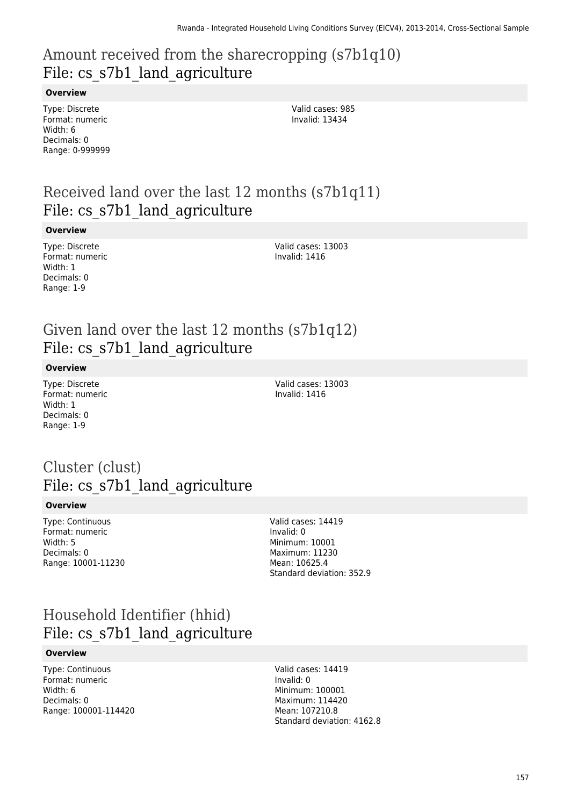# Amount received from the sharecropping (s7b1q10) File: cs s7b1 land agriculture

### **Overview**

Type: Discrete Format: numeric Width: 6 Decimals: 0 Range: 0-999999 Valid cases: 985 Invalid: 13434

# Received land over the last 12 months (s7b1q11) File: cs s7b1 land agriculture

#### **Overview**

Type: Discrete Format: numeric Width: 1 Decimals: 0 Range: 1-9

Valid cases: 13003 Invalid: 1416

# Given land over the last 12 months (s7b1q12) File: cs s7b1 land agriculture

#### **Overview**

Type: Discrete Format: numeric Width: 1 Decimals: 0 Range: 1-9

Valid cases: 13003 Invalid: 1416

### Cluster (clust) File: cs s7b1 land agriculture

### **Overview**

Type: Continuous Format: numeric Width: 5 Decimals: 0 Range: 10001-11230

Valid cases: 14419 Invalid: 0 Minimum: 10001 Maximum: 11230 Mean: 10625.4 Standard deviation: 352.9

# Household Identifier (hhid) File: cs s7b1 land agriculture

#### **Overview**

Type: Continuous Format: numeric Width: 6 Decimals: 0 Range: 100001-114420 Valid cases: 14419 Invalid: 0 Minimum: 100001 Maximum: 114420 Mean: 107210.8 Standard deviation: 4162.8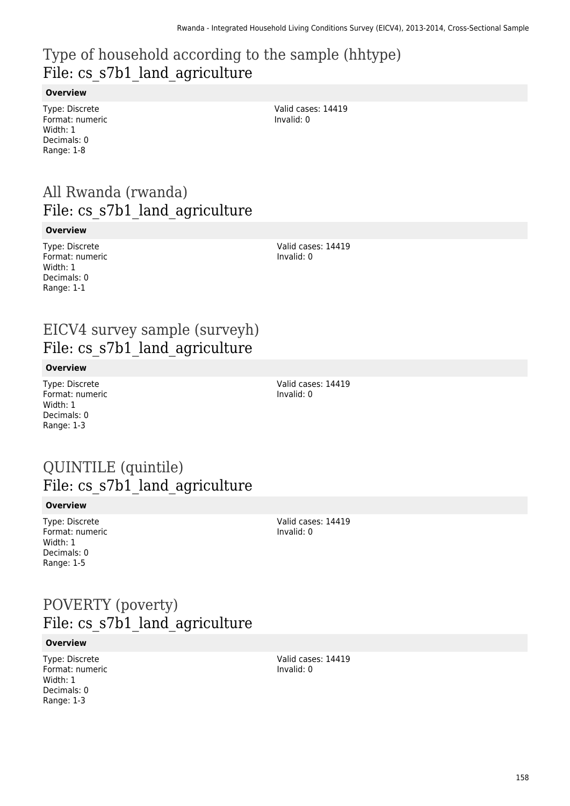# Type of household according to the sample (hhtype) File: cs s7b1 land agriculture

**Overview**

Type: Discrete Format: numeric Width: 1 Decimals: 0 Range: 1-8

Valid cases: 14419 Invalid: 0

# All Rwanda (rwanda) File: cs s7b1 land agriculture

### **Overview**

Type: Discrete Format: numeric Width: 1 Decimals: 0 Range: 1-1

Valid cases: 14419 Invalid: 0

### EICV4 survey sample (surveyh) File: cs s7b1 land agriculture

### **Overview**

Type: Discrete Format: numeric Width: 1 Decimals: 0 Range: 1-3

Valid cases: 14419 Invalid: 0

# QUINTILE (quintile) File: cs\_s7b1\_land\_agriculture

### **Overview**

Type: Discrete Format: numeric Width: 1 Decimals: 0 Range: 1-5

Valid cases: 14419 Invalid: 0

## POVERTY (poverty) File: cs\_s7b1\_land\_agriculture

### **Overview**

Type: Discrete Format: numeric Width: 1 Decimals: 0 Range: 1-3

Valid cases: 14419 Invalid: 0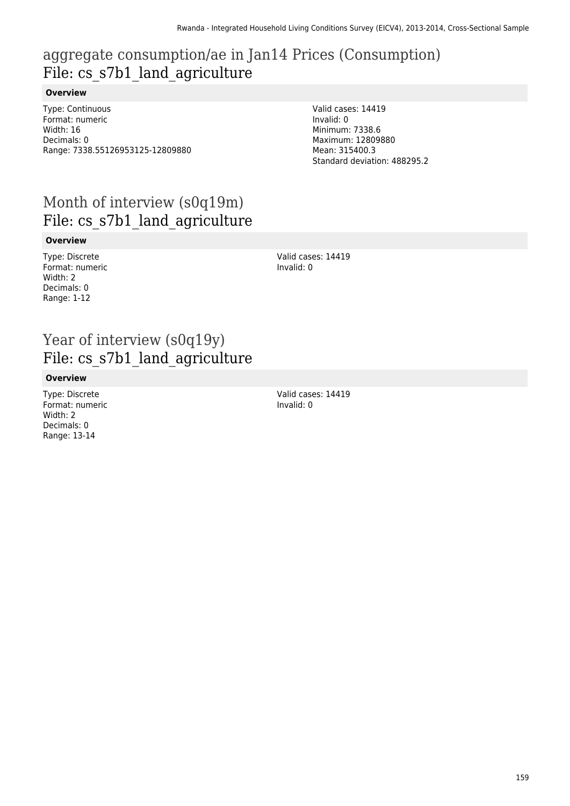# aggregate consumption/ae in Jan14 Prices (Consumption) File: cs s7b1 land agriculture

### **Overview**

Type: Continuous Format: numeric Width: 16 Decimals: 0 Range: 7338.55126953125-12809880 Valid cases: 14419 Invalid: 0 Minimum: 7338.6 Maximum: 12809880 Mean: 315400.3 Standard deviation: 488295.2

# Month of interview (s0q19m) File: cs\_s7b1\_land\_agriculture

### **Overview**

Type: Discrete Format: numeric Width: 2 Decimals: 0 Range: 1-12

Valid cases: 14419 Invalid: 0

### Year of interview (s0q19y) File: cs s7b1 land agriculture

### **Overview**

Type: Discrete Format: numeric Width: 2 Decimals: 0 Range: 13-14

Valid cases: 14419 Invalid: 0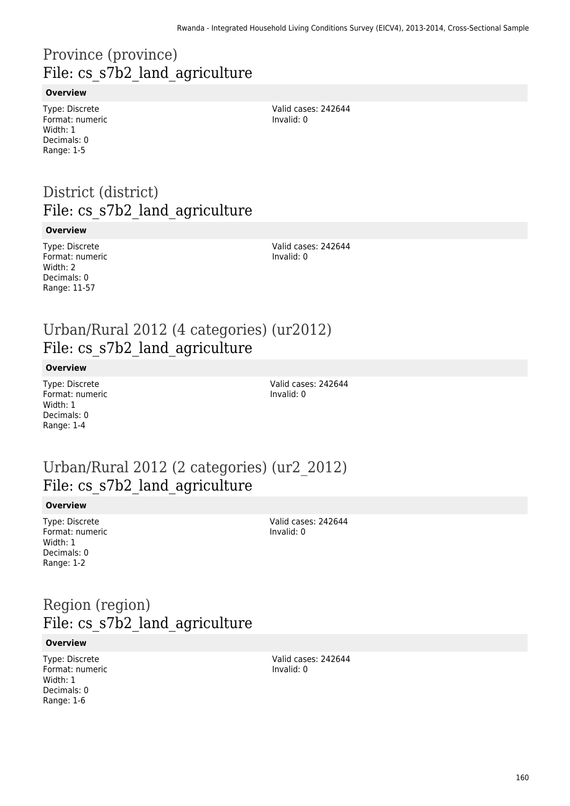# Province (province) File: cs s7b2 land agriculture

### **Overview**

Type: Discrete Format: numeric Width: 1 Decimals: 0 Range: 1-5

Valid cases: 242644 Invalid: 0

# District (district) File: cs s7b2 land agriculture

### **Overview**

Type: Discrete Format: numeric Width: 2 Decimals: 0 Range: 11-57

Valid cases: 242644 Invalid: 0

## Urban/Rural 2012 (4 categories) (ur2012) File: cs s7b2 land agriculture

#### **Overview**

Type: Discrete Format: numeric Width: 1 Decimals: 0 Range: 1-4

Valid cases: 242644 Invalid: 0

### Urban/Rural 2012 (2 categories) (ur2\_2012) File: cs s7b2 land agriculture

### **Overview**

Type: Discrete Format: numeric Width: 1 Decimals: 0 Range: 1-2

Valid cases: 242644 Invalid: 0

### Region (region) File: cs\_s7b2\_land\_agriculture

### **Overview**

Type: Discrete Format: numeric Width: 1 Decimals: 0 Range: 1-6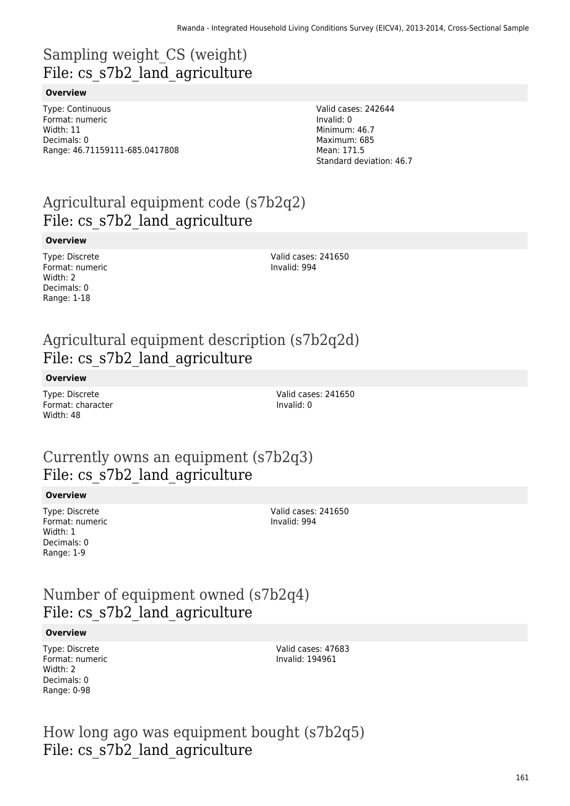## Sampling weight\_CS (weight) File: cs s7b2 land agriculture

### **Overview**

Type: Continuous Format: numeric Width: 11 Decimals: 0 Range: 46.71159111-685.0417808

Valid cases: 242644 Invalid: 0 Minimum: 46.7 Maximum: 685 Mean: 171.5 Standard deviation: 46.7

# Agricultural equipment code (s7b2q2) File: cs s7b2 land agriculture

### **Overview**

Type: Discrete Format: numeric Width: 2 Decimals: 0 Range: 1-18

Valid cases: 241650 Invalid: 994

# Agricultural equipment description (s7b2q2d) File: cs s7b2 land agriculture

### **Overview**

Type: Discrete Format: character Width: 48

Valid cases: 241650 Invalid: 0

### Currently owns an equipment (s7b2q3) File: cs\_s7b2\_land\_agriculture

### **Overview**

Type: Discrete Format: numeric Width: 1 Decimals: 0 Range: 1-9

Valid cases: 241650 Invalid: 994

## Number of equipment owned (s7b2q4) File: cs s7b2 land agriculture

### **Overview**

Type: Discrete Format: numeric Width: 2 Decimals: 0 Range: 0-98

Valid cases: 47683 Invalid: 194961

How long ago was equipment bought (s7b2q5) File: cs\_s7b2\_land\_agriculture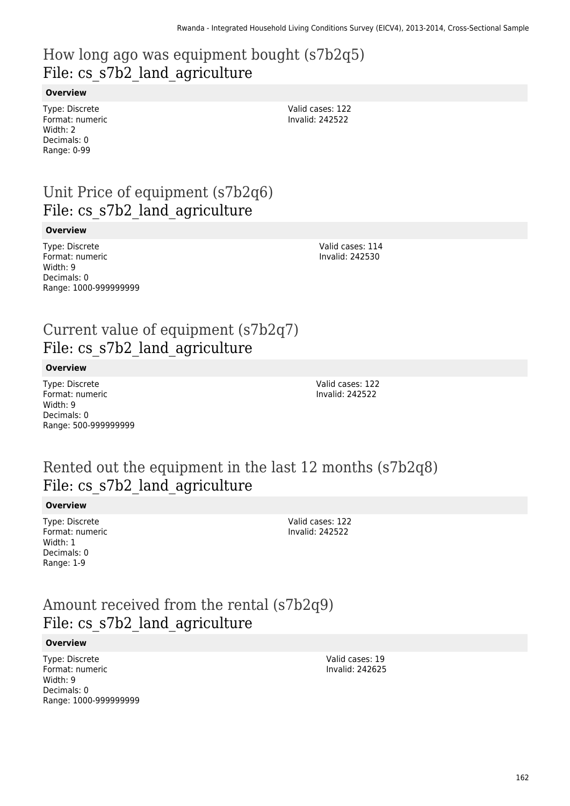## How long ago was equipment bought (s7b2q5) File: cs s7b2 land agriculture

**Overview**

Type: Discrete Format: numeric Width: 2 Decimals: 0 Range: 0-99

Valid cases: 122 Invalid: 242522

## Unit Price of equipment (s7b2q6) File: cs s7b2 land agriculture

#### **Overview**

Type: Discrete Format: numeric Width: 9 Decimals: 0 Range: 1000-999999999

Valid cases: 114 Invalid: 242530

## Current value of equipment (s7b2q7) File: cs\_s7b2\_land\_agriculture

#### **Overview**

Type: Discrete Format: numeric Width: 9 Decimals: 0 Range: 500-999999999 Valid cases: 122 Invalid: 242522

## Rented out the equipment in the last 12 months (s7b2q8) File: cs s7b2 land agriculture

#### **Overview**

Type: Discrete Format: numeric Width: 1 Decimals: 0 Range: 1-9

Valid cases: 122 Invalid: 242522

## Amount received from the rental (s7b2q9) File: cs\_s7b2\_land\_agriculture

#### **Overview**

Type: Discrete Format: numeric Width: 9 Decimals: 0 Range: 1000-999999999 Valid cases: 19 Invalid: 242625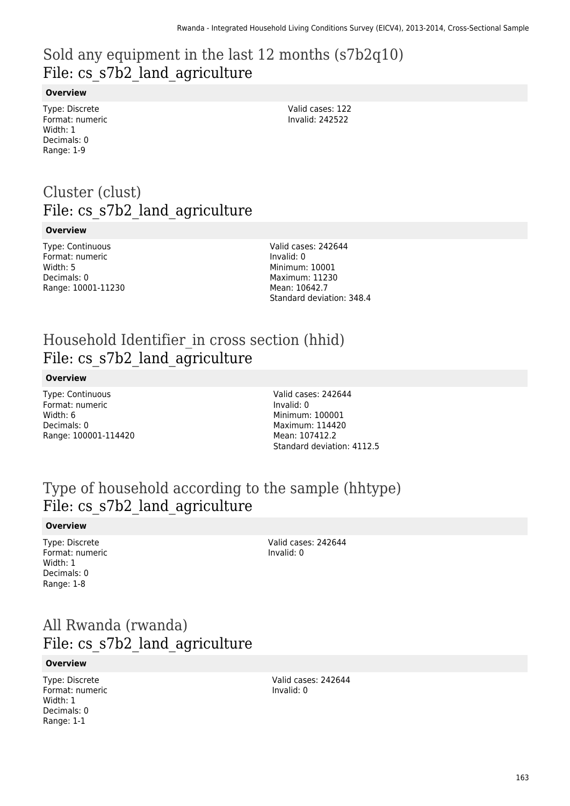# Sold any equipment in the last 12 months (s7b2q10) File: cs s7b2 land agriculture

### **Overview**

Type: Discrete Format: numeric Width: 1 Decimals: 0 Range: 1-9

Valid cases: 122 Invalid: 242522

### Cluster (clust) File: cs s7b2 land agriculture

#### **Overview**

Type: Continuous Format: numeric Width: 5 Decimals: 0 Range: 10001-11230 Valid cases: 242644 Invalid: 0 Minimum: 10001 Maximum: 11230 Mean: 10642.7 Standard deviation: 348.4

## Household Identifier\_in cross section (hhid) File: cs\_s7b2\_land\_agriculture

### **Overview**

Type: Continuous Format: numeric Width: 6 Decimals: 0 Range: 100001-114420 Valid cases: 242644 Invalid: 0 Minimum: 100001 Maximum: 114420 Mean: 107412.2 Standard deviation: 4112.5

### Type of household according to the sample (hhtype) File: cs\_s7b2\_land\_agriculture

#### **Overview**

Type: Discrete Format: numeric Width: 1 Decimals: 0 Range: 1-8

Valid cases: 242644 Invalid: 0

## All Rwanda (rwanda) File: cs s7b2 land agriculture

### **Overview**

Type: Discrete Format: numeric Width: 1 Decimals: 0 Range: 1-1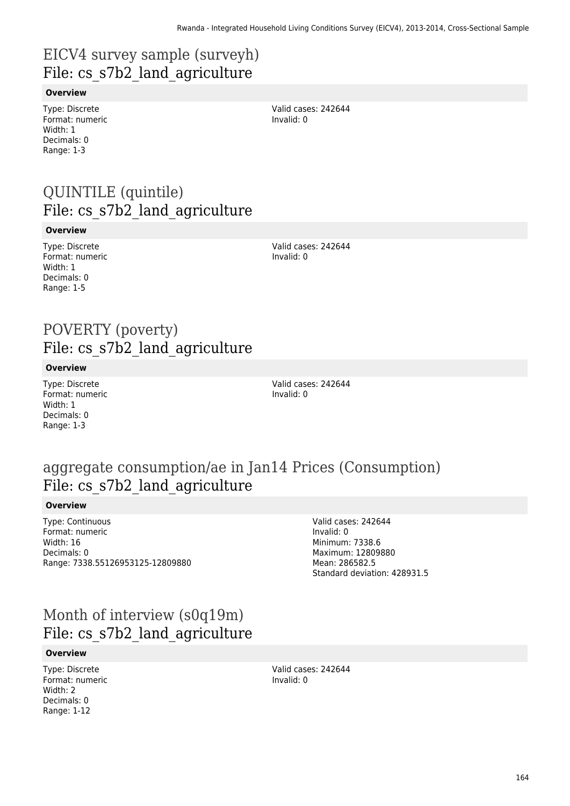# EICV4 survey sample (surveyh) File: cs\_s7b2\_land\_agriculture

### **Overview**

Type: Discrete Format: numeric Width: 1 Decimals: 0 Range: 1-3

Valid cases: 242644 Invalid: 0

# QUINTILE (quintile) File: cs\_s7b2\_land\_agriculture

#### **Overview**

Type: Discrete Format: numeric Width: 1 Decimals: 0 Range: 1-5

Valid cases: 242644 Invalid: 0

## POVERTY (poverty) File: cs\_s7b2\_land\_agriculture

#### **Overview**

Type: Discrete Format: numeric Width: 1 Decimals: 0 Range: 1-3

Valid cases: 242644 Invalid: 0

### aggregate consumption/ae in Jan14 Prices (Consumption) File: cs s7b2 land agriculture

### **Overview**

Type: Continuous Format: numeric Width: 16 Decimals: 0 Range: 7338.55126953125-12809880 Valid cases: 242644 Invalid: 0 Minimum: 7338.6 Maximum: 12809880 Mean: 286582.5 Standard deviation: 428931.5

## Month of interview (s0q19m) File: cs s7b2 land agriculture

#### **Overview**

Type: Discrete Format: numeric Width: 2 Decimals: 0 Range: 1-12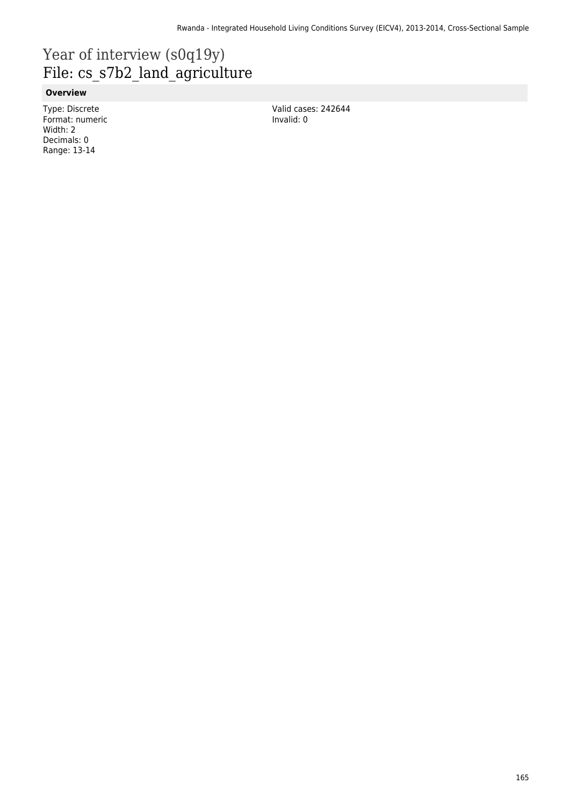# Year of interview (s0q19y) File: cs\_s7b2\_land\_agriculture

**Overview**

Type: Discrete Format: numeric Width: 2 Decimals: 0 Range: 13-14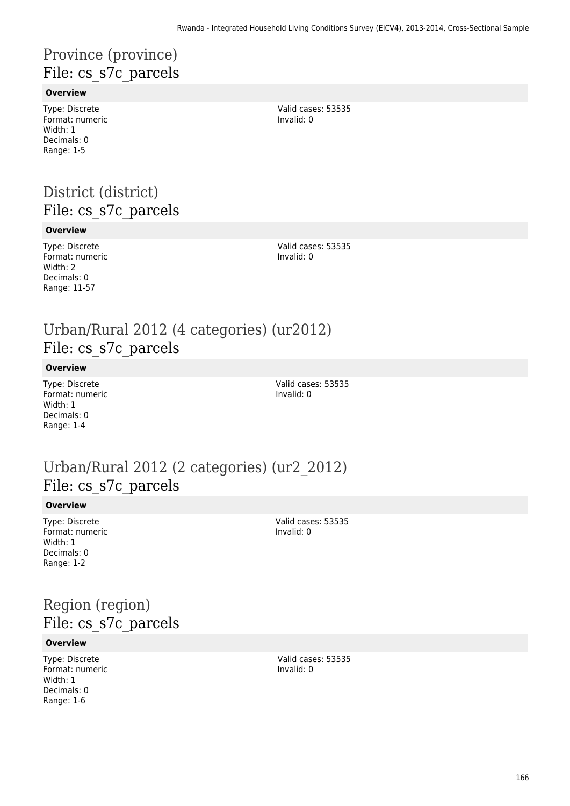# Province (province) File: cs\_s7c\_parcels

### **Overview**

Type: Discrete Format: numeric Width: 1 Decimals: 0 Range: 1-5

Valid cases: 53535 Invalid: 0

# District (district) File: cs\_s7c\_parcels

#### **Overview**

Type: Discrete Format: numeric Width: 2 Decimals: 0 Range: 11-57

Valid cases: 53535 Invalid: 0

## Urban/Rural 2012 (4 categories) (ur2012) File: cs\_s7c\_parcels

#### **Overview**

Type: Discrete Format: numeric Width: 1 Decimals: 0 Range: 1-4

Valid cases: 53535 Invalid: 0

### Urban/Rural 2012 (2 categories) (ur2\_2012) File: cs\_s7c\_parcels

#### **Overview**

Type: Discrete Format: numeric Width: 1 Decimals: 0 Range: 1-2

Valid cases: 53535 Invalid: 0

### Region (region) File: cs\_s7c\_parcels

#### **Overview**

Type: Discrete Format: numeric Width: 1 Decimals: 0 Range: 1-6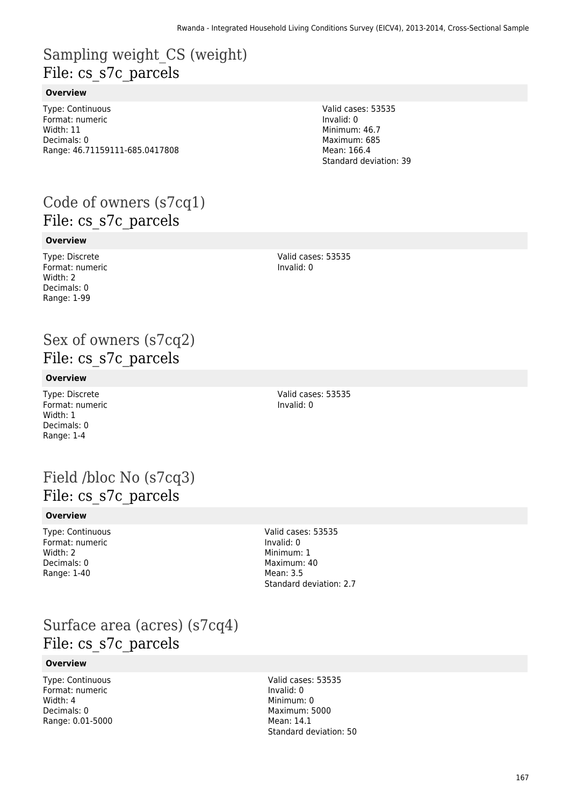# Sampling weight\_CS (weight) File: cs\_s7c\_parcels

### **Overview**

Type: Continuous Format: numeric Width: 11 Decimals: 0 Range: 46.71159111-685.0417808 Valid cases: 53535 Invalid: 0 Minimum: 46.7 Maximum: 685 Mean: 166.4 Standard deviation: 39

# Code of owners (s7cq1) File: cs\_s7c\_parcels

#### **Overview**

Type: Discrete Format: numeric Width: 2 Decimals: 0 Range: 1-99

Valid cases: 53535 Invalid: 0

### Sex of owners (s7cq2) File: cs\_s7c\_parcels

### **Overview**

Type: Discrete Format: numeric Width: 1 Decimals: 0 Range: 1-4

Valid cases: 53535 Invalid: 0

### Field /bloc No (s7cq3) File: cs\_s7c\_parcels

### **Overview**

Type: Continuous Format: numeric Width: 2 Decimals: 0 Range: 1-40

Valid cases: 53535 Invalid: 0 Minimum: 1 Maximum: 40 Mean: 3.5 Standard deviation: 2.7

# Surface area (acres) (s7cq4) File: cs\_s7c\_parcels

### **Overview**

Type: Continuous Format: numeric Width: 4 Decimals: 0 Range: 0.01-5000

Valid cases: 53535 Invalid: 0 Minimum: 0 Maximum: 5000 Mean: 14.1 Standard deviation: 50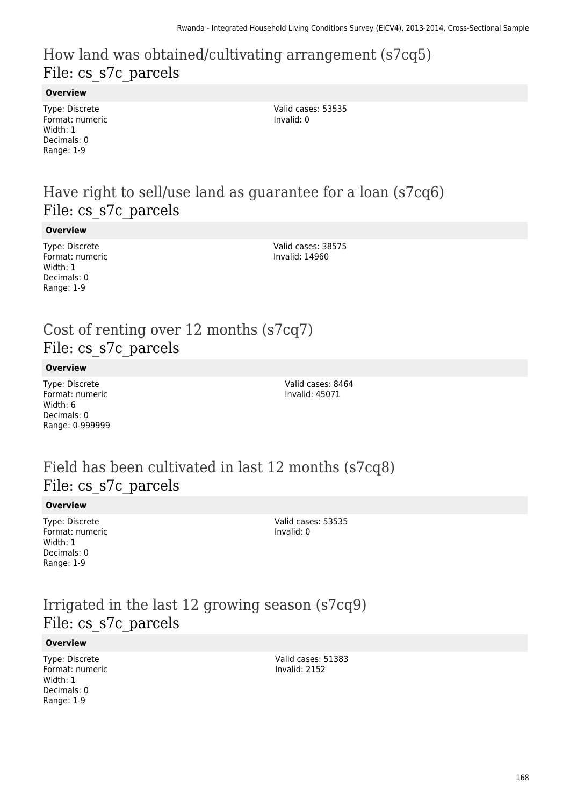# How land was obtained/cultivating arrangement (s7cq5) File: cs\_s7c\_parcels

### **Overview**

Type: Discrete Format: numeric Width: 1 Decimals: 0 Range: 1-9

Valid cases: 53535 Invalid: 0

# Have right to sell/use land as guarantee for a loan (s7cq6) File: cs\_s7c\_parcels

#### **Overview**

Type: Discrete Format: numeric Width: 1 Decimals: 0 Range: 1-9

Valid cases: 38575 Invalid: 14960

## Cost of renting over 12 months (s7cq7) File: cs\_s7c\_parcels

#### **Overview**

Type: Discrete Format: numeric Width: 6 Decimals: 0 Range: 0-999999

Valid cases: 8464 Invalid: 45071

## Field has been cultivated in last 12 months (s7cq8) File: cs\_s7c\_parcels

#### **Overview**

Type: Discrete Format: numeric Width: 1 Decimals: 0 Range: 1-9

Valid cases: 53535 Invalid: 0

# Irrigated in the last 12 growing season (s7cq9) File: cs\_s7c\_parcels

### **Overview**

Type: Discrete Format: numeric Width: 1 Decimals: 0 Range: 1-9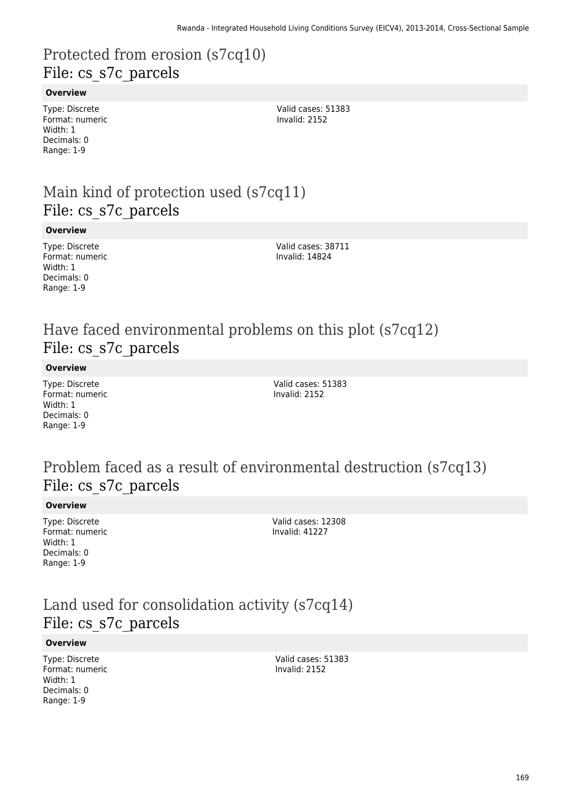# Protected from erosion (s7cq10) File: cs\_s7c\_parcels

### **Overview**

Type: Discrete Format: numeric Width: 1 Decimals: 0 Range: 1-9

Valid cases: 51383 Invalid: 2152

# Main kind of protection used (s7cq11) File: cs\_s7c\_parcels

#### **Overview**

Type: Discrete Format: numeric Width: 1 Decimals: 0 Range: 1-9

Valid cases: 38711 Invalid: 14824

# Have faced environmental problems on this plot (s7cq12) File: cs\_s7c\_parcels

**Overview**

Type: Discrete Format: numeric Width: 1 Decimals: 0 Range: 1-9

Valid cases: 51383 Invalid: 2152

# Problem faced as a result of environmental destruction (s7cq13) File: cs\_s7c\_parcels

### **Overview**

Type: Discrete Format: numeric Width: 1 Decimals: 0 Range: 1-9

Valid cases: 12308 Invalid: 41227

## Land used for consolidation activity (s7cq14) File: cs\_s7c\_parcels

### **Overview**

Type: Discrete Format: numeric Width: 1 Decimals: 0 Range: 1-9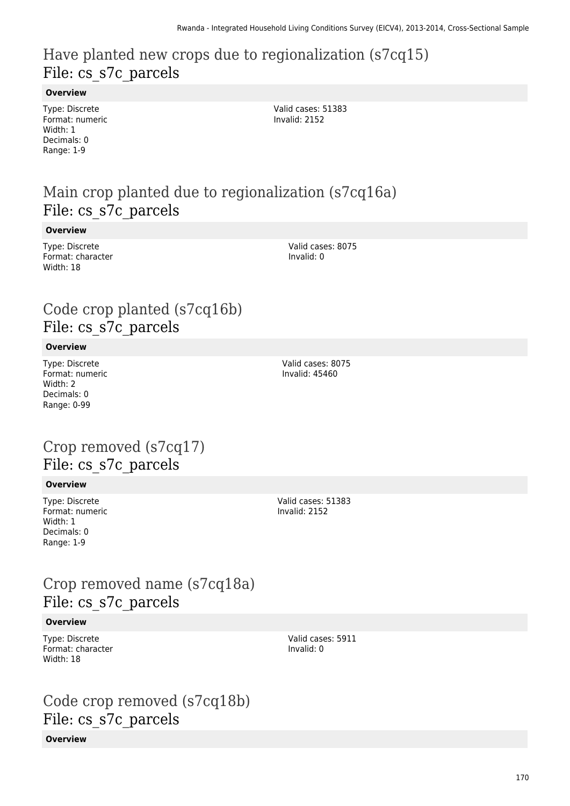# Have planted new crops due to regionalization (s7cq15) File: cs\_s7c\_parcels

### **Overview**

Type: Discrete Format: numeric Width: 1 Decimals: 0 Range: 1-9

Valid cases: 51383 Invalid: 2152

# Main crop planted due to regionalization (s7cq16a) File: cs\_s7c\_parcels

### **Overview**

Type: Discrete Format: character Width: 18

Valid cases: 8075 Invalid: 0

# Code crop planted (s7cq16b) File: cs\_s7c\_parcels

#### **Overview**

Type: Discrete Format: numeric Width: 2 Decimals: 0 Range: 0-99

Crop removed (s7cq17) File: cs\_s7c\_parcels

### **Overview**

Type: Discrete Format: numeric Width: 1 Decimals: 0 Range: 1-9

Valid cases: 51383 Invalid: 2152

# Crop removed name (s7cq18a) File: cs\_s7c\_parcels

### **Overview**

Type: Discrete Format: character Width: 18

Code crop removed (s7cq18b) File: cs\_s7c\_parcels

### **Overview**

Valid cases: 5911 Invalid: 0

Valid cases: 8075 Invalid: 45460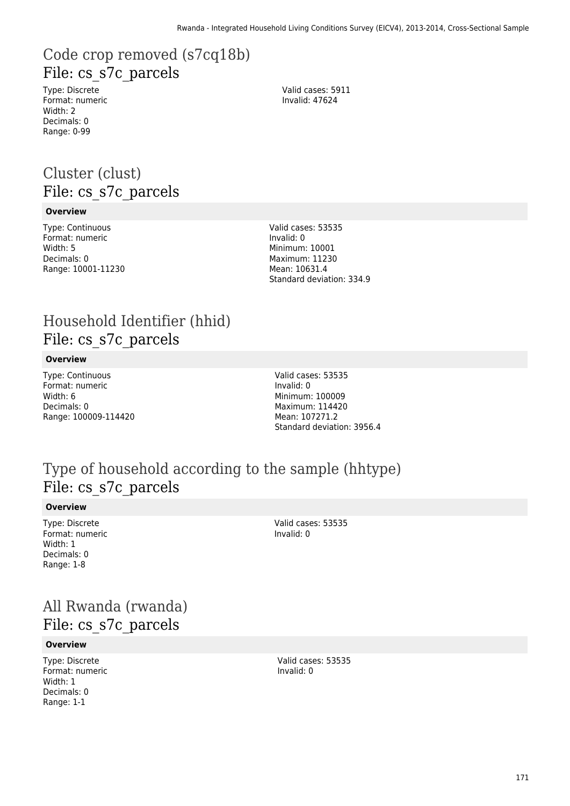### Code crop removed (s7cq18b) File: cs\_s7c\_parcels

Type: Discrete Format: numeric Width: 2 Decimals: 0 Range: 0-99

Valid cases: 5911 Invalid: 47624

# Cluster (clust) File: cs\_s7c\_parcels

#### **Overview**

Type: Continuous Format: numeric Width: 5 Decimals: 0 Range: 10001-11230 Valid cases: 53535 Invalid: 0 Minimum: 10001 Maximum: 11230 Mean: 10631.4 Standard deviation: 334.9

# Household Identifier (hhid) File: cs\_s7c\_parcels

#### **Overview**

Type: Continuous Format: numeric Width: 6 Decimals: 0 Range: 100009-114420 Valid cases: 53535 Invalid: 0 Minimum: 100009 Maximum: 114420 Mean: 107271.2 Standard deviation: 3956.4

## Type of household according to the sample (hhtype) File: cs\_s7c\_parcels

#### **Overview**

Type: Discrete Format: numeric Width: 1 Decimals: 0 Range: 1-8

Valid cases: 53535 Invalid: 0

## All Rwanda (rwanda) File: cs\_s7c\_parcels

#### **Overview**

Type: Discrete Format: numeric Width: 1 Decimals: 0 Range: 1-1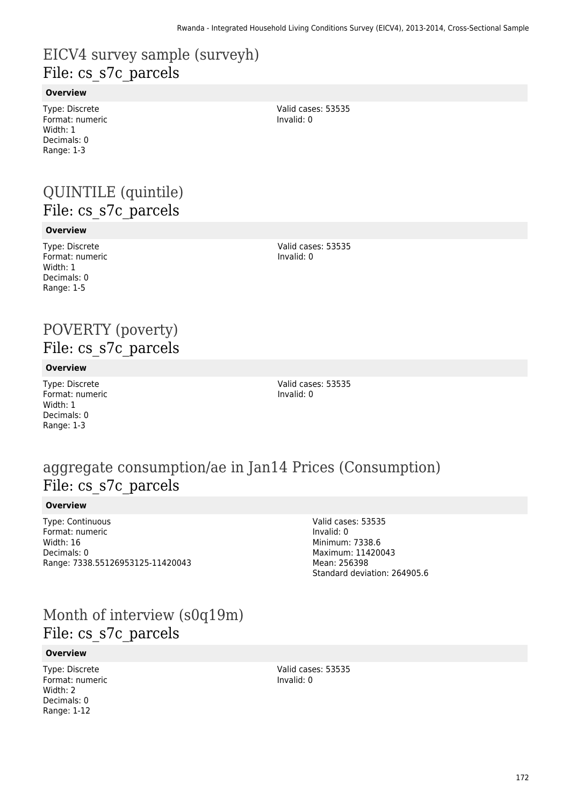# EICV4 survey sample (surveyh) File: cs\_s7c\_parcels

### **Overview**

Type: Discrete Format: numeric Width: 1 Decimals: 0 Range: 1-3

Valid cases: 53535 Invalid: 0

# QUINTILE (quintile) File: cs\_s7c\_parcels

#### **Overview**

Type: Discrete Format: numeric Width: 1 Decimals: 0 Range: 1-5

Valid cases: 53535 Invalid: 0

## POVERTY (poverty) File: cs\_s7c\_parcels

#### **Overview**

Type: Discrete Format: numeric Width: 1 Decimals: 0 Range: 1-3

Valid cases: 53535 Invalid: 0

# aggregate consumption/ae in Jan14 Prices (Consumption) File: cs\_s7c\_parcels

#### **Overview**

Type: Continuous Format: numeric Width: 16 Decimals: 0 Range: 7338.55126953125-11420043 Valid cases: 53535 Invalid: 0 Minimum: 7338.6 Maximum: 11420043 Mean: 256398 Standard deviation: 264905.6

# Month of interview (s0q19m) File: cs\_s7c\_parcels

#### **Overview**

Type: Discrete Format: numeric Width: 2 Decimals: 0 Range: 1-12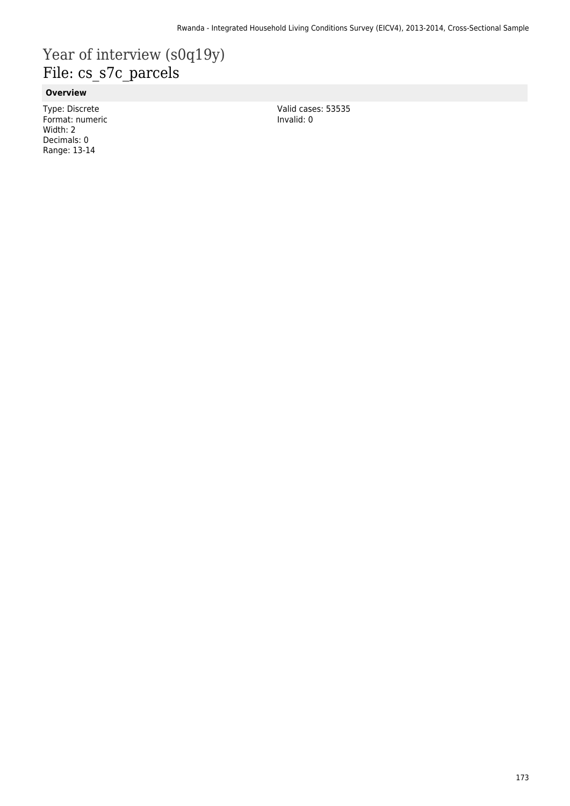# Year of interview (s0q19y) File: cs\_s7c\_parcels

### **Overview**

Type: Discrete Format: numeric Width: 2 Decimals: 0 Range: 13-14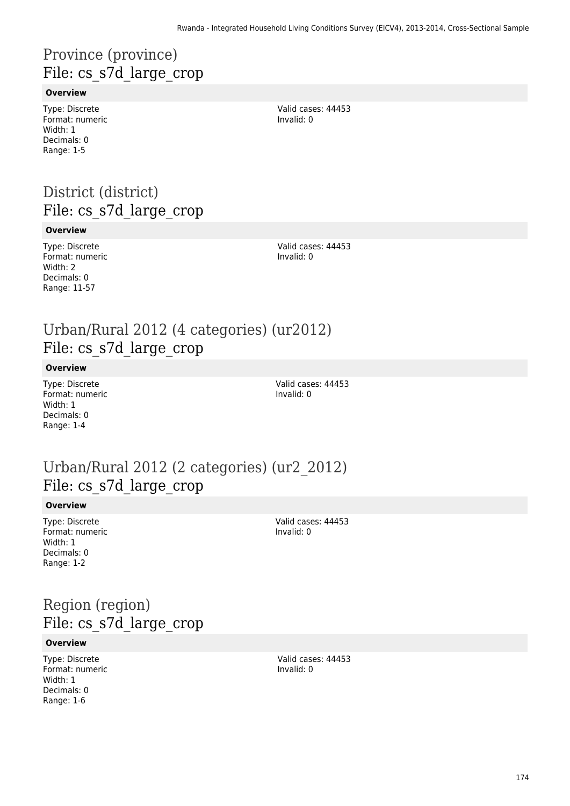# Province (province) File: cs\_s7d\_large\_crop

### **Overview**

Type: Discrete Format: numeric Width: 1 Decimals: 0 Range: 1-5

Valid cases: 44453 Invalid: 0

# District (district) File: cs\_s7d\_large\_crop

#### **Overview**

Type: Discrete Format: numeric Width: 2 Decimals: 0 Range: 11-57

Valid cases: 44453 Invalid: 0

# Urban/Rural 2012 (4 categories) (ur2012) File: cs\_s7d\_large\_crop

#### **Overview**

Type: Discrete Format: numeric Width: 1 Decimals: 0 Range: 1-4

Valid cases: 44453 Invalid: 0

## Urban/Rural 2012 (2 categories) (ur2\_2012) File: cs\_s7d\_large\_crop

### **Overview**

Type: Discrete Format: numeric Width: 1 Decimals: 0 Range: 1-2

Valid cases: 44453 Invalid: 0

## Region (region) File: cs\_s7d\_large\_crop

#### **Overview**

Type: Discrete Format: numeric Width: 1 Decimals: 0 Range: 1-6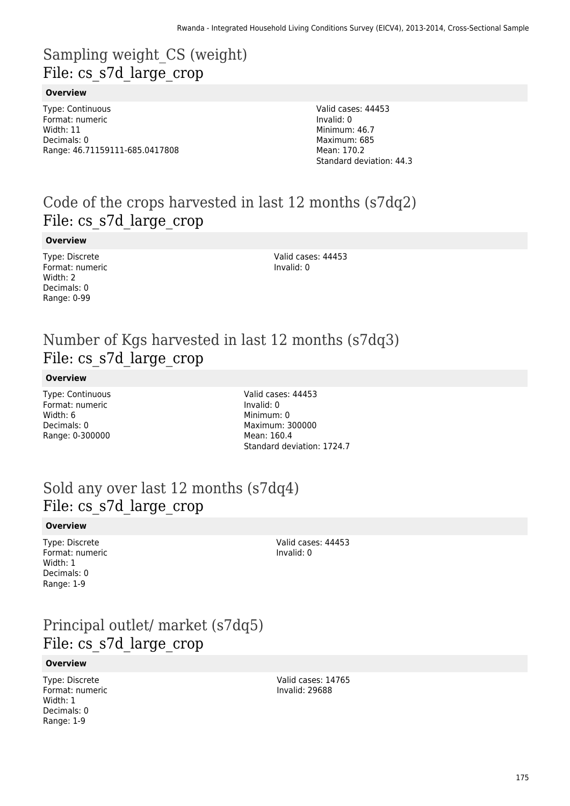# Sampling weight\_CS (weight) File: cs\_s7d\_large\_crop

### **Overview**

Type: Continuous Format: numeric Width: 11 Decimals: 0 Range: 46.71159111-685.0417808

Valid cases: 44453 Invalid: 0 Minimum: 46.7 Maximum: 685 Mean: 170.2 Standard deviation: 44.3

# Code of the crops harvested in last 12 months (s7dq2) File: cs\_s7d\_large\_crop

#### **Overview**

Type: Discrete Format: numeric Width: 2 Decimals: 0 Range: 0-99

Valid cases: 44453 Invalid: 0

## Number of Kgs harvested in last 12 months (s7dq3) File: cs\_s7d\_large\_crop

### **Overview**

Type: Continuous Format: numeric Width: 6 Decimals: 0 Range: 0-300000

Valid cases: 44453 Invalid: 0 Minimum: 0 Maximum: 300000 Mean: 160.4 Standard deviation: 1724.7

## Sold any over last 12 months (s7dq4) File: cs\_s7d\_large\_crop

#### **Overview**

Type: Discrete Format: numeric Width: 1 Decimals: 0 Range: 1-9

Valid cases: 44453 Invalid: 0

# Principal outlet/ market (s7dq5) File: cs\_s7d\_large\_crop

### **Overview**

Type: Discrete Format: numeric Width: 1 Decimals: 0 Range: 1-9

Valid cases: 14765 Invalid: 29688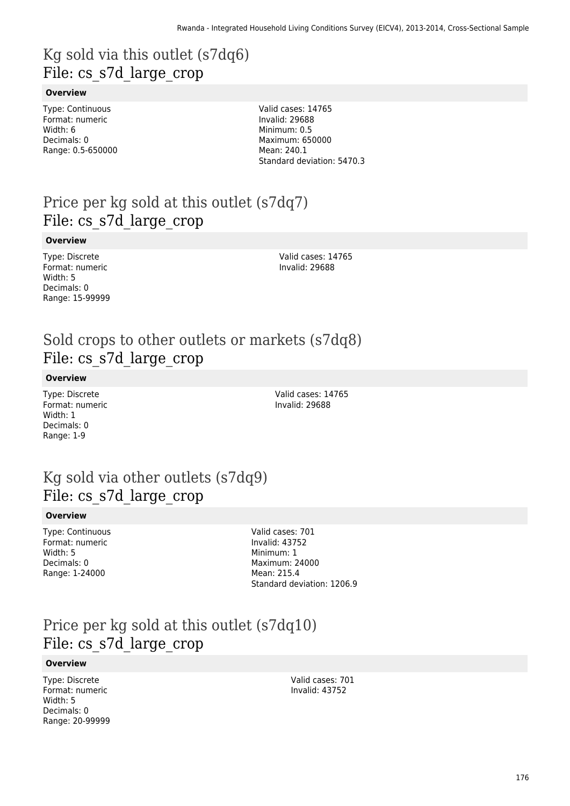# Kg sold via this outlet (s7dq6) File: cs\_s7d\_large\_crop

### **Overview**

Type: Continuous Format: numeric Width: 6 Decimals: 0 Range: 0.5-650000 Valid cases: 14765 Invalid: 29688 Minimum: 0.5 Maximum: 650000 Mean: 240.1 Standard deviation: 5470.3

# Price per kg sold at this outlet (s7dq7) File: cs\_s7d\_large\_crop

#### **Overview**

Type: Discrete Format: numeric Width: 5 Decimals: 0 Range: 15-99999 Valid cases: 14765 Invalid: 29688

## Sold crops to other outlets or markets (s7dq8) File: cs\_s7d\_large\_crop

### **Overview**

Type: Discrete Format: numeric Width: 1 Decimals: 0 Range: 1-9

Valid cases: 14765 Invalid: 29688

### Kg sold via other outlets (s7dq9) File: cs\_s7d\_large\_crop

#### **Overview**

Type: Continuous Format: numeric Width: 5 Decimals: 0 Range: 1-24000

Valid cases: 701 Invalid: 43752 Minimum: 1 Maximum: 24000 Mean: 215.4 Standard deviation: 1206.9

# Price per kg sold at this outlet (s7dq10) File: cs\_s7d\_large\_crop

### **Overview**

Type: Discrete Format: numeric Width: 5 Decimals: 0 Range: 20-99999 Valid cases: 701 Invalid: 43752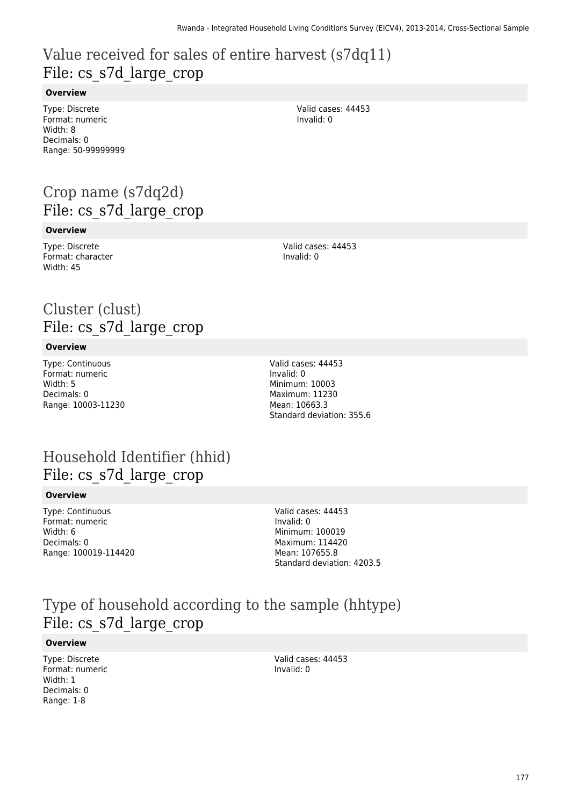# Value received for sales of entire harvest (s7dq11) File: cs\_s7d\_large\_crop

### **Overview**

Type: Discrete Format: numeric Width: 8 Decimals: 0 Range: 50-99999999 Valid cases: 44453 Invalid: 0

# Crop name (s7dq2d) File: cs\_s7d\_large\_crop

#### **Overview**

Type: Discrete Format: character Width: 45

Valid cases: 44453 Invalid: 0

## Cluster (clust) File: cs\_s7d\_large\_crop

#### **Overview**

Type: Continuous Format: numeric Width: 5 Decimals: 0 Range: 10003-11230 Valid cases: 44453 Invalid: 0 Minimum: 10003 Maximum: 11230 Mean: 10663.3 Standard deviation: 355.6

# Household Identifier (hhid) File: cs\_s7d\_large\_crop

### **Overview**

Type: Continuous Format: numeric Width: 6 Decimals: 0 Range: 100019-114420 Valid cases: 44453 Invalid: 0 Minimum: 100019 Maximum: 114420 Mean: 107655.8 Standard deviation: 4203.5

# Type of household according to the sample (hhtype) File: cs\_s7d\_large\_crop

#### **Overview**

Type: Discrete Format: numeric Width: 1 Decimals: 0 Range: 1-8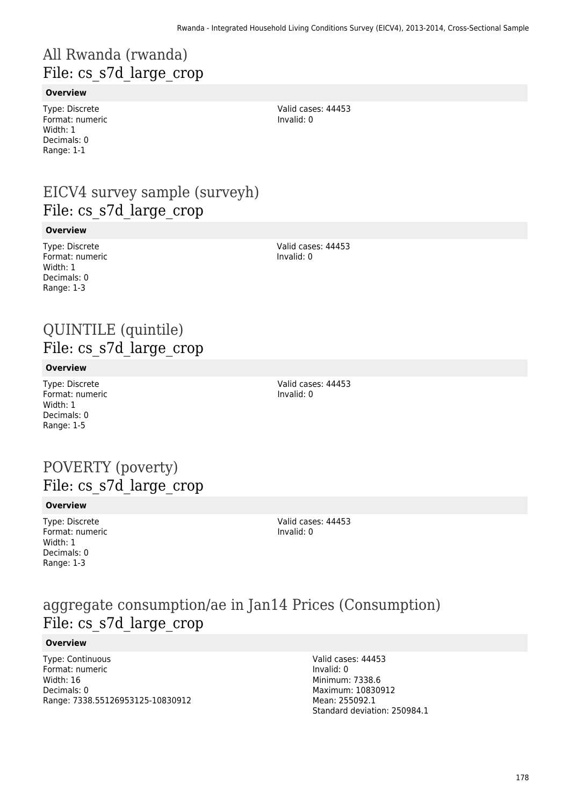# All Rwanda (rwanda) File: cs\_s7d\_large\_crop

### **Overview**

Type: Discrete Format: numeric Width: 1 Decimals: 0 Range: 1-1

Valid cases: 44453 Invalid: 0

# EICV4 survey sample (surveyh) File: cs\_s7d\_large\_crop

#### **Overview**

Type: Discrete Format: numeric Width: 1 Decimals: 0 Range: 1-3

Valid cases: 44453 Invalid: 0

# QUINTILE (quintile) File: cs\_s7d\_large\_crop

#### **Overview**

Type: Discrete Format: numeric Width: 1 Decimals: 0 Range: 1-5

Valid cases: 44453 Invalid: 0

## POVERTY (poverty) File: cs\_s7d\_large\_crop

### **Overview**

Type: Discrete Format: numeric Width: 1 Decimals: 0 Range: 1-3

Valid cases: 44453 Invalid: 0

# aggregate consumption/ae in Jan14 Prices (Consumption) File: cs\_s7d\_large\_crop

### **Overview**

Type: Continuous Format: numeric Width: 16 Decimals: 0 Range: 7338.55126953125-10830912 Valid cases: 44453 Invalid: 0 Minimum: 7338.6 Maximum: 10830912 Mean: 255092.1 Standard deviation: 250984.1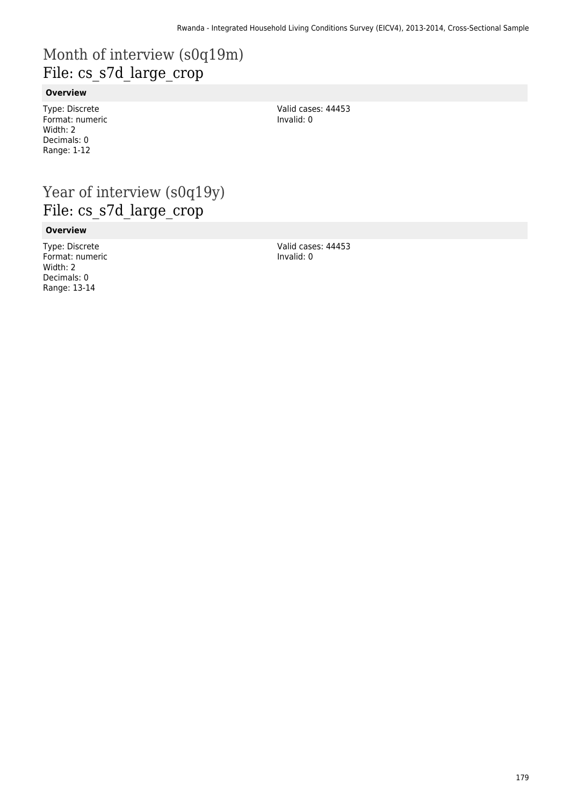# Month of interview (s0q19m) File: cs\_s7d\_large\_crop

### **Overview**

Type: Discrete Format: numeric Width: 2 Decimals: 0 Range: 1-12

Valid cases: 44453 Invalid: 0

# Year of interview (s0q19y) File: cs\_s7d\_large\_crop

### **Overview**

Type: Discrete Format: numeric Width: 2 Decimals: 0 Range: 13-14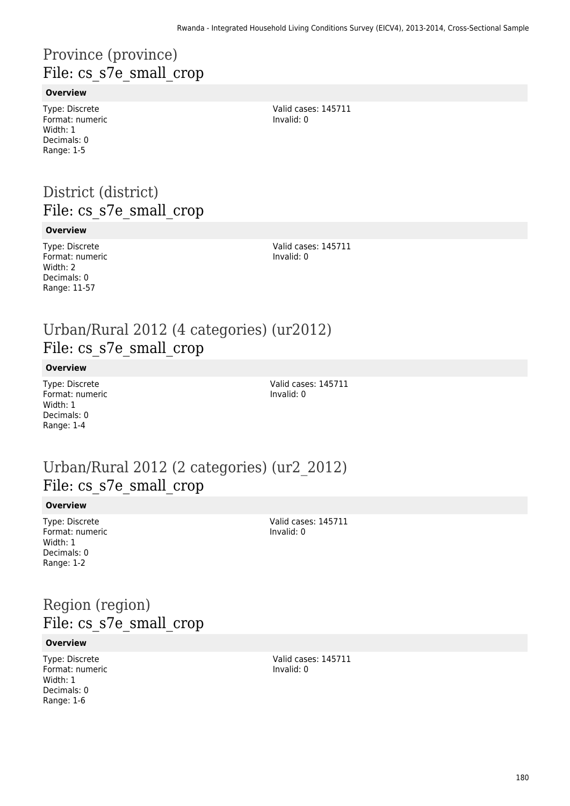# Province (province) File: cs\_s7e\_small\_crop

### **Overview**

Type: Discrete Format: numeric Width: 1 Decimals: 0 Range: 1-5

Valid cases: 145711 Invalid: 0

# District (district) File: cs\_s7e\_small\_crop

#### **Overview**

Type: Discrete Format: numeric Width: 2 Decimals: 0 Range: 11-57

Valid cases: 145711 Invalid: 0

## Urban/Rural 2012 (4 categories) (ur2012) File: cs\_s7e\_small\_crop

#### **Overview**

Type: Discrete Format: numeric Width: 1 Decimals: 0 Range: 1-4

Valid cases: 145711 Invalid: 0

## Urban/Rural 2012 (2 categories) (ur2\_2012) File: cs\_s7e\_small\_crop

#### **Overview**

Type: Discrete Format: numeric Width: 1 Decimals: 0 Range: 1-2

Valid cases: 145711 Invalid: 0

### Region (region) File: cs\_s7e\_small\_crop

#### **Overview**

Type: Discrete Format: numeric Width: 1 Decimals: 0 Range: 1-6

Valid cases: 145711 Invalid: 0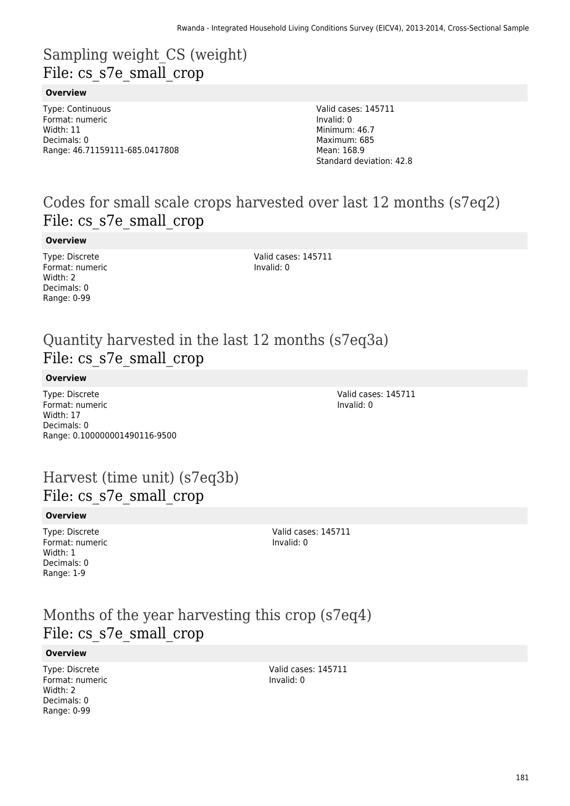# Sampling weight\_CS (weight) File: cs\_s7e\_small\_crop

### **Overview**

Type: Continuous Format: numeric Width: 11 Decimals: 0 Range: 46.71159111-685.0417808

Valid cases: 145711 Invalid: 0 Minimum: 46.7 Maximum: 685 Mean: 168.9 Standard deviation: 42.8

# Codes for small scale crops harvested over last 12 months (s7eq2) File: cs\_s7e\_small\_crop

### **Overview**

Type: Discrete Format: numeric Width: 2 Decimals: 0 Range: 0-99

Valid cases: 145711 Invalid: 0

# Quantity harvested in the last 12 months (s7eq3a) File: cs\_s7e\_small\_crop

### **Overview**

Type: Discrete Format: numeric Width: 17 Decimals: 0 Range: 0.100000001490116-9500 Valid cases: 145711 Invalid: 0

## Harvest (time unit) (s7eq3b) File: cs\_s7e\_small\_crop

### **Overview**

Type: Discrete Format: numeric Width: 1 Decimals: 0 Range: 1-9

Valid cases: 145711 Invalid: 0

# Months of the year harvesting this crop (s7eq4) File: cs\_s7e\_small\_crop

### **Overview**

Type: Discrete Format: numeric Width: 2 Decimals: 0 Range: 0-99

Valid cases: 145711 Invalid: 0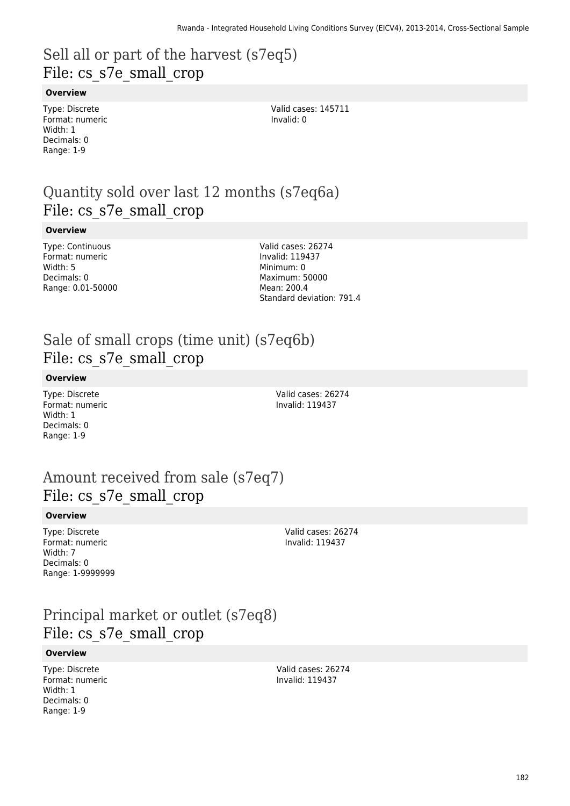# Sell all or part of the harvest (s7eq5) File: cs\_s7e\_small\_crop

### **Overview**

Type: Discrete Format: numeric Width: 1 Decimals: 0 Range: 1-9

Valid cases: 145711 Invalid: 0

# Quantity sold over last 12 months (s7eq6a) File: cs\_s7e\_small\_crop

#### **Overview**

Type: Continuous Format: numeric Width: 5 Decimals: 0 Range: 0.01-50000 Valid cases: 26274 Invalid: 119437 Minimum: 0 Maximum: 50000 Mean: 200.4 Standard deviation: 791.4

### Sale of small crops (time unit) (s7eq6b) File: cs\_s7e\_small\_crop

#### **Overview**

Type: Discrete Format: numeric Width: 1 Decimals: 0 Range: 1-9

Valid cases: 26274 Invalid: 119437

### Amount received from sale (s7eq7) File: cs\_s7e\_small\_crop

#### **Overview**

Type: Discrete Format: numeric Width: 7 Decimals: 0 Range: 1-9999999

Valid cases: 26274 Invalid: 119437

# Principal market or outlet (s7eq8) File: cs\_s7e\_small\_crop

#### **Overview**

Type: Discrete Format: numeric Width: 1 Decimals: 0 Range: 1-9

Valid cases: 26274 Invalid: 119437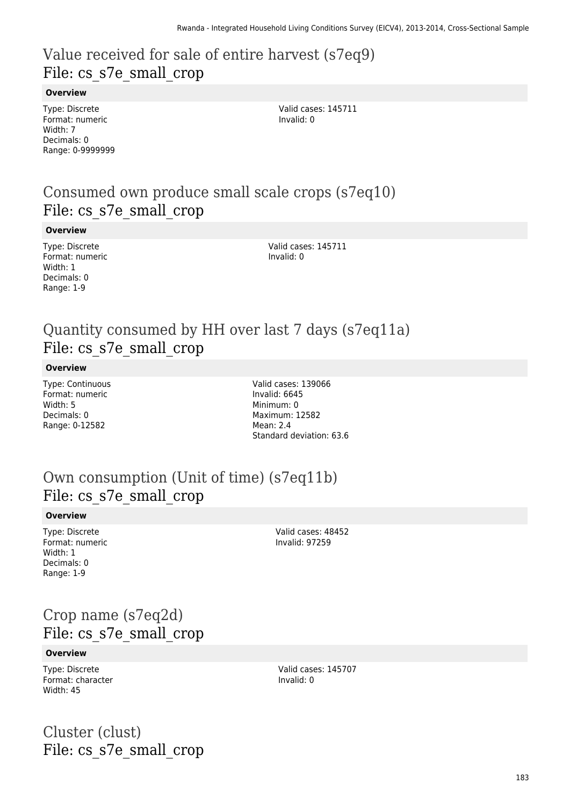# Value received for sale of entire harvest (s7eq9) File: cs\_s7e\_small\_crop

### **Overview**

Type: Discrete Format: numeric Width: 7 Decimals: 0 Range: 0-9999999

Valid cases: 145711 Invalid: 0

# Consumed own produce small scale crops (s7eq10) File: cs\_s7e\_small\_crop

#### **Overview**

Type: Discrete Format: numeric Width: 1 Decimals: 0 Range: 1-9

Valid cases: 145711 Invalid: 0

# Quantity consumed by HH over last 7 days (s7eq11a) File: cs\_s7e\_small\_crop

#### **Overview**

Type: Continuous Format: numeric Width: 5 Decimals: 0 Range: 0-12582

Valid cases: 139066 Invalid: 6645 Minimum: 0 Maximum: 12582 Mean: 2.4 Standard deviation: 63.6

## Own consumption (Unit of time) (s7eq11b) File: cs\_s7e\_small\_crop

#### **Overview**

Type: Discrete Format: numeric Width: 1 Decimals: 0 Range: 1-9

Valid cases: 48452 Invalid: 97259

### Crop name (s7eq2d) File: cs\_s7e\_small\_crop

#### **Overview**

Type: Discrete Format: character Width: 45

Valid cases: 145707 Invalid: 0

Cluster (clust) File: cs\_s7e\_small\_crop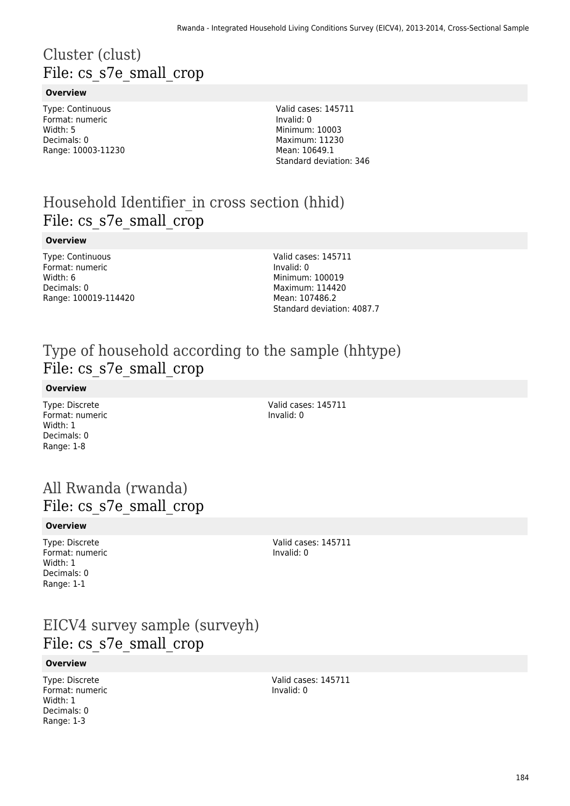# Cluster (clust) File: cs\_s7e\_small\_crop

### **Overview**

Type: Continuous Format: numeric Width: 5 Decimals: 0 Range: 10003-11230 Valid cases: 145711 Invalid: 0 Minimum: 10003 Maximum: 11230 Mean: 10649.1 Standard deviation: 346

# Household Identifier\_in cross section (hhid) File: cs\_s7e\_small\_crop

### **Overview**

Type: Continuous Format: numeric Width: 6 Decimals: 0 Range: 100019-114420 Valid cases: 145711 Invalid: 0 Minimum: 100019 Maximum: 114420 Mean: 107486.2 Standard deviation: 4087.7

# Type of household according to the sample (hhtype) File: cs\_s7e\_small\_crop

### **Overview**

Type: Discrete Format: numeric Width: 1 Decimals: 0 Range: 1-8

Valid cases: 145711 Invalid: 0

## All Rwanda (rwanda) File: cs\_s7e\_small\_crop

### **Overview**

Type: Discrete Format: numeric Width: 1 Decimals: 0 Range: 1-1

Valid cases: 145711 Invalid: 0

## EICV4 survey sample (surveyh) File: cs\_s7e\_small\_crop

### **Overview**

Type: Discrete Format: numeric Width: 1 Decimals: 0 Range: 1-3

Valid cases: 145711 Invalid: 0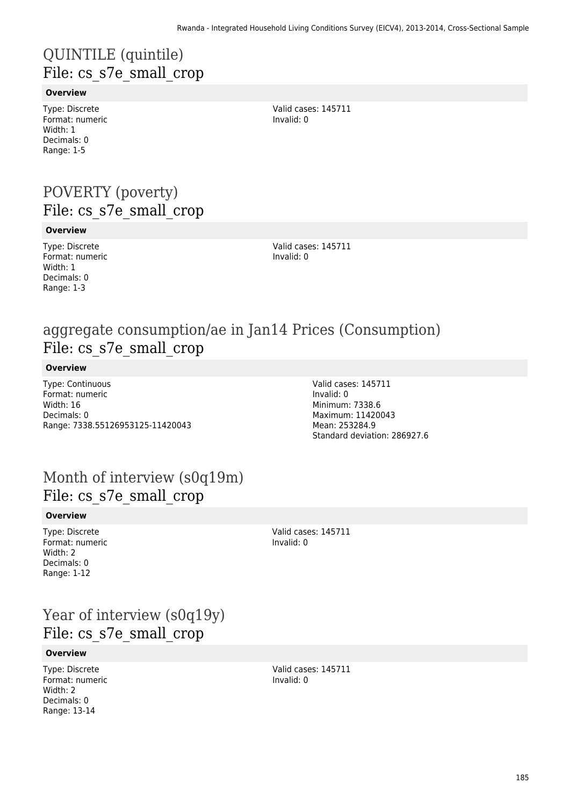# QUINTILE (quintile) File: cs\_s7e\_small\_crop

### **Overview**

Type: Discrete Format: numeric Width: 1 Decimals: 0 Range: 1-5

Valid cases: 145711 Invalid: 0

# POVERTY (poverty) File: cs\_s7e\_small\_crop

#### **Overview**

Type: Discrete Format: numeric Width: 1 Decimals: 0 Range: 1-3

Valid cases: 145711 Invalid: 0

## aggregate consumption/ae in Jan14 Prices (Consumption) File: cs\_s7e\_small\_crop

### **Overview**

Type: Continuous Format: numeric Width: 16 Decimals: 0 Range: 7338.55126953125-11420043 Valid cases: 145711 Invalid: 0 Minimum: 7338.6 Maximum: 11420043 Mean: 253284.9 Standard deviation: 286927.6

## Month of interview (s0q19m) File: cs\_s7e\_small\_crop

#### **Overview**

Type: Discrete Format: numeric Width: 2 Decimals: 0 Range: 1-12

Valid cases: 145711 Invalid: 0

# Year of interview (s0q19y) File: cs\_s7e\_small\_crop

#### **Overview**

Type: Discrete Format: numeric Width: 2 Decimals: 0 Range: 13-14

Valid cases: 145711 Invalid: 0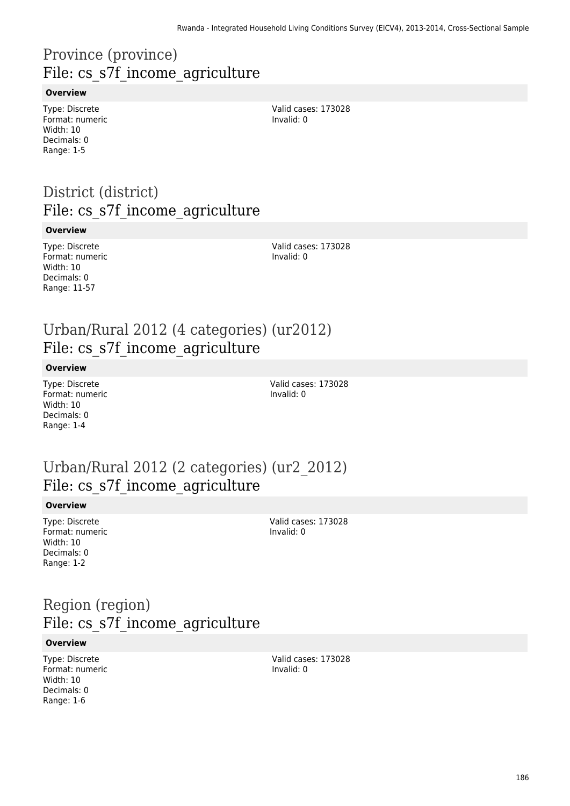# Province (province) File: cs\_s7f\_income\_agriculture

### **Overview**

Type: Discrete Format: numeric Width: 10 Decimals: 0 Range: 1-5

Valid cases: 173028 Invalid: 0

# District (district) File: cs\_s7f\_income\_agriculture

#### **Overview**

Type: Discrete Format: numeric Width: 10 Decimals: 0 Range: 11-57

Valid cases: 173028 Invalid: 0

### Urban/Rural 2012 (4 categories) (ur2012) File: cs\_s7f\_income\_agriculture

#### **Overview**

Type: Discrete Format: numeric Width: 10 Decimals: 0 Range: 1-4

Valid cases: 173028 Invalid: 0

### Urban/Rural 2012 (2 categories) (ur2\_2012) File: cs\_s7f\_income\_agriculture

### **Overview**

Type: Discrete Format: numeric Width: 10 Decimals: 0 Range: 1-2

Valid cases: 173028 Invalid: 0

### Region (region) File: cs\_s7f\_income\_agriculture

#### **Overview**

Type: Discrete Format: numeric Width: 10 Decimals: 0 Range: 1-6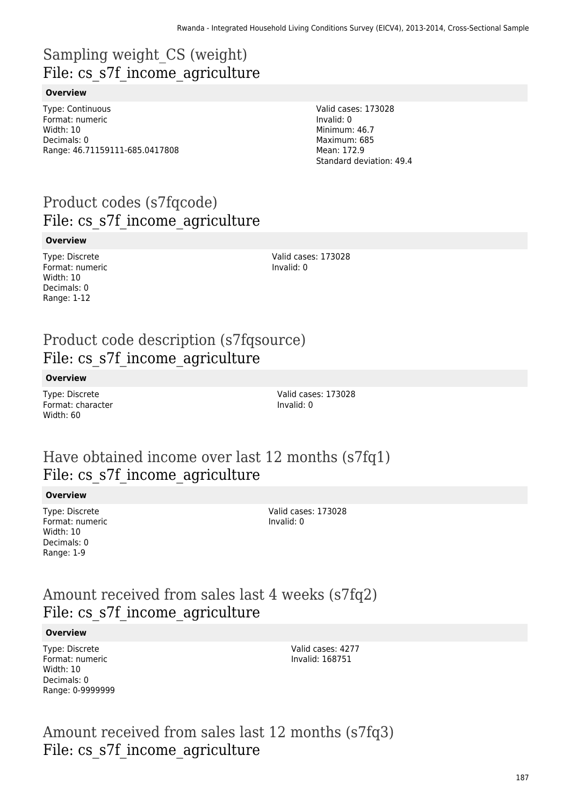## Sampling weight\_CS (weight) File: cs\_s7f\_income\_agriculture

### **Overview**

Type: Continuous Format: numeric Width: 10 Decimals: 0 Range: 46.71159111-685.0417808 Valid cases: 173028 Invalid: 0 Minimum: 46.7 Maximum: 685 Mean: 172.9 Standard deviation: 49.4

# Product codes (s7fqcode) File: cs\_s7f\_income\_agriculture

### **Overview**

Type: Discrete Format: numeric Width: 10 Decimals: 0 Range: 1-12

Valid cases: 173028 Invalid: 0

### Product code description (s7fqsource) File: cs\_s7f\_income\_agriculture

### **Overview**

Type: Discrete Format: character Width: 60

Valid cases: 173028 Invalid: 0

# Have obtained income over last 12 months (s7fq1) File: cs\_s7f\_income\_agriculture

### **Overview**

Type: Discrete Format: numeric Width: 10 Decimals: 0 Range: 1-9

Valid cases: 173028 Invalid: 0

### Amount received from sales last 4 weeks (s7fq2) File: cs\_s7f\_income\_agriculture

### **Overview**

Type: Discrete Format: numeric Width: 10 Decimals: 0 Range: 0-9999999 Valid cases: 4277 Invalid: 168751

Amount received from sales last 12 months (s7fq3) File: cs\_s7f\_income\_agriculture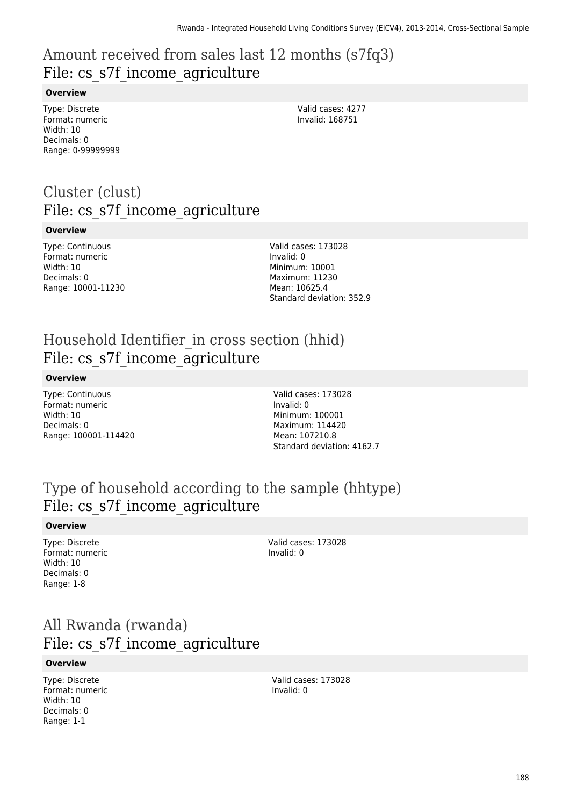# Amount received from sales last 12 months (s7fq3) File: cs\_s7f\_income\_agriculture

### **Overview**

Type: Discrete Format: numeric Width: 10 Decimals: 0 Range: 0-99999999 Valid cases: 4277 Invalid: 168751

### Cluster (clust) File: cs\_s7f\_income\_agriculture

#### **Overview**

Type: Continuous Format: numeric Width: 10 Decimals: 0 Range: 10001-11230 Valid cases: 173028 Invalid: 0 Minimum: 10001 Maximum: 11230 Mean: 10625.4 Standard deviation: 352.9

## Household Identifier\_in cross section (hhid) File: cs\_s7f\_income\_agriculture

#### **Overview**

Type: Continuous Format: numeric Width: 10 Decimals: 0 Range: 100001-114420 Valid cases: 173028 Invalid: 0 Minimum: 100001 Maximum: 114420 Mean: 107210.8 Standard deviation: 4162.7

### Type of household according to the sample (hhtype) File: cs\_s7f\_income\_agriculture

#### **Overview**

Type: Discrete Format: numeric Width: 10 Decimals: 0 Range: 1-8

Valid cases: 173028 Invalid: 0

# All Rwanda (rwanda) File: cs\_s7f\_income\_agriculture

#### **Overview**

Type: Discrete Format: numeric Width: 10 Decimals: 0 Range: 1-1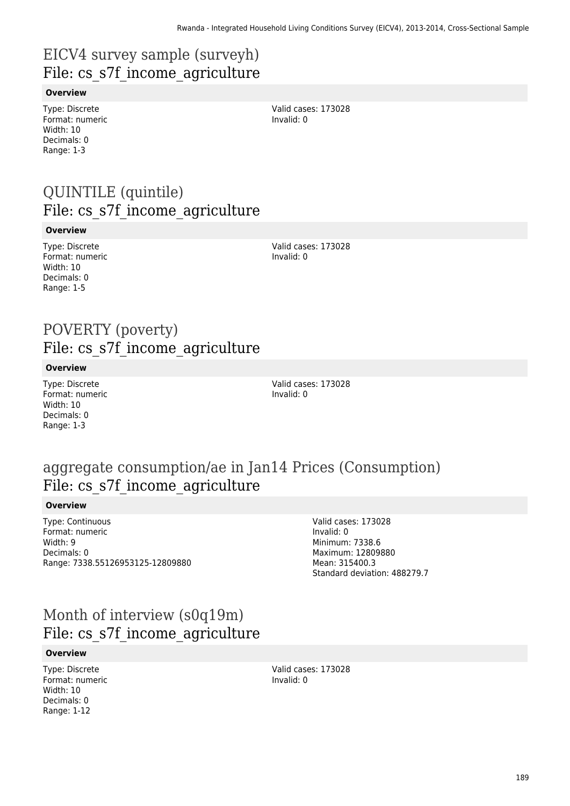# EICV4 survey sample (surveyh) File: cs\_s7f\_income\_agriculture

### **Overview**

Type: Discrete Format: numeric Width: 10 Decimals: 0 Range: 1-3

Valid cases: 173028 Invalid: 0

# QUINTILE (quintile) File: cs\_s7f\_income\_agriculture

#### **Overview**

Type: Discrete Format: numeric Width: 10 Decimals: 0 Range: 1-5

Valid cases: 173028 Invalid: 0

## POVERTY (poverty) File: cs\_s7f\_income\_agriculture

#### **Overview**

Type: Discrete Format: numeric Width: 10 Decimals: 0 Range: 1-3

Valid cases: 173028 Invalid: 0

### aggregate consumption/ae in Jan14 Prices (Consumption) File: cs\_s7f\_income\_agriculture

### **Overview**

Type: Continuous Format: numeric Width: 9 Decimals: 0 Range: 7338.55126953125-12809880 Valid cases: 173028 Invalid: 0 Minimum: 7338.6 Maximum: 12809880 Mean: 315400.3 Standard deviation: 488279.7

## Month of interview (s0q19m) File: cs\_s7f\_income\_agriculture

#### **Overview**

Type: Discrete Format: numeric Width: 10 Decimals: 0 Range: 1-12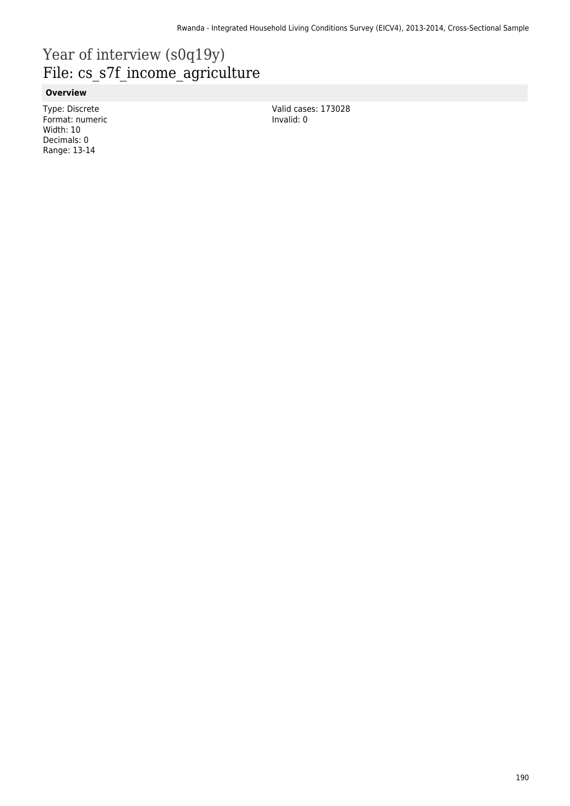# Year of interview (s0q19y) File: cs\_s7f\_income\_agriculture

### **Overview**

Type: Discrete Format: numeric Width: 10 Decimals: 0 Range: 13-14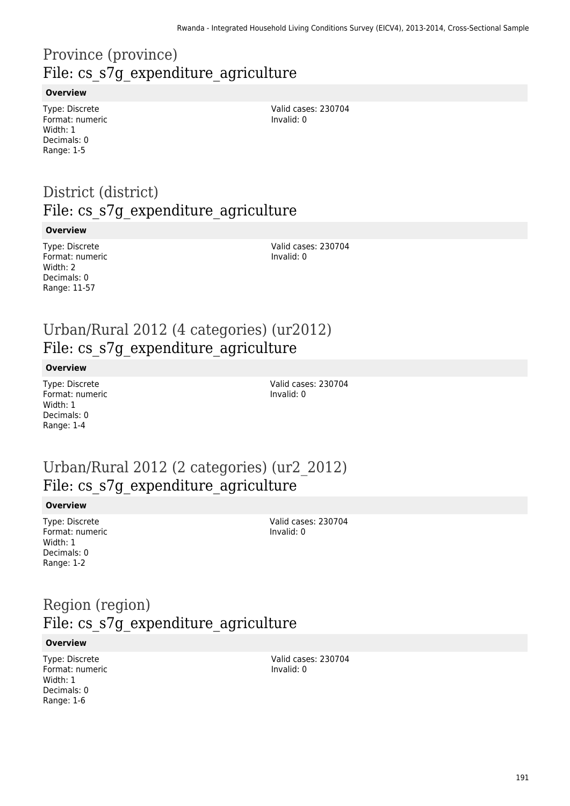# Province (province) File: cs\_s7g\_expenditure\_agriculture

### **Overview**

Type: Discrete Format: numeric Width: 1 Decimals: 0 Range: 1-5

Valid cases: 230704 Invalid: 0

# District (district) File: cs\_s7g\_expenditure\_agriculture

### **Overview**

Type: Discrete Format: numeric Width: 2 Decimals: 0 Range: 11-57

Valid cases: 230704 Invalid: 0

# Urban/Rural 2012 (4 categories) (ur2012) File: cs\_s7g\_expenditure\_agriculture

### **Overview**

Type: Discrete Format: numeric Width: 1 Decimals: 0 Range: 1-4

Valid cases: 230704 Invalid: 0

## Urban/Rural 2012 (2 categories) (ur2\_2012) File: cs\_s7g\_expenditure\_agriculture

### **Overview**

Type: Discrete Format: numeric Width: 1 Decimals: 0 Range: 1-2

Valid cases: 230704 Invalid: 0

# Region (region) File: cs\_s7g\_expenditure\_agriculture

### **Overview**

Type: Discrete Format: numeric Width: 1 Decimals: 0 Range: 1-6

Valid cases: 230704 Invalid: 0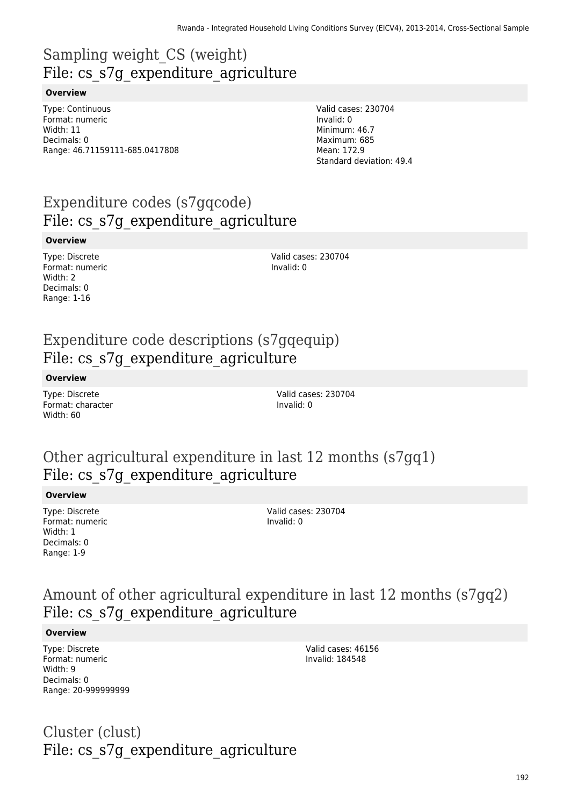# Sampling weight\_CS (weight) File: cs\_s7g\_expenditure\_agriculture

### **Overview**

Type: Continuous Format: numeric Width: 11 Decimals: 0 Range: 46.71159111-685.0417808

Valid cases: 230704 Invalid: 0 Minimum: 46.7 Maximum: 685 Mean: 172.9 Standard deviation: 49.4

# Expenditure codes (s7gqcode) File: cs\_s7g\_expenditure\_agriculture

### **Overview**

Type: Discrete Format: numeric Width: 2 Decimals: 0 Range: 1-16

Valid cases: 230704 Invalid: 0

### Expenditure code descriptions (s7gqequip) File: cs\_s7g\_expenditure\_agriculture

### **Overview**

Type: Discrete Format: character Width: 60

Valid cases: 230704 Invalid: 0

## Other agricultural expenditure in last 12 months (s7gq1) File: cs\_s7g\_expenditure\_agriculture

### **Overview**

Type: Discrete Format: numeric Width: 1 Decimals: 0 Range: 1-9

Valid cases: 230704 Invalid: 0

> Valid cases: 46156 Invalid: 184548

### Amount of other agricultural expenditure in last 12 months (s7gq2) File: cs\_s7g\_expenditure\_agriculture

### **Overview**

Type: Discrete Format: numeric Width: 9 Decimals: 0 Range: 20-999999999

Cluster (clust) File: cs\_s7g\_expenditure\_agriculture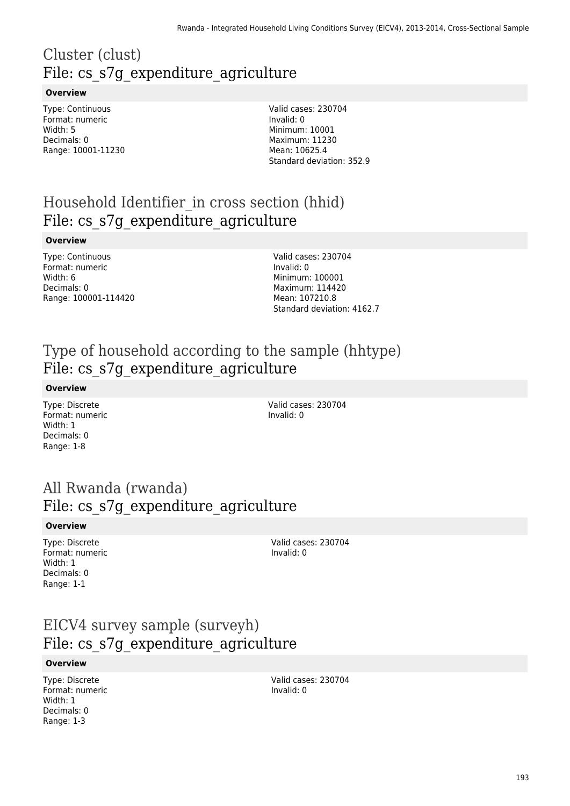# Cluster (clust) File: cs\_s7g\_expenditure\_agriculture

### **Overview**

Type: Continuous Format: numeric Width: 5 Decimals: 0 Range: 10001-11230 Valid cases: 230704 Invalid: 0 Minimum: 10001 Maximum: 11230 Mean: 10625.4 Standard deviation: 352.9

# Household Identifier\_in cross section (hhid) File: cs\_s7g\_expenditure\_agriculture

### **Overview**

Type: Continuous Format: numeric Width: 6 Decimals: 0 Range: 100001-114420

Valid cases: 230704 Invalid: 0 Minimum: 100001 Maximum: 114420 Mean: 107210.8 Standard deviation: 4162.7

## Type of household according to the sample (hhtype) File: cs\_s7g\_expenditure\_agriculture

### **Overview**

Type: Discrete Format: numeric Width: 1 Decimals: 0 Range: 1-8

Valid cases: 230704 Invalid: 0

# All Rwanda (rwanda) File: cs\_s7q\_expenditure\_agriculture

### **Overview**

Type: Discrete Format: numeric Width: 1 Decimals: 0 Range: 1-1

Valid cases: 230704 Invalid: 0

### EICV4 survey sample (surveyh) File: cs\_s7q\_expenditure\_agriculture

### **Overview**

Type: Discrete Format: numeric Width: 1 Decimals: 0 Range: 1-3

Valid cases: 230704 Invalid: 0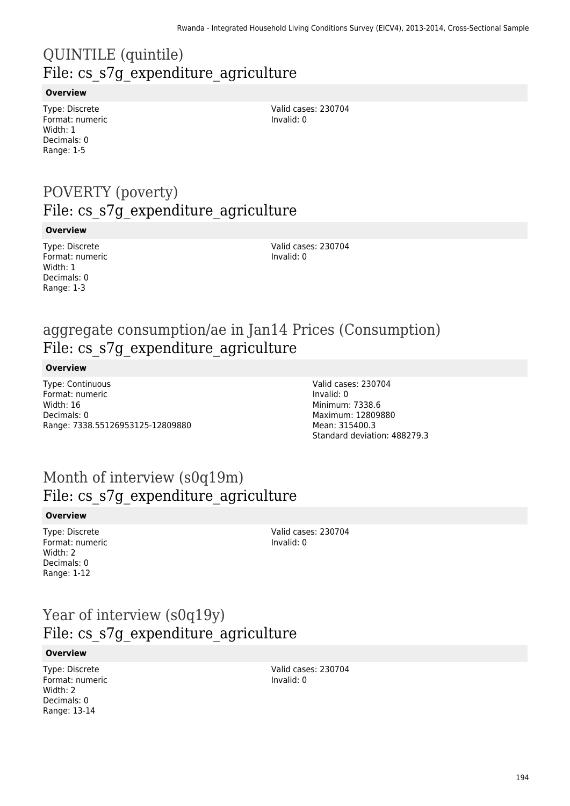# QUINTILE (quintile) File: cs\_s7g\_expenditure\_agriculture

### **Overview**

Type: Discrete Format: numeric Width: 1 Decimals: 0 Range: 1-5

Valid cases: 230704 Invalid: 0

# POVERTY (poverty) File: cs\_s7g\_expenditure\_agriculture

#### **Overview**

Type: Discrete Format: numeric Width: 1 Decimals: 0 Range: 1-3

Valid cases: 230704 Invalid: 0

### aggregate consumption/ae in Jan14 Prices (Consumption) File: cs\_s7g\_expenditure\_agriculture

#### **Overview**

Type: Continuous Format: numeric Width: 16 Decimals: 0 Range: 7338.55126953125-12809880 Valid cases: 230704 Invalid: 0 Minimum: 7338.6 Maximum: 12809880 Mean: 315400.3 Standard deviation: 488279.3

### Month of interview (s0q19m) File: cs\_s7g\_expenditure\_agriculture

#### **Overview**

Type: Discrete Format: numeric Width: 2 Decimals: 0 Range: 1-12

Valid cases: 230704 Invalid: 0

# Year of interview (s0q19y) File: cs\_s7g\_expenditure\_agriculture

#### **Overview**

Type: Discrete Format: numeric Width: 2 Decimals: 0 Range: 13-14

Valid cases: 230704 Invalid: 0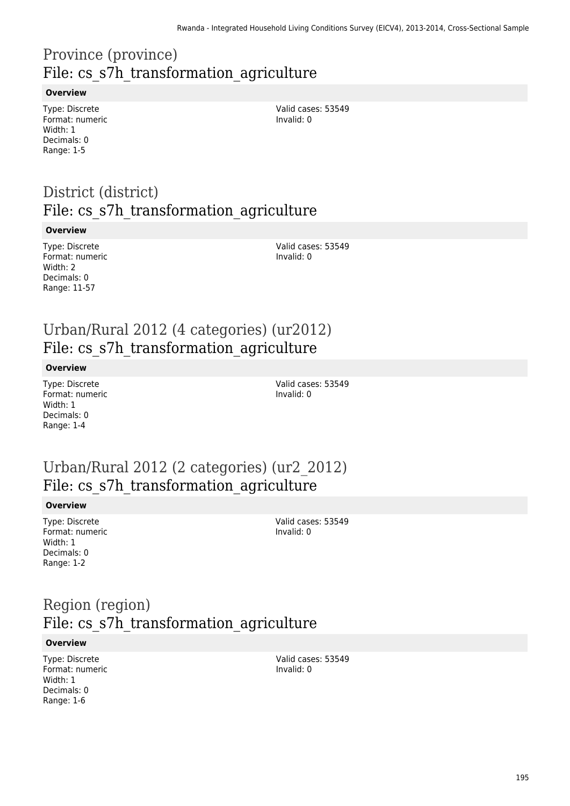# Province (province) File: cs\_s7h\_transformation\_agriculture

### **Overview**

Type: Discrete Format: numeric Width: 1 Decimals: 0 Range: 1-5

Valid cases: 53549 Invalid: 0

# District (district) File: cs\_s7h\_transformation\_agriculture

#### **Overview**

Type: Discrete Format: numeric Width: 2 Decimals: 0 Range: 11-57

Valid cases: 53549 Invalid: 0

## Urban/Rural 2012 (4 categories) (ur2012) File: cs\_s7h\_transformation\_agriculture

#### **Overview**

Type: Discrete Format: numeric Width: 1 Decimals: 0 Range: 1-4

Valid cases: 53549 Invalid: 0

### Urban/Rural 2012 (2 categories) (ur2\_2012) File: cs\_s7h\_transformation\_agriculture

### **Overview**

Type: Discrete Format: numeric Width: 1 Decimals: 0 Range: 1-2

Valid cases: 53549 Invalid: 0

# Region (region) File: cs\_s7h\_transformation\_agriculture

### **Overview**

Type: Discrete Format: numeric Width: 1 Decimals: 0 Range: 1-6

Valid cases: 53549 Invalid: 0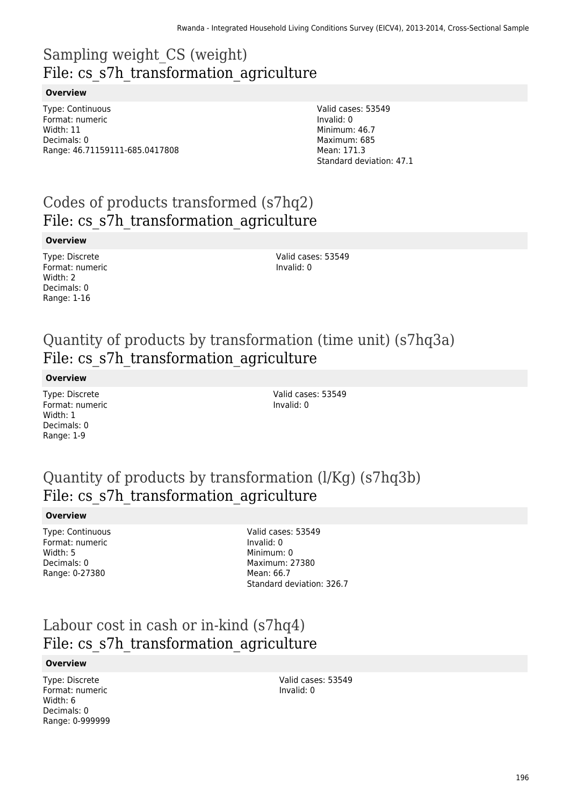# Sampling weight\_CS (weight) File: cs\_s7h\_transformation\_agriculture

### **Overview**

Type: Continuous Format: numeric Width: 11 Decimals: 0 Range: 46.71159111-685.0417808

Valid cases: 53549 Invalid: 0 Minimum: 46.7 Maximum: 685 Mean: 171.3 Standard deviation: 47.1

# Codes of products transformed (s7hq2) File: cs\_s7h\_transformation\_agriculture

### **Overview**

Type: Discrete Format: numeric Width: 2 Decimals: 0 Range: 1-16

Valid cases: 53549 Invalid: 0

## Quantity of products by transformation (time unit) (s7hq3a) File: cs\_s7h\_transformation\_agriculture

### **Overview**

Type: Discrete Format: numeric Width: 1 Decimals: 0 Range: 1-9

Valid cases: 53549 Invalid: 0

## Quantity of products by transformation (l/Kg) (s7hq3b) File: cs\_s7h\_transformation\_agriculture

### **Overview**

Type: Continuous Format: numeric Width: 5 Decimals: 0 Range: 0-27380

Valid cases: 53549 Invalid: 0 Minimum: 0 Maximum: 27380 Mean: 66.7 Standard deviation: 326.7

## Labour cost in cash or in-kind (s7hq4) File: cs\_s7h\_transformation\_agriculture

### **Overview**

Type: Discrete Format: numeric Width: 6 Decimals: 0 Range: 0-999999 Valid cases: 53549 Invalid: 0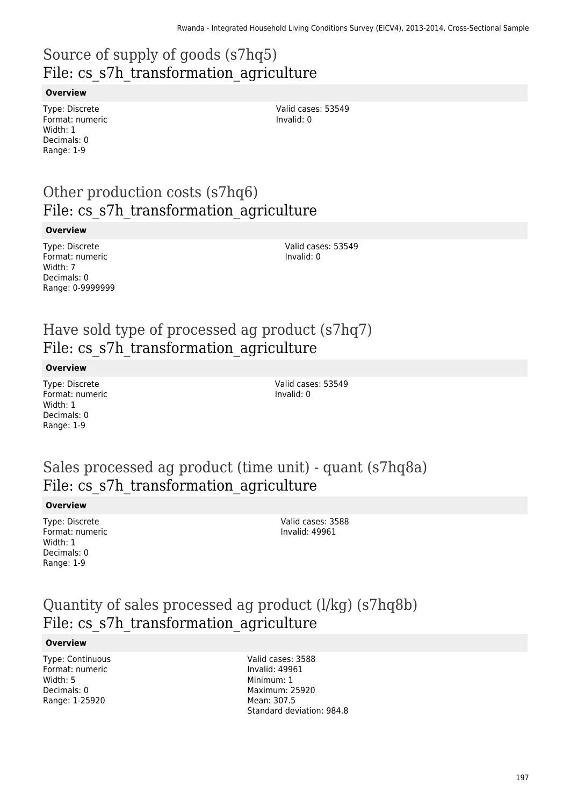# Source of supply of goods (s7hq5) File: cs\_s7h\_transformation\_agriculture

### **Overview**

Type: Discrete Format: numeric Width: 1 Decimals: 0 Range: 1-9

Valid cases: 53549 Invalid: 0

# Other production costs (s7hq6) File: cs\_s7h\_transformation\_agriculture

#### **Overview**

Type: Discrete Format: numeric Width: 7 Decimals: 0 Range: 0-9999999

Valid cases: 53549 Invalid: 0

# Have sold type of processed ag product (s7hq7) File: cs\_s7h\_transformation\_agriculture

#### **Overview**

Type: Discrete Format: numeric Width: 1 Decimals: 0 Range: 1-9

Valid cases: 53549 Invalid: 0

### Sales processed ag product (time unit) - quant (s7hq8a) File: cs\_s7h\_transformation\_agriculture

### **Overview**

Type: Discrete Format: numeric Width: 1 Decimals: 0 Range: 1-9

Valid cases: 3588 Invalid: 49961

### Quantity of sales processed ag product (l/kg) (s7hq8b) File: cs\_s7h\_transformation\_agriculture

### **Overview**

Type: Continuous Format: numeric Width: 5 Decimals: 0 Range: 1-25920

Valid cases: 3588 Invalid: 49961 Minimum: 1 Maximum: 25920 Mean: 307.5 Standard deviation: 984.8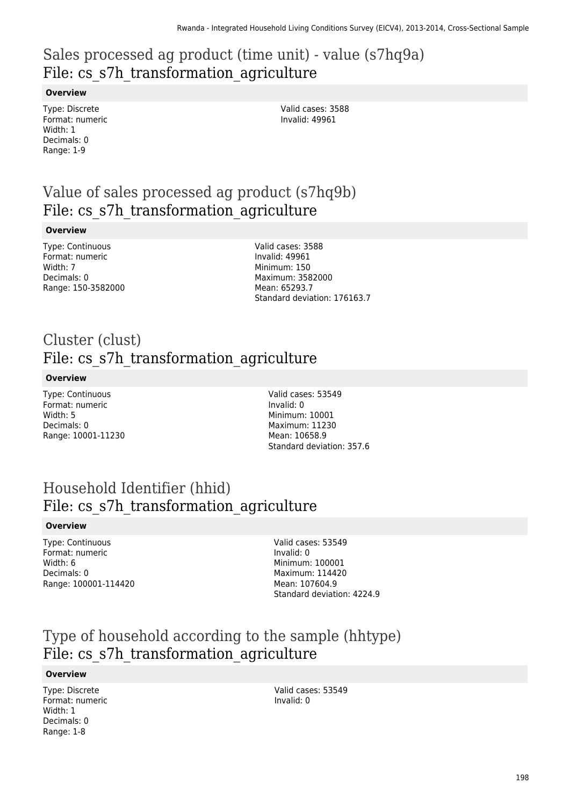# Sales processed ag product (time unit) - value (s7hq9a) File: cs\_s7h\_transformation\_agriculture

### **Overview**

Type: Discrete Format: numeric Width: 1 Decimals: 0 Range: 1-9

Valid cases: 3588 Invalid: 49961

## Value of sales processed ag product (s7hq9b) File: cs\_s7h\_transformation\_agriculture

#### **Overview**

Type: Continuous Format: numeric Width: 7 Decimals: 0 Range: 150-3582000 Valid cases: 3588 Invalid: 49961 Minimum: 150 Maximum: 3582000 Mean: 65293.7 Standard deviation: 176163.7

### Cluster (clust) File: cs\_s7h\_transformation\_agriculture

### **Overview**

Type: Continuous Format: numeric Width: 5 Decimals: 0 Range: 10001-11230 Valid cases: 53549 Invalid: 0 Minimum: 10001 Maximum: 11230 Mean: 10658.9 Standard deviation: 357.6

### Household Identifier (hhid) File: cs\_s7h\_transformation\_agriculture

#### **Overview**

Type: Continuous Format: numeric Width: 6 Decimals: 0 Range: 100001-114420 Valid cases: 53549 Invalid: 0 Minimum: 100001 Maximum: 114420 Mean: 107604.9 Standard deviation: 4224.9

### Type of household according to the sample (hhtype) File: cs\_s7h\_transformation\_agriculture

#### **Overview**

Type: Discrete Format: numeric Width: 1 Decimals: 0 Range: 1-8

Valid cases: 53549 Invalid: 0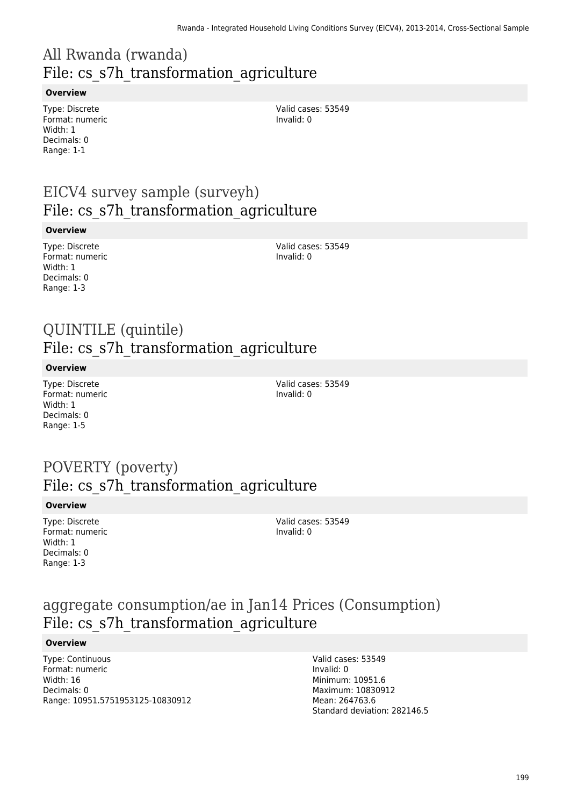# All Rwanda (rwanda) File: cs\_s7h\_transformation\_agriculture

### **Overview**

Type: Discrete Format: numeric Width: 1 Decimals: 0 Range: 1-1

Valid cases: 53549 Invalid: 0

# EICV4 survey sample (surveyh) File: cs\_s7h\_transformation\_agriculture

#### **Overview**

Type: Discrete Format: numeric Width: 1 Decimals: 0 Range: 1-3

Valid cases: 53549 Invalid: 0

# QUINTILE (quintile) File: cs\_s7h\_transformation\_agriculture

#### **Overview**

Type: Discrete Format: numeric Width: 1 Decimals: 0 Range: 1-5

Valid cases: 53549 Invalid: 0

## POVERTY (poverty) File: cs\_s7h\_transformation\_agriculture

### **Overview**

Type: Discrete Format: numeric Width: 1 Decimals: 0 Range: 1-3

Valid cases: 53549 Invalid: 0

### aggregate consumption/ae in Jan14 Prices (Consumption) File: cs\_s7h\_transformation\_agriculture

### **Overview**

Type: Continuous Format: numeric Width: 16 Decimals: 0 Range: 10951.5751953125-10830912 Valid cases: 53549 Invalid: 0 Minimum: 10951.6 Maximum: 10830912 Mean: 264763.6 Standard deviation: 282146.5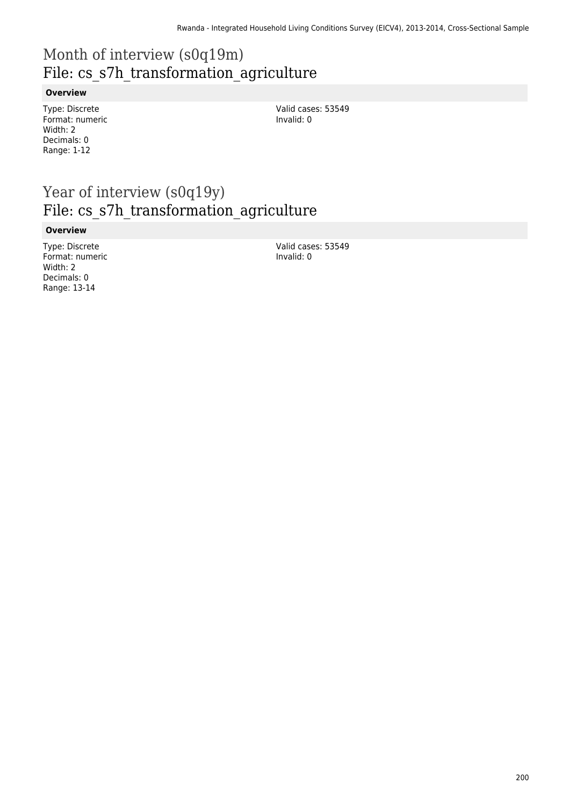# Month of interview (s0q19m) File: cs\_s7h\_transformation\_agriculture

### **Overview**

Type: Discrete Format: numeric Width: 2 Decimals: 0 Range: 1-12

Valid cases: 53549 Invalid: 0

# Year of interview (s0q19y) File: cs\_s7h\_transformation\_agriculture

#### **Overview**

Type: Discrete Format: numeric Width: 2 Decimals: 0 Range: 13-14

Valid cases: 53549 Invalid: 0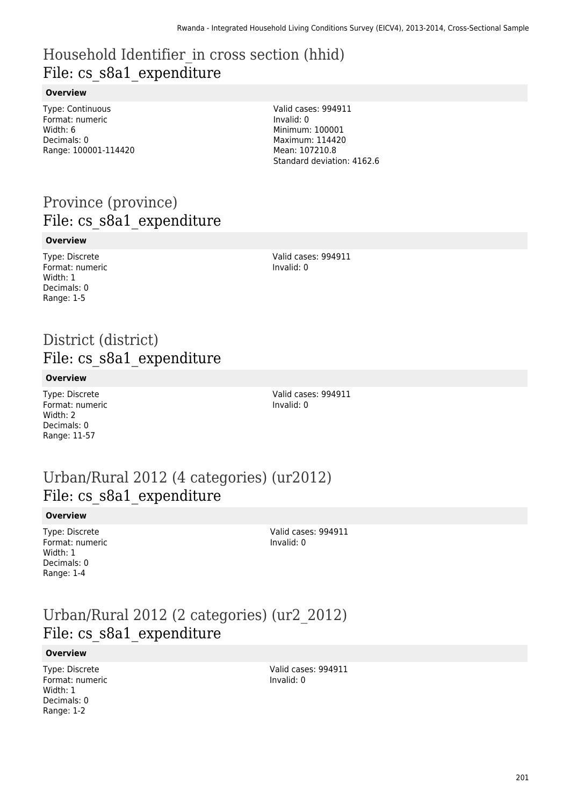# Household Identifier\_in cross section (hhid) File: cs\_s8a1\_expenditure

### **Overview**

Type: Continuous Format: numeric Width: 6 Decimals: 0 Range: 100001-114420

Valid cases: 994911 Invalid: 0 Minimum: 100001 Maximum: 114420 Mean: 107210.8 Standard deviation: 4162.6

## Province (province) File: cs\_s8a1\_expenditure

#### **Overview**

Type: Discrete Format: numeric Width: 1 Decimals: 0 Range: 1-5

Valid cases: 994911 Invalid: 0

### District (district) File: cs\_s8a1\_expenditure

### **Overview**

Type: Discrete Format: numeric Width: 2 Decimals: 0 Range: 11-57

Valid cases: 994911 Invalid: 0

### Urban/Rural 2012 (4 categories) (ur2012) File: cs\_s8a1\_expenditure

### **Overview**

Type: Discrete Format: numeric Width: 1 Decimals: 0 Range: 1-4

Valid cases: 994911 Invalid: 0

# Urban/Rural 2012 (2 categories) (ur2\_2012) File: cs\_s8a1\_expenditure

### **Overview**

Type: Discrete Format: numeric Width: 1 Decimals: 0 Range: 1-2

Valid cases: 994911 Invalid: 0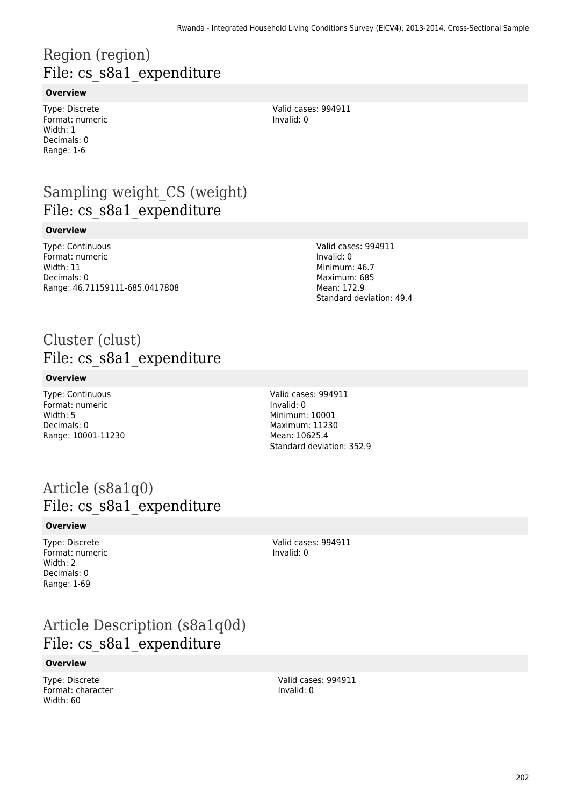# Region (region) File: cs\_s8a1\_expenditure

### **Overview**

Type: Discrete Format: numeric Width: 1 Decimals: 0 Range: 1-6

Valid cases: 994911 Invalid: 0

## Sampling weight\_CS (weight) File: cs\_s8a1\_expenditure

#### **Overview**

Type: Continuous Format: numeric Width: 11 Decimals: 0 Range: 46.71159111-685.0417808 Valid cases: 994911 Invalid: 0 Minimum: 46.7 Maximum: 685 Mean: 172.9 Standard deviation: 49.4

### Cluster (clust) File: cs\_s8a1\_expenditure

### **Overview**

Type: Continuous Format: numeric Width: 5 Decimals: 0 Range: 10001-11230 Valid cases: 994911 Invalid: 0 Minimum: 10001 Maximum: 11230 Mean: 10625.4 Standard deviation: 352.9

### Article (s8a1q0) File: cs\_s8a1\_expenditure

#### **Overview**

Type: Discrete Format: numeric Width: 2 Decimals: 0 Range: 1-69

Valid cases: 994911 Invalid: 0

## Article Description (s8a1q0d) File: cs\_s8a1\_expenditure

### **Overview**

Type: Discrete Format: character Width: 60

Valid cases: 994911 Invalid: 0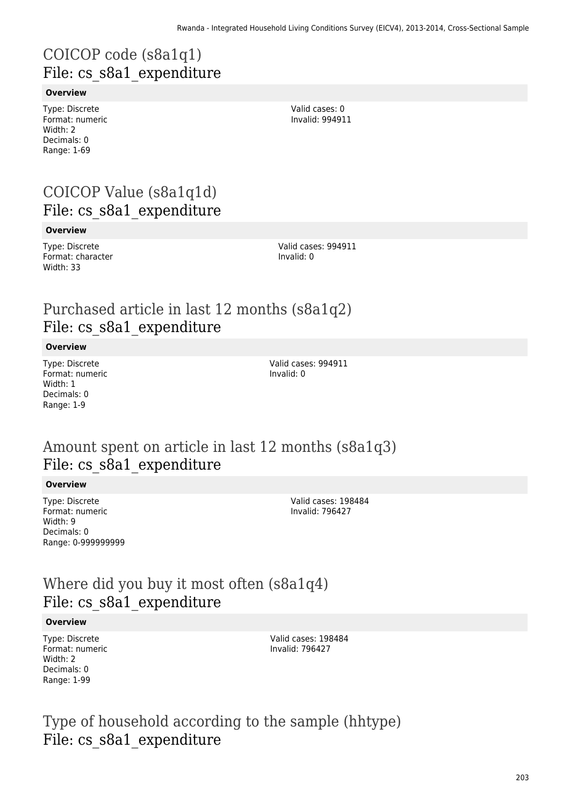# COICOP code (s8a1q1) File: cs\_s8a1\_expenditure

### **Overview**

Type: Discrete Format: numeric Width: 2 Decimals: 0 Range: 1-69

Valid cases: 0 Invalid: 994911

# COICOP Value (s8a1q1d) File: cs\_s8a1\_expenditure

#### **Overview**

Type: Discrete Format: character Width: 33

Valid cases: 994911 Invalid: 0

## Purchased article in last 12 months (s8a1q2) File: cs\_s8a1\_expenditure

#### **Overview**

Type: Discrete Format: numeric Width: 1 Decimals: 0 Range: 1-9

Valid cases: 994911 Invalid: 0

### Amount spent on article in last 12 months (s8a1q3) File: cs\_s8a1\_expenditure

#### **Overview**

Type: Discrete Format: numeric Width: 9 Decimals: 0 Range: 0-999999999

Valid cases: 198484 Invalid: 796427

# Where did you buy it most often (s8a1q4) File: cs\_s8a1\_expenditure

#### **Overview**

Type: Discrete Format: numeric Width: 2 Decimals: 0 Range: 1-99

Valid cases: 198484 Invalid: 796427

Type of household according to the sample (hhtype) File: cs\_s8a1\_expenditure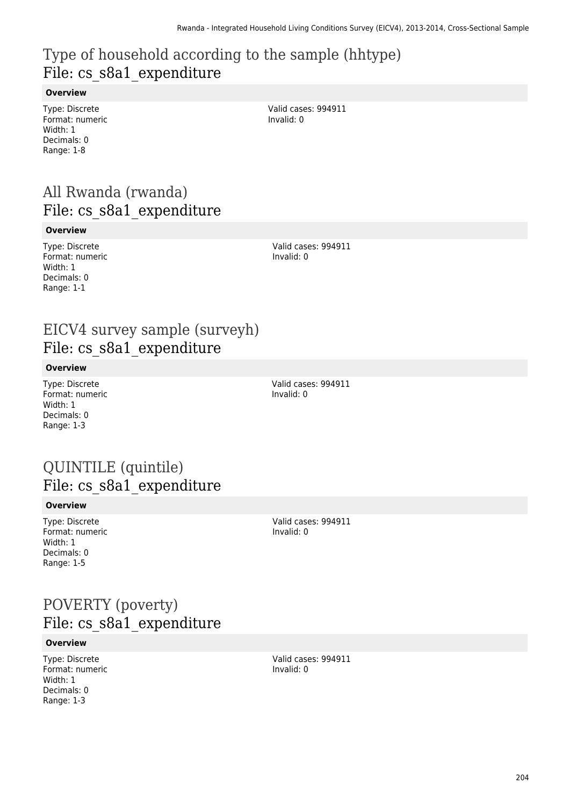# Type of household according to the sample (hhtype) File: cs\_s8a1\_expenditure

### **Overview**

Type: Discrete Format: numeric Width: 1 Decimals: 0 Range: 1-8

Valid cases: 994911 Invalid: 0

# All Rwanda (rwanda) File: cs\_s8a1\_expenditure

#### **Overview**

Type: Discrete Format: numeric Width: 1 Decimals: 0 Range: 1-1

Valid cases: 994911 Invalid: 0

### EICV4 survey sample (surveyh) File: cs\_s8a1\_expenditure

#### **Overview**

Type: Discrete Format: numeric Width: 1 Decimals: 0 Range: 1-3

Valid cases: 994911 Invalid: 0

# QUINTILE (quintile) File: cs\_s8a1\_expenditure

### **Overview**

Type: Discrete Format: numeric Width: 1 Decimals: 0 Range: 1-5

Valid cases: 994911 Invalid: 0

### POVERTY (poverty) File: cs\_s8a1\_expenditure

#### **Overview**

Type: Discrete Format: numeric Width: 1 Decimals: 0 Range: 1-3

Valid cases: 994911 Invalid: 0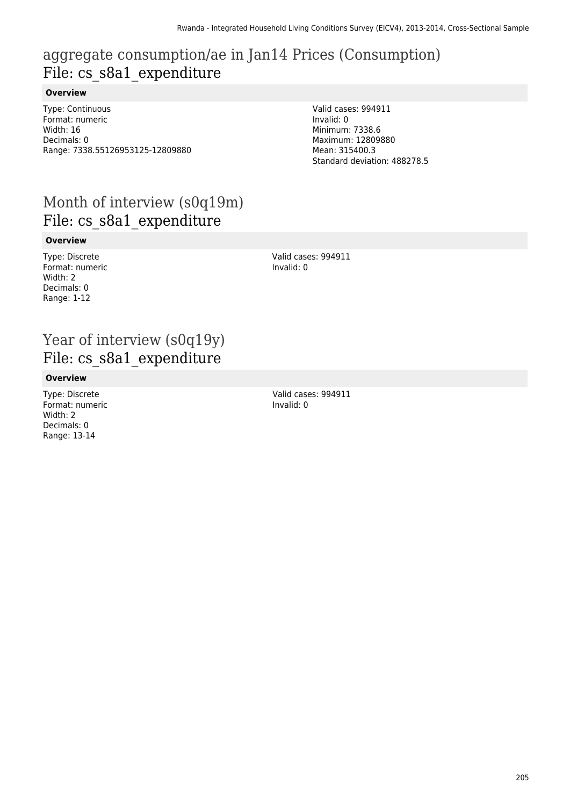# aggregate consumption/ae in Jan14 Prices (Consumption) File: cs\_s8a1\_expenditure

### **Overview**

Type: Continuous Format: numeric Width: 16 Decimals: 0 Range: 7338.55126953125-12809880 Valid cases: 994911 Invalid: 0 Minimum: 7338.6 Maximum: 12809880 Mean: 315400.3 Standard deviation: 488278.5

# Month of interview (s0q19m) File: cs\_s8a1\_expenditure

### **Overview**

Type: Discrete Format: numeric Width: 2 Decimals: 0 Range: 1-12

Valid cases: 994911 Invalid: 0

## Year of interview (s0q19y) File: cs\_s8a1\_expenditure

### **Overview**

Type: Discrete Format: numeric Width: 2 Decimals: 0 Range: 13-14

Valid cases: 994911 Invalid: 0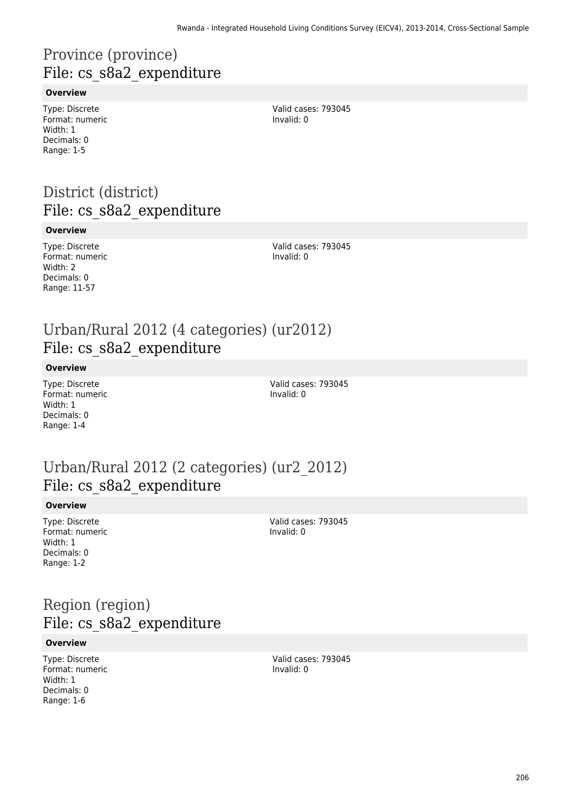# Province (province) File: cs\_s8a2\_expenditure

### **Overview**

Type: Discrete Format: numeric Width: 1 Decimals: 0 Range: 1-5

Valid cases: 793045 Invalid: 0

# District (district) File: cs\_s8a2\_expenditure

#### **Overview**

Type: Discrete Format: numeric Width: 2 Decimals: 0 Range: 11-57

Valid cases: 793045 Invalid: 0

## Urban/Rural 2012 (4 categories) (ur2012) File: cs\_s8a2\_expenditure

#### **Overview**

Type: Discrete Format: numeric Width: 1 Decimals: 0 Range: 1-4

Valid cases: 793045 Invalid: 0

### Urban/Rural 2012 (2 categories) (ur2\_2012) File: cs\_s8a2\_expenditure

### **Overview**

Type: Discrete Format: numeric Width: 1 Decimals: 0 Range: 1-2

Valid cases: 793045 Invalid: 0

### Region (region) File: cs\_s8a2\_expenditure

### **Overview**

Type: Discrete Format: numeric Width: 1 Decimals: 0 Range: 1-6

Valid cases: 793045 Invalid: 0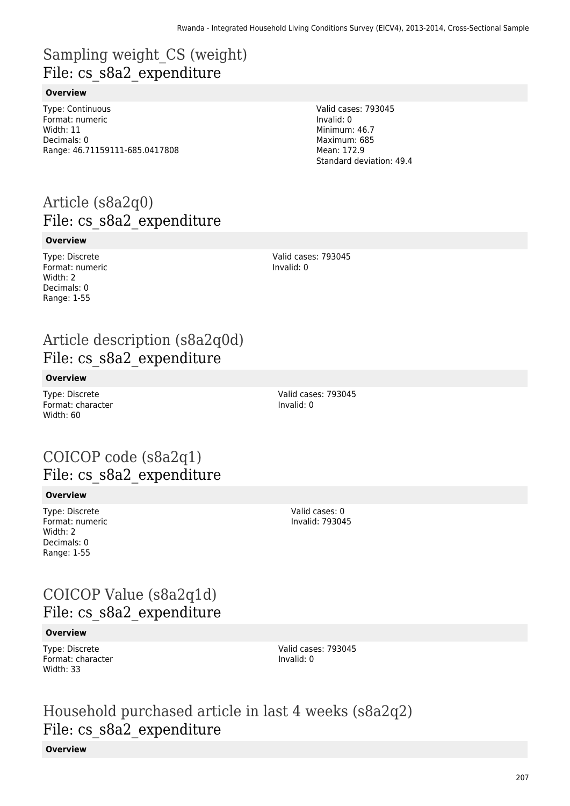# Sampling weight\_CS (weight) File: cs\_s8a2\_expenditure

### **Overview**

Type: Continuous Format: numeric Width: 11 Decimals: 0 Range: 46.71159111-685.0417808 Valid cases: 793045 Invalid: 0 Minimum: 46.7 Maximum: 685 Mean: 172.9 Standard deviation: 49.4

# Article (s8a2q0) File: cs\_s8a2\_expenditure

### **Overview**

Type: Discrete Format: numeric Width: 2 Decimals: 0 Range: 1-55

Valid cases: 793045 Invalid: 0

### Article description (s8a2q0d) File: cs\_s8a2\_expenditure

### **Overview**

Type: Discrete Format: character Width: 60

Valid cases: 793045 Invalid: 0

## COICOP code (s8a2q1) File: cs\_s8a2\_expenditure

### **Overview**

Type: Discrete Format: numeric Width: 2 Decimals: 0 Range: 1-55

Valid cases: 0 Invalid: 793045

# COICOP Value (s8a2q1d) File: cs\_s8a2\_expenditure

### **Overview**

Type: Discrete Format: character Width: 33

Valid cases: 793045 Invalid: 0

# Household purchased article in last 4 weeks (s8a2q2) File: cs\_s8a2\_expenditure

**Overview**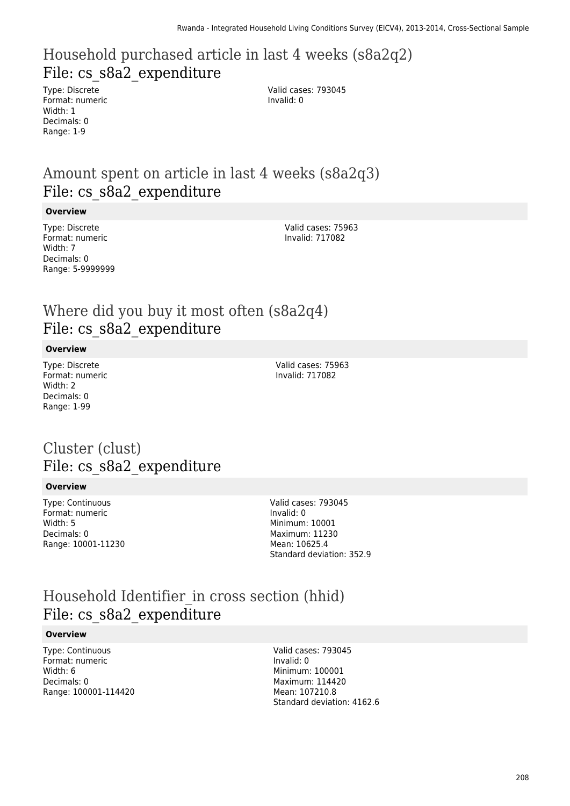## Household purchased article in last 4 weeks (s8a2q2) File: cs\_s8a2\_expenditure

Type: Discrete Format: numeric Width: 1 Decimals: 0 Range: 1-9

Valid cases: 793045 Invalid: 0

# Amount spent on article in last 4 weeks (s8a2q3) File: cs\_s8a2\_expenditure

#### **Overview**

Type: Discrete Format: numeric Width: 7 Decimals: 0 Range: 5-9999999

Valid cases: 75963 Invalid: 717082

# Where did you buy it most often (s8a2q4) File: cs\_s8a2\_expenditure

#### **Overview**

Type: Discrete Format: numeric Width: 2 Decimals: 0 Range: 1-99

Valid cases: 75963 Invalid: 717082

### Cluster (clust) File: cs\_s8a2\_expenditure

### **Overview**

Type: Continuous Format: numeric Width: 5 Decimals: 0 Range: 10001-11230 Valid cases: 793045 Invalid: 0 Minimum: 10001 Maximum: 11230 Mean: 10625.4 Standard deviation: 352.9

## Household Identifier\_in cross section (hhid) File: cs\_s8a2\_expenditure

### **Overview**

Type: Continuous Format: numeric Width: 6 Decimals: 0 Range: 100001-114420

Valid cases: 793045 Invalid: 0 Minimum: 100001 Maximum: 114420 Mean: 107210.8 Standard deviation: 4162.6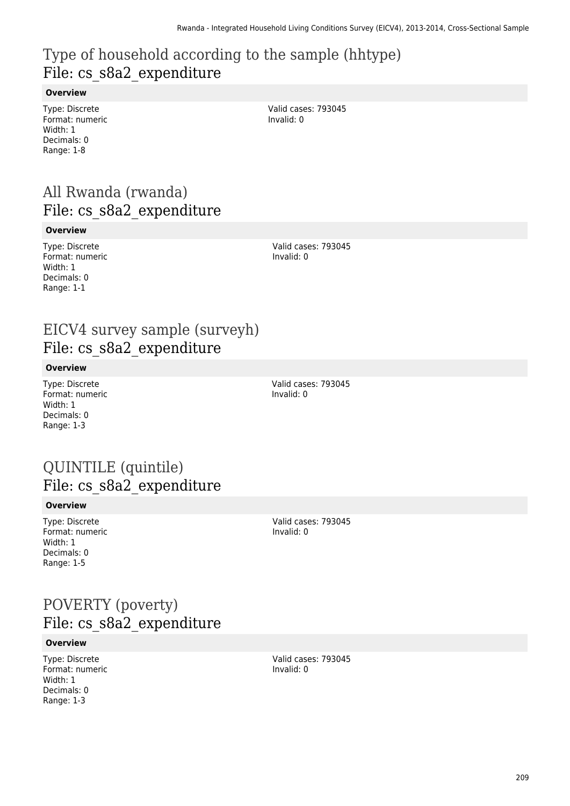# Type of household according to the sample (hhtype) File: cs\_s8a2\_expenditure

### **Overview**

Type: Discrete Format: numeric Width: 1 Decimals: 0 Range: 1-8

Valid cases: 793045 Invalid: 0

# All Rwanda (rwanda) File: cs\_s8a2\_expenditure

#### **Overview**

Type: Discrete Format: numeric Width: 1 Decimals: 0 Range: 1-1

Valid cases: 793045 Invalid: 0

### EICV4 survey sample (surveyh) File: cs\_s8a2\_expenditure

#### **Overview**

Type: Discrete Format: numeric Width: 1 Decimals: 0 Range: 1-3

Valid cases: 793045 Invalid: 0

# QUINTILE (quintile) File: cs\_s8a2\_expenditure

### **Overview**

Type: Discrete Format: numeric Width: 1 Decimals: 0 Range: 1-5

Valid cases: 793045 Invalid: 0

### POVERTY (poverty) File: cs\_s8a2\_expenditure

### **Overview**

Type: Discrete Format: numeric Width: 1 Decimals: 0 Range: 1-3

Valid cases: 793045 Invalid: 0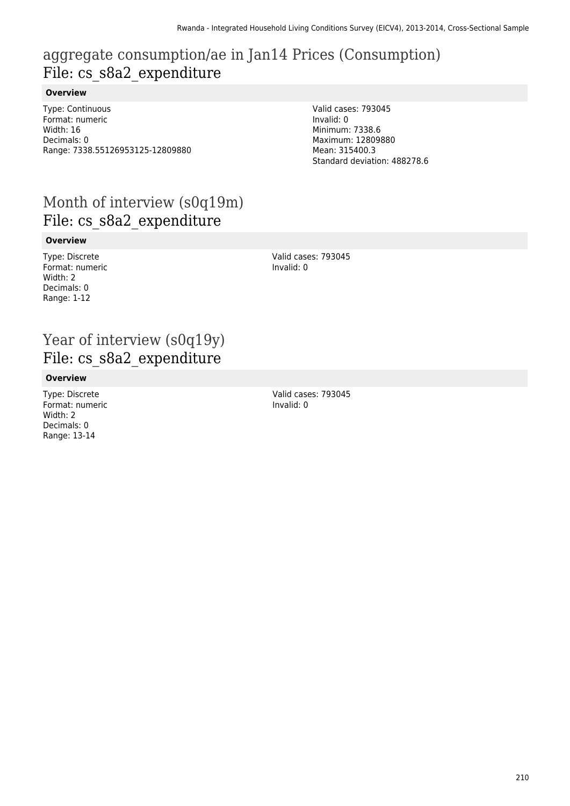# aggregate consumption/ae in Jan14 Prices (Consumption) File: cs\_s8a2\_expenditure

### **Overview**

Type: Continuous Format: numeric Width: 16 Decimals: 0 Range: 7338.55126953125-12809880 Valid cases: 793045 Invalid: 0 Minimum: 7338.6 Maximum: 12809880 Mean: 315400.3 Standard deviation: 488278.6

# Month of interview (s0q19m) File: cs\_s8a2\_expenditure

### **Overview**

Type: Discrete Format: numeric Width: 2 Decimals: 0 Range: 1-12

Valid cases: 793045 Invalid: 0

# Year of interview (s0q19y) File: cs\_s8a2\_expenditure

### **Overview**

Type: Discrete Format: numeric Width: 2 Decimals: 0 Range: 13-14

Valid cases: 793045 Invalid: 0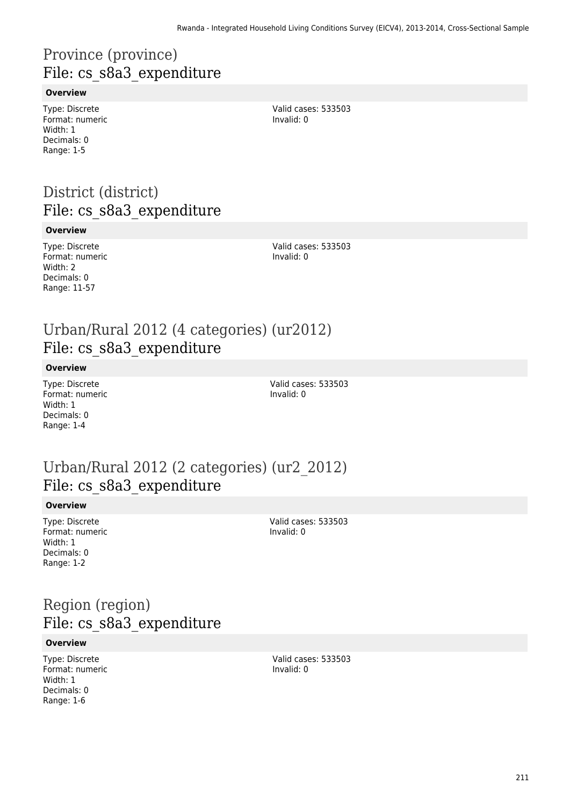# Province (province) File: cs s8a3 expenditure

### **Overview**

Type: Discrete Format: numeric Width: 1 Decimals: 0 Range: 1-5

Valid cases: 533503 Invalid: 0

# District (district) File: cs\_s8a3\_expenditure

#### **Overview**

Type: Discrete Format: numeric Width: 2 Decimals: 0 Range: 11-57

Valid cases: 533503 Invalid: 0

## Urban/Rural 2012 (4 categories) (ur2012) File: cs\_s8a3\_expenditure

#### **Overview**

Type: Discrete Format: numeric Width: 1 Decimals: 0 Range: 1-4

Valid cases: 533503 Invalid: 0

### Urban/Rural 2012 (2 categories) (ur2\_2012) File: cs\_s8a3\_expenditure

### **Overview**

Type: Discrete Format: numeric Width: 1 Decimals: 0 Range: 1-2

Valid cases: 533503 Invalid: 0

### Region (region) File: cs\_s8a3\_expenditure

### **Overview**

Type: Discrete Format: numeric Width: 1 Decimals: 0 Range: 1-6

Valid cases: 533503 Invalid: 0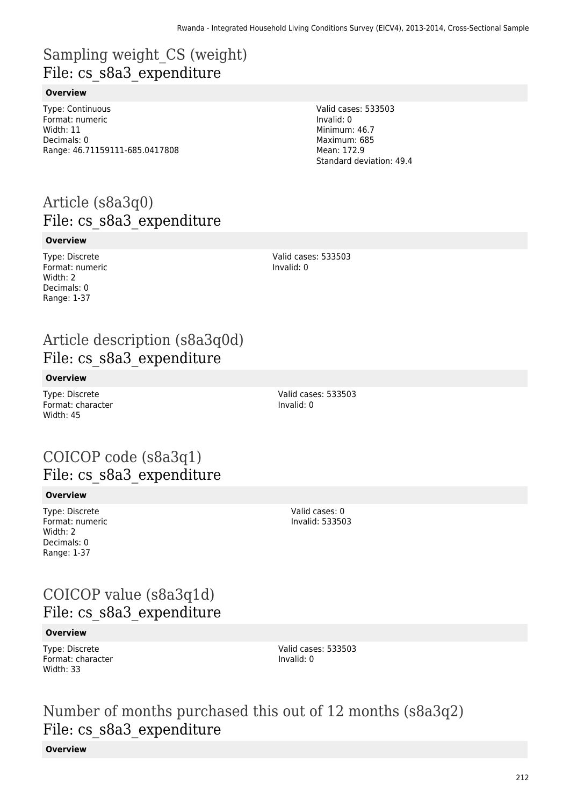# Sampling weight\_CS (weight) File: cs s8a3 expenditure

### **Overview**

Type: Continuous Format: numeric Width: 11 Decimals: 0 Range: 46.71159111-685.0417808

Valid cases: 533503 Invalid: 0 Minimum: 46.7 Maximum: 685 Mean: 172.9 Standard deviation: 49.4

# Article (s8a3q0) File: cs s8a3 expenditure

### **Overview**

Type: Discrete Format: numeric Width: 2 Decimals: 0 Range: 1-37

Valid cases: 533503 Invalid: 0

### Article description (s8a3q0d) File: cs\_s8a3\_expenditure

### **Overview**

Type: Discrete Format: character Width: 45

Valid cases: 533503 Invalid: 0

## COICOP code (s8a3q1) File: cs\_s8a3\_expenditure

### **Overview**

Type: Discrete Format: numeric Width: 2 Decimals: 0 Range: 1-37

Valid cases: 0 Invalid: 533503

# COICOP value (s8a3q1d) File: cs\_s8a3\_expenditure

### **Overview**

Type: Discrete Format: character Width: 33

Valid cases: 533503 Invalid: 0

# Number of months purchased this out of 12 months (s8a3q2) File: cs s8a3 expenditure

**Overview**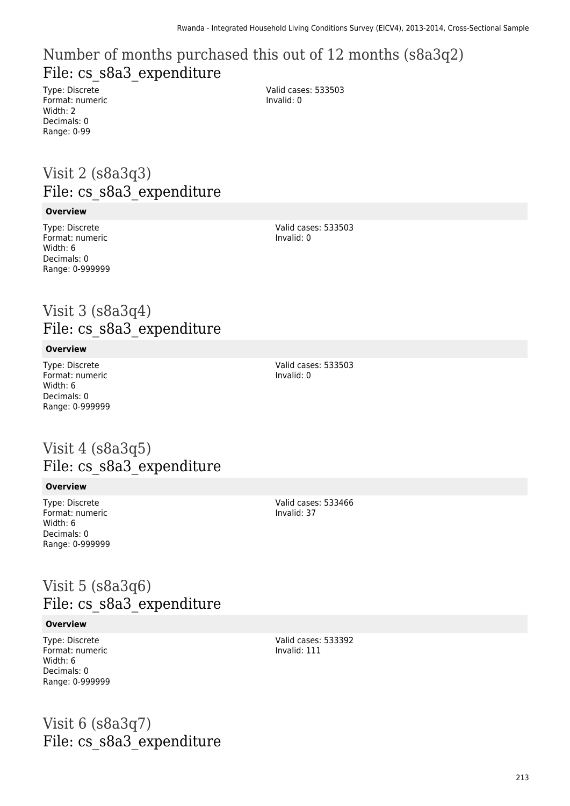# Number of months purchased this out of 12 months (s8a3q2) File: cs s8a3 expenditure

Type: Discrete Format: numeric Width: 2 Decimals: 0 Range: 0-99

Valid cases: 533503 Invalid: 0

# Visit 2 (s8a3q3) File: cs s8a3 expenditure

### **Overview**

Type: Discrete Format: numeric Width: 6 Decimals: 0 Range: 0-999999 Valid cases: 533503 Invalid: 0

# Visit 3 (s8a3q4) File: cs s8a3 expenditure

### **Overview**

Type: Discrete Format: numeric Width: 6 Decimals: 0 Range: 0-999999 Valid cases: 533503 Invalid: 0

### Visit 4 (s8a3q5) File: cs\_s8a3\_expenditure

### **Overview**

Type: Discrete Format: numeric Width: 6 Decimals: 0 Range: 0-999999

Valid cases: 533466 Invalid: 37

# Visit 5 (s8a3q6) File: cs s8a3 expenditure

### **Overview**

Type: Discrete Format: numeric Width: 6 Decimals: 0 Range: 0-999999

Visit 6 (s8a3q7) File: cs\_s8a3\_expenditure

Valid cases: 533392 Invalid: 111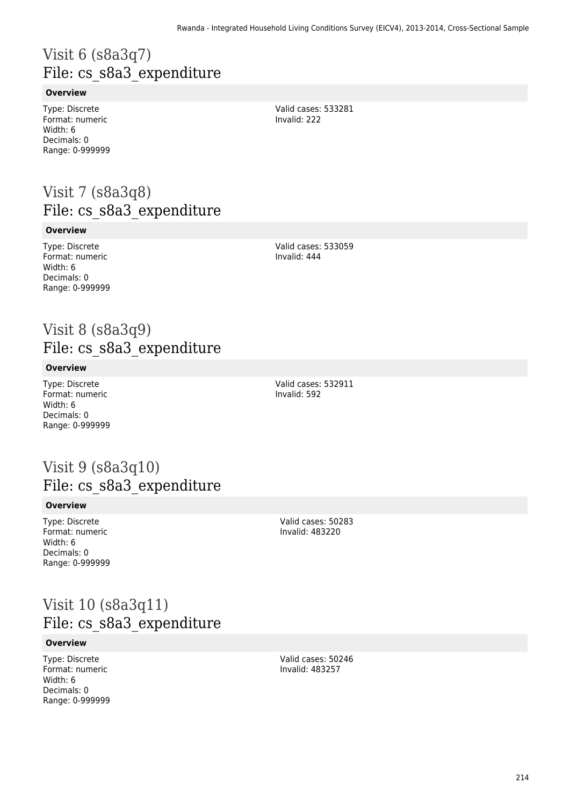# Visit 6 (s8a3q7) File: cs\_s8a3\_expenditure

### **Overview**

Type: Discrete Format: numeric Width: 6 Decimals: 0 Range: 0-999999 Valid cases: 533281 Invalid: 222

## Visit 7 (s8a3q8) File: cs\_s8a3\_expenditure

#### **Overview**

Type: Discrete Format: numeric Width: 6 Decimals: 0 Range: 0-999999

Valid cases: 533059 Invalid: 444

## Visit 8 (s8a3q9) File: cs s8a3 expenditure

#### **Overview**

Type: Discrete Format: numeric Width: 6 Decimals: 0 Range: 0-999999

Valid cases: 532911 Invalid: 592

# Visit 9 (s8a3q10) File: cs\_s8a3\_expenditure

### **Overview**

Type: Discrete Format: numeric Width: 6 Decimals: 0 Range: 0-999999 Valid cases: 50283 Invalid: 483220

## Visit 10 (s8a3q11) File: cs\_s8a3\_expenditure

#### **Overview**

Type: Discrete Format: numeric Width: 6 Decimals: 0 Range: 0-999999 Valid cases: 50246 Invalid: 483257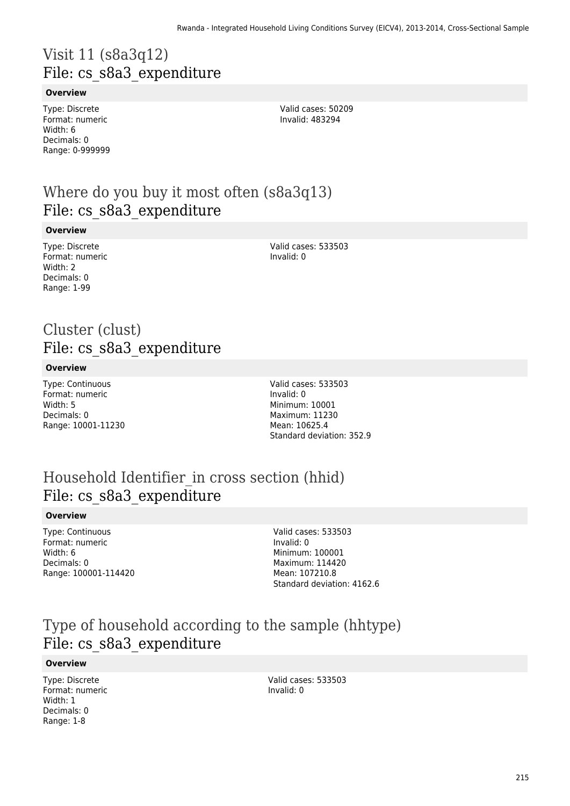# Visit 11 (s8a3q12) File: cs s8a3 expenditure

### **Overview**

Type: Discrete Format: numeric Width: 6 Decimals: 0 Range: 0-999999 Valid cases: 50209 Invalid: 483294

# Where do you buy it most often (s8a3q13) File: cs s8a3 expenditure

#### **Overview**

Type: Discrete Format: numeric Width: 2 Decimals: 0 Range: 1-99

Valid cases: 533503 Invalid: 0

## Cluster (clust) File: cs s8a3 expenditure

#### **Overview**

Type: Continuous Format: numeric Width: 5 Decimals: 0 Range: 10001-11230

Valid cases: 533503 Invalid: 0 Minimum: 10001 Maximum: 11230 Mean: 10625.4 Standard deviation: 352.9

## Household Identifier\_in cross section (hhid) File: cs\_s8a3\_expenditure

#### **Overview**

Type: Continuous Format: numeric Width: 6 Decimals: 0 Range: 100001-114420

Valid cases: 533503 Invalid: 0 Minimum: 100001 Maximum: 114420 Mean: 107210.8 Standard deviation: 4162.6

## Type of household according to the sample (hhtype) File: cs\_s8a3\_expenditure

### **Overview**

Type: Discrete Format: numeric Width: 1 Decimals: 0 Range: 1-8

Valid cases: 533503 Invalid: 0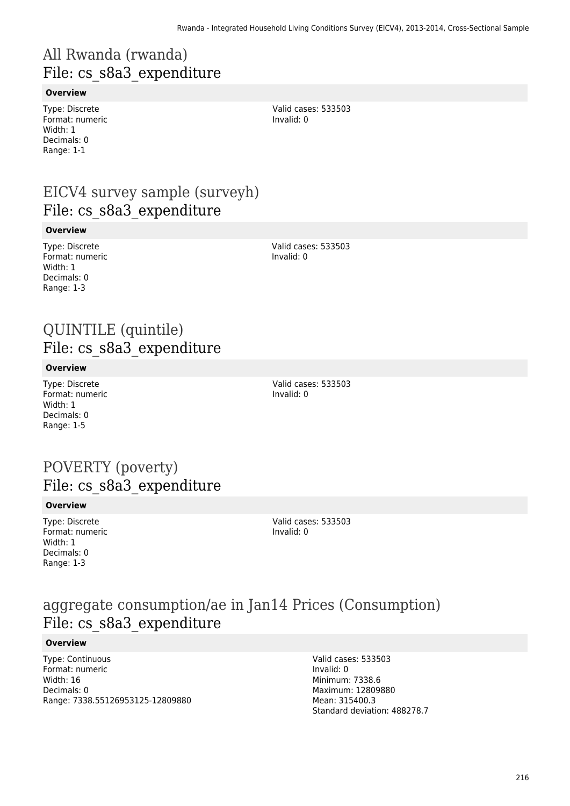# All Rwanda (rwanda) File: cs s8a3 expenditure

### **Overview**

Type: Discrete Format: numeric Width: 1 Decimals: 0 Range: 1-1

Valid cases: 533503 Invalid: 0

## EICV4 survey sample (surveyh) File: cs\_s8a3\_expenditure

#### **Overview**

Type: Discrete Format: numeric Width: 1 Decimals: 0 Range: 1-3

Valid cases: 533503 Invalid: 0

# QUINTILE (quintile) File: cs s8a3 expenditure

#### **Overview**

Type: Discrete Format: numeric Width: 1 Decimals: 0 Range: 1-5

Valid cases: 533503 Invalid: 0

### POVERTY (poverty) File: cs\_s8a3\_expenditure

#### **Overview**

Type: Discrete Format: numeric Width: 1 Decimals: 0 Range: 1-3

Valid cases: 533503 Invalid: 0

### aggregate consumption/ae in Jan14 Prices (Consumption) File: cs\_s8a3\_expenditure

### **Overview**

Type: Continuous Format: numeric Width: 16 Decimals: 0 Range: 7338.55126953125-12809880 Valid cases: 533503 Invalid: 0 Minimum: 7338.6 Maximum: 12809880 Mean: 315400.3 Standard deviation: 488278.7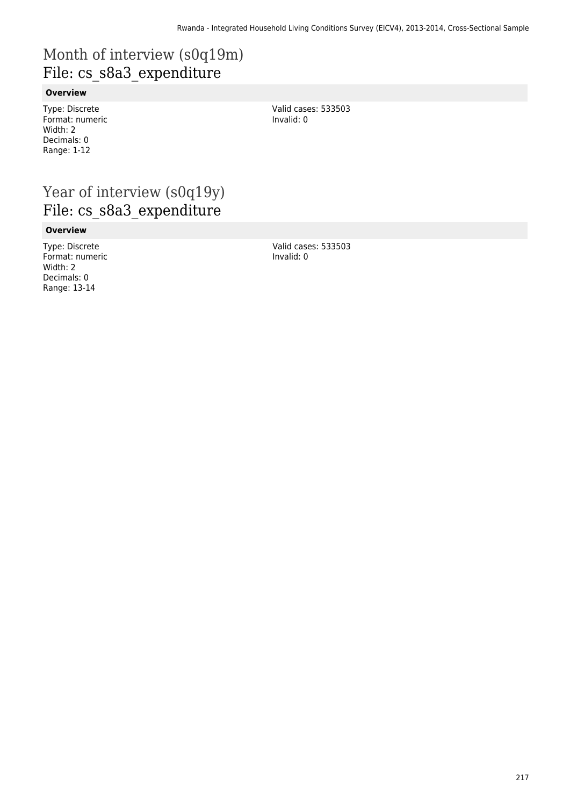# Month of interview (s0q19m) File: cs\_s8a3\_expenditure

### **Overview**

Type: Discrete Format: numeric Width: 2 Decimals: 0 Range: 1-12

Valid cases: 533503 Invalid: 0

# Year of interview (s0q19y) File: cs\_s8a3\_expenditure

### **Overview**

Type: Discrete Format: numeric Width: 2 Decimals: 0 Range: 13-14

Valid cases: 533503 Invalid: 0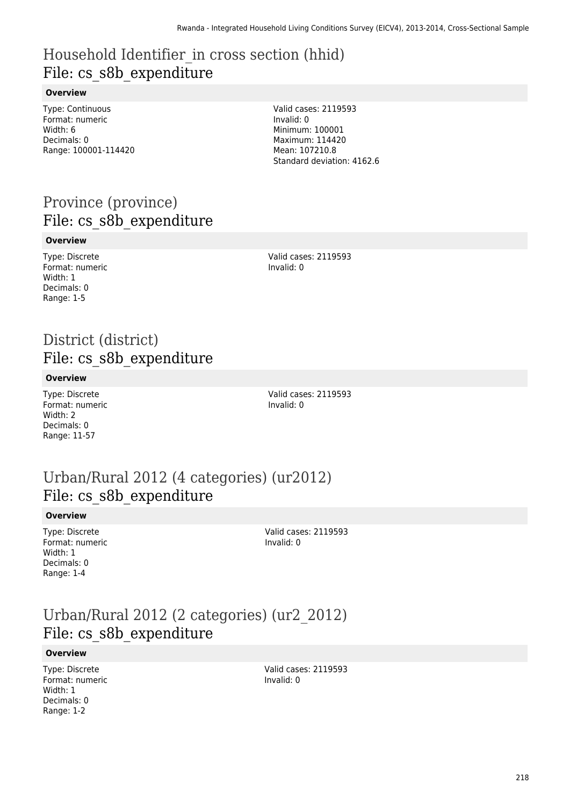# Household Identifier\_in cross section (hhid) File: cs\_s8b\_expenditure

### **Overview**

Type: Continuous Format: numeric Width: 6 Decimals: 0 Range: 100001-114420

Valid cases: 2119593 Invalid: 0 Minimum: 100001 Maximum: 114420 Mean: 107210.8 Standard deviation: 4162.6

# Province (province) File: cs\_s8b\_expenditure

#### **Overview**

Type: Discrete Format: numeric Width: 1 Decimals: 0 Range: 1-5

Valid cases: 2119593 Invalid: 0

## District (district) File: cs\_s8b\_expenditure

### **Overview**

Type: Discrete Format: numeric Width: 2 Decimals: 0 Range: 11-57

Valid cases: 2119593 Invalid: 0

## Urban/Rural 2012 (4 categories) (ur2012) File: cs\_s8b\_expenditure

#### **Overview**

Type: Discrete Format: numeric Width: 1 Decimals: 0 Range: 1-4

Valid cases: 2119593 Invalid: 0

# Urban/Rural 2012 (2 categories) (ur2\_2012) File: cs\_s8b\_expenditure

#### **Overview**

Type: Discrete Format: numeric Width: 1 Decimals: 0 Range: 1-2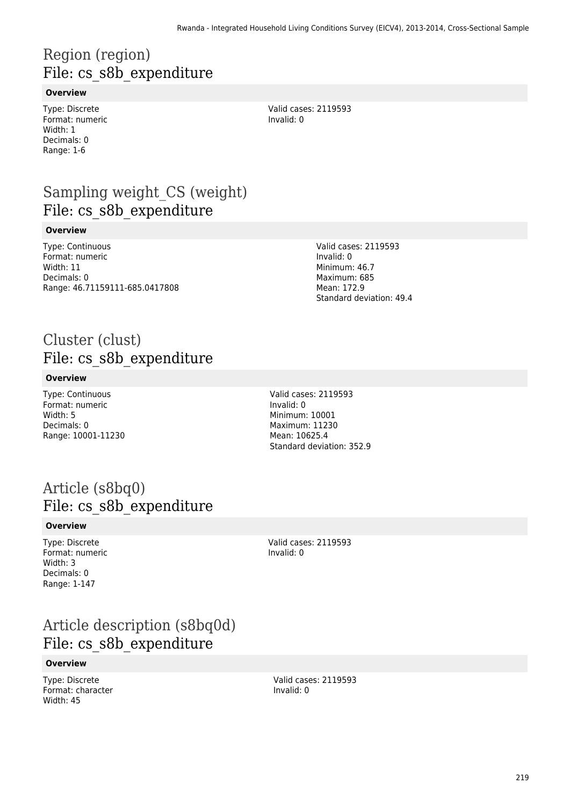# Region (region) File: cs\_s8b\_expenditure

### **Overview**

Type: Discrete Format: numeric Width: 1 Decimals: 0 Range: 1-6

Valid cases: 2119593 Invalid: 0

# Sampling weight\_CS (weight) File: cs\_s8b\_expenditure

### **Overview**

Type: Continuous Format: numeric Width: 11 Decimals: 0 Range: 46.71159111-685.0417808 Valid cases: 2119593 Invalid: 0 Minimum: 46.7 Maximum: 685 Mean: 172.9 Standard deviation: 49.4

## Cluster (clust) File: cs\_s8b\_expenditure

### **Overview**

Type: Continuous Format: numeric Width: 5 Decimals: 0 Range: 10001-11230

Valid cases: 2119593 Invalid: 0 Minimum: 10001 Maximum: 11230 Mean: 10625.4 Standard deviation: 352.9

### Article (s8bq0) File: cs\_s8b\_expenditure

#### **Overview**

Type: Discrete Format: numeric Width 3 Decimals: 0 Range: 1-147

Valid cases: 2119593 Invalid: 0

## Article description (s8bq0d) File: cs\_s8b\_expenditure

### **Overview**

Type: Discrete Format: character Width: 45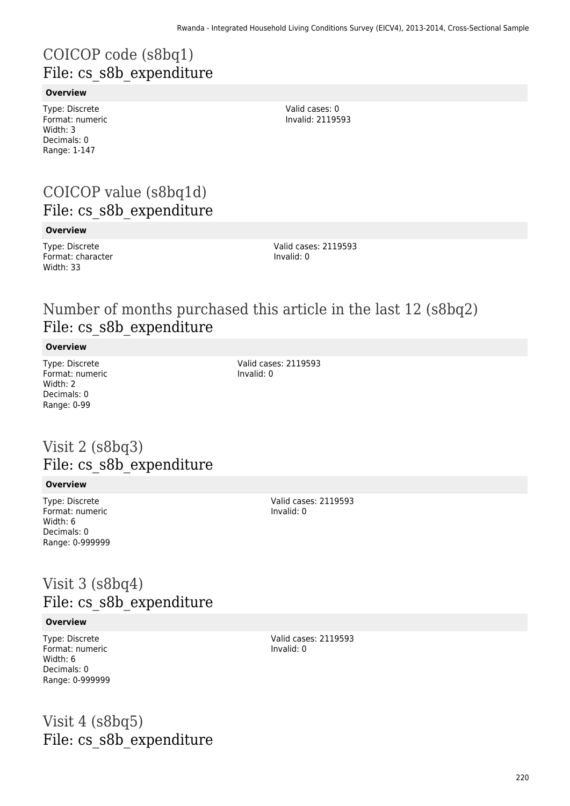# COICOP code (s8bq1) File: cs\_s8b\_expenditure

### **Overview**

Type: Discrete Format: numeric Width: 3 Decimals: 0 Range: 1-147

Valid cases: 0 Invalid: 2119593

# COICOP value (s8bq1d) File: cs\_s8b\_expenditure

### **Overview**

Type: Discrete Format: character Width: 33

Valid cases: 2119593 Invalid: 0

## Number of months purchased this article in the last 12 (s8bq2) File: cs s8b expenditure

### **Overview**

Type: Discrete Format: numeric Width: 2 Decimals: 0 Range: 0-99

Valid cases: 2119593 Invalid: 0

### Visit 2 (s8bq3) File: cs\_s8b\_expenditure

### **Overview**

Type: Discrete Format: numeric Width: 6 Decimals: 0 Range: 0-999999 Valid cases: 2119593 Invalid: 0

## Visit 3 (s8bq4) File: cs\_s8b\_expenditure

### **Overview**

Type: Discrete Format: numeric Width: 6 Decimals: 0 Range: 0-999999

Visit 4 (s8bq5) File: cs\_s8b\_expenditure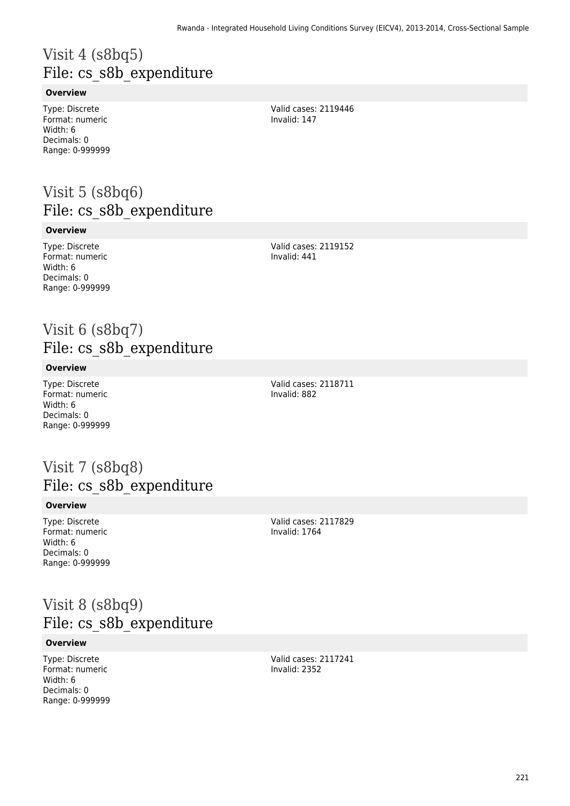# Visit 4 (s8bq5) File: cs\_s8b\_expenditure

### **Overview**

Type: Discrete Format: numeric Width: 6 Decimals: 0 Range: 0-999999 Valid cases: 2119446 Invalid: 147

# Visit 5 (s8bq6) File: cs\_s8b\_expenditure

### **Overview**

Type: Discrete Format: numeric Width: 6 Decimals: 0 Range: 0-999999 Valid cases: 2119152 Invalid: 441

# Visit 6 (s8bq7) File: cs\_s8b\_expenditure

### **Overview**

Type: Discrete Format: numeric Width: 6 Decimals: 0 Range: 0-999999 Valid cases: 2118711 Invalid: 882

## Visit 7 (s8bq8) File: cs\_s8b\_expenditure

### **Overview**

Type: Discrete Format: numeric Width: 6 Decimals: 0 Range: 0-999999 Valid cases: 2117829 Invalid: 1764

## Visit 8 (s8bq9) File: cs\_s8b\_expenditure

#### **Overview**

Type: Discrete Format: numeric Width: 6 Decimals: 0 Range: 0-999999 Valid cases: 2117241 Invalid: 2352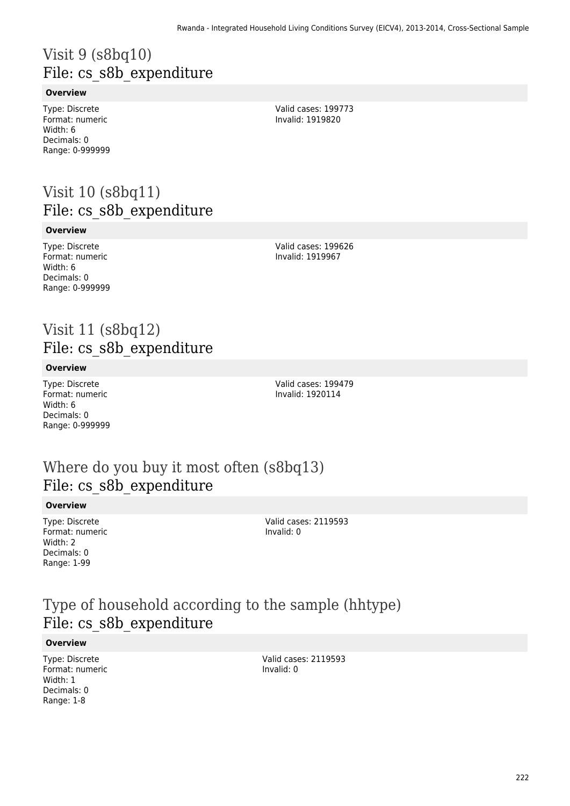# Visit 9 (s8bq10) File: cs\_s8b\_expenditure

### **Overview**

Type: Discrete Format: numeric Width: 6 Decimals: 0 Range: 0-999999 Valid cases: 199773 Invalid: 1919820

# Visit 10 (s8bq11) File: cs\_s8b\_expenditure

### **Overview**

Type: Discrete Format: numeric Width: 6 Decimals: 0 Range: 0-999999

Valid cases: 199626 Invalid: 1919967

# Visit 11 (s8bq12) File: cs\_s8b\_expenditure

### **Overview**

Type: Discrete Format: numeric Width: 6 Decimals: 0 Range: 0-999999

Valid cases: 199479 Invalid: 1920114

## Where do you buy it most often (s8bq13) File: cs s8b expenditure

### **Overview**

Type: Discrete Format: numeric Width: 2 Decimals: 0 Range: 1-99

Valid cases: 2119593 Invalid: 0

# Type of household according to the sample (hhtype) File: cs\_s8b\_expenditure

### **Overview**

Type: Discrete Format: numeric Width: 1 Decimals: 0 Range: 1-8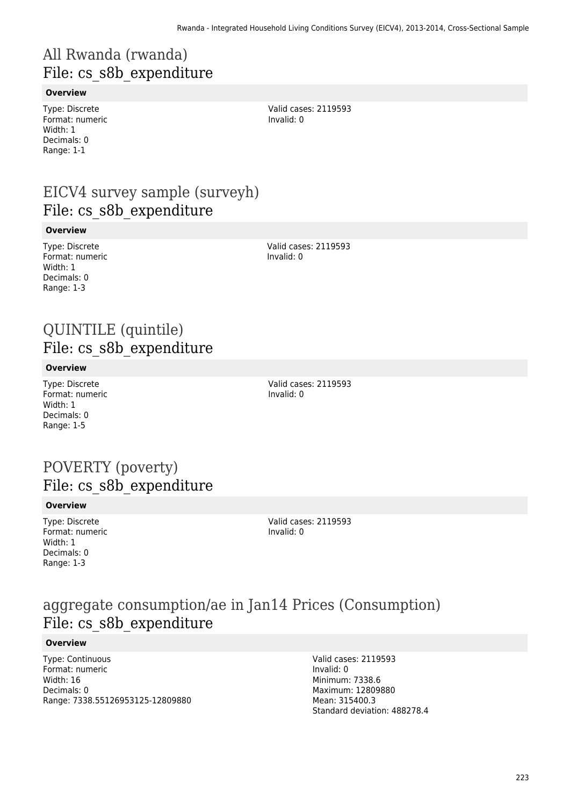# All Rwanda (rwanda) File: cs\_s8b\_expenditure

### **Overview**

Type: Discrete Format: numeric Width: 1 Decimals: 0 Range: 1-1

Valid cases: 2119593 Invalid: 0

# EICV4 survey sample (surveyh) File: cs\_s8b\_expenditure

### **Overview**

Type: Discrete Format: numeric Width: 1 Decimals: 0 Range: 1-3

Valid cases: 2119593 Invalid: 0

# QUINTILE (quintile) File: cs\_s8b\_expenditure

### **Overview**

Type: Discrete Format: numeric Width: 1 Decimals: 0 Range: 1-5

Valid cases: 2119593 Invalid: 0

## POVERTY (poverty) File: cs\_s8b\_expenditure

### **Overview**

Type: Discrete Format: numeric Width: 1 Decimals: 0 Range: 1-3

Valid cases: 2119593 Invalid: 0

## aggregate consumption/ae in Jan14 Prices (Consumption) File: cs\_s8b\_expenditure

### **Overview**

Type: Continuous Format: numeric Width: 16 Decimals: 0 Range: 7338.55126953125-12809880 Valid cases: 2119593 Invalid: 0 Minimum: 7338.6 Maximum: 12809880 Mean: 315400.3 Standard deviation: 488278.4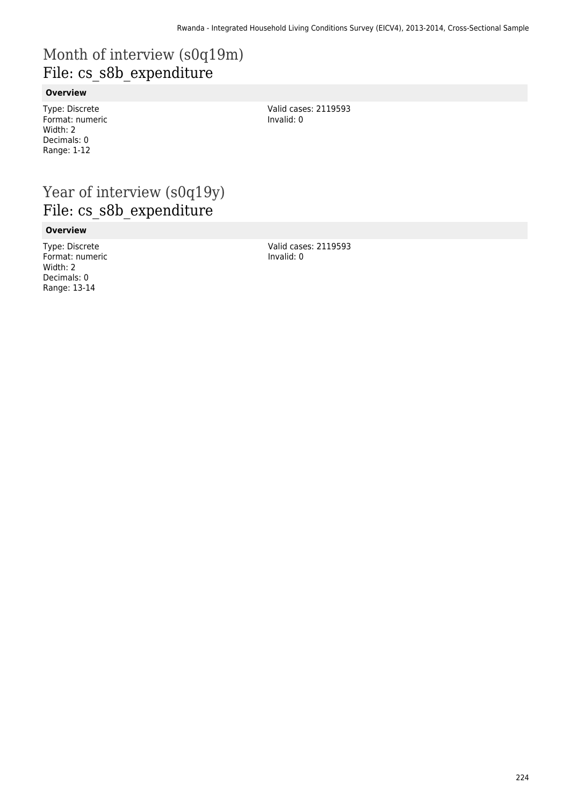# Month of interview (s0q19m) File: cs\_s8b\_expenditure

### **Overview**

Type: Discrete Format: numeric Width: 2 Decimals: 0 Range: 1-12

Valid cases: 2119593 Invalid: 0

# Year of interview (s0q19y) File: cs\_s8b\_expenditure

### **Overview**

Type: Discrete Format: numeric Width: 2 Decimals: 0 Range: 13-14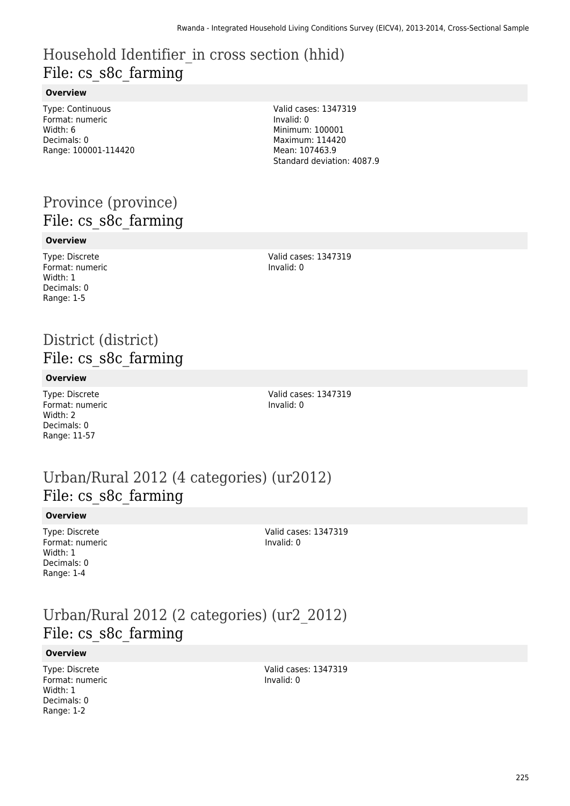# Household Identifier\_in cross section (hhid) File: cs\_s8c\_farming

### **Overview**

Type: Continuous Format: numeric Width: 6 Decimals: 0 Range: 100001-114420

Valid cases: 1347319 Invalid: 0 Minimum: 100001 Maximum: 114420 Mean: 107463.9 Standard deviation: 4087.9

## Province (province) File: cs\_s8c\_farming

### **Overview**

Type: Discrete Format: numeric Width: 1 Decimals: 0 Range: 1-5

Valid cases: 1347319 Invalid: 0

## District (district) File: cs\_s8c\_farming

### **Overview**

Type: Discrete Format: numeric Width: 2 Decimals: 0 Range: 11-57

Valid cases: 1347319 Invalid: 0

# Urban/Rural 2012 (4 categories) (ur2012) File: cs\_s8c\_farming

#### **Overview**

Type: Discrete Format: numeric Width: 1 Decimals: 0 Range: 1-4

Valid cases: 1347319 Invalid: 0

# Urban/Rural 2012 (2 categories) (ur2\_2012) File: cs\_s8c\_farming

#### **Overview**

Type: Discrete Format: numeric Width: 1 Decimals: 0 Range: 1-2

Valid cases: 1347319 Invalid: 0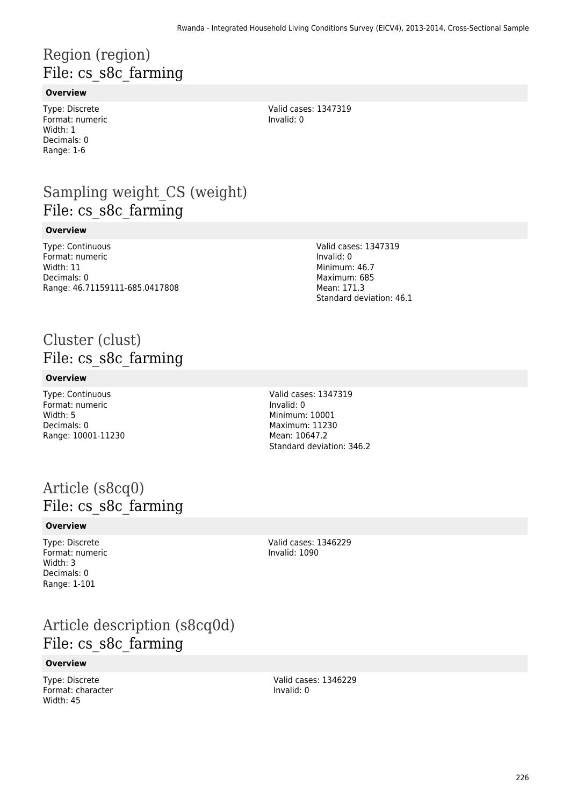# Region (region) File: cs\_s8c\_farming

### **Overview**

Type: Discrete Format: numeric Width: 1 Decimals: 0 Range: 1-6

Valid cases: 1347319 Invalid: 0

## Sampling weight\_CS (weight) File: cs\_s8c\_farming

### **Overview**

Type: Continuous Format: numeric Width: 11 Decimals: 0 Range: 46.71159111-685.0417808 Valid cases: 1347319 Invalid: 0 Minimum: 46.7 Maximum: 685 Mean: 171.3 Standard deviation: 46.1

## Cluster (clust) File: cs\_s8c\_farming

### **Overview**

Type: Continuous Format: numeric Width: 5 Decimals: 0 Range: 10001-11230 Valid cases: 1347319 Invalid: 0 Minimum: 10001 Maximum: 11230 Mean: 10647.2 Standard deviation: 346.2

### Article (s8cq0) File: cs\_s8c\_farming

#### **Overview**

Type: Discrete Format: numeric Width 3 Decimals: 0 Range: 1-101

Valid cases: 1346229 Invalid: 1090

# Article description (s8cq0d) File: cs\_s8c\_farming

### **Overview**

Type: Discrete Format: character Width: 45

Valid cases: 1346229 Invalid: 0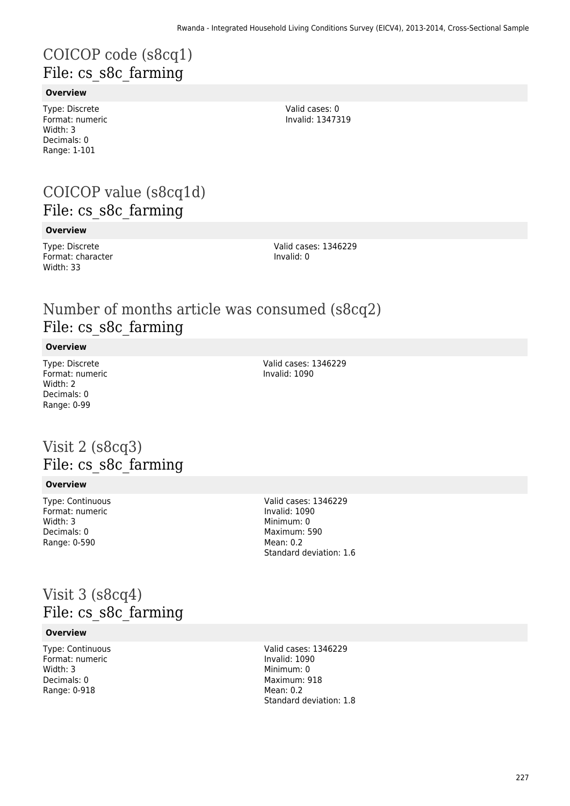# COICOP code (s8cq1) File: cs\_s8c\_farming

### **Overview**

Type: Discrete Format: numeric Width: 3 Decimals: 0 Range: 1-101

Valid cases: 0 Invalid: 1347319

# COICOP value (s8cq1d) File: cs\_s8c\_farming

### **Overview**

Type: Discrete Format: character Width: 33

Valid cases: 1346229 Invalid: 0

## Number of months article was consumed (s8cq2) File: cs\_s8c\_farming

### **Overview**

Type: Discrete Format: numeric Width: 2 Decimals: 0 Range: 0-99

Valid cases: 1346229 Invalid: 1090

## Visit 2 (s8cq3) File: cs\_s8c\_farming

### **Overview**

Type: Continuous Format: numeric Width: 3 Decimals: 0 Range: 0-590

Valid cases: 1346229 Invalid: 1090 Minimum: 0 Maximum: 590 Mean: 0.2 Standard deviation: 1.6

## Visit 3 (s8cq4) File: cs\_s8c\_farming

#### **Overview**

Type: Continuous Format: numeric Width: 3 Decimals: 0 Range: 0-918

Valid cases: 1346229 Invalid: 1090 Minimum: 0 Maximum: 918 Mean: 0.2 Standard deviation: 1.8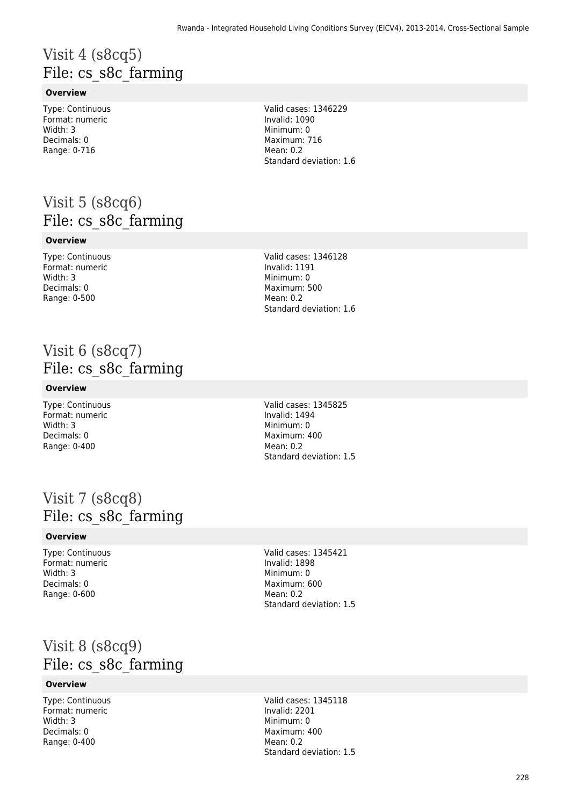# Visit 4 (s8cq5) File: cs\_s8c\_farming

### **Overview**

Type: Continuous Format: numeric Width: 3 Decimals: 0 Range: 0-716

Valid cases: 1346229 Invalid: 1090 Minimum: 0 Maximum: 716 Mean: 0.2 Standard deviation: 1.6

# Visit 5 (s8cq6) File: cs\_s8c\_farming

### **Overview**

Type: Continuous Format: numeric Width: 3 Decimals: 0 Range: 0-500

Valid cases: 1346128 Invalid: 1191 Minimum: 0 Maximum: 500 Mean: 0.2 Standard deviation: 1.6

## Visit 6 (s8cq7) File: cs\_s8c\_farming

### **Overview**

Type: Continuous Format: numeric Width: 3 Decimals: 0 Range: 0-400

Valid cases: 1345825 Invalid: 1494 Minimum: 0 Maximum: 400 Mean: 0.2 Standard deviation: 1.5

### Visit 7 (s8cq8) File: cs\_s8c\_farming

### **Overview**

Type: Continuous Format: numeric Width: 3 Decimals: 0 Range: 0-600

Valid cases: 1345421 Invalid: 1898 Minimum: 0 Maximum: 600 Mean: 0.2 Standard deviation: 1.5

# Visit 8 (s8cq9) File: cs\_s8c\_farming

### **Overview**

Type: Continuous Format: numeric Width: 3 Decimals: 0 Range: 0-400

Valid cases: 1345118 Invalid: 2201 Minimum: 0 Maximum: 400 Mean: 0.2 Standard deviation: 1.5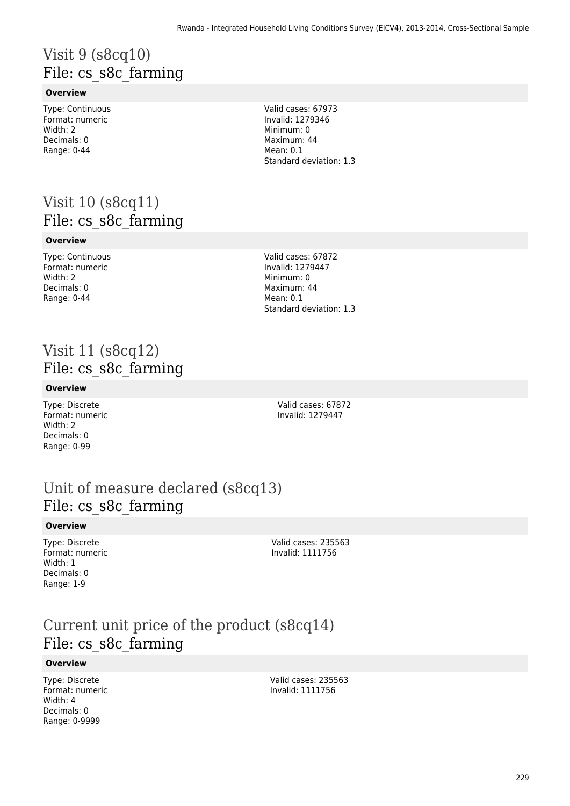# Visit 9 (s8cq10) File: cs\_s8c\_farming

### **Overview**

Type: Continuous Format: numeric Width: 2 Decimals: 0 Range: 0-44

Valid cases: 67973 Invalid: 1279346 Minimum: 0 Maximum: 44 Mean: 0.1 Standard deviation: 1.3

# Visit 10 (s8cq11) File: cs\_s8c\_farming

### **Overview**

Type: Continuous Format: numeric Width: 2 Decimals: 0 Range: 0-44

Valid cases: 67872 Invalid: 1279447 Minimum: 0 Maximum: 44 Mean: 0.1 Standard deviation: 1.3

## Visit 11 (s8cq12) File: cs\_s8c\_farming

### **Overview**

Type: Discrete Format: numeric Width: 2 Decimals: 0 Range: 0-99

Valid cases: 67872 Invalid: 1279447

## Unit of measure declared (s8cq13) File: cs\_s8c\_farming

### **Overview**

Type: Discrete Format: numeric Width: 1 Decimals: 0 Range: 1-9

Valid cases: 235563 Invalid: 1111756

## Current unit price of the product (s8cq14) File: cs\_s8c\_farming

### **Overview**

Type: Discrete Format: numeric Width: 4 Decimals: 0 Range: 0-9999

Valid cases: 235563 Invalid: 1111756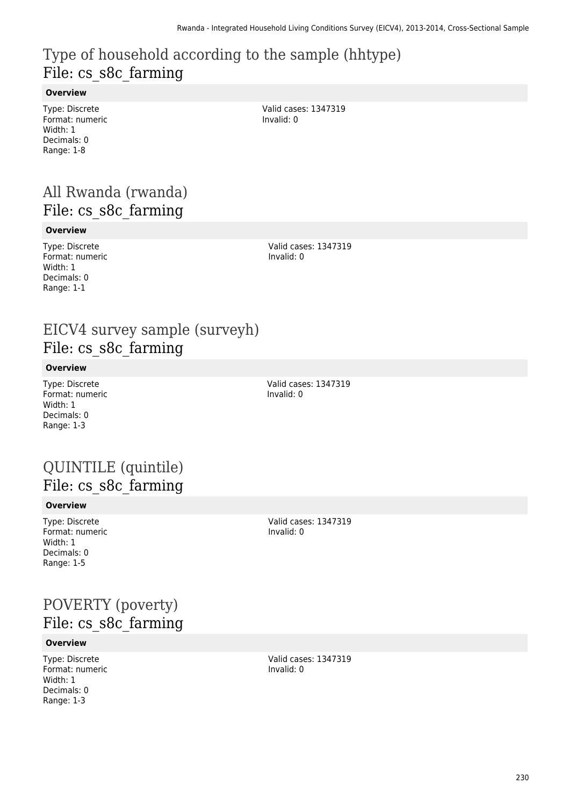# Type of household according to the sample (hhtype) File: cs\_s8c\_farming

### **Overview**

Type: Discrete Format: numeric Width: 1 Decimals: 0 Range: 1-8

Valid cases: 1347319 Invalid: 0

# All Rwanda (rwanda) File: cs\_s8c\_farming

### **Overview**

Type: Discrete Format: numeric Width: 1 Decimals: 0 Range: 1-1

Valid cases: 1347319 Invalid: 0

### EICV4 survey sample (surveyh) File: cs\_s8c\_farming

### **Overview**

Type: Discrete Format: numeric Width: 1 Decimals: 0 Range: 1-3

Valid cases: 1347319 Invalid: 0

## QUINTILE (quintile) File: cs\_s8c\_farming

#### **Overview**

Type: Discrete Format: numeric Width: 1 Decimals: 0 Range: 1-5

Valid cases: 1347319 Invalid: 0

## POVERTY (poverty) File: cs\_s8c\_farming

#### **Overview**

Type: Discrete Format: numeric Width: 1 Decimals: 0 Range: 1-3

Valid cases: 1347319 Invalid: 0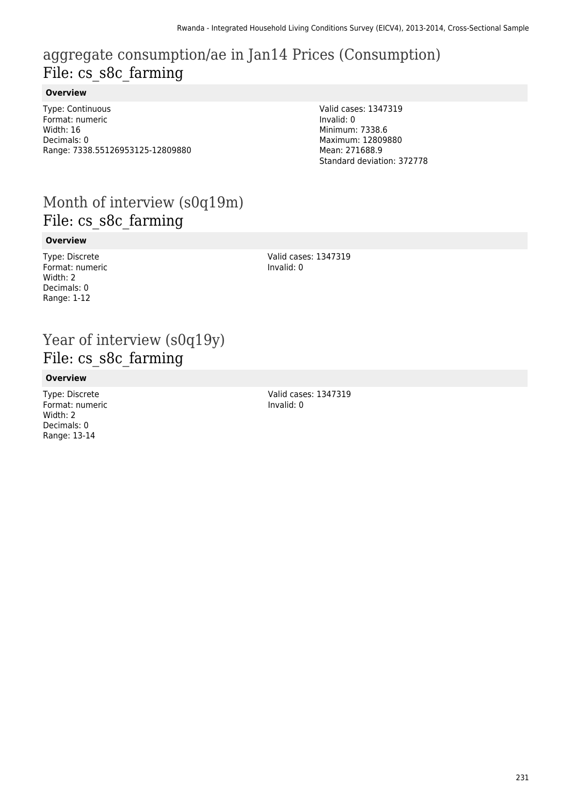# aggregate consumption/ae in Jan14 Prices (Consumption) File: cs\_s8c\_farming

### **Overview**

Type: Continuous Format: numeric Width: 16 Decimals: 0 Range: 7338.55126953125-12809880 Valid cases: 1347319 Invalid: 0 Minimum: 7338.6 Maximum: 12809880 Mean: 271688.9 Standard deviation: 372778

# Month of interview (s0q19m) File: cs\_s8c\_farming

### **Overview**

Type: Discrete Format: numeric Width: 2 Decimals: 0 Range: 1-12

Valid cases: 1347319 Invalid: 0

## Year of interview (s0q19y) File: cs\_s8c\_farming

### **Overview**

Type: Discrete Format: numeric Width: 2 Decimals: 0 Range: 13-14

Valid cases: 1347319 Invalid: 0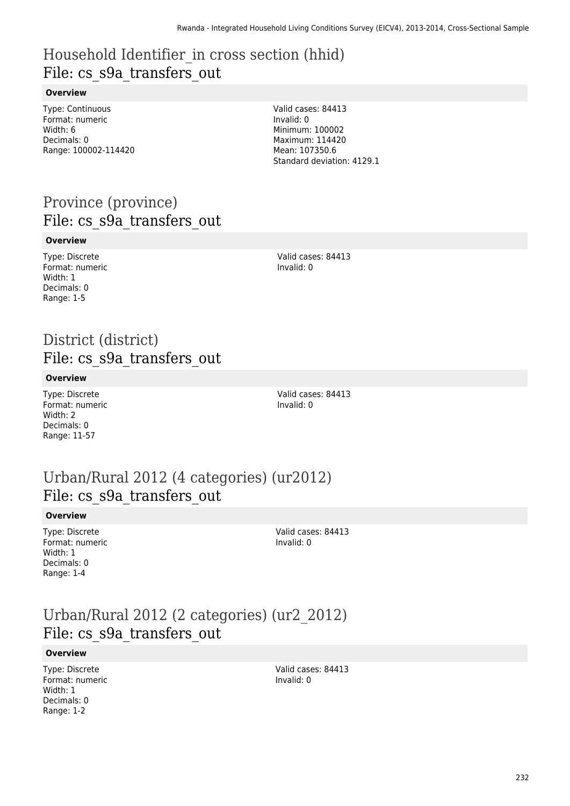# Household Identifier\_in cross section (hhid) File: cs s9a transfers out

### **Overview**

Type: Continuous Format: numeric Width: 6 Decimals: 0 Range: 100002-114420 Valid cases: 84413 Invalid: 0 Minimum: 100002 Maximum: 114420 Mean: 107350.6 Standard deviation: 4129.1

## Province (province) File: cs s9a transfers out

#### **Overview**

Type: Discrete Format: numeric Width: 1 Decimals: 0 Range: 1-5

Valid cases: 84413 Invalid: 0

### District (district) File: cs\_s9a\_transfers\_out

### **Overview**

Type: Discrete Format: numeric Width: 2 Decimals: 0 Range: 11-57

Valid cases: 84413 Invalid: 0

### Urban/Rural 2012 (4 categories) (ur2012) File: cs\_s9a\_transfers\_out

### **Overview**

Type: Discrete Format: numeric Width: 1 Decimals: 0 Range: 1-4

Valid cases: 84413 Invalid: 0

# Urban/Rural 2012 (2 categories) (ur2\_2012) File: cs\_s9a\_transfers\_out

#### **Overview**

Type: Discrete Format: numeric Width: 1 Decimals: 0 Range: 1-2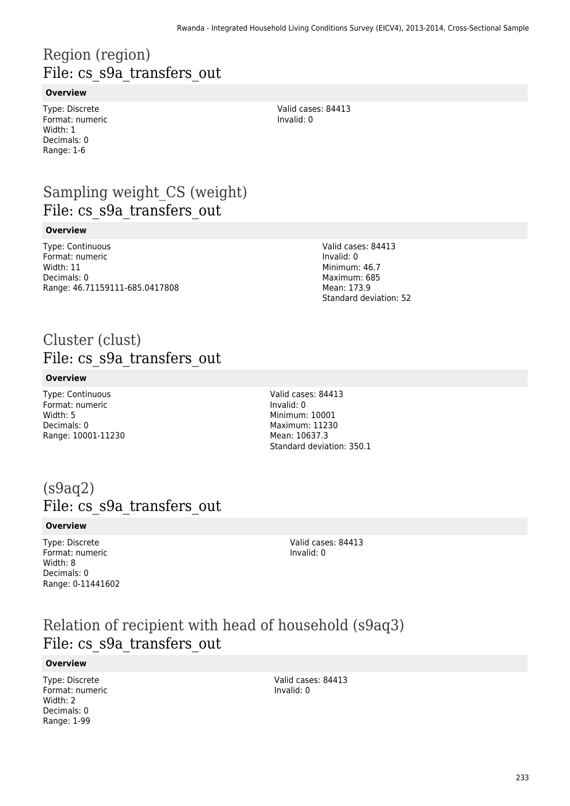# Region (region) File: cs s9a transfers out

### **Overview**

Type: Discrete Format: numeric Width: 1 Decimals: 0 Range: 1-6

Valid cases: 84413 Invalid: 0

## Sampling weight\_CS (weight) File: cs s9a transfers out

### **Overview**

Type: Continuous Format: numeric Width: 11 Decimals: 0 Range: 46.71159111-685.0417808

Valid cases: 84413 Invalid: 0 Minimum: 46.7 Maximum: 685 Mean: 173.9 Standard deviation: 52

## Cluster (clust) File: cs\_s9a\_transfers\_out

### **Overview**

Type: Continuous Format: numeric Width: 5 Decimals: 0 Range: 10001-11230

Valid cases: 84413 Invalid: 0 Minimum: 10001 Maximum: 11230 Mean: 10637.3 Standard deviation: 350.1

### (s9aq2) File: cs\_s9a\_transfers\_out

#### **Overview**

Type: Discrete Format: numeric Width: 8 Decimals: 0 Range: 0-11441602 Valid cases: 84413 Invalid: 0

## Relation of recipient with head of household (s9aq3) File: cs\_s9a\_transfers\_out

### **Overview**

Type: Discrete Format: numeric Width: 2 Decimals: 0 Range: 1-99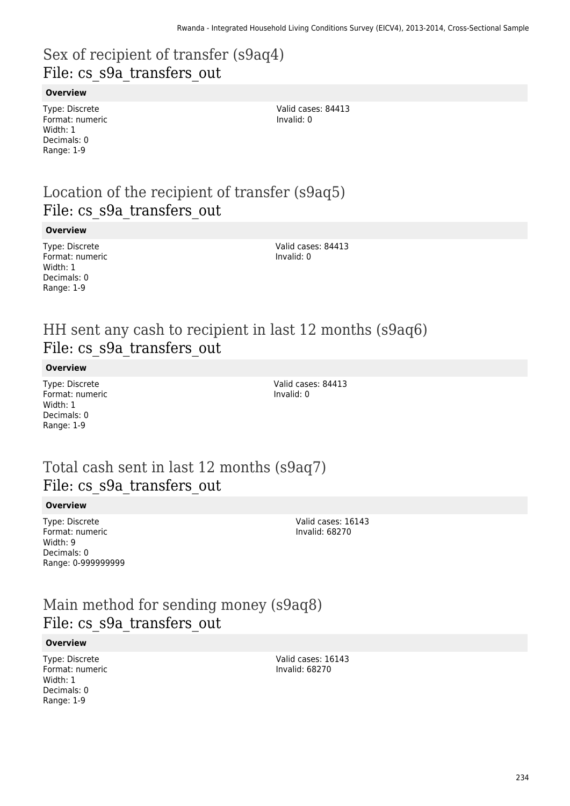# Sex of recipient of transfer (s9aq4) File: cs s9a transfers out

### **Overview**

Type: Discrete Format: numeric Width: 1 Decimals: 0 Range: 1-9

Valid cases: 84413 Invalid: 0

# Location of the recipient of transfer (s9aq5) File: cs s9a transfers out

### **Overview**

Type: Discrete Format: numeric Width: 1 Decimals: 0 Range: 1-9

Valid cases: 84413 Invalid: 0

## HH sent any cash to recipient in last 12 months (s9aq6) File: cs\_s9a\_transfers\_out

### **Overview**

Type: Discrete Format: numeric Width: 1 Decimals: 0 Range: 1-9

Valid cases: 84413 Invalid: 0

## Total cash sent in last 12 months (s9aq7) File: cs\_s9a\_transfers\_out

#### **Overview**

Type: Discrete Format: numeric Width: 9 Decimals: 0 Range: 0-999999999 Valid cases: 16143 Invalid: 68270

Main method for sending money (s9aq8) File: cs\_s9a\_transfers\_out

#### **Overview**

Type: Discrete Format: numeric Width: 1 Decimals: 0 Range: 1-9

Valid cases: 16143 Invalid: 68270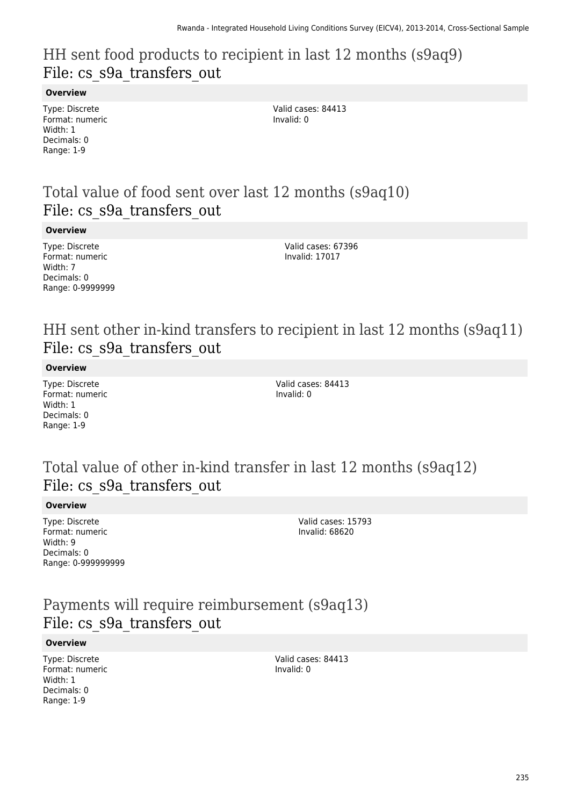# HH sent food products to recipient in last 12 months (s9aq9) File: cs s9a transfers out

**Overview**

Type: Discrete Format: numeric Width: 1 Decimals: 0 Range: 1-9

Valid cases: 84413 Invalid: 0

# Total value of food sent over last 12 months (s9aq10) File: cs\_s9a\_transfers\_out

### **Overview**

Type: Discrete Format: numeric Width: 7 Decimals: 0 Range: 0-9999999 Valid cases: 67396 Invalid: 17017

HH sent other in-kind transfers to recipient in last 12 months (s9aq11) File: cs\_s9a\_transfers\_out

**Overview**

Type: Discrete Format: numeric Width: 1 Decimals: 0 Range: 1-9

Valid cases: 84413 Invalid: 0

# Total value of other in-kind transfer in last 12 months (s9aq12) File: cs\_s9a\_transfers\_out

### **Overview**

Type: Discrete Format: numeric Width: 9 Decimals: 0 Range: 0-999999999 Valid cases: 15793 Invalid: 68620

Payments will require reimbursement (s9aq13) File: cs\_s9a\_transfers\_out

### **Overview**

Type: Discrete Format: numeric Width: 1 Decimals: 0 Range: 1-9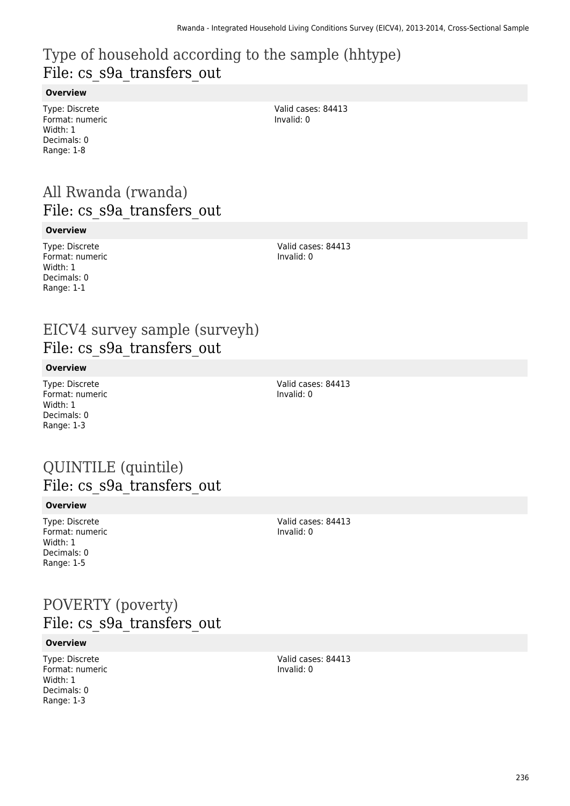# Type of household according to the sample (hhtype) File: cs s9a transfers out

### **Overview**

Type: Discrete Format: numeric Width: 1 Decimals: 0 Range: 1-8

Valid cases: 84413 Invalid: 0

# All Rwanda (rwanda) File: cs s9a transfers out

### **Overview**

Type: Discrete Format: numeric Width: 1 Decimals: 0 Range: 1-1

Valid cases: 84413 Invalid: 0

## EICV4 survey sample (surveyh) File: cs s9a transfers out

### **Overview**

Type: Discrete Format: numeric Width: 1 Decimals: 0 Range: 1-3

Valid cases: 84413 Invalid: 0

# QUINTILE (quintile) File: cs\_s9a\_transfers\_out

### **Overview**

Type: Discrete Format: numeric Width: 1 Decimals: 0 Range: 1-5

Valid cases: 84413 Invalid: 0

## POVERTY (poverty) File: cs\_s9a\_transfers\_out

### **Overview**

Type: Discrete Format: numeric Width: 1 Decimals: 0 Range: 1-3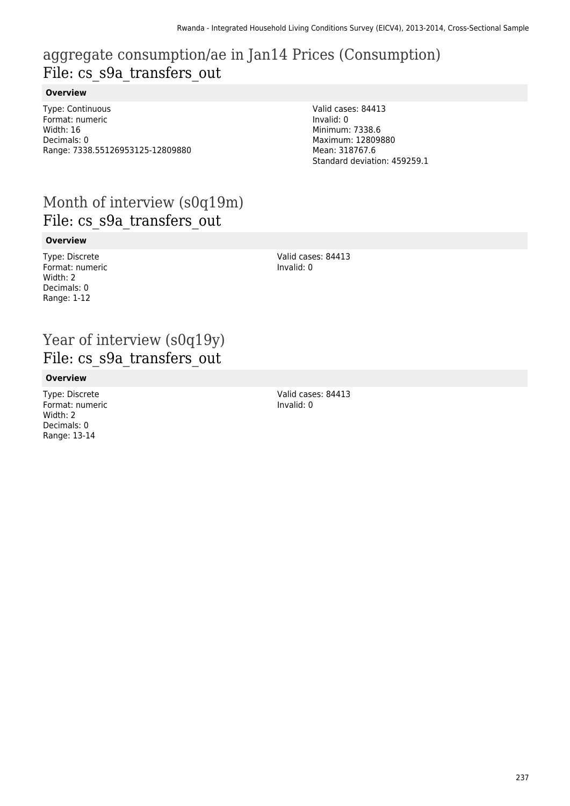# aggregate consumption/ae in Jan14 Prices (Consumption) File: cs\_s9a\_transfers\_out

### **Overview**

Type: Continuous Format: numeric Width: 16 Decimals: 0 Range: 7338.55126953125-12809880 Valid cases: 84413 Invalid: 0 Minimum: 7338.6 Maximum: 12809880 Mean: 318767.6 Standard deviation: 459259.1

# Month of interview (s0q19m) File: cs\_s9a\_transfers\_out

### **Overview**

Type: Discrete Format: numeric Width: 2 Decimals: 0 Range: 1-12

Valid cases: 84413 Invalid: 0

## Year of interview (s0q19y) File: cs\_s9a\_transfers\_out

### **Overview**

Type: Discrete Format: numeric Width: 2 Decimals: 0 Range: 13-14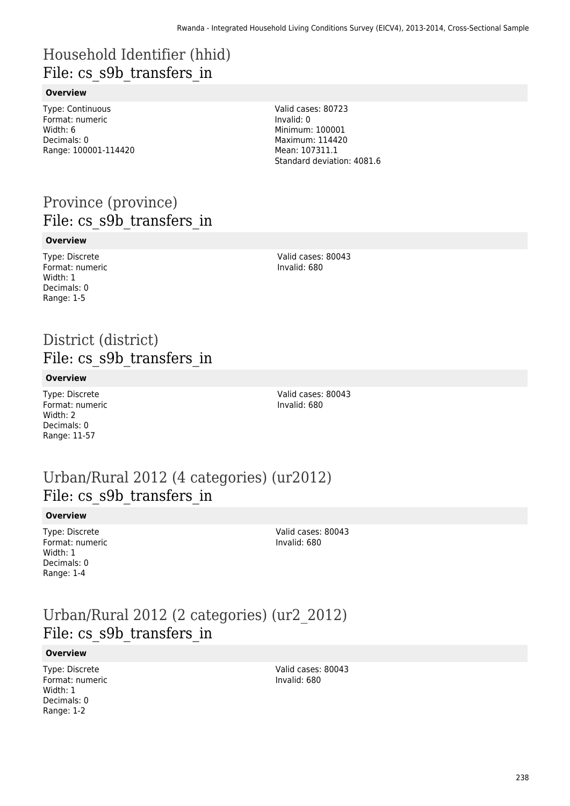# Household Identifier (hhid) File: cs s9b transfers in

### **Overview**

Type: Continuous Format: numeric Width: 6 Decimals: 0 Range: 100001-114420 Valid cases: 80723 Invalid: 0 Minimum: 100001 Maximum: 114420 Mean: 107311.1 Standard deviation: 4081.6

# Province (province) File: cs s9b transfers in

#### **Overview**

Type: Discrete Format: numeric Width: 1 Decimals: 0 Range: 1-5

Valid cases: 80043 Invalid: 680

## District (district) File: cs\_s9b\_transfers\_in

### **Overview**

Type: Discrete Format: numeric Width: 2 Decimals: 0 Range: 11-57

Valid cases: 80043 Invalid: 680

### Urban/Rural 2012 (4 categories) (ur2012) File: cs\_s9b\_transfers\_in

#### **Overview**

Type: Discrete Format: numeric Width: 1 Decimals: 0 Range: 1-4

Valid cases: 80043 Invalid: 680

# Urban/Rural 2012 (2 categories) (ur2\_2012) File: cs\_s9b\_transfers\_in

#### **Overview**

Type: Discrete Format: numeric Width: 1 Decimals: 0 Range: 1-2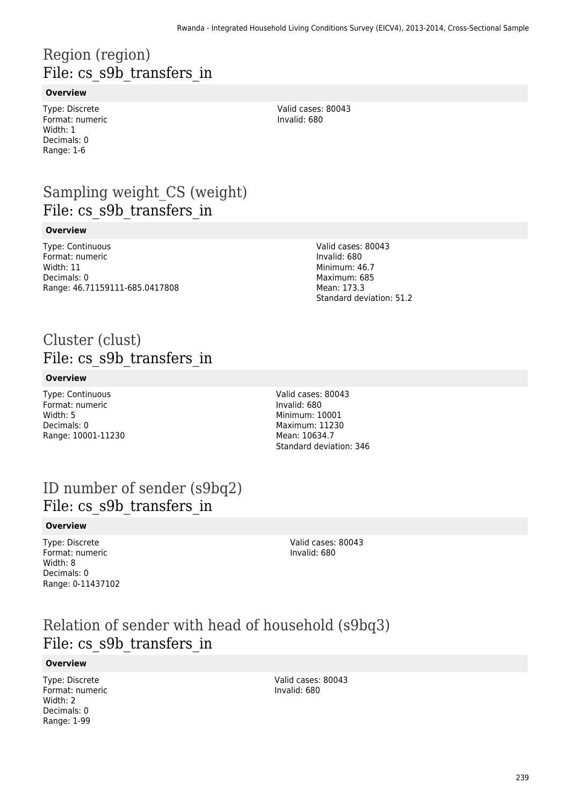# Region (region) File: cs s9b transfers in

### **Overview**

Type: Discrete Format: numeric Width: 1 Decimals: 0 Range: 1-6

Valid cases: 80043 Invalid: 680

## Sampling weight\_CS (weight) File: cs\_s9b\_transfers\_in

### **Overview**

Type: Continuous Format: numeric Width: 11 Decimals: 0 Range: 46.71159111-685.0417808

Valid cases: 80043 Invalid: 680 Minimum: 46.7 Maximum: 685 Mean: 173.3 Standard deviation: 51.2

## Cluster (clust) File: cs s9b transfers in

### **Overview**

Type: Continuous Format: numeric Width: 5 Decimals: 0 Range: 10001-11230 Valid cases: 80043 Invalid: 680 Minimum: 10001 Maximum: 11230 Mean: 10634.7 Standard deviation: 346

## ID number of sender (s9bq2) File: cs\_s9b\_transfers\_in

#### **Overview**

Type: Discrete Format: numeric Width: 8 Decimals: 0 Range: 0-11437102 Valid cases: 80043 Invalid: 680

## Relation of sender with head of household (s9bq3) File: cs\_s9b\_transfers\_in

### **Overview**

Type: Discrete Format: numeric Width: 2 Decimals: 0 Range: 1-99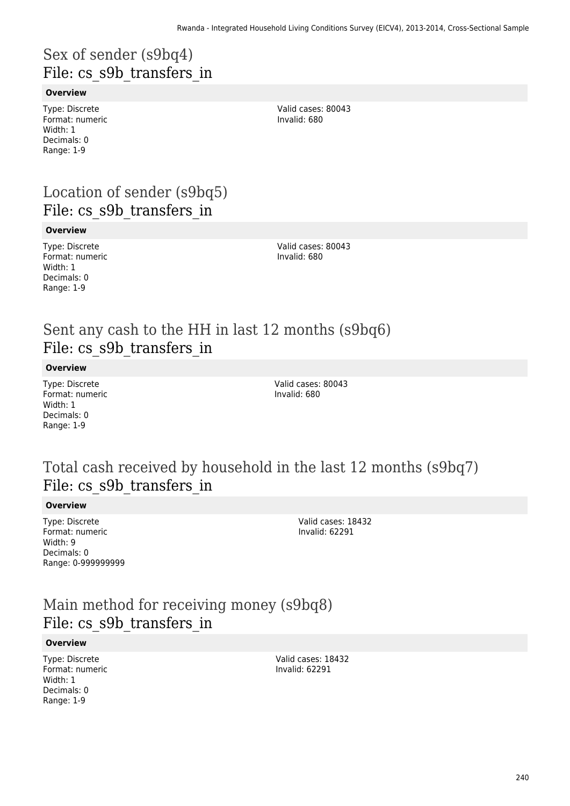# Sex of sender (s9bq4) File: cs s9b transfers in

### **Overview**

Type: Discrete Format: numeric Width: 1 Decimals: 0 Range: 1-9

Valid cases: 80043 Invalid: 680

# Location of sender (s9bq5) File: cs\_s9b\_transfers\_in

### **Overview**

Type: Discrete Format: numeric Width: 1 Decimals: 0 Range: 1-9

Valid cases: 80043 Invalid: 680

# Sent any cash to the HH in last 12 months (s9bq6) File: cs\_s9b\_transfers\_in

### **Overview**

Type: Discrete Format: numeric Width: 1 Decimals: 0 Range: 1-9

Valid cases: 80043 Invalid: 680

# Total cash received by household in the last 12 months (s9bq7) File: cs s9b transfers in

### **Overview**

Type: Discrete Format: numeric Width: 9 Decimals: 0 Range: 0-999999999 Valid cases: 18432 Invalid: 62291

Main method for receiving money (s9bq8) File: cs\_s9b\_transfers\_in

#### **Overview**

Type: Discrete Format: numeric Width: 1 Decimals: 0 Range: 1-9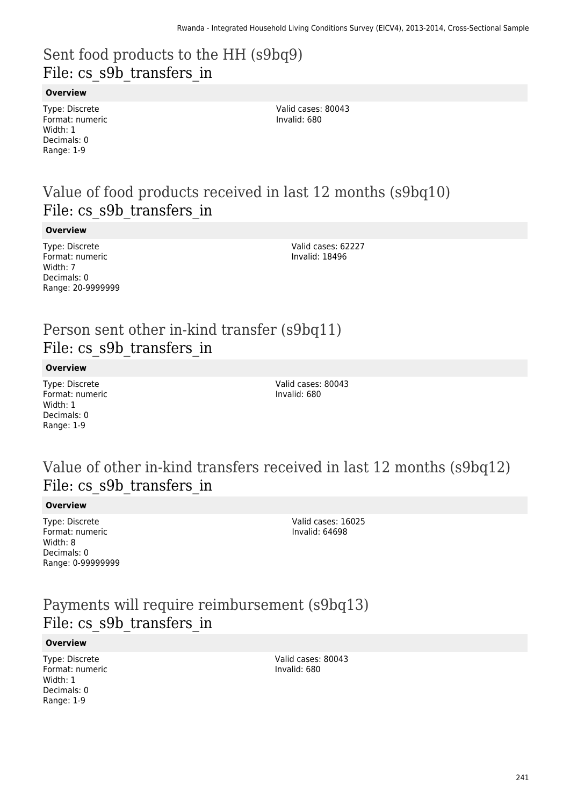# Sent food products to the HH (s9bq9) File: cs s9b transfers in

### **Overview**

Type: Discrete Format: numeric Width: 1 Decimals: 0 Range: 1-9

Valid cases: 80043 Invalid: 680

# Value of food products received in last 12 months (s9bq10) File: cs s9b transfers in

### **Overview**

Type: Discrete Format: numeric Width: 7 Decimals: 0 Range: 20-9999999 Valid cases: 62227 Invalid: 18496

# Person sent other in-kind transfer (s9bq11) File: cs\_s9b\_transfers\_in

### **Overview**

Type: Discrete Format: numeric Width: 1 Decimals: 0 Range: 1-9

Valid cases: 80043 Invalid: 680

## Value of other in-kind transfers received in last 12 months (s9bq12) File: cs s9b transfers in

### **Overview**

Type: Discrete Format: numeric Width: 8 Decimals: 0 Range: 0-99999999 Valid cases: 16025 Invalid: 64698

## Payments will require reimbursement (s9bq13) File: cs\_s9b\_transfers\_in

#### **Overview**

Type: Discrete Format: numeric Width: 1 Decimals: 0 Range: 1-9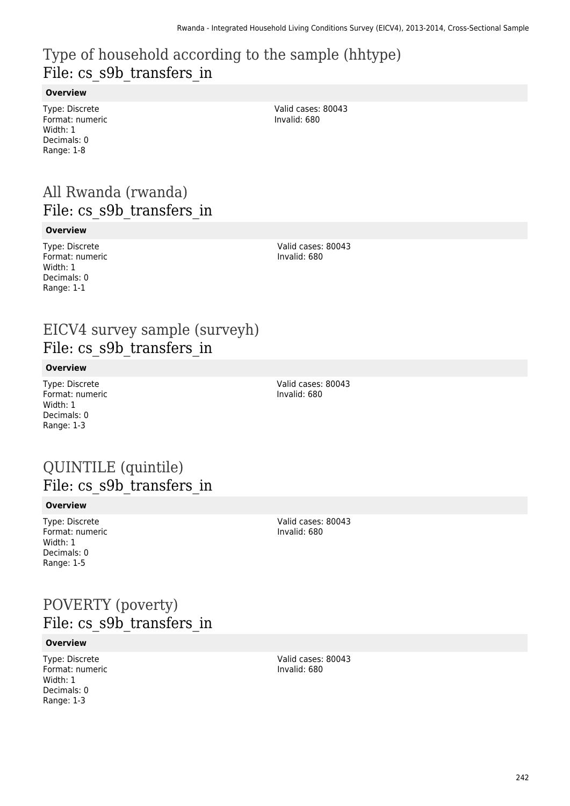# Type of household according to the sample (hhtype) File: cs\_s9b\_transfers\_in

### **Overview**

Type: Discrete Format: numeric Width: 1 Decimals: 0 Range: 1-8

Valid cases: 80043 Invalid: 680

# All Rwanda (rwanda) File: cs\_s9b\_transfers\_in

### **Overview**

Type: Discrete Format: numeric Width: 1 Decimals: 0 Range: 1-1

Valid cases: 80043 Invalid: 680

## EICV4 survey sample (surveyh) File: cs s9b transfers in

### **Overview**

Type: Discrete Format: numeric Width: 1 Decimals: 0 Range: 1-3

Valid cases: 80043 Invalid: 680

## QUINTILE (quintile) File: cs\_s9b\_transfers\_in

### **Overview**

Type: Discrete Format: numeric Width: 1 Decimals: 0 Range: 1-5

Valid cases: 80043 Invalid: 680

## POVERTY (poverty) File: cs\_s9b\_transfers\_in

#### **Overview**

Type: Discrete Format: numeric Width: 1 Decimals: 0 Range: 1-3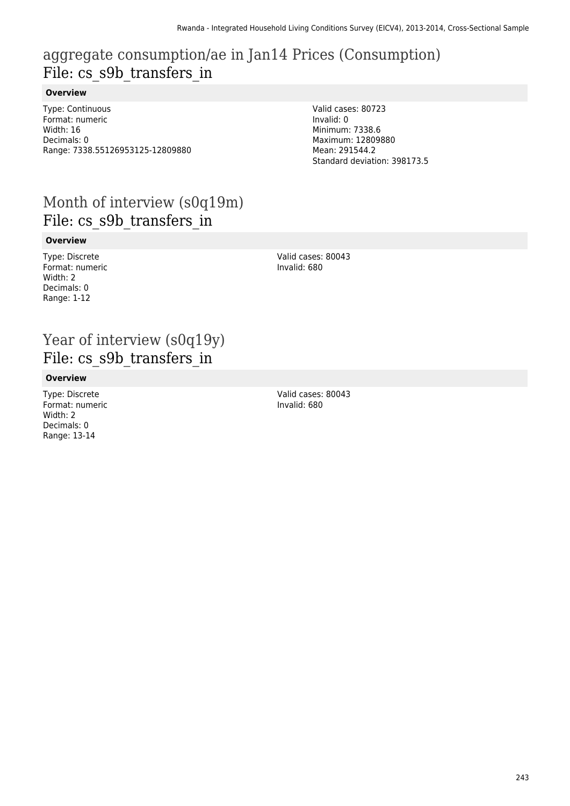# aggregate consumption/ae in Jan14 Prices (Consumption) File: cs\_s9b\_transfers\_in

### **Overview**

Type: Continuous Format: numeric Width: 16 Decimals: 0 Range: 7338.55126953125-12809880 Valid cases: 80723 Invalid: 0 Minimum: 7338.6 Maximum: 12809880 Mean: 291544.2 Standard deviation: 398173.5

# Month of interview (s0q19m) File: cs\_s9b\_transfers\_in

### **Overview**

Type: Discrete Format: numeric Width: 2 Decimals: 0 Range: 1-12

Valid cases: 80043 Invalid: 680

## Year of interview (s0q19y) File: cs\_s9b\_transfers\_in

### **Overview**

Type: Discrete Format: numeric Width: 2 Decimals: 0 Range: 13-14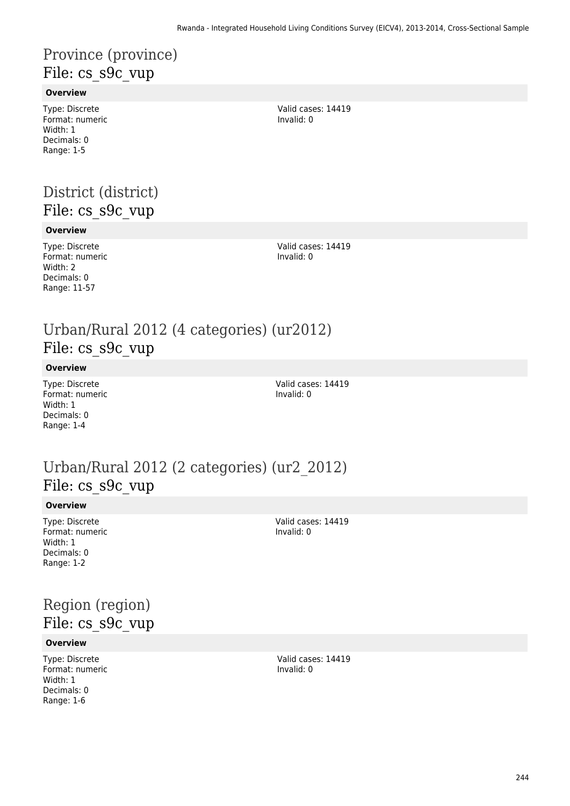# Province (province) File: cs\_s9c\_vup

### **Overview**

Type: Discrete Format: numeric Width: 1 Decimals: 0 Range: 1-5

Valid cases: 14419 Invalid: 0

# District (district) File: cs\_s9c\_vup

#### **Overview**

Type: Discrete Format: numeric Width: 2 Decimals: 0 Range: 11-57

Valid cases: 14419 Invalid: 0

# Urban/Rural 2012 (4 categories) (ur2012) File: cs\_s9c\_vup

#### **Overview**

Type: Discrete Format: numeric Width: 1 Decimals: 0 Range: 1-4

Valid cases: 14419 Invalid: 0

# Urban/Rural 2012 (2 categories) (ur2\_2012) File: cs\_s9c\_vup

#### **Overview**

Type: Discrete Format: numeric Width: 1 Decimals: 0 Range: 1-2

Valid cases: 14419 Invalid: 0

# Region (region) File: cs\_s9c\_vup

#### **Overview**

Type: Discrete Format: numeric Width: 1 Decimals: 0 Range: 1-6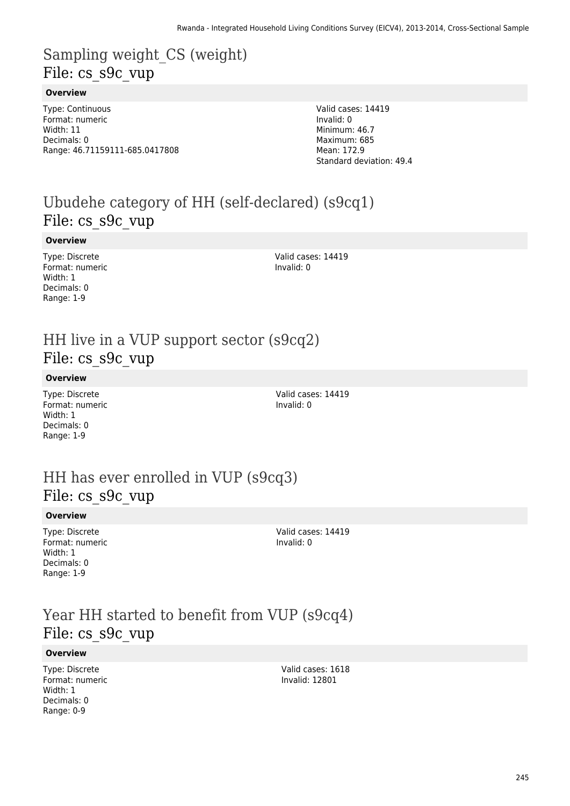# Sampling weight\_CS (weight) File: cs\_s9c\_vup

### **Overview**

Type: Continuous Format: numeric Width: 11 Decimals: 0 Range: 46.71159111-685.0417808 Valid cases: 14419 Invalid: 0 Minimum: 46.7 Maximum: 685 Mean: 172.9 Standard deviation: 49.4

# Ubudehe category of HH (self-declared) (s9cq1) File: cs\_s9c\_vup

### **Overview**

Type: Discrete Format: numeric Width: 1 Decimals: 0 Range: 1-9

Valid cases: 14419 Invalid: 0

# HH live in a VUP support sector (s9cq2) File: cs\_s9c\_vup

### **Overview**

Type: Discrete Format: numeric Width: 1 Decimals: 0 Range: 1-9

Valid cases: 14419 Invalid: 0

## HH has ever enrolled in VUP (s9cq3) File: cs\_s9c\_vup

#### **Overview**

Type: Discrete Format: numeric Width: 1 Decimals: 0 Range: 1-9

Valid cases: 14419 Invalid: 0

# Year HH started to benefit from VUP (s9cq4) File: cs\_s9c\_vup

#### **Overview**

Type: Discrete Format: numeric Width: 1 Decimals: 0 Range: 0-9

Valid cases: 1618 Invalid: 12801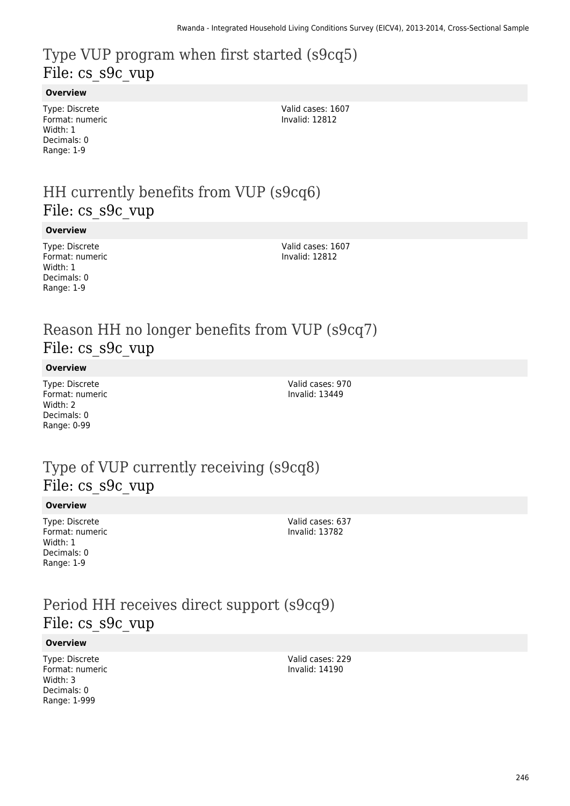# Type VUP program when first started (s9cq5) File: cs\_s9c\_vup

### **Overview**

Type: Discrete Format: numeric Width: 1 Decimals: 0 Range: 1-9

Valid cases: 1607 Invalid: 12812

# HH currently benefits from VUP (s9cq6) File: cs\_s9c\_vup

#### **Overview**

Type: Discrete Format: numeric Width: 1 Decimals: 0 Range: 1-9

Valid cases: 1607 Invalid: 12812

# Reason HH no longer benefits from VUP (s9cq7) File: cs\_s9c\_vup

**Overview**

Type: Discrete Format: numeric Width: 2 Decimals: 0 Range: 0-99

Valid cases: 970 Invalid: 13449

## Type of VUP currently receiving (s9cq8) File: cs\_s9c\_vup

#### **Overview**

Type: Discrete Format: numeric Width: 1 Decimals: 0 Range: 1-9

Valid cases: 637 Invalid: 13782

# Period HH receives direct support (s9cq9) File: cs\_s9c\_vup

#### **Overview**

Type: Discrete Format: numeric Width: 3 Decimals: 0 Range: 1-999

Valid cases: 229 Invalid: 14190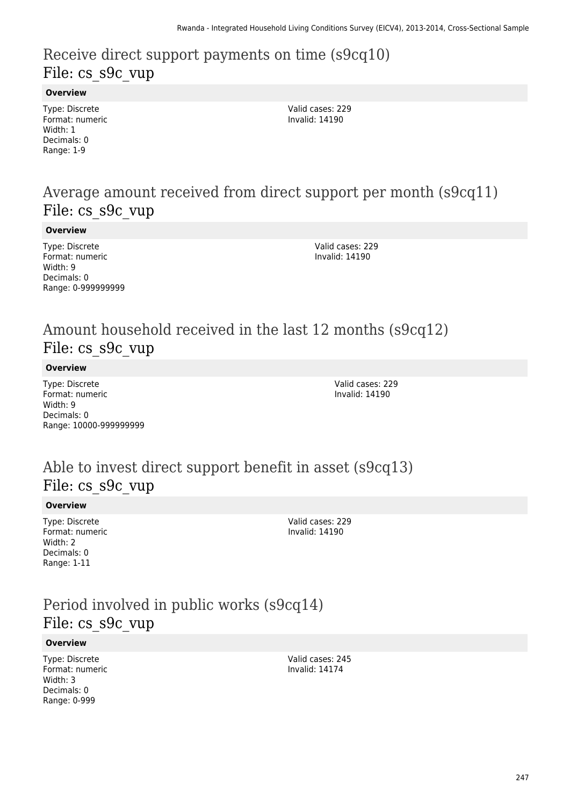# Receive direct support payments on time (s9cq10) File: cs\_s9c\_vup

### **Overview**

Type: Discrete Format: numeric Width: 1 Decimals: 0 Range: 1-9

Valid cases: 229 Invalid: 14190

# Average amount received from direct support per month (s9cq11) File: cs\_s9c\_vup

### **Overview**

Type: Discrete Format: numeric Width: 9 Decimals: 0 Range: 0-999999999

Valid cases: 229 Invalid: 14190

# Amount household received in the last 12 months (s9cq12) File: cs\_s9c\_vup

**Overview**

Type: Discrete Format: numeric Width: 9 Decimals: 0 Range: 10000-999999999 Valid cases: 229 Invalid: 14190

# Able to invest direct support benefit in asset (s9cq13) File: cs\_s9c\_vup

### **Overview**

Type: Discrete Format: numeric Width: 2 Decimals: 0 Range: 1-11

Valid cases: 229 Invalid: 14190

# Period involved in public works (s9cq14) File: cs\_s9c\_vup

### **Overview**

Type: Discrete Format: numeric Width: 3 Decimals: 0 Range: 0-999

Valid cases: 245 Invalid: 14174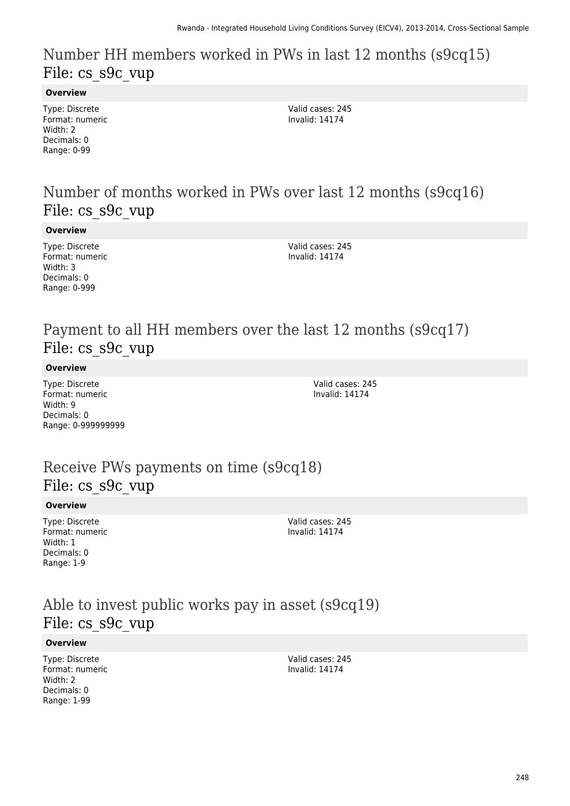# Number HH members worked in PWs in last 12 months (s9cq15) File: cs\_s9c\_vup

### **Overview**

Type: Discrete Format: numeric Width: 2 Decimals: 0 Range: 0-99

Valid cases: 245 Invalid: 14174

# Number of months worked in PWs over last 12 months (s9cq16) File: cs\_s9c\_vup

### **Overview**

Type: Discrete Format: numeric Width: 3 Decimals: 0 Range: 0-999

Valid cases: 245 Invalid: 14174

# Payment to all HH members over the last 12 months (s9cq17) File: cs\_s9c\_vup

**Overview**

Type: Discrete Format: numeric Width: 9 Decimals: 0 Range: 0-999999999

Valid cases: 245 Invalid: 14174

# Receive PWs payments on time (s9cq18) File: cs\_s9c\_vup

### **Overview**

Type: Discrete Format: numeric Width: 1 Decimals: 0 Range: 1-9

Valid cases: 245 Invalid: 14174

# Able to invest public works pay in asset (s9cq19) File: cs\_s9c\_vup

### **Overview**

Type: Discrete Format: numeric Width: 2 Decimals: 0 Range: 1-99

Valid cases: 245 Invalid: 14174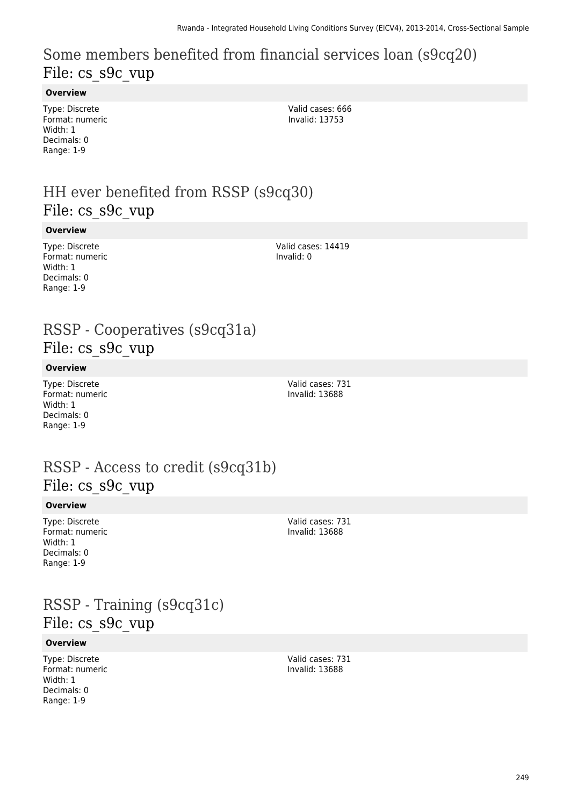# Some members benefited from financial services loan (s9cq20) File: cs\_s9c\_vup

### **Overview**

Type: Discrete Format: numeric Width: 1 Decimals: 0 Range: 1-9

HH ever benefited from RSSP (s9cq30) File: cs\_s9c\_vup

#### **Overview**

Type: Discrete Format: numeric Width: 1 Decimals: 0 Range: 1-9

Valid cases: 14419 Invalid: 0

Valid cases: 666 Invalid: 13753

# RSSP - Cooperatives (s9cq31a) File: cs\_s9c\_vup

### **Overview**

Type: Discrete Format: numeric Width: 1 Decimals: 0 Range: 1-9

Valid cases: 731 Invalid: 13688

## RSSP - Access to credit (s9cq31b) File: cs\_s9c\_vup

#### **Overview**

Type: Discrete Format: numeric Width: 1 Decimals: 0 Range: 1-9

Valid cases: 731 Invalid: 13688

# RSSP - Training (s9cq31c) File: cs\_s9c\_vup

#### **Overview**

Type: Discrete Format: numeric Width: 1 Decimals: 0 Range: 1-9

Valid cases: 731 Invalid: 13688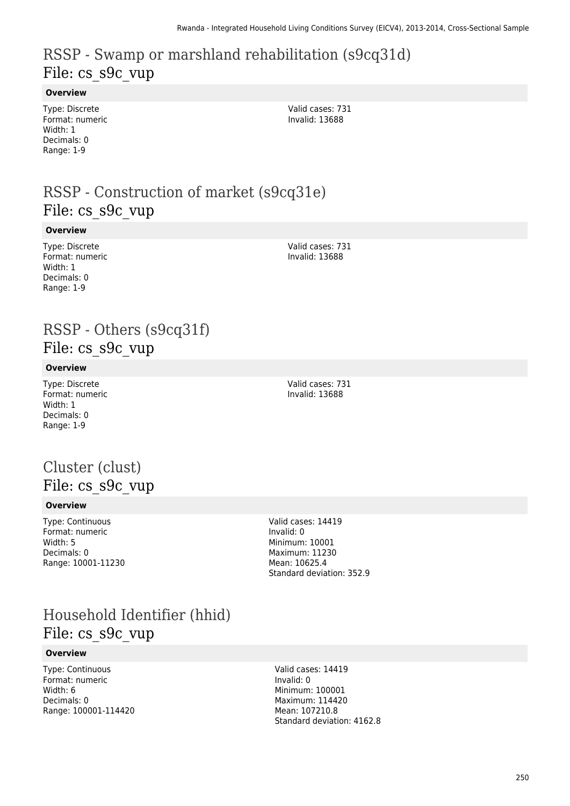# RSSP - Swamp or marshland rehabilitation (s9cq31d) File: cs\_s9c\_vup

### **Overview**

Type: Discrete Format: numeric Width: 1 Decimals: 0 Range: 1-9

Valid cases: 731 Invalid: 13688

## RSSP - Construction of market (s9cq31e) File: cs\_s9c\_vup

#### **Overview**

Type: Discrete Format: numeric Width: 1 Decimals: 0 Range: 1-9

Valid cases: 731 Invalid: 13688

# RSSP - Others (s9cq31f) File: cs\_s9c\_vup

### **Overview**

Type: Discrete Format: numeric Width: 1 Decimals: 0 Range: 1-9

Valid cases: 731 Invalid: 13688

# Cluster (clust) File: cs\_s9c\_vup

#### **Overview**

Type: Continuous Format: numeric Width: 5 Decimals: 0 Range: 10001-11230 Valid cases: 14419 Invalid: 0 Minimum: 10001 Maximum: 11230 Mean: 10625.4 Standard deviation: 352.9

# Household Identifier (hhid) File: cs\_s9c\_vup

#### **Overview**

Type: Continuous Format: numeric Width: 6 Decimals: 0 Range: 100001-114420 Valid cases: 14419 Invalid: 0 Minimum: 100001 Maximum: 114420 Mean: 107210.8 Standard deviation: 4162.8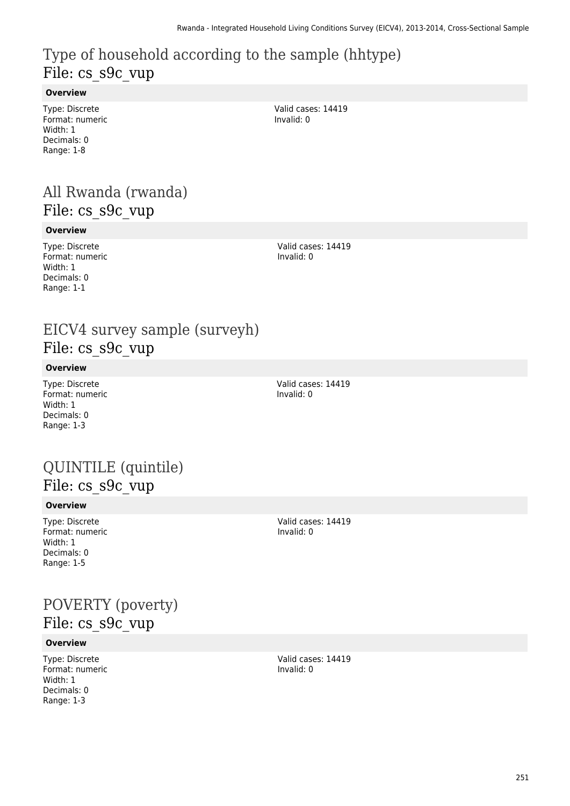# Type of household according to the sample (hhtype) File: cs\_s9c\_vup

### **Overview**

Type: Discrete Format: numeric Width: 1 Decimals: 0 Range: 1-8

Valid cases: 14419 Invalid: 0

# All Rwanda (rwanda) File: cs\_s9c\_vup

#### **Overview**

Type: Discrete Format: numeric Width: 1 Decimals: 0 Range: 1-1

Valid cases: 14419 Invalid: 0

## EICV4 survey sample (surveyh) File: cs\_s9c\_vup

### **Overview**

Type: Discrete Format: numeric Width: 1 Decimals: 0 Range: 1-3

Valid cases: 14419 Invalid: 0

## QUINTILE (quintile) File: cs\_s9c\_vup

#### **Overview**

Type: Discrete Format: numeric Width: 1 Decimals: 0 Range: 1-5

## POVERTY (poverty) File: cs\_s9c\_vup

#### **Overview**

Type: Discrete Format: numeric Width: 1 Decimals: 0 Range: 1-3

Valid cases: 14419 Invalid: 0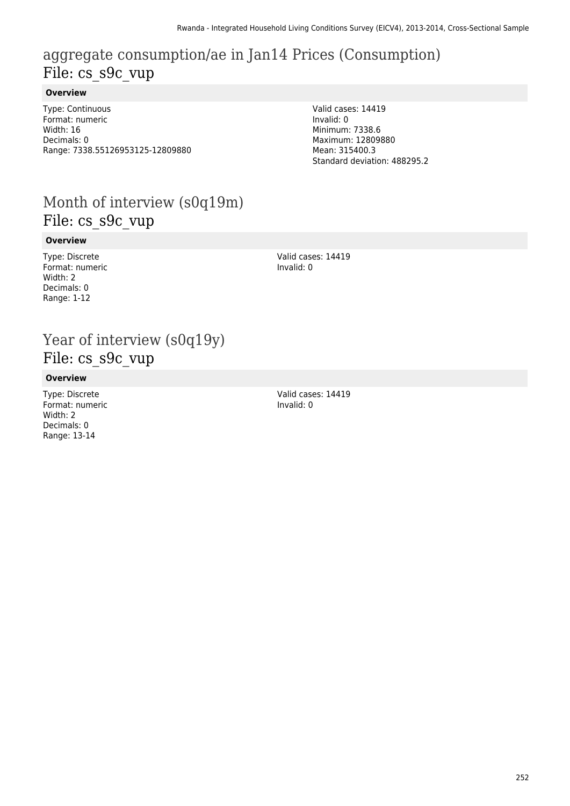# aggregate consumption/ae in Jan14 Prices (Consumption) File: cs\_s9c\_vup

### **Overview**

Type: Continuous Format: numeric Width: 16 Decimals: 0 Range: 7338.55126953125-12809880 Valid cases: 14419 Invalid: 0 Minimum: 7338.6 Maximum: 12809880 Mean: 315400.3 Standard deviation: 488295.2

# Month of interview (s0q19m) File: cs\_s9c\_vup

### **Overview**

Type: Discrete Format: numeric Width: 2 Decimals: 0 Range: 1-12

Valid cases: 14419 Invalid: 0

## Year of interview (s0q19y) File: cs\_s9c\_vup

### **Overview**

Type: Discrete Format: numeric Width: 2 Decimals: 0 Range: 13-14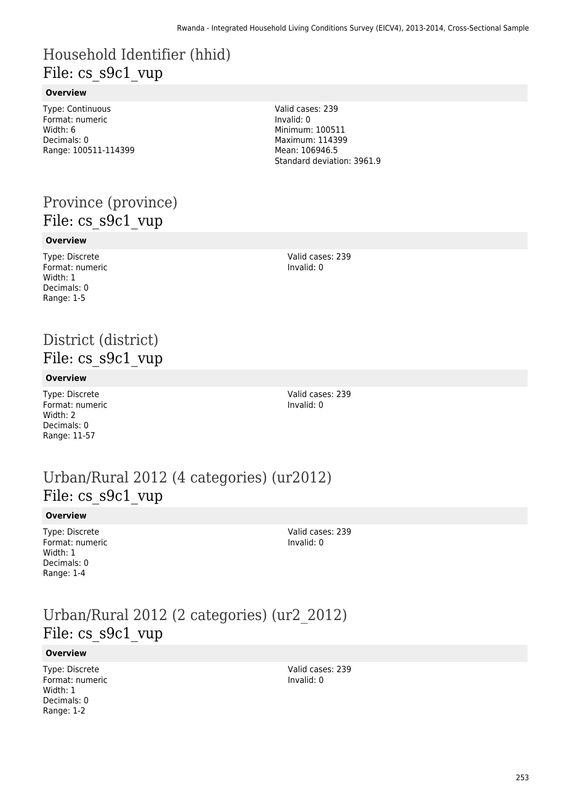# Household Identifier (hhid) File: cs\_s9c1\_vup

### **Overview**

Type: Continuous Format: numeric Width: 6 Decimals: 0 Range: 100511-114399 Valid cases: 239 Invalid: 0 Minimum: 100511 Maximum: 114399 Mean: 106946.5 Standard deviation: 3961.9

# Province (province) File: cs\_s9c1\_vup

#### **Overview**

Type: Discrete Format: numeric Width: 1 Decimals: 0 Range: 1-5

### District (district) File: cs\_s9c1\_vup

### **Overview**

Type: Discrete Format: numeric Width: 2 Decimals: 0 Range: 11-57

Valid cases: 239 Invalid: 0

Valid cases: 239 Invalid: 0

## Urban/Rural 2012 (4 categories) (ur2012) File: cs\_s9c1\_vup

#### **Overview**

Type: Discrete Format: numeric Width: 1 Decimals: 0 Range: 1-4

Valid cases: 239 Invalid: 0

# Urban/Rural 2012 (2 categories) (ur2\_2012) File: cs\_s9c1\_vup

#### **Overview**

Type: Discrete Format: numeric Width: 1 Decimals: 0 Range: 1-2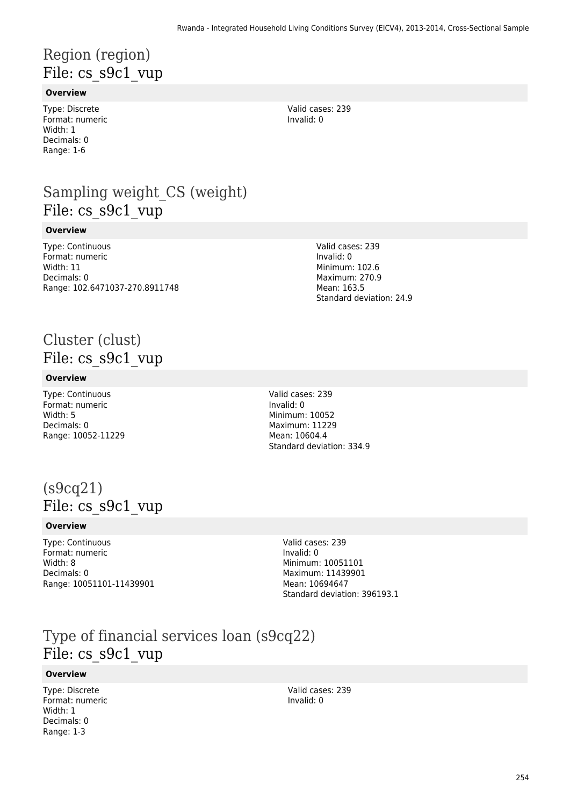# Region (region) File: cs\_s9c1\_vup

### **Overview**

Type: Discrete Format: numeric Width: 1 Decimals: 0 Range: 1-6

Valid cases: 239 Invalid: 0

### Sampling weight\_CS (weight) File: cs\_s9c1\_vup

#### **Overview**

Type: Continuous Format: numeric Width: 11 Decimals: 0 Range: 102.6471037-270.8911748 Valid cases: 239 Invalid: 0 Minimum: 102.6 Maximum: 270.9 Mean: 163.5 Standard deviation: 24.9

## Cluster (clust) File: cs\_s9c1\_vup

#### **Overview**

Type: Continuous Format: numeric Width: 5 Decimals: 0 Range: 10052-11229 Valid cases: 239 Invalid: 0 Minimum: 10052 Maximum: 11229 Mean: 10604.4 Standard deviation: 334.9

### (s9cq21) File: cs\_s9c1\_vup

#### **Overview**

Type: Continuous Format: numeric Width: 8 Decimals: 0 Range: 10051101-11439901 Valid cases: 239 Invalid: 0 Minimum: 10051101 Maximum: 11439901 Mean: 10694647 Standard deviation: 396193.1

# Type of financial services loan (s9cq22) File: cs\_s9c1\_vup

#### **Overview**

Type: Discrete Format: numeric Width: 1 Decimals: 0 Range: 1-3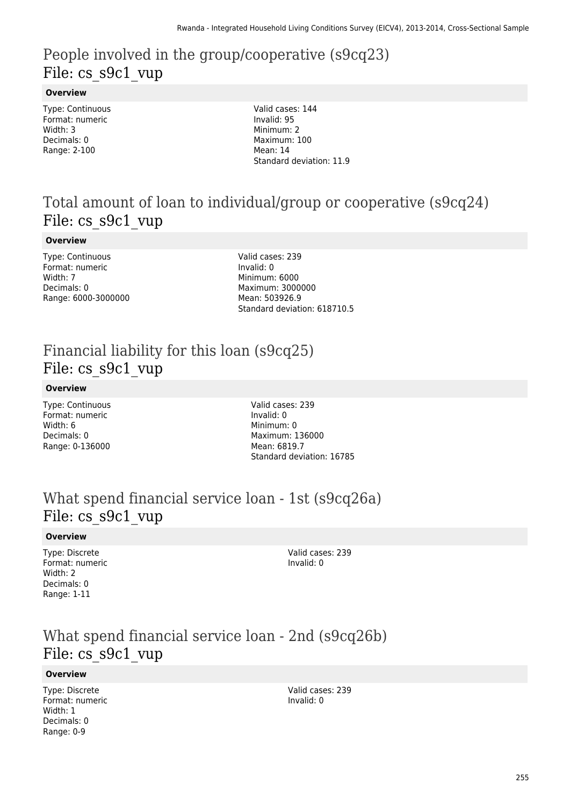# People involved in the group/cooperative (s9cq23) File: cs\_s9c1\_vup

### **Overview**

Type: Continuous Format: numeric Width: 3 Decimals: 0 Range: 2-100

Valid cases: 144 Invalid: 95 Minimum: 2 Maximum: 100 Mean: 14 Standard deviation: 11.9

# Total amount of loan to individual/group or cooperative (s9cq24) File: cs\_s9c1\_vup

#### **Overview**

Type: Continuous Format: numeric Width: 7 Decimals: 0 Range: 6000-3000000

Valid cases: 239 Invalid: 0 Minimum: 6000 Maximum: 3000000 Mean: 503926.9 Standard deviation: 618710.5

# Financial liability for this loan (s9cq25) File: cs\_s9c1\_vup

### **Overview**

Type: Continuous Format: numeric Width: 6 Decimals: 0 Range: 0-136000

Valid cases: 239 Invalid: 0 Minimum: 0 Maximum: 136000 Mean: 6819.7 Standard deviation: 16785

# What spend financial service loan - 1st (s9cq26a) File: cs\_s9c1\_vup

### **Overview**

Type: Discrete Format: numeric Width: 2 Decimals: 0 Range: 1-11

Valid cases: 239 Invalid: 0

## What spend financial service loan - 2nd (s9cq26b) File: cs\_s9c1\_vup

### **Overview**

Type: Discrete Format: numeric Width: 1 Decimals: 0 Range: 0-9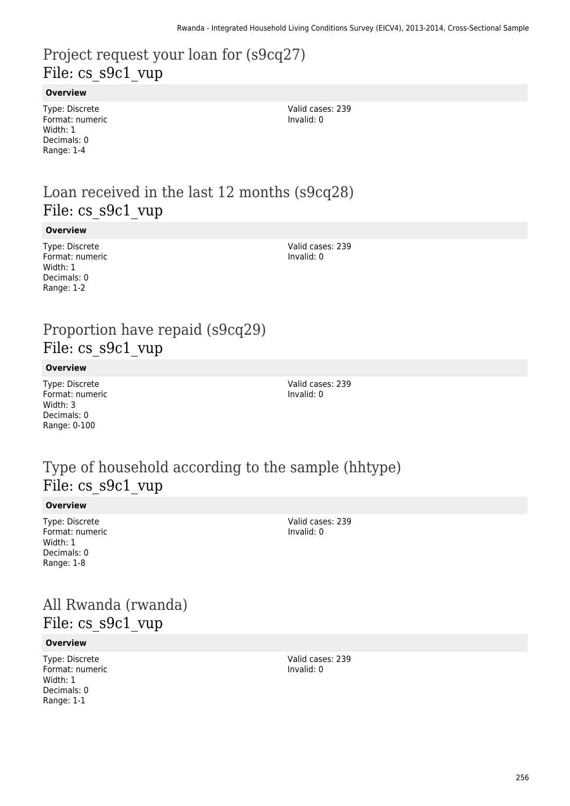# Project request your loan for (s9cq27) File: cs\_s9c1\_vup

### **Overview**

Type: Discrete Format: numeric Width: 1 Decimals: 0 Range: 1-4

## Loan received in the last 12 months (s9cq28) File: cs\_s9c1\_vup

#### **Overview**

Type: Discrete Format: numeric Width: 1 Decimals: 0 Range: 1-2

Valid cases: 239 Invalid: 0

Valid cases: 239 Invalid: 0

# Proportion have repaid (s9cq29) File: cs\_s9c1\_vup

#### **Overview**

Type: Discrete Format: numeric Width: 3 Decimals: 0 Range: 0-100

Valid cases: 239 Invalid: 0

# Type of household according to the sample (hhtype) File: cs\_s9c1\_vup

#### **Overview**

Type: Discrete Format: numeric Width: 1 Decimals: 0 Range: 1-8

Valid cases: 239 Invalid: 0

# All Rwanda (rwanda) File: cs\_s9c1\_vup

#### **Overview**

Type: Discrete Format: numeric Width: 1 Decimals: 0 Range: 1-1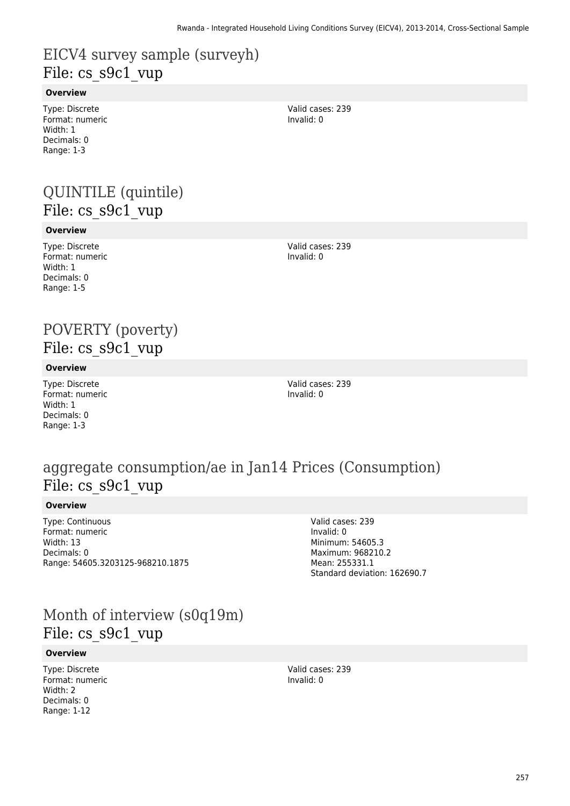# EICV4 survey sample (surveyh) File: cs\_s9c1\_vup

### **Overview**

Type: Discrete Format: numeric Width: 1 Decimals: 0 Range: 1-3

Valid cases: 239 Invalid: 0

# QUINTILE (quintile) File: cs\_s9c1\_vup

#### **Overview**

Type: Discrete Format: numeric Width: 1 Decimals: 0 Range: 1-5

Valid cases: 239 Invalid: 0

# POVERTY (poverty) File: cs\_s9c1\_vup

#### **Overview**

Type: Discrete Format: numeric Width: 1 Decimals: 0 Range: 1-3

Valid cases: 239 Invalid: 0

# aggregate consumption/ae in Jan14 Prices (Consumption) File: cs\_s9c1\_vup

#### **Overview**

Type: Continuous Format: numeric Width: 13 Decimals: 0 Range: 54605.3203125-968210.1875 Valid cases: 239 Invalid: 0 Minimum: 54605.3 Maximum: 968210.2 Mean: 255331.1 Standard deviation: 162690.7

# Month of interview (s0q19m) File: cs\_s9c1\_vup

#### **Overview**

Type: Discrete Format: numeric Width: 2 Decimals: 0 Range: 1-12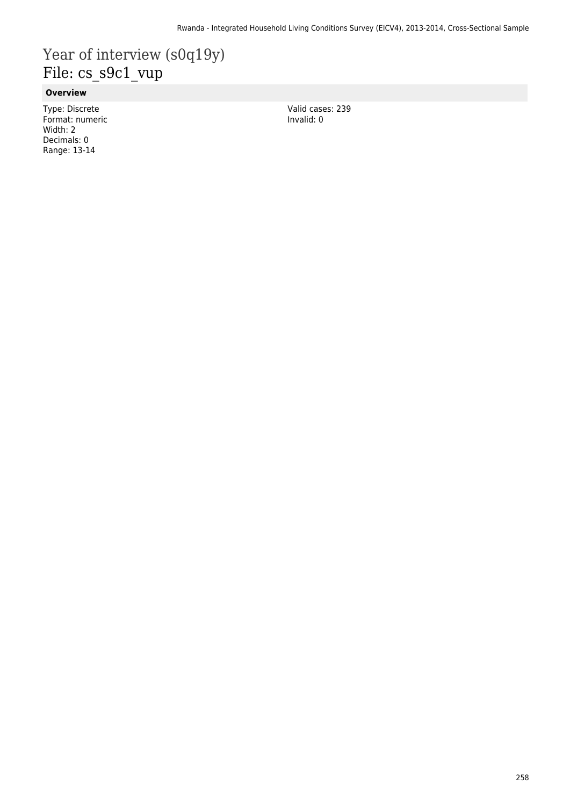# Year of interview (s0q19y) File: cs\_s9c1\_vup

### **Overview**

Type: Discrete Format: numeric Width: 2 Decimals: 0 Range: 13-14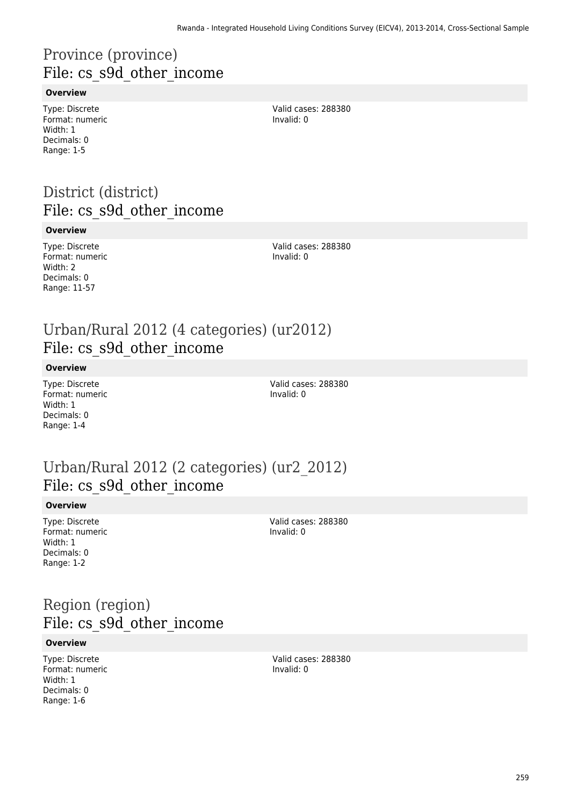# Province (province) File: cs s9d other income

### **Overview**

Type: Discrete Format: numeric Width: 1 Decimals: 0 Range: 1-5

Valid cases: 288380 Invalid: 0

## District (district) File: cs s9d other income

#### **Overview**

Type: Discrete Format: numeric Width: 2 Decimals: 0 Range: 11-57

Valid cases: 288380 Invalid: 0

## Urban/Rural 2012 (4 categories) (ur2012) File: cs\_s9d\_other\_income

#### **Overview**

Type: Discrete Format: numeric Width: 1 Decimals: 0 Range: 1-4

Valid cases: 288380 Invalid: 0

## Urban/Rural 2012 (2 categories) (ur2\_2012) File: cs\_s9d\_other\_income

#### **Overview**

Type: Discrete Format: numeric Width: 1 Decimals: 0 Range: 1-2

Valid cases: 288380 Invalid: 0

## Region (region) File: cs\_s9d\_other\_income

#### **Overview**

Type: Discrete Format: numeric Width: 1 Decimals: 0 Range: 1-6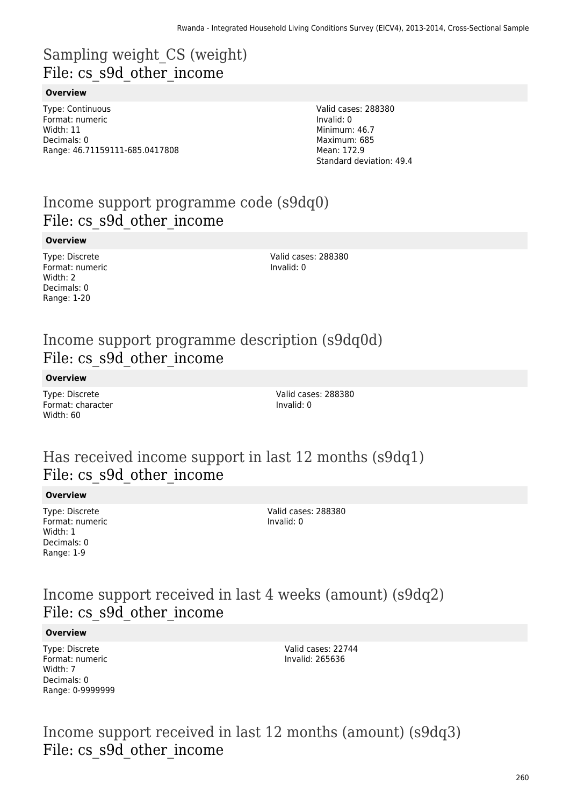# Sampling weight\_CS (weight) File: cs\_s9d\_other\_income

### **Overview**

Type: Continuous Format: numeric Width: 11 Decimals: 0 Range: 46.71159111-685.0417808

Valid cases: 288380 Invalid: 0 Minimum: 46.7 Maximum: 685 Mean: 172.9 Standard deviation: 49.4

# Income support programme code (s9dq0) File: cs\_s9d\_other\_income

#### **Overview**

Type: Discrete Format: numeric Width: 2 Decimals: 0 Range: 1-20

Valid cases: 288380 Invalid: 0

## Income support programme description (s9dq0d) File: cs\_s9d\_other\_income

### **Overview**

Type: Discrete Format: character Width: 60

Valid cases: 288380 Invalid: 0

## Has received income support in last 12 months (s9dq1) File: cs\_s9d\_other\_income

### **Overview**

Type: Discrete Format: numeric Width: 1 Decimals: 0 Range: 1-9

Valid cases: 288380 Invalid: 0

## Income support received in last 4 weeks (amount) (s9dq2) File: cs\_s9d\_other\_income

### **Overview**

Type: Discrete Format: numeric Width: 7 Decimals: 0 Range: 0-9999999 Valid cases: 22744 Invalid: 265636

Income support received in last 12 months (amount) (s9dq3) File: cs\_s9d\_other\_income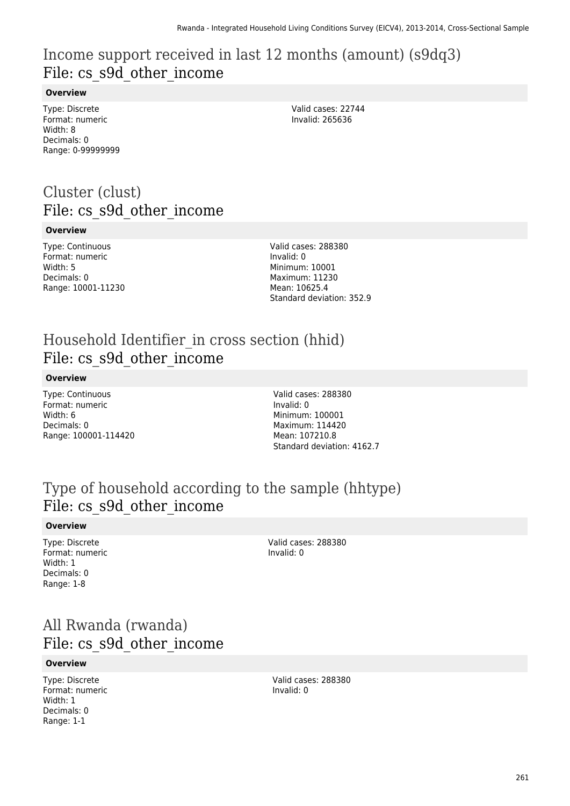# Income support received in last 12 months (amount) (s9dq3) File: cs s9d other income

### **Overview**

Type: Discrete Format: numeric Width: 8 Decimals: 0 Range: 0-99999999 Valid cases: 22744 Invalid: 265636

## Cluster (clust) File: cs\_s9d\_other\_income

#### **Overview**

Type: Continuous Format: numeric Width: 5 Decimals: 0 Range: 10001-11230

Valid cases: 288380 Invalid: 0 Minimum: 10001 Maximum: 11230 Mean: 10625.4 Standard deviation: 352.9

## Household Identifier\_in cross section (hhid) File: cs\_s9d\_other\_income

### **Overview**

Type: Continuous Format: numeric Width: 6 Decimals: 0 Range: 100001-114420 Valid cases: 288380 Invalid: 0 Minimum: 100001 Maximum: 114420 Mean: 107210.8 Standard deviation: 4162.7

## Type of household according to the sample (hhtype) File: cs\_s9d\_other\_income

### **Overview**

Type: Discrete Format: numeric Width: 1 Decimals: 0 Range: 1-8

Valid cases: 288380 Invalid: 0

# All Rwanda (rwanda) File: cs\_s9d\_other\_income

### **Overview**

Type: Discrete Format: numeric Width: 1 Decimals: 0 Range: 1-1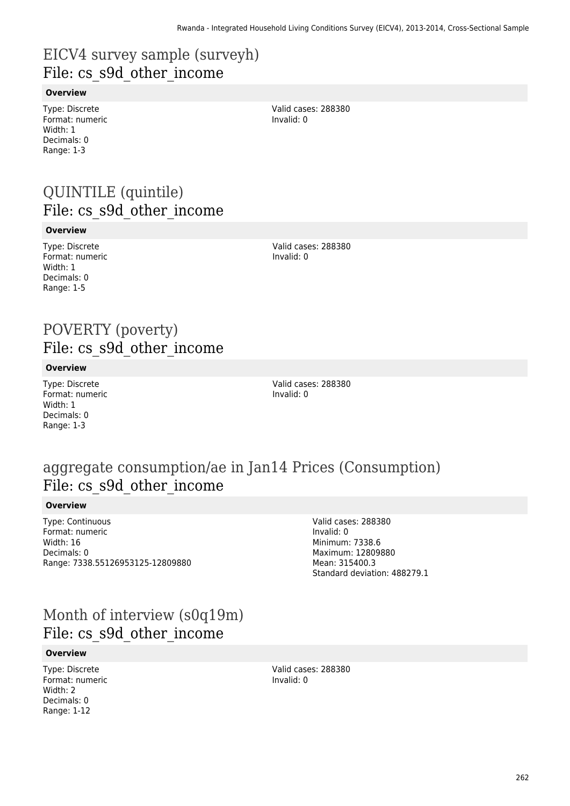# EICV4 survey sample (surveyh) File: cs s9d other income

### **Overview**

Type: Discrete Format: numeric Width: 1 Decimals: 0 Range: 1-3

Valid cases: 288380 Invalid: 0

# QUINTILE (quintile) File: cs\_s9d\_other\_income

#### **Overview**

Type: Discrete Format: numeric Width: 1 Decimals: 0 Range: 1-5

Valid cases: 288380 Invalid: 0

# POVERTY (poverty) File: cs s9d other income

#### **Overview**

Type: Discrete Format: numeric Width: 1 Decimals: 0 Range: 1-3

Valid cases: 288380 Invalid: 0

## aggregate consumption/ae in Jan14 Prices (Consumption) File: cs\_s9d\_other\_income

#### **Overview**

Type: Continuous Format: numeric Width: 16 Decimals: 0 Range: 7338.55126953125-12809880 Valid cases: 288380 Invalid: 0 Minimum: 7338.6 Maximum: 12809880 Mean: 315400.3 Standard deviation: 488279.1

# Month of interview (s0q19m) File: cs\_s9d\_other\_income

#### **Overview**

Type: Discrete Format: numeric Width: 2 Decimals: 0 Range: 1-12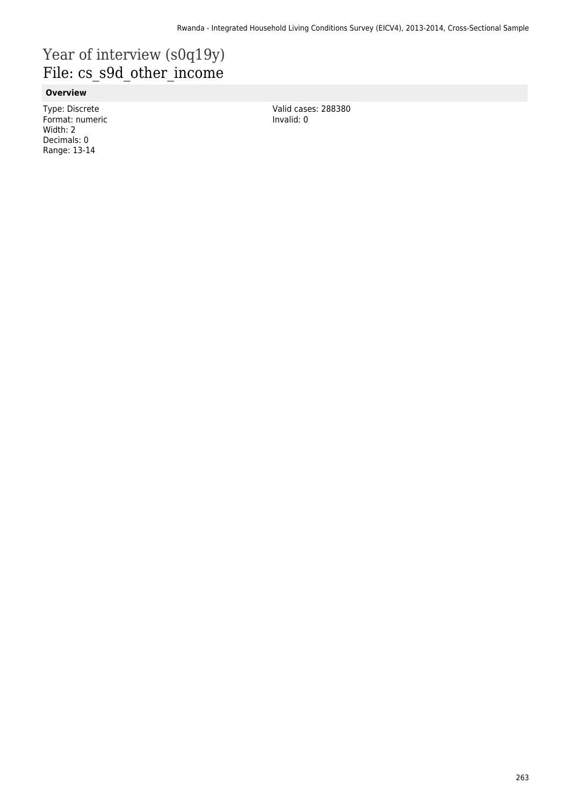# Year of interview (s0q19y) File: cs\_s9d\_other\_income

### **Overview**

Type: Discrete Format: numeric Width: 2 Decimals: 0 Range: 13-14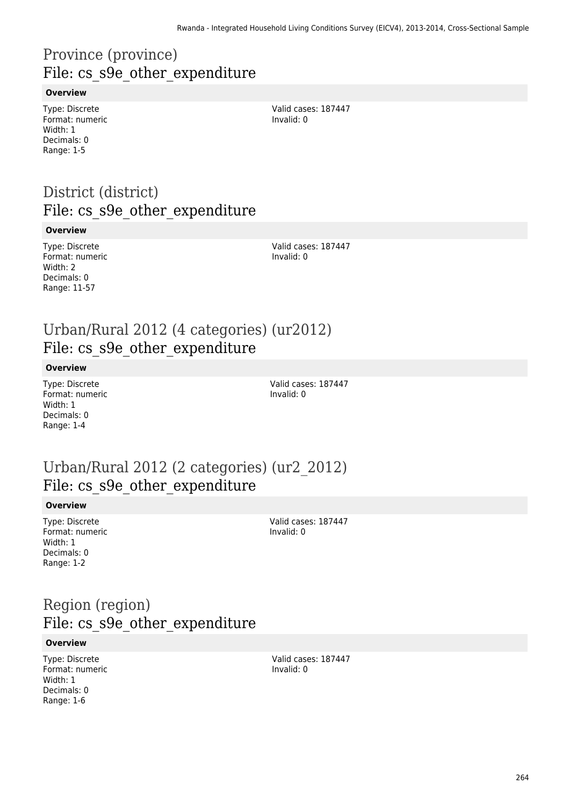# Province (province) File: cs s9e other expenditure

### **Overview**

Type: Discrete Format: numeric Width: 1 Decimals: 0 Range: 1-5

Valid cases: 187447 Invalid: 0

# District (district) File: cs s9e other expenditure

#### **Overview**

Type: Discrete Format: numeric Width: 2 Decimals: 0 Range: 11-57

Valid cases: 187447 Invalid: 0

## Urban/Rural 2012 (4 categories) (ur2012) File: cs s9e other expenditure

#### **Overview**

Type: Discrete Format: numeric Width: 1 Decimals: 0 Range: 1-4

Valid cases: 187447 Invalid: 0

## Urban/Rural 2012 (2 categories) (ur2\_2012) File: cs\_s9e\_other\_expenditure

### **Overview**

Type: Discrete Format: numeric Width: 1 Decimals: 0 Range: 1-2

Valid cases: 187447 Invalid: 0

## Region (region) File: cs\_s9e\_other\_expenditure

#### **Overview**

Type: Discrete Format: numeric Width: 1 Decimals: 0 Range: 1-6

Valid cases: 187447 Invalid: 0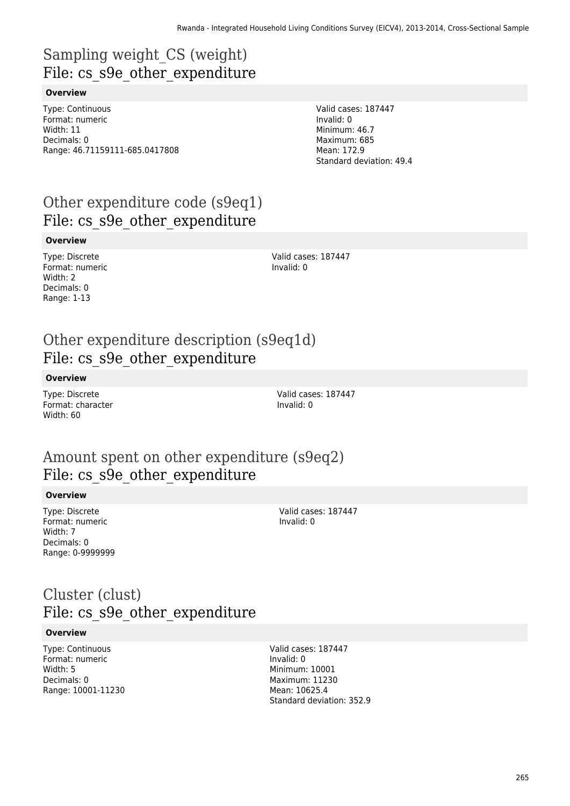# Sampling weight\_CS (weight) File: cs s9e other expenditure

### **Overview**

Type: Continuous Format: numeric Width: 11 Decimals: 0 Range: 46.71159111-685.0417808

Valid cases: 187447 Invalid: 0 Minimum: 46.7 Maximum: 685 Mean: 172.9 Standard deviation: 49.4

# Other expenditure code (s9eq1) File: cs s9e other expenditure

### **Overview**

Type: Discrete Format: numeric Width: 2 Decimals: 0 Range: 1-13

Valid cases: 187447 Invalid: 0

## Other expenditure description (s9eq1d) File: cs\_s9e\_other\_expenditure

### **Overview**

Type: Discrete Format: character Width: 60

Valid cases: 187447 Invalid: 0

### Amount spent on other expenditure (s9eq2) File: cs\_s9e\_other\_expenditure

### **Overview**

Type: Discrete Format: numeric Width: 7 Decimals: 0 Range: 0-9999999

Valid cases: 187447 Invalid: 0

### Cluster (clust) File: cs s9e other expenditure

### **Overview**

Type: Continuous Format: numeric Width: 5 Decimals: 0 Range: 10001-11230 Valid cases: 187447 Invalid: 0 Minimum: 10001 Maximum: 11230 Mean: 10625.4 Standard deviation: 352.9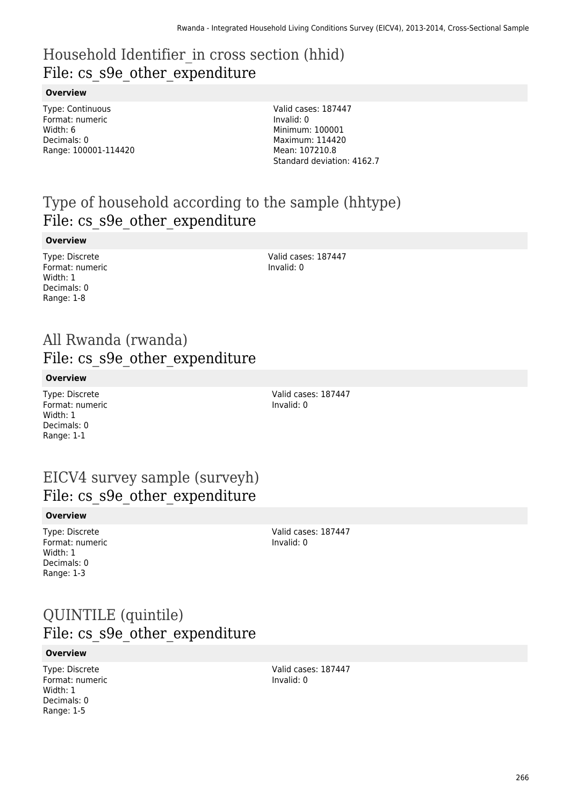# Household Identifier\_in cross section (hhid) File: cs s9e other expenditure

### **Overview**

Type: Continuous Format: numeric Width: 6 Decimals: 0 Range: 100001-114420

Valid cases: 187447 Invalid: 0 Minimum: 100001 Maximum: 114420 Mean: 107210.8 Standard deviation: 4162.7

# Type of household according to the sample (hhtype) File: cs s9e other expenditure

#### **Overview**

Type: Discrete Format: numeric Width: 1 Decimals: 0 Range: 1-8

Valid cases: 187447 Invalid: 0

## All Rwanda (rwanda) File: cs\_s9e\_other\_expenditure

### **Overview**

Type: Discrete Format: numeric Width: 1 Decimals: 0 Range: 1-1

Valid cases: 187447 Invalid: 0

### EICV4 survey sample (surveyh) File: cs\_s9e\_other\_expenditure

#### **Overview**

Type: Discrete Format: numeric Width: 1 Decimals: 0 Range: 1-3

Valid cases: 187447 Invalid: 0

## QUINTILE (quintile) File: cs\_s9e\_other\_expenditure

#### **Overview**

Type: Discrete Format: numeric Width: 1 Decimals: 0 Range: 1-5

Valid cases: 187447 Invalid: 0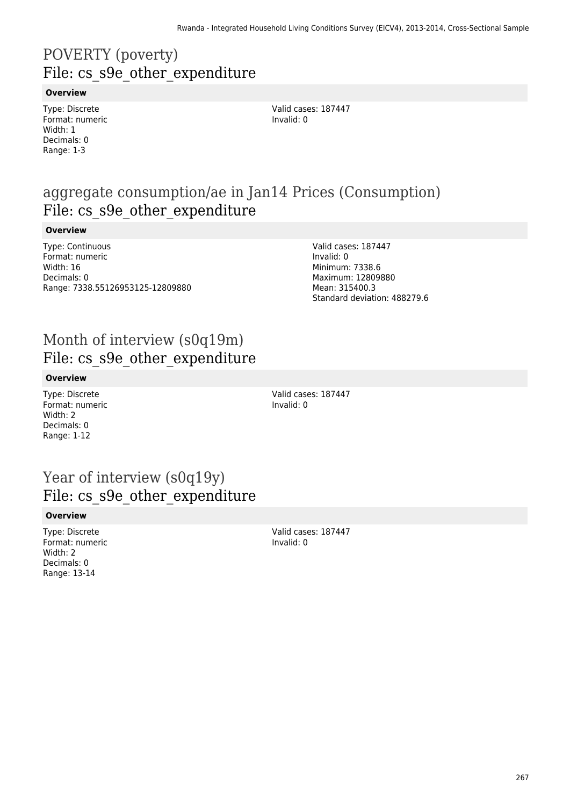# POVERTY (poverty) File: cs s9e other expenditure

### **Overview**

Type: Discrete Format: numeric Width: 1 Decimals: 0 Range: 1-3

Valid cases: 187447 Invalid: 0

## aggregate consumption/ae in Jan14 Prices (Consumption) File: cs s9e other expenditure

#### **Overview**

Type: Continuous Format: numeric Width: 16 Decimals: 0 Range: 7338.55126953125-12809880 Valid cases: 187447 Invalid: 0 Minimum: 7338.6 Maximum: 12809880 Mean: 315400.3 Standard deviation: 488279.6

## Month of interview (s0q19m) File: cs s9e other expenditure

### **Overview**

Type: Discrete Format: numeric Width: 2 Decimals: 0 Range: 1-12

Valid cases: 187447 Invalid: 0

## Year of interview (s0q19y) File: cs\_s9e\_other\_expenditure

#### **Overview**

Type: Discrete Format: numeric Width: 2 Decimals: 0 Range: 13-14

Valid cases: 187447 Invalid: 0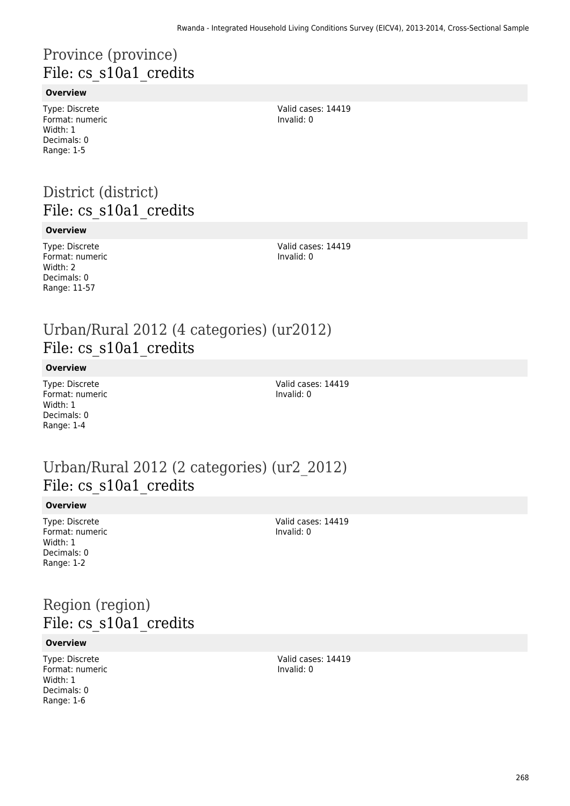# Province (province) File: cs\_s10a1\_credits

### **Overview**

Type: Discrete Format: numeric Width: 1 Decimals: 0 Range: 1-5

Valid cases: 14419 Invalid: 0

# District (district) File: cs\_s10a1\_credits

#### **Overview**

Type: Discrete Format: numeric Width: 2 Decimals: 0 Range: 11-57

Valid cases: 14419 Invalid: 0

## Urban/Rural 2012 (4 categories) (ur2012) File: cs\_s10a1\_credits

#### **Overview**

Type: Discrete Format: numeric Width: 1 Decimals: 0 Range: 1-4

Valid cases: 14419 Invalid: 0

## Urban/Rural 2012 (2 categories) (ur2\_2012) File: cs\_s10a1\_credits

#### **Overview**

Type: Discrete Format: numeric Width: 1 Decimals: 0 Range: 1-2

Valid cases: 14419 Invalid: 0

## Region (region) File: cs\_s10a1\_credits

#### **Overview**

Type: Discrete Format: numeric Width: 1 Decimals: 0 Range: 1-6

Valid cases: 14419 Invalid: 0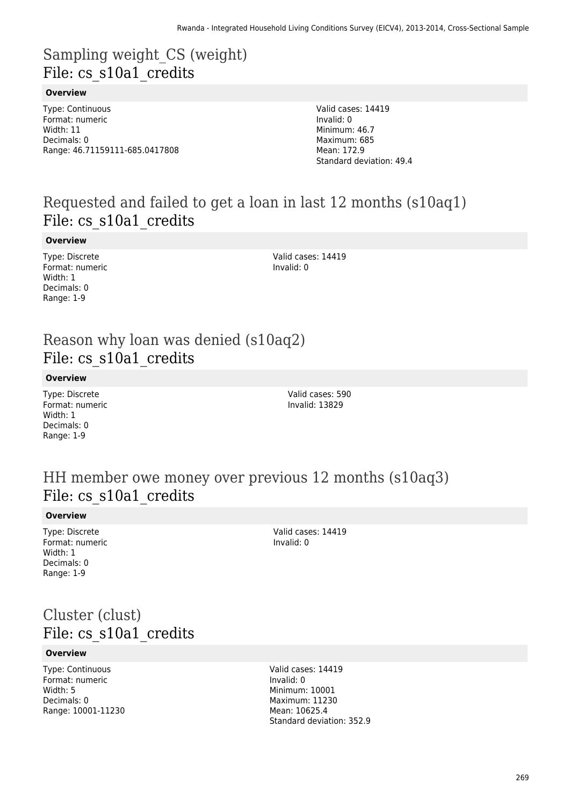# Sampling weight\_CS (weight) File: cs\_s10a1\_credits

#### **Overview**

Type: Continuous Format: numeric Width: 11 Decimals: 0 Range: 46.71159111-685.0417808

Valid cases: 14419 Invalid: 0 Minimum: 46.7 Maximum: 685 Mean: 172.9 Standard deviation: 49.4

# Requested and failed to get a loan in last 12 months (s10aq1) File: cs\_s10a1\_credits

**Overview**

Type: Discrete Format: numeric Width: 1 Decimals: 0 Range: 1-9

Valid cases: 14419 Invalid: 0

## Reason why loan was denied (s10aq2) File: cs\_s10a1\_credits

### **Overview**

Type: Discrete Format: numeric Width: 1 Decimals: 0 Range: 1-9

Valid cases: 590 Invalid: 13829

## HH member owe money over previous 12 months (s10aq3) File: cs\_s10a1\_credits

### **Overview**

Type: Discrete Format: numeric Width: 1 Decimals: 0 Range: 1-9

Valid cases: 14419 Invalid: 0

# Cluster (clust) File: cs\_s10a1\_credits

#### **Overview**

Type: Continuous Format: numeric Width: 5 Decimals: 0 Range: 10001-11230 Valid cases: 14419 Invalid: 0 Minimum: 10001 Maximum: 11230 Mean: 10625.4 Standard deviation: 352.9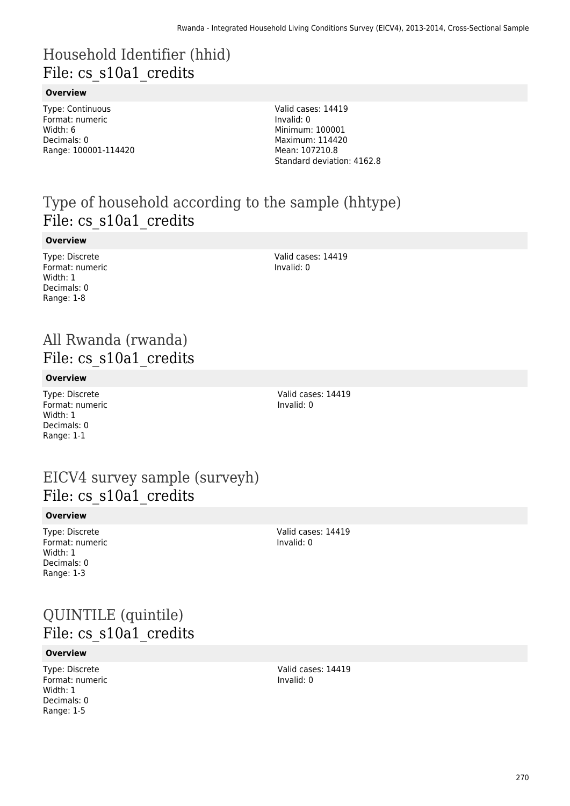# Household Identifier (hhid) File: cs\_s10a1\_credits

### **Overview**

Type: Continuous Format: numeric Width: 6 Decimals: 0 Range: 100001-114420 Valid cases: 14419 Invalid: 0 Minimum: 100001 Maximum: 114420 Mean: 107210.8 Standard deviation: 4162.8

# Type of household according to the sample (hhtype) File: cs\_s10a1\_credits

**Overview**

Type: Discrete Format: numeric Width: 1 Decimals: 0 Range: 1-8

Valid cases: 14419 Invalid: 0

# All Rwanda (rwanda) File: cs\_s10a1\_credits

### **Overview**

Type: Discrete Format: numeric Width: 1 Decimals: 0 Range: 1-1

Valid cases: 14419 Invalid: 0

### EICV4 survey sample (surveyh) File: cs\_s10a1\_credits

### **Overview**

Type: Discrete Format: numeric Width: 1 Decimals: 0 Range: 1-3

Valid cases: 14419 Invalid: 0

# QUINTILE (quintile) File: cs\_s10a1\_credits

### **Overview**

Type: Discrete Format: numeric Width: 1 Decimals: 0 Range: 1-5

Valid cases: 14419 Invalid: 0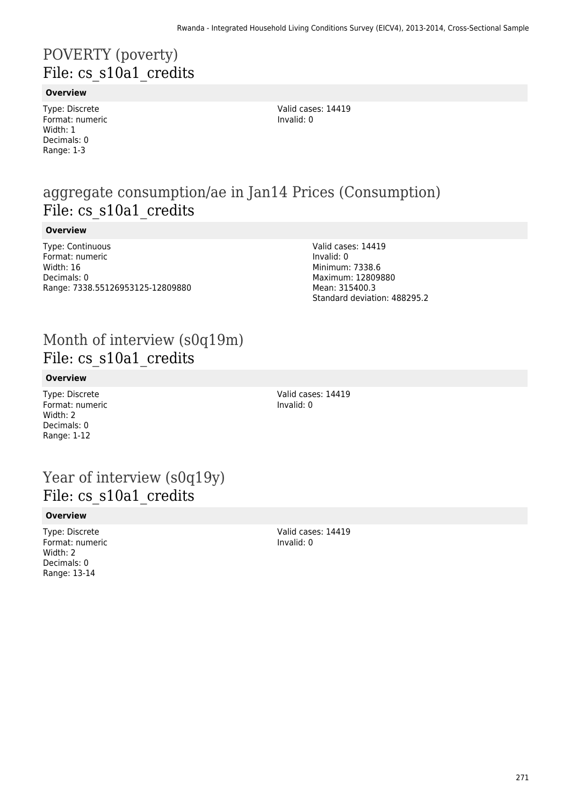# POVERTY (poverty) File: cs\_s10a1\_credits

### **Overview**

Type: Discrete Format: numeric Width: 1 Decimals: 0 Range: 1-3

Valid cases: 14419 Invalid: 0

# aggregate consumption/ae in Jan14 Prices (Consumption) File: cs\_s10a1\_credits

### **Overview**

Type: Continuous Format: numeric Width: 16 Decimals: 0 Range: 7338.55126953125-12809880 Valid cases: 14419 Invalid: 0 Minimum: 7338.6 Maximum: 12809880 Mean: 315400.3 Standard deviation: 488295.2

# Month of interview (s0q19m) File: cs\_s10a1\_credits

### **Overview**

Type: Discrete Format: numeric Width: 2 Decimals: 0 Range: 1-12

Valid cases: 14419 Invalid: 0

## Year of interview (s0q19y) File: cs\_s10a1\_credits

### **Overview**

Type: Discrete Format: numeric Width: 2 Decimals: 0 Range: 13-14

Valid cases: 14419 Invalid: 0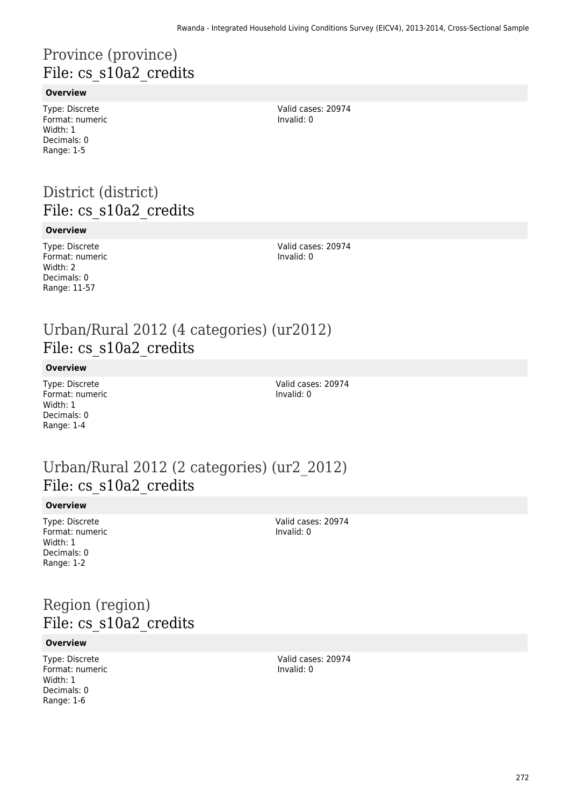# Province (province) File: cs\_s10a2\_credits

### **Overview**

Type: Discrete Format: numeric Width: 1 Decimals: 0 Range: 1-5

Valid cases: 20974 Invalid: 0

# District (district) File: cs\_s10a2\_credits

#### **Overview**

Type: Discrete Format: numeric Width: 2 Decimals: 0 Range: 11-57

Valid cases: 20974 Invalid: 0

## Urban/Rural 2012 (4 categories) (ur2012) File: cs\_s10a2\_credits

#### **Overview**

Type: Discrete Format: numeric Width: 1 Decimals: 0 Range: 1-4

Valid cases: 20974 Invalid: 0

## Urban/Rural 2012 (2 categories) (ur2\_2012) File: cs\_s10a2\_credits

#### **Overview**

Type: Discrete Format: numeric Width: 1 Decimals: 0 Range: 1-2

Valid cases: 20974 Invalid: 0

## Region (region) File: cs\_s10a2\_credits

#### **Overview**

Type: Discrete Format: numeric Width: 1 Decimals: 0 Range: 1-6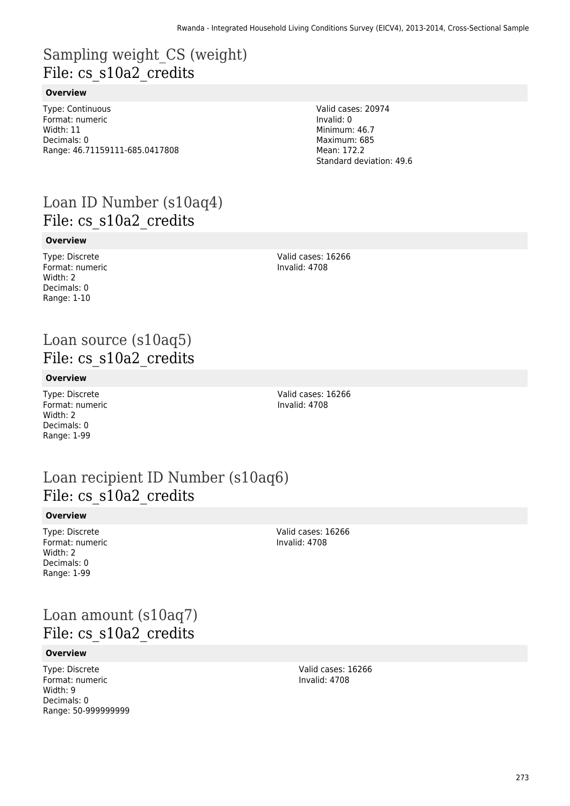# Sampling weight\_CS (weight) File: cs\_s10a2\_credits

### **Overview**

Type: Continuous Format: numeric Width: 11 Decimals: 0 Range: 46.71159111-685.0417808 Valid cases: 20974 Invalid: 0 Minimum: 46.7 Maximum: 685 Mean: 172.2 Standard deviation: 49.6

# Loan ID Number (s10aq4) File: cs\_s10a2\_credits

### **Overview**

Type: Discrete Format: numeric Width: 2 Decimals: 0 Range: 1-10

Valid cases: 16266 Invalid: 4708

# Loan source (s10aq5) File: cs\_s10a2\_credits

### **Overview**

Type: Discrete Format: numeric Width: 2 Decimals: 0 Range: 1-99

Valid cases: 16266 Invalid: 4708

## Loan recipient ID Number (s10aq6) File: cs\_s10a2\_credits

### **Overview**

Type: Discrete Format: numeric Width: 2 Decimals: 0 Range: 1-99

Valid cases: 16266 Invalid: 4708

# Loan amount (s10aq7) File: cs\_s10a2\_credits

### **Overview**

Type: Discrete Format: numeric Width: 9 Decimals: 0 Range: 50-999999999 Valid cases: 16266 Invalid: 4708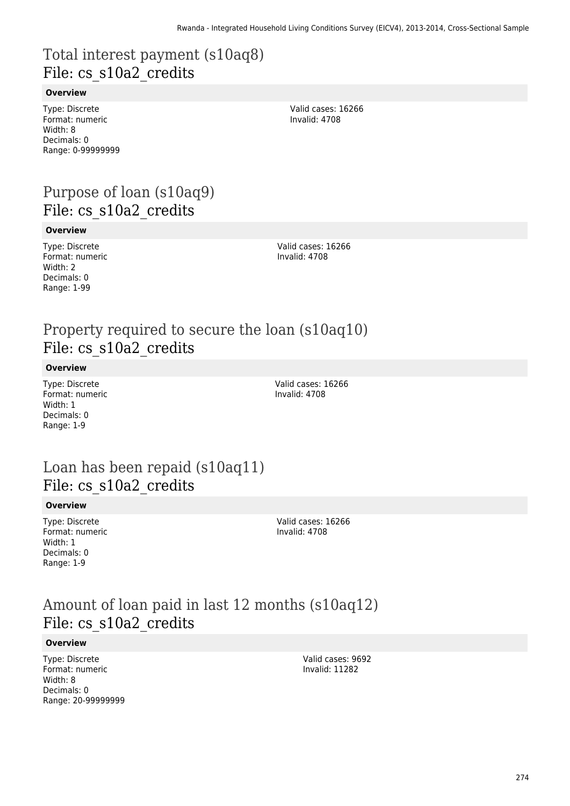# Total interest payment (s10aq8) File: cs\_s10a2\_credits

### **Overview**

Type: Discrete Format: numeric Width: 8 Decimals: 0 Range: 0-99999999 Valid cases: 16266 Invalid: 4708

# Purpose of loan (s10aq9) File: cs\_s10a2\_credits

#### **Overview**

Type: Discrete Format: numeric Width: 2 Decimals: 0 Range: 1-99

Valid cases: 16266 Invalid: 4708

## Property required to secure the loan (s10aq10) File: cs\_s10a2\_credits

#### **Overview**

Type: Discrete Format: numeric Width: 1 Decimals: 0 Range: 1-9

Valid cases: 16266 Invalid: 4708

## Loan has been repaid (s10aq11) File: cs s10a2 credits

### **Overview**

Type: Discrete Format: numeric Width: 1 Decimals: 0 Range: 1-9

Valid cases: 16266 Invalid: 4708

## Amount of loan paid in last 12 months (s10aq12) File: cs\_s10a2\_credits

#### **Overview**

Type: Discrete Format: numeric Width: 8 Decimals: 0 Range: 20-99999999 Valid cases: 9692 Invalid: 11282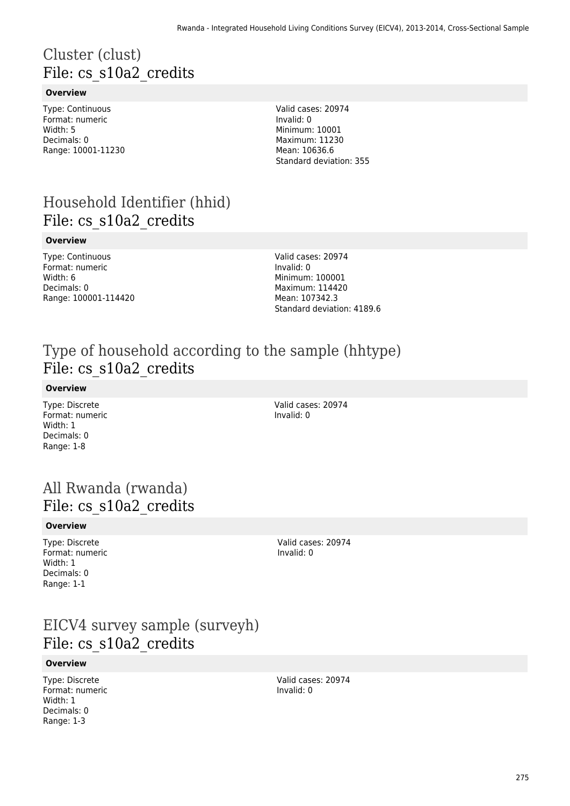# Cluster (clust) File: cs\_s10a2\_credits

### **Overview**

Type: Continuous Format: numeric Width: 5 Decimals: 0 Range: 10001-11230

Valid cases: 20974 Invalid: 0 Minimum: 10001 Maximum: 11230 Mean: 10636.6 Standard deviation: 355

# Household Identifier (hhid) File: cs\_s10a2\_credits

### **Overview**

Type: Continuous Format: numeric Width: 6 Decimals: 0 Range: 100001-114420 Valid cases: 20974 Invalid: 0 Minimum: 100001 Maximum: 114420 Mean: 107342.3 Standard deviation: 4189.6

# Type of household according to the sample (hhtype) File: cs\_s10a2\_credits

### **Overview**

Type: Discrete Format: numeric Width: 1 Decimals: 0 Range: 1-8

Valid cases: 20974 Invalid: 0

## All Rwanda (rwanda) File: cs\_s10a2\_credits

#### **Overview**

Type: Discrete Format: numeric Width: 1 Decimals: 0 Range: 1-1

Valid cases: 20974 Invalid: 0

## EICV4 survey sample (surveyh) File: cs\_s10a2\_credits

### **Overview**

Type: Discrete Format: numeric Width: 1 Decimals: 0 Range: 1-3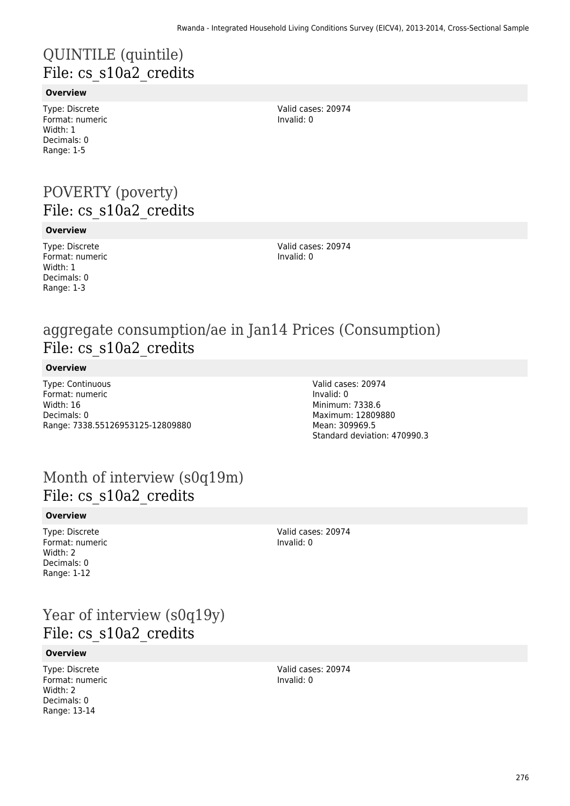# QUINTILE (quintile) File: cs\_s10a2\_credits

### **Overview**

Type: Discrete Format: numeric Width: 1 Decimals: 0 Range: 1-5

Valid cases: 20974 Invalid: 0

# POVERTY (poverty) File: cs\_s10a2\_credits

#### **Overview**

Type: Discrete Format: numeric Width: 1 Decimals: 0 Range: 1-3

Valid cases: 20974 Invalid: 0

## aggregate consumption/ae in Jan14 Prices (Consumption) File: cs\_s10a2\_credits

### **Overview**

Type: Continuous Format: numeric Width: 16 Decimals: 0 Range: 7338.55126953125-12809880 Valid cases: 20974 Invalid: 0 Minimum: 7338.6 Maximum: 12809880 Mean: 309969.5 Standard deviation: 470990.3

# Month of interview (s0q19m) File: cs\_s10a2\_credits

#### **Overview**

Type: Discrete Format: numeric Width: 2 Decimals: 0 Range: 1-12

Valid cases: 20974 Invalid: 0

# Year of interview (s0q19y) File: cs s10a2 credits

#### **Overview**

Type: Discrete Format: numeric Width: 2 Decimals: 0 Range: 13-14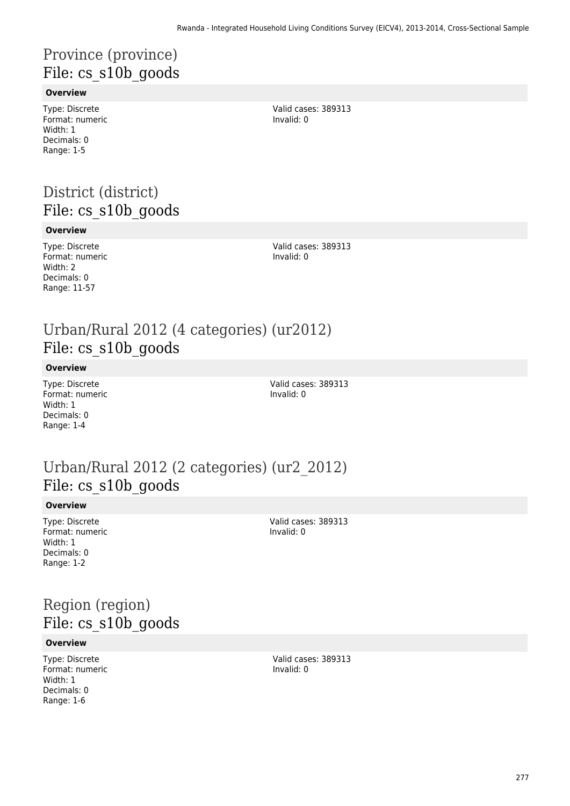# Province (province) File: cs\_s10b\_goods

### **Overview**

Type: Discrete Format: numeric Width: 1 Decimals: 0 Range: 1-5

Valid cases: 389313 Invalid: 0

# District (district) File: cs\_s10b\_goods

#### **Overview**

Type: Discrete Format: numeric Width: 2 Decimals: 0 Range: 11-57

Valid cases: 389313 Invalid: 0

## Urban/Rural 2012 (4 categories) (ur2012) File: cs\_s10b\_goods

#### **Overview**

Type: Discrete Format: numeric Width: 1 Decimals: 0 Range: 1-4

Valid cases: 389313 Invalid: 0

## Urban/Rural 2012 (2 categories) (ur2\_2012) File: cs\_s10b\_goods

#### **Overview**

Type: Discrete Format: numeric Width: 1 Decimals: 0 Range: 1-2

Valid cases: 389313 Invalid: 0

## Region (region) File: cs\_s10b\_goods

#### **Overview**

Type: Discrete Format: numeric Width: 1 Decimals: 0 Range: 1-6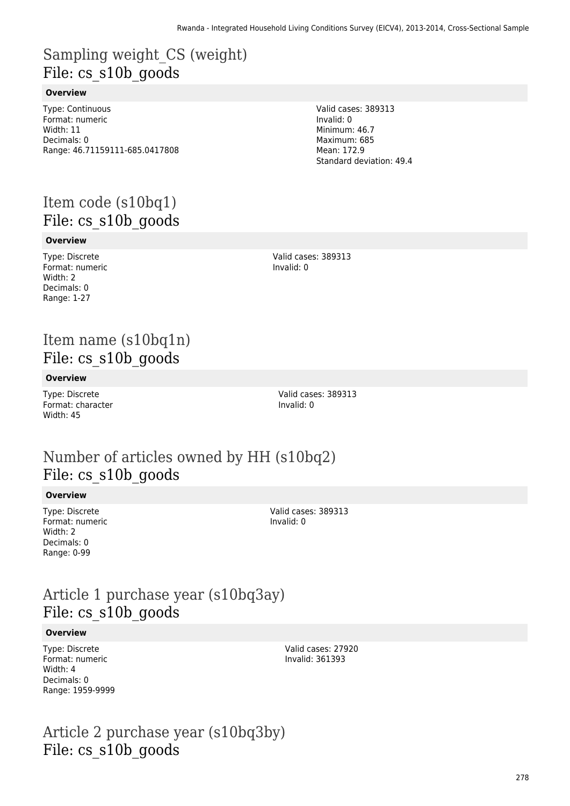# Sampling weight\_CS (weight) File: cs\_s10b\_goods

### **Overview**

Type: Continuous Format: numeric Width: 11 Decimals: 0 Range: 46.71159111-685.0417808 Valid cases: 389313 Invalid: 0 Minimum: 46.7 Maximum: 685 Mean: 172.9 Standard deviation: 49.4

# Item code (s10bq1) File: cs\_s10b\_goods

### **Overview**

Type: Discrete Format: numeric Width: 2 Decimals: 0 Range: 1-27

Valid cases: 389313 Invalid: 0

## Item name (s10bq1n) File: cs\_s10b\_goods

### **Overview**

Type: Discrete Format: character Width: 45

Valid cases: 389313 Invalid: 0

# Number of articles owned by HH (s10bq2) File: cs\_s10b\_goods

### **Overview**

Type: Discrete Format: numeric Width: 2 Decimals: 0 Range: 0-99

Valid cases: 389313 Invalid: 0

## Article 1 purchase year (s10bq3ay) File: cs\_s10b\_goods

### **Overview**

Type: Discrete Format: numeric Width: 4 Decimals: 0 Range: 1959-9999 Valid cases: 27920 Invalid: 361393

Article 2 purchase year (s10bq3by) File: cs\_s10b\_goods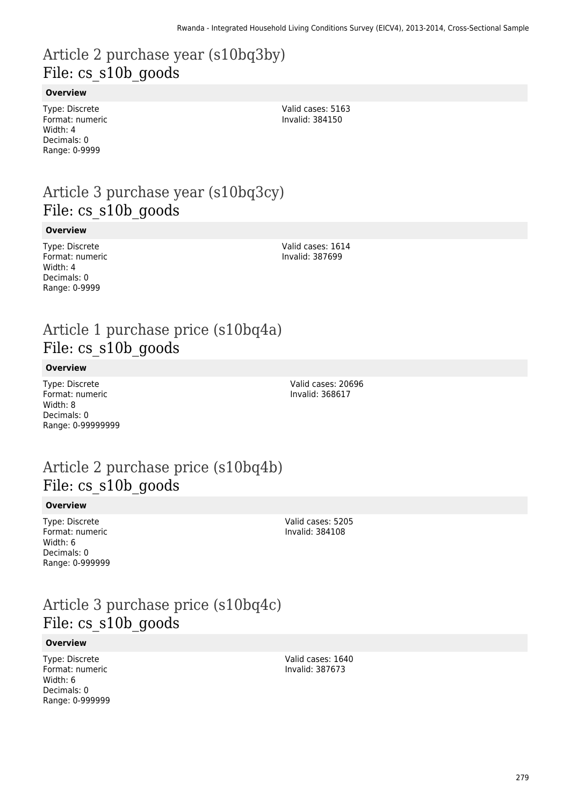# Article 2 purchase year (s10bq3by) File: cs\_s10b\_goods

### **Overview**

Type: Discrete Format: numeric Width: 4 Decimals: 0 Range: 0-9999

Valid cases: 5163 Invalid: 384150

# Article 3 purchase year (s10bq3cy) File: cs\_s10b\_goods

#### **Overview**

Type: Discrete Format: numeric Width: 4 Decimals: 0 Range: 0-9999

Valid cases: 1614 Invalid: 387699

## Article 1 purchase price (s10bq4a) File: cs\_s10b\_goods

#### **Overview**

Type: Discrete Format: numeric Width: 8 Decimals: 0 Range: 0-99999999 Valid cases: 20696 Invalid: 368617

## Article 2 purchase price (s10bq4b) File: cs\_s10b\_goods

### **Overview**

Type: Discrete Format: numeric Width: 6 Decimals: 0 Range: 0-999999

Valid cases: 5205 Invalid: 384108

# Article 3 purchase price (s10bq4c) File: cs\_s10b\_goods

#### **Overview**

Type: Discrete Format: numeric Width: 6 Decimals: 0 Range: 0-999999 Valid cases: 1640 Invalid: 387673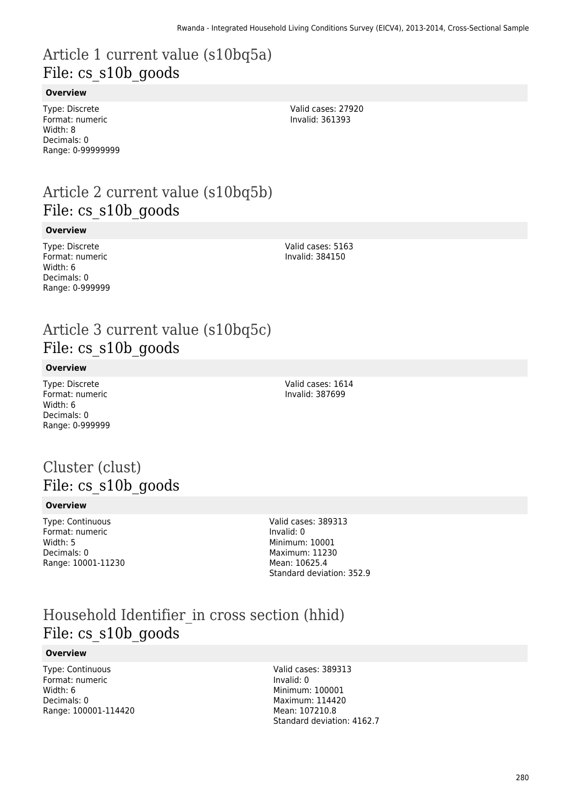# Article 1 current value (s10bq5a) File: cs\_s10b\_goods

### **Overview**

Type: Discrete Format: numeric Width: 8 Decimals: 0 Range: 0-99999999

Article 2 current value (s10bq5b) File: cs\_s10b\_goods

#### **Overview**

Type: Discrete Format: numeric Width: 6 Decimals: 0 Range: 0-999999

Valid cases: 5163 Invalid: 384150

Valid cases: 27920 Invalid: 361393

# Article 3 current value (s10bq5c) File: cs\_s10b\_goods

#### **Overview**

Type: Discrete Format: numeric Width: 6 Decimals: 0 Range: 0-999999

Valid cases: 1614 Invalid: 387699

## Cluster (clust) File: cs\_s10b\_goods

### **Overview**

Type: Continuous Format: numeric Width: 5 Decimals: 0 Range: 10001-11230 Valid cases: 389313 Invalid: 0 Minimum: 10001 Maximum: 11230 Mean: 10625.4 Standard deviation: 352.9

# Household Identifier\_in cross section (hhid) File: cs\_s10b\_goods

#### **Overview**

Type: Continuous Format: numeric Width: 6 Decimals: 0 Range: 100001-114420 Valid cases: 389313 Invalid: 0 Minimum: 100001 Maximum: 114420 Mean: 107210.8 Standard deviation: 4162.7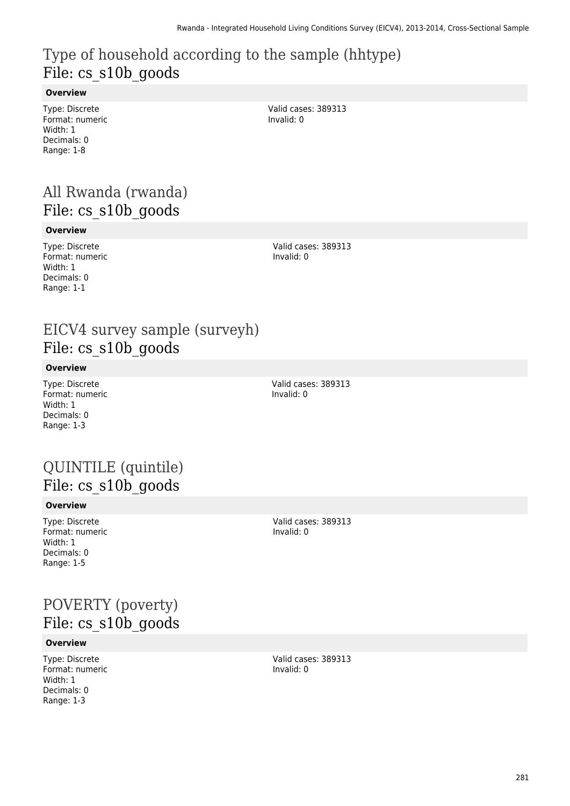# Type of household according to the sample (hhtype) File: cs\_s10b\_goods

### **Overview**

Type: Discrete Format: numeric Width: 1 Decimals: 0 Range: 1-8

Valid cases: 389313 Invalid: 0

# All Rwanda (rwanda) File: cs\_s10b\_goods

#### **Overview**

Type: Discrete Format: numeric Width: 1 Decimals: 0 Range: 1-1

Valid cases: 389313 Invalid: 0

### EICV4 survey sample (surveyh) File: cs\_s10b\_goods

#### **Overview**

Type: Discrete Format: numeric Width: 1 Decimals: 0 Range: 1-3

Valid cases: 389313 Invalid: 0

## QUINTILE (quintile) File: cs\_s10b\_goods

### **Overview**

Type: Discrete Format: numeric Width: 1 Decimals: 0 Range: 1-5

Valid cases: 389313 Invalid: 0

## POVERTY (poverty) File: cs\_s10b\_goods

#### **Overview**

Type: Discrete Format: numeric Width: 1 Decimals: 0 Range: 1-3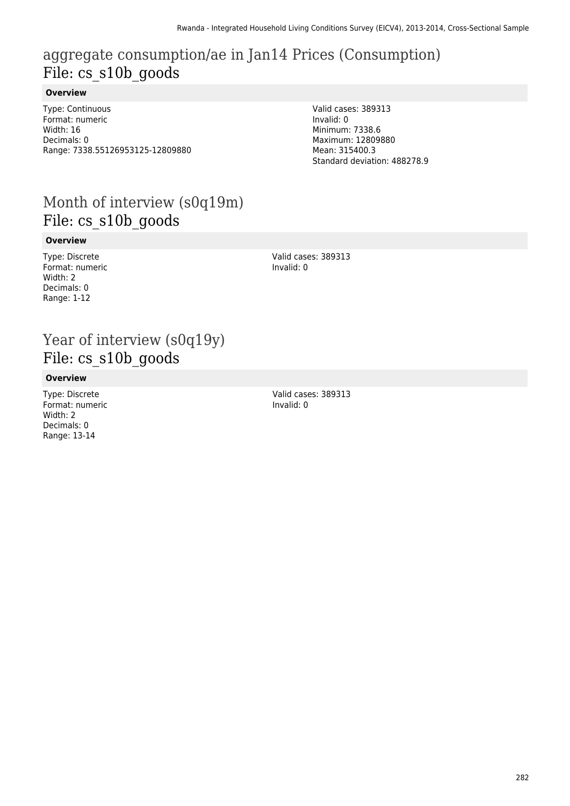# aggregate consumption/ae in Jan14 Prices (Consumption) File: cs\_s10b\_goods

### **Overview**

Type: Continuous Format: numeric Width: 16 Decimals: 0 Range: 7338.55126953125-12809880 Valid cases: 389313 Invalid: 0 Minimum: 7338.6 Maximum: 12809880 Mean: 315400.3 Standard deviation: 488278.9

# Month of interview (s0q19m) File: cs\_s10b\_goods

### **Overview**

Type: Discrete Format: numeric Width: 2 Decimals: 0 Range: 1-12

Valid cases: 389313 Invalid: 0

## Year of interview (s0q19y) File: cs\_s10b\_goods

### **Overview**

Type: Discrete Format: numeric Width: 2 Decimals: 0 Range: 13-14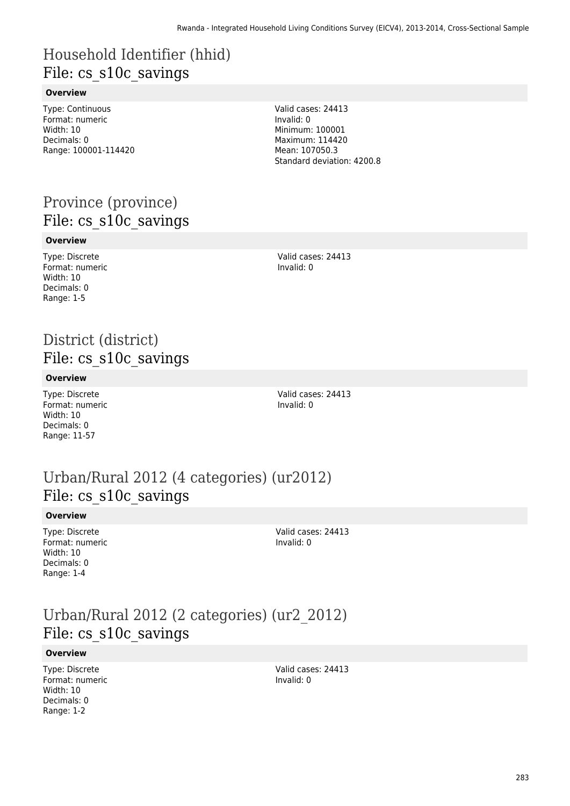# Household Identifier (hhid) File: cs\_s10c\_savings

### **Overview**

Type: Continuous Format: numeric Width: 10 Decimals: 0 Range: 100001-114420 Valid cases: 24413 Invalid: 0 Minimum: 100001 Maximum: 114420 Mean: 107050.3 Standard deviation: 4200.8

# Province (province) File: cs\_s10c\_savings

#### **Overview**

Type: Discrete Format: numeric Width: 10 Decimals: 0 Range: 1-5

Valid cases: 24413 Invalid: 0

## District (district) File: cs\_s10c\_savings

#### **Overview**

Type: Discrete Format: numeric Width: 10 Decimals: 0 Range: 11-57

Valid cases: 24413 Invalid: 0

# Urban/Rural 2012 (4 categories) (ur2012) File: cs\_s10c\_savings

#### **Overview**

Type: Discrete Format: numeric Width: 10 Decimals: 0 Range: 1-4

Valid cases: 24413 Invalid: 0

# Urban/Rural 2012 (2 categories) (ur2\_2012) File: cs\_s10c\_savings

#### **Overview**

Type: Discrete Format: numeric Width: 10 Decimals: 0 Range: 1-2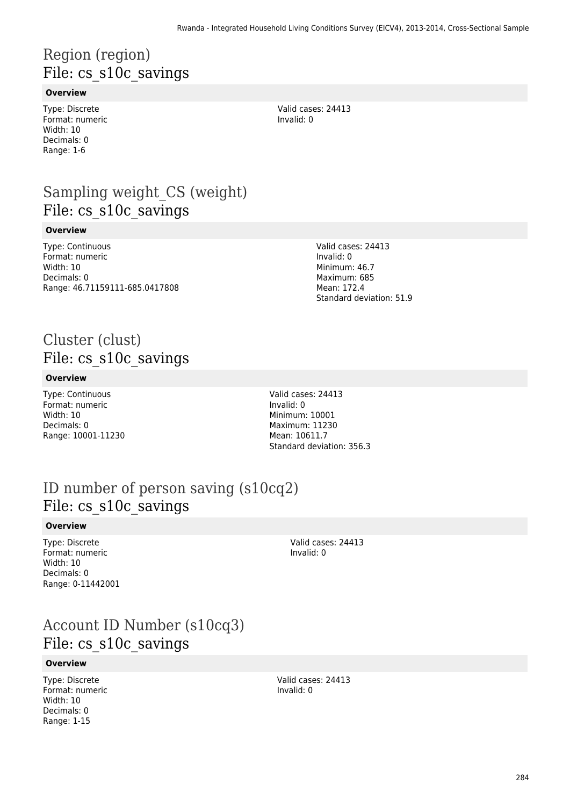## Region (region) File: cs\_s10c\_savings

### **Overview**

Type: Discrete Format: numeric Width: 10 Decimals: 0 Range: 1-6

Valid cases: 24413 Invalid: 0

## Sampling weight CS (weight) File: cs\_s10c\_savings

#### **Overview**

Type: Continuous Format: numeric Width: 10 Decimals: 0 Range: 46.71159111-685.0417808 Valid cases: 24413 Invalid: 0 Minimum: 46.7 Maximum: 685 Mean: 172.4 Standard deviation: 51.9

### Cluster (clust) File: cs\_s10c\_savings

#### **Overview**

Type: Continuous Format: numeric Width: 10 Decimals: 0 Range: 10001-11230 Valid cases: 24413 Invalid: 0 Minimum: 10001 Maximum: 11230 Mean: 10611.7 Standard deviation: 356.3

## ID number of person saving (s10cq2) File: cs\_s10c\_savings

#### **Overview**

Type: Discrete Format: numeric Width: 10 Decimals: 0 Range: 0-11442001 Valid cases: 24413 Invalid: 0

# Account ID Number (s10cq3) File: cs\_s10c\_savings

#### **Overview**

Type: Discrete Format: numeric Width: 10 Decimals: 0 Range: 1-15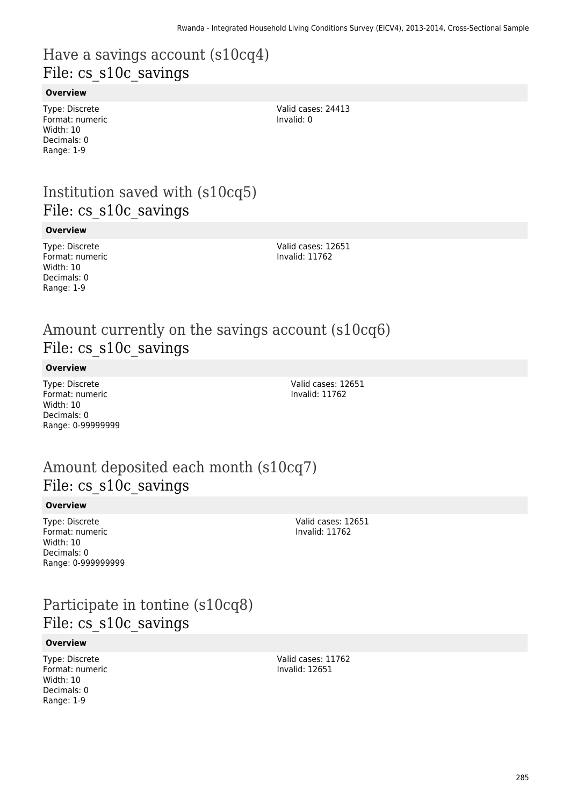# Have a savings account (s10cq4) File: cs\_s10c\_savings

### **Overview**

Type: Discrete Format: numeric Width: 10 Decimals: 0 Range: 1-9

Valid cases: 24413 Invalid: 0

# Institution saved with (s10cq5) File: cs\_s10c\_savings

#### **Overview**

Type: Discrete Format: numeric Width: 10 Decimals: 0 Range: 1-9

Valid cases: 12651 Invalid: 11762

## Amount currently on the savings account (s10cq6) File: cs\_s10c\_savings

#### **Overview**

Type: Discrete Format: numeric Width: 10 Decimals: 0 Range: 0-99999999

Valid cases: 12651 Invalid: 11762

## Amount deposited each month (s10cq7) File: cs\_s10c\_savings

#### **Overview**

Type: Discrete Format: numeric Width: 10 Decimals: 0 Range: 0-999999999 Valid cases: 12651 Invalid: 11762

## Participate in tontine (s10cq8) File: cs\_s10c\_savings

#### **Overview**

Type: Discrete Format: numeric Width: 10 Decimals: 0 Range: 1-9

Valid cases: 11762 Invalid: 12651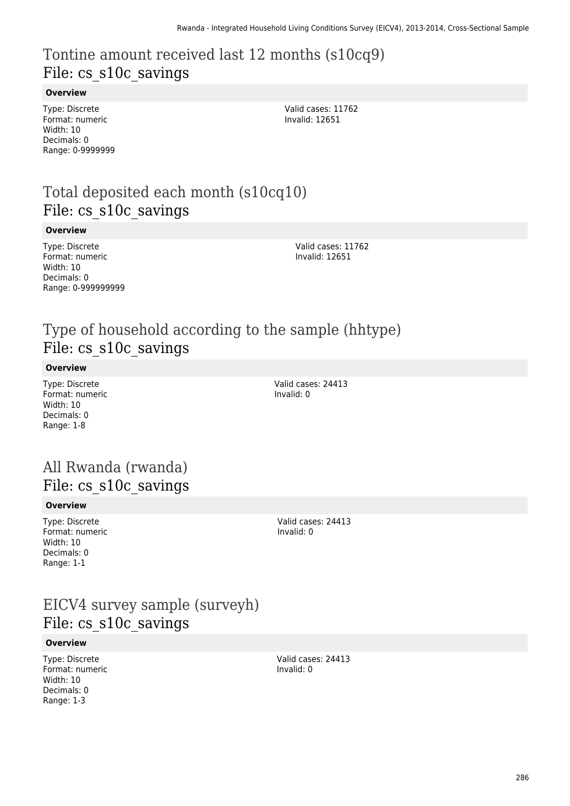# Tontine amount received last 12 months (s10cq9) File: cs\_s10c\_savings

### **Overview**

Type: Discrete Format: numeric Width: 10 Decimals: 0 Range: 0-9999999 Valid cases: 11762 Invalid: 12651

# Total deposited each month (s10cq10) File: cs\_s10c\_savings

#### **Overview**

Type: Discrete Format: numeric Width: 10 Decimals: 0 Range: 0-999999999 Valid cases: 11762 Invalid: 12651

# Type of household according to the sample (hhtype) File: cs\_s10c\_savings

#### **Overview**

Type: Discrete Format: numeric Width: 10 Decimals: 0 Range: 1-8

Valid cases: 24413 Invalid: 0

## All Rwanda (rwanda) File: cs\_s10c\_savings

### **Overview**

Type: Discrete Format: numeric Width: 10 Decimals: 0 Range: 1-1

Valid cases: 24413 Invalid: 0

## EICV4 survey sample (surveyh) File: cs\_s10c\_savings

#### **Overview**

Type: Discrete Format: numeric Width: 10 Decimals: 0 Range: 1-3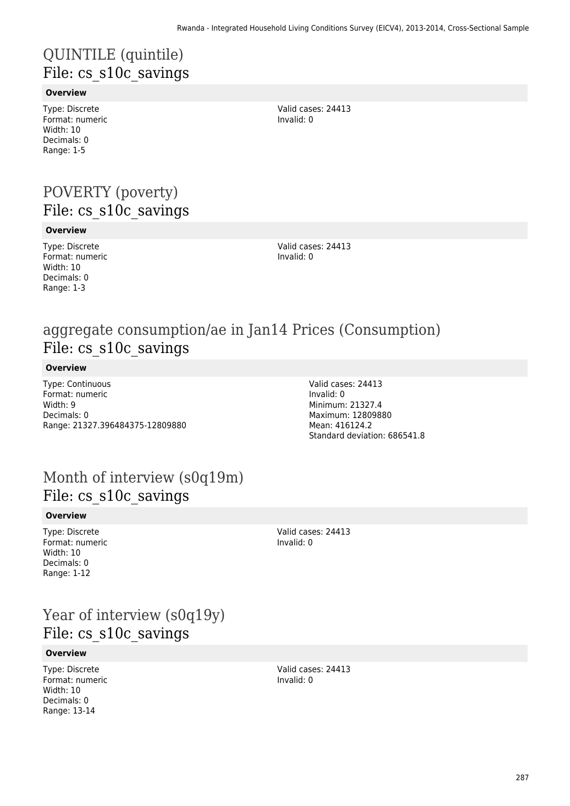# QUINTILE (quintile) File: cs\_s10c\_savings

### **Overview**

Type: Discrete Format: numeric Width: 10 Decimals: 0 Range: 1-5

Valid cases: 24413 Invalid: 0

# POVERTY (poverty) File: cs\_s10c\_savings

#### **Overview**

Type: Discrete Format: numeric Width: 10 Decimals: 0 Range: 1-3

Valid cases: 24413 Invalid: 0

## aggregate consumption/ae in Jan14 Prices (Consumption) File: cs\_s10c\_savings

#### **Overview**

Type: Continuous Format: numeric Width: 9 Decimals: 0 Range: 21327.396484375-12809880

Valid cases: 24413 Invalid: 0 Minimum: 21327.4 Maximum: 12809880 Mean: 416124.2 Standard deviation: 686541.8

# Month of interview (s0q19m) File: cs\_s10c\_savings

#### **Overview**

Type: Discrete Format: numeric Width: 10 Decimals: 0 Range: 1-12

Valid cases: 24413 Invalid: 0

# Year of interview (s0q19y) File: cs\_s10c\_savings

#### **Overview**

Type: Discrete Format: numeric Width: 10 Decimals: 0 Range: 13-14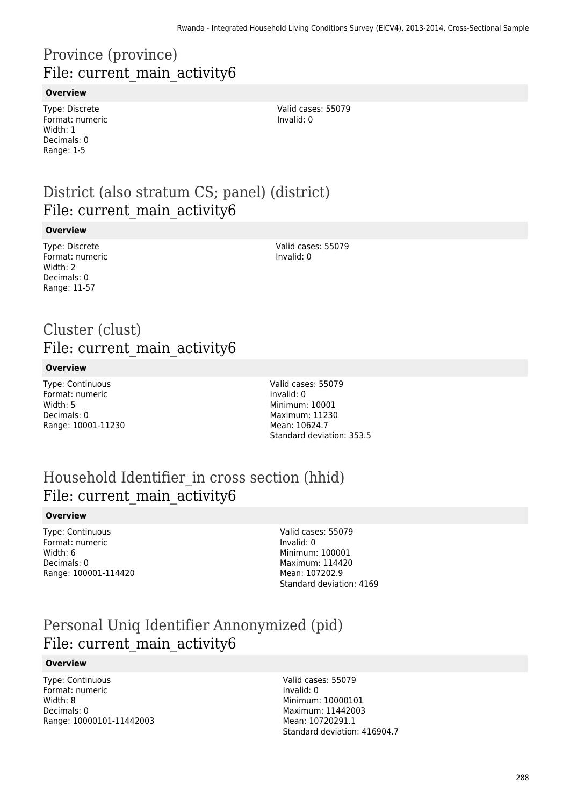# Province (province) File: current main activity6

#### **Overview**

Type: Discrete Format: numeric Width: 1 Decimals: 0 Range: 1-5

District (also stratum CS; panel) (district) File: current main activity6

#### **Overview**

Type: Discrete Format: numeric Width: 2 Decimals: 0 Range: 11-57

Valid cases: 55079 Invalid: 0

Valid cases: 55079

Invalid: 0

### Cluster (clust) File: current main activity6

#### **Overview**

Type: Continuous Format: numeric Width: 5 Decimals: 0 Range: 10001-11230

Valid cases: 55079 Invalid: 0 Minimum: 10001 Maximum: 11230 Mean: 10624.7 Standard deviation: 353.5

# Household Identifier\_in cross section (hhid) File: current main activity6

#### **Overview**

Type: Continuous Format: numeric Width: 6 Decimals: 0 Range: 100001-114420 Valid cases: 55079 Invalid: 0 Minimum: 100001 Maximum: 114420 Mean: 107202.9 Standard deviation: 4169

## Personal Uniq Identifier Annonymized (pid) File: current main activity6

#### **Overview**

Type: Continuous Format: numeric Width: 8 Decimals: 0 Range: 10000101-11442003 Valid cases: 55079 Invalid: 0 Minimum: 10000101 Maximum: 11442003 Mean: 10720291.1 Standard deviation: 416904.7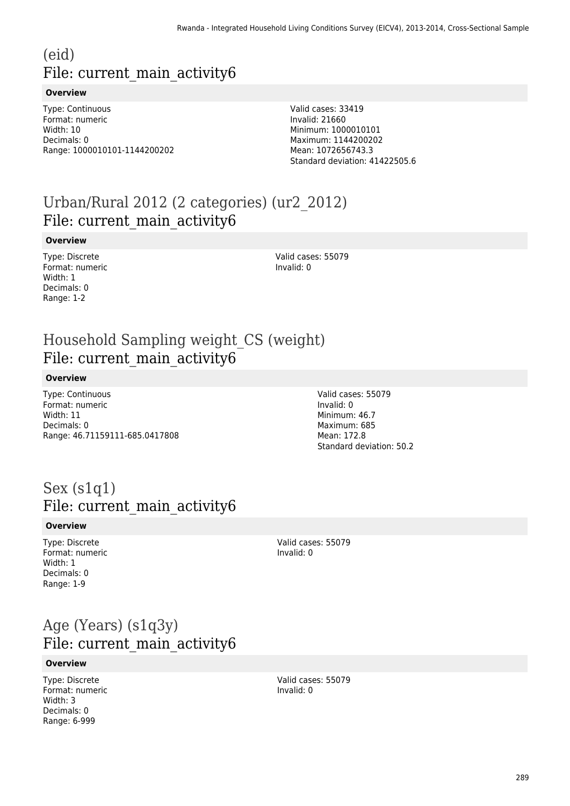## (eid) File: current main activity6

#### **Overview**

Type: Continuous Format: numeric Width: 10 Decimals: 0 Range: 1000010101-1144200202 Valid cases: 33419 Invalid: 21660 Minimum: 1000010101 Maximum: 1144200202 Mean: 1072656743.3 Standard deviation: 41422505.6

# Urban/Rural 2012 (2 categories) (ur2\_2012) File: current main activity6

#### **Overview**

Type: Discrete Format: numeric Width: 1 Decimals: 0 Range: 1-2

Valid cases: 55079 Invalid: 0

## Household Sampling weight\_CS (weight) File: current main activity6

### **Overview**

Type: Continuous Format: numeric Width: 11 Decimals: 0 Range: 46.71159111-685.0417808 Valid cases: 55079 Invalid: 0 Minimum: 46.7 Maximum: 685 Mean: 172.8 Standard deviation: 50.2

### Sex (s1q1) File: current main activity6

#### **Overview**

Type: Discrete Format: numeric Width: 1 Decimals: 0 Range: 1-9

Valid cases: 55079 Invalid: 0

### Age (Years) (s1q3y) File: current main activity6

#### **Overview**

Type: Discrete Format: numeric Width: 3 Decimals: 0 Range: 6-999

Valid cases: 55079 Invalid: 0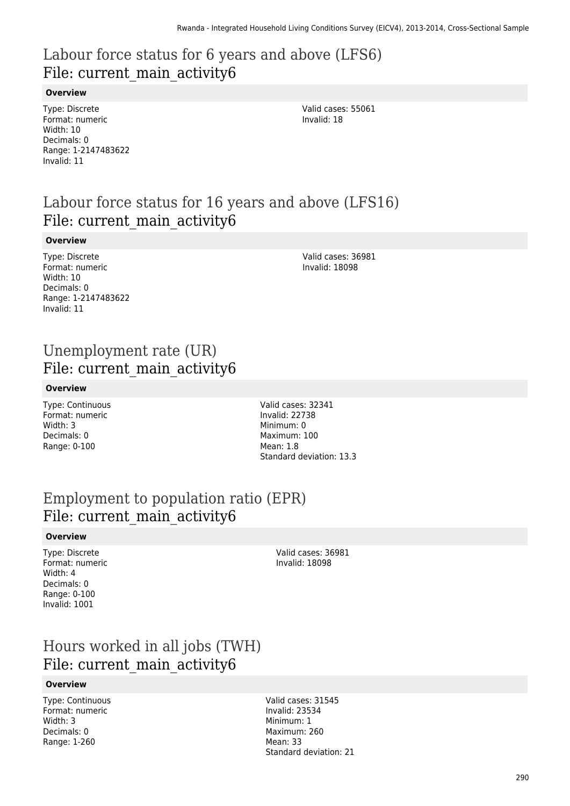## Labour force status for 6 years and above (LFS6) File: current main activity6

#### **Overview**

Type: Discrete Format: numeric Width: 10 Decimals: 0 Range: 1-2147483622 Invalid: 11

Valid cases: 55061 Invalid: 18

## Labour force status for 16 years and above (LFS16) File: current main activity6

#### **Overview**

Type: Discrete Format: numeric Width: 10 Decimals: 0 Range: 1-2147483622 Invalid: 11

Valid cases: 36981 Invalid: 18098

### Unemployment rate (UR) File: current main activity6

#### **Overview**

Type: Continuous Format: numeric Width: 3 Decimals: 0 Range: 0-100

Valid cases: 32341 Invalid: 22738 Minimum: 0 Maximum: 100 Mean: 1.8 Standard deviation: 13.3

### Employment to population ratio (EPR) File: current main activity6

### **Overview**

Type: Discrete Format: numeric Width: 4 Decimals: 0 Range: 0-100 Invalid: 1001

Valid cases: 36981 Invalid: 18098

### Hours worked in all jobs (TWH) File: current main activity6

### **Overview**

Type: Continuous Format: numeric Width: 3 Decimals: 0 Range: 1-260

Valid cases: 31545 Invalid: 23534 Minimum: 1 Maximum: 260 Mean: 33 Standard deviation: 21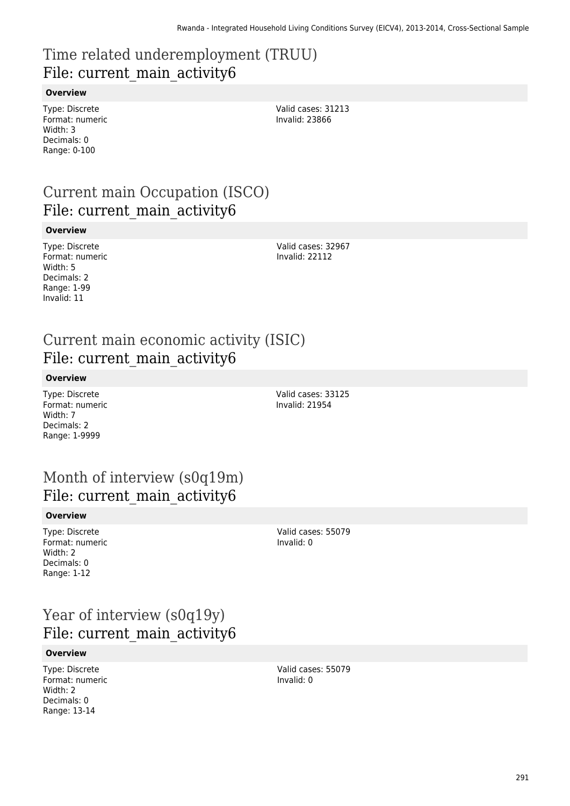# Time related underemployment (TRUU) File: current main activity6

### **Overview**

Type: Discrete Format: numeric Width: 3 Decimals: 0 Range: 0-100

Valid cases: 31213 Invalid: 23866

### Current main Occupation (ISCO) File: current main activity6

#### **Overview**

Type: Discrete Format: numeric Width: 5 Decimals: 2 Range: 1-99 Invalid: 11

Valid cases: 32967 Invalid: 22112

### Current main economic activity (ISIC) File: current main activity6

#### **Overview**

Type: Discrete Format: numeric Width: 7 Decimals: 2 Range: 1-9999

Valid cases: 33125 Invalid: 21954

### Month of interview (s0q19m) File: current\_main\_activity6

#### **Overview**

Type: Discrete Format: numeric Width: 2 Decimals: 0 Range: 1-12

Valid cases: 55079 Invalid: 0

## Year of interview (s0q19y) File: current main activity6

#### **Overview**

Type: Discrete Format: numeric Width: 2 Decimals: 0 Range: 13-14

Valid cases: 55079 Invalid: 0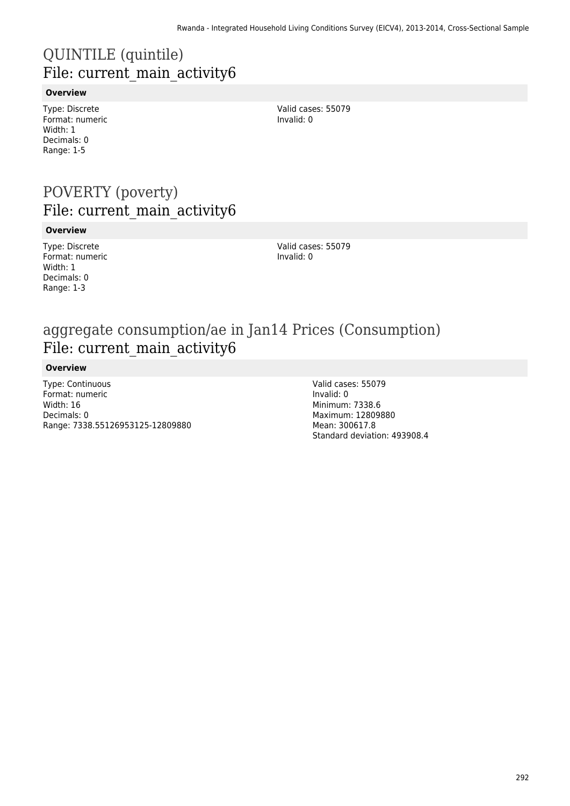# QUINTILE (quintile) File: current\_main\_activity6

### **Overview**

Type: Discrete Format: numeric Width: 1 Decimals: 0 Range: 1-5

Valid cases: 55079 Invalid: 0

## POVERTY (poverty) File: current main activity6

#### **Overview**

Type: Discrete Format: numeric Width: 1 Decimals: 0 Range: 1-3

Valid cases: 55079 Invalid: 0

### aggregate consumption/ae in Jan14 Prices (Consumption) File: current\_main\_activity6

#### **Overview**

Type: Continuous Format: numeric Width: 16 Decimals: 0 Range: 7338.55126953125-12809880 Valid cases: 55079 Invalid: 0 Minimum: 7338.6 Maximum: 12809880 Mean: 300617.8 Standard deviation: 493908.4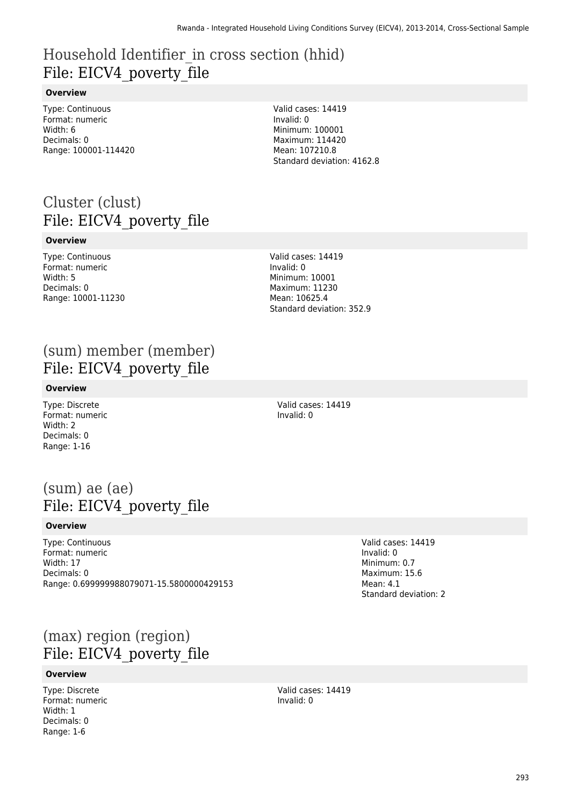# Household Identifier\_in cross section (hhid) File: EICV4\_poverty\_file

### **Overview**

Type: Continuous Format: numeric Width: 6 Decimals: 0 Range: 100001-114420 Valid cases: 14419 Invalid: 0 Minimum: 100001 Maximum: 114420 Mean: 107210.8 Standard deviation: 4162.8

## Cluster (clust) File: EICV4\_poverty\_file

#### **Overview**

Type: Continuous Format: numeric Width: 5 Decimals: 0 Range: 10001-11230

Valid cases: 14419 Invalid: 0 Minimum: 10001 Maximum: 11230 Mean: 10625.4 Standard deviation: 352.9

### (sum) member (member) File: EICV4\_poverty\_file

#### **Overview**

Type: Discrete Format: numeric Width: 2 Decimals: 0 Range: 1-16

Valid cases: 14419 Invalid: 0

### (sum) ae (ae) File: EICV4\_poverty\_file

#### **Overview**

Type: Continuous Format: numeric Width: 17 Decimals: 0 Range: 0.699999988079071-15.5800000429153

### (max) region (region) File: EICV4 poverty file

### **Overview**

Type: Discrete Format: numeric Width: 1 Decimals: 0 Range: 1-6

Valid cases: 14419 Invalid: 0

Valid cases: 14419 Invalid: 0 Minimum: 0.7 Maximum: 15.6 Mean: 4.1 Standard deviation: 2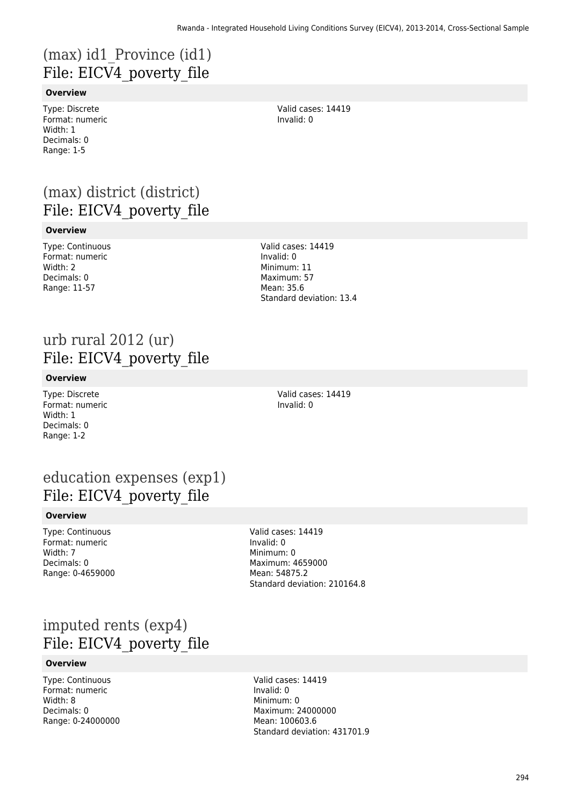## (max) id1\_Province (id1) File: EICV4 poverty file

### **Overview**

Type: Discrete Format: numeric Width: 1 Decimals: 0 Range: 1-5

Valid cases: 14419 Invalid: 0

# (max) district (district) File: EICV4 poverty file

### **Overview**

Type: Continuous Format: numeric Width: 2 Decimals: 0 Range: 11-57

Valid cases: 14419 Invalid: 0 Minimum: 11 Maximum: 57 Mean: 35.6 Standard deviation: 13.4

### urb rural 2012 (ur) File: EICV4 poverty file

### **Overview**

Type: Discrete Format: numeric Width: 1 Decimals: 0 Range: 1-2

Valid cases: 14419 Invalid: 0

### education expenses (exp1) File: EICV4\_poverty\_file

### **Overview**

Type: Continuous Format: numeric Width: 7 Decimals: 0 Range: 0-4659000 Valid cases: 14419 Invalid: 0 Minimum: 0 Maximum: 4659000 Mean: 54875.2 Standard deviation: 210164.8

### imputed rents (exp4) File: EICV4\_poverty\_file

### **Overview**

Type: Continuous Format: numeric Width: 8 Decimals: 0 Range: 0-24000000 Valid cases: 14419 Invalid: 0 Minimum: 0 Maximum: 24000000 Mean: 100603.6 Standard deviation: 431701.9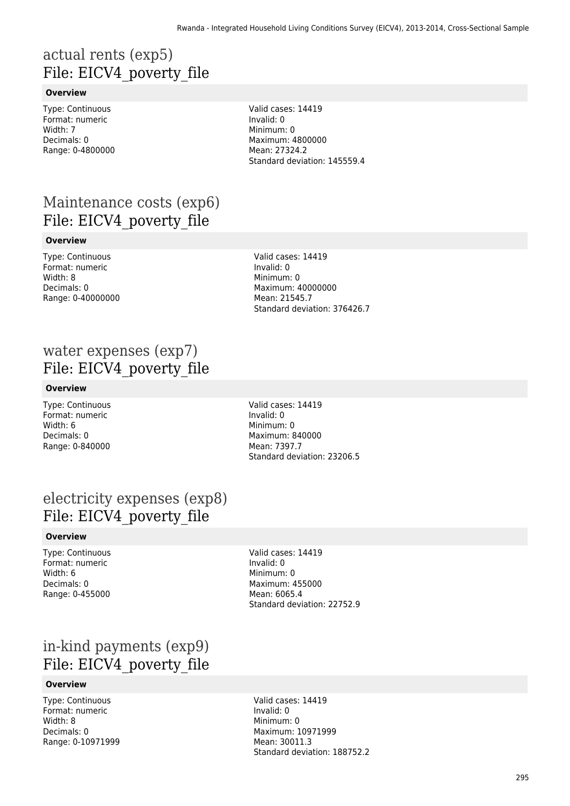# actual rents (exp5) File: EICV4\_poverty\_file

### **Overview**

Type: Continuous Format: numeric Width: 7 Decimals: 0 Range: 0-4800000

Valid cases: 14419 Invalid: 0 Minimum: 0 Maximum: 4800000 Mean: 27324.2 Standard deviation: 145559.4

## Maintenance costs (exp6) File: EICV4\_poverty\_file

#### **Overview**

Type: Continuous Format: numeric Width: 8 Decimals: 0 Range: 0-40000000 Valid cases: 14419 Invalid: 0 Minimum: 0 Maximum: 40000000 Mean: 21545.7 Standard deviation: 376426.7

### water expenses (exp7) File: EICV4\_poverty\_file

#### **Overview**

Type: Continuous Format: numeric Width: 6 Decimals: 0 Range: 0-840000

Valid cases: 14419 Invalid: 0 Minimum: 0 Maximum: 840000 Mean: 7397.7 Standard deviation: 23206.5

### electricity expenses (exp8) File: EICV4 poverty file

### **Overview**

Type: Continuous Format: numeric Width: 6 Decimals: 0 Range: 0-455000

Valid cases: 14419 Invalid: 0 Minimum: 0 Maximum: 455000 Mean: 6065.4 Standard deviation: 22752.9

### in-kind payments (exp9) File: EICV4 poverty file

#### **Overview**

Type: Continuous Format: numeric Width: 8 Decimals: 0 Range: 0-10971999 Valid cases: 14419 Invalid: 0 Minimum: 0 Maximum: 10971999 Mean: 30011.3 Standard deviation: 188752.2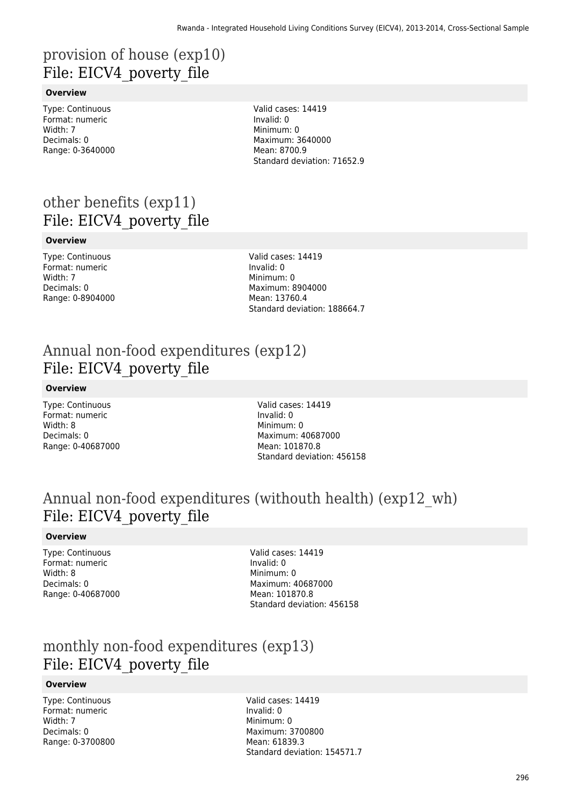# provision of house (exp10) File: EICV4 poverty file

### **Overview**

Type: Continuous Format: numeric Width: 7 Decimals: 0 Range: 0-3640000 Valid cases: 14419 Invalid: 0 Minimum: 0 Maximum: 3640000 Mean: 8700.9 Standard deviation: 71652.9

# other benefits (exp11) File: EICV4\_poverty\_file

#### **Overview**

Type: Continuous Format: numeric Width: 7 Decimals: 0 Range: 0-8904000 Valid cases: 14419 Invalid: 0 Minimum: 0 Maximum: 8904000 Mean: 13760.4 Standard deviation: 188664.7

### Annual non-food expenditures (exp12) File: EICV4\_poverty\_file

#### **Overview**

Type: Continuous Format: numeric Width: 8 Decimals: 0 Range: 0-40687000 Valid cases: 14419 Invalid: 0 Minimum: 0 Maximum: 40687000 Mean: 101870.8 Standard deviation: 456158

# Annual non-food expenditures (withouth health) (exp12\_wh) File: EICV4 poverty file

### **Overview**

Type: Continuous Format: numeric Width: 8 Decimals: 0 Range: 0-40687000 Valid cases: 14419 Invalid: 0 Minimum: 0 Maximum: 40687000 Mean: 101870.8 Standard deviation: 456158

### monthly non-food expenditures (exp13) File: EICV4 poverty file

#### **Overview**

Type: Continuous Format: numeric Width: 7 Decimals: 0 Range: 0-3700800 Valid cases: 14419 Invalid: 0 Minimum: 0 Maximum: 3700800 Mean: 61839.3 Standard deviation: 154571.7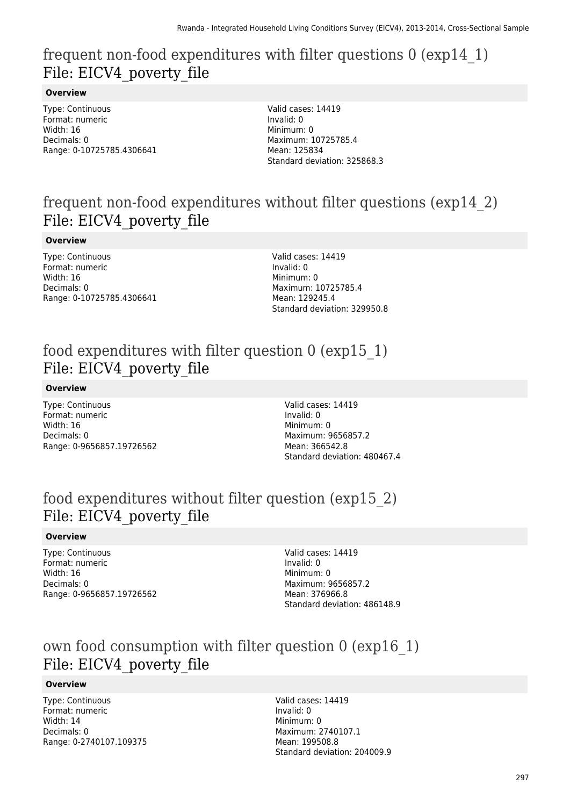# frequent non-food expenditures with filter questions 0 (exp14\_1) File: EICV4\_poverty\_file

### **Overview**

Type: Continuous Format: numeric Width: 16 Decimals: 0 Range: 0-10725785.4306641

Valid cases: 14419 Invalid: 0 Minimum: 0 Maximum: 10725785.4 Mean: 125834 Standard deviation: 325868.3

# frequent non-food expenditures without filter questions (exp14\_2) File: EICV4\_poverty\_file

### **Overview**

Type: Continuous Format: numeric Width: 16 Decimals: 0 Range: 0-10725785.4306641 Valid cases: 14419 Invalid: 0 Minimum: 0 Maximum: 10725785.4 Mean: 129245.4 Standard deviation: 329950.8

## food expenditures with filter question 0 (exp15\_1) File: EICV4\_poverty\_file

### **Overview**

Type: Continuous Format: numeric Width: 16 Decimals: 0 Range: 0-9656857.19726562 Valid cases: 14419 Invalid: 0 Minimum: 0 Maximum: 9656857.2 Mean: 366542.8 Standard deviation: 480467.4

# food expenditures without filter question (exp15\_2) File: EICV4 poverty file

### **Overview**

Type: Continuous Format: numeric Width: 16 Decimals: 0 Range: 0-9656857.19726562

Valid cases: 14419 Invalid: 0 Minimum: 0 Maximum: 9656857.2 Mean: 376966.8 Standard deviation: 486148.9

## own food consumption with filter question 0 (exp16\_1) File: EICV4 poverty file

### **Overview**

Type: Continuous Format: numeric Width: 14 Decimals: 0 Range: 0-2740107.109375

Valid cases: 14419 Invalid: 0 Minimum: 0 Maximum: 2740107.1 Mean: 199508.8 Standard deviation: 204009.9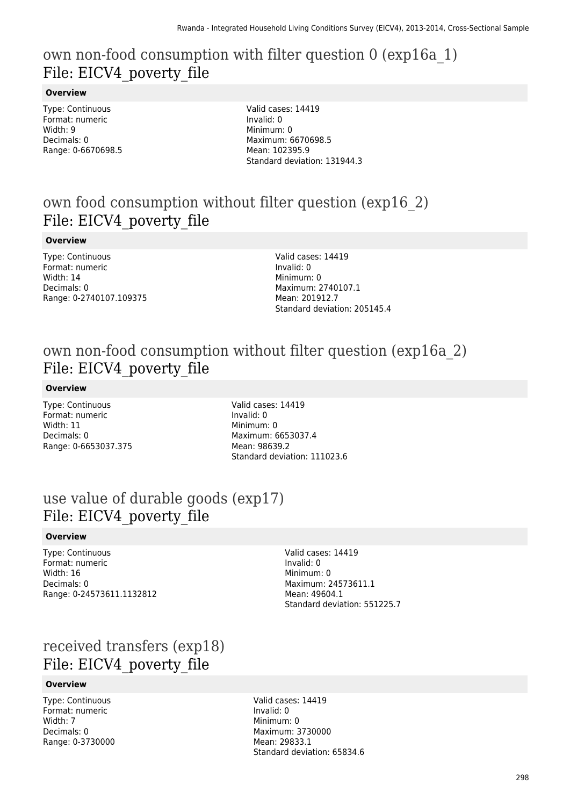# own non-food consumption with filter question 0 (exp16a\_1) File: EICV4\_poverty\_file

### **Overview**

Type: Continuous Format: numeric Width: 9 Decimals: 0 Range: 0-6670698.5

Valid cases: 14419 Invalid: 0 Minimum: 0 Maximum: 6670698.5 Mean: 102395.9 Standard deviation: 131944.3

# own food consumption without filter question (exp16\_2) File: EICV4\_poverty\_file

#### **Overview**

Type: Continuous Format: numeric Width: 14 Decimals: 0 Range: 0-2740107.109375

Valid cases: 14419 Invalid: 0 Minimum: 0 Maximum: 2740107.1 Mean: 201912.7 Standard deviation: 205145.4

### own non-food consumption without filter question (exp16a\_2) File: EICV4 poverty file

### **Overview**

Type: Continuous Format: numeric Width: 11 Decimals: 0 Range: 0-6653037.375

Valid cases: 14419 Invalid: 0 Minimum: 0 Maximum: 6653037.4 Mean: 98639.2 Standard deviation: 111023.6

### use value of durable goods (exp17) File: EICV4 poverty file

### **Overview**

Type: Continuous Format: numeric Width: 16 Decimals: 0 Range: 0-24573611.1132812 Valid cases: 14419 Invalid: 0 Minimum: 0 Maximum: 24573611.1 Mean: 49604.1 Standard deviation: 551225.7

### received transfers (exp18) File: EICV4 poverty file

### **Overview**

Type: Continuous Format: numeric Width: 7 Decimals: 0 Range: 0-3730000 Valid cases: 14419 Invalid: 0 Minimum: 0 Maximum: 3730000 Mean: 29833.1 Standard deviation: 65834.6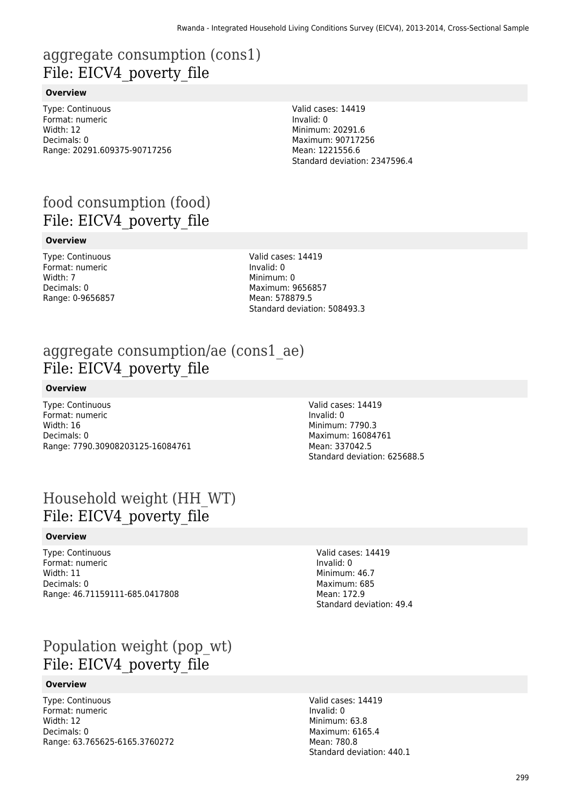## aggregate consumption (cons1) File: EICV4\_poverty\_file

### **Overview**

Type: Continuous Format: numeric Width: 12 Decimals: 0 Range: 20291.609375-90717256

Valid cases: 14419 Invalid: 0 Minimum: 20291.6 Maximum: 90717256 Mean: 1221556.6 Standard deviation: 2347596.4

# food consumption (food) File: EICV4\_poverty\_file

#### **Overview**

Type: Continuous Format: numeric Width: 7 Decimals: 0 Range: 0-9656857

Valid cases: 14419 Invalid: 0 Minimum: 0 Maximum: 9656857 Mean: 578879.5 Standard deviation: 508493.3

### aggregate consumption/ae (cons1\_ae) File: EICV4\_poverty\_file

### **Overview**

Type: Continuous Format: numeric Width: 16 Decimals: 0 Range: 7790.30908203125-16084761

### Household weight (HH\_WT) File: EICV4 poverty file

### **Overview**

Type: Continuous Format: numeric Width: 11 Decimals: 0 Range: 46.71159111-685.0417808 Valid cases: 14419 Invalid: 0 Minimum: 7790.3 Maximum: 16084761 Mean: 337042.5 Standard deviation: 625688.5

Valid cases: 14419 Invalid: 0 Minimum: 46.7 Maximum: 685 Mean: 172.9 Standard deviation: 49.4

### Population weight (pop\_wt) File: EICV4 poverty file

### **Overview**

Type: Continuous Format: numeric Width: 12 Decimals: 0 Range: 63.765625-6165.3760272

Valid cases: 14419 Invalid: 0 Minimum: 63.8 Maximum: 6165.4 Mean: 780.8 Standard deviation: 440.1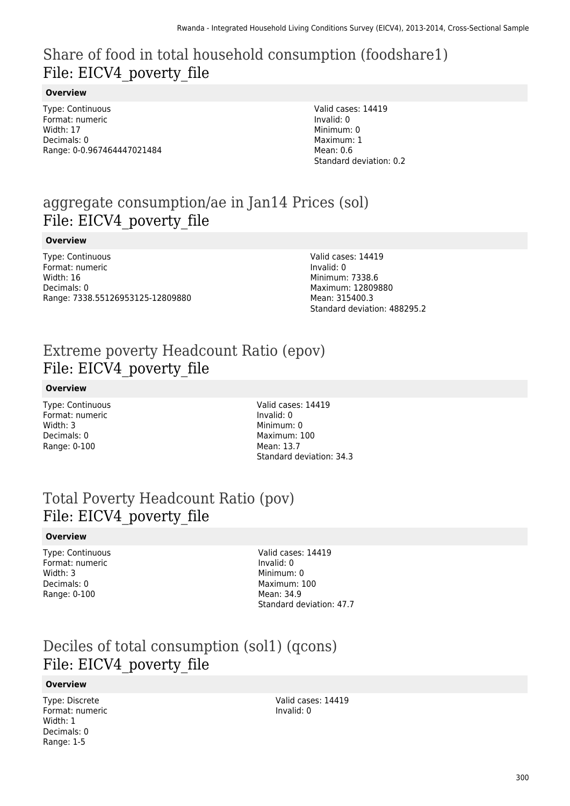# Share of food in total household consumption (foodshare1) File: EICV4\_poverty\_file

### **Overview**

Type: Continuous Format: numeric Width: 17 Decimals: 0 Range: 0-0.967464447021484 Valid cases: 14419 Invalid: 0 Minimum: 0 Maximum: 1 Mean: 0.6 Standard deviation: 0.2

# aggregate consumption/ae in Jan14 Prices (sol) File: EICV4\_poverty\_file

### **Overview**

Type: Continuous Format: numeric Width: 16 Decimals: 0 Range: 7338.55126953125-12809880 Valid cases: 14419 Invalid: 0 Minimum: 7338.6 Maximum: 12809880 Mean: 315400.3 Standard deviation: 488295.2

## Extreme poverty Headcount Ratio (epov) File: EICV4\_poverty\_file

### **Overview**

Type: Continuous Format: numeric Width: 3 Decimals: 0 Range: 0-100

Valid cases: 14419 Invalid: 0 Minimum: 0 Maximum: 100 Mean: 13.7 Standard deviation: 34.3

## Total Poverty Headcount Ratio (pov) File: EICV4 poverty file

### **Overview**

Type: Continuous Format: numeric Width: 3 Decimals: 0 Range: 0-100

Valid cases: 14419 Invalid: 0 Minimum: 0 Maximum: 100 Mean: 34.9 Standard deviation: 47.7

# Deciles of total consumption (sol1) (qcons) File: EICV4 poverty file

### **Overview**

Type: Discrete Format: numeric Width: 1 Decimals: 0 Range: 1-5

Valid cases: 14419 Invalid: 0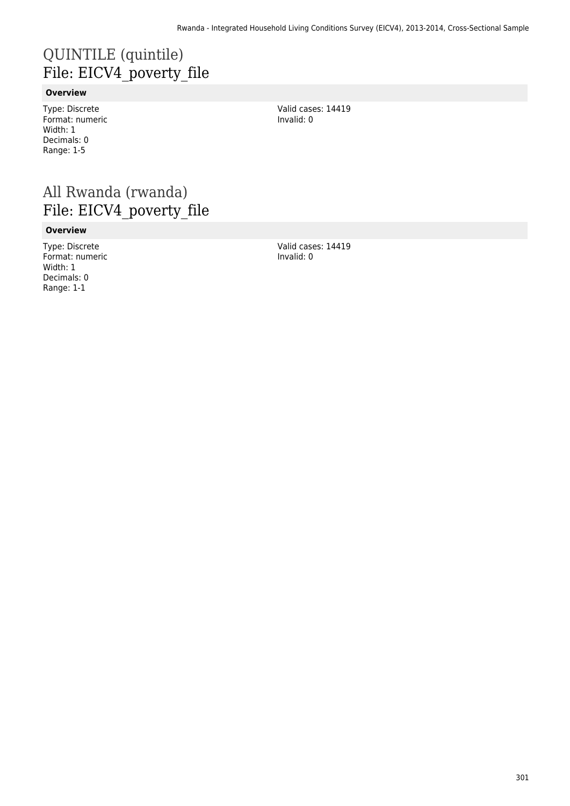# QUINTILE (quintile) File: EICV4\_poverty\_file

### **Overview**

Type: Discrete Format: numeric Width: 1 Decimals: 0 Range: 1-5

Valid cases: 14419 Invalid: 0

# All Rwanda (rwanda) File: EICV4\_poverty\_file

#### **Overview**

Type: Discrete Format: numeric Width: 1 Decimals: 0 Range: 1-1

Valid cases: 14419 Invalid: 0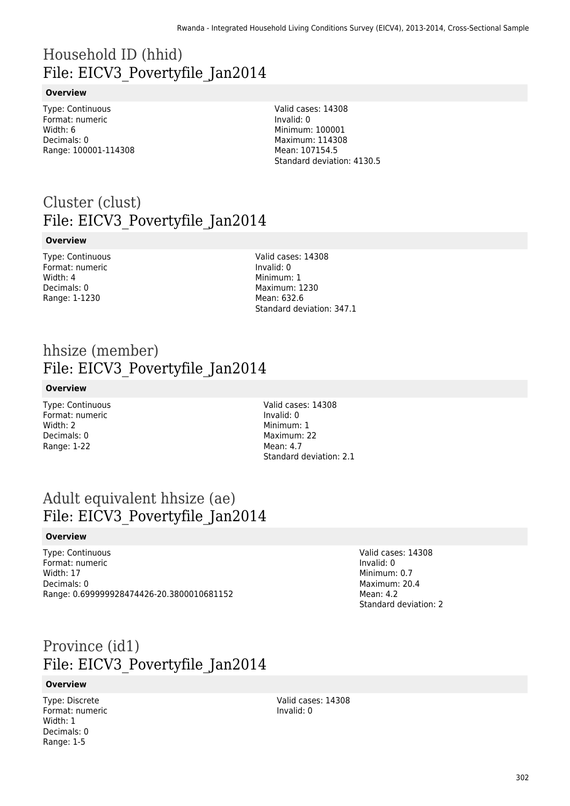# Household ID (hhid) File: EICV3\_Povertyfile\_Jan2014

### **Overview**

Type: Continuous Format: numeric Width: 6 Decimals: 0 Range: 100001-114308 Valid cases: 14308 Invalid: 0 Minimum: 100001 Maximum: 114308 Mean: 107154.5 Standard deviation: 4130.5

## Cluster (clust) File: EICV3\_Povertyfile\_Jan2014

### **Overview**

Type: Continuous Format: numeric Width: 4 Decimals: 0 Range: 1-1230

Valid cases: 14308 Invalid: 0 Minimum: 1 Maximum: 1230 Mean: 632.6 Standard deviation: 347.1

### hhsize (member) File: EICV3\_Povertyfile\_Jan2014

### **Overview**

Type: Continuous Format: numeric Width: 2 Decimals: 0 Range: 1-22

Valid cases: 14308 Invalid: 0 Minimum: 1 Maximum: 22 Mean: 4.7 Standard deviation: 2.1

### Adult equivalent hhsize (ae) File: EICV3 Povertyfile Jan2014

### **Overview**

Type: Continuous Format: numeric Width: 17 Decimals: 0 Range: 0.699999928474426-20.3800010681152

Valid cases: 14308 Invalid: 0 Minimum: 0.7 Maximum: 20.4 Mean: 4.2 Standard deviation: 2

# Province (id1) File: EICV3\_Povertyfile\_Jan2014

### **Overview**

Type: Discrete Format: numeric Width: 1 Decimals: 0 Range: 1-5

Valid cases: 14308 Invalid: 0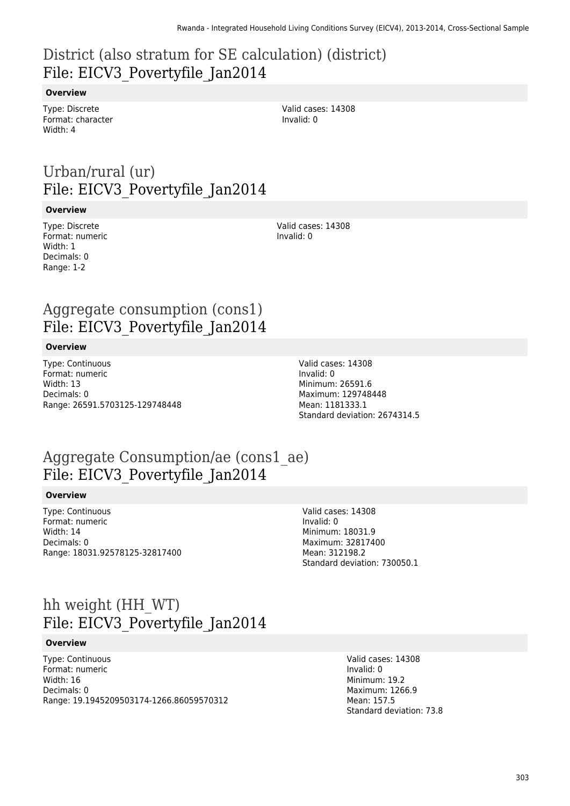## District (also stratum for SE calculation) (district) File: EICV3\_Povertyfile\_Jan2014

### **Overview**

Type: Discrete Format: character Width: 4

Valid cases: 14308 Invalid: 0

# Urban/rural (ur) File: EICV3\_Povertyfile\_Jan2014

#### **Overview**

Type: Discrete Format: numeric Width: 1 Decimals: 0 Range: 1-2

Valid cases: 14308 Invalid: 0

### Aggregate consumption (cons1) File: EICV3\_Povertyfile\_Jan2014

#### **Overview**

Type: Continuous Format: numeric Width: 13 Decimals: 0 Range: 26591.5703125-129748448 Valid cases: 14308 Invalid: 0 Minimum: 26591.6 Maximum: 129748448 Mean: 1181333.1 Standard deviation: 2674314.5

### Aggregate Consumption/ae (cons1\_ae) File: EICV3 Povertyfile Jan2014

#### **Overview**

Type: Continuous Format: numeric Width: 14 Decimals: 0 Range: 18031.92578125-32817400 Valid cases: 14308 Invalid: 0 Minimum: 18031.9 Maximum: 32817400 Mean: 312198.2 Standard deviation: 730050.1

### hh weight (HH\_WT) File: EICV3 Povertyfile Jan2014

#### **Overview**

Type: Continuous Format: numeric Width: 16 Decimals: 0 Range: 19.1945209503174-1266.86059570312 Valid cases: 14308 Invalid: 0 Minimum: 19.2 Maximum: 1266.9 Mean: 157.5 Standard deviation: 73.8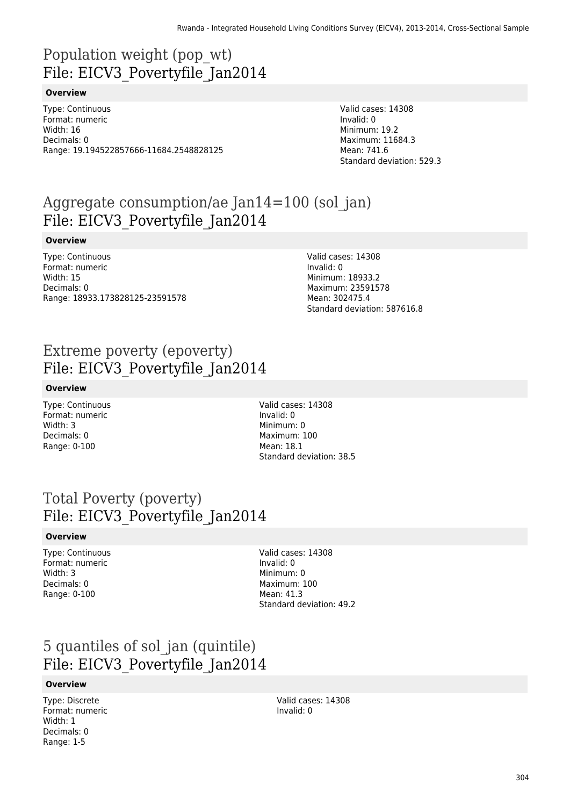# Population weight (pop\_wt) File: EICV3\_Povertyfile\_Jan2014

### **Overview**

Type: Continuous Format: numeric Width: 16 Decimals: 0 Range: 19.194522857666-11684.2548828125

Valid cases: 14308 Invalid: 0 Minimum: 19.2 Maximum: 11684.3 Mean: 741.6 Standard deviation: 529.3

# Aggregate consumption/ae Jan14=100 (sol\_jan) File: EICV3\_Povertyfile\_Jan2014

### **Overview**

Type: Continuous Format: numeric Width: 15 Decimals: 0 Range: 18933.173828125-23591578 Valid cases: 14308 Invalid: 0 Minimum: 18933.2 Maximum: 23591578 Mean: 302475.4 Standard deviation: 587616.8

### Extreme poverty (epoverty) File: EICV3 Povertyfile Jan2014

### **Overview**

Type: Continuous Format: numeric Width: 3 Decimals: 0 Range: 0-100

Valid cases: 14308 Invalid: 0 Minimum: 0 Maximum: 100 Mean: 18.1 Standard deviation: 38.5

### Total Poverty (poverty) File: EICV3\_Povertyfile\_Jan2014

### **Overview**

Type: Continuous Format: numeric Width: 3 Decimals: 0 Range: 0-100

Valid cases: 14308 Invalid: 0 Minimum: 0 Maximum: 100 Mean: 41.3 Standard deviation: 49.2

### 5 quantiles of sol\_jan (quintile) File: EICV3\_Povertyfile\_Jan2014

### **Overview**

Type: Discrete Format: numeric Width: 1 Decimals: 0 Range: 1-5

Valid cases: 14308 Invalid: 0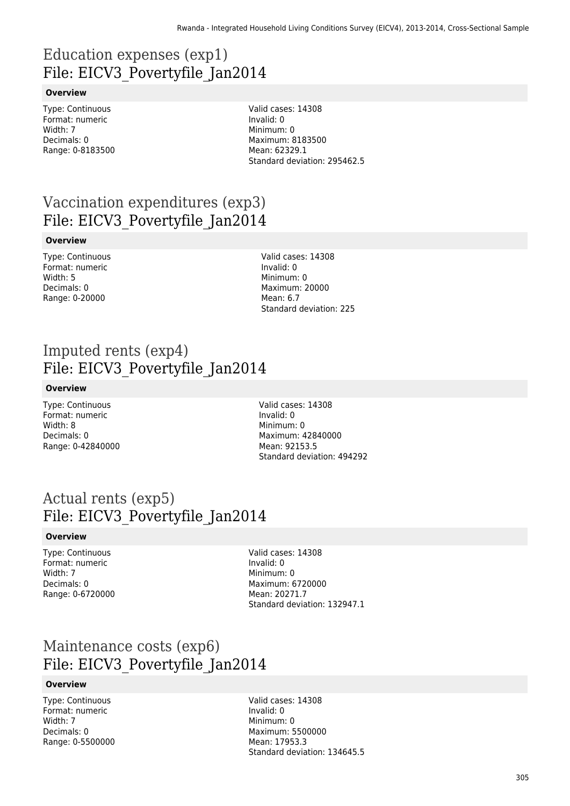# Education expenses (exp1) File: EICV3\_Povertyfile\_Jan2014

### **Overview**

Type: Continuous Format: numeric Width: 7 Decimals: 0 Range: 0-8183500 Valid cases: 14308 Invalid: 0 Minimum: 0 Maximum: 8183500 Mean: 62329.1 Standard deviation: 295462.5

## Vaccination expenditures (exp3) File: EICV3\_Povertyfile\_Jan2014

#### **Overview**

Type: Continuous Format: numeric Width: 5 Decimals: 0 Range: 0-20000

Valid cases: 14308 Invalid: 0 Minimum: 0 Maximum: 20000 Mean: 6.7 Standard deviation: 225

### Imputed rents (exp4) File: EICV3\_Povertyfile\_Jan2014

### **Overview**

Type: Continuous Format: numeric Width: 8 Decimals: 0 Range: 0-42840000 Valid cases: 14308 Invalid: 0 Minimum: 0 Maximum: 42840000 Mean: 92153.5 Standard deviation: 494292

### Actual rents (exp5) File: EICV3\_Povertyfile\_Jan2014

### **Overview**

Type: Continuous Format: numeric Width: 7 Decimals: 0 Range: 0-6720000 Valid cases: 14308 Invalid: 0 Minimum: 0 Maximum: 6720000 Mean: 20271.7 Standard deviation: 132947.1

### Maintenance costs (exp6) File: EICV3 Povertyfile Jan2014

### **Overview**

Type: Continuous Format: numeric Width: 7 Decimals: 0 Range: 0-5500000 Valid cases: 14308 Invalid: 0 Minimum: 0 Maximum: 5500000 Mean: 17953.3 Standard deviation: 134645.5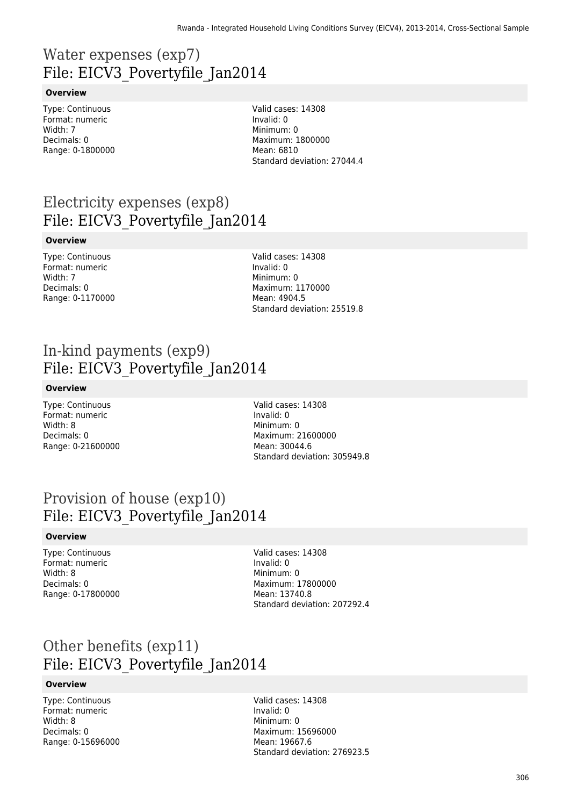# Water expenses (exp7) File: EICV3\_Povertyfile\_Jan2014

### **Overview**

Type: Continuous Format: numeric Width: 7 Decimals: 0 Range: 0-1800000

Valid cases: 14308 Invalid: 0 Minimum: 0 Maximum: 1800000 Mean: 6810 Standard deviation: 27044.4

## Electricity expenses (exp8) File: EICV3\_Povertyfile\_Jan2014

### **Overview**

Type: Continuous Format: numeric Width: 7 Decimals: 0 Range: 0-1170000

Valid cases: 14308 Invalid: 0 Minimum: 0 Maximum: 1170000 Mean: 4904.5 Standard deviation: 25519.8

### In-kind payments (exp9) File: EICV3 Povertyfile Jan2014

### **Overview**

Type: Continuous Format: numeric Width: 8 Decimals: 0 Range: 0-21600000

Valid cases: 14308 Invalid: 0 Minimum: 0 Maximum: 21600000 Mean: 30044.6 Standard deviation: 305949.8

### Provision of house (exp10) File: EICV3 Povertyfile Jan2014

### **Overview**

Type: Continuous Format: numeric Width: 8 Decimals: 0 Range: 0-17800000 Valid cases: 14308 Invalid: 0 Minimum: 0 Maximum: 17800000 Mean: 13740.8 Standard deviation: 207292.4

### Other benefits (exp11) File: EICV3\_Povertyfile\_Jan2014

### **Overview**

Type: Continuous Format: numeric Width: 8 Decimals: 0 Range: 0-15696000

Valid cases: 14308 Invalid: 0 Minimum: 0 Maximum: 15696000 Mean: 19667.6 Standard deviation: 276923.5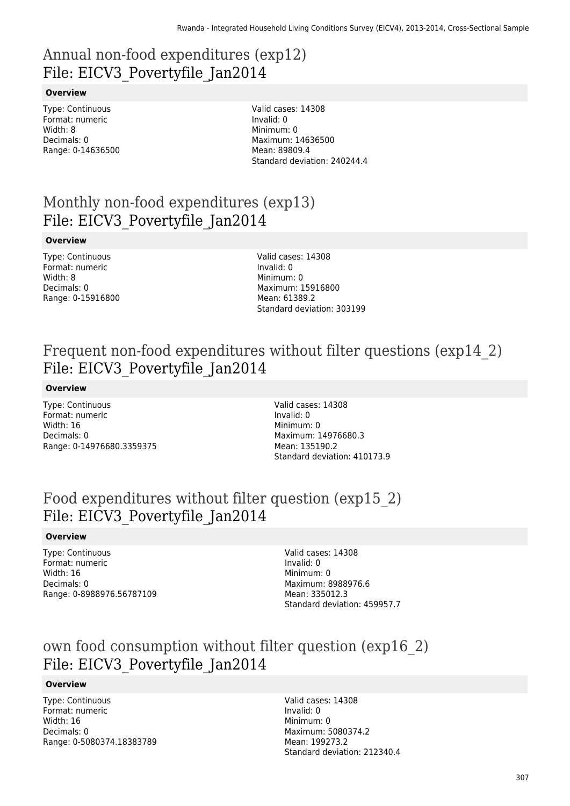## Annual non-food expenditures (exp12) File: EICV3\_Povertyfile\_Jan2014

### **Overview**

Type: Continuous Format: numeric Width: 8 Decimals: 0 Range: 0-14636500 Valid cases: 14308 Invalid: 0 Minimum: 0 Maximum: 14636500 Mean: 89809.4 Standard deviation: 240244.4

# Monthly non-food expenditures (exp13) File: EICV3\_Povertyfile\_Jan2014

#### **Overview**

Type: Continuous Format: numeric Width: 8 Decimals: 0 Range: 0-15916800 Valid cases: 14308 Invalid: 0 Minimum: 0 Maximum: 15916800 Mean: 61389.2 Standard deviation: 303199

### Frequent non-food expenditures without filter questions (exp14\_2) File: EICV3\_Povertyfile\_Jan2014

#### **Overview**

Type: Continuous Format: numeric Width: 16 Decimals: 0 Range: 0-14976680.3359375 Valid cases: 14308 Invalid: 0 Minimum: 0 Maximum: 14976680.3 Mean: 135190.2 Standard deviation: 410173.9

## Food expenditures without filter question (exp15\_2) File: EICV3\_Povertyfile\_Jan2014

### **Overview**

Type: Continuous Format: numeric Width: 16 Decimals: 0 Range: 0-8988976.56787109 Valid cases: 14308 Invalid: 0 Minimum: 0 Maximum: 8988976.6 Mean: 335012.3 Standard deviation: 459957.7

### own food consumption without filter question (exp16\_2) File: EICV3\_Povertyfile\_Jan2014

#### **Overview**

Type: Continuous Format: numeric Width: 16 Decimals: 0 Range: 0-5080374.18383789 Valid cases: 14308 Invalid: 0 Minimum: 0 Maximum: 5080374.2 Mean: 199273.2 Standard deviation: 212340.4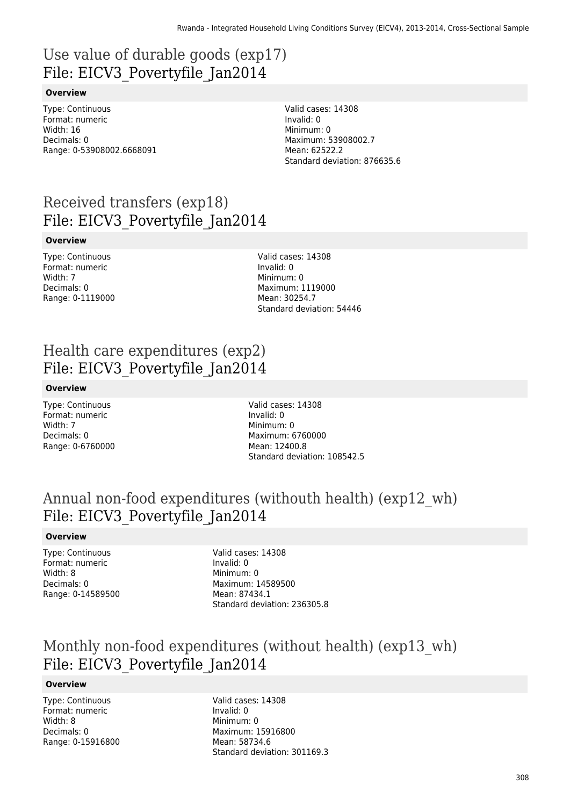## Use value of durable goods (exp17) File: EICV3\_Povertyfile\_Jan2014

### **Overview**

Type: Continuous Format: numeric Width: 16 Decimals: 0 Range: 0-53908002.6668091 Valid cases: 14308 Invalid: 0 Minimum: 0 Maximum: 53908002.7 Mean: 62522.2 Standard deviation: 876635.6

# Received transfers (exp18) File: EICV3\_Povertyfile\_Jan2014

### **Overview**

Type: Continuous Format: numeric Width: 7 Decimals: 0 Range: 0-1119000 Valid cases: 14308 Invalid: 0 Minimum: 0 Maximum: 1119000 Mean: 30254.7 Standard deviation: 54446

### Health care expenditures (exp2) File: EICV3\_Povertyfile\_Jan2014

### **Overview**

Type: Continuous Format: numeric Width: 7 Decimals: 0 Range: 0-6760000 Valid cases: 14308 Invalid: 0 Minimum: 0 Maximum: 6760000 Mean: 12400.8 Standard deviation: 108542.5

## Annual non-food expenditures (withouth health) (exp12\_wh) File: EICV3\_Povertyfile\_Jan2014

### **Overview**

Type: Continuous Format: numeric Width: 8 Decimals: 0 Range: 0-14589500 Valid cases: 14308 Invalid: 0 Minimum: 0 Maximum: 14589500 Mean: 87434.1 Standard deviation: 236305.8

## Monthly non-food expenditures (without health) (exp13 wh) File: EICV3\_Povertyfile\_Jan2014

### **Overview**

Type: Continuous Format: numeric Width: 8 Decimals: 0 Range: 0-15916800 Valid cases: 14308 Invalid: 0 Minimum: 0 Maximum: 15916800 Mean: 58734.6 Standard deviation: 301169.3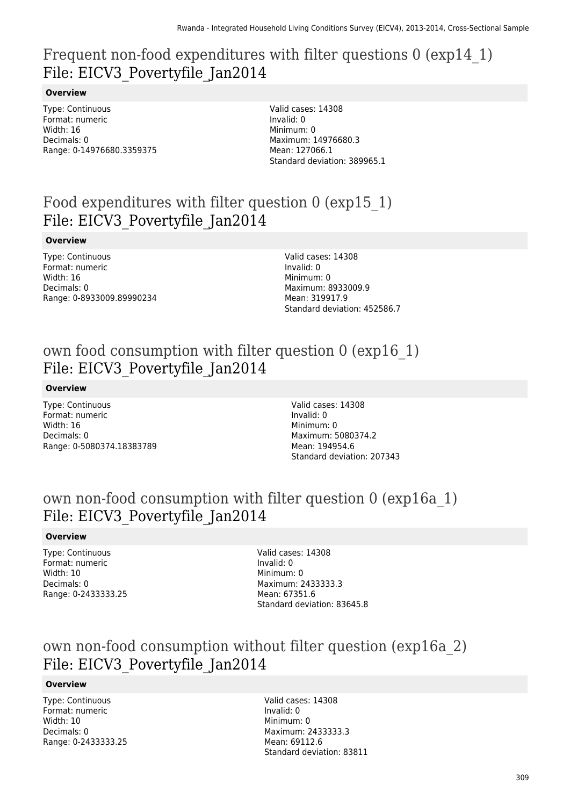# Frequent non-food expenditures with filter questions 0 (exp14\_1) File: EICV3\_Povertyfile\_Jan2014

### **Overview**

Type: Continuous Format: numeric Width: 16 Decimals: 0 Range: 0-14976680.3359375

Valid cases: 14308 Invalid: 0 Minimum: 0 Maximum: 14976680.3 Mean: 127066.1 Standard deviation: 389965.1

# Food expenditures with filter question 0 (exp15\_1) File: EICV3\_Povertyfile\_Jan2014

### **Overview**

Type: Continuous Format: numeric Width: 16 Decimals: 0 Range: 0-8933009.89990234

Valid cases: 14308 Invalid: 0 Minimum: 0 Maximum: 8933009.9 Mean: 319917.9 Standard deviation: 452586.7

### own food consumption with filter question 0 (exp16\_1) File: EICV3\_Povertyfile\_Jan2014

### **Overview**

Type: Continuous Format: numeric Width: 16 Decimals: 0 Range: 0-5080374.18383789 Valid cases: 14308 Invalid: 0 Minimum: 0 Maximum: 5080374.2 Mean: 194954.6 Standard deviation: 207343

## own non-food consumption with filter question 0 (exp16a\_1) File: EICV3\_Povertyfile\_Jan2014

### **Overview**

Type: Continuous Format: numeric Width: 10 Decimals: 0 Range: 0-2433333.25 Valid cases: 14308 Invalid: 0 Minimum: 0 Maximum: 2433333.3 Mean: 67351.6 Standard deviation: 83645.8

### own non-food consumption without filter question (exp16a\_2) File: EICV3\_Povertyfile\_Jan2014

### **Overview**

Type: Continuous Format: numeric Width: 10 Decimals: 0 Range: 0-2433333.25

Valid cases: 14308 Invalid: 0 Minimum: 0 Maximum: 2433333.3 Mean: 69112.6 Standard deviation: 83811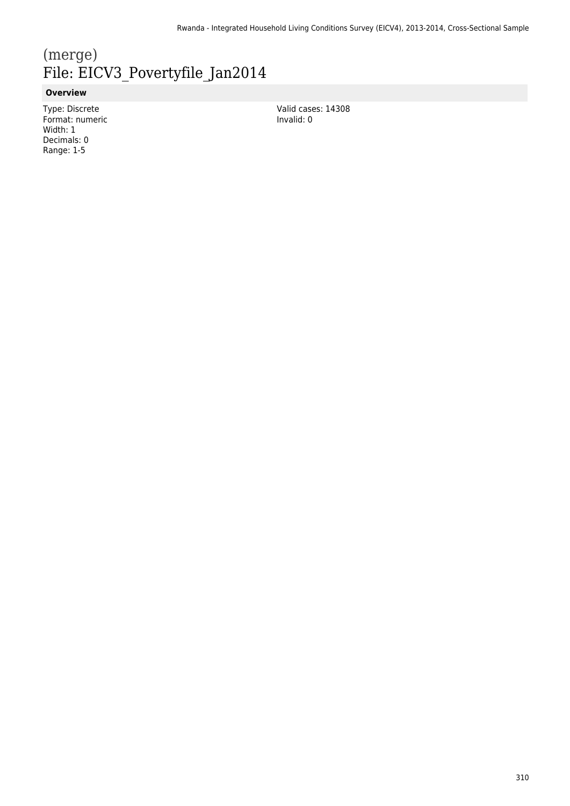# (merge) File: EICV3\_Povertyfile\_Jan2014

### **Overview**

Type: Discrete Format: numeric Width: 1 Decimals: 0 Range: 1-5

Valid cases: 14308 Invalid: 0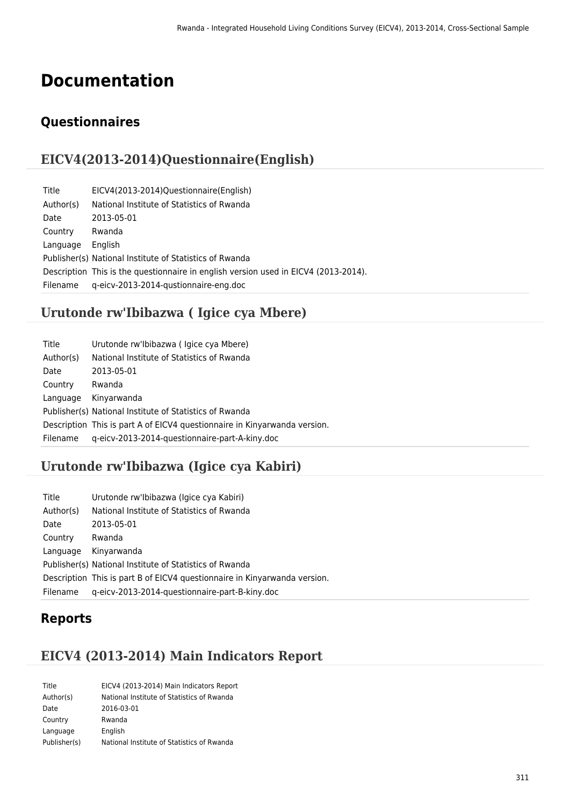# **Documentation**

### **Questionnaires**

### **EICV4(2013-2014)Questionnaire(English)**

| Title     | EICV4(2013-2014)Questionnaire(English)                                              |
|-----------|-------------------------------------------------------------------------------------|
| Author(s) | National Institute of Statistics of Rwanda                                          |
| Date      | 2013-05-01                                                                          |
| Country   | Rwanda                                                                              |
| Language  | English                                                                             |
|           | Publisher(s) National Institute of Statistics of Rwanda                             |
|           | Description This is the questionnaire in english version used in EICV4 (2013-2014). |
| Filename  | q-eicv-2013-2014-qustionnaire-eng.doc                                               |

### **Urutonde rw'Ibibazwa ( Igice cya Mbere)**

| Title     | Urutonde rw'Ibibazwa (Igice cya Mbere)                                    |
|-----------|---------------------------------------------------------------------------|
| Author(s) | National Institute of Statistics of Rwanda                                |
| Date      | 2013-05-01                                                                |
| Country   | Rwanda                                                                    |
| Language  | Kinyarwanda                                                               |
|           | Publisher(s) National Institute of Statistics of Rwanda                   |
|           | Description This is part A of EICV4 questionnaire in Kinyarwanda version. |
| Filename  | g-eicv-2013-2014-questionnaire-part-A-kiny.doc                            |

### **Urutonde rw'Ibibazwa (Igice cya Kabiri)**

| Title     | Urutonde rw'Ibibazwa (Igice cya Kabiri)                                   |
|-----------|---------------------------------------------------------------------------|
| Author(s) | National Institute of Statistics of Rwanda                                |
| Date      | 2013-05-01                                                                |
| Country   | Rwanda                                                                    |
| Language  | Kinyarwanda                                                               |
|           | Publisher(s) National Institute of Statistics of Rwanda                   |
|           | Description This is part B of EICV4 questionnaire in Kinyarwanda version. |
| Filename  | g-eicy-2013-2014-questionnaire-part-B-kiny.doc                            |

### **Reports**

### **EICV4 (2013-2014) Main Indicators Report**

| Title        | EICV4 (2013-2014) Main Indicators Report   |
|--------------|--------------------------------------------|
| Author(s)    | National Institute of Statistics of Rwanda |
| Date         | 2016-03-01                                 |
| Country      | Rwanda                                     |
| Language     | English                                    |
| Publisher(s) | National Institute of Statistics of Rwanda |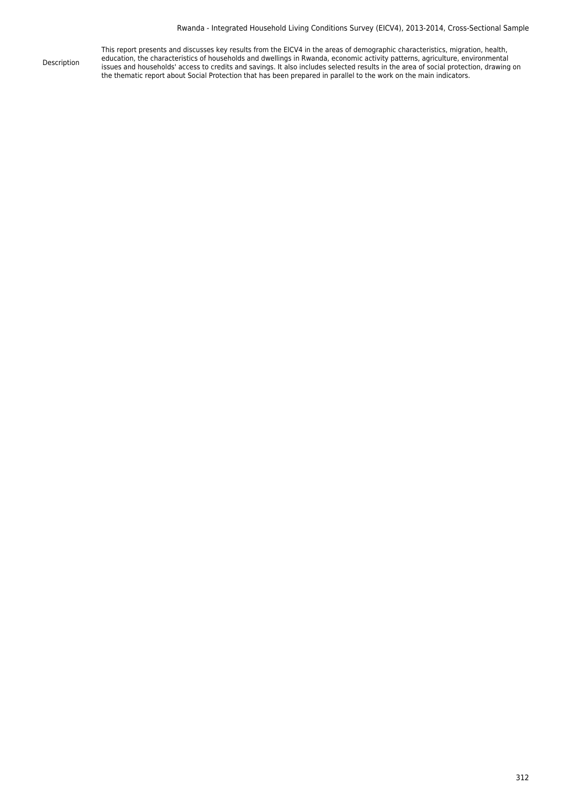#### Rwanda - Integrated Household Living Conditions Survey (EICV4), 2013-2014, Cross-Sectional Sample

Description This report presents and discusses key results from the EICV4 in the areas of demographic characteristics, migration, health, education, the characteristics of households and dwellings in Rwanda, economic activity patterns, agriculture, environmental issues and households' access to credits and savings. It also includes selected results in the area of social protection, drawing on the thematic report about Social Protection that has been prepared in parallel to the work on the main indicators.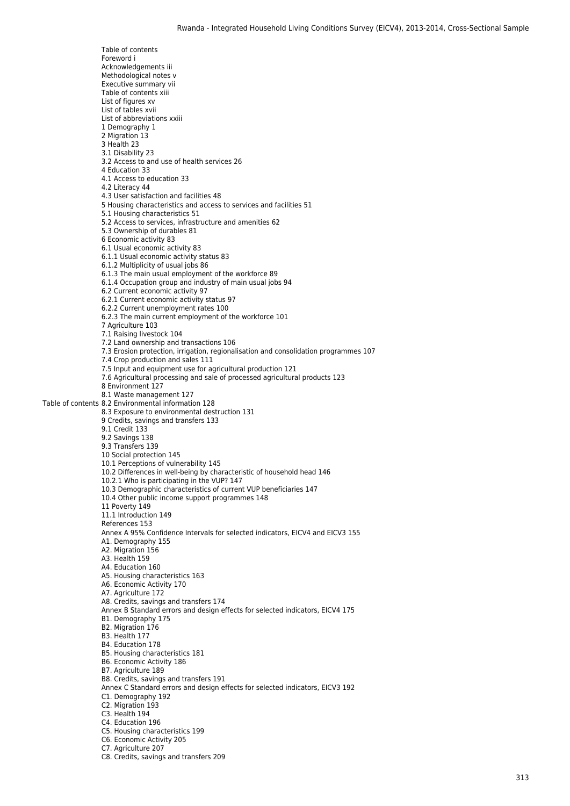Table of contents 8.2 Environmental information 128 Table of contents Foreword i Acknowledgements iii Methodological notes v Executive summary vii Table of contents xiii List of figures xv List of tables xvii List of abbreviations xxiii 1 Demography 1 2 Migration 13 3 Health 23 3.1 Disability 23 3.2 Access to and use of health services 26 4 Education 33 4.1 Access to education 33 4.2 Literacy 44 4.3 User satisfaction and facilities 48 5 Housing characteristics and access to services and facilities 51 5.1 Housing characteristics 51 5.2 Access to services, infrastructure and amenities 62 5.3 Ownership of durables 81 6 Economic activity 83 6.1 Usual economic activity 83 6.1.1 Usual economic activity status 83 6.1.2 Multiplicity of usual jobs 86 6.1.3 The main usual employment of the workforce 89 6.1.4 Occupation group and industry of main usual jobs 94 6.2 Current economic activity 97 6.2.1 Current economic activity status 97 6.2.2 Current unemployment rates 100 6.2.3 The main current employment of the workforce 101 7 Agriculture 103 7.1 Raising livestock 104 7.2 Land ownership and transactions 106 7.3 Erosion protection, irrigation, regionalisation and consolidation programmes 107 7.4 Crop production and sales 111 7.5 Input and equipment use for agricultural production 121 7.6 Agricultural processing and sale of processed agricultural products 123 8 Environment 127 8.1 Waste management 127 8.3 Exposure to environmental destruction 131 9 Credits, savings and transfers 133 9.1 Credit 133 9.2 Savings 138 9.3 Transfers 139 10 Social protection 145 10.1 Perceptions of vulnerability 145 10.2 Differences in well-being by characteristic of household head 146 10.2.1 Who is participating in the VUP? 147 10.3 Demographic characteristics of current VUP beneficiaries 147 10.4 Other public income support programmes 148 11 Poverty 149 11.1 Introduction 149 References 153 Annex A 95% Confidence Intervals for selected indicators, EICV4 and EICV3 155 A1. Demography 155 A2. Migration 156 A3. Health 159 A4. Education 160 A5. Housing characteristics 163 A6. Economic Activity 170 A7. Agriculture 172 A8. Credits, savings and transfers 174 Annex B Standard errors and design effects for selected indicators, EICV4 175 B1. Demography 175 B2. Migration 176 B3. Health 177 B4. Education 178 B5. Housing characteristics 181 B6. Economic Activity 186 B7. Agriculture 189 B8. Credits, savings and transfers 191 Annex C Standard errors and design effects for selected indicators, EICV3 192 C1. Demography 192 C2. Migration 193 C3. Health 194 C4. Education 196 C5. Housing characteristics 199 C6. Economic Activity 205

C7. Agriculture 207

C8. Credits, savings and transfers 209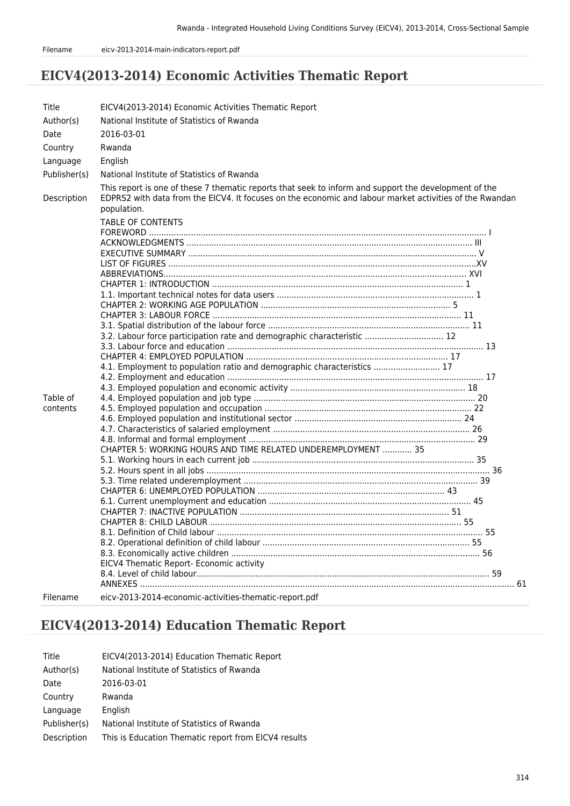### **EICV4(2013-2014) Economic Activities Thematic Report**

| Title        | EICV4(2013-2014) Economic Activities Thematic Report                                                                                                                                                                                                        |  |
|--------------|-------------------------------------------------------------------------------------------------------------------------------------------------------------------------------------------------------------------------------------------------------------|--|
| Author(s)    | National Institute of Statistics of Rwanda                                                                                                                                                                                                                  |  |
| Date         | 2016-03-01                                                                                                                                                                                                                                                  |  |
| Country      | Rwanda                                                                                                                                                                                                                                                      |  |
| Language     | English                                                                                                                                                                                                                                                     |  |
| Publisher(s) | National Institute of Statistics of Rwanda                                                                                                                                                                                                                  |  |
| Description  | This report is one of these 7 thematic reports that seek to inform and support the development of the<br>EDPRS2 with data from the EICV4. It focuses on the economic and labour market activities of the Rwandan<br>population.<br><b>TABLE OF CONTENTS</b> |  |
|              | 3.2. Labour force participation rate and demographic characteristic  12<br>4.1. Employment to population ratio and demographic characteristics  17                                                                                                          |  |
| Table of     |                                                                                                                                                                                                                                                             |  |
| contents     |                                                                                                                                                                                                                                                             |  |
|              |                                                                                                                                                                                                                                                             |  |
|              |                                                                                                                                                                                                                                                             |  |
|              |                                                                                                                                                                                                                                                             |  |
|              | CHAPTER 5: WORKING HOURS AND TIME RELATED UNDEREMPLOYMENT  35                                                                                                                                                                                               |  |
|              |                                                                                                                                                                                                                                                             |  |
|              |                                                                                                                                                                                                                                                             |  |
|              |                                                                                                                                                                                                                                                             |  |
|              |                                                                                                                                                                                                                                                             |  |
|              |                                                                                                                                                                                                                                                             |  |
|              |                                                                                                                                                                                                                                                             |  |
|              |                                                                                                                                                                                                                                                             |  |
|              |                                                                                                                                                                                                                                                             |  |
|              |                                                                                                                                                                                                                                                             |  |
|              | EICV4 Thematic Report- Economic activity                                                                                                                                                                                                                    |  |
|              |                                                                                                                                                                                                                                                             |  |
| Filename     | eicv-2013-2014-economic-activities-thematic-report.pdf                                                                                                                                                                                                      |  |

### **EICV4(2013-2014) Education Thematic Report**

| Title        | EICV4(2013-2014) Education Thematic Report           |
|--------------|------------------------------------------------------|
| Author(s)    | National Institute of Statistics of Rwanda           |
| Date         | 2016-03-01                                           |
| Country      | Rwanda                                               |
| Language     | English                                              |
| Publisher(s) | National Institute of Statistics of Rwanda           |
| Description  | This is Education Thematic report from EICV4 results |
|              |                                                      |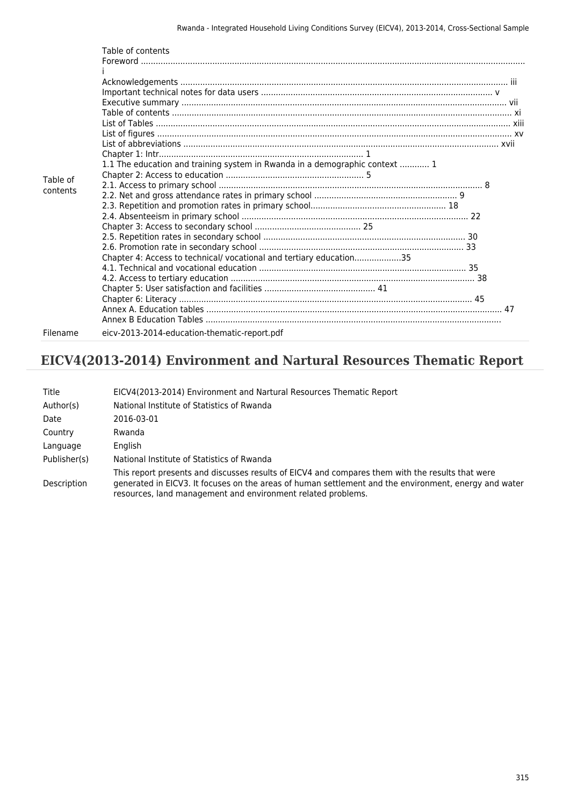|                      | Table of contents                                                           |  |
|----------------------|-----------------------------------------------------------------------------|--|
| Table of<br>contents |                                                                             |  |
|                      |                                                                             |  |
|                      |                                                                             |  |
|                      |                                                                             |  |
|                      |                                                                             |  |
|                      |                                                                             |  |
|                      |                                                                             |  |
|                      |                                                                             |  |
|                      |                                                                             |  |
|                      |                                                                             |  |
|                      | 1.1 The education and training system in Rwanda in a demographic context  1 |  |
|                      |                                                                             |  |
|                      |                                                                             |  |
|                      |                                                                             |  |
|                      |                                                                             |  |
|                      |                                                                             |  |
|                      |                                                                             |  |
|                      |                                                                             |  |
|                      |                                                                             |  |
|                      | Chapter 4: Access to technical/ vocational and tertiary education35         |  |
|                      |                                                                             |  |
|                      |                                                                             |  |
|                      |                                                                             |  |
|                      |                                                                             |  |
|                      |                                                                             |  |
|                      |                                                                             |  |
| Filename             | eicv-2013-2014-education-thematic-report.pdf                                |  |

### **EICV4(2013-2014) Environment and Nartural Resources Thematic Report**

| Title        | EICV4(2013-2014) Environment and Nartural Resources Thematic Report                                                                                                                                                                                                       |
|--------------|---------------------------------------------------------------------------------------------------------------------------------------------------------------------------------------------------------------------------------------------------------------------------|
| Author(s)    | National Institute of Statistics of Rwanda                                                                                                                                                                                                                                |
| Date         | 2016-03-01                                                                                                                                                                                                                                                                |
| Country      | Rwanda                                                                                                                                                                                                                                                                    |
| Language     | English                                                                                                                                                                                                                                                                   |
| Publisher(s) | National Institute of Statistics of Rwanda                                                                                                                                                                                                                                |
| Description  | This report presents and discusses results of EICV4 and compares them with the results that were<br>generated in EICV3. It focuses on the areas of human settlement and the environment, energy and water<br>resources, land management and environment related problems. |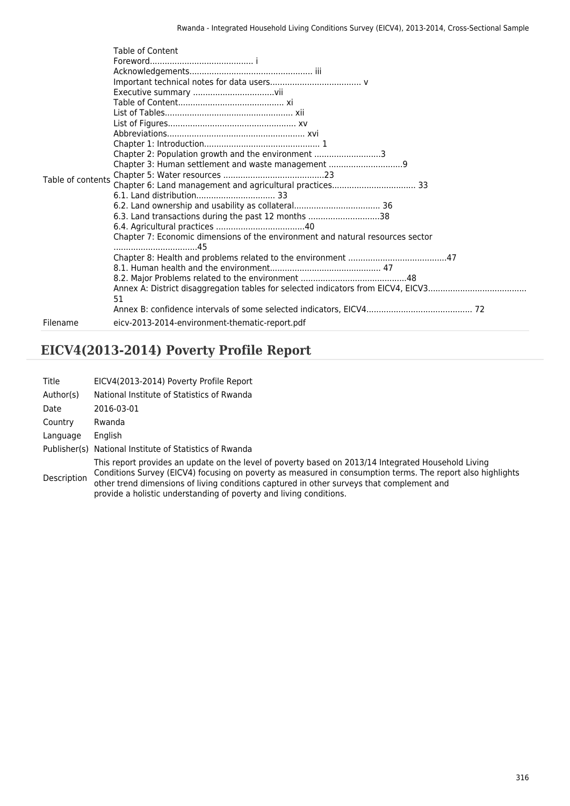| Table of contents<br>Chapter 6: Land management and agricultural practices 33<br>6.3. Land transactions during the past 12 months 38<br>Chapter 7: Economic dimensions of the environment and natural resources sector<br>51 |  |
|------------------------------------------------------------------------------------------------------------------------------------------------------------------------------------------------------------------------------|--|
| Filename<br>eicv-2013-2014-environment-thematic-report.pdf                                                                                                                                                                   |  |

### **EICV4(2013-2014) Poverty Profile Report**

| Title       | EICV4(2013-2014) Poverty Profile Report                                                                                                                                                                                                                                                                                                                                              |
|-------------|--------------------------------------------------------------------------------------------------------------------------------------------------------------------------------------------------------------------------------------------------------------------------------------------------------------------------------------------------------------------------------------|
| Author(s)   | National Institute of Statistics of Rwanda                                                                                                                                                                                                                                                                                                                                           |
| Date        | 2016-03-01                                                                                                                                                                                                                                                                                                                                                                           |
| Country     | Rwanda                                                                                                                                                                                                                                                                                                                                                                               |
| Language    | English                                                                                                                                                                                                                                                                                                                                                                              |
|             | Publisher(s) National Institute of Statistics of Rwanda                                                                                                                                                                                                                                                                                                                              |
| Description | This report provides an update on the level of poverty based on 2013/14 Integrated Household Living<br>Conditions Survey (EICV4) focusing on poverty as measured in consumption terms. The report also highlights<br>other trend dimensions of living conditions captured in other surveys that complement and<br>provide a holistic understanding of poverty and living conditions. |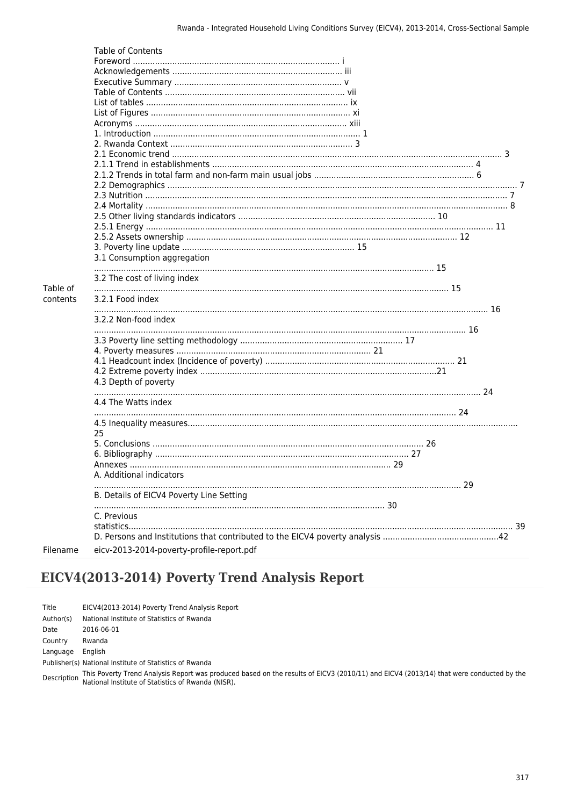|          | Table of Contents                         |  |
|----------|-------------------------------------------|--|
|          |                                           |  |
|          |                                           |  |
|          |                                           |  |
|          |                                           |  |
|          |                                           |  |
|          |                                           |  |
|          |                                           |  |
|          |                                           |  |
|          |                                           |  |
|          |                                           |  |
|          |                                           |  |
|          |                                           |  |
|          |                                           |  |
|          |                                           |  |
|          |                                           |  |
|          |                                           |  |
|          |                                           |  |
|          |                                           |  |
|          |                                           |  |
|          |                                           |  |
|          | 3.1 Consumption aggregation               |  |
|          |                                           |  |
|          | 3.2 The cost of living index              |  |
| Table of |                                           |  |
| contents | 3.2.1 Food index                          |  |
|          |                                           |  |
|          | 3.2.2 Non-food index                      |  |
|          |                                           |  |
|          |                                           |  |
|          |                                           |  |
|          |                                           |  |
|          |                                           |  |
|          | 4.3 Depth of poverty                      |  |
|          |                                           |  |
|          | 4.4 The Watts index                       |  |
|          |                                           |  |
|          |                                           |  |
|          | 25                                        |  |
|          |                                           |  |
|          |                                           |  |
|          |                                           |  |
|          | A. Additional indicators                  |  |
|          |                                           |  |
|          | B. Details of EICV4 Poverty Line Setting  |  |
|          |                                           |  |
|          | C. Previous                               |  |
|          |                                           |  |
|          |                                           |  |
| Filename | eicv-2013-2014-poverty-profile-report.pdf |  |

## EICV4(2013-2014) Poverty Trend Analysis Report

| Title       | EICV4(2013-2014) Poverty Trend Analysis Report                                                                                                                                               |
|-------------|----------------------------------------------------------------------------------------------------------------------------------------------------------------------------------------------|
| Author(s)   | National Institute of Statistics of Rwanda                                                                                                                                                   |
| Date        | 2016-06-01                                                                                                                                                                                   |
| Country     | Rwanda                                                                                                                                                                                       |
| Language    | <b>English</b>                                                                                                                                                                               |
|             | Publisher(s) National Institute of Statistics of Rwanda                                                                                                                                      |
| Description | This Poverty Trend Analysis Report was produced based on the results of EICV3 (2010/11) and EICV4 (2013/14) that were conducted by the<br>National Institute of Statistics of Rwanda (NISR). |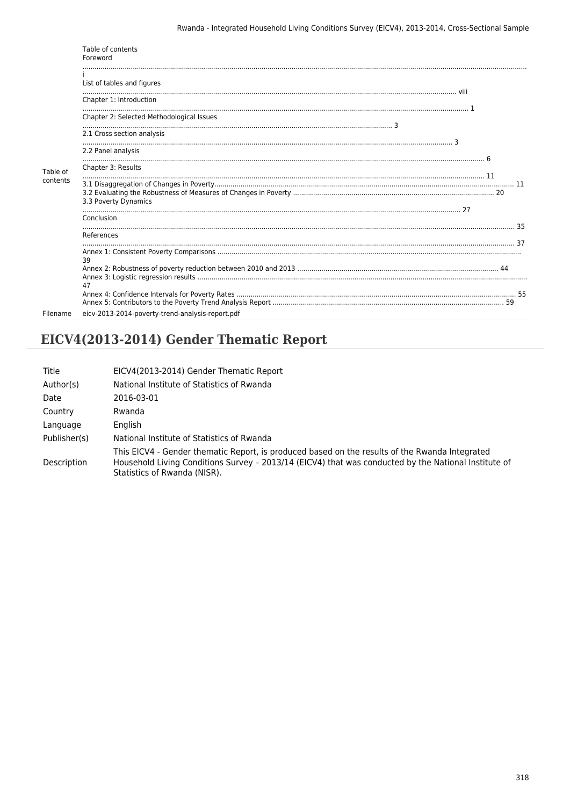|          | Table of contents<br>Foreword                    |
|----------|--------------------------------------------------|
|          | List of tables and figures                       |
|          | Chapter 1: Introduction                          |
|          | Chapter 2: Selected Methodological Issues        |
|          | 2.1 Cross section analysis                       |
|          | 2.2 Panel analysis                               |
| Table of | Chapter 3: Results                               |
| contents | 3.3 Poverty Dynamics                             |
|          | Conclusion                                       |
|          |                                                  |
|          | References                                       |
|          | 39                                               |
|          | 47                                               |
|          |                                                  |
| Filename | eicv-2013-2014-poverty-trend-analysis-report.pdf |

### EICV4(2013-2014) Gender Thematic Report

| Title        | EICV4(2013-2014) Gender Thematic Report                                                                                                                                                                                                |
|--------------|----------------------------------------------------------------------------------------------------------------------------------------------------------------------------------------------------------------------------------------|
| Author(s)    | National Institute of Statistics of Rwanda                                                                                                                                                                                             |
| Date         | 2016-03-01                                                                                                                                                                                                                             |
| Country      | Rwanda                                                                                                                                                                                                                                 |
| Language     | English                                                                                                                                                                                                                                |
| Publisher(s) | National Institute of Statistics of Rwanda                                                                                                                                                                                             |
| Description  | This EICV4 - Gender thematic Report, is produced based on the results of the Rwanda Integrated<br>Household Living Conditions Survey - 2013/14 (EICV4) that was conducted by the National Institute of<br>Statistics of Rwanda (NISR). |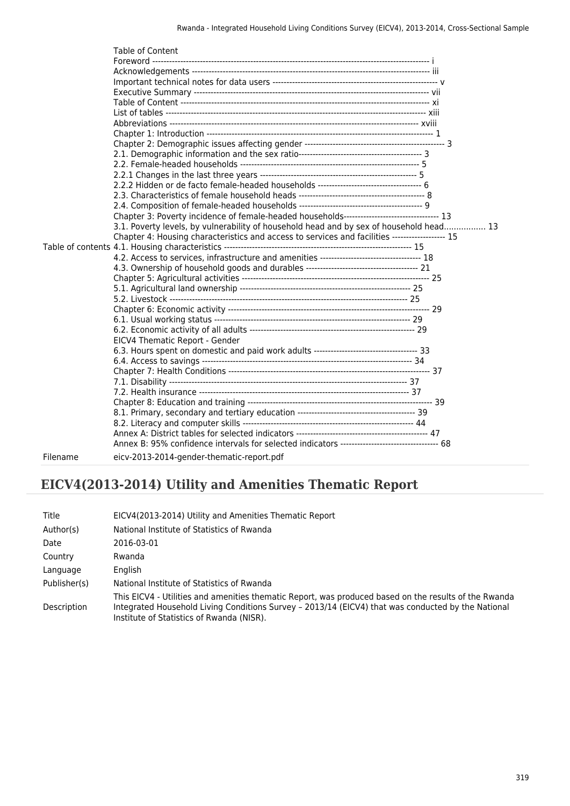| Chapter 3: Poverty incidence of female-headed households-------------------------------- 13      |  |
|--------------------------------------------------------------------------------------------------|--|
| 3.1. Poverty levels, by vulnerability of household head and by sex of household head 13          |  |
| Chapter 4: Housing characteristics and access to services and facilities ------------------ 15   |  |
|                                                                                                  |  |
| 4.2. Access to services, infrastructure and amenities ----------------------------------- 18     |  |
|                                                                                                  |  |
|                                                                                                  |  |
|                                                                                                  |  |
|                                                                                                  |  |
|                                                                                                  |  |
|                                                                                                  |  |
|                                                                                                  |  |
| EICV4 Thematic Report - Gender                                                                   |  |
|                                                                                                  |  |
|                                                                                                  |  |
|                                                                                                  |  |
|                                                                                                  |  |
|                                                                                                  |  |
|                                                                                                  |  |
|                                                                                                  |  |
|                                                                                                  |  |
|                                                                                                  |  |
| Annex B: 95% confidence intervals for selected indicators ----------------------------------- 68 |  |
| Filename<br>eicv-2013-2014-gender-thematic-report.pdf                                            |  |

## **EICV4(2013-2014) Utility and Amenities Thematic Report**

| Title        | EICV4(2013-2014) Utility and Amenities Thematic Report                                                                                                                                                                                                   |
|--------------|----------------------------------------------------------------------------------------------------------------------------------------------------------------------------------------------------------------------------------------------------------|
| Author(s)    | National Institute of Statistics of Rwanda                                                                                                                                                                                                               |
| Date         | 2016-03-01                                                                                                                                                                                                                                               |
| Country      | Rwanda                                                                                                                                                                                                                                                   |
| Language     | English                                                                                                                                                                                                                                                  |
| Publisher(s) | National Institute of Statistics of Rwanda                                                                                                                                                                                                               |
| Description  | This EICV4 - Utilities and amenities thematic Report, was produced based on the results of the Rwanda<br>Integrated Household Living Conditions Survey - 2013/14 (EICV4) that was conducted by the National<br>Institute of Statistics of Rwanda (NISR). |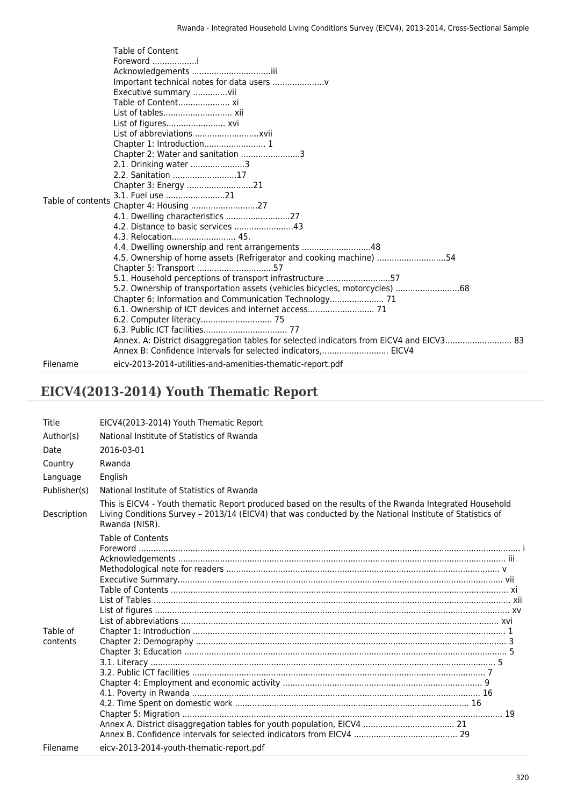| Table of contents | Table of Content<br>Foreword i<br>Acknowledgements iii<br>Executive summary vii<br>Table of Content xi<br>List of figures xvi<br>Chapter 1: Introduction 1<br>Chapter 2: Water and sanitation 3<br>2.1. Drinking water 3<br>2.2. Sanitation 17<br>Chapter 3: Energy 21<br>3.1. Fuel use 21<br>Chapter 4: Housing 27<br>4.1. Dwelling characteristics 27<br>4.3. Relocation 45.<br>4.4. Dwelling ownership and rent arrangements 48<br>4.5. Ownership of home assets (Refrigerator and cooking machine) 54<br>Chapter 5: Transport 57<br>5.1. Household perceptions of transport infrastructure 57<br>5.2. Ownership of transportation assets (vehicles bicycles, motorcycles) 68<br>6.1. Ownership of ICT devices and internet access 71<br>6.2. Computer literacy 75 |
|-------------------|-----------------------------------------------------------------------------------------------------------------------------------------------------------------------------------------------------------------------------------------------------------------------------------------------------------------------------------------------------------------------------------------------------------------------------------------------------------------------------------------------------------------------------------------------------------------------------------------------------------------------------------------------------------------------------------------------------------------------------------------------------------------------|
| Filename          | Annex. A: District disaggregation tables for selected indicators from EICV4 and EICV3 83<br>Annex B: Confidence Intervals for selected indicators EICV4<br>eicv-2013-2014-utilities-and-amenities-thematic-report.pdf                                                                                                                                                                                                                                                                                                                                                                                                                                                                                                                                                 |
|                   |                                                                                                                                                                                                                                                                                                                                                                                                                                                                                                                                                                                                                                                                                                                                                                       |

### **EICV4(2013-2014) Youth Thematic Report**

| Title                | EICV4(2013-2014) Youth Thematic Report                                                                                                                                                                                               |
|----------------------|--------------------------------------------------------------------------------------------------------------------------------------------------------------------------------------------------------------------------------------|
| Author(s)            | National Institute of Statistics of Rwanda                                                                                                                                                                                           |
| Date                 | 2016-03-01                                                                                                                                                                                                                           |
| Country              | Rwanda                                                                                                                                                                                                                               |
| Language             | English                                                                                                                                                                                                                              |
| Publisher(s)         | National Institute of Statistics of Rwanda                                                                                                                                                                                           |
| Description          | This is EICV4 - Youth thematic Report produced based on the results of the Rwanda Integrated Household<br>Living Conditions Survey - 2013/14 (EICV4) that was conducted by the National Institute of Statistics of<br>Rwanda (NISR). |
| Table of<br>contents | Table of Contents<br>Annex A. District disaggregation tables for youth population, EICV4  21                                                                                                                                         |
| Filename             | eicv-2013-2014-youth-thematic-report.pdf                                                                                                                                                                                             |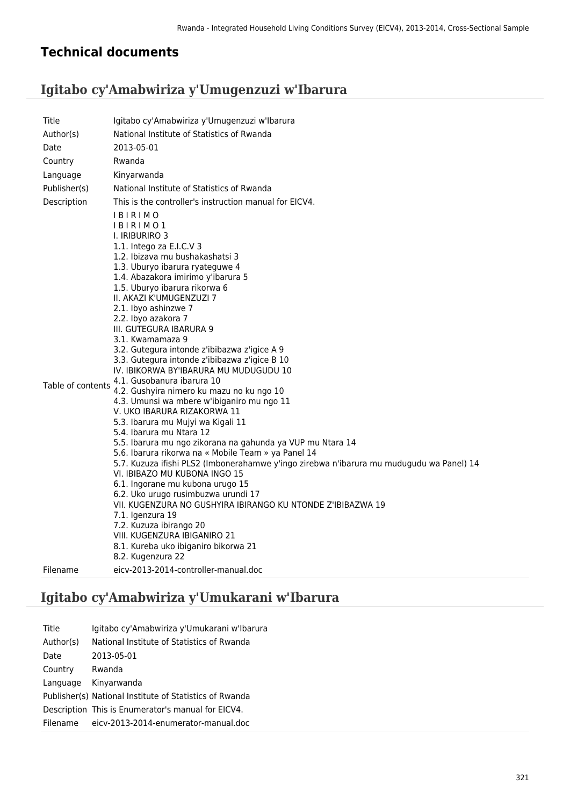### **Technical documents**

### **Igitabo cy'Amabwiriza y'Umugenzuzi w'Ibarura**

| Title<br>Author(s)<br>Date       | Igitabo cy'Amabwiriza y'Umugenzuzi w'Ibarura<br>National Institute of Statistics of Rwanda<br>2013-05-01                                                                                                                                                                                                                                                                                                                                                                                                                                                                                                                                                                                                                                                                                                                                                                                                                                                                                                                                                                                                                                                                                                                                                                                                               |
|----------------------------------|------------------------------------------------------------------------------------------------------------------------------------------------------------------------------------------------------------------------------------------------------------------------------------------------------------------------------------------------------------------------------------------------------------------------------------------------------------------------------------------------------------------------------------------------------------------------------------------------------------------------------------------------------------------------------------------------------------------------------------------------------------------------------------------------------------------------------------------------------------------------------------------------------------------------------------------------------------------------------------------------------------------------------------------------------------------------------------------------------------------------------------------------------------------------------------------------------------------------------------------------------------------------------------------------------------------------|
| Country                          | Rwanda                                                                                                                                                                                                                                                                                                                                                                                                                                                                                                                                                                                                                                                                                                                                                                                                                                                                                                                                                                                                                                                                                                                                                                                                                                                                                                                 |
| Language                         | Kinyarwanda                                                                                                                                                                                                                                                                                                                                                                                                                                                                                                                                                                                                                                                                                                                                                                                                                                                                                                                                                                                                                                                                                                                                                                                                                                                                                                            |
| Publisher(s)                     | National Institute of Statistics of Rwanda                                                                                                                                                                                                                                                                                                                                                                                                                                                                                                                                                                                                                                                                                                                                                                                                                                                                                                                                                                                                                                                                                                                                                                                                                                                                             |
|                                  |                                                                                                                                                                                                                                                                                                                                                                                                                                                                                                                                                                                                                                                                                                                                                                                                                                                                                                                                                                                                                                                                                                                                                                                                                                                                                                                        |
| Description<br>Table of contents | This is the controller's instruction manual for EICV4.<br><b>IBIRIMO</b><br>IBIRIMO1<br>I. IRIBURIRO 3<br>1.1. Intego za E.I.C.V 3<br>1.2. Ibizava mu bushakashatsi 3<br>1.3. Uburyo ibarura ryateguwe 4<br>1.4. Abazakora imirimo y'ibarura 5<br>1.5. Uburyo ibarura rikorwa 6<br>II. AKAZI K'UMUGENZUZI 7<br>2.1. Ibyo ashinzwe 7<br>2.2. Ibyo azakora 7<br>III. GUTEGURA IBARURA 9<br>3.1. Kwamamaza 9<br>3.2. Gutegura intonde z'ibibazwa z'igice A 9<br>3.3. Gutegura intonde z'ibibazwa z'igice B 10<br>IV. IBIKORWA BY'IBARURA MU MUDUGUDU 10<br>4.1. Gusobanura ibarura 10<br>4.2. Gushyira nimero ku mazu no ku ngo 10<br>4.3. Umunsi wa mbere w'ibiganiro mu ngo 11<br>V. UKO IBARURA RIZAKORWA 11<br>5.3. Ibarura mu Mujyi wa Kigali 11<br>5.4. Ibarura mu Ntara 12<br>5.5. Ibarura mu ngo zikorana na gahunda ya VUP mu Ntara 14<br>5.6. Ibarura rikorwa na « Mobile Team » ya Panel 14<br>5.7. Kuzuza ifishi PLS2 (Imbonerahamwe y'ingo zirebwa n'ibarura mu mudugudu wa Panel) 14<br>VI. IBIBAZO MU KUBONA INGO 15<br>6.1. Ingorane mu kubona urugo 15<br>6.2. Uko urugo rusimbuzwa urundi 17<br>VII. KUGENZURA NO GUSHYIRA IBIRANGO KU NTONDE Z'IBIBAZWA 19<br>7.1. Igenzura 19<br>7.2. Kuzuza ibirango 20<br>VIII. KUGENZURA IBIGANIRO 21<br>8.1. Kureba uko ibiganiro bikorwa 21<br>8.2. Kugenzura 22 |
| Filename                         | eicy-2013-2014-controller-manual.doc                                                                                                                                                                                                                                                                                                                                                                                                                                                                                                                                                                                                                                                                                                                                                                                                                                                                                                                                                                                                                                                                                                                                                                                                                                                                                   |
|                                  |                                                                                                                                                                                                                                                                                                                                                                                                                                                                                                                                                                                                                                                                                                                                                                                                                                                                                                                                                                                                                                                                                                                                                                                                                                                                                                                        |

### **Igitabo cy'Amabwiriza y'Umukarani w'Ibarura**

| Title     | Iqitabo cy'Amabwiriza y'Umukarani w'Ibarura             |
|-----------|---------------------------------------------------------|
| Author(s) | National Institute of Statistics of Rwanda              |
| Date      | 2013-05-01                                              |
| Country   | Rwanda                                                  |
| Language  | Kinyarwanda                                             |
|           | Publisher(s) National Institute of Statistics of Rwanda |
|           | Description This is Enumerator's manual for EICV4.      |
| Filename  | eicy-2013-2014-enumerator-manual.doc                    |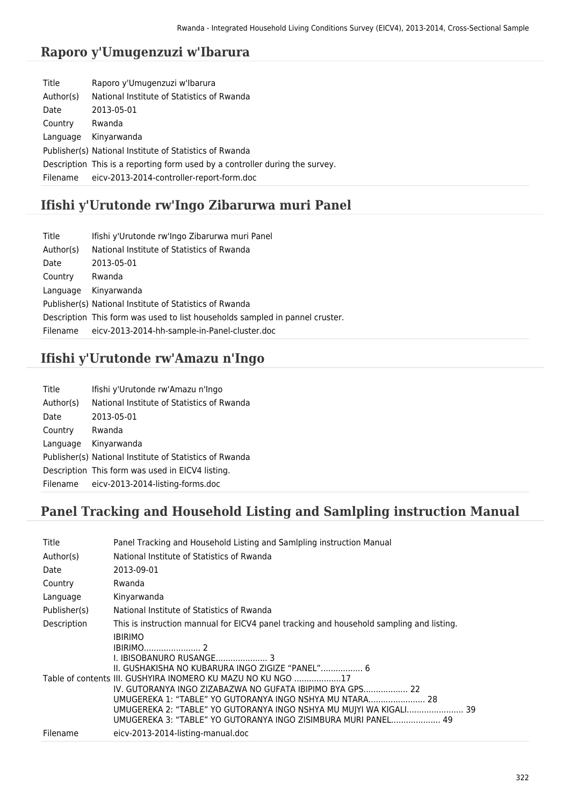### **Raporo y'Umugenzuzi w'Ibarura**

| Title     | Raporo y'Umugenzuzi w'Ibarura                                                |
|-----------|------------------------------------------------------------------------------|
| Author(s) | National Institute of Statistics of Rwanda                                   |
| Date      | 2013-05-01                                                                   |
| Country   | Rwanda                                                                       |
| Language  | Kinyarwanda                                                                  |
|           | Publisher(s) National Institute of Statistics of Rwanda                      |
|           | Description This is a reporting form used by a controller during the survey. |
|           | Filename eicv-2013-2014-controller-report-form.doc                           |

### **Ifishi y'Urutonde rw'Ingo Zibarurwa muri Panel**

| Title     | Ifishi y'Urutonde rw'Ingo Zibarurwa muri Panel                               |
|-----------|------------------------------------------------------------------------------|
| Author(s) | National Institute of Statistics of Rwanda                                   |
| Date      | 2013-05-01                                                                   |
| Country   | Rwanda                                                                       |
| Language  | Kinyarwanda                                                                  |
|           | Publisher(s) National Institute of Statistics of Rwanda                      |
|           | Description This form was used to list households sampled in pannel cruster. |
|           | Filename eicv-2013-2014-hh-sample-in-Panel-cluster.doc                       |

### **Ifishi y'Urutonde rw'Amazu n'Ingo**

| Title     | Ifishi y'Urutonde rw'Amazu n'Ingo                       |
|-----------|---------------------------------------------------------|
| Author(s) | National Institute of Statistics of Rwanda              |
| Date      | 2013-05-01                                              |
| Country   | Rwanda                                                  |
| Language  | Kinyarwanda                                             |
|           | Publisher(s) National Institute of Statistics of Rwanda |
|           | Description This form was used in EICV4 listing.        |
|           | Filename eicv-2013-2014-listing-forms.doc               |

## **Panel Tracking and Household Listing and Samlpling instruction Manual**

| Title        | Panel Tracking and Household Listing and Samlpling instruction Manual                                                                                                                                                                                                                                                                                                                                  |
|--------------|--------------------------------------------------------------------------------------------------------------------------------------------------------------------------------------------------------------------------------------------------------------------------------------------------------------------------------------------------------------------------------------------------------|
| Author(s)    | National Institute of Statistics of Rwanda                                                                                                                                                                                                                                                                                                                                                             |
| Date         | 2013-09-01                                                                                                                                                                                                                                                                                                                                                                                             |
| Country      | Rwanda                                                                                                                                                                                                                                                                                                                                                                                                 |
| Language     | Kinyarwanda                                                                                                                                                                                                                                                                                                                                                                                            |
| Publisher(s) | National Institute of Statistics of Rwanda                                                                                                                                                                                                                                                                                                                                                             |
| Description  | This is instruction mannual for EICV4 panel tracking and household sampling and listing.                                                                                                                                                                                                                                                                                                               |
|              | <b>IBIRIMO</b><br>II. GUSHAKISHA NO KUBARURA INGO ZIGIZE "PANEL" 6<br>Table of contents III. GUSHYIRA INOMERO KU MAZU NO KU NGO 17<br>IV. GUTORANYA INGO ZIZABAZWA NO GUFATA IBIPIMO BYA GPS 22<br>UMUGEREKA 1: "TABLE" YO GUTORANYA INGO NSHYA MU NTARA 28<br>UMUGEREKA 2: "TABLE" YO GUTORANYA INGO NSHYA MU MUJYI WA KIGALI<br>39<br>UMUGEREKA 3: "TABLE" YO GUTORANYA INGO ZISIMBURA MURI PANEL 49 |
| Filename     | eicv-2013-2014-listing-manual.doc                                                                                                                                                                                                                                                                                                                                                                      |